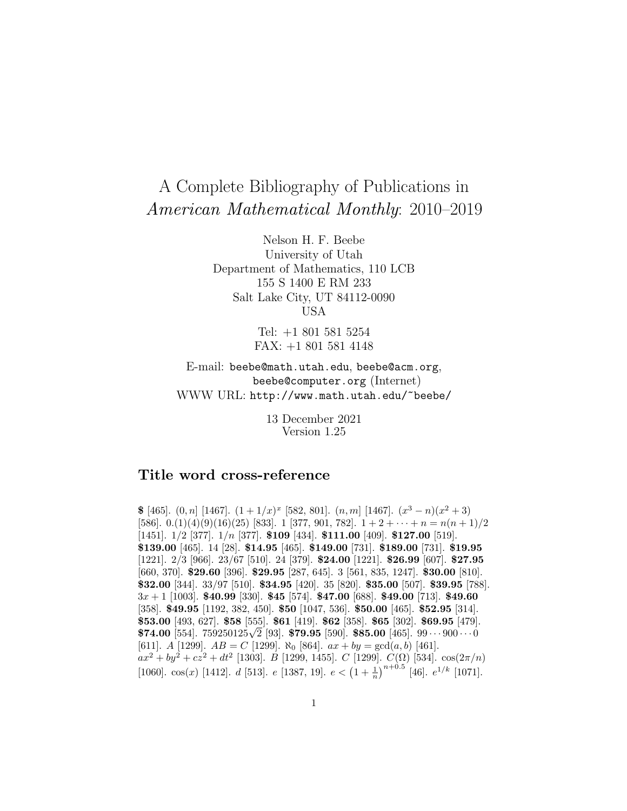# A Complete Bibliography of Publications in American Mathematical Monthly: 2010–2019

Nelson H. F. Beebe University of Utah Department of Mathematics, 110 LCB 155 S 1400 E RM 233 Salt Lake City, UT 84112-0090 USA

> Tel: +1 801 581 5254 FAX: +1 801 581 4148

E-mail: beebe@math.utah.edu, beebe@acm.org, beebe@computer.org (Internet) WWW URL: http://www.math.utah.edu/~beebe/

> 13 December 2021 Version 1.25

# **Title word cross-reference**

**\$** [465].  $(0, n]$  [1467].  $(1 + 1/x)^x$  [582, 801].  $(n, m]$  [1467].  $(x^3 - n)(x^2 + 3)$ [586]. 0.(1)(4)(9)(16)(25) [833]. 1 [377, 901, 782].  $1+2+\cdots+n=n(n+1)/2$ [1451]. 1/2 [377]. 1/n [377]. **\$109** [434]. **\$111.00** [409]. **\$127.00** [519]. **\$139.00** [465]. 14 [28]. **\$14.95** [465]. **\$149.00** [731]. **\$189.00** [731]. **\$19.95** [1221]. 2/3 [966]. 23/67 [510]. 24 [379]. **\$24.00** [1221]. **\$26.99** [607]. **\$27.95** [660, 370]. **\$29.60** [396]. **\$29.95** [287, 645]. 3 [561, 835, 1247]. **\$30.00** [810]. **\$32.00** [344]. 33/97 [510]. **\$34.95** [420]. 35 [820]. **\$35.00** [507]. **\$39.95** [788]. 3x + 1 [1003]. **\$40.99** [330]. **\$45** [574]. **\$47.00** [688]. **\$49.00** [713]. **\$49.60** [358]. **\$49.95** [1192, 382, 450]. **\$50** [1047, 536]. **\$50.00** [465]. **\$52.95** [314]. **\$53.00** [493, 627]. **\$58** [555]. **\$61** [419]. **\$62** [358]. **\$65** [302]. **\$69.95** [479]. **\$74.00** [554]. 759250125√2 [93]. **\$79.95** [590]. **\$85.00** [465]. 99 ··· <sup>900</sup> ··· <sup>0</sup> [611]. A [1299].  $AB = C$  [1299].  $\aleph_0$  [864].  $ax + by = \gcd(a, b)$  [461].  $ax^2 + by^2 + cz^2 + dt^2$  [1303]. B [1299, 1455]. C [1299]. C( $\Omega$ ) [534].  $\cos(2\pi/n)$ [1060]. cos(x) [1412]. d [513]. e [1387, 19].  $e < (1 + \frac{1}{n})^{n+0.5}$  [46].  $e^{1/k}$  [1071].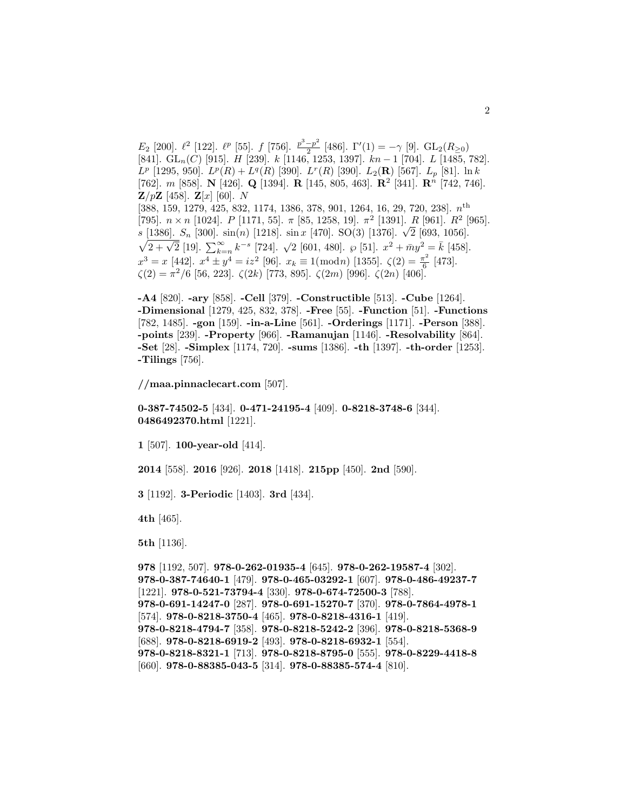$E_2$  [200].  $\ell^2$  [122].  $\ell^p$  [55]. f [756].  $\frac{p^3-p^2}{2}$  [486].  $\Gamma'(1) = -\gamma$  [9].  $\text{GL}_2(R_{\geq 0})$  $[841]$ . GL<sub>n</sub>(C) [915]. H [239]. k [1146, 1253, 1397]. kn − 1 [704]. L [1485, 782].  $L^p$  [1295, 950].  $L^p(R) + L^q(R)$  [390].  $L^r(R)$  [390].  $L_2(\mathbf{R})$  [567].  $L_p$  [81]. ln k [762]. m [858]. **N** [426]. **Q** [1394]. **R** [145, 805, 463]. **R**<sup>2</sup> [341]. **R**<sup>n</sup> [742, 746]. **Z**/ $p$ **Z** [458]. **Z**[x] [60]. N [388, 159, 1279, 425, 832, 1174, 1386, 378, 901, 1264, 16, 29, 720, 238].  $n^{\text{th}}$ [795].  $n \times n$  [1024].  $P$  [1171, 55].  $\pi$  [85, 1258, 19].  $\pi^2$  [1391].  $R$  [961].  $R^2$  [965]. s [1386].  $S_n$  [300]. sin(n) [1218]. sin x [470]. SO(3) [1376].  $\sqrt{2}$  [693, 1056].  $\sqrt{2+\sqrt{2}}$  [19].  $\sum_{k=n}^{\infty} k^{-s}$  [724].  $\sqrt{2}$  [601, 480].  $\wp$  [51].  $x^2 + \bar{m}y^2 = \bar{k}$  [458].  $x^3 = x$  [442].  $x^4 \pm y^4 = iz^2$  [96].  $x_k \equiv 1 \pmod{n}$  [1355].  $\zeta(2) = \frac{\pi^2}{6}$  [473].  $\zeta(2) = \pi^2/6$  [56, 223].  $\zeta(2k)$  [773, 895].  $\zeta(2m)$  [996].  $\zeta(2n)$  [406].

**-A4** [820]. **-ary** [858]. **-Cell** [379]. **-Constructible** [513]. **-Cube** [1264]. **-Dimensional** [1279, 425, 832, 378]. **-Free** [55]. **-Function** [51]. **-Functions** [782, 1485]. **-gon** [159]. **-in-a-Line** [561]. **-Orderings** [1171]. **-Person** [388]. **-points** [239]. **-Property** [966]. **-Ramanujan** [1146]. **-Resolvability** [864]. **-Set** [28]. **-Simplex** [1174, 720]. **-sums** [1386]. **-th** [1397]. **-th-order** [1253]. **-Tilings** [756].

#### **//maa.pinnaclecart.com** [507].

## **0-387-74502-5** [434]. **0-471-24195-4** [409]. **0-8218-3748-6** [344]. **0486492370.html** [1221].

**1** [507]. **100-year-old** [414].

**2014** [558]. **2016** [926]. **2018** [1418]. **215pp** [450]. **2nd** [590].

**3** [1192]. **3-Periodic** [1403]. **3rd** [434].

**4th** [465].

**5th** [1136].

**978** [1192, 507]. **978-0-262-01935-4** [645]. **978-0-262-19587-4** [302]. **978-0-387-74640-1** [479]. **978-0-465-03292-1** [607]. **978-0-486-49237-7** [1221]. **978-0-521-73794-4** [330]. **978-0-674-72500-3** [788]. **978-0-691-14247-0** [287]. **978-0-691-15270-7** [370]. **978-0-7864-4978-1** [574]. **978-0-8218-3750-4** [465]. **978-0-8218-4316-1** [419]. **978-0-8218-4794-7** [358]. **978-0-8218-5242-2** [396]. **978-0-8218-5368-9** [688]. **978-0-8218-6919-2** [493]. **978-0-8218-6932-1** [554]. **978-0-8218-8321-1** [713]. **978-0-8218-8795-0** [555]. **978-0-8229-4418-8** [660]. **978-0-88385-043-5** [314]. **978-0-88385-574-4** [810].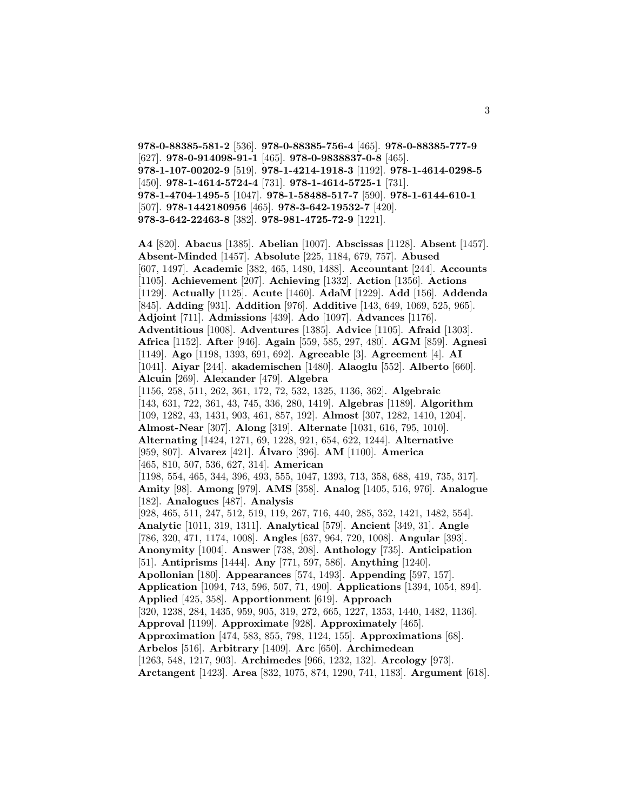**978-0-88385-581-2** [536]. **978-0-88385-756-4** [465]. **978-0-88385-777-9** [627]. **978-0-914098-91-1** [465]. **978-0-9838837-0-8** [465]. **978-1-107-00202-9** [519]. **978-1-4214-1918-3** [1192]. **978-1-4614-0298-5** [450]. **978-1-4614-5724-4** [731]. **978-1-4614-5725-1** [731]. **978-1-4704-1495-5** [1047]. **978-1-58488-517-7** [590]. **978-1-6144-610-1** [507]. **978-1442180956** [465]. **978-3-642-19532-7** [420]. **978-3-642-22463-8** [382]. **978-981-4725-72-9** [1221].

**A4** [820]. **Abacus** [1385]. **Abelian** [1007]. **Abscissas** [1128]. **Absent** [1457]. **Absent-Minded** [1457]. **Absolute** [225, 1184, 679, 757]. **Abused** [607, 1497]. **Academic** [382, 465, 1480, 1488]. **Accountant** [244]. **Accounts** [1105]. **Achievement** [207]. **Achieving** [1332]. **Action** [1356]. **Actions** [1129]. **Actually** [1125]. **Acute** [1460]. **AdaM** [1229]. **Add** [156]. **Addenda** [845]. **Adding** [931]. **Addition** [976]. **Additive** [143, 649, 1069, 525, 965]. **Adjoint** [711]. **Admissions** [439]. **Ado** [1097]. **Advances** [1176]. **Adventitious** [1008]. **Adventures** [1385]. **Advice** [1105]. **Afraid** [1303]. **Africa** [1152]. **After** [946]. **Again** [559, 585, 297, 480]. **AGM** [859]. **Agnesi** [1149]. **Ago** [1198, 1393, 691, 692]. **Agreeable** [3]. **Agreement** [4]. **AI** [1041]. **Aiyar** [244]. **akademischen** [1480]. **Alaoglu** [552]. **Alberto** [660]. **Alcuin** [269]. **Alexander** [479]. **Algebra** [1156, 258, 511, 262, 361, 172, 72, 532, 1325, 1136, 362]. **Algebraic** [143, 631, 722, 361, 43, 745, 336, 280, 1419]. **Algebras** [1189]. **Algorithm** [109, 1282, 43, 1431, 903, 461, 857, 192]. **Almost** [307, 1282, 1410, 1204]. **Almost-Near** [307]. **Along** [319]. **Alternate** [1031, 616, 795, 1010]. **Alternating** [1424, 1271, 69, 1228, 921, 654, 622, 1244]. **Alternative** [959, 807]. **Alvarez** [421]. **Alvaro ´** [396]. **AM** [1100]. **America** [465, 810, 507, 536, 627, 314]. **American** [1198, 554, 465, 344, 396, 493, 555, 1047, 1393, 713, 358, 688, 419, 735, 317]. **Amity** [98]. **Among** [979]. **AMS** [358]. **Analog** [1405, 516, 976]. **Analogue** [182]. **Analogues** [487]. **Analysis** [928, 465, 511, 247, 512, 519, 119, 267, 716, 440, 285, 352, 1421, 1482, 554]. **Analytic** [1011, 319, 1311]. **Analytical** [579]. **Ancient** [349, 31]. **Angle** [786, 320, 471, 1174, 1008]. **Angles** [637, 964, 720, 1008]. **Angular** [393]. **Anonymity** [1004]. **Answer** [738, 208]. **Anthology** [735]. **Anticipation** [51]. **Antiprisms** [1444]. **Any** [771, 597, 586]. **Anything** [1240]. **Apollonian** [180]. **Appearances** [574, 1493]. **Appending** [597, 157]. **Application** [1094, 743, 596, 507, 71, 490]. **Applications** [1394, 1054, 894]. **Applied** [425, 358]. **Apportionment** [619]. **Approach** [320, 1238, 284, 1435, 959, 905, 319, 272, 665, 1227, 1353, 1440, 1482, 1136]. **Approval** [1199]. **Approximate** [928]. **Approximately** [465]. **Approximation** [474, 583, 855, 798, 1124, 155]. **Approximations** [68]. **Arbelos** [516]. **Arbitrary** [1409]. **Arc** [650]. **Archimedean** [1263, 548, 1217, 903]. **Archimedes** [966, 1232, 132]. **Arcology** [973]. **Arctangent** [1423]. **Area** [832, 1075, 874, 1290, 741, 1183]. **Argument** [618].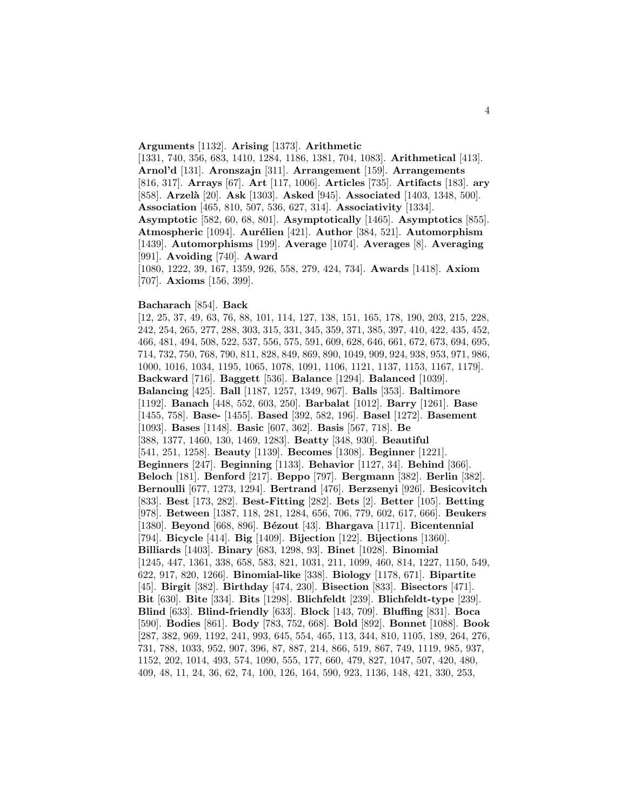#### **Arguments** [1132]. **Arising** [1373]. **Arithmetic**

[1331, 740, 356, 683, 1410, 1284, 1186, 1381, 704, 1083]. **Arithmetical** [413]. **Arnol'd** [131]. **Aronszajn** [311]. **Arrangement** [159]. **Arrangements** [816, 317]. **Arrays** [67]. **Art** [117, 1006]. **Articles** [735]. **Artifacts** [183]. **ary** [858]. **Arzel`a** [20]. **Ask** [1303]. **Asked** [945]. **Associated** [1403, 1348, 500]. **Association** [465, 810, 507, 536, 627, 314]. **Associativity** [1334]. **Asymptotic** [582, 60, 68, 801]. **Asymptotically** [1465]. **Asymptotics** [855]. **Atmospheric** [1094]. **Aurélien** [421]. **Author** [384, 521]. **Automorphism** [1439]. **Automorphisms** [199]. **Average** [1074]. **Averages** [8]. **Averaging** [991]. **Avoiding** [740]. **Award** [1080, 1222, 39, 167, 1359, 926, 558, 279, 424, 734]. **Awards** [1418]. **Axiom**

[707]. **Axioms** [156, 399].

#### **Bacharach** [854]. **Back**

[12, 25, 37, 49, 63, 76, 88, 101, 114, 127, 138, 151, 165, 178, 190, 203, 215, 228, 242, 254, 265, 277, 288, 303, 315, 331, 345, 359, 371, 385, 397, 410, 422, 435, 452, 466, 481, 494, 508, 522, 537, 556, 575, 591, 609, 628, 646, 661, 672, 673, 694, 695, 714, 732, 750, 768, 790, 811, 828, 849, 869, 890, 1049, 909, 924, 938, 953, 971, 986, 1000, 1016, 1034, 1195, 1065, 1078, 1091, 1106, 1121, 1137, 1153, 1167, 1179]. **Backward** [716]. **Baggett** [536]. **Balance** [1294]. **Balanced** [1039]. **Balancing** [425]. **Ball** [1187, 1257, 1349, 967]. **Balls** [353]. **Baltimore** [1192]. **Banach** [448, 552, 603, 250]. **Barbalat** [1012]. **Barry** [1261]. **Base** [1455, 758]. **Base-** [1455]. **Based** [392, 582, 196]. **Basel** [1272]. **Basement** [1093]. **Bases** [1148]. **Basic** [607, 362]. **Basis** [567, 718]. **Be** [388, 1377, 1460, 130, 1469, 1283]. **Beatty** [348, 930]. **Beautiful** [541, 251, 1258]. **Beauty** [1139]. **Becomes** [1308]. **Beginner** [1221]. **Beginners** [247]. **Beginning** [1133]. **Behavior** [1127, 34]. **Behind** [366]. **Beloch** [181]. **Benford** [217]. **Beppo** [797]. **Bergmann** [382]. **Berlin** [382]. **Bernoulli** [677, 1273, 1294]. **Bertrand** [476]. **Berzsenyi** [926]. **Besicovitch** [833]. **Best** [173, 282]. **Best-Fitting** [282]. **Bets** [2]. **Better** [105]. **Betting** [978]. **Between** [1387, 118, 281, 1284, 656, 706, 779, 602, 617, 666]. **Beukers** [1380]. **Beyond** [668, 896]. **B´ezout** [43]. **Bhargava** [1171]. **Bicentennial** [794]. **Bicycle** [414]. **Big** [1409]. **Bijection** [122]. **Bijections** [1360]. **Billiards** [1403]. **Binary** [683, 1298, 93]. **Binet** [1028]. **Binomial** [1245, 447, 1361, 338, 658, 583, 821, 1031, 211, 1099, 460, 814, 1227, 1150, 549, 622, 917, 820, 1266]. **Binomial-like** [338]. **Biology** [1178, 671]. **Bipartite** [45]. **Birgit** [382]. **Birthday** [474, 230]. **Bisection** [833]. **Bisectors** [471]. **Bit** [630]. **Bite** [334]. **Bits** [1298]. **Blichfeldt** [239]. **Blichfeldt-type** [239]. **Blind** [633]. **Blind-friendly** [633]. **Block** [143, 709]. **Bluffing** [831]. **Boca** [590]. **Bodies** [861]. **Body** [783, 752, 668]. **Bold** [892]. **Bonnet** [1088]. **Book** [287, 382, 969, 1192, 241, 993, 645, 554, 465, 113, 344, 810, 1105, 189, 264, 276, 731, 788, 1033, 952, 907, 396, 87, 887, 214, 866, 519, 867, 749, 1119, 985, 937, 1152, 202, 1014, 493, 574, 1090, 555, 177, 660, 479, 827, 1047, 507, 420, 480, 409, 48, 11, 24, 36, 62, 74, 100, 126, 164, 590, 923, 1136, 148, 421, 330, 253,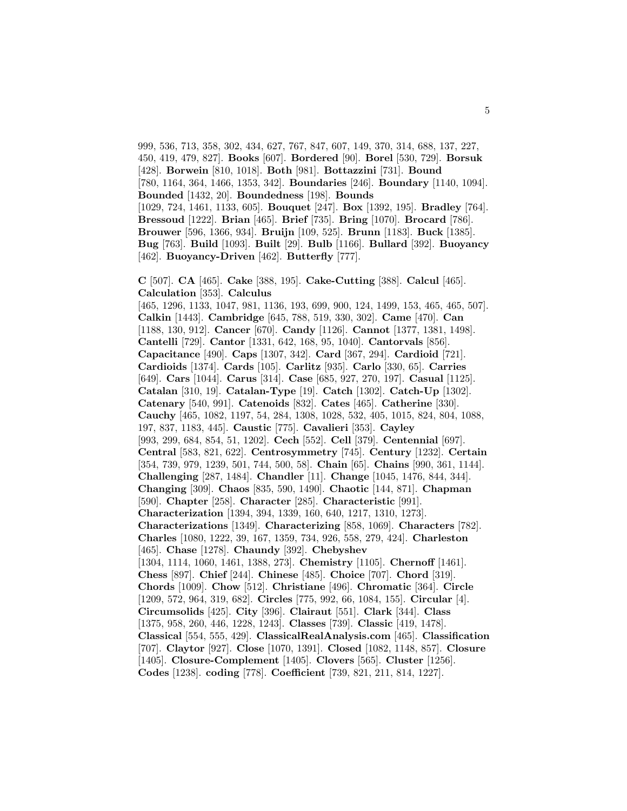999, 536, 713, 358, 302, 434, 627, 767, 847, 607, 149, 370, 314, 688, 137, 227, 450, 419, 479, 827]. **Books** [607]. **Bordered** [90]. **Borel** [530, 729]. **Borsuk** [428]. **Borwein** [810, 1018]. **Both** [981]. **Bottazzini** [731]. **Bound** [780, 1164, 364, 1466, 1353, 342]. **Boundaries** [246]. **Boundary** [1140, 1094]. **Bounded** [1432, 20]. **Boundedness** [198]. **Bounds** [1029, 724, 1461, 1133, 605]. **Bouquet** [247]. **Box** [1392, 195]. **Bradley** [764]. **Bressoud** [1222]. **Brian** [465]. **Brief** [735]. **Bring** [1070]. **Brocard** [786]. **Brouwer** [596, 1366, 934]. **Bruijn** [109, 525]. **Brunn** [1183]. **Buck** [1385]. **Bug** [763]. **Build** [1093]. **Built** [29]. **Bulb** [1166]. **Bullard** [392]. **Buoyancy** [462]. **Buoyancy-Driven** [462]. **Butterfly** [777].

**C** [507]. **CA** [465]. **Cake** [388, 195]. **Cake-Cutting** [388]. **Calcul** [465]. **Calculation** [353]. **Calculus** [465, 1296, 1133, 1047, 981, 1136, 193, 699, 900, 124, 1499, 153, 465, 465, 507]. **Calkin** [1443]. **Cambridge** [645, 788, 519, 330, 302]. **Came** [470]. **Can** [1188, 130, 912]. **Cancer** [670]. **Candy** [1126]. **Cannot** [1377, 1381, 1498]. **Cantelli** [729]. **Cantor** [1331, 642, 168, 95, 1040]. **Cantorvals** [856]. **Capacitance** [490]. **Caps** [1307, 342]. **Card** [367, 294]. **Cardioid** [721]. **Cardioids** [1374]. **Cards** [105]. **Carlitz** [935]. **Carlo** [330, 65]. **Carries** [649]. **Cars** [1044]. **Carus** [314]. **Case** [685, 927, 270, 197]. **Casual** [1125]. **Catalan** [310, 19]. **Catalan-Type** [19]. **Catch** [1302]. **Catch-Up** [1302]. **Catenary** [540, 991]. **Catenoids** [832]. **Cates** [465]. **Catherine** [330]. **Cauchy** [465, 1082, 1197, 54, 284, 1308, 1028, 532, 405, 1015, 824, 804, 1088, 197, 837, 1183, 445]. **Caustic** [775]. **Cavalieri** [353]. **Cayley** [993, 299, 684, 854, 51, 1202]. **Cech** [552]. **Cell** [379]. **Centennial** [697]. **Central** [583, 821, 622]. **Centrosymmetry** [745]. **Century** [1232]. **Certain** [354, 739, 979, 1239, 501, 744, 500, 58]. **Chain** [65]. **Chains** [990, 361, 1144]. **Challenging** [287, 1484]. **Chandler** [11]. **Change** [1045, 1476, 844, 344]. **Changing** [309]. **Chaos** [835, 590, 1490]. **Chaotic** [144, 871]. **Chapman** [590]. **Chapter** [258]. **Character** [285]. **Characteristic** [991]. **Characterization** [1394, 394, 1339, 160, 640, 1217, 1310, 1273]. **Characterizations** [1349]. **Characterizing** [858, 1069]. **Characters** [782]. **Charles** [1080, 1222, 39, 167, 1359, 734, 926, 558, 279, 424]. **Charleston** [465]. **Chase** [1278]. **Chaundy** [392]. **Chebyshev** [1304, 1114, 1060, 1461, 1388, 273]. **Chemistry** [1105]. **Chernoff** [1461]. **Chess** [897]. **Chief** [244]. **Chinese** [485]. **Choice** [707]. **Chord** [319]. **Chords** [1009]. **Chow** [512]. **Christiane** [496]. **Chromatic** [364]. **Circle** [1209, 572, 964, 319, 682]. **Circles** [775, 992, 66, 1084, 155]. **Circular** [4]. **Circumsolids** [425]. **City** [396]. **Clairaut** [551]. **Clark** [344]. **Class** [1375, 958, 260, 446, 1228, 1243]. **Classes** [739]. **Classic** [419, 1478]. **Classical** [554, 555, 429]. **ClassicalRealAnalysis.com** [465]. **Classification** [707]. **Claytor** [927]. **Close** [1070, 1391]. **Closed** [1082, 1148, 857]. **Closure** [1405]. **Closure-Complement** [1405]. **Clovers** [565]. **Cluster** [1256]. **Codes** [1238]. **coding** [778]. **Coefficient** [739, 821, 211, 814, 1227].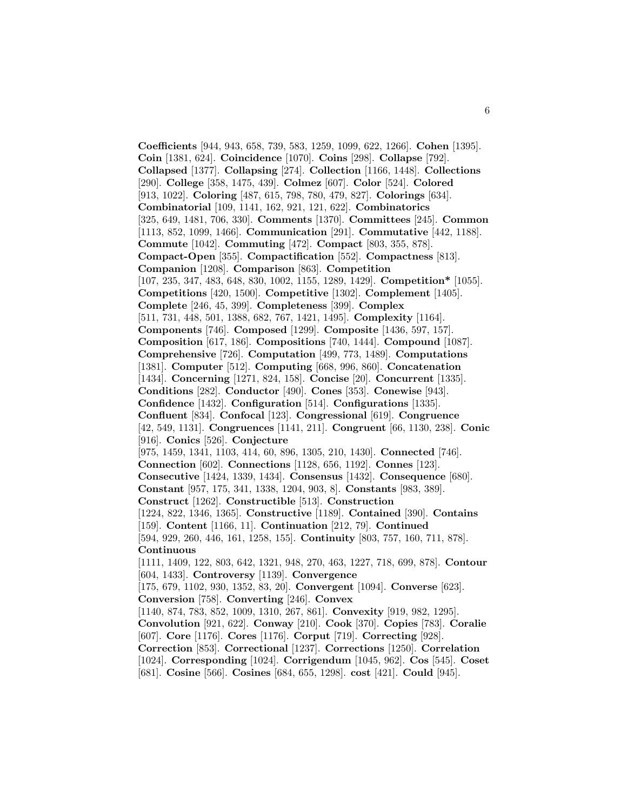**Coefficients** [944, 943, 658, 739, 583, 1259, 1099, 622, 1266]. **Cohen** [1395]. **Coin** [1381, 624]. **Coincidence** [1070]. **Coins** [298]. **Collapse** [792]. **Collapsed** [1377]. **Collapsing** [274]. **Collection** [1166, 1448]. **Collections** [290]. **College** [358, 1475, 439]. **Colmez** [607]. **Color** [524]. **Colored** [913, 1022]. **Coloring** [487, 615, 798, 780, 479, 827]. **Colorings** [634]. **Combinatorial** [109, 1141, 162, 921, 121, 622]. **Combinatorics** [325, 649, 1481, 706, 330]. **Comments** [1370]. **Committees** [245]. **Common** [1113, 852, 1099, 1466]. **Communication** [291]. **Commutative** [442, 1188]. **Commute** [1042]. **Commuting** [472]. **Compact** [803, 355, 878]. **Compact-Open** [355]. **Compactification** [552]. **Compactness** [813]. **Companion** [1208]. **Comparison** [863]. **Competition** [107, 235, 347, 483, 648, 830, 1002, 1155, 1289, 1429]. **Competition\*** [1055]. **Competitions** [420, 1500]. **Competitive** [1302]. **Complement** [1405]. **Complete** [246, 45, 399]. **Completeness** [399]. **Complex** [511, 731, 448, 501, 1388, 682, 767, 1421, 1495]. **Complexity** [1164]. **Components** [746]. **Composed** [1299]. **Composite** [1436, 597, 157]. **Composition** [617, 186]. **Compositions** [740, 1444]. **Compound** [1087]. **Comprehensive** [726]. **Computation** [499, 773, 1489]. **Computations** [1381]. **Computer** [512]. **Computing** [668, 996, 860]. **Concatenation** [1434]. **Concerning** [1271, 824, 158]. **Concise** [20]. **Concurrent** [1335]. **Conditions** [282]. **Conductor** [490]. **Cones** [353]. **Conewise** [943]. **Confidence** [1432]. **Configuration** [514]. **Configurations** [1335]. **Confluent** [834]. **Confocal** [123]. **Congressional** [619]. **Congruence** [42, 549, 1131]. **Congruences** [1141, 211]. **Congruent** [66, 1130, 238]. **Conic** [916]. **Conics** [526]. **Conjecture** [975, 1459, 1341, 1103, 414, 60, 896, 1305, 210, 1430]. **Connected** [746]. **Connection** [602]. **Connections** [1128, 656, 1192]. **Connes** [123]. **Consecutive** [1424, 1339, 1434]. **Consensus** [1432]. **Consequence** [680]. **Constant** [957, 175, 341, 1338, 1204, 903, 8]. **Constants** [983, 389]. **Construct** [1262]. **Constructible** [513]. **Construction** [1224, 822, 1346, 1365]. **Constructive** [1189]. **Contained** [390]. **Contains** [159]. **Content** [1166, 11]. **Continuation** [212, 79]. **Continued** [594, 929, 260, 446, 161, 1258, 155]. **Continuity** [803, 757, 160, 711, 878]. **Continuous** [1111, 1409, 122, 803, 642, 1321, 948, 270, 463, 1227, 718, 699, 878]. **Contour** [604, 1433]. **Controversy** [1139]. **Convergence** [175, 679, 1102, 930, 1352, 83, 20]. **Convergent** [1094]. **Converse** [623]. **Conversion** [758]. **Converting** [246]. **Convex** [1140, 874, 783, 852, 1009, 1310, 267, 861]. **Convexity** [919, 982, 1295]. **Convolution** [921, 622]. **Conway** [210]. **Cook** [370]. **Copies** [783]. **Coralie** [607]. **Core** [1176]. **Cores** [1176]. **Corput** [719]. **Correcting** [928]. **Correction** [853]. **Correctional** [1237]. **Corrections** [1250]. **Correlation** [1024]. **Corresponding** [1024]. **Corrigendum** [1045, 962]. **Cos** [545]. **Coset** [681]. **Cosine** [566]. **Cosines** [684, 655, 1298]. **cost** [421]. **Could** [945].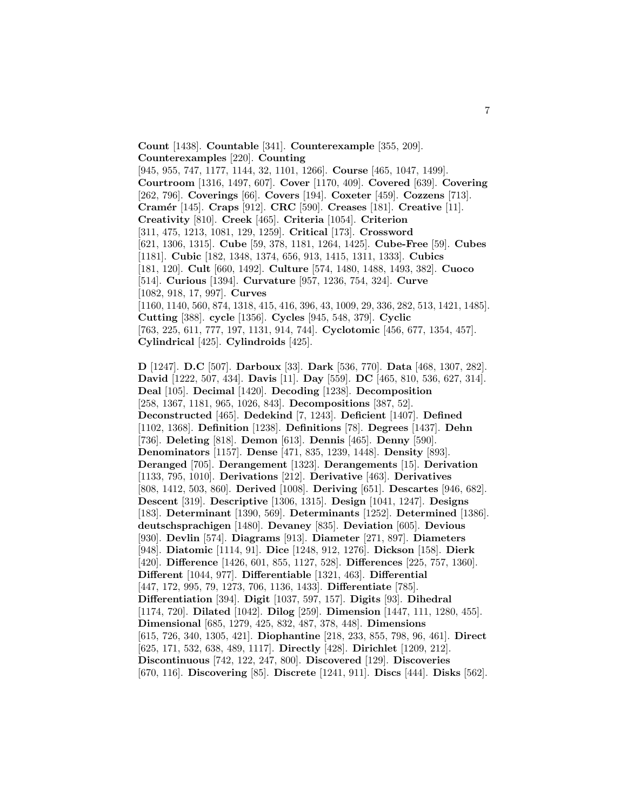**Count** [1438]. **Countable** [341]. **Counterexample** [355, 209]. **Counterexamples** [220]. **Counting**

[945, 955, 747, 1177, 1144, 32, 1101, 1266]. **Course** [465, 1047, 1499]. **Courtroom** [1316, 1497, 607]. **Cover** [1170, 409]. **Covered** [639]. **Covering** [262, 796]. **Coverings** [66]. **Covers** [194]. **Coxeter** [459]. **Cozzens** [713]. **Cram´er** [145]. **Craps** [912]. **CRC** [590]. **Creases** [181]. **Creative** [11]. **Creativity** [810]. **Creek** [465]. **Criteria** [1054]. **Criterion** [311, 475, 1213, 1081, 129, 1259]. **Critical** [173]. **Crossword** [621, 1306, 1315]. **Cube** [59, 378, 1181, 1264, 1425]. **Cube-Free** [59]. **Cubes** [1181]. **Cubic** [182, 1348, 1374, 656, 913, 1415, 1311, 1333]. **Cubics** [181, 120]. **Cult** [660, 1492]. **Culture** [574, 1480, 1488, 1493, 382]. **Cuoco** [514]. **Curious** [1394]. **Curvature** [957, 1236, 754, 324]. **Curve** [1082, 918, 17, 997]. **Curves** [1160, 1140, 560, 874, 1318, 415, 416, 396, 43, 1009, 29, 336, 282, 513, 1421, 1485]. **Cutting** [388]. **cycle** [1356]. **Cycles** [945, 548, 379]. **Cyclic** [763, 225, 611, 777, 197, 1131, 914, 744]. **Cyclotomic** [456, 677, 1354, 457].

**Cylindrical** [425]. **Cylindroids** [425].

**D** [1247]. **D.C** [507]. **Darboux** [33]. **Dark** [536, 770]. **Data** [468, 1307, 282]. **David** [1222, 507, 434]. **Davis** [11]. **Day** [559]. **DC** [465, 810, 536, 627, 314]. **Deal** [105]. **Decimal** [1420]. **Decoding** [1238]. **Decomposition** [258, 1367, 1181, 965, 1026, 843]. **Decompositions** [387, 52]. **Deconstructed** [465]. **Dedekind** [7, 1243]. **Deficient** [1407]. **Defined** [1102, 1368]. **Definition** [1238]. **Definitions** [78]. **Degrees** [1437]. **Dehn** [736]. **Deleting** [818]. **Demon** [613]. **Dennis** [465]. **Denny** [590]. **Denominators** [1157]. **Dense** [471, 835, 1239, 1448]. **Density** [893]. **Deranged** [705]. **Derangement** [1323]. **Derangements** [15]. **Derivation** [1133, 795, 1010]. **Derivations** [212]. **Derivative** [463]. **Derivatives** [808, 1412, 503, 860]. **Derived** [1008]. **Deriving** [651]. **Descartes** [946, 682]. **Descent** [319]. **Descriptive** [1306, 1315]. **Design** [1041, 1247]. **Designs** [183]. **Determinant** [1390, 569]. **Determinants** [1252]. **Determined** [1386]. **deutschsprachigen** [1480]. **Devaney** [835]. **Deviation** [605]. **Devious** [930]. **Devlin** [574]. **Diagrams** [913]. **Diameter** [271, 897]. **Diameters** [948]. **Diatomic** [1114, 91]. **Dice** [1248, 912, 1276]. **Dickson** [158]. **Dierk** [420]. **Difference** [1426, 601, 855, 1127, 528]. **Differences** [225, 757, 1360]. **Different** [1044, 977]. **Differentiable** [1321, 463]. **Differential** [447, 172, 995, 79, 1273, 706, 1136, 1433]. **Differentiate** [785]. **Differentiation** [394]. **Digit** [1037, 597, 157]. **Digits** [93]. **Dihedral** [1174, 720]. **Dilated** [1042]. **Dilog** [259]. **Dimension** [1447, 111, 1280, 455]. **Dimensional** [685, 1279, 425, 832, 487, 378, 448]. **Dimensions** [615, 726, 340, 1305, 421]. **Diophantine** [218, 233, 855, 798, 96, 461]. **Direct** [625, 171, 532, 638, 489, 1117]. **Directly** [428]. **Dirichlet** [1209, 212]. **Discontinuous** [742, 122, 247, 800]. **Discovered** [129]. **Discoveries** [670, 116]. **Discovering** [85]. **Discrete** [1241, 911]. **Discs** [444]. **Disks** [562].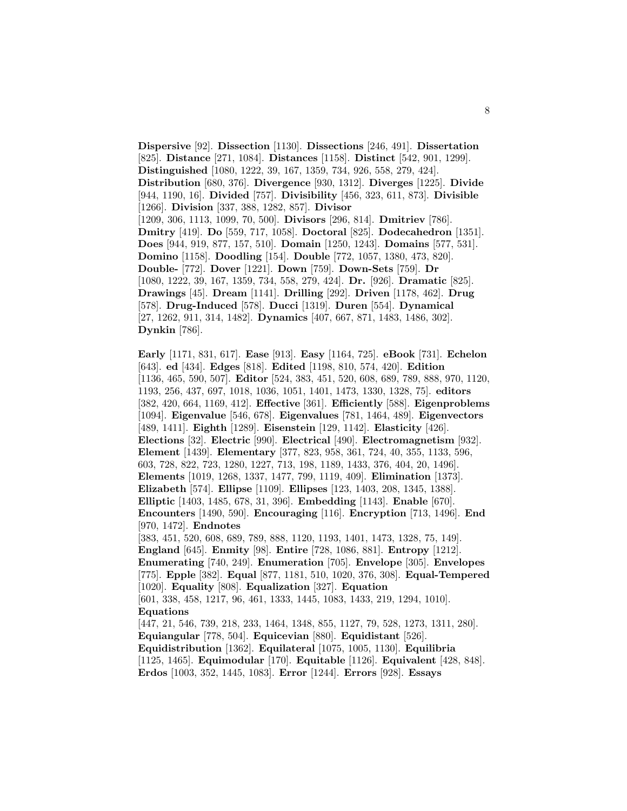**Dispersive** [92]. **Dissection** [1130]. **Dissections** [246, 491]. **Dissertation** [825]. **Distance** [271, 1084]. **Distances** [1158]. **Distinct** [542, 901, 1299]. **Distinguished** [1080, 1222, 39, 167, 1359, 734, 926, 558, 279, 424]. **Distribution** [680, 376]. **Divergence** [930, 1312]. **Diverges** [1225]. **Divide** [944, 1190, 16]. **Divided** [757]. **Divisibility** [456, 323, 611, 873]. **Divisible** [1266]. **Division** [337, 388, 1282, 857]. **Divisor** [1209, 306, 1113, 1099, 70, 500]. **Divisors** [296, 814]. **Dmitriev** [786]. **Dmitry** [419]. **Do** [559, 717, 1058]. **Doctoral** [825]. **Dodecahedron** [1351]. **Does** [944, 919, 877, 157, 510]. **Domain** [1250, 1243]. **Domains** [577, 531]. **Domino** [1158]. **Doodling** [154]. **Double** [772, 1057, 1380, 473, 820]. **Double-** [772]. **Dover** [1221]. **Down** [759]. **Down-Sets** [759]. **Dr** [1080, 1222, 39, 167, 1359, 734, 558, 279, 424]. **Dr.** [926]. **Dramatic** [825]. **Drawings** [45]. **Dream** [1141]. **Drilling** [292]. **Driven** [1178, 462]. **Drug** [578]. **Drug-Induced** [578]. **Ducci** [1319]. **Duren** [554]. **Dynamical** [27, 1262, 911, 314, 1482]. **Dynamics** [407, 667, 871, 1483, 1486, 302]. **Dynkin** [786].

**Early** [1171, 831, 617]. **Ease** [913]. **Easy** [1164, 725]. **eBook** [731]. **Echelon** [643]. **ed** [434]. **Edges** [818]. **Edited** [1198, 810, 574, 420]. **Edition** [1136, 465, 590, 507]. **Editor** [524, 383, 451, 520, 608, 689, 789, 888, 970, 1120, 1193, 256, 437, 697, 1018, 1036, 1051, 1401, 1473, 1330, 1328, 75]. **editors** [382, 420, 664, 1169, 412]. **Effective** [361]. **Efficiently** [588]. **Eigenproblems** [1094]. **Eigenvalue** [546, 678]. **Eigenvalues** [781, 1464, 489]. **Eigenvectors** [489, 1411]. **Eighth** [1289]. **Eisenstein** [129, 1142]. **Elasticity** [426]. **Elections** [32]. **Electric** [990]. **Electrical** [490]. **Electromagnetism** [932]. **Element** [1439]. **Elementary** [377, 823, 958, 361, 724, 40, 355, 1133, 596, 603, 728, 822, 723, 1280, 1227, 713, 198, 1189, 1433, 376, 404, 20, 1496]. **Elements** [1019, 1268, 1337, 1477, 799, 1119, 409]. **Elimination** [1373]. **Elizabeth** [574]. **Ellipse** [1109]. **Ellipses** [123, 1403, 208, 1345, 1388]. **Elliptic** [1403, 1485, 678, 31, 396]. **Embedding** [1143]. **Enable** [670]. **Encounters** [1490, 590]. **Encouraging** [116]. **Encryption** [713, 1496]. **End** [970, 1472]. **Endnotes** [383, 451, 520, 608, 689, 789, 888, 1120, 1193, 1401, 1473, 1328, 75, 149]. **England** [645]. **Enmity** [98]. **Entire** [728, 1086, 881]. **Entropy** [1212]. **Enumerating** [740, 249]. **Enumeration** [705]. **Envelope** [305]. **Envelopes** [775]. **Epple** [382]. **Equal** [877, 1181, 510, 1020, 376, 308]. **Equal-Tempered** [1020]. **Equality** [808]. **Equalization** [327]. **Equation** [601, 338, 458, 1217, 96, 461, 1333, 1445, 1083, 1433, 219, 1294, 1010]. **Equations** [447, 21, 546, 739, 218, 233, 1464, 1348, 855, 1127, 79, 528, 1273, 1311, 280]. **Equiangular** [778, 504]. **Equicevian** [880]. **Equidistant** [526]. **Equidistribution** [1362]. **Equilateral** [1075, 1005, 1130]. **Equilibria** [1125, 1465]. **Equimodular** [170]. **Equitable** [1126]. **Equivalent** [428, 848].

**Erdos** [1003, 352, 1445, 1083]. **Error** [1244]. **Errors** [928]. **Essays**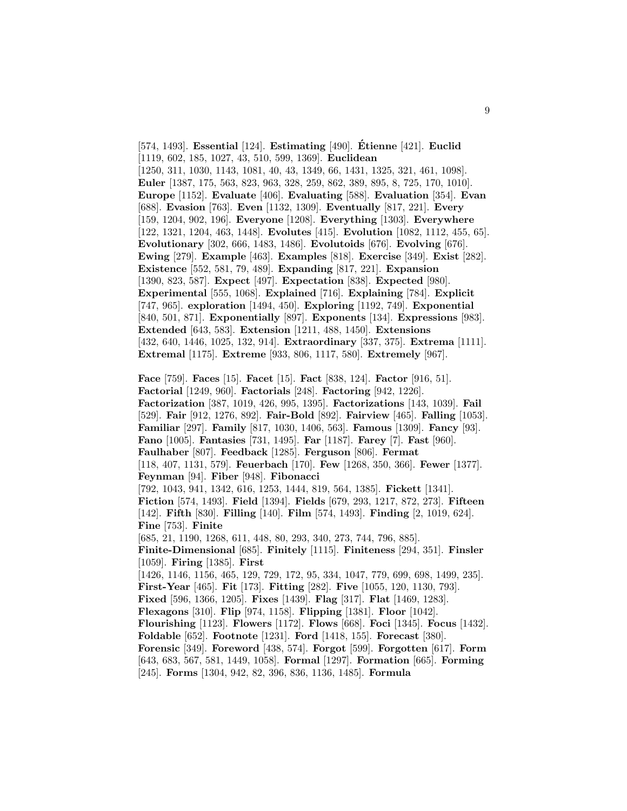[574, 1493]. **Essential** [124]. **Estimating** [490]. **Etienne ´** [421]. **Euclid** [1119, 602, 185, 1027, 43, 510, 599, 1369]. **Euclidean** [1250, 311, 1030, 1143, 1081, 40, 43, 1349, 66, 1431, 1325, 321, 461, 1098]. **Euler** [1387, 175, 563, 823, 963, 328, 259, 862, 389, 895, 8, 725, 170, 1010]. **Europe** [1152]. **Evaluate** [406]. **Evaluating** [588]. **Evaluation** [354]. **Evan** [688]. **Evasion** [763]. **Even** [1132, 1309]. **Eventually** [817, 221]. **Every** [159, 1204, 902, 196]. **Everyone** [1208]. **Everything** [1303]. **Everywhere** [122, 1321, 1204, 463, 1448]. **Evolutes** [415]. **Evolution** [1082, 1112, 455, 65]. **Evolutionary** [302, 666, 1483, 1486]. **Evolutoids** [676]. **Evolving** [676]. **Ewing** [279]. **Example** [463]. **Examples** [818]. **Exercise** [349]. **Exist** [282]. **Existence** [552, 581, 79, 489]. **Expanding** [817, 221]. **Expansion** [1390, 823, 587]. **Expect** [497]. **Expectation** [838]. **Expected** [980]. **Experimental** [555, 1068]. **Explained** [716]. **Explaining** [784]. **Explicit** [747, 965]. **exploration** [1494, 450]. **Exploring** [1192, 749]. **Exponential** [840, 501, 871]. **Exponentially** [897]. **Exponents** [134]. **Expressions** [983]. **Extended** [643, 583]. **Extension** [1211, 488, 1450]. **Extensions** [432, 640, 1446, 1025, 132, 914]. **Extraordinary** [337, 375]. **Extrema** [1111]. **Extremal** [1175]. **Extreme** [933, 806, 1117, 580]. **Extremely** [967].

**Face** [759]. **Faces** [15]. **Facet** [15]. **Fact** [838, 124]. **Factor** [916, 51]. **Factorial** [1249, 960]. **Factorials** [248]. **Factoring** [942, 1226]. **Factorization** [387, 1019, 426, 995, 1395]. **Factorizations** [143, 1039]. **Fail** [529]. **Fair** [912, 1276, 892]. **Fair-Bold** [892]. **Fairview** [465]. **Falling** [1053]. **Familiar** [297]. **Family** [817, 1030, 1406, 563]. **Famous** [1309]. **Fancy** [93]. **Fano** [1005]. **Fantasies** [731, 1495]. **Far** [1187]. **Farey** [7]. **Fast** [960]. **Faulhaber** [807]. **Feedback** [1285]. **Ferguson** [806]. **Fermat** [118, 407, 1131, 579]. **Feuerbach** [170]. **Few** [1268, 350, 366]. **Fewer** [1377]. **Feynman** [94]. **Fiber** [948]. **Fibonacci** [792, 1043, 941, 1342, 616, 1253, 1444, 819, 564, 1385]. **Fickett** [1341]. **Fiction** [574, 1493]. **Field** [1394]. **Fields** [679, 293, 1217, 872, 273]. **Fifteen** [142]. **Fifth** [830]. **Filling** [140]. **Film** [574, 1493]. **Finding** [2, 1019, 624]. **Fine** [753]. **Finite** [685, 21, 1190, 1268, 611, 448, 80, 293, 340, 273, 744, 796, 885]. **Finite-Dimensional** [685]. **Finitely** [1115]. **Finiteness** [294, 351]. **Finsler** [1059]. **Firing** [1385]. **First** [1426, 1146, 1156, 465, 129, 729, 172, 95, 334, 1047, 779, 699, 698, 1499, 235]. **First-Year** [465]. **Fit** [173]. **Fitting** [282]. **Five** [1055, 120, 1130, 793]. **Fixed** [596, 1366, 1205]. **Fixes** [1439]. **Flag** [317]. **Flat** [1469, 1283]. **Flexagons** [310]. **Flip** [974, 1158]. **Flipping** [1381]. **Floor** [1042]. **Flourishing** [1123]. **Flowers** [1172]. **Flows** [668]. **Foci** [1345]. **Focus** [1432]. **Foldable** [652]. **Footnote** [1231]. **Ford** [1418, 155]. **Forecast** [380]. **Forensic** [349]. **Foreword** [438, 574]. **Forgot** [599]. **Forgotten** [617]. **Form** [643, 683, 567, 581, 1449, 1058]. **Formal** [1297]. **Formation** [665]. **Forming** [245]. **Forms** [1304, 942, 82, 396, 836, 1136, 1485]. **Formula**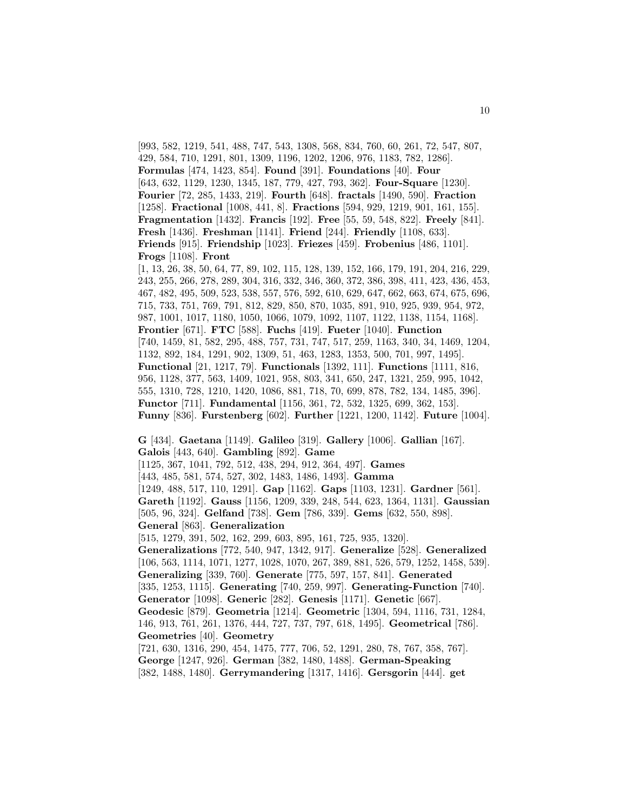[993, 582, 1219, 541, 488, 747, 543, 1308, 568, 834, 760, 60, 261, 72, 547, 807, 429, 584, 710, 1291, 801, 1309, 1196, 1202, 1206, 976, 1183, 782, 1286]. **Formulas** [474, 1423, 854]. **Found** [391]. **Foundations** [40]. **Four** [643, 632, 1129, 1230, 1345, 187, 779, 427, 793, 362]. **Four-Square** [1230]. **Fourier** [72, 285, 1433, 219]. **Fourth** [648]. **fractals** [1490, 590]. **Fraction** [1258]. **Fractional** [1008, 441, 8]. **Fractions** [594, 929, 1219, 901, 161, 155]. **Fragmentation** [1432]. **Francis** [192]. **Free** [55, 59, 548, 822]. **Freely** [841]. **Fresh** [1436]. **Freshman** [1141]. **Friend** [244]. **Friendly** [1108, 633]. **Friends** [915]. **Friendship** [1023]. **Friezes** [459]. **Frobenius** [486, 1101]. **Frogs** [1108]. **Front** [1, 13, 26, 38, 50, 64, 77, 89, 102, 115, 128, 139, 152, 166, 179, 191, 204, 216, 229, 243, 255, 266, 278, 289, 304, 316, 332, 346, 360, 372, 386, 398, 411, 423, 436, 453, 467, 482, 495, 509, 523, 538, 557, 576, 592, 610, 629, 647, 662, 663, 674, 675, 696, 715, 733, 751, 769, 791, 812, 829, 850, 870, 1035, 891, 910, 925, 939, 954, 972, 987, 1001, 1017, 1180, 1050, 1066, 1079, 1092, 1107, 1122, 1138, 1154, 1168]. **Frontier** [671]. **FTC** [588]. **Fuchs** [419]. **Fueter** [1040]. **Function** [740, 1459, 81, 582, 295, 488, 757, 731, 747, 517, 259, 1163, 340, 34, 1469, 1204, 1132, 892, 184, 1291, 902, 1309, 51, 463, 1283, 1353, 500, 701, 997, 1495]. **Functional** [21, 1217, 79]. **Functionals** [1392, 111]. **Functions** [1111, 816, 956, 1128, 377, 563, 1409, 1021, 958, 803, 341, 650, 247, 1321, 259, 995, 1042, 555, 1310, 728, 1210, 1420, 1086, 881, 718, 70, 699, 878, 782, 134, 1485, 396]. **Functor** [711]. **Fundamental** [1156, 361, 72, 532, 1325, 699, 362, 153]. **Funny** [836]. **Furstenberg** [602]. **Further** [1221, 1200, 1142]. **Future** [1004].

**G** [434]. **Gaetana** [1149]. **Galileo** [319]. **Gallery** [1006]. **Gallian** [167]. **Galois** [443, 640]. **Gambling** [892]. **Game** [1125, 367, 1041, 792, 512, 438, 294, 912, 364, 497]. **Games** [443, 485, 581, 574, 527, 302, 1483, 1486, 1493]. **Gamma** [1249, 488, 517, 110, 1291]. **Gap** [1162]. **Gaps** [1103, 1231]. **Gardner** [561]. **Gareth** [1192]. **Gauss** [1156, 1209, 339, 248, 544, 623, 1364, 1131]. **Gaussian** [505, 96, 324]. **Gelfand** [738]. **Gem** [786, 339]. **Gems** [632, 550, 898]. **General** [863]. **Generalization** [515, 1279, 391, 502, 162, 299, 603, 895, 161, 725, 935, 1320]. **Generalizations** [772, 540, 947, 1342, 917]. **Generalize** [528]. **Generalized** [106, 563, 1114, 1071, 1277, 1028, 1070, 267, 389, 881, 526, 579, 1252, 1458, 539]. **Generalizing** [339, 760]. **Generate** [775, 597, 157, 841]. **Generated** [335, 1253, 1115]. **Generating** [740, 259, 997]. **Generating-Function** [740]. **Generator** [1098]. **Generic** [282]. **Genesis** [1171]. **Genetic** [667]. **Geodesic** [879]. **Geometria** [1214]. **Geometric** [1304, 594, 1116, 731, 1284, 146, 913, 761, 261, 1376, 444, 727, 737, 797, 618, 1495]. **Geometrical** [786]. **Geometries** [40]. **Geometry** [721, 630, 1316, 290, 454, 1475, 777, 706, 52, 1291, 280, 78, 767, 358, 767]. **George** [1247, 926]. **German** [382, 1480, 1488]. **German-Speaking** [382, 1488, 1480]. **Gerrymandering** [1317, 1416]. **Gersgorin** [444]. **get**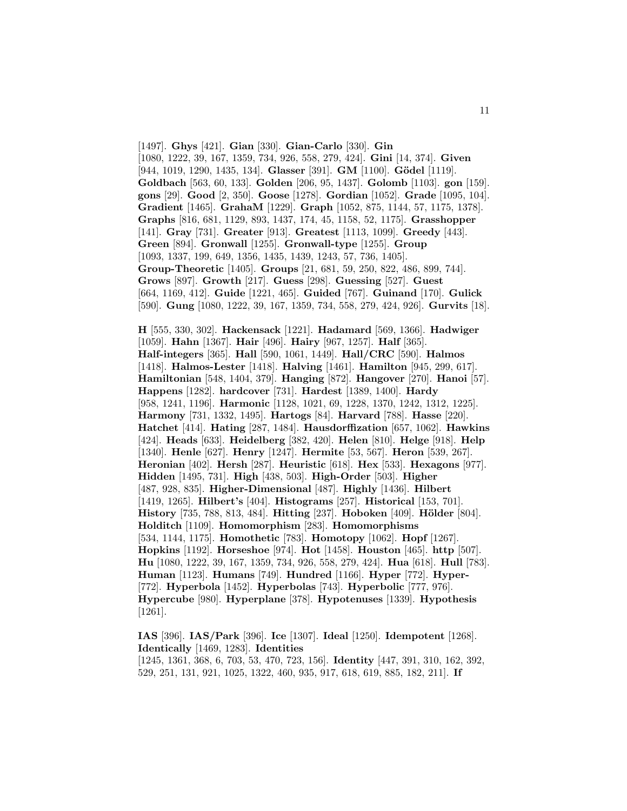[1497]. **Ghys** [421]. **Gian** [330]. **Gian-Carlo** [330]. **Gin** [1080, 1222, 39, 167, 1359, 734, 926, 558, 279, 424]. **Gini** [14, 374]. **Given** [944, 1019, 1290, 1435, 134]. **Glasser** [391]. **GM** [1100]. **Gödel** [1119]. **Goldbach** [563, 60, 133]. **Golden** [206, 95, 1437]. **Golomb** [1103]. **gon** [159]. **gons** [29]. **Good** [2, 350]. **Goose** [1278]. **Gordian** [1052]. **Grade** [1095, 104]. **Gradient** [1465]. **GrahaM** [1229]. **Graph** [1052, 875, 1144, 57, 1175, 1378]. **Graphs** [816, 681, 1129, 893, 1437, 174, 45, 1158, 52, 1175]. **Grasshopper** [141]. **Gray** [731]. **Greater** [913]. **Greatest** [1113, 1099]. **Greedy** [443]. **Green** [894]. **Gronwall** [1255]. **Gronwall-type** [1255]. **Group** [1093, 1337, 199, 649, 1356, 1435, 1439, 1243, 57, 736, 1405]. **Group-Theoretic** [1405]. **Groups** [21, 681, 59, 250, 822, 486, 899, 744]. **Grows** [897]. **Growth** [217]. **Guess** [298]. **Guessing** [527]. **Guest** [664, 1169, 412]. **Guide** [1221, 465]. **Guided** [767]. **Guinand** [170]. **Gulick** [590]. **Gung** [1080, 1222, 39, 167, 1359, 734, 558, 279, 424, 926]. **Gurvits** [18].

**H** [555, 330, 302]. **Hackensack** [1221]. **Hadamard** [569, 1366]. **Hadwiger** [1059]. **Hahn** [1367]. **Hair** [496]. **Hairy** [967, 1257]. **Half** [365]. **Half-integers** [365]. **Hall** [590, 1061, 1449]. **Hall/CRC** [590]. **Halmos** [1418]. **Halmos-Lester** [1418]. **Halving** [1461]. **Hamilton** [945, 299, 617]. **Hamiltonian** [548, 1404, 379]. **Hanging** [872]. **Hangover** [270]. **Hanoi** [57]. **Happens** [1282]. **hardcover** [731]. **Hardest** [1389, 1400]. **Hardy** [958, 1241, 1196]. **Harmonic** [1128, 1021, 69, 1228, 1370, 1242, 1312, 1225]. **Harmony** [731, 1332, 1495]. **Hartogs** [84]. **Harvard** [788]. **Hasse** [220]. **Hatchet** [414]. **Hating** [287, 1484]. **Hausdorffization** [657, 1062]. **Hawkins** [424]. **Heads** [633]. **Heidelberg** [382, 420]. **Helen** [810]. **Helge** [918]. **Help** [1340]. **Henle** [627]. **Henry** [1247]. **Hermite** [53, 567]. **Heron** [539, 267]. **Heronian** [402]. **Hersh** [287]. **Heuristic** [618]. **Hex** [533]. **Hexagons** [977]. **Hidden** [1495, 731]. **High** [438, 503]. **High-Order** [503]. **Higher** [487, 928, 835]. **Higher-Dimensional** [487]. **Highly** [1436]. **Hilbert** [1419, 1265]. **Hilbert's** [404]. **Histograms** [257]. **Historical** [153, 701]. **History** [735, 788, 813, 484]. **Hitting** [237]. **Hoboken** [409]. **Hölder** [804]. **Holditch** [1109]. **Homomorphism** [283]. **Homomorphisms** [534, 1144, 1175]. **Homothetic** [783]. **Homotopy** [1062]. **Hopf** [1267]. **Hopkins** [1192]. **Horseshoe** [974]. **Hot** [1458]. **Houston** [465]. **http** [507]. **Hu** [1080, 1222, 39, 167, 1359, 734, 926, 558, 279, 424]. **Hua** [618]. **Hull** [783]. **Human** [1123]. **Humans** [749]. **Hundred** [1166]. **Hyper** [772]. **Hyper-** [772]. **Hyperbola** [1452]. **Hyperbolas** [743]. **Hyperbolic** [777, 976]. **Hypercube** [980]. **Hyperplane** [378]. **Hypotenuses** [1339]. **Hypothesis** [1261].

**IAS** [396]. **IAS/Park** [396]. **Ice** [1307]. **Ideal** [1250]. **Idempotent** [1268]. **Identically** [1469, 1283]. **Identities** [1245, 1361, 368, 6, 703, 53, 470, 723, 156]. **Identity** [447, 391, 310, 162, 392, 529, 251, 131, 921, 1025, 1322, 460, 935, 917, 618, 619, 885, 182, 211]. **If**

11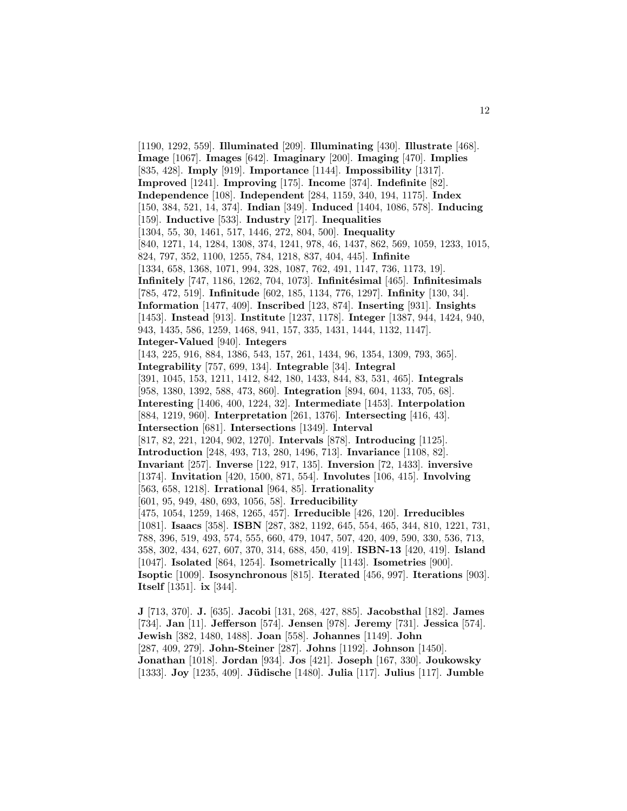[1190, 1292, 559]. **Illuminated** [209]. **Illuminating** [430]. **Illustrate** [468]. **Image** [1067]. **Images** [642]. **Imaginary** [200]. **Imaging** [470]. **Implies** [835, 428]. **Imply** [919]. **Importance** [1144]. **Impossibility** [1317]. **Improved** [1241]. **Improving** [175]. **Income** [374]. **Indefinite** [82]. **Independence** [108]. **Independent** [284, 1159, 340, 194, 1175]. **Index** [150, 384, 521, 14, 374]. **Indian** [349]. **Induced** [1404, 1086, 578]. **Inducing** [159]. **Inductive** [533]. **Industry** [217]. **Inequalities** [1304, 55, 30, 1461, 517, 1446, 272, 804, 500]. **Inequality** [840, 1271, 14, 1284, 1308, 374, 1241, 978, 46, 1437, 862, 569, 1059, 1233, 1015, 824, 797, 352, 1100, 1255, 784, 1218, 837, 404, 445]. **Infinite** [1334, 658, 1368, 1071, 994, 328, 1087, 762, 491, 1147, 736, 1173, 19]. **Infinitely** [747, 1186, 1262, 704, 1073]. **Infinitésimal** [465]. **Infinitesimals** [785, 472, 519]. **Infinitude** [602, 185, 1134, 776, 1297]. **Infinity** [130, 34]. **Information** [1477, 409]. **Inscribed** [123, 874]. **Inserting** [931]. **Insights** [1453]. **Instead** [913]. **Institute** [1237, 1178]. **Integer** [1387, 944, 1424, 940, 943, 1435, 586, 1259, 1468, 941, 157, 335, 1431, 1444, 1132, 1147]. **Integer-Valued** [940]. **Integers** [143, 225, 916, 884, 1386, 543, 157, 261, 1434, 96, 1354, 1309, 793, 365]. **Integrability** [757, 699, 134]. **Integrable** [34]. **Integral** [391, 1045, 153, 1211, 1412, 842, 180, 1433, 844, 83, 531, 465]. **Integrals** [958, 1380, 1392, 588, 473, 860]. **Integration** [894, 604, 1133, 705, 68]. **Interesting** [1406, 400, 1224, 32]. **Intermediate** [1453]. **Interpolation** [884, 1219, 960]. **Interpretation** [261, 1376]. **Intersecting** [416, 43]. **Intersection** [681]. **Intersections** [1349]. **Interval** [817, 82, 221, 1204, 902, 1270]. **Intervals** [878]. **Introducing** [1125]. **Introduction** [248, 493, 713, 280, 1496, 713]. **Invariance** [1108, 82]. **Invariant** [257]. **Inverse** [122, 917, 135]. **Inversion** [72, 1433]. **inversive** [1374]. **Invitation** [420, 1500, 871, 554]. **Involutes** [106, 415]. **Involving** [563, 658, 1218]. **Irrational** [964, 85]. **Irrationality** [601, 95, 949, 480, 693, 1056, 58]. **Irreducibility** [475, 1054, 1259, 1468, 1265, 457]. **Irreducible** [426, 120]. **Irreducibles** [1081]. **Isaacs** [358]. **ISBN** [287, 382, 1192, 645, 554, 465, 344, 810, 1221, 731, 788, 396, 519, 493, 574, 555, 660, 479, 1047, 507, 420, 409, 590, 330, 536, 713, 358, 302, 434, 627, 607, 370, 314, 688, 450, 419]. **ISBN-13** [420, 419]. **Island** [1047]. **Isolated** [864, 1254]. **Isometrically** [1143]. **Isometries** [900]. **Isoptic** [1009]. **Isosynchronous** [815]. **Iterated** [456, 997]. **Iterations** [903]. **Itself** [1351]. **ix** [344].

**J** [713, 370]. **J.** [635]. **Jacobi** [131, 268, 427, 885]. **Jacobsthal** [182]. **James** [734]. **Jan** [11]. **Jefferson** [574]. **Jensen** [978]. **Jeremy** [731]. **Jessica** [574]. **Jewish** [382, 1480, 1488]. **Joan** [558]. **Johannes** [1149]. **John** [287, 409, 279]. **John-Steiner** [287]. **Johns** [1192]. **Johnson** [1450]. **Jonathan** [1018]. **Jordan** [934]. **Jos** [421]. **Joseph** [167, 330]. **Joukowsky** [1333]. **Joy** [1235, 409]. **J¨udische** [1480]. **Julia** [117]. **Julius** [117]. **Jumble**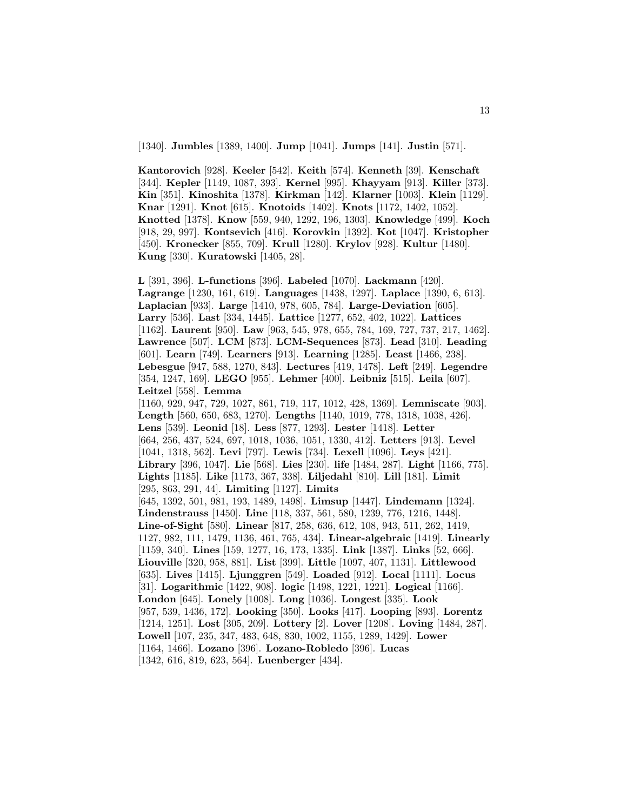[1340]. **Jumbles** [1389, 1400]. **Jump** [1041]. **Jumps** [141]. **Justin** [571].

**Kantorovich** [928]. **Keeler** [542]. **Keith** [574]. **Kenneth** [39]. **Kenschaft** [344]. **Kepler** [1149, 1087, 393]. **Kernel** [995]. **Khayyam** [913]. **Killer** [373]. **Kin** [351]. **Kinoshita** [1378]. **Kirkman** [142]. **Klarner** [1003]. **Klein** [1129]. **Knar** [1291]. **Knot** [615]. **Knotoids** [1402]. **Knots** [1172, 1402, 1052]. **Knotted** [1378]. **Know** [559, 940, 1292, 196, 1303]. **Knowledge** [499]. **Koch** [918, 29, 997]. **Kontsevich** [416]. **Korovkin** [1392]. **Kot** [1047]. **Kristopher** [450]. **Kronecker** [855, 709]. **Krull** [1280]. **Krylov** [928]. **Kultur** [1480]. **Kung** [330]. **Kuratowski** [1405, 28].

**L** [391, 396]. **L-functions** [396]. **Labeled** [1070]. **Lackmann** [420]. **Lagrange** [1230, 161, 619]. **Languages** [1438, 1297]. **Laplace** [1390, 6, 613]. **Laplacian** [933]. **Large** [1410, 978, 605, 784]. **Large-Deviation** [605]. **Larry** [536]. **Last** [334, 1445]. **Lattice** [1277, 652, 402, 1022]. **Lattices** [1162]. **Laurent** [950]. **Law** [963, 545, 978, 655, 784, 169, 727, 737, 217, 1462]. **Lawrence** [507]. **LCM** [873]. **LCM-Sequences** [873]. **Lead** [310]. **Leading** [601]. **Learn** [749]. **Learners** [913]. **Learning** [1285]. **Least** [1466, 238]. **Lebesgue** [947, 588, 1270, 843]. **Lectures** [419, 1478]. **Left** [249]. **Legendre** [354, 1247, 169]. **LEGO** [955]. **Lehmer** [400]. **Leibniz** [515]. **Leila** [607]. **Leitzel** [558]. **Lemma** [1160, 929, 947, 729, 1027, 861, 719, 117, 1012, 428, 1369]. **Lemniscate** [903]. **Length** [560, 650, 683, 1270]. **Lengths** [1140, 1019, 778, 1318, 1038, 426]. **Lens** [539]. **Leonid** [18]. **Less** [877, 1293]. **Lester** [1418]. **Letter** [664, 256, 437, 524, 697, 1018, 1036, 1051, 1330, 412]. **Letters** [913]. **Level** [1041, 1318, 562]. **Levi** [797]. **Lewis** [734]. **Lexell** [1096]. **Leys** [421]. **Library** [396, 1047]. **Lie** [568]. **Lies** [230]. **life** [1484, 287]. **Light** [1166, 775]. **Lights** [1185]. **Like** [1173, 367, 338]. **Liljedahl** [810]. **Lill** [181]. **Limit** [295, 863, 291, 44]. **Limiting** [1127]. **Limits** [645, 1392, 501, 981, 193, 1489, 1498]. **Limsup** [1447]. **Lindemann** [1324]. **Lindenstrauss** [1450]. **Line** [118, 337, 561, 580, 1239, 776, 1216, 1448]. **Line-of-Sight** [580]. **Linear** [817, 258, 636, 612, 108, 943, 511, 262, 1419, 1127, 982, 111, 1479, 1136, 461, 765, 434]. **Linear-algebraic** [1419]. **Linearly** [1159, 340]. **Lines** [159, 1277, 16, 173, 1335]. **Link** [1387]. **Links** [52, 666]. **Liouville** [320, 958, 881]. **List** [399]. **Little** [1097, 407, 1131]. **Littlewood** [635]. **Lives** [1415]. **Ljunggren** [549]. **Loaded** [912]. **Local** [1111]. **Locus** [31]. **Logarithmic** [1422, 908]. **logic** [1498, 1221, 1221]. **Logical** [1166]. **London** [645]. **Lonely** [1008]. **Long** [1036]. **Longest** [335]. **Look** [957, 539, 1436, 172]. **Looking** [350]. **Looks** [417]. **Looping** [893]. **Lorentz** [1214, 1251]. **Lost** [305, 209]. **Lottery** [2]. **Lover** [1208]. **Loving** [1484, 287]. **Lowell** [107, 235, 347, 483, 648, 830, 1002, 1155, 1289, 1429]. **Lower** [1164, 1466]. **Lozano** [396]. **Lozano-Robledo** [396]. **Lucas** [1342, 616, 819, 623, 564]. **Luenberger** [434].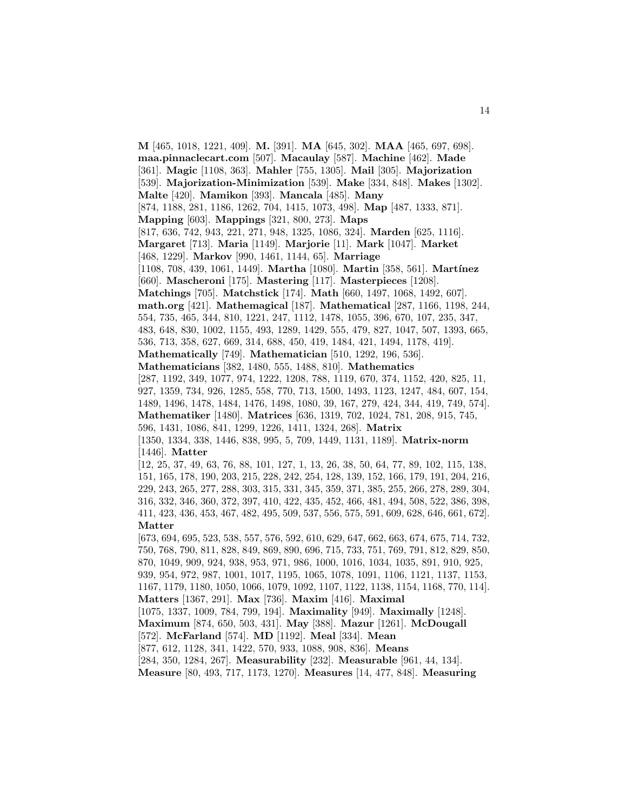**M** [465, 1018, 1221, 409]. **M.** [391]. **MA** [645, 302]. **MAA** [465, 697, 698]. **maa.pinnaclecart.com** [507]. **Macaulay** [587]. **Machine** [462]. **Made** [361]. **Magic** [1108, 363]. **Mahler** [755, 1305]. **Mail** [305]. **Majorization** [539]. **Majorization-Minimization** [539]. **Make** [334, 848]. **Makes** [1302]. **Malte** [420]. **Mamikon** [393]. **Mancala** [485]. **Many** [874, 1188, 281, 1186, 1262, 704, 1415, 1073, 498]. **Map** [487, 1333, 871]. **Mapping** [603]. **Mappings** [321, 800, 273]. **Maps** [817, 636, 742, 943, 221, 271, 948, 1325, 1086, 324]. **Marden** [625, 1116]. **Margaret** [713]. **Maria** [1149]. **Marjorie** [11]. **Mark** [1047]. **Market** [468, 1229]. **Markov** [990, 1461, 1144, 65]. **Marriage** [1108, 708, 439, 1061, 1449]. **Martha** [1080]. **Martin** [358, 561]. **Mart´ınez** [660]. **Mascheroni** [175]. **Mastering** [117]. **Masterpieces** [1208]. **Matchings** [705]. **Matchstick** [174]. **Math** [660, 1497, 1068, 1492, 607]. **math.org** [421]. **Mathemagical** [187]. **Mathematical** [287, 1166, 1198, 244, 554, 735, 465, 344, 810, 1221, 247, 1112, 1478, 1055, 396, 670, 107, 235, 347, 483, 648, 830, 1002, 1155, 493, 1289, 1429, 555, 479, 827, 1047, 507, 1393, 665, 536, 713, 358, 627, 669, 314, 688, 450, 419, 1484, 421, 1494, 1178, 419]. **Mathematically** [749]. **Mathematician** [510, 1292, 196, 536]. **Mathematicians** [382, 1480, 555, 1488, 810]. **Mathematics** [287, 1192, 349, 1077, 974, 1222, 1208, 788, 1119, 670, 374, 1152, 420, 825, 11, 927, 1359, 734, 926, 1285, 558, 770, 713, 1500, 1493, 1123, 1247, 484, 607, 154, 1489, 1496, 1478, 1484, 1476, 1498, 1080, 39, 167, 279, 424, 344, 419, 749, 574]. **Mathematiker** [1480]. **Matrices** [636, 1319, 702, 1024, 781, 208, 915, 745, 596, 1431, 1086, 841, 1299, 1226, 1411, 1324, 268]. **Matrix** [1350, 1334, 338, 1446, 838, 995, 5, 709, 1449, 1131, 1189]. **Matrix-norm** [1446]. **Matter** [12, 25, 37, 49, 63, 76, 88, 101, 127, 1, 13, 26, 38, 50, 64, 77, 89, 102, 115, 138, 151, 165, 178, 190, 203, 215, 228, 242, 254, 128, 139, 152, 166, 179, 191, 204, 216, 229, 243, 265, 277, 288, 303, 315, 331, 345, 359, 371, 385, 255, 266, 278, 289, 304, 316, 332, 346, 360, 372, 397, 410, 422, 435, 452, 466, 481, 494, 508, 522, 386, 398, 411, 423, 436, 453, 467, 482, 495, 509, 537, 556, 575, 591, 609, 628, 646, 661, 672]. **Matter** [673, 694, 695, 523, 538, 557, 576, 592, 610, 629, 647, 662, 663, 674, 675, 714, 732, 750, 768, 790, 811, 828, 849, 869, 890, 696, 715, 733, 751, 769, 791, 812, 829, 850, 870, 1049, 909, 924, 938, 953, 971, 986, 1000, 1016, 1034, 1035, 891, 910, 925, 939, 954, 972, 987, 1001, 1017, 1195, 1065, 1078, 1091, 1106, 1121, 1137, 1153, 1167, 1179, 1180, 1050, 1066, 1079, 1092, 1107, 1122, 1138, 1154, 1168, 770, 114]. **Matters** [1367, 291]. **Max** [736]. **Maxim** [416]. **Maximal** [1075, 1337, 1009, 784, 799, 194]. **Maximality** [949]. **Maximally** [1248]. **Maximum** [874, 650, 503, 431]. **May** [388]. **Mazur** [1261]. **McDougall** [572]. **McFarland** [574]. **MD** [1192]. **Meal** [334]. **Mean** [877, 612, 1128, 341, 1422, 570, 933, 1088, 908, 836]. **Means** [284, 350, 1284, 267]. **Measurability** [232]. **Measurable** [961, 44, 134]. **Measure** [80, 493, 717, 1173, 1270]. **Measures** [14, 477, 848]. **Measuring**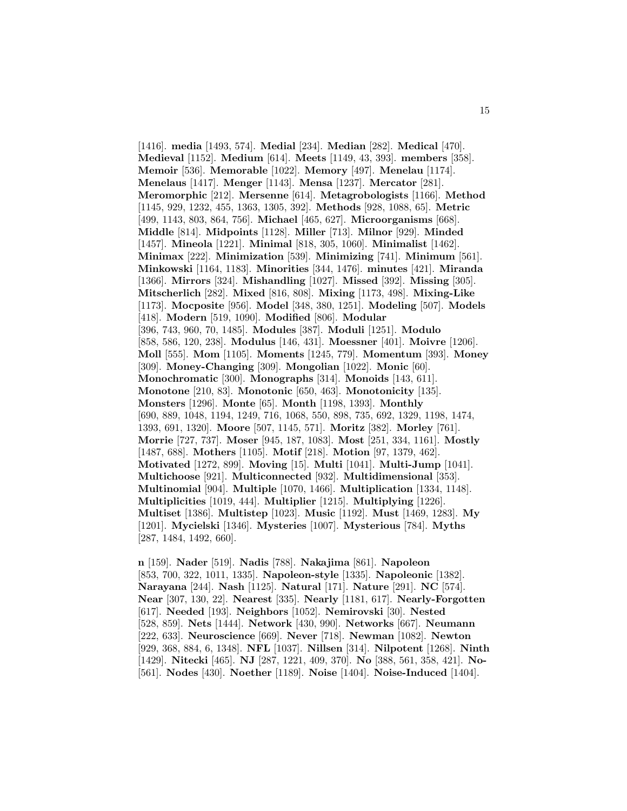[1416]. **media** [1493, 574]. **Medial** [234]. **Median** [282]. **Medical** [470]. **Medieval** [1152]. **Medium** [614]. **Meets** [1149, 43, 393]. **members** [358]. **Memoir** [536]. **Memorable** [1022]. **Memory** [497]. **Menelau** [1174]. **Menelaus** [1417]. **Menger** [1143]. **Mensa** [1237]. **Mercator** [281]. **Meromorphic** [212]. **Mersenne** [614]. **Metagrobologists** [1166]. **Method** [1145, 929, 1232, 455, 1363, 1305, 392]. **Methods** [928, 1088, 65]. **Metric** [499, 1143, 803, 864, 756]. **Michael** [465, 627]. **Microorganisms** [668]. **Middle** [814]. **Midpoints** [1128]. **Miller** [713]. **Milnor** [929]. **Minded** [1457]. **Mineola** [1221]. **Minimal** [818, 305, 1060]. **Minimalist** [1462]. **Minimax** [222]. **Minimization** [539]. **Minimizing** [741]. **Minimum** [561]. **Minkowski** [1164, 1183]. **Minorities** [344, 1476]. **minutes** [421]. **Miranda** [1366]. **Mirrors** [324]. **Mishandling** [1027]. **Missed** [392]. **Missing** [305]. **Mitscherlich** [282]. **Mixed** [816, 808]. **Mixing** [1173, 498]. **Mixing-Like** [1173]. **Mocposite** [956]. **Model** [348, 380, 1251]. **Modeling** [507]. **Models** [418]. **Modern** [519, 1090]. **Modified** [806]. **Modular** [396, 743, 960, 70, 1485]. **Modules** [387]. **Moduli** [1251]. **Modulo** [858, 586, 120, 238]. **Modulus** [146, 431]. **Moessner** [401]. **Moivre** [1206]. **Moll** [555]. **Mom** [1105]. **Moments** [1245, 779]. **Momentum** [393]. **Money** [309]. **Money-Changing** [309]. **Mongolian** [1022]. **Monic** [60]. **Monochromatic** [300]. **Monographs** [314]. **Monoids** [143, 611]. **Monotone** [210, 83]. **Monotonic** [650, 463]. **Monotonicity** [135]. **Monsters** [1296]. **Monte** [65]. **Month** [1198, 1393]. **Monthly** [690, 889, 1048, 1194, 1249, 716, 1068, 550, 898, 735, 692, 1329, 1198, 1474, 1393, 691, 1320]. **Moore** [507, 1145, 571]. **Moritz** [382]. **Morley** [761]. **Morrie** [727, 737]. **Moser** [945, 187, 1083]. **Most** [251, 334, 1161]. **Mostly** [1487, 688]. **Mothers** [1105]. **Motif** [218]. **Motion** [97, 1379, 462]. **Motivated** [1272, 899]. **Moving** [15]. **Multi** [1041]. **Multi-Jump** [1041]. **Multichoose** [921]. **Multiconnected** [932]. **Multidimensional** [353]. **Multinomial** [904]. **Multiple** [1070, 1466]. **Multiplication** [1334, 1148]. **Multiplicities** [1019, 444]. **Multiplier** [1215]. **Multiplying** [1226]. **Multiset** [1386]. **Multistep** [1023]. **Music** [1192]. **Must** [1469, 1283]. **My** [1201]. **Mycielski** [1346]. **Mysteries** [1007]. **Mysterious** [784]. **Myths** [287, 1484, 1492, 660].

**n** [159]. **Nader** [519]. **Nadis** [788]. **Nakajima** [861]. **Napoleon** [853, 700, 322, 1011, 1335]. **Napoleon-style** [1335]. **Napoleonic** [1382]. **Narayana** [244]. **Nash** [1125]. **Natural** [171]. **Nature** [291]. **NC** [574]. **Near** [307, 130, 22]. **Nearest** [335]. **Nearly** [1181, 617]. **Nearly-Forgotten** [617]. **Needed** [193]. **Neighbors** [1052]. **Nemirovski** [30]. **Nested** [528, 859]. **Nets** [1444]. **Network** [430, 990]. **Networks** [667]. **Neumann** [222, 633]. **Neuroscience** [669]. **Never** [718]. **Newman** [1082]. **Newton** [929, 368, 884, 6, 1348]. **NFL** [1037]. **Nillsen** [314]. **Nilpotent** [1268]. **Ninth** [1429]. **Nitecki** [465]. **NJ** [287, 1221, 409, 370]. **No** [388, 561, 358, 421]. **No-** [561]. **Nodes** [430]. **Noether** [1189]. **Noise** [1404]. **Noise-Induced** [1404].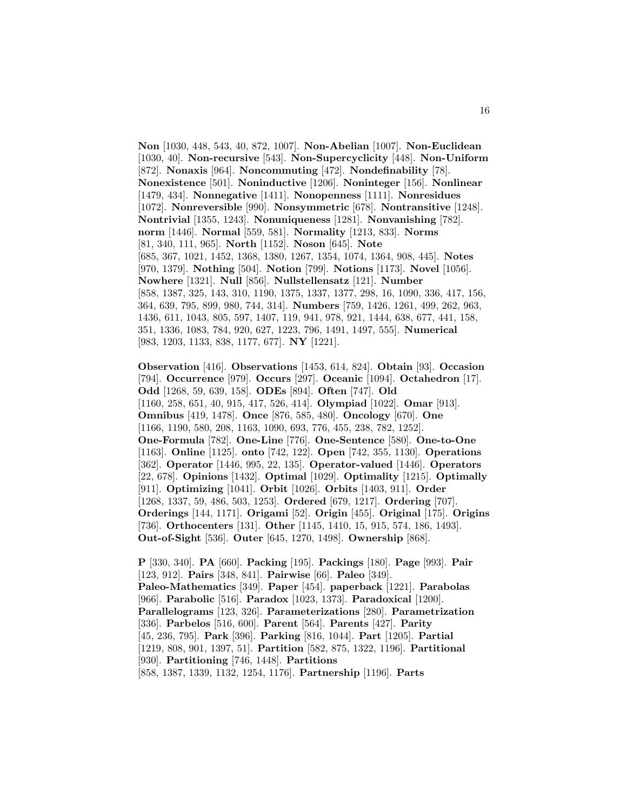**Non** [1030, 448, 543, 40, 872, 1007]. **Non-Abelian** [1007]. **Non-Euclidean** [1030, 40]. **Non-recursive** [543]. **Non-Supercyclicity** [448]. **Non-Uniform** [872]. **Nonaxis** [964]. **Noncommuting** [472]. **Nondefinability** [78]. **Nonexistence** [501]. **Noninductive** [1206]. **Noninteger** [156]. **Nonlinear** [1479, 434]. **Nonnegative** [1411]. **Nonopenness** [1111]. **Nonresidues** [1072]. **Nonreversible** [990]. **Nonsymmetric** [678]. **Nontransitive** [1248]. **Nontrivial** [1355, 1243]. **Nonuniqueness** [1281]. **Nonvanishing** [782]. **norm** [1446]. **Normal** [559, 581]. **Normality** [1213, 833]. **Norms** [81, 340, 111, 965]. **North** [1152]. **Noson** [645]. **Note** [685, 367, 1021, 1452, 1368, 1380, 1267, 1354, 1074, 1364, 908, 445]. **Notes** [970, 1379]. **Nothing** [504]. **Notion** [799]. **Notions** [1173]. **Novel** [1056]. **Nowhere** [1321]. **Null** [856]. **Nullstellensatz** [121]. **Number** [858, 1387, 325, 143, 310, 1190, 1375, 1337, 1377, 298, 16, 1090, 336, 417, 156, 364, 639, 795, 899, 980, 744, 314]. **Numbers** [759, 1426, 1261, 499, 262, 963, 1436, 611, 1043, 805, 597, 1407, 119, 941, 978, 921, 1444, 638, 677, 441, 158, 351, 1336, 1083, 784, 920, 627, 1223, 796, 1491, 1497, 555]. **Numerical** [983, 1203, 1133, 838, 1177, 677]. **NY** [1221].

**Observation** [416]. **Observations** [1453, 614, 824]. **Obtain** [93]. **Occasion** [794]. **Occurrence** [979]. **Occurs** [297]. **Oceanic** [1094]. **Octahedron** [17]. **Odd** [1268, 59, 639, 158]. **ODEs** [894]. **Often** [747]. **Old** [1160, 258, 651, 40, 915, 417, 526, 414]. **Olympiad** [1022]. **Omar** [913]. **Omnibus** [419, 1478]. **Once** [876, 585, 480]. **Oncology** [670]. **One** [1166, 1190, 580, 208, 1163, 1090, 693, 776, 455, 238, 782, 1252]. **One-Formula** [782]. **One-Line** [776]. **One-Sentence** [580]. **One-to-One** [1163]. **Online** [1125]. **onto** [742, 122]. **Open** [742, 355, 1130]. **Operations** [362]. **Operator** [1446, 995, 22, 135]. **Operator-valued** [1446]. **Operators** [22, 678]. **Opinions** [1432]. **Optimal** [1029]. **Optimality** [1215]. **Optimally** [911]. **Optimizing** [1041]. **Orbit** [1026]. **Orbits** [1403, 911]. **Order** [1268, 1337, 59, 486, 503, 1253]. **Ordered** [679, 1217]. **Ordering** [707]. **Orderings** [144, 1171]. **Origami** [52]. **Origin** [455]. **Original** [175]. **Origins** [736]. **Orthocenters** [131]. **Other** [1145, 1410, 15, 915, 574, 186, 1493]. **Out-of-Sight** [536]. **Outer** [645, 1270, 1498]. **Ownership** [868].

**P** [330, 340]. **PA** [660]. **Packing** [195]. **Packings** [180]. **Page** [993]. **Pair** [123, 912]. **Pairs** [348, 841]. **Pairwise** [66]. **Paleo** [349]. **Paleo-Mathematics** [349]. **Paper** [454]. **paperback** [1221]. **Parabolas** [966]. **Parabolic** [516]. **Paradox** [1023, 1373]. **Paradoxical** [1200]. **Parallelograms** [123, 326]. **Parameterizations** [280]. **Parametrization** [336]. **Parbelos** [516, 600]. **Parent** [564]. **Parents** [427]. **Parity** [45, 236, 795]. **Park** [396]. **Parking** [816, 1044]. **Part** [1205]. **Partial** [1219, 808, 901, 1397, 51]. **Partition** [582, 875, 1322, 1196]. **Partitional** [930]. **Partitioning** [746, 1448]. **Partitions** [858, 1387, 1339, 1132, 1254, 1176]. **Partnership** [1196]. **Parts**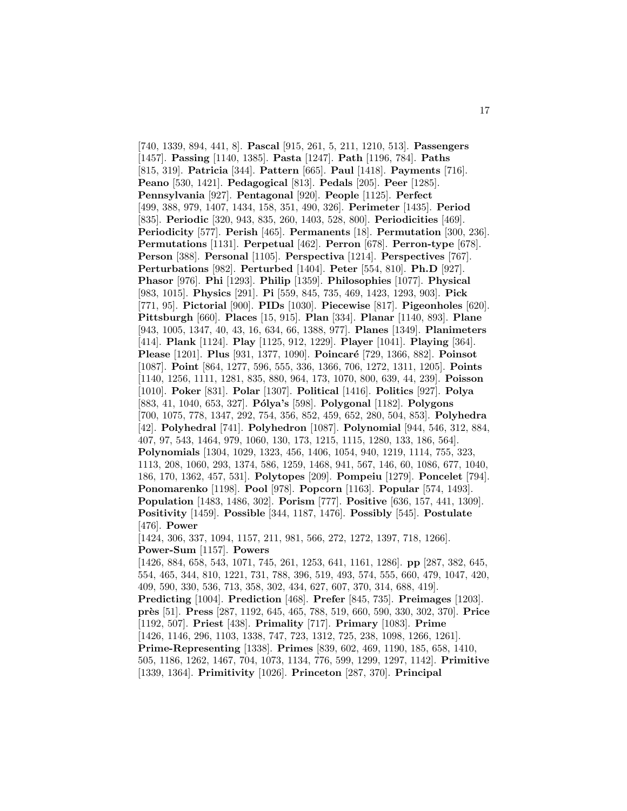[740, 1339, 894, 441, 8]. **Pascal** [915, 261, 5, 211, 1210, 513]. **Passengers** [1457]. **Passing** [1140, 1385]. **Pasta** [1247]. **Path** [1196, 784]. **Paths** [815, 319]. **Patricia** [344]. **Pattern** [665]. **Paul** [1418]. **Payments** [716]. **Peano** [530, 1421]. **Pedagogical** [813]. **Pedals** [205]. **Peer** [1285]. **Pennsylvania** [927]. **Pentagonal** [920]. **People** [1125]. **Perfect** [499, 388, 979, 1407, 1434, 158, 351, 490, 326]. **Perimeter** [1435]. **Period** [835]. **Periodic** [320, 943, 835, 260, 1403, 528, 800]. **Periodicities** [469]. **Periodicity** [577]. **Perish** [465]. **Permanents** [18]. **Permutation** [300, 236]. **Permutations** [1131]. **Perpetual** [462]. **Perron** [678]. **Perron-type** [678]. **Person** [388]. **Personal** [1105]. **Perspectiva** [1214]. **Perspectives** [767]. **Perturbations** [982]. **Perturbed** [1404]. **Peter** [554, 810]. **Ph.D** [927]. **Phasor** [976]. **Phi** [1293]. **Philip** [1359]. **Philosophies** [1077]. **Physical** [983, 1015]. **Physics** [291]. **Pi** [559, 845, 735, 469, 1423, 1293, 903]. **Pick** [771, 95]. **Pictorial** [900]. **PIDs** [1030]. **Piecewise** [817]. **Pigeonholes** [620]. **Pittsburgh** [660]. **Places** [15, 915]. **Plan** [334]. **Planar** [1140, 893]. **Plane** [943, 1005, 1347, 40, 43, 16, 634, 66, 1388, 977]. **Planes** [1349]. **Planimeters** [414]. **Plank** [1124]. **Play** [1125, 912, 1229]. **Player** [1041]. **Playing** [364]. **Please** [1201]. **Plus** [931, 1377, 1090]. **Poincar´e** [729, 1366, 882]. **Poinsot** [1087]. **Point** [864, 1277, 596, 555, 336, 1366, 706, 1272, 1311, 1205]. **Points** [1140, 1256, 1111, 1281, 835, 880, 964, 173, 1070, 800, 639, 44, 239]. **Poisson** [1010]. **Poker** [831]. **Polar** [1307]. **Political** [1416]. **Politics** [927]. **Polya** [883, 41, 1040, 653, 327]. **P´olya's** [598]. **Polygonal** [1182]. **Polygons** [700, 1075, 778, 1347, 292, 754, 356, 852, 459, 652, 280, 504, 853]. **Polyhedra** [42]. **Polyhedral** [741]. **Polyhedron** [1087]. **Polynomial** [944, 546, 312, 884, 407, 97, 543, 1464, 979, 1060, 130, 173, 1215, 1115, 1280, 133, 186, 564]. **Polynomials** [1304, 1029, 1323, 456, 1406, 1054, 940, 1219, 1114, 755, 323, 1113, 208, 1060, 293, 1374, 586, 1259, 1468, 941, 567, 146, 60, 1086, 677, 1040, 186, 170, 1362, 457, 531]. **Polytopes** [209]. **Pompeiu** [1279]. **Poncelet** [794]. **Ponomarenko** [1198]. **Pool** [978]. **Popcorn** [1163]. **Popular** [574, 1493]. **Population** [1483, 1486, 302]. **Porism** [777]. **Positive** [636, 157, 441, 1309]. **Positivity** [1459]. **Possible** [344, 1187, 1476]. **Possibly** [545]. **Postulate** [476]. **Power** [1424, 306, 337, 1094, 1157, 211, 981, 566, 272, 1272, 1397, 718, 1266]. **Power-Sum** [1157]. **Powers** [1426, 884, 658, 543, 1071, 745, 261, 1253, 641, 1161, 1286]. **pp** [287, 382, 645, 554, 465, 344, 810, 1221, 731, 788, 396, 519, 493, 574, 555, 660, 479, 1047, 420, 409, 590, 330, 536, 713, 358, 302, 434, 627, 607, 370, 314, 688, 419]. **Predicting** [1004]. **Prediction** [468]. **Prefer** [845, 735]. **Preimages** [1203]. **pr`es** [51]. **Press** [287, 1192, 645, 465, 788, 519, 660, 590, 330, 302, 370]. **Price** [1192, 507]. **Priest** [438]. **Primality** [717]. **Primary** [1083]. **Prime** [1426, 1146, 296, 1103, 1338, 747, 723, 1312, 725, 238, 1098, 1266, 1261]. **Prime-Representing** [1338]. **Primes** [839, 602, 469, 1190, 185, 658, 1410, 505, 1186, 1262, 1467, 704, 1073, 1134, 776, 599, 1299, 1297, 1142]. **Primitive** [1339, 1364]. **Primitivity** [1026]. **Princeton** [287, 370]. **Principal**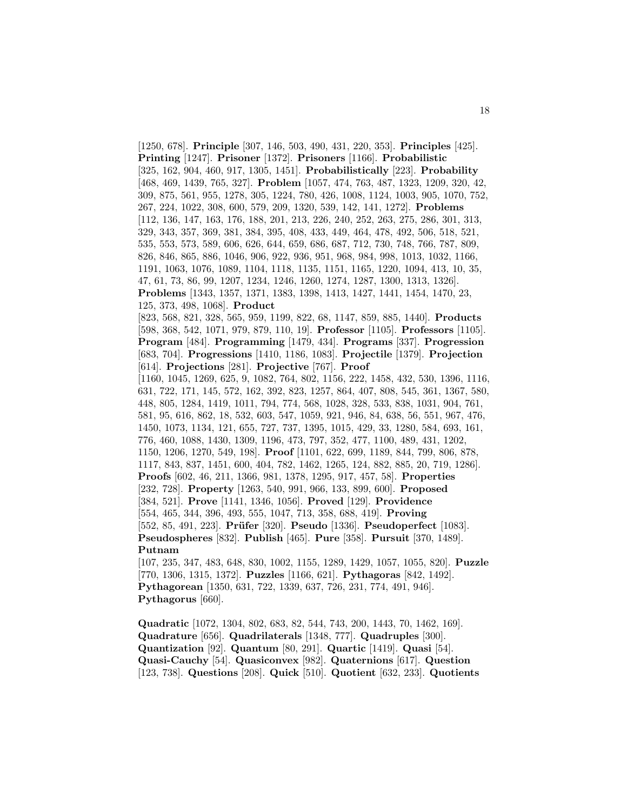[1250, 678]. **Principle** [307, 146, 503, 490, 431, 220, 353]. **Principles** [425]. **Printing** [1247]. **Prisoner** [1372]. **Prisoners** [1166]. **Probabilistic** [325, 162, 904, 460, 917, 1305, 1451]. **Probabilistically** [223]. **Probability** [468, 469, 1439, 765, 327]. **Problem** [1057, 474, 763, 487, 1323, 1209, 320, 42, 309, 875, 561, 955, 1278, 305, 1224, 780, 426, 1008, 1124, 1003, 905, 1070, 752, 267, 224, 1022, 308, 600, 579, 209, 1320, 539, 142, 141, 1272]. **Problems** [112, 136, 147, 163, 176, 188, 201, 213, 226, 240, 252, 263, 275, 286, 301, 313, 329, 343, 357, 369, 381, 384, 395, 408, 433, 449, 464, 478, 492, 506, 518, 521, 535, 553, 573, 589, 606, 626, 644, 659, 686, 687, 712, 730, 748, 766, 787, 809, 826, 846, 865, 886, 1046, 906, 922, 936, 951, 968, 984, 998, 1013, 1032, 1166, 1191, 1063, 1076, 1089, 1104, 1118, 1135, 1151, 1165, 1220, 1094, 413, 10, 35, 47, 61, 73, 86, 99, 1207, 1234, 1246, 1260, 1274, 1287, 1300, 1313, 1326]. **Problems** [1343, 1357, 1371, 1383, 1398, 1413, 1427, 1441, 1454, 1470, 23, 125, 373, 498, 1068]. **Product** [823, 568, 821, 328, 565, 959, 1199, 822, 68, 1147, 859, 885, 1440]. **Products** [598, 368, 542, 1071, 979, 879, 110, 19]. **Professor** [1105]. **Professors** [1105]. **Program** [484]. **Programming** [1479, 434]. **Programs** [337]. **Progression** [683, 704]. **Progressions** [1410, 1186, 1083]. **Projectile** [1379]. **Projection** [614]. **Projections** [281]. **Projective** [767]. **Proof** [1160, 1045, 1269, 625, 9, 1082, 764, 802, 1156, 222, 1458, 432, 530, 1396, 1116, 631, 722, 171, 145, 572, 162, 392, 823, 1257, 864, 407, 808, 545, 361, 1367, 580, 448, 805, 1284, 1419, 1011, 794, 774, 568, 1028, 328, 533, 838, 1031, 904, 761, 581, 95, 616, 862, 18, 532, 603, 547, 1059, 921, 946, 84, 638, 56, 551, 967, 476, 1450, 1073, 1134, 121, 655, 727, 737, 1395, 1015, 429, 33, 1280, 584, 693, 161, 776, 460, 1088, 1430, 1309, 1196, 473, 797, 352, 477, 1100, 489, 431, 1202, 1150, 1206, 1270, 549, 198]. **Proof** [1101, 622, 699, 1189, 844, 799, 806, 878, 1117, 843, 837, 1451, 600, 404, 782, 1462, 1265, 124, 882, 885, 20, 719, 1286]. **Proofs** [602, 46, 211, 1366, 981, 1378, 1295, 917, 457, 58]. **Properties** [232, 728]. **Property** [1263, 540, 991, 966, 133, 899, 600]. **Proposed** [384, 521]. **Prove** [1141, 1346, 1056]. **Proved** [129]. **Providence** [554, 465, 344, 396, 493, 555, 1047, 713, 358, 688, 419]. **Proving** [552, 85, 491, 223]. **Prüfer** [320]. **Pseudo** [1336]. **Pseudoperfect** [1083]. **Pseudospheres** [832]. **Publish** [465]. **Pure** [358]. **Pursuit** [370, 1489]. **Putnam** [107, 235, 347, 483, 648, 830, 1002, 1155, 1289, 1429, 1057, 1055, 820]. **Puzzle**

[770, 1306, 1315, 1372]. **Puzzles** [1166, 621]. **Pythagoras** [842, 1492]. **Pythagorean** [1350, 631, 722, 1339, 637, 726, 231, 774, 491, 946]. **Pythagorus** [660].

**Quadratic** [1072, 1304, 802, 683, 82, 544, 743, 200, 1443, 70, 1462, 169]. **Quadrature** [656]. **Quadrilaterals** [1348, 777]. **Quadruples** [300]. **Quantization** [92]. **Quantum** [80, 291]. **Quartic** [1419]. **Quasi** [54]. **Quasi-Cauchy** [54]. **Quasiconvex** [982]. **Quaternions** [617]. **Question** [123, 738]. **Questions** [208]. **Quick** [510]. **Quotient** [632, 233]. **Quotients**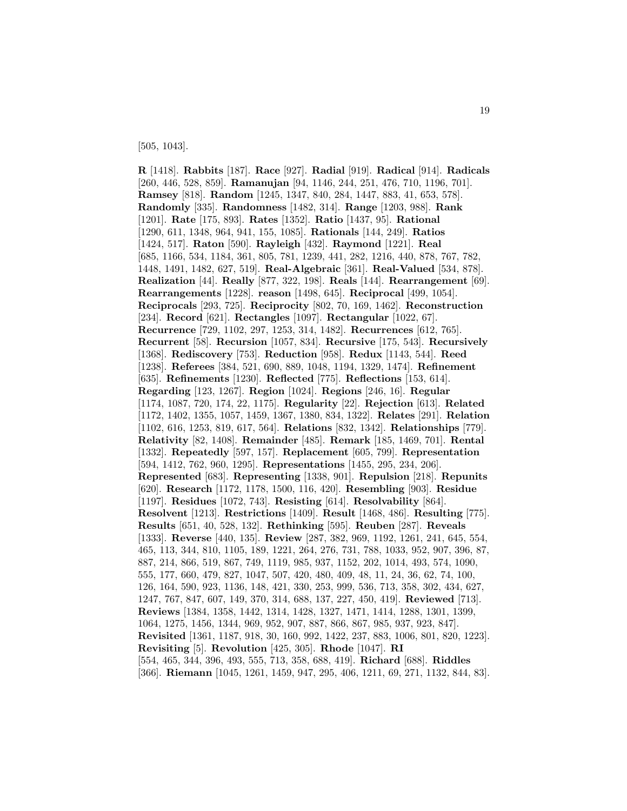[505, 1043].

**R** [1418]. **Rabbits** [187]. **Race** [927]. **Radial** [919]. **Radical** [914]. **Radicals** [260, 446, 528, 859]. **Ramanujan** [94, 1146, 244, 251, 476, 710, 1196, 701]. **Ramsey** [818]. **Random** [1245, 1347, 840, 284, 1447, 883, 41, 653, 578]. **Randomly** [335]. **Randomness** [1482, 314]. **Range** [1203, 988]. **Rank** [1201]. **Rate** [175, 893]. **Rates** [1352]. **Ratio** [1437, 95]. **Rational** [1290, 611, 1348, 964, 941, 155, 1085]. **Rationals** [144, 249]. **Ratios** [1424, 517]. **Raton** [590]. **Rayleigh** [432]. **Raymond** [1221]. **Real** [685, 1166, 534, 1184, 361, 805, 781, 1239, 441, 282, 1216, 440, 878, 767, 782, 1448, 1491, 1482, 627, 519]. **Real-Algebraic** [361]. **Real-Valued** [534, 878]. **Realization** [44]. **Really** [877, 322, 198]. **Reals** [144]. **Rearrangement** [69]. **Rearrangements** [1228]. **reason** [1498, 645]. **Reciprocal** [499, 1054]. **Reciprocals** [293, 725]. **Reciprocity** [802, 70, 169, 1462]. **Reconstruction** [234]. **Record** [621]. **Rectangles** [1097]. **Rectangular** [1022, 67]. **Recurrence** [729, 1102, 297, 1253, 314, 1482]. **Recurrences** [612, 765]. **Recurrent** [58]. **Recursion** [1057, 834]. **Recursive** [175, 543]. **Recursively** [1368]. **Rediscovery** [753]. **Reduction** [958]. **Redux** [1143, 544]. **Reed** [1238]. **Referees** [384, 521, 690, 889, 1048, 1194, 1329, 1474]. **Refinement** [635]. **Refinements** [1230]. **Reflected** [775]. **Reflections** [153, 614]. **Regarding** [123, 1267]. **Region** [1024]. **Regions** [246, 16]. **Regular** [1174, 1087, 720, 174, 22, 1175]. **Regularity** [22]. **Rejection** [613]. **Related** [1172, 1402, 1355, 1057, 1459, 1367, 1380, 834, 1322]. **Relates** [291]. **Relation** [1102, 616, 1253, 819, 617, 564]. **Relations** [832, 1342]. **Relationships** [779]. **Relativity** [82, 1408]. **Remainder** [485]. **Remark** [185, 1469, 701]. **Rental** [1332]. **Repeatedly** [597, 157]. **Replacement** [605, 799]. **Representation** [594, 1412, 762, 960, 1295]. **Representations** [1455, 295, 234, 206]. **Represented** [683]. **Representing** [1338, 901]. **Repulsion** [218]. **Repunits** [620]. **Research** [1172, 1178, 1500, 116, 420]. **Resembling** [903]. **Residue** [1197]. **Residues** [1072, 743]. **Resisting** [614]. **Resolvability** [864]. **Resolvent** [1213]. **Restrictions** [1409]. **Result** [1468, 486]. **Resulting** [775]. **Results** [651, 40, 528, 132]. **Rethinking** [595]. **Reuben** [287]. **Reveals** [1333]. **Reverse** [440, 135]. **Review** [287, 382, 969, 1192, 1261, 241, 645, 554, 465, 113, 344, 810, 1105, 189, 1221, 264, 276, 731, 788, 1033, 952, 907, 396, 87, 887, 214, 866, 519, 867, 749, 1119, 985, 937, 1152, 202, 1014, 493, 574, 1090, 555, 177, 660, 479, 827, 1047, 507, 420, 480, 409, 48, 11, 24, 36, 62, 74, 100, 126, 164, 590, 923, 1136, 148, 421, 330, 253, 999, 536, 713, 358, 302, 434, 627, 1247, 767, 847, 607, 149, 370, 314, 688, 137, 227, 450, 419]. **Reviewed** [713]. **Reviews** [1384, 1358, 1442, 1314, 1428, 1327, 1471, 1414, 1288, 1301, 1399, 1064, 1275, 1456, 1344, 969, 952, 907, 887, 866, 867, 985, 937, 923, 847]. **Revisited** [1361, 1187, 918, 30, 160, 992, 1422, 237, 883, 1006, 801, 820, 1223]. **Revisiting** [5]. **Revolution** [425, 305]. **Rhode** [1047]. **RI** [554, 465, 344, 396, 493, 555, 713, 358, 688, 419]. **Richard** [688]. **Riddles** [366]. **Riemann** [1045, 1261, 1459, 947, 295, 406, 1211, 69, 271, 1132, 844, 83].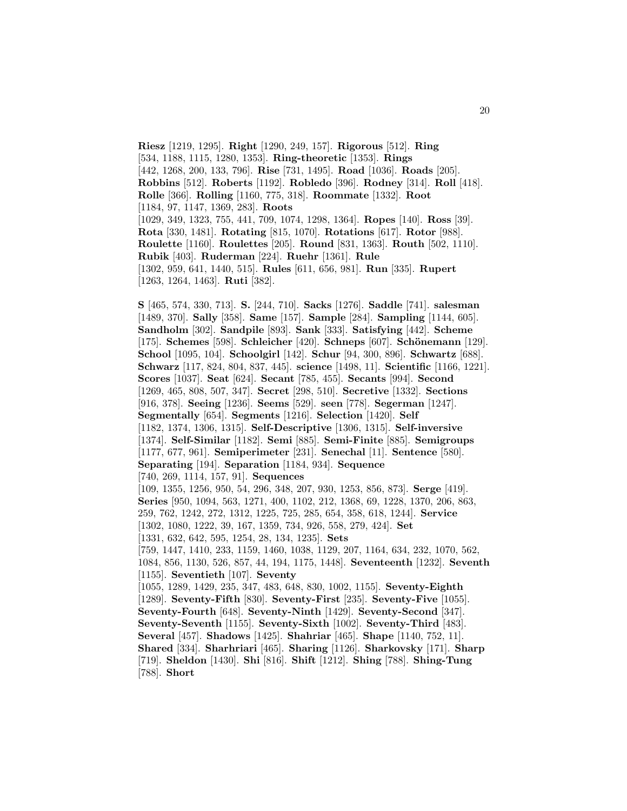**Riesz** [1219, 1295]. **Right** [1290, 249, 157]. **Rigorous** [512]. **Ring** [534, 1188, 1115, 1280, 1353]. **Ring-theoretic** [1353]. **Rings** [442, 1268, 200, 133, 796]. **Rise** [731, 1495]. **Road** [1036]. **Roads** [205]. **Robbins** [512]. **Roberts** [1192]. **Robledo** [396]. **Rodney** [314]. **Roll** [418]. **Rolle** [366]. **Rolling** [1160, 775, 318]. **Roommate** [1332]. **Root** [1184, 97, 1147, 1369, 283]. **Roots** [1029, 349, 1323, 755, 441, 709, 1074, 1298, 1364]. **Ropes** [140]. **Ross** [39]. **Rota** [330, 1481]. **Rotating** [815, 1070]. **Rotations** [617]. **Rotor** [988]. **Roulette** [1160]. **Roulettes** [205]. **Round** [831, 1363]. **Routh** [502, 1110]. **Rubik** [403]. **Ruderman** [224]. **Ruehr** [1361]. **Rule** [1302, 959, 641, 1440, 515]. **Rules** [611, 656, 981]. **Run** [335]. **Rupert** [1263, 1264, 1463]. **Ruti** [382].

**S** [465, 574, 330, 713]. **S.** [244, 710]. **Sacks** [1276]. **Saddle** [741]. **salesman** [1489, 370]. **Sally** [358]. **Same** [157]. **Sample** [284]. **Sampling** [1144, 605]. **Sandholm** [302]. **Sandpile** [893]. **Sank** [333]. **Satisfying** [442]. **Scheme** [175]. **Schemes** [598]. **Schleicher** [420]. **Schneps** [607]. **Schönemann** [129]. **School** [1095, 104]. **Schoolgirl** [142]. **Schur** [94, 300, 896]. **Schwartz** [688]. **Schwarz** [117, 824, 804, 837, 445]. **science** [1498, 11]. **Scientific** [1166, 1221]. **Scores** [1037]. **Seat** [624]. **Secant** [785, 455]. **Secants** [994]. **Second** [1269, 465, 808, 507, 347]. **Secret** [298, 510]. **Secretive** [1332]. **Sections** [916, 378]. **Seeing** [1236]. **Seems** [529]. **seen** [778]. **Segerman** [1247]. **Segmentally** [654]. **Segments** [1216]. **Selection** [1420]. **Self** [1182, 1374, 1306, 1315]. **Self-Descriptive** [1306, 1315]. **Self-inversive** [1374]. **Self-Similar** [1182]. **Semi** [885]. **Semi-Finite** [885]. **Semigroups** [1177, 677, 961]. **Semiperimeter** [231]. **Senechal** [11]. **Sentence** [580]. **Separating** [194]. **Separation** [1184, 934]. **Sequence** [740, 269, 1114, 157, 91]. **Sequences** [109, 1355, 1256, 950, 54, 296, 348, 207, 930, 1253, 856, 873]. **Serge** [419]. **Series** [950, 1094, 563, 1271, 400, 1102, 212, 1368, 69, 1228, 1370, 206, 863, 259, 762, 1242, 272, 1312, 1225, 725, 285, 654, 358, 618, 1244]. **Service** [1302, 1080, 1222, 39, 167, 1359, 734, 926, 558, 279, 424]. **Set** [1331, 632, 642, 595, 1254, 28, 134, 1235]. **Sets** [759, 1447, 1410, 233, 1159, 1460, 1038, 1129, 207, 1164, 634, 232, 1070, 562, 1084, 856, 1130, 526, 857, 44, 194, 1175, 1448]. **Seventeenth** [1232]. **Seventh** [1155]. **Seventieth** [107]. **Seventy** [1055, 1289, 1429, 235, 347, 483, 648, 830, 1002, 1155]. **Seventy-Eighth** [1289]. **Seventy-Fifth** [830]. **Seventy-First** [235]. **Seventy-Five** [1055]. **Seventy-Fourth** [648]. **Seventy-Ninth** [1429]. **Seventy-Second** [347]. **Seventy-Seventh** [1155]. **Seventy-Sixth** [1002]. **Seventy-Third** [483]. **Several** [457]. **Shadows** [1425]. **Shahriar** [465]. **Shape** [1140, 752, 11]. **Shared** [334]. **Sharhriari** [465]. **Sharing** [1126]. **Sharkovsky** [171]. **Sharp** [719]. **Sheldon** [1430]. **Shi** [816]. **Shift** [1212]. **Shing** [788]. **Shing-Tung** [788]. **Short**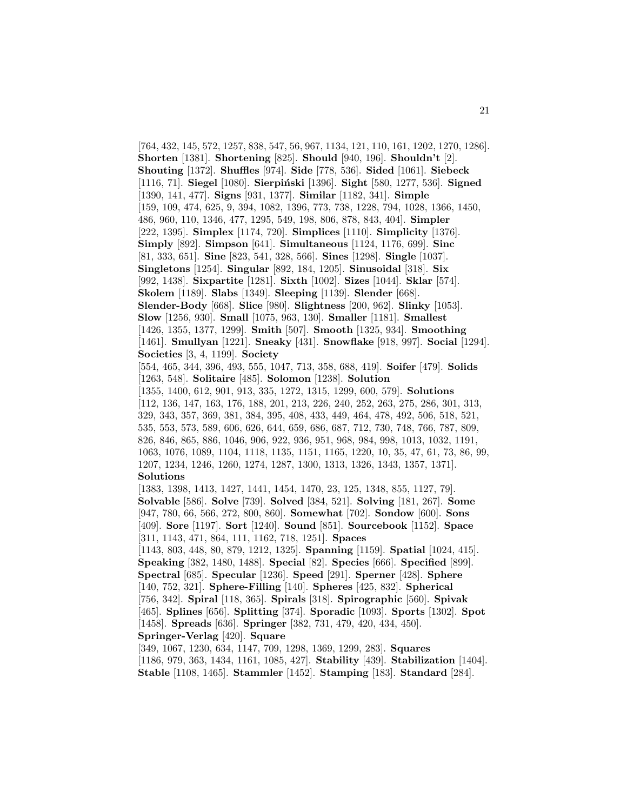[764, 432, 145, 572, 1257, 838, 547, 56, 967, 1134, 121, 110, 161, 1202, 1270, 1286]. **Shorten** [1381]. **Shortening** [825]. **Should** [940, 196]. **Shouldn't** [2]. **Shouting** [1372]. **Shuffles** [974]. **Side** [778, 536]. **Sided** [1061]. **Siebeck** [1116, 71]. **Siegel** [1080]. **Sierpiński** [1396]. **Sight** [580, 1277, 536]. **Signed** [1390, 141, 477]. **Signs** [931, 1377]. **Similar** [1182, 341]. **Simple** [159, 109, 474, 625, 9, 394, 1082, 1396, 773, 738, 1228, 794, 1028, 1366, 1450, 486, 960, 110, 1346, 477, 1295, 549, 198, 806, 878, 843, 404]. **Simpler** [222, 1395]. **Simplex** [1174, 720]. **Simplices** [1110]. **Simplicity** [1376]. **Simply** [892]. **Simpson** [641]. **Simultaneous** [1124, 1176, 699]. **Sinc** [81, 333, 651]. **Sine** [823, 541, 328, 566]. **Sines** [1298]. **Single** [1037]. **Singletons** [1254]. **Singular** [892, 184, 1205]. **Sinusoidal** [318]. **Six** [992, 1438]. **Sixpartite** [1281]. **Sixth** [1002]. **Sizes** [1044]. **Sklar** [574]. **Skolem** [1189]. **Slabs** [1349]. **Sleeping** [1139]. **Slender** [668]. **Slender-Body** [668]. **Slice** [980]. **Slightness** [200, 962]. **Slinky** [1053]. **Slow** [1256, 930]. **Small** [1075, 963, 130]. **Smaller** [1181]. **Smallest** [1426, 1355, 1377, 1299]. **Smith** [507]. **Smooth** [1325, 934]. **Smoothing** [1461]. **Smullyan** [1221]. **Sneaky** [431]. **Snowflake** [918, 997]. **Social** [1294]. **Societies** [3, 4, 1199]. **Society** [554, 465, 344, 396, 493, 555, 1047, 713, 358, 688, 419]. **Soifer** [479]. **Solids** [1263, 548]. **Solitaire** [485]. **Solomon** [1238]. **Solution** [1355, 1400, 612, 901, 913, 335, 1272, 1315, 1299, 600, 579]. **Solutions** [112, 136, 147, 163, 176, 188, 201, 213, 226, 240, 252, 263, 275, 286, 301, 313, 329, 343, 357, 369, 381, 384, 395, 408, 433, 449, 464, 478, 492, 506, 518, 521, 535, 553, 573, 589, 606, 626, 644, 659, 686, 687, 712, 730, 748, 766, 787, 809, 826, 846, 865, 886, 1046, 906, 922, 936, 951, 968, 984, 998, 1013, 1032, 1191, 1063, 1076, 1089, 1104, 1118, 1135, 1151, 1165, 1220, 10, 35, 47, 61, 73, 86, 99, 1207, 1234, 1246, 1260, 1274, 1287, 1300, 1313, 1326, 1343, 1357, 1371]. **Solutions** [1383, 1398, 1413, 1427, 1441, 1454, 1470, 23, 125, 1348, 855, 1127, 79]. **Solvable** [586]. **Solve** [739]. **Solved** [384, 521]. **Solving** [181, 267]. **Some** [947, 780, 66, 566, 272, 800, 860]. **Somewhat** [702]. **Sondow** [600]. **Sons** [409]. **Sore** [1197]. **Sort** [1240]. **Sound** [851]. **Sourcebook** [1152]. **Space** [311, 1143, 471, 864, 111, 1162, 718, 1251]. **Spaces** [1143, 803, 448, 80, 879, 1212, 1325]. **Spanning** [1159]. **Spatial** [1024, 415]. **Speaking** [382, 1480, 1488]. **Special** [82]. **Species** [666]. **Specified** [899]. **Spectral** [685]. **Specular** [1236]. **Speed** [291]. **Sperner** [428]. **Sphere** [140, 752, 321]. **Sphere-Filling** [140]. **Spheres** [425, 832]. **Spherical** [756, 342]. **Spiral** [118, 365]. **Spirals** [318]. **Spirographic** [560]. **Spivak** [465]. **Splines** [656]. **Splitting** [374]. **Sporadic** [1093]. **Sports** [1302]. **Spot** [1458]. **Spreads** [636]. **Springer** [382, 731, 479, 420, 434, 450]. **Springer-Verlag** [420]. **Square** [349, 1067, 1230, 634, 1147, 709, 1298, 1369, 1299, 283]. **Squares**

[1186, 979, 363, 1434, 1161, 1085, 427]. **Stability** [439]. **Stabilization** [1404]. **Stable** [1108, 1465]. **Stammler** [1452]. **Stamping** [183]. **Standard** [284].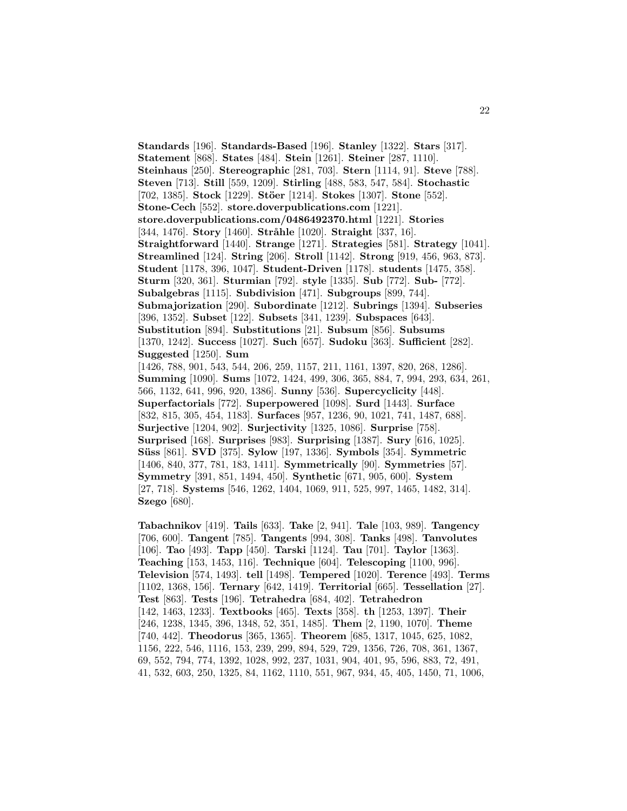**Standards** [196]. **Standards-Based** [196]. **Stanley** [1322]. **Stars** [317]. **Statement** [868]. **States** [484]. **Stein** [1261]. **Steiner** [287, 1110]. **Steinhaus** [250]. **Stereographic** [281, 703]. **Stern** [1114, 91]. **Steve** [788]. **Steven** [713]. **Still** [559, 1209]. **Stirling** [488, 583, 547, 584]. **Stochastic** [702, 1385]. **Stock** [1229]. **Stöer** [1214]. **Stokes** [1307]. **Stone** [552]. **Stone-Cech** [552]. **store.doverpublications.com** [1221]. **store.doverpublications.com/0486492370.html** [1221]. **Stories** [344, 1476]. **Story** [1460]. **Stråhle** [1020]. **Straight** [337, 16]. **Straightforward** [1440]. **Strange** [1271]. **Strategies** [581]. **Strategy** [1041]. **Streamlined** [124]. **String** [206]. **Stroll** [1142]. **Strong** [919, 456, 963, 873]. **Student** [1178, 396, 1047]. **Student-Driven** [1178]. **students** [1475, 358]. **Sturm** [320, 361]. **Sturmian** [792]. **style** [1335]. **Sub** [772]. **Sub-** [772]. **Subalgebras** [1115]. **Subdivision** [471]. **Subgroups** [899, 744]. **Submajorization** [290]. **Subordinate** [1212]. **Subrings** [1394]. **Subseries** [396, 1352]. **Subset** [122]. **Subsets** [341, 1239]. **Subspaces** [643]. **Substitution** [894]. **Substitutions** [21]. **Subsum** [856]. **Subsums** [1370, 1242]. **Success** [1027]. **Such** [657]. **Sudoku** [363]. **Sufficient** [282]. **Suggested** [1250]. **Sum** [1426, 788, 901, 543, 544, 206, 259, 1157, 211, 1161, 1397, 820, 268, 1286]. **Summing** [1090]. **Sums** [1072, 1424, 499, 306, 365, 884, 7, 994, 293, 634, 261, 566, 1132, 641, 996, 920, 1386]. **Sunny** [536]. **Supercyclicity** [448]. **Superfactorials** [772]. **Superpowered** [1098]. **Surd** [1443]. **Surface** [832, 815, 305, 454, 1183]. **Surfaces** [957, 1236, 90, 1021, 741, 1487, 688]. **Surjective** [1204, 902]. **Surjectivity** [1325, 1086]. **Surprise** [758]. **Surprised** [168]. **Surprises** [983]. **Surprising** [1387]. **Sury** [616, 1025]. **S¨uss** [861]. **SVD** [375]. **Sylow** [197, 1336]. **Symbols** [354]. **Symmetric** [1406, 840, 377, 781, 183, 1411]. **Symmetrically** [90]. **Symmetries** [57]. **Symmetry** [391, 851, 1494, 450]. **Synthetic** [671, 905, 600]. **System** [27, 718]. **Systems** [546, 1262, 1404, 1069, 911, 525, 997, 1465, 1482, 314]. **Szego** [680].

**Tabachnikov** [419]. **Tails** [633]. **Take** [2, 941]. **Tale** [103, 989]. **Tangency** [706, 600]. **Tangent** [785]. **Tangents** [994, 308]. **Tanks** [498]. **Tanvolutes** [106]. **Tao** [493]. **Tapp** [450]. **Tarski** [1124]. **Tau** [701]. **Taylor** [1363]. **Teaching** [153, 1453, 116]. **Technique** [604]. **Telescoping** [1100, 996]. **Television** [574, 1493]. **tell** [1498]. **Tempered** [1020]. **Terence** [493]. **Terms** [1102, 1368, 156]. **Ternary** [642, 1419]. **Territorial** [665]. **Tessellation** [27]. **Test** [863]. **Tests** [196]. **Tetrahedra** [684, 402]. **Tetrahedron** [142, 1463, 1233]. **Textbooks** [465]. **Texts** [358]. **th** [1253, 1397]. **Their** [246, 1238, 1345, 396, 1348, 52, 351, 1485]. **Them** [2, 1190, 1070]. **Theme** [740, 442]. **Theodorus** [365, 1365]. **Theorem** [685, 1317, 1045, 625, 1082, 1156, 222, 546, 1116, 153, 239, 299, 894, 529, 729, 1356, 726, 708, 361, 1367, 69, 552, 794, 774, 1392, 1028, 992, 237, 1031, 904, 401, 95, 596, 883, 72, 491, 41, 532, 603, 250, 1325, 84, 1162, 1110, 551, 967, 934, 45, 405, 1450, 71, 1006,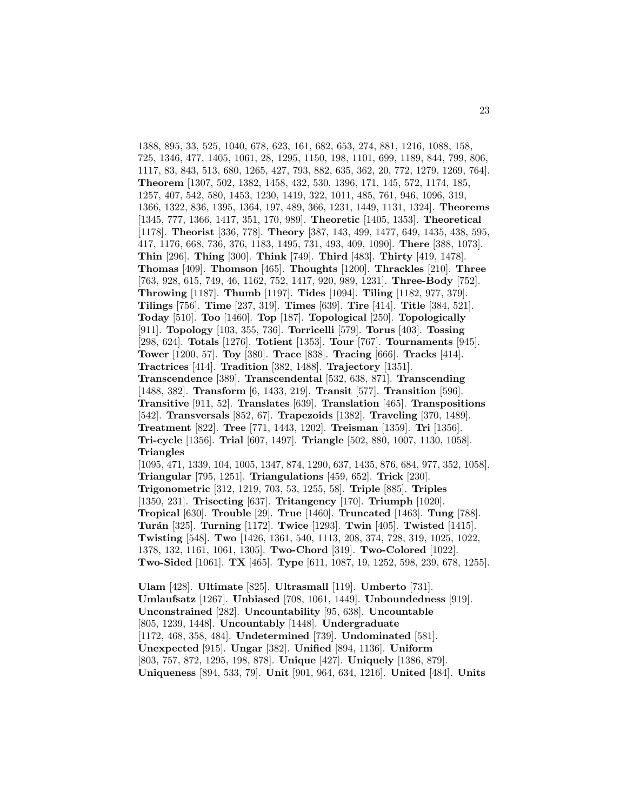1388, 895, 33, 525, 1040, 678, 623, 161, 682, 653, 274, 881, 1216, 1088, 158, 725, 1346, 477, 1405, 1061, 28, 1295, 1150, 198, 1101, 699, 1189, 844, 799, 806, 1117, 83, 843, 513, 680, 1265, 427, 793, 882, 635, 362, 20, 772, 1279, 1269, 764]. **Theorem** [1307, 502, 1382, 1458, 432, 530, 1396, 171, 145, 572, 1174, 185, 1257, 407, 542, 580, 1453, 1230, 1419, 322, 1011, 485, 761, 946, 1096, 319, 1366, 1322, 836, 1395, 1364, 197, 489, 366, 1231, 1449, 1131, 1324]. **Theorems** [1345, 777, 1366, 1417, 351, 170, 989]. **Theoretic** [1405, 1353]. **Theoretical** [1178]. **Theorist** [336, 778]. **Theory** [387, 143, 499, 1477, 649, 1435, 438, 595, 417, 1176, 668, 736, 376, 1183, 1495, 731, 493, 409, 1090]. **There** [388, 1073]. **Thin** [296]. **Thing** [300]. **Think** [749]. **Third** [483]. **Thirty** [419, 1478]. **Thomas** [409]. **Thomson** [465]. **Thoughts** [1200]. **Thrackles** [210]. **Three** [763, 928, 615, 749, 46, 1162, 752, 1417, 920, 989, 1231]. **Three-Body** [752]. **Throwing** [1187]. **Thumb** [1197]. **Tides** [1094]. **Tiling** [1182, 977, 379]. **Tilings** [756]. **Time** [237, 319]. **Times** [639]. **Tire** [414]. **Title** [384, 521]. **Today** [510]. **Too** [1460]. **Top** [187]. **Topological** [250]. **Topologically** [911]. **Topology** [103, 355, 736]. **Torricelli** [579]. **Torus** [403]. **Tossing** [298, 624]. **Totals** [1276]. **Totient** [1353]. **Tour** [767]. **Tournaments** [945]. **Tower** [1200, 57]. **Toy** [380]. **Trace** [838]. **Tracing** [666]. **Tracks** [414]. **Tractrices** [414]. **Tradition** [382, 1488]. **Trajectory** [1351]. **Transcendence** [389]. **Transcendental** [532, 638, 871]. **Transcending** [1488, 382]. **Transform** [6, 1433, 219]. **Transit** [577]. **Transition** [596]. **Transitive** [911, 52]. **Translates** [639]. **Translation** [465]. **Transpositions** [542]. **Transversals** [852, 67]. **Trapezoids** [1382]. **Traveling** [370, 1489]. **Treatment** [822]. **Tree** [771, 1443, 1202]. **Treisman** [1359]. **Tri** [1356]. **Tri-cycle** [1356]. **Trial** [607, 1497]. **Triangle** [502, 880, 1007, 1130, 1058]. **Triangles** [1095, 471, 1339, 104, 1005, 1347, 874, 1290, 637, 1435, 876, 684, 977, 352, 1058]. **Triangular** [795, 1251]. **Triangulations** [459, 652]. **Trick** [230]. **Trigonometric** [312, 1219, 703, 53, 1255, 58]. **Triple** [885]. **Triples** [1350, 231]. **Trisecting** [637]. **Tritangency** [170]. **Triumph** [1020]. **Tropical** [630]. **Trouble** [29]. **True** [1460]. **Truncated** [1463]. **Tung** [788]. **Tur´an** [325]. **Turning** [1172]. **Twice** [1293]. **Twin** [405]. **Twisted** [1415]. **Twisting** [548]. **Two** [1426, 1361, 540, 1113, 208, 374, 728, 319, 1025, 1022, 1378, 132, 1161, 1061, 1305]. **Two-Chord** [319]. **Two-Colored** [1022]. **Two-Sided** [1061]. **TX** [465]. **Type** [611, 1087, 19, 1252, 598, 239, 678, 1255]. **Ulam** [428]. **Ultimate** [825]. **Ultrasmall** [119]. **Umberto** [731].

**Umlaufsatz** [1267]. **Unbiased** [708, 1061, 1449]. **Unboundedness** [919]. **Unconstrained** [282]. **Uncountability** [95, 638]. **Uncountable** [805, 1239, 1448]. **Uncountably** [1448]. **Undergraduate** [1172, 468, 358, 484]. **Undetermined** [739]. **Undominated** [581]. **Unexpected** [915]. **Ungar** [382]. **Unified** [894, 1136]. **Uniform** [803, 757, 872, 1295, 198, 878]. **Unique** [427]. **Uniquely** [1386, 879]. **Uniqueness** [894, 533, 79]. **Unit** [901, 964, 634, 1216]. **United** [484]. **Units**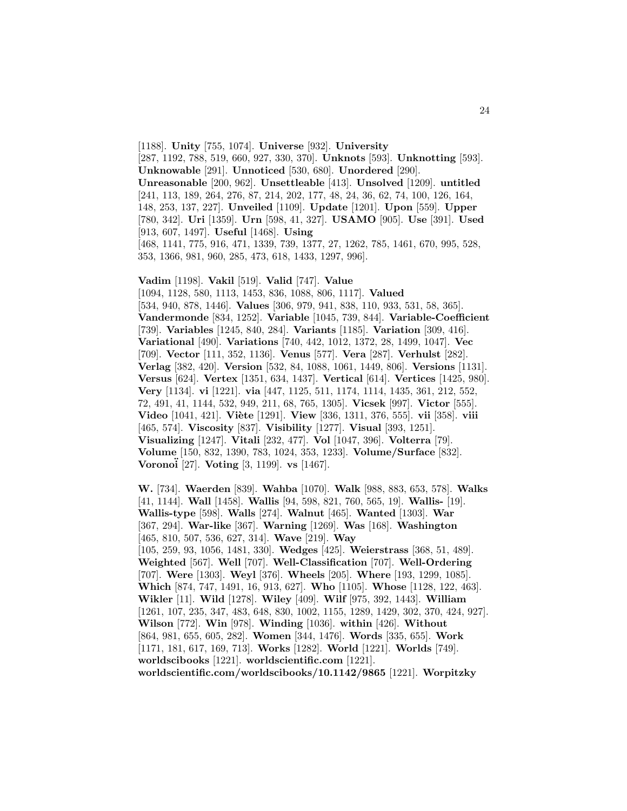[1188]. **Unity** [755, 1074]. **Universe** [932]. **University** [287, 1192, 788, 519, 660, 927, 330, 370]. **Unknots** [593]. **Unknotting** [593]. **Unknowable** [291]. **Unnoticed** [530, 680]. **Unordered** [290]. **Unreasonable** [200, 962]. **Unsettleable** [413]. **Unsolved** [1209]. **untitled** [241, 113, 189, 264, 276, 87, 214, 202, 177, 48, 24, 36, 62, 74, 100, 126, 164, 148, 253, 137, 227]. **Unveiled** [1109]. **Update** [1201]. **Upon** [559]. **Upper** [780, 342]. **Uri** [1359]. **Urn** [598, 41, 327]. **USAMO** [905]. **Use** [391]. **Used** [913, 607, 1497]. **Useful** [1468]. **Using** [468, 1141, 775, 916, 471, 1339, 739, 1377, 27, 1262, 785, 1461, 670, 995, 528, 353, 1366, 981, 960, 285, 473, 618, 1433, 1297, 996].

**Vadim** [1198]. **Vakil** [519]. **Valid** [747]. **Value** [1094, 1128, 580, 1113, 1453, 836, 1088, 806, 1117]. **Valued** [534, 940, 878, 1446]. **Values** [306, 979, 941, 838, 110, 933, 531, 58, 365]. **Vandermonde** [834, 1252]. **Variable** [1045, 739, 844]. **Variable-Coefficient** [739]. **Variables** [1245, 840, 284]. **Variants** [1185]. **Variation** [309, 416]. **Variational** [490]. **Variations** [740, 442, 1012, 1372, 28, 1499, 1047]. **Vec** [709]. **Vector** [111, 352, 1136]. **Venus** [577]. **Vera** [287]. **Verhulst** [282]. **Verlag** [382, 420]. **Version** [532, 84, 1088, 1061, 1449, 806]. **Versions** [1131]. **Versus** [624]. **Vertex** [1351, 634, 1437]. **Vertical** [614]. **Vertices** [1425, 980]. **Very** [1134]. **vi** [1221]. **via** [447, 1125, 511, 1174, 1114, 1435, 361, 212, 552, 72, 491, 41, 1144, 532, 949, 211, 68, 765, 1305]. **Vicsek** [997]. **Victor** [555]. **Video** [1041, 421]. **Viète** [1291]. **View** [336, 1311, 376, 555]. **vii** [358]. **viii** [465, 574]. **Viscosity** [837]. **Visibility** [1277]. **Visual** [393, 1251]. **Visualizing** [1247]. **Vitali** [232, 477]. **Vol** [1047, 396]. **Volterra** [79]. **Volume** [150, 832, 1390, 783, 1024, 353, 1233]. **Volume/Surface** [832]. **Vorono¨i** [27]. **Voting** [3, 1199]. **vs** [1467].

**W.** [734]. **Waerden** [839]. **Wahba** [1070]. **Walk** [988, 883, 653, 578]. **Walks** [41, 1144]. **Wall** [1458]. **Wallis** [94, 598, 821, 760, 565, 19]. **Wallis-** [19]. **Wallis-type** [598]. **Walls** [274]. **Walnut** [465]. **Wanted** [1303]. **War** [367, 294]. **War-like** [367]. **Warning** [1269]. **Was** [168]. **Washington** [465, 810, 507, 536, 627, 314]. **Wave** [219]. **Way** [105, 259, 93, 1056, 1481, 330]. **Wedges** [425]. **Weierstrass** [368, 51, 489]. **Weighted** [567]. **Well** [707]. **Well-Classification** [707]. **Well-Ordering** [707]. **Were** [1303]. **Weyl** [376]. **Wheels** [205]. **Where** [193, 1299, 1085]. **Which** [874, 747, 1491, 16, 913, 627]. **Who** [1105]. **Whose** [1128, 122, 463]. **Wikler** [11]. **Wild** [1278]. **Wiley** [409]. **Wilf** [975, 392, 1443]. **William** [1261, 107, 235, 347, 483, 648, 830, 1002, 1155, 1289, 1429, 302, 370, 424, 927]. **Wilson** [772]. **Win** [978]. **Winding** [1036]. **within** [426]. **Without** [864, 981, 655, 605, 282]. **Women** [344, 1476]. **Words** [335, 655]. **Work** [1171, 181, 617, 169, 713]. **Works** [1282]. **World** [1221]. **Worlds** [749]. **worldscibooks** [1221]. **worldscientific.com** [1221]. **worldscientific.com/worldscibooks/10.1142/9865** [1221]. **Worpitzky**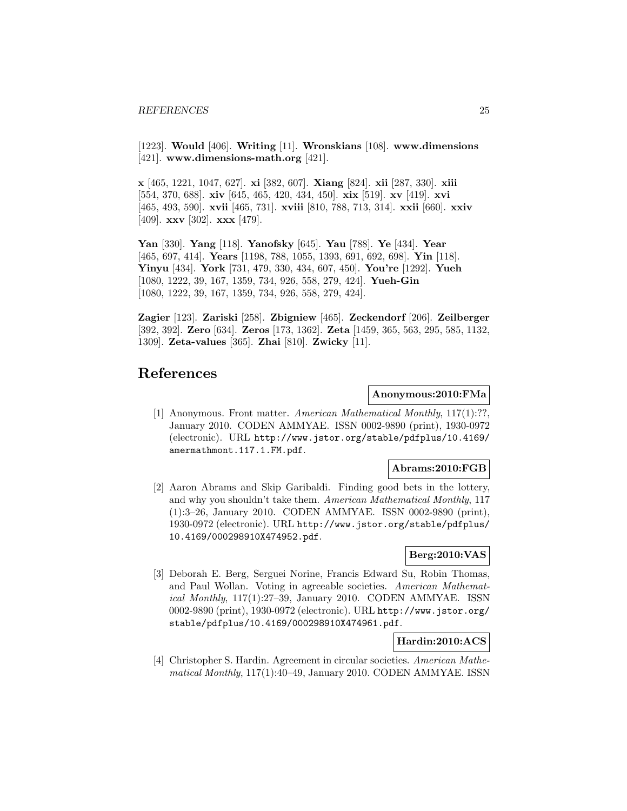[1223]. **Would** [406]. **Writing** [11]. **Wronskians** [108]. **www.dimensions** [421]. **www.dimensions-math.org** [421].

**x** [465, 1221, 1047, 627]. **xi** [382, 607]. **Xiang** [824]. **xii** [287, 330]. **xiii** [554, 370, 688]. **xiv** [645, 465, 420, 434, 450]. **xix** [519]. **xv** [419]. **xvi** [465, 493, 590]. **xvii** [465, 731]. **xviii** [810, 788, 713, 314]. **xxii** [660]. **xxiv** [409]. **xxv** [302]. **xxx** [479].

**Yan** [330]. **Yang** [118]. **Yanofsky** [645]. **Yau** [788]. **Ye** [434]. **Year** [465, 697, 414]. **Years** [1198, 788, 1055, 1393, 691, 692, 698]. **Yin** [118]. **Yinyu** [434]. **York** [731, 479, 330, 434, 607, 450]. **You're** [1292]. **Yueh** [1080, 1222, 39, 167, 1359, 734, 926, 558, 279, 424]. **Yueh-Gin** [1080, 1222, 39, 167, 1359, 734, 926, 558, 279, 424].

**Zagier** [123]. **Zariski** [258]. **Zbigniew** [465]. **Zeckendorf** [206]. **Zeilberger** [392, 392]. **Zero** [634]. **Zeros** [173, 1362]. **Zeta** [1459, 365, 563, 295, 585, 1132, 1309]. **Zeta-values** [365]. **Zhai** [810]. **Zwicky** [11].

# **References**

#### **Anonymous:2010:FMa**

[1] Anonymous. Front matter. American Mathematical Monthly, 117(1):??, January 2010. CODEN AMMYAE. ISSN 0002-9890 (print), 1930-0972 (electronic). URL http://www.jstor.org/stable/pdfplus/10.4169/ amermathmont.117.1.FM.pdf.

#### **Abrams:2010:FGB**

[2] Aaron Abrams and Skip Garibaldi. Finding good bets in the lottery, and why you shouldn't take them. American Mathematical Monthly, 117 (1):3–26, January 2010. CODEN AMMYAE. ISSN 0002-9890 (print), 1930-0972 (electronic). URL http://www.jstor.org/stable/pdfplus/ 10.4169/000298910X474952.pdf.

# **Berg:2010:VAS**

[3] Deborah E. Berg, Serguei Norine, Francis Edward Su, Robin Thomas, and Paul Wollan. Voting in agreeable societies. American Mathematical Monthly, 117(1):27–39, January 2010. CODEN AMMYAE. ISSN 0002-9890 (print), 1930-0972 (electronic). URL http://www.jstor.org/ stable/pdfplus/10.4169/000298910X474961.pdf.

## **Hardin:2010:ACS**

[4] Christopher S. Hardin. Agreement in circular societies. American Mathematical Monthly, 117(1):40–49, January 2010. CODEN AMMYAE. ISSN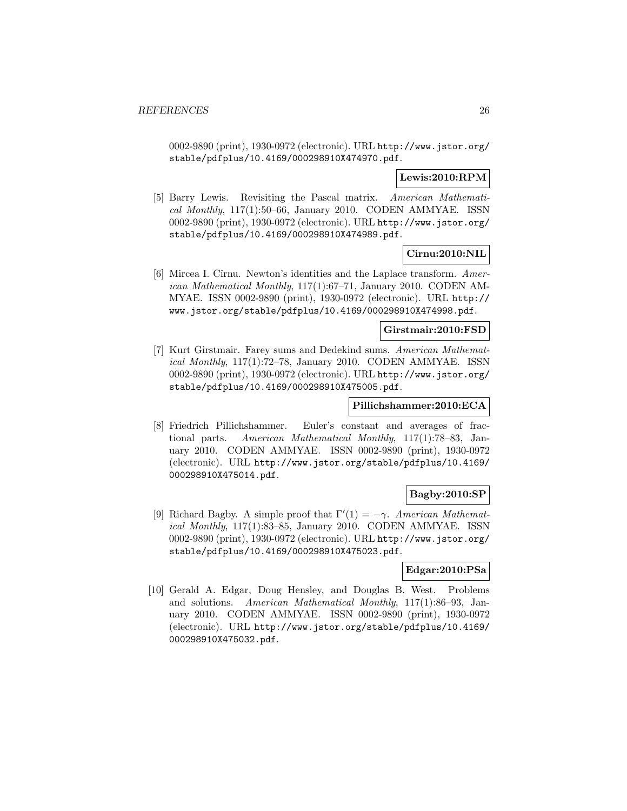0002-9890 (print), 1930-0972 (electronic). URL http://www.jstor.org/ stable/pdfplus/10.4169/000298910X474970.pdf.

# **Lewis:2010:RPM**

[5] Barry Lewis. Revisiting the Pascal matrix. American Mathematical Monthly,  $117(1):50-66$ , January 2010. CODEN AMMYAE. ISSN 0002-9890 (print), 1930-0972 (electronic). URL http://www.jstor.org/ stable/pdfplus/10.4169/000298910X474989.pdf.

# **Cirnu:2010:NIL**

[6] Mircea I. Cîrnu. Newton's identities and the Laplace transform. American Mathematical Monthly, 117(1):67–71, January 2010. CODEN AM-MYAE. ISSN 0002-9890 (print), 1930-0972 (electronic). URL http:// www.jstor.org/stable/pdfplus/10.4169/000298910X474998.pdf.

#### **Girstmair:2010:FSD**

[7] Kurt Girstmair. Farey sums and Dedekind sums. American Mathematical Monthly, 117(1):72–78, January 2010. CODEN AMMYAE. ISSN 0002-9890 (print), 1930-0972 (electronic). URL http://www.jstor.org/ stable/pdfplus/10.4169/000298910X475005.pdf.

# **Pillichshammer:2010:ECA**

[8] Friedrich Pillichshammer. Euler's constant and averages of fractional parts. American Mathematical Monthly, 117(1):78–83, January 2010. CODEN AMMYAE. ISSN 0002-9890 (print), 1930-0972 (electronic). URL http://www.jstor.org/stable/pdfplus/10.4169/ 000298910X475014.pdf.

# **Bagby:2010:SP**

[9] Richard Bagby. A simple proof that  $\Gamma'(1) = -\gamma$ . American Mathematical Monthly, 117(1):83–85, January 2010. CODEN AMMYAE. ISSN 0002-9890 (print), 1930-0972 (electronic). URL http://www.jstor.org/ stable/pdfplus/10.4169/000298910X475023.pdf.

### **Edgar:2010:PSa**

[10] Gerald A. Edgar, Doug Hensley, and Douglas B. West. Problems and solutions. American Mathematical Monthly, 117(1):86–93, January 2010. CODEN AMMYAE. ISSN 0002-9890 (print), 1930-0972 (electronic). URL http://www.jstor.org/stable/pdfplus/10.4169/ 000298910X475032.pdf.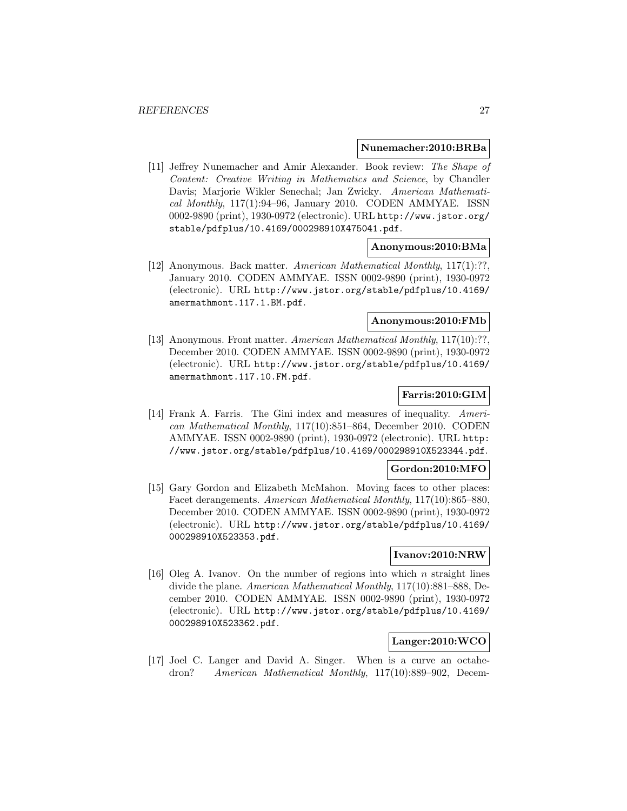#### **Nunemacher:2010:BRBa**

[11] Jeffrey Nunemacher and Amir Alexander. Book review: The Shape of Content: Creative Writing in Mathematics and Science, by Chandler Davis; Marjorie Wikler Senechal; Jan Zwicky. American Mathematical Monthly, 117(1):94–96, January 2010. CODEN AMMYAE. ISSN 0002-9890 (print), 1930-0972 (electronic). URL http://www.jstor.org/ stable/pdfplus/10.4169/000298910X475041.pdf.

#### **Anonymous:2010:BMa**

[12] Anonymous. Back matter. American Mathematical Monthly, 117(1):??, January 2010. CODEN AMMYAE. ISSN 0002-9890 (print), 1930-0972 (electronic). URL http://www.jstor.org/stable/pdfplus/10.4169/ amermathmont.117.1.BM.pdf.

#### **Anonymous:2010:FMb**

[13] Anonymous. Front matter. American Mathematical Monthly, 117(10):??, December 2010. CODEN AMMYAE. ISSN 0002-9890 (print), 1930-0972 (electronic). URL http://www.jstor.org/stable/pdfplus/10.4169/ amermathmont.117.10.FM.pdf.

# **Farris:2010:GIM**

[14] Frank A. Farris. The Gini index and measures of inequality. American Mathematical Monthly, 117(10):851–864, December 2010. CODEN AMMYAE. ISSN 0002-9890 (print), 1930-0972 (electronic). URL http: //www.jstor.org/stable/pdfplus/10.4169/000298910X523344.pdf.

#### **Gordon:2010:MFO**

[15] Gary Gordon and Elizabeth McMahon. Moving faces to other places: Facet derangements. American Mathematical Monthly, 117(10):865–880, December 2010. CODEN AMMYAE. ISSN 0002-9890 (print), 1930-0972 (electronic). URL http://www.jstor.org/stable/pdfplus/10.4169/ 000298910X523353.pdf.

#### **Ivanov:2010:NRW**

[16] Oleg A. Ivanov. On the number of regions into which  $n$  straight lines divide the plane. American Mathematical Monthly, 117(10):881–888, December 2010. CODEN AMMYAE. ISSN 0002-9890 (print), 1930-0972 (electronic). URL http://www.jstor.org/stable/pdfplus/10.4169/ 000298910X523362.pdf.

## **Langer:2010:WCO**

[17] Joel C. Langer and David A. Singer. When is a curve an octahedron? American Mathematical Monthly, 117(10):889–902, Decem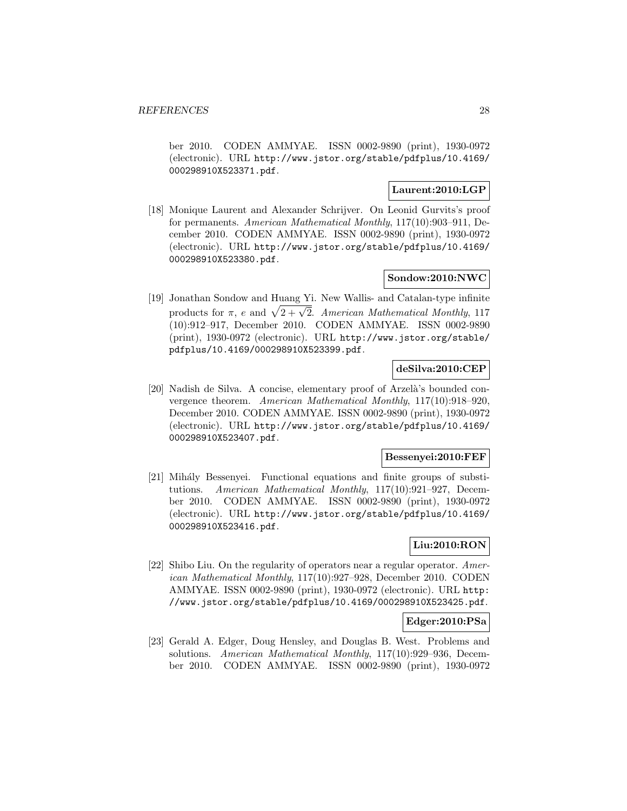ber 2010. CODEN AMMYAE. ISSN 0002-9890 (print), 1930-0972 (electronic). URL http://www.jstor.org/stable/pdfplus/10.4169/ 000298910X523371.pdf.

# **Laurent:2010:LGP**

[18] Monique Laurent and Alexander Schrijver. On Leonid Gurvits's proof for permanents. American Mathematical Monthly, 117(10):903–911, December 2010. CODEN AMMYAE. ISSN 0002-9890 (print), 1930-0972 (electronic). URL http://www.jstor.org/stable/pdfplus/10.4169/ 000298910X523380.pdf.

### **Sondow:2010:NWC**

[19] Jonathan Sondow and Huang Yi. New Wallis- and Catalan-type infinite products for  $\pi$ , e and  $\sqrt{2 + \sqrt{2}}$ . American Mathematical Monthly, 117 (10):912–917, December 2010. CODEN AMMYAE. ISSN 0002-9890 (print), 1930-0972 (electronic). URL http://www.jstor.org/stable/ pdfplus/10.4169/000298910X523399.pdf.

# **deSilva:2010:CEP**

[20] Nadish de Silva. A concise, elementary proof of Arzelà's bounded convergence theorem. American Mathematical Monthly, 117(10):918–920, December 2010. CODEN AMMYAE. ISSN 0002-9890 (print), 1930-0972 (electronic). URL http://www.jstor.org/stable/pdfplus/10.4169/ 000298910X523407.pdf.

## **Bessenyei:2010:FEF**

[21] Mihály Bessenyei. Functional equations and finite groups of substitutions. American Mathematical Monthly, 117(10):921–927, December 2010. CODEN AMMYAE. ISSN 0002-9890 (print), 1930-0972 (electronic). URL http://www.jstor.org/stable/pdfplus/10.4169/ 000298910X523416.pdf.

# **Liu:2010:RON**

[22] Shibo Liu. On the regularity of operators near a regular operator. American Mathematical Monthly, 117(10):927–928, December 2010. CODEN AMMYAE. ISSN 0002-9890 (print), 1930-0972 (electronic). URL http: //www.jstor.org/stable/pdfplus/10.4169/000298910X523425.pdf.

### **Edger:2010:PSa**

[23] Gerald A. Edger, Doug Hensley, and Douglas B. West. Problems and solutions. American Mathematical Monthly, 117(10):929–936, December 2010. CODEN AMMYAE. ISSN 0002-9890 (print), 1930-0972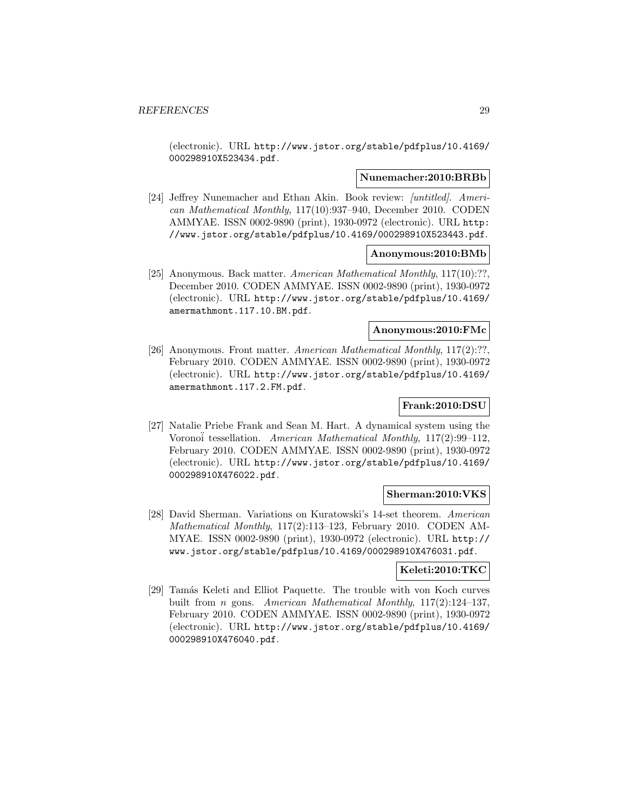(electronic). URL http://www.jstor.org/stable/pdfplus/10.4169/ 000298910X523434.pdf.

#### **Nunemacher:2010:BRBb**

[24] Jeffrey Nunemacher and Ethan Akin. Book review: [untitled]. American Mathematical Monthly, 117(10):937–940, December 2010. CODEN AMMYAE. ISSN 0002-9890 (print), 1930-0972 (electronic). URL http: //www.jstor.org/stable/pdfplus/10.4169/000298910X523443.pdf.

## **Anonymous:2010:BMb**

[25] Anonymous. Back matter. American Mathematical Monthly, 117(10):??, December 2010. CODEN AMMYAE. ISSN 0002-9890 (print), 1930-0972 (electronic). URL http://www.jstor.org/stable/pdfplus/10.4169/ amermathmont.117.10.BM.pdf.

#### **Anonymous:2010:FMc**

[26] Anonymous. Front matter. American Mathematical Monthly, 117(2):??, February 2010. CODEN AMMYAE. ISSN 0002-9890 (print), 1930-0972 (electronic). URL http://www.jstor.org/stable/pdfplus/10.4169/ amermathmont.117.2.FM.pdf.

# **Frank:2010:DSU**

[27] Natalie Priebe Frank and Sean M. Hart. A dynamical system using the Vorono¨i tessellation. American Mathematical Monthly, 117(2):99–112, February 2010. CODEN AMMYAE. ISSN 0002-9890 (print), 1930-0972 (electronic). URL http://www.jstor.org/stable/pdfplus/10.4169/ 000298910X476022.pdf.

### **Sherman:2010:VKS**

[28] David Sherman. Variations on Kuratowski's 14-set theorem. American Mathematical Monthly, 117(2):113–123, February 2010. CODEN AM-MYAE. ISSN 0002-9890 (print), 1930-0972 (electronic). URL http:// www.jstor.org/stable/pdfplus/10.4169/000298910X476031.pdf.

### **Keleti:2010:TKC**

[29] Tamás Keleti and Elliot Paquette. The trouble with von Koch curves built from n gons. American Mathematical Monthly, 117(2):124–137, February 2010. CODEN AMMYAE. ISSN 0002-9890 (print), 1930-0972 (electronic). URL http://www.jstor.org/stable/pdfplus/10.4169/ 000298910X476040.pdf.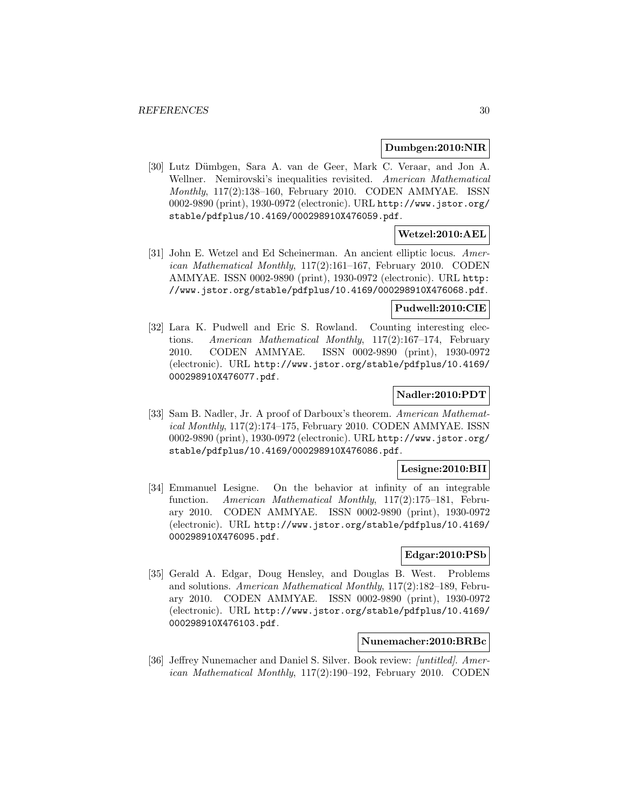#### **Dumbgen:2010:NIR**

[30] Lutz D¨umbgen, Sara A. van de Geer, Mark C. Veraar, and Jon A. Wellner. Nemirovski's inequalities revisited. American Mathematical Monthly, 117(2):138–160, February 2010. CODEN AMMYAE. ISSN 0002-9890 (print), 1930-0972 (electronic). URL http://www.jstor.org/ stable/pdfplus/10.4169/000298910X476059.pdf.

# **Wetzel:2010:AEL**

[31] John E. Wetzel and Ed Scheinerman. An ancient elliptic locus. American Mathematical Monthly, 117(2):161–167, February 2010. CODEN AMMYAE. ISSN 0002-9890 (print), 1930-0972 (electronic). URL http: //www.jstor.org/stable/pdfplus/10.4169/000298910X476068.pdf.

# **Pudwell:2010:CIE**

[32] Lara K. Pudwell and Eric S. Rowland. Counting interesting elections. American Mathematical Monthly, 117(2):167–174, February 2010. CODEN AMMYAE. ISSN 0002-9890 (print), 1930-0972 (electronic). URL http://www.jstor.org/stable/pdfplus/10.4169/ 000298910X476077.pdf.

# **Nadler:2010:PDT**

[33] Sam B. Nadler, Jr. A proof of Darboux's theorem. American Mathematical Monthly, 117(2):174–175, February 2010. CODEN AMMYAE. ISSN 0002-9890 (print), 1930-0972 (electronic). URL http://www.jstor.org/ stable/pdfplus/10.4169/000298910X476086.pdf.

#### **Lesigne:2010:BII**

[34] Emmanuel Lesigne. On the behavior at infinity of an integrable function. American Mathematical Monthly, 117(2):175–181, February 2010. CODEN AMMYAE. ISSN 0002-9890 (print), 1930-0972 (electronic). URL http://www.jstor.org/stable/pdfplus/10.4169/ 000298910X476095.pdf.

# **Edgar:2010:PSb**

[35] Gerald A. Edgar, Doug Hensley, and Douglas B. West. Problems and solutions. American Mathematical Monthly, 117(2):182–189, February 2010. CODEN AMMYAE. ISSN 0002-9890 (print), 1930-0972 (electronic). URL http://www.jstor.org/stable/pdfplus/10.4169/ 000298910X476103.pdf.

## **Nunemacher:2010:BRBc**

[36] Jeffrey Nunemacher and Daniel S. Silver. Book review: [untitled]. American Mathematical Monthly, 117(2):190–192, February 2010. CODEN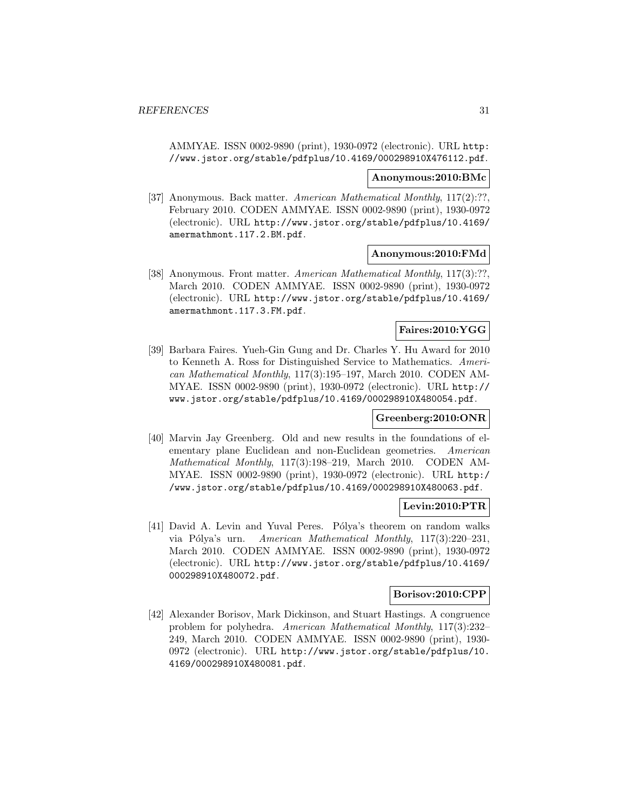AMMYAE. ISSN 0002-9890 (print), 1930-0972 (electronic). URL http: //www.jstor.org/stable/pdfplus/10.4169/000298910X476112.pdf.

#### **Anonymous:2010:BMc**

[37] Anonymous. Back matter. American Mathematical Monthly, 117(2):??, February 2010. CODEN AMMYAE. ISSN 0002-9890 (print), 1930-0972 (electronic). URL http://www.jstor.org/stable/pdfplus/10.4169/ amermathmont.117.2.BM.pdf.

## **Anonymous:2010:FMd**

[38] Anonymous. Front matter. American Mathematical Monthly, 117(3):??, March 2010. CODEN AMMYAE. ISSN 0002-9890 (print), 1930-0972 (electronic). URL http://www.jstor.org/stable/pdfplus/10.4169/ amermathmont.117.3.FM.pdf.

## **Faires:2010:YGG**

[39] Barbara Faires. Yueh-Gin Gung and Dr. Charles Y. Hu Award for 2010 to Kenneth A. Ross for Distinguished Service to Mathematics. American Mathematical Monthly, 117(3):195–197, March 2010. CODEN AM-MYAE. ISSN 0002-9890 (print), 1930-0972 (electronic). URL http:// www.jstor.org/stable/pdfplus/10.4169/000298910X480054.pdf.

### **Greenberg:2010:ONR**

[40] Marvin Jay Greenberg. Old and new results in the foundations of elementary plane Euclidean and non-Euclidean geometries. American Mathematical Monthly, 117(3):198–219, March 2010. CODEN AM-MYAE. ISSN 0002-9890 (print), 1930-0972 (electronic). URL http:/ /www.jstor.org/stable/pdfplus/10.4169/000298910X480063.pdf.

# **Levin:2010:PTR**

[41] David A. Levin and Yuval Peres. Pólya's theorem on random walks via Pólya's urn. American Mathematical Monthly, 117(3):220-231, March 2010. CODEN AMMYAE. ISSN 0002-9890 (print), 1930-0972 (electronic). URL http://www.jstor.org/stable/pdfplus/10.4169/ 000298910X480072.pdf.

# **Borisov:2010:CPP**

[42] Alexander Borisov, Mark Dickinson, and Stuart Hastings. A congruence problem for polyhedra. American Mathematical Monthly, 117(3):232– 249, March 2010. CODEN AMMYAE. ISSN 0002-9890 (print), 1930- 0972 (electronic). URL http://www.jstor.org/stable/pdfplus/10. 4169/000298910X480081.pdf.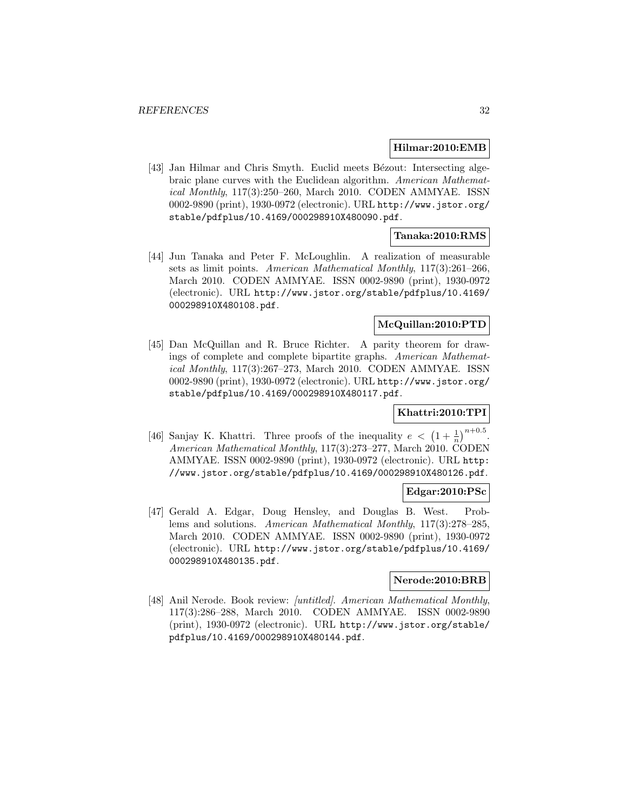#### **Hilmar:2010:EMB**

[43] Jan Hilmar and Chris Smyth. Euclid meets Bézout: Intersecting algebraic plane curves with the Euclidean algorithm. American Mathematical Monthly, 117(3):250–260, March 2010. CODEN AMMYAE. ISSN 0002-9890 (print), 1930-0972 (electronic). URL http://www.jstor.org/ stable/pdfplus/10.4169/000298910X480090.pdf.

### **Tanaka:2010:RMS**

[44] Jun Tanaka and Peter F. McLoughlin. A realization of measurable sets as limit points. American Mathematical Monthly, 117(3):261–266, March 2010. CODEN AMMYAE. ISSN 0002-9890 (print), 1930-0972 (electronic). URL http://www.jstor.org/stable/pdfplus/10.4169/ 000298910X480108.pdf.

# **McQuillan:2010:PTD**

[45] Dan McQuillan and R. Bruce Richter. A parity theorem for drawings of complete and complete bipartite graphs. American Mathematical Monthly, 117(3):267–273, March 2010. CODEN AMMYAE. ISSN 0002-9890 (print), 1930-0972 (electronic). URL http://www.jstor.org/ stable/pdfplus/10.4169/000298910X480117.pdf.

# **Khattri:2010:TPI**

[46] Sanjay K. Khattri. Three proofs of the inequality  $e < (1 + \frac{1}{n})^{n+0.5}$ . American Mathematical Monthly, 117(3):273–277, March 2010. CODEN AMMYAE. ISSN 0002-9890 (print), 1930-0972 (electronic). URL http: //www.jstor.org/stable/pdfplus/10.4169/000298910X480126.pdf.

#### **Edgar:2010:PSc**

[47] Gerald A. Edgar, Doug Hensley, and Douglas B. West. Problems and solutions. American Mathematical Monthly, 117(3):278–285, March 2010. CODEN AMMYAE. ISSN 0002-9890 (print), 1930-0972 (electronic). URL http://www.jstor.org/stable/pdfplus/10.4169/ 000298910X480135.pdf.

#### **Nerode:2010:BRB**

[48] Anil Nerode. Book review: [untitled]. American Mathematical Monthly, 117(3):286–288, March 2010. CODEN AMMYAE. ISSN 0002-9890 (print), 1930-0972 (electronic). URL http://www.jstor.org/stable/ pdfplus/10.4169/000298910X480144.pdf.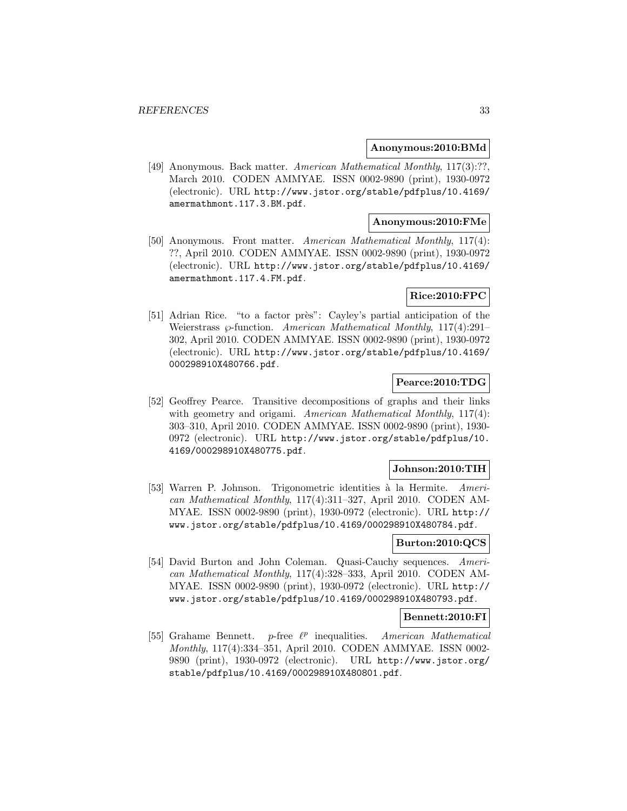#### **Anonymous:2010:BMd**

[49] Anonymous. Back matter. American Mathematical Monthly, 117(3):??, March 2010. CODEN AMMYAE. ISSN 0002-9890 (print), 1930-0972 (electronic). URL http://www.jstor.org/stable/pdfplus/10.4169/ amermathmont.117.3.BM.pdf.

# **Anonymous:2010:FMe**

[50] Anonymous. Front matter. American Mathematical Monthly, 117(4): ??, April 2010. CODEN AMMYAE. ISSN 0002-9890 (print), 1930-0972 (electronic). URL http://www.jstor.org/stable/pdfplus/10.4169/ amermathmont.117.4.FM.pdf.

# **Rice:2010:FPC**

[51] Adrian Rice. "to a factor près": Cayley's partial anticipation of the Weierstrass  $\wp$ -function. American Mathematical Monthly, 117(4):291– 302, April 2010. CODEN AMMYAE. ISSN 0002-9890 (print), 1930-0972 (electronic). URL http://www.jstor.org/stable/pdfplus/10.4169/ 000298910X480766.pdf.

# **Pearce:2010:TDG**

[52] Geoffrey Pearce. Transitive decompositions of graphs and their links with geometry and origami. American Mathematical Monthly, 117(4): 303–310, April 2010. CODEN AMMYAE. ISSN 0002-9890 (print), 1930- 0972 (electronic). URL http://www.jstor.org/stable/pdfplus/10. 4169/000298910X480775.pdf.

#### **Johnson:2010:TIH**

[53] Warren P. Johnson. Trigonometric identities à la Hermite. American Mathematical Monthly, 117(4):311–327, April 2010. CODEN AM-MYAE. ISSN 0002-9890 (print), 1930-0972 (electronic). URL http:// www.jstor.org/stable/pdfplus/10.4169/000298910X480784.pdf.

### **Burton:2010:QCS**

[54] David Burton and John Coleman. Quasi-Cauchy sequences. American Mathematical Monthly, 117(4):328–333, April 2010. CODEN AM-MYAE. ISSN 0002-9890 (print), 1930-0972 (electronic). URL http:// www.jstor.org/stable/pdfplus/10.4169/000298910X480793.pdf.

### **Bennett:2010:FI**

[55] Grahame Bennett. p-free  $\ell^p$  inequalities. American Mathematical Monthly, 117(4):334–351, April 2010. CODEN AMMYAE. ISSN 0002- 9890 (print), 1930-0972 (electronic). URL http://www.jstor.org/ stable/pdfplus/10.4169/000298910X480801.pdf.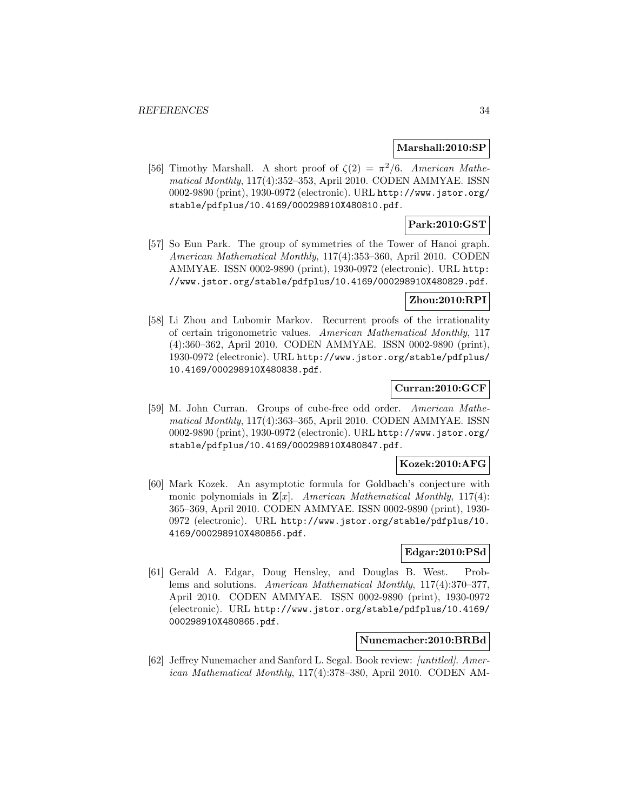### **Marshall:2010:SP**

[56] Timothy Marshall. A short proof of  $\zeta(2) = \pi^2/6$ . American Mathematical Monthly, 117(4):352–353, April 2010. CODEN AMMYAE. ISSN 0002-9890 (print), 1930-0972 (electronic). URL http://www.jstor.org/ stable/pdfplus/10.4169/000298910X480810.pdf.

# **Park:2010:GST**

[57] So Eun Park. The group of symmetries of the Tower of Hanoi graph. American Mathematical Monthly, 117(4):353–360, April 2010. CODEN AMMYAE. ISSN 0002-9890 (print), 1930-0972 (electronic). URL http: //www.jstor.org/stable/pdfplus/10.4169/000298910X480829.pdf.

## **Zhou:2010:RPI**

[58] Li Zhou and Lubomir Markov. Recurrent proofs of the irrationality of certain trigonometric values. American Mathematical Monthly, 117 (4):360–362, April 2010. CODEN AMMYAE. ISSN 0002-9890 (print), 1930-0972 (electronic). URL http://www.jstor.org/stable/pdfplus/ 10.4169/000298910X480838.pdf.

# **Curran:2010:GCF**

[59] M. John Curran. Groups of cube-free odd order. American Mathematical Monthly, 117(4):363–365, April 2010. CODEN AMMYAE. ISSN 0002-9890 (print), 1930-0972 (electronic). URL http://www.jstor.org/ stable/pdfplus/10.4169/000298910X480847.pdf.

### **Kozek:2010:AFG**

[60] Mark Kozek. An asymptotic formula for Goldbach's conjecture with monic polynomials in  $\mathbf{Z}[x]$ . American Mathematical Monthly, 117(4): 365–369, April 2010. CODEN AMMYAE. ISSN 0002-9890 (print), 1930- 0972 (electronic). URL http://www.jstor.org/stable/pdfplus/10. 4169/000298910X480856.pdf.

#### **Edgar:2010:PSd**

[61] Gerald A. Edgar, Doug Hensley, and Douglas B. West. Problems and solutions. American Mathematical Monthly, 117(4):370–377, April 2010. CODEN AMMYAE. ISSN 0002-9890 (print), 1930-0972 (electronic). URL http://www.jstor.org/stable/pdfplus/10.4169/ 000298910X480865.pdf.

### **Nunemacher:2010:BRBd**

[62] Jeffrey Nunemacher and Sanford L. Segal. Book review: [untitled]. American Mathematical Monthly, 117(4):378–380, April 2010. CODEN AM-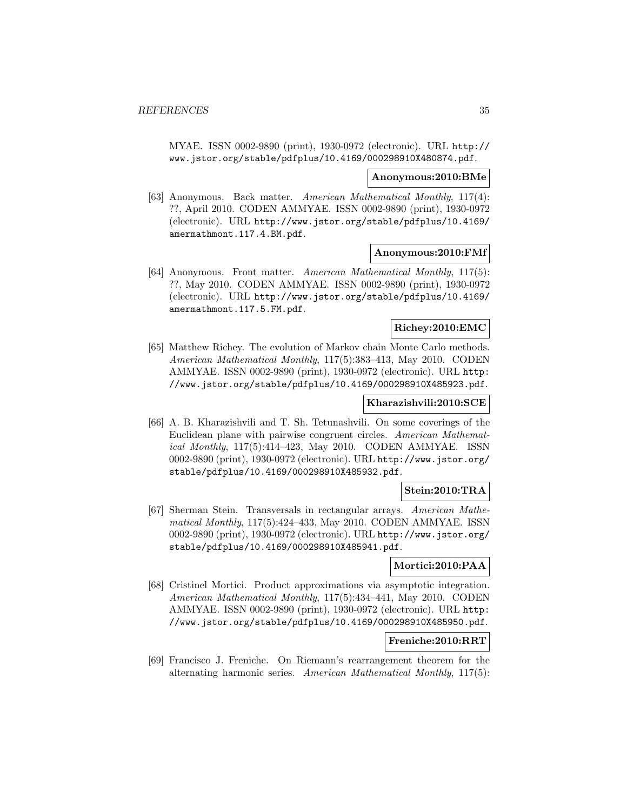MYAE. ISSN 0002-9890 (print), 1930-0972 (electronic). URL http:// www.jstor.org/stable/pdfplus/10.4169/000298910X480874.pdf.

#### **Anonymous:2010:BMe**

[63] Anonymous. Back matter. American Mathematical Monthly, 117(4): ??, April 2010. CODEN AMMYAE. ISSN 0002-9890 (print), 1930-0972 (electronic). URL http://www.jstor.org/stable/pdfplus/10.4169/ amermathmont.117.4.BM.pdf.

### **Anonymous:2010:FMf**

[64] Anonymous. Front matter. American Mathematical Monthly, 117(5): ??, May 2010. CODEN AMMYAE. ISSN 0002-9890 (print), 1930-0972 (electronic). URL http://www.jstor.org/stable/pdfplus/10.4169/ amermathmont.117.5.FM.pdf.

#### **Richey:2010:EMC**

[65] Matthew Richey. The evolution of Markov chain Monte Carlo methods. American Mathematical Monthly, 117(5):383–413, May 2010. CODEN AMMYAE. ISSN 0002-9890 (print), 1930-0972 (electronic). URL http: //www.jstor.org/stable/pdfplus/10.4169/000298910X485923.pdf.

#### **Kharazishvili:2010:SCE**

[66] A. B. Kharazishvili and T. Sh. Tetunashvili. On some coverings of the Euclidean plane with pairwise congruent circles. American Mathematical Monthly, 117(5):414–423, May 2010. CODEN AMMYAE. ISSN 0002-9890 (print), 1930-0972 (electronic). URL http://www.jstor.org/ stable/pdfplus/10.4169/000298910X485932.pdf.

# **Stein:2010:TRA**

[67] Sherman Stein. Transversals in rectangular arrays. American Mathematical Monthly, 117(5):424–433, May 2010. CODEN AMMYAE. ISSN 0002-9890 (print), 1930-0972 (electronic). URL http://www.jstor.org/ stable/pdfplus/10.4169/000298910X485941.pdf.

# **Mortici:2010:PAA**

[68] Cristinel Mortici. Product approximations via asymptotic integration. American Mathematical Monthly, 117(5):434–441, May 2010. CODEN AMMYAE. ISSN 0002-9890 (print), 1930-0972 (electronic). URL http: //www.jstor.org/stable/pdfplus/10.4169/000298910X485950.pdf.

# **Freniche:2010:RRT**

[69] Francisco J. Freniche. On Riemann's rearrangement theorem for the alternating harmonic series. American Mathematical Monthly, 117(5):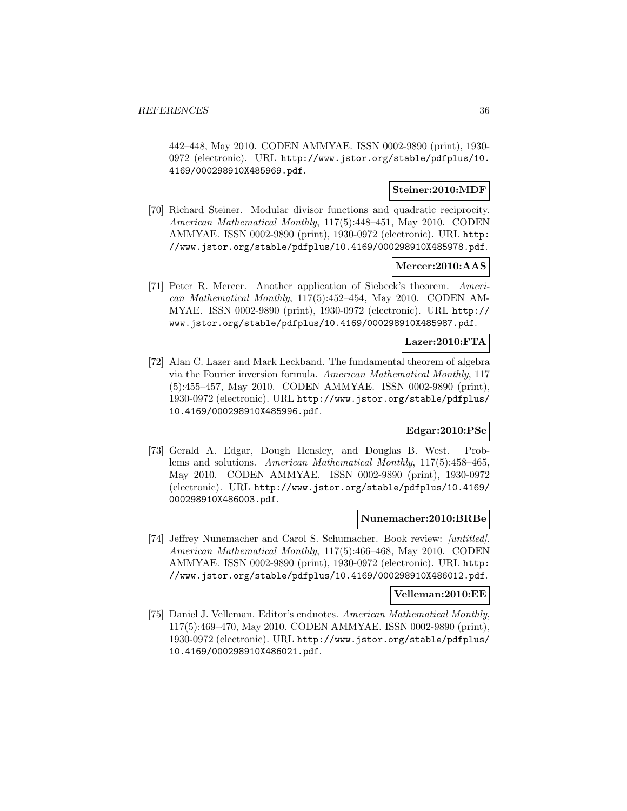442–448, May 2010. CODEN AMMYAE. ISSN 0002-9890 (print), 1930- 0972 (electronic). URL http://www.jstor.org/stable/pdfplus/10. 4169/000298910X485969.pdf.

## **Steiner:2010:MDF**

[70] Richard Steiner. Modular divisor functions and quadratic reciprocity. American Mathematical Monthly, 117(5):448–451, May 2010. CODEN AMMYAE. ISSN 0002-9890 (print), 1930-0972 (electronic). URL http: //www.jstor.org/stable/pdfplus/10.4169/000298910X485978.pdf.

### **Mercer:2010:AAS**

[71] Peter R. Mercer. Another application of Siebeck's theorem. American Mathematical Monthly, 117(5):452–454, May 2010. CODEN AM-MYAE. ISSN 0002-9890 (print), 1930-0972 (electronic). URL http:// www.jstor.org/stable/pdfplus/10.4169/000298910X485987.pdf.

### **Lazer:2010:FTA**

[72] Alan C. Lazer and Mark Leckband. The fundamental theorem of algebra via the Fourier inversion formula. American Mathematical Monthly, 117 (5):455–457, May 2010. CODEN AMMYAE. ISSN 0002-9890 (print), 1930-0972 (electronic). URL http://www.jstor.org/stable/pdfplus/ 10.4169/000298910X485996.pdf.

### **Edgar:2010:PSe**

[73] Gerald A. Edgar, Dough Hensley, and Douglas B. West. Problems and solutions. American Mathematical Monthly, 117(5):458–465, May 2010. CODEN AMMYAE. ISSN 0002-9890 (print), 1930-0972 (electronic). URL http://www.jstor.org/stable/pdfplus/10.4169/ 000298910X486003.pdf.

#### **Nunemacher:2010:BRBe**

[74] Jeffrey Nunemacher and Carol S. Schumacher. Book review: *[untitled]*. American Mathematical Monthly, 117(5):466–468, May 2010. CODEN AMMYAE. ISSN 0002-9890 (print), 1930-0972 (electronic). URL http: //www.jstor.org/stable/pdfplus/10.4169/000298910X486012.pdf.

#### **Velleman:2010:EE**

[75] Daniel J. Velleman. Editor's endnotes. American Mathematical Monthly, 117(5):469–470, May 2010. CODEN AMMYAE. ISSN 0002-9890 (print), 1930-0972 (electronic). URL http://www.jstor.org/stable/pdfplus/ 10.4169/000298910X486021.pdf.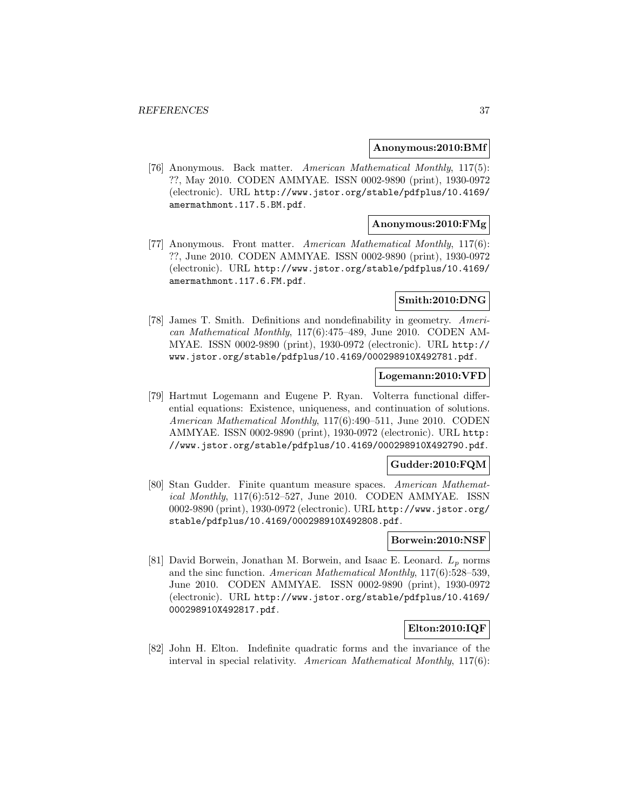#### **Anonymous:2010:BMf**

[76] Anonymous. Back matter. American Mathematical Monthly, 117(5): ??, May 2010. CODEN AMMYAE. ISSN 0002-9890 (print), 1930-0972 (electronic). URL http://www.jstor.org/stable/pdfplus/10.4169/ amermathmont.117.5.BM.pdf.

## **Anonymous:2010:FMg**

[77] Anonymous. Front matter. American Mathematical Monthly, 117(6): ??, June 2010. CODEN AMMYAE. ISSN 0002-9890 (print), 1930-0972 (electronic). URL http://www.jstor.org/stable/pdfplus/10.4169/ amermathmont.117.6.FM.pdf.

#### **Smith:2010:DNG**

[78] James T. Smith. Definitions and nondefinability in geometry. American Mathematical Monthly, 117(6):475–489, June 2010. CODEN AM-MYAE. ISSN 0002-9890 (print), 1930-0972 (electronic). URL http:// www.jstor.org/stable/pdfplus/10.4169/000298910X492781.pdf.

# **Logemann:2010:VFD**

[79] Hartmut Logemann and Eugene P. Ryan. Volterra functional differential equations: Existence, uniqueness, and continuation of solutions. American Mathematical Monthly, 117(6):490–511, June 2010. CODEN AMMYAE. ISSN 0002-9890 (print), 1930-0972 (electronic). URL http: //www.jstor.org/stable/pdfplus/10.4169/000298910X492790.pdf.

### **Gudder:2010:FQM**

[80] Stan Gudder. Finite quantum measure spaces. American Mathematical Monthly, 117(6):512–527, June 2010. CODEN AMMYAE. ISSN 0002-9890 (print), 1930-0972 (electronic). URL http://www.jstor.org/ stable/pdfplus/10.4169/000298910X492808.pdf.

## **Borwein:2010:NSF**

[81] David Borwein, Jonathan M. Borwein, and Isaac E. Leonard.  $L_p$  norms and the sinc function. American Mathematical Monthly, 117(6):528–539, June 2010. CODEN AMMYAE. ISSN 0002-9890 (print), 1930-0972 (electronic). URL http://www.jstor.org/stable/pdfplus/10.4169/ 000298910X492817.pdf.

### **Elton:2010:IQF**

[82] John H. Elton. Indefinite quadratic forms and the invariance of the interval in special relativity. American Mathematical Monthly, 117(6):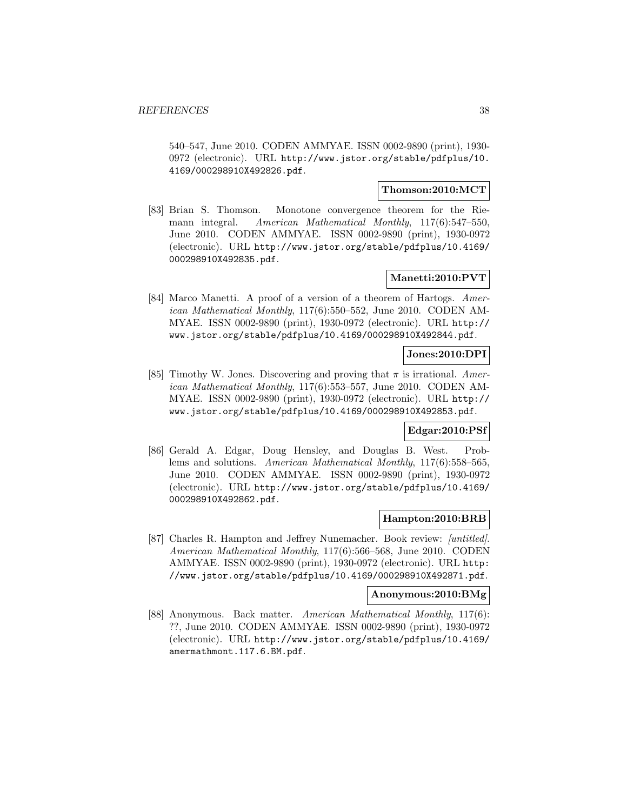540–547, June 2010. CODEN AMMYAE. ISSN 0002-9890 (print), 1930- 0972 (electronic). URL http://www.jstor.org/stable/pdfplus/10. 4169/000298910X492826.pdf.

# **Thomson:2010:MCT**

[83] Brian S. Thomson. Monotone convergence theorem for the Riemann integral. American Mathematical Monthly, 117(6):547–550, June 2010. CODEN AMMYAE. ISSN 0002-9890 (print), 1930-0972 (electronic). URL http://www.jstor.org/stable/pdfplus/10.4169/ 000298910X492835.pdf.

# **Manetti:2010:PVT**

[84] Marco Manetti. A proof of a version of a theorem of Hartogs. American Mathematical Monthly, 117(6):550–552, June 2010. CODEN AM-MYAE. ISSN 0002-9890 (print), 1930-0972 (electronic). URL http:// www.jstor.org/stable/pdfplus/10.4169/000298910X492844.pdf.

# **Jones:2010:DPI**

[85] Timothy W. Jones. Discovering and proving that  $\pi$  is irrational. American Mathematical Monthly, 117(6):553–557, June 2010. CODEN AM-MYAE. ISSN 0002-9890 (print), 1930-0972 (electronic). URL http:// www.jstor.org/stable/pdfplus/10.4169/000298910X492853.pdf.

### **Edgar:2010:PSf**

[86] Gerald A. Edgar, Doug Hensley, and Douglas B. West. Problems and solutions. American Mathematical Monthly, 117(6):558–565, June 2010. CODEN AMMYAE. ISSN 0002-9890 (print), 1930-0972 (electronic). URL http://www.jstor.org/stable/pdfplus/10.4169/ 000298910X492862.pdf.

## **Hampton:2010:BRB**

[87] Charles R. Hampton and Jeffrey Nunemacher. Book review: *[untitled]*. American Mathematical Monthly, 117(6):566–568, June 2010. CODEN AMMYAE. ISSN 0002-9890 (print), 1930-0972 (electronic). URL http: //www.jstor.org/stable/pdfplus/10.4169/000298910X492871.pdf.

#### **Anonymous:2010:BMg**

[88] Anonymous. Back matter. American Mathematical Monthly, 117(6): ??, June 2010. CODEN AMMYAE. ISSN 0002-9890 (print), 1930-0972 (electronic). URL http://www.jstor.org/stable/pdfplus/10.4169/ amermathmont.117.6.BM.pdf.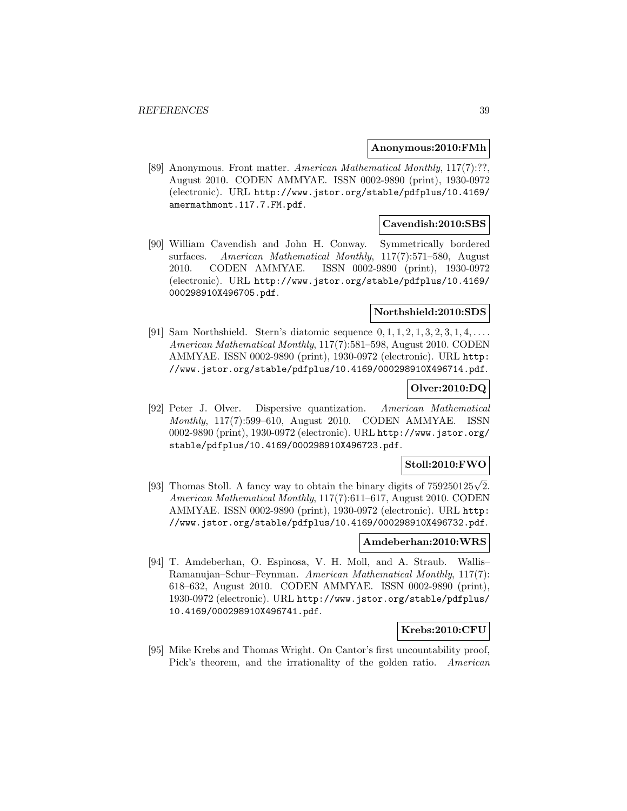#### **Anonymous:2010:FMh**

[89] Anonymous. Front matter. American Mathematical Monthly, 117(7):??, August 2010. CODEN AMMYAE. ISSN 0002-9890 (print), 1930-0972 (electronic). URL http://www.jstor.org/stable/pdfplus/10.4169/ amermathmont.117.7.FM.pdf.

### **Cavendish:2010:SBS**

[90] William Cavendish and John H. Conway. Symmetrically bordered surfaces. American Mathematical Monthly, 117(7):571–580, August 2010. CODEN AMMYAE. ISSN 0002-9890 (print), 1930-0972 (electronic). URL http://www.jstor.org/stable/pdfplus/10.4169/ 000298910X496705.pdf.

#### **Northshield:2010:SDS**

[91] Sam Northshield. Stern's diatomic sequence  $0, 1, 1, 2, 1, 3, 2, 3, 1, 4, \ldots$ American Mathematical Monthly, 117(7):581–598, August 2010. CODEN AMMYAE. ISSN 0002-9890 (print), 1930-0972 (electronic). URL http: //www.jstor.org/stable/pdfplus/10.4169/000298910X496714.pdf.

# **Olver:2010:DQ**

[92] Peter J. Olver. Dispersive quantization. American Mathematical Monthly, 117(7):599–610, August 2010. CODEN AMMYAE. ISSN 0002-9890 (print), 1930-0972 (electronic). URL http://www.jstor.org/ stable/pdfplus/10.4169/000298910X496723.pdf.

### **Stoll:2010:FWO**

[93] Thomas Stoll. A fancy way to obtain the binary digits of  $759250125\sqrt{2}$ . American Mathematical Monthly, 117(7):611–617, August 2010. CODEN AMMYAE. ISSN 0002-9890 (print), 1930-0972 (electronic). URL http: //www.jstor.org/stable/pdfplus/10.4169/000298910X496732.pdf.

## **Amdeberhan:2010:WRS**

[94] T. Amdeberhan, O. Espinosa, V. H. Moll, and A. Straub. Wallis– Ramanujan–Schur–Feynman. American Mathematical Monthly, 117(7): 618–632, August 2010. CODEN AMMYAE. ISSN 0002-9890 (print), 1930-0972 (electronic). URL http://www.jstor.org/stable/pdfplus/ 10.4169/000298910X496741.pdf.

# **Krebs:2010:CFU**

[95] Mike Krebs and Thomas Wright. On Cantor's first uncountability proof, Pick's theorem, and the irrationality of the golden ratio. American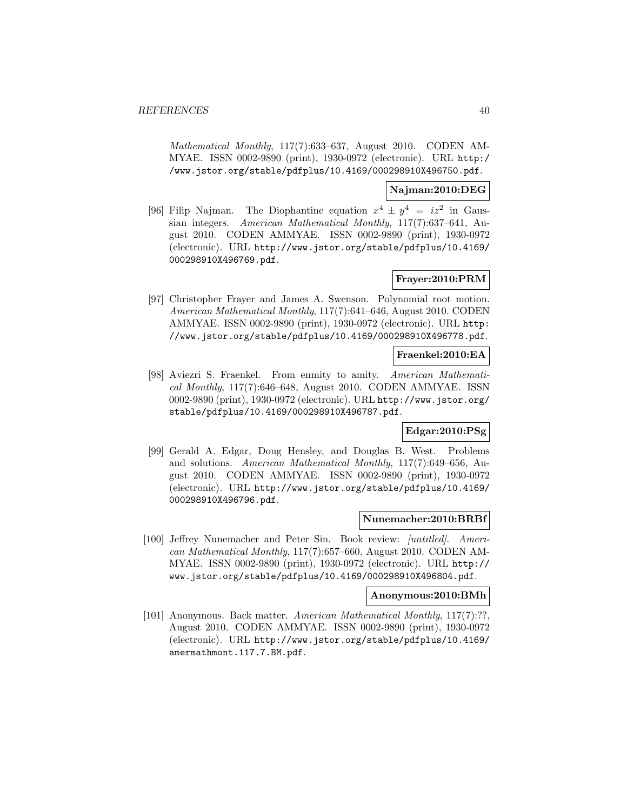Mathematical Monthly, 117(7):633–637, August 2010. CODEN AM-MYAE. ISSN 0002-9890 (print), 1930-0972 (electronic). URL http:/ /www.jstor.org/stable/pdfplus/10.4169/000298910X496750.pdf.

### **Najman:2010:DEG**

[96] Filip Najman. The Diophantine equation  $x^4 \pm y^4 = iz^2$  in Gaussian integers. American Mathematical Monthly, 117(7):637–641, August 2010. CODEN AMMYAE. ISSN 0002-9890 (print), 1930-0972 (electronic). URL http://www.jstor.org/stable/pdfplus/10.4169/ 000298910X496769.pdf.

# **Frayer:2010:PRM**

[97] Christopher Frayer and James A. Swenson. Polynomial root motion. American Mathematical Monthly, 117(7):641–646, August 2010. CODEN AMMYAE. ISSN 0002-9890 (print), 1930-0972 (electronic). URL http: //www.jstor.org/stable/pdfplus/10.4169/000298910X496778.pdf.

### **Fraenkel:2010:EA**

[98] Aviezri S. Fraenkel. From enmity to amity. American Mathematical Monthly, 117(7):646–648, August 2010. CODEN AMMYAE. ISSN 0002-9890 (print), 1930-0972 (electronic). URL http://www.jstor.org/ stable/pdfplus/10.4169/000298910X496787.pdf.

# **Edgar:2010:PSg**

[99] Gerald A. Edgar, Doug Hensley, and Douglas B. West. Problems and solutions. American Mathematical Monthly, 117(7):649–656, August 2010. CODEN AMMYAE. ISSN 0002-9890 (print), 1930-0972 (electronic). URL http://www.jstor.org/stable/pdfplus/10.4169/ 000298910X496796.pdf.

### **Nunemacher:2010:BRBf**

[100] Jeffrey Nunemacher and Peter Sin. Book review: [untitled]. American Mathematical Monthly, 117(7):657–660, August 2010. CODEN AM-MYAE. ISSN 0002-9890 (print), 1930-0972 (electronic). URL http:// www.jstor.org/stable/pdfplus/10.4169/000298910X496804.pdf.

#### **Anonymous:2010:BMh**

[101] Anonymous. Back matter. American Mathematical Monthly, 117(7):??, August 2010. CODEN AMMYAE. ISSN 0002-9890 (print), 1930-0972 (electronic). URL http://www.jstor.org/stable/pdfplus/10.4169/ amermathmont.117.7.BM.pdf.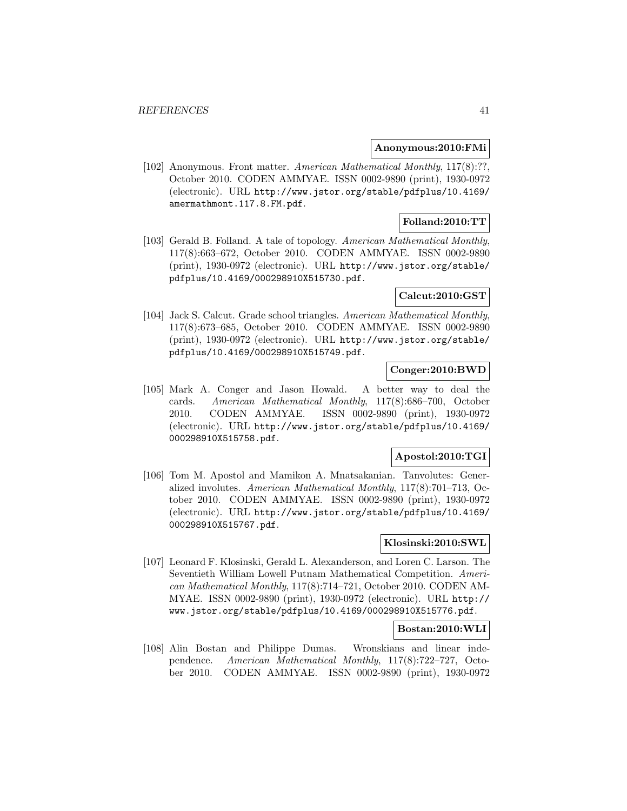#### **Anonymous:2010:FMi**

[102] Anonymous. Front matter. American Mathematical Monthly, 117(8):??, October 2010. CODEN AMMYAE. ISSN 0002-9890 (print), 1930-0972 (electronic). URL http://www.jstor.org/stable/pdfplus/10.4169/ amermathmont.117.8.FM.pdf.

# **Folland:2010:TT**

[103] Gerald B. Folland. A tale of topology. American Mathematical Monthly, 117(8):663–672, October 2010. CODEN AMMYAE. ISSN 0002-9890 (print), 1930-0972 (electronic). URL http://www.jstor.org/stable/ pdfplus/10.4169/000298910X515730.pdf.

# **Calcut:2010:GST**

[104] Jack S. Calcut. Grade school triangles. American Mathematical Monthly, 117(8):673–685, October 2010. CODEN AMMYAE. ISSN 0002-9890 (print), 1930-0972 (electronic). URL http://www.jstor.org/stable/ pdfplus/10.4169/000298910X515749.pdf.

## **Conger:2010:BWD**

[105] Mark A. Conger and Jason Howald. A better way to deal the cards. American Mathematical Monthly, 117(8):686–700, October 2010. CODEN AMMYAE. ISSN 0002-9890 (print), 1930-0972 (electronic). URL http://www.jstor.org/stable/pdfplus/10.4169/ 000298910X515758.pdf.

# **Apostol:2010:TGI**

[106] Tom M. Apostol and Mamikon A. Mnatsakanian. Tanvolutes: Generalized involutes. American Mathematical Monthly, 117(8):701–713, October 2010. CODEN AMMYAE. ISSN 0002-9890 (print), 1930-0972 (electronic). URL http://www.jstor.org/stable/pdfplus/10.4169/ 000298910X515767.pdf.

# **Klosinski:2010:SWL**

[107] Leonard F. Klosinski, Gerald L. Alexanderson, and Loren C. Larson. The Seventieth William Lowell Putnam Mathematical Competition. American Mathematical Monthly, 117(8):714–721, October 2010. CODEN AM-MYAE. ISSN 0002-9890 (print), 1930-0972 (electronic). URL http:// www.jstor.org/stable/pdfplus/10.4169/000298910X515776.pdf.

## **Bostan:2010:WLI**

[108] Alin Bostan and Philippe Dumas. Wronskians and linear independence. American Mathematical Monthly, 117(8):722–727, October 2010. CODEN AMMYAE. ISSN 0002-9890 (print), 1930-0972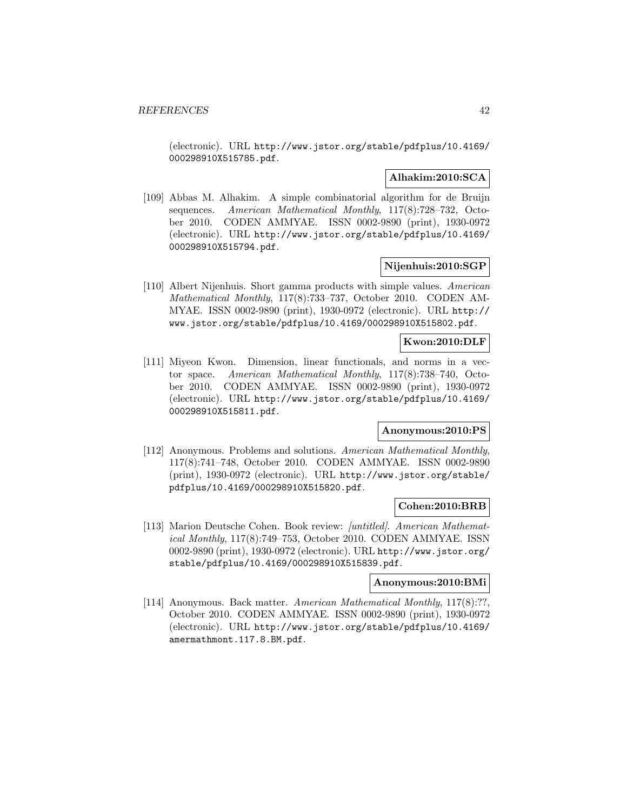(electronic). URL http://www.jstor.org/stable/pdfplus/10.4169/ 000298910X515785.pdf.

# **Alhakim:2010:SCA**

[109] Abbas M. Alhakim. A simple combinatorial algorithm for de Bruijn sequences. American Mathematical Monthly, 117(8):728–732, October 2010. CODEN AMMYAE. ISSN 0002-9890 (print), 1930-0972 (electronic). URL http://www.jstor.org/stable/pdfplus/10.4169/ 000298910X515794.pdf.

### **Nijenhuis:2010:SGP**

[110] Albert Nijenhuis. Short gamma products with simple values. American Mathematical Monthly, 117(8):733–737, October 2010. CODEN AM-MYAE. ISSN 0002-9890 (print), 1930-0972 (electronic). URL http:// www.jstor.org/stable/pdfplus/10.4169/000298910X515802.pdf.

#### **Kwon:2010:DLF**

[111] Miyeon Kwon. Dimension, linear functionals, and norms in a vector space. American Mathematical Monthly, 117(8):738–740, October 2010. CODEN AMMYAE. ISSN 0002-9890 (print), 1930-0972 (electronic). URL http://www.jstor.org/stable/pdfplus/10.4169/ 000298910X515811.pdf.

#### **Anonymous:2010:PS**

[112] Anonymous. Problems and solutions. American Mathematical Monthly, 117(8):741–748, October 2010. CODEN AMMYAE. ISSN 0002-9890 (print), 1930-0972 (electronic). URL http://www.jstor.org/stable/ pdfplus/10.4169/000298910X515820.pdf.

#### **Cohen:2010:BRB**

[113] Marion Deutsche Cohen. Book review: [untitled]. American Mathematical Monthly, 117(8):749–753, October 2010. CODEN AMMYAE. ISSN 0002-9890 (print), 1930-0972 (electronic). URL http://www.jstor.org/ stable/pdfplus/10.4169/000298910X515839.pdf.

#### **Anonymous:2010:BMi**

[114] Anonymous. Back matter. American Mathematical Monthly, 117(8):??, October 2010. CODEN AMMYAE. ISSN 0002-9890 (print), 1930-0972 (electronic). URL http://www.jstor.org/stable/pdfplus/10.4169/ amermathmont.117.8.BM.pdf.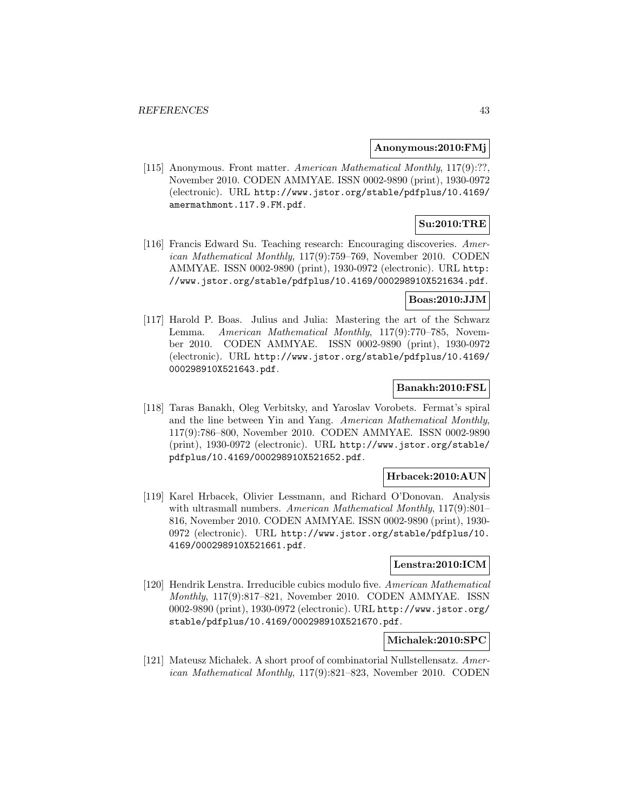#### **Anonymous:2010:FMj**

[115] Anonymous. Front matter. American Mathematical Monthly, 117(9):??, November 2010. CODEN AMMYAE. ISSN 0002-9890 (print), 1930-0972 (electronic). URL http://www.jstor.org/stable/pdfplus/10.4169/ amermathmont.117.9.FM.pdf.

# **Su:2010:TRE**

[116] Francis Edward Su. Teaching research: Encouraging discoveries. American Mathematical Monthly, 117(9):759–769, November 2010. CODEN AMMYAE. ISSN 0002-9890 (print), 1930-0972 (electronic). URL http: //www.jstor.org/stable/pdfplus/10.4169/000298910X521634.pdf.

### **Boas:2010:JJM**

[117] Harold P. Boas. Julius and Julia: Mastering the art of the Schwarz Lemma. American Mathematical Monthly, 117(9):770–785, November 2010. CODEN AMMYAE. ISSN 0002-9890 (print), 1930-0972 (electronic). URL http://www.jstor.org/stable/pdfplus/10.4169/ 000298910X521643.pdf.

# **Banakh:2010:FSL**

[118] Taras Banakh, Oleg Verbitsky, and Yaroslav Vorobets. Fermat's spiral and the line between Yin and Yang. American Mathematical Monthly, 117(9):786–800, November 2010. CODEN AMMYAE. ISSN 0002-9890 (print), 1930-0972 (electronic). URL http://www.jstor.org/stable/ pdfplus/10.4169/000298910X521652.pdf.

### **Hrbacek:2010:AUN**

[119] Karel Hrbacek, Olivier Lessmann, and Richard O'Donovan. Analysis with ultrasmall numbers. American Mathematical Monthly, 117(9):801– 816, November 2010. CODEN AMMYAE. ISSN 0002-9890 (print), 1930- 0972 (electronic). URL http://www.jstor.org/stable/pdfplus/10. 4169/000298910X521661.pdf.

# **Lenstra:2010:ICM**

[120] Hendrik Lenstra. Irreducible cubics modulo five. American Mathematical Monthly, 117(9):817–821, November 2010. CODEN AMMYAE. ISSN 0002-9890 (print), 1930-0972 (electronic). URL http://www.jstor.org/ stable/pdfplus/10.4169/000298910X521670.pdf.

### **Michalek:2010:SPC**

[121] Mateusz Michałek. A short proof of combinatorial Nullstellensatz. American Mathematical Monthly, 117(9):821–823, November 2010. CODEN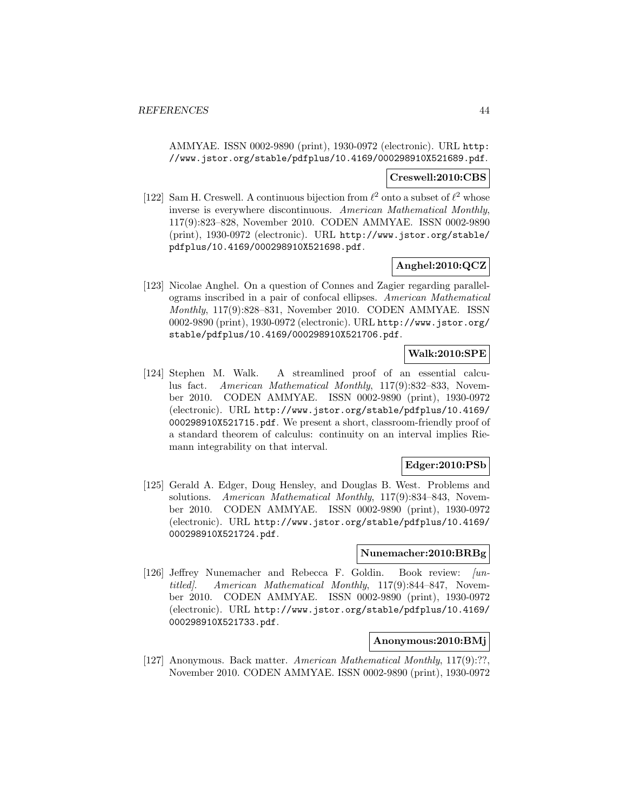AMMYAE. ISSN 0002-9890 (print), 1930-0972 (electronic). URL http: //www.jstor.org/stable/pdfplus/10.4169/000298910X521689.pdf.

#### **Creswell:2010:CBS**

[122] Sam H. Creswell. A continuous bijection from  $\ell^2$  onto a subset of  $\ell^2$  whose inverse is everywhere discontinuous. American Mathematical Monthly, 117(9):823–828, November 2010. CODEN AMMYAE. ISSN 0002-9890 (print), 1930-0972 (electronic). URL http://www.jstor.org/stable/ pdfplus/10.4169/000298910X521698.pdf.

# **Anghel:2010:QCZ**

[123] Nicolae Anghel. On a question of Connes and Zagier regarding parallelograms inscribed in a pair of confocal ellipses. American Mathematical Monthly, 117(9):828–831, November 2010. CODEN AMMYAE. ISSN 0002-9890 (print), 1930-0972 (electronic). URL http://www.jstor.org/ stable/pdfplus/10.4169/000298910X521706.pdf.

# **Walk:2010:SPE**

[124] Stephen M. Walk. A streamlined proof of an essential calculus fact. American Mathematical Monthly, 117(9):832–833, November 2010. CODEN AMMYAE. ISSN 0002-9890 (print), 1930-0972 (electronic). URL http://www.jstor.org/stable/pdfplus/10.4169/ 000298910X521715.pdf. We present a short, classroom-friendly proof of a standard theorem of calculus: continuity on an interval implies Riemann integrability on that interval.

### **Edger:2010:PSb**

[125] Gerald A. Edger, Doug Hensley, and Douglas B. West. Problems and solutions. American Mathematical Monthly, 117(9):834–843, November 2010. CODEN AMMYAE. ISSN 0002-9890 (print), 1930-0972 (electronic). URL http://www.jstor.org/stable/pdfplus/10.4169/ 000298910X521724.pdf.

#### **Nunemacher:2010:BRBg**

[126] Jeffrey Nunemacher and Rebecca F. Goldin. Book review: [untitled]. American Mathematical Monthly, 117(9):844–847, November 2010. CODEN AMMYAE. ISSN 0002-9890 (print), 1930-0972 (electronic). URL http://www.jstor.org/stable/pdfplus/10.4169/ 000298910X521733.pdf.

### **Anonymous:2010:BMj**

[127] Anonymous. Back matter. American Mathematical Monthly, 117(9):??, November 2010. CODEN AMMYAE. ISSN 0002-9890 (print), 1930-0972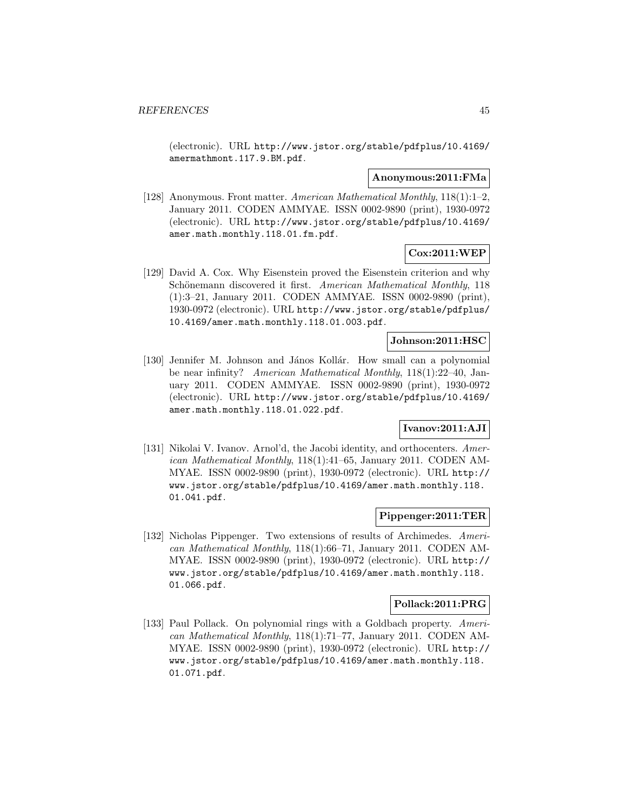(electronic). URL http://www.jstor.org/stable/pdfplus/10.4169/ amermathmont.117.9.BM.pdf.

#### **Anonymous:2011:FMa**

[128] Anonymous. Front matter. American Mathematical Monthly, 118(1):1–2, January 2011. CODEN AMMYAE. ISSN 0002-9890 (print), 1930-0972 (electronic). URL http://www.jstor.org/stable/pdfplus/10.4169/ amer.math.monthly.118.01.fm.pdf.

# **Cox:2011:WEP**

[129] David A. Cox. Why Eisenstein proved the Eisenstein criterion and why Schönemann discovered it first. American Mathematical Monthly, 118 (1):3–21, January 2011. CODEN AMMYAE. ISSN 0002-9890 (print), 1930-0972 (electronic). URL http://www.jstor.org/stable/pdfplus/ 10.4169/amer.math.monthly.118.01.003.pdf.

# **Johnson:2011:HSC**

[130] Jennifer M. Johnson and János Kollár. How small can a polynomial be near infinity? American Mathematical Monthly, 118(1):22–40, January 2011. CODEN AMMYAE. ISSN 0002-9890 (print), 1930-0972 (electronic). URL http://www.jstor.org/stable/pdfplus/10.4169/ amer.math.monthly.118.01.022.pdf.

# **Ivanov:2011:AJI**

[131] Nikolai V. Ivanov. Arnol'd, the Jacobi identity, and orthocenters. American Mathematical Monthly, 118(1):41–65, January 2011. CODEN AM-MYAE. ISSN 0002-9890 (print), 1930-0972 (electronic). URL http:// www.jstor.org/stable/pdfplus/10.4169/amer.math.monthly.118. 01.041.pdf.

### **Pippenger:2011:TER**

[132] Nicholas Pippenger. Two extensions of results of Archimedes. American Mathematical Monthly, 118(1):66–71, January 2011. CODEN AM-MYAE. ISSN 0002-9890 (print), 1930-0972 (electronic). URL http:// www.jstor.org/stable/pdfplus/10.4169/amer.math.monthly.118. 01.066.pdf.

#### **Pollack:2011:PRG**

[133] Paul Pollack. On polynomial rings with a Goldbach property. American Mathematical Monthly, 118(1):71–77, January 2011. CODEN AM-MYAE. ISSN 0002-9890 (print), 1930-0972 (electronic). URL http:// www.jstor.org/stable/pdfplus/10.4169/amer.math.monthly.118. 01.071.pdf.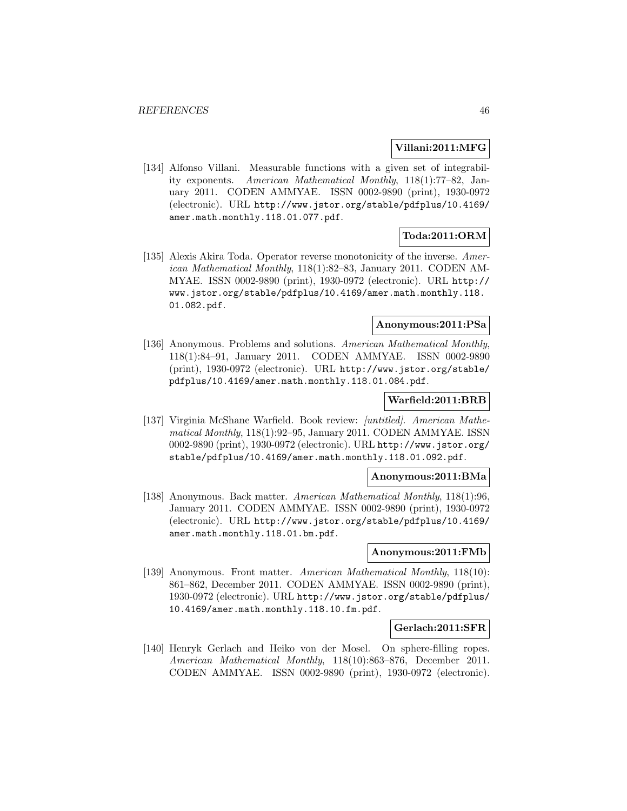#### **Villani:2011:MFG**

[134] Alfonso Villani. Measurable functions with a given set of integrability exponents. American Mathematical Monthly, 118(1):77–82, January 2011. CODEN AMMYAE. ISSN 0002-9890 (print), 1930-0972 (electronic). URL http://www.jstor.org/stable/pdfplus/10.4169/ amer.math.monthly.118.01.077.pdf.

# **Toda:2011:ORM**

[135] Alexis Akira Toda. Operator reverse monotonicity of the inverse. American Mathematical Monthly, 118(1):82–83, January 2011. CODEN AM-MYAE. ISSN 0002-9890 (print), 1930-0972 (electronic). URL http:// www.jstor.org/stable/pdfplus/10.4169/amer.math.monthly.118. 01.082.pdf.

### **Anonymous:2011:PSa**

[136] Anonymous. Problems and solutions. American Mathematical Monthly, 118(1):84–91, January 2011. CODEN AMMYAE. ISSN 0002-9890 (print), 1930-0972 (electronic). URL http://www.jstor.org/stable/ pdfplus/10.4169/amer.math.monthly.118.01.084.pdf.

#### **Warfield:2011:BRB**

[137] Virginia McShane Warfield. Book review: [untitled]. American Mathematical Monthly, 118(1):92–95, January 2011. CODEN AMMYAE. ISSN 0002-9890 (print), 1930-0972 (electronic). URL http://www.jstor.org/ stable/pdfplus/10.4169/amer.math.monthly.118.01.092.pdf.

# **Anonymous:2011:BMa**

[138] Anonymous. Back matter. American Mathematical Monthly, 118(1):96, January 2011. CODEN AMMYAE. ISSN 0002-9890 (print), 1930-0972 (electronic). URL http://www.jstor.org/stable/pdfplus/10.4169/ amer.math.monthly.118.01.bm.pdf.

### **Anonymous:2011:FMb**

[139] Anonymous. Front matter. American Mathematical Monthly, 118(10): 861–862, December 2011. CODEN AMMYAE. ISSN 0002-9890 (print), 1930-0972 (electronic). URL http://www.jstor.org/stable/pdfplus/ 10.4169/amer.math.monthly.118.10.fm.pdf.

#### **Gerlach:2011:SFR**

[140] Henryk Gerlach and Heiko von der Mosel. On sphere-filling ropes. American Mathematical Monthly, 118(10):863–876, December 2011. CODEN AMMYAE. ISSN 0002-9890 (print), 1930-0972 (electronic).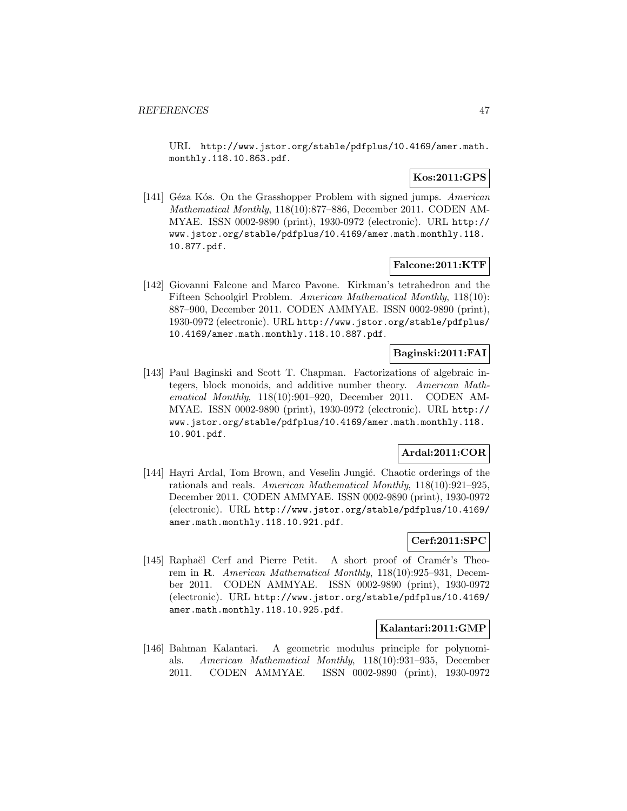URL http://www.jstor.org/stable/pdfplus/10.4169/amer.math. monthly.118.10.863.pdf.

# **Kos:2011:GPS**

[141] Géza Kós. On the Grasshopper Problem with signed jumps. American Mathematical Monthly, 118(10):877–886, December 2011. CODEN AM-MYAE. ISSN 0002-9890 (print), 1930-0972 (electronic). URL http:// www.jstor.org/stable/pdfplus/10.4169/amer.math.monthly.118. 10.877.pdf.

# **Falcone:2011:KTF**

[142] Giovanni Falcone and Marco Pavone. Kirkman's tetrahedron and the Fifteen Schoolgirl Problem. American Mathematical Monthly, 118(10): 887–900, December 2011. CODEN AMMYAE. ISSN 0002-9890 (print), 1930-0972 (electronic). URL http://www.jstor.org/stable/pdfplus/ 10.4169/amer.math.monthly.118.10.887.pdf.

# **Baginski:2011:FAI**

[143] Paul Baginski and Scott T. Chapman. Factorizations of algebraic integers, block monoids, and additive number theory. American Mathematical Monthly, 118(10):901–920, December 2011. CODEN AM-MYAE. ISSN 0002-9890 (print), 1930-0972 (electronic). URL http:// www.jstor.org/stable/pdfplus/10.4169/amer.math.monthly.118. 10.901.pdf.

# **Ardal:2011:COR**

[144] Hayri Ardal, Tom Brown, and Veselin Jungić. Chaotic orderings of the rationals and reals. American Mathematical Monthly, 118(10):921–925, December 2011. CODEN AMMYAE. ISSN 0002-9890 (print), 1930-0972 (electronic). URL http://www.jstor.org/stable/pdfplus/10.4169/ amer.math.monthly.118.10.921.pdf.

# **Cerf:2011:SPC**

[145] Raphaël Cerf and Pierre Petit. A short proof of Cramér's Theorem in **R**. American Mathematical Monthly, 118(10):925–931, December 2011. CODEN AMMYAE. ISSN 0002-9890 (print), 1930-0972 (electronic). URL http://www.jstor.org/stable/pdfplus/10.4169/ amer.math.monthly.118.10.925.pdf.

#### **Kalantari:2011:GMP**

[146] Bahman Kalantari. A geometric modulus principle for polynomials. American Mathematical Monthly, 118(10):931–935, December 2011. CODEN AMMYAE. ISSN 0002-9890 (print), 1930-0972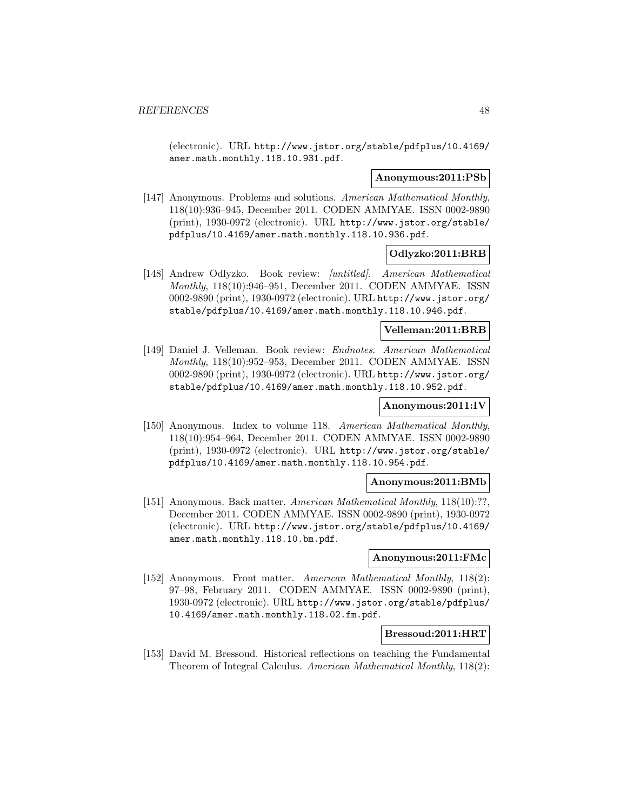(electronic). URL http://www.jstor.org/stable/pdfplus/10.4169/ amer.math.monthly.118.10.931.pdf.

#### **Anonymous:2011:PSb**

[147] Anonymous. Problems and solutions. American Mathematical Monthly, 118(10):936–945, December 2011. CODEN AMMYAE. ISSN 0002-9890 (print), 1930-0972 (electronic). URL http://www.jstor.org/stable/ pdfplus/10.4169/amer.math.monthly.118.10.936.pdf.

#### **Odlyzko:2011:BRB**

[148] Andrew Odlyzko. Book review: [untitled]. American Mathematical Monthly, 118(10):946–951, December 2011. CODEN AMMYAE. ISSN 0002-9890 (print), 1930-0972 (electronic). URL http://www.jstor.org/ stable/pdfplus/10.4169/amer.math.monthly.118.10.946.pdf.

#### **Velleman:2011:BRB**

[149] Daniel J. Velleman. Book review: Endnotes. American Mathematical Monthly, 118(10):952–953, December 2011. CODEN AMMYAE. ISSN 0002-9890 (print), 1930-0972 (electronic). URL http://www.jstor.org/ stable/pdfplus/10.4169/amer.math.monthly.118.10.952.pdf.

# **Anonymous:2011:IV**

[150] Anonymous. Index to volume 118. American Mathematical Monthly, 118(10):954–964, December 2011. CODEN AMMYAE. ISSN 0002-9890 (print), 1930-0972 (electronic). URL http://www.jstor.org/stable/ pdfplus/10.4169/amer.math.monthly.118.10.954.pdf.

#### **Anonymous:2011:BMb**

[151] Anonymous. Back matter. American Mathematical Monthly, 118(10):??, December 2011. CODEN AMMYAE. ISSN 0002-9890 (print), 1930-0972 (electronic). URL http://www.jstor.org/stable/pdfplus/10.4169/ amer.math.monthly.118.10.bm.pdf.

#### **Anonymous:2011:FMc**

[152] Anonymous. Front matter. American Mathematical Monthly, 118(2): 97–98, February 2011. CODEN AMMYAE. ISSN 0002-9890 (print), 1930-0972 (electronic). URL http://www.jstor.org/stable/pdfplus/ 10.4169/amer.math.monthly.118.02.fm.pdf.

#### **Bressoud:2011:HRT**

[153] David M. Bressoud. Historical reflections on teaching the Fundamental Theorem of Integral Calculus. American Mathematical Monthly, 118(2):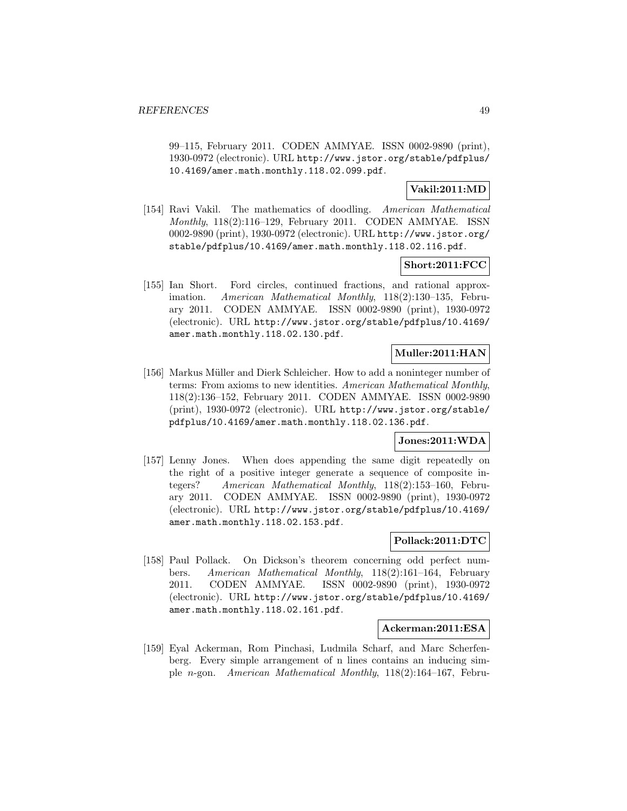99–115, February 2011. CODEN AMMYAE. ISSN 0002-9890 (print), 1930-0972 (electronic). URL http://www.jstor.org/stable/pdfplus/ 10.4169/amer.math.monthly.118.02.099.pdf.

# **Vakil:2011:MD**

[154] Ravi Vakil. The mathematics of doodling. American Mathematical Monthly, 118(2):116–129, February 2011. CODEN AMMYAE. ISSN 0002-9890 (print), 1930-0972 (electronic). URL http://www.jstor.org/ stable/pdfplus/10.4169/amer.math.monthly.118.02.116.pdf.

# **Short:2011:FCC**

[155] Ian Short. Ford circles, continued fractions, and rational approximation. American Mathematical Monthly, 118(2):130–135, February 2011. CODEN AMMYAE. ISSN 0002-9890 (print), 1930-0972 (electronic). URL http://www.jstor.org/stable/pdfplus/10.4169/ amer.math.monthly.118.02.130.pdf.

# **Muller:2011:HAN**

[156] Markus Müller and Dierk Schleicher. How to add a noninteger number of terms: From axioms to new identities. American Mathematical Monthly, 118(2):136–152, February 2011. CODEN AMMYAE. ISSN 0002-9890 (print), 1930-0972 (electronic). URL http://www.jstor.org/stable/ pdfplus/10.4169/amer.math.monthly.118.02.136.pdf.

# **Jones:2011:WDA**

[157] Lenny Jones. When does appending the same digit repeatedly on the right of a positive integer generate a sequence of composite integers? American Mathematical Monthly, 118(2):153–160, February 2011. CODEN AMMYAE. ISSN 0002-9890 (print), 1930-0972 (electronic). URL http://www.jstor.org/stable/pdfplus/10.4169/ amer.math.monthly.118.02.153.pdf.

### **Pollack:2011:DTC**

[158] Paul Pollack. On Dickson's theorem concerning odd perfect numbers. American Mathematical Monthly, 118(2):161–164, February 2011. CODEN AMMYAE. ISSN 0002-9890 (print), 1930-0972 (electronic). URL http://www.jstor.org/stable/pdfplus/10.4169/ amer.math.monthly.118.02.161.pdf.

#### **Ackerman:2011:ESA**

[159] Eyal Ackerman, Rom Pinchasi, Ludmila Scharf, and Marc Scherfenberg. Every simple arrangement of n lines contains an inducing simple n-gon. American Mathematical Monthly, 118(2):164–167, Febru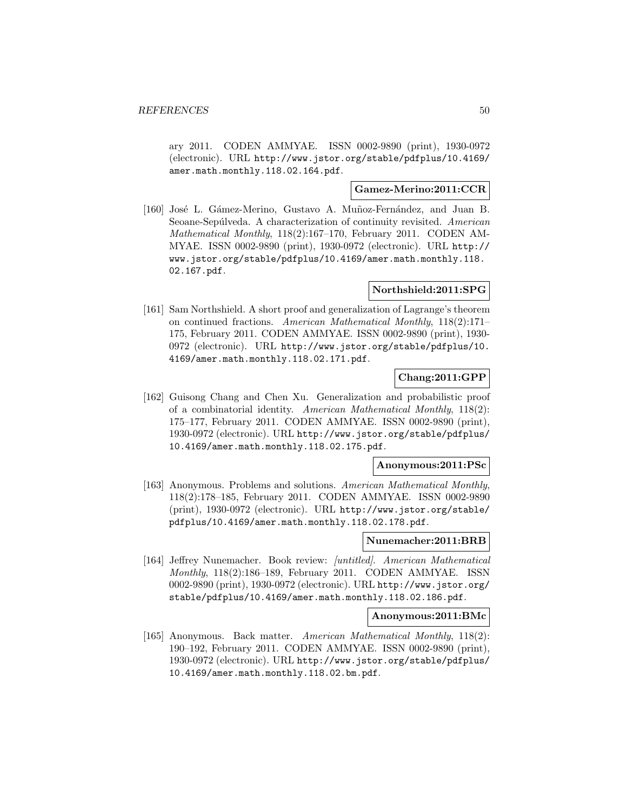ary 2011. CODEN AMMYAE. ISSN 0002-9890 (print), 1930-0972 (electronic). URL http://www.jstor.org/stable/pdfplus/10.4169/ amer.math.monthly.118.02.164.pdf.

### **Gamez-Merino:2011:CCR**

[160] José L. Gámez-Merino, Gustavo A. Muñoz-Fernández, and Juan B. Seoane-Sepúlveda. A characterization of continuity revisited. American Mathematical Monthly, 118(2):167–170, February 2011. CODEN AM-MYAE. ISSN 0002-9890 (print), 1930-0972 (electronic). URL http:// www.jstor.org/stable/pdfplus/10.4169/amer.math.monthly.118. 02.167.pdf.

# **Northshield:2011:SPG**

[161] Sam Northshield. A short proof and generalization of Lagrange's theorem on continued fractions. American Mathematical Monthly, 118(2):171– 175, February 2011. CODEN AMMYAE. ISSN 0002-9890 (print), 1930- 0972 (electronic). URL http://www.jstor.org/stable/pdfplus/10. 4169/amer.math.monthly.118.02.171.pdf.

# **Chang:2011:GPP**

[162] Guisong Chang and Chen Xu. Generalization and probabilistic proof of a combinatorial identity. American Mathematical Monthly, 118(2): 175–177, February 2011. CODEN AMMYAE. ISSN 0002-9890 (print), 1930-0972 (electronic). URL http://www.jstor.org/stable/pdfplus/ 10.4169/amer.math.monthly.118.02.175.pdf.

#### **Anonymous:2011:PSc**

[163] Anonymous. Problems and solutions. American Mathematical Monthly, 118(2):178–185, February 2011. CODEN AMMYAE. ISSN 0002-9890 (print), 1930-0972 (electronic). URL http://www.jstor.org/stable/ pdfplus/10.4169/amer.math.monthly.118.02.178.pdf.

## **Nunemacher:2011:BRB**

[164] Jeffrey Nunemacher. Book review: [untitled]. American Mathematical Monthly, 118(2):186–189, February 2011. CODEN AMMYAE. ISSN 0002-9890 (print), 1930-0972 (electronic). URL http://www.jstor.org/ stable/pdfplus/10.4169/amer.math.monthly.118.02.186.pdf.

#### **Anonymous:2011:BMc**

[165] Anonymous. Back matter. American Mathematical Monthly, 118(2): 190–192, February 2011. CODEN AMMYAE. ISSN 0002-9890 (print), 1930-0972 (electronic). URL http://www.jstor.org/stable/pdfplus/ 10.4169/amer.math.monthly.118.02.bm.pdf.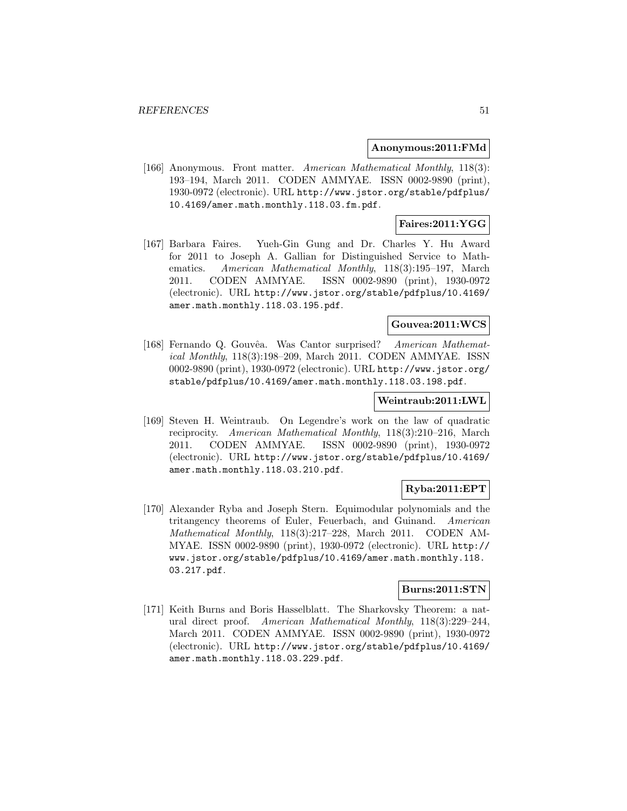#### **Anonymous:2011:FMd**

[166] Anonymous. Front matter. American Mathematical Monthly, 118(3): 193–194, March 2011. CODEN AMMYAE. ISSN 0002-9890 (print), 1930-0972 (electronic). URL http://www.jstor.org/stable/pdfplus/ 10.4169/amer.math.monthly.118.03.fm.pdf.

## **Faires:2011:YGG**

[167] Barbara Faires. Yueh-Gin Gung and Dr. Charles Y. Hu Award for 2011 to Joseph A. Gallian for Distinguished Service to Mathematics. American Mathematical Monthly, 118(3):195–197, March 2011. CODEN AMMYAE. ISSN 0002-9890 (print), 1930-0972 (electronic). URL http://www.jstor.org/stable/pdfplus/10.4169/ amer.math.monthly.118.03.195.pdf.

# **Gouvea:2011:WCS**

[168] Fernando Q. Gouvêa. Was Cantor surprised? American Mathematical Monthly, 118(3):198–209, March 2011. CODEN AMMYAE. ISSN 0002-9890 (print), 1930-0972 (electronic). URL http://www.jstor.org/ stable/pdfplus/10.4169/amer.math.monthly.118.03.198.pdf.

#### **Weintraub:2011:LWL**

[169] Steven H. Weintraub. On Legendre's work on the law of quadratic reciprocity. American Mathematical Monthly, 118(3):210–216, March 2011. CODEN AMMYAE. ISSN 0002-9890 (print), 1930-0972 (electronic). URL http://www.jstor.org/stable/pdfplus/10.4169/ amer.math.monthly.118.03.210.pdf.

### **Ryba:2011:EPT**

[170] Alexander Ryba and Joseph Stern. Equimodular polynomials and the tritangency theorems of Euler, Feuerbach, and Guinand. American Mathematical Monthly, 118(3):217–228, March 2011. CODEN AM-MYAE. ISSN 0002-9890 (print), 1930-0972 (electronic). URL http:// www.jstor.org/stable/pdfplus/10.4169/amer.math.monthly.118. 03.217.pdf.

### **Burns:2011:STN**

[171] Keith Burns and Boris Hasselblatt. The Sharkovsky Theorem: a natural direct proof. American Mathematical Monthly, 118(3):229–244, March 2011. CODEN AMMYAE. ISSN 0002-9890 (print), 1930-0972 (electronic). URL http://www.jstor.org/stable/pdfplus/10.4169/ amer.math.monthly.118.03.229.pdf.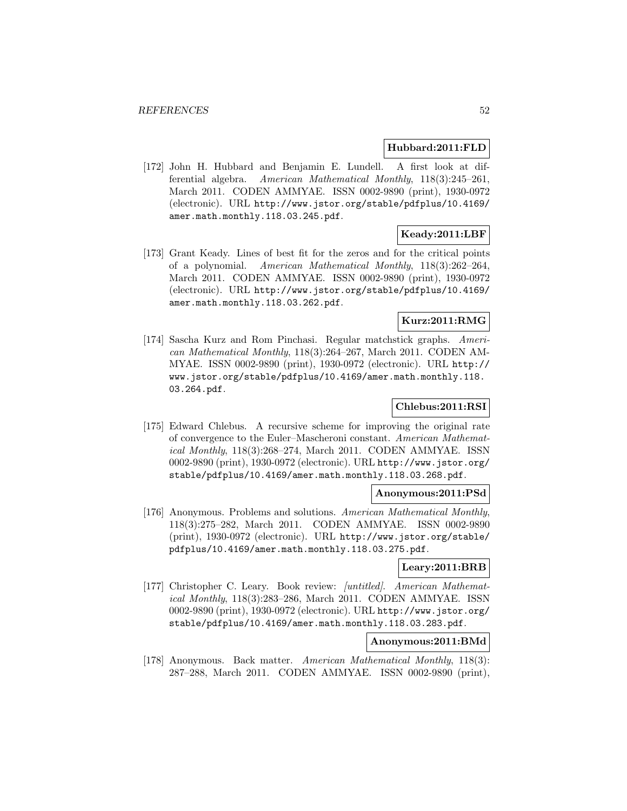#### **Hubbard:2011:FLD**

[172] John H. Hubbard and Benjamin E. Lundell. A first look at differential algebra. American Mathematical Monthly, 118(3):245–261, March 2011. CODEN AMMYAE. ISSN 0002-9890 (print), 1930-0972 (electronic). URL http://www.jstor.org/stable/pdfplus/10.4169/ amer.math.monthly.118.03.245.pdf.

# **Keady:2011:LBF**

[173] Grant Keady. Lines of best fit for the zeros and for the critical points of a polynomial. American Mathematical Monthly, 118(3):262–264, March 2011. CODEN AMMYAE. ISSN 0002-9890 (print), 1930-0972 (electronic). URL http://www.jstor.org/stable/pdfplus/10.4169/ amer.math.monthly.118.03.262.pdf.

# **Kurz:2011:RMG**

[174] Sascha Kurz and Rom Pinchasi. Regular matchstick graphs. American Mathematical Monthly, 118(3):264–267, March 2011. CODEN AM-MYAE. ISSN 0002-9890 (print), 1930-0972 (electronic). URL http:// www.jstor.org/stable/pdfplus/10.4169/amer.math.monthly.118. 03.264.pdf.

## **Chlebus:2011:RSI**

[175] Edward Chlebus. A recursive scheme for improving the original rate of convergence to the Euler–Mascheroni constant. American Mathematical Monthly, 118(3):268–274, March 2011. CODEN AMMYAE. ISSN 0002-9890 (print), 1930-0972 (electronic). URL http://www.jstor.org/ stable/pdfplus/10.4169/amer.math.monthly.118.03.268.pdf.

### **Anonymous:2011:PSd**

[176] Anonymous. Problems and solutions. American Mathematical Monthly, 118(3):275–282, March 2011. CODEN AMMYAE. ISSN 0002-9890 (print), 1930-0972 (electronic). URL http://www.jstor.org/stable/ pdfplus/10.4169/amer.math.monthly.118.03.275.pdf.

## **Leary:2011:BRB**

[177] Christopher C. Leary. Book review: [untitled]. American Mathematical Monthly, 118(3):283–286, March 2011. CODEN AMMYAE. ISSN 0002-9890 (print), 1930-0972 (electronic). URL http://www.jstor.org/ stable/pdfplus/10.4169/amer.math.monthly.118.03.283.pdf.

#### **Anonymous:2011:BMd**

[178] Anonymous. Back matter. American Mathematical Monthly, 118(3): 287–288, March 2011. CODEN AMMYAE. ISSN 0002-9890 (print),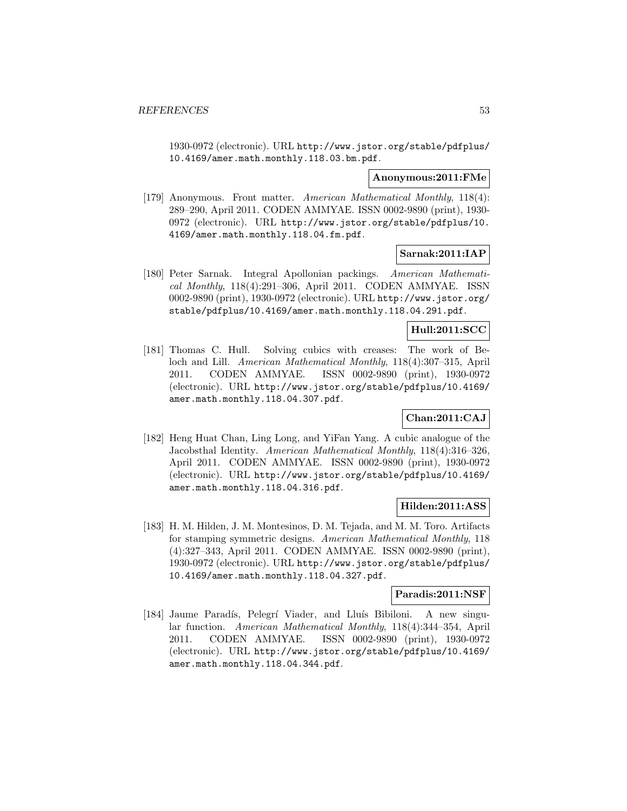1930-0972 (electronic). URL http://www.jstor.org/stable/pdfplus/ 10.4169/amer.math.monthly.118.03.bm.pdf.

#### **Anonymous:2011:FMe**

[179] Anonymous. Front matter. American Mathematical Monthly, 118(4): 289–290, April 2011. CODEN AMMYAE. ISSN 0002-9890 (print), 1930- 0972 (electronic). URL http://www.jstor.org/stable/pdfplus/10. 4169/amer.math.monthly.118.04.fm.pdf.

# **Sarnak:2011:IAP**

[180] Peter Sarnak. Integral Apollonian packings. American Mathematical Monthly, 118(4):291–306, April 2011. CODEN AMMYAE. ISSN 0002-9890 (print), 1930-0972 (electronic). URL http://www.jstor.org/ stable/pdfplus/10.4169/amer.math.monthly.118.04.291.pdf.

# **Hull:2011:SCC**

[181] Thomas C. Hull. Solving cubics with creases: The work of Beloch and Lill. American Mathematical Monthly, 118(4):307–315, April 2011. CODEN AMMYAE. ISSN 0002-9890 (print), 1930-0972 (electronic). URL http://www.jstor.org/stable/pdfplus/10.4169/ amer.math.monthly.118.04.307.pdf.

# **Chan:2011:CAJ**

[182] Heng Huat Chan, Ling Long, and YiFan Yang. A cubic analogue of the Jacobsthal Identity. American Mathematical Monthly, 118(4):316–326, April 2011. CODEN AMMYAE. ISSN 0002-9890 (print), 1930-0972 (electronic). URL http://www.jstor.org/stable/pdfplus/10.4169/ amer.math.monthly.118.04.316.pdf.

### **Hilden:2011:ASS**

[183] H. M. Hilden, J. M. Montesinos, D. M. Tejada, and M. M. Toro. Artifacts for stamping symmetric designs. American Mathematical Monthly, 118 (4):327–343, April 2011. CODEN AMMYAE. ISSN 0002-9890 (print), 1930-0972 (electronic). URL http://www.jstor.org/stable/pdfplus/ 10.4169/amer.math.monthly.118.04.327.pdf.

## **Paradis:2011:NSF**

[184] Jaume Paradís, Pelegrí Viader, and Lluís Bibiloni. A new singular function. American Mathematical Monthly, 118(4):344–354, April 2011. CODEN AMMYAE. ISSN 0002-9890 (print), 1930-0972 (electronic). URL http://www.jstor.org/stable/pdfplus/10.4169/ amer.math.monthly.118.04.344.pdf.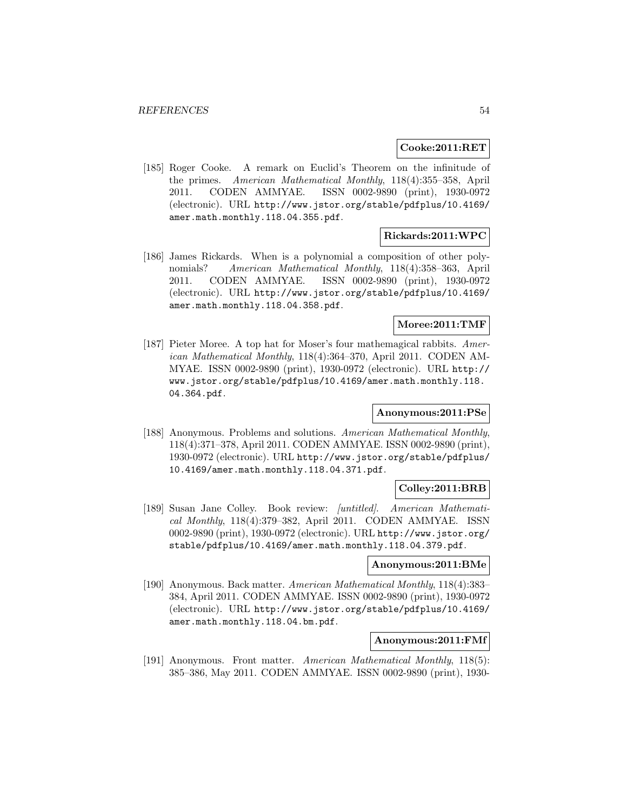#### **Cooke:2011:RET**

[185] Roger Cooke. A remark on Euclid's Theorem on the infinitude of the primes. American Mathematical Monthly, 118(4):355–358, April 2011. CODEN AMMYAE. ISSN 0002-9890 (print), 1930-0972 (electronic). URL http://www.jstor.org/stable/pdfplus/10.4169/ amer.math.monthly.118.04.355.pdf.

# **Rickards:2011:WPC**

[186] James Rickards. When is a polynomial a composition of other polynomials? American Mathematical Monthly, 118(4):358–363, April 2011. CODEN AMMYAE. ISSN 0002-9890 (print), 1930-0972 (electronic). URL http://www.jstor.org/stable/pdfplus/10.4169/ amer.math.monthly.118.04.358.pdf.

### **Moree:2011:TMF**

[187] Pieter Moree. A top hat for Moser's four mathemagical rabbits. American Mathematical Monthly, 118(4):364–370, April 2011. CODEN AM-MYAE. ISSN 0002-9890 (print), 1930-0972 (electronic). URL http:// www.jstor.org/stable/pdfplus/10.4169/amer.math.monthly.118. 04.364.pdf.

### **Anonymous:2011:PSe**

[188] Anonymous. Problems and solutions. American Mathematical Monthly, 118(4):371–378, April 2011. CODEN AMMYAE. ISSN 0002-9890 (print), 1930-0972 (electronic). URL http://www.jstor.org/stable/pdfplus/ 10.4169/amer.math.monthly.118.04.371.pdf.

# **Colley:2011:BRB**

[189] Susan Jane Colley. Book review: [untitled]. American Mathematical Monthly, 118(4):379–382, April 2011. CODEN AMMYAE. ISSN 0002-9890 (print), 1930-0972 (electronic). URL http://www.jstor.org/ stable/pdfplus/10.4169/amer.math.monthly.118.04.379.pdf.

#### **Anonymous:2011:BMe**

[190] Anonymous. Back matter. American Mathematical Monthly, 118(4):383– 384, April 2011. CODEN AMMYAE. ISSN 0002-9890 (print), 1930-0972 (electronic). URL http://www.jstor.org/stable/pdfplus/10.4169/ amer.math.monthly.118.04.bm.pdf.

### **Anonymous:2011:FMf**

[191] Anonymous. Front matter. American Mathematical Monthly, 118(5): 385–386, May 2011. CODEN AMMYAE. ISSN 0002-9890 (print), 1930-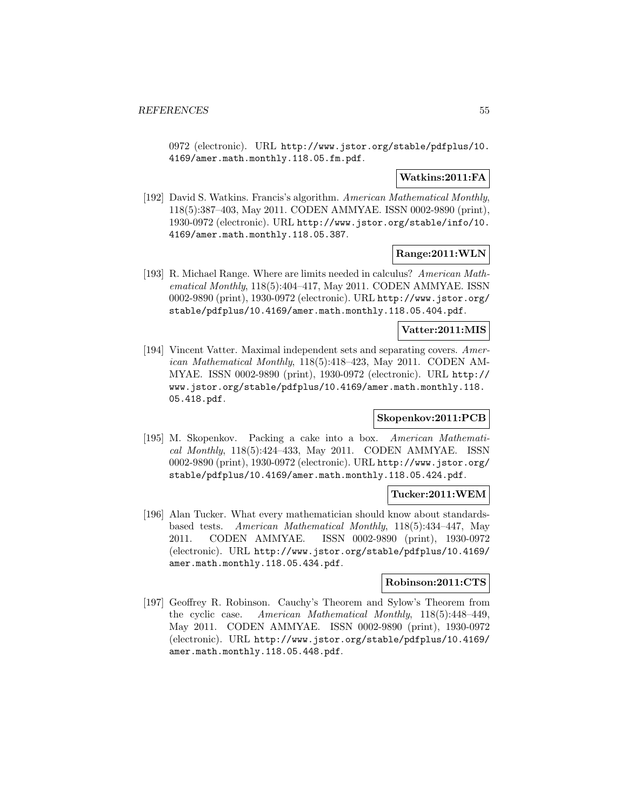0972 (electronic). URL http://www.jstor.org/stable/pdfplus/10. 4169/amer.math.monthly.118.05.fm.pdf.

# **Watkins:2011:FA**

[192] David S. Watkins. Francis's algorithm. American Mathematical Monthly, 118(5):387–403, May 2011. CODEN AMMYAE. ISSN 0002-9890 (print), 1930-0972 (electronic). URL http://www.jstor.org/stable/info/10. 4169/amer.math.monthly.118.05.387.

### **Range:2011:WLN**

[193] R. Michael Range. Where are limits needed in calculus? American Mathematical Monthly, 118(5):404–417, May 2011. CODEN AMMYAE. ISSN 0002-9890 (print), 1930-0972 (electronic). URL http://www.jstor.org/ stable/pdfplus/10.4169/amer.math.monthly.118.05.404.pdf.

#### **Vatter:2011:MIS**

[194] Vincent Vatter. Maximal independent sets and separating covers. American Mathematical Monthly, 118(5):418–423, May 2011. CODEN AM-MYAE. ISSN 0002-9890 (print), 1930-0972 (electronic). URL http:// www.jstor.org/stable/pdfplus/10.4169/amer.math.monthly.118. 05.418.pdf.

### **Skopenkov:2011:PCB**

[195] M. Skopenkov. Packing a cake into a box. American Mathematical Monthly, 118(5):424–433, May 2011. CODEN AMMYAE. ISSN 0002-9890 (print), 1930-0972 (electronic). URL http://www.jstor.org/ stable/pdfplus/10.4169/amer.math.monthly.118.05.424.pdf.

#### **Tucker:2011:WEM**

[196] Alan Tucker. What every mathematician should know about standardsbased tests. American Mathematical Monthly, 118(5):434–447, May 2011. CODEN AMMYAE. ISSN 0002-9890 (print), 1930-0972 (electronic). URL http://www.jstor.org/stable/pdfplus/10.4169/ amer.math.monthly.118.05.434.pdf.

#### **Robinson:2011:CTS**

[197] Geoffrey R. Robinson. Cauchy's Theorem and Sylow's Theorem from the cyclic case. American Mathematical Monthly, 118(5):448–449, May 2011. CODEN AMMYAE. ISSN 0002-9890 (print), 1930-0972 (electronic). URL http://www.jstor.org/stable/pdfplus/10.4169/ amer.math.monthly.118.05.448.pdf.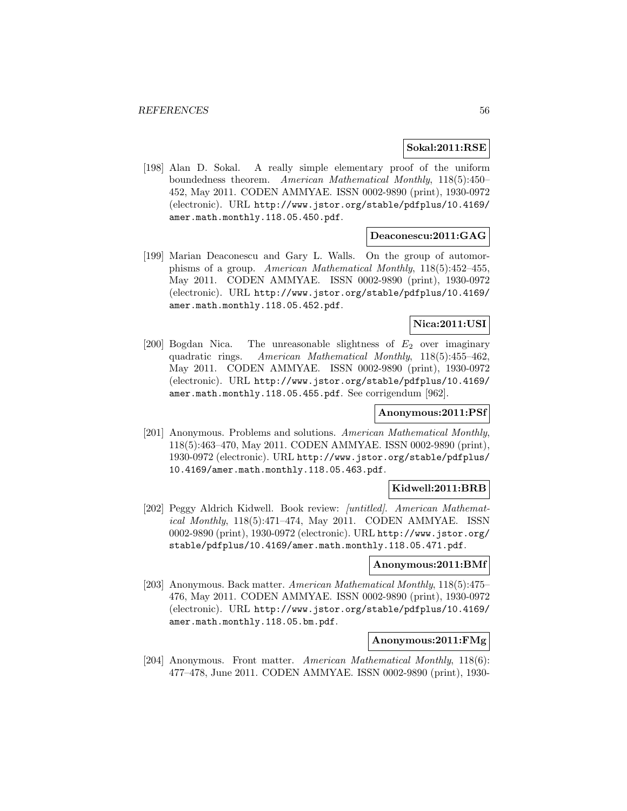#### **Sokal:2011:RSE**

[198] Alan D. Sokal. A really simple elementary proof of the uniform boundedness theorem. American Mathematical Monthly, 118(5):450– 452, May 2011. CODEN AMMYAE. ISSN 0002-9890 (print), 1930-0972 (electronic). URL http://www.jstor.org/stable/pdfplus/10.4169/ amer.math.monthly.118.05.450.pdf.

#### **Deaconescu:2011:GAG**

[199] Marian Deaconescu and Gary L. Walls. On the group of automorphisms of a group. American Mathematical Monthly, 118(5):452–455, May 2011. CODEN AMMYAE. ISSN 0002-9890 (print), 1930-0972 (electronic). URL http://www.jstor.org/stable/pdfplus/10.4169/ amer.math.monthly.118.05.452.pdf.

#### **Nica:2011:USI**

[200] Bogdan Nica. The unreasonable slightness of  $E_2$  over imaginary quadratic rings. American Mathematical Monthly, 118(5):455–462, May 2011. CODEN AMMYAE. ISSN 0002-9890 (print), 1930-0972 (electronic). URL http://www.jstor.org/stable/pdfplus/10.4169/ amer.math.monthly.118.05.455.pdf. See corrigendum [962].

### **Anonymous:2011:PSf**

[201] Anonymous. Problems and solutions. American Mathematical Monthly, 118(5):463–470, May 2011. CODEN AMMYAE. ISSN 0002-9890 (print), 1930-0972 (electronic). URL http://www.jstor.org/stable/pdfplus/ 10.4169/amer.math.monthly.118.05.463.pdf.

### **Kidwell:2011:BRB**

[202] Peggy Aldrich Kidwell. Book review: [untitled]. American Mathematical Monthly, 118(5):471–474, May 2011. CODEN AMMYAE. ISSN 0002-9890 (print), 1930-0972 (electronic). URL http://www.jstor.org/ stable/pdfplus/10.4169/amer.math.monthly.118.05.471.pdf.

#### **Anonymous:2011:BMf**

[203] Anonymous. Back matter. American Mathematical Monthly, 118(5):475– 476, May 2011. CODEN AMMYAE. ISSN 0002-9890 (print), 1930-0972 (electronic). URL http://www.jstor.org/stable/pdfplus/10.4169/ amer.math.monthly.118.05.bm.pdf.

### **Anonymous:2011:FMg**

[204] Anonymous. Front matter. American Mathematical Monthly, 118(6): 477–478, June 2011. CODEN AMMYAE. ISSN 0002-9890 (print), 1930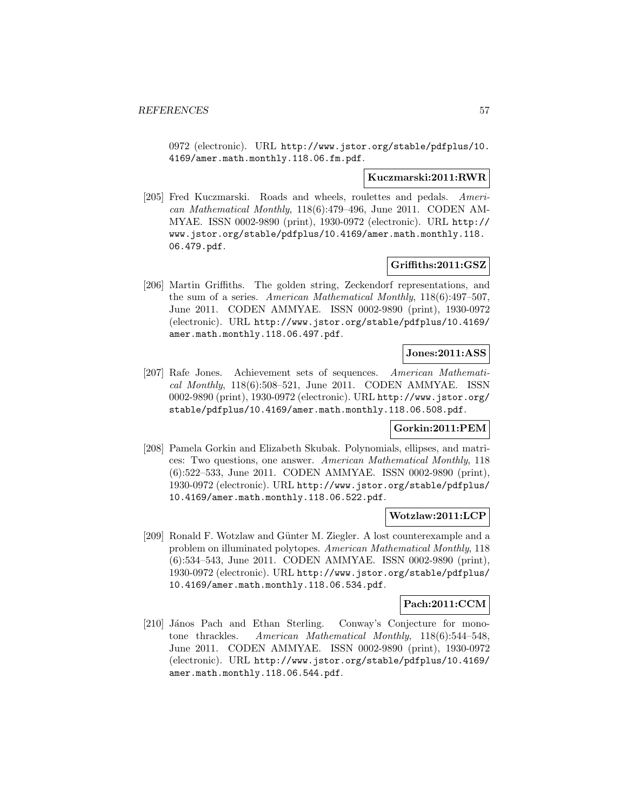0972 (electronic). URL http://www.jstor.org/stable/pdfplus/10. 4169/amer.math.monthly.118.06.fm.pdf.

#### **Kuczmarski:2011:RWR**

[205] Fred Kuczmarski. Roads and wheels, roulettes and pedals. American Mathematical Monthly, 118(6):479–496, June 2011. CODEN AM-MYAE. ISSN 0002-9890 (print), 1930-0972 (electronic). URL http:// www.jstor.org/stable/pdfplus/10.4169/amer.math.monthly.118. 06.479.pdf.

#### **Griffiths:2011:GSZ**

[206] Martin Griffiths. The golden string, Zeckendorf representations, and the sum of a series. American Mathematical Monthly, 118(6):497–507, June 2011. CODEN AMMYAE. ISSN 0002-9890 (print), 1930-0972 (electronic). URL http://www.jstor.org/stable/pdfplus/10.4169/ amer.math.monthly.118.06.497.pdf.

### **Jones:2011:ASS**

[207] Rafe Jones. Achievement sets of sequences. American Mathematical Monthly, 118(6):508–521, June 2011. CODEN AMMYAE. ISSN 0002-9890 (print), 1930-0972 (electronic). URL http://www.jstor.org/ stable/pdfplus/10.4169/amer.math.monthly.118.06.508.pdf.

#### **Gorkin:2011:PEM**

[208] Pamela Gorkin and Elizabeth Skubak. Polynomials, ellipses, and matrices: Two questions, one answer. American Mathematical Monthly, 118 (6):522–533, June 2011. CODEN AMMYAE. ISSN 0002-9890 (print), 1930-0972 (electronic). URL http://www.jstor.org/stable/pdfplus/ 10.4169/amer.math.monthly.118.06.522.pdf.

#### **Wotzlaw:2011:LCP**

[209] Ronald F. Wotzlaw and Günter M. Ziegler. A lost counterexample and a problem on illuminated polytopes. American Mathematical Monthly, 118 (6):534–543, June 2011. CODEN AMMYAE. ISSN 0002-9890 (print), 1930-0972 (electronic). URL http://www.jstor.org/stable/pdfplus/ 10.4169/amer.math.monthly.118.06.534.pdf.

#### **Pach:2011:CCM**

[210] János Pach and Ethan Sterling. Conway's Conjecture for monotone thrackles. American Mathematical Monthly, 118(6):544–548, June 2011. CODEN AMMYAE. ISSN 0002-9890 (print), 1930-0972 (electronic). URL http://www.jstor.org/stable/pdfplus/10.4169/ amer.math.monthly.118.06.544.pdf.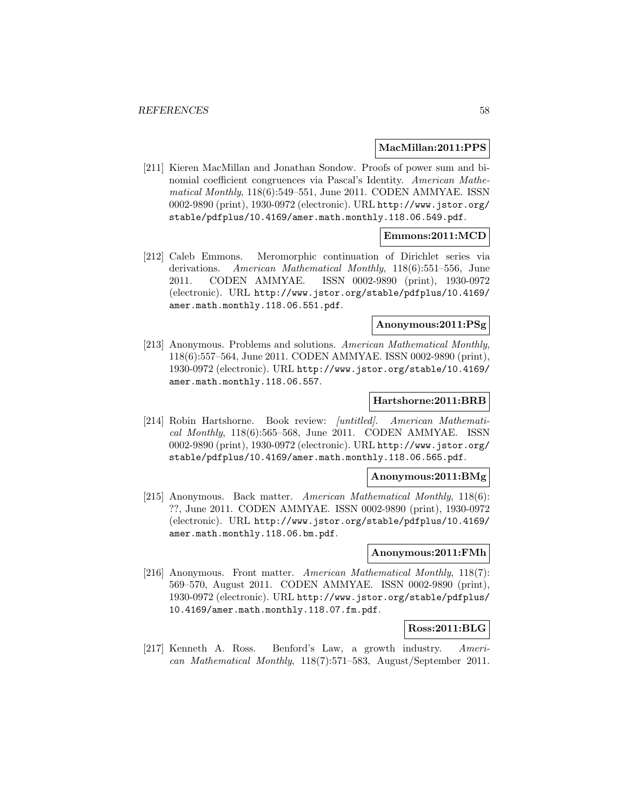#### **MacMillan:2011:PPS**

[211] Kieren MacMillan and Jonathan Sondow. Proofs of power sum and binomial coefficient congruences via Pascal's Identity. American Mathematical Monthly, 118(6):549–551, June 2011. CODEN AMMYAE. ISSN 0002-9890 (print), 1930-0972 (electronic). URL http://www.jstor.org/ stable/pdfplus/10.4169/amer.math.monthly.118.06.549.pdf.

### **Emmons:2011:MCD**

[212] Caleb Emmons. Meromorphic continuation of Dirichlet series via derivations. American Mathematical Monthly, 118(6):551–556, June 2011. CODEN AMMYAE. ISSN 0002-9890 (print), 1930-0972 (electronic). URL http://www.jstor.org/stable/pdfplus/10.4169/ amer.math.monthly.118.06.551.pdf.

## **Anonymous:2011:PSg**

[213] Anonymous. Problems and solutions. American Mathematical Monthly, 118(6):557–564, June 2011. CODEN AMMYAE. ISSN 0002-9890 (print), 1930-0972 (electronic). URL http://www.jstor.org/stable/10.4169/ amer.math.monthly.118.06.557.

#### **Hartshorne:2011:BRB**

[214] Robin Hartshorne. Book review: [untitled]. American Mathematical Monthly, 118(6):565–568, June 2011. CODEN AMMYAE. ISSN 0002-9890 (print), 1930-0972 (electronic). URL http://www.jstor.org/ stable/pdfplus/10.4169/amer.math.monthly.118.06.565.pdf.

#### **Anonymous:2011:BMg**

[215] Anonymous. Back matter. American Mathematical Monthly, 118(6): ??, June 2011. CODEN AMMYAE. ISSN 0002-9890 (print), 1930-0972 (electronic). URL http://www.jstor.org/stable/pdfplus/10.4169/ amer.math.monthly.118.06.bm.pdf.

#### **Anonymous:2011:FMh**

[216] Anonymous. Front matter. American Mathematical Monthly, 118(7): 569–570, August 2011. CODEN AMMYAE. ISSN 0002-9890 (print), 1930-0972 (electronic). URL http://www.jstor.org/stable/pdfplus/ 10.4169/amer.math.monthly.118.07.fm.pdf.

#### **Ross:2011:BLG**

[217] Kenneth A. Ross. Benford's Law, a growth industry. American Mathematical Monthly, 118(7):571–583, August/September 2011.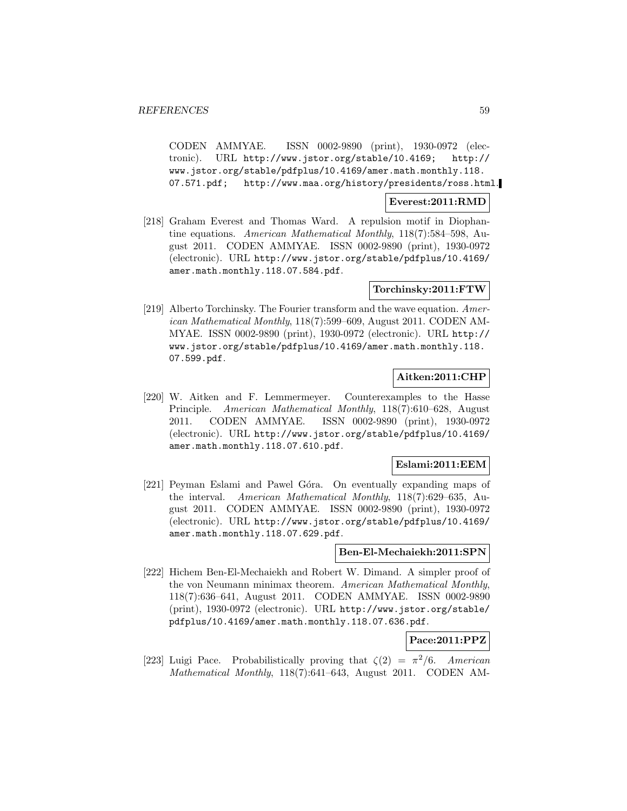CODEN AMMYAE. ISSN 0002-9890 (print), 1930-0972 (electronic). URL http://www.jstor.org/stable/10.4169; http:// www.jstor.org/stable/pdfplus/10.4169/amer.math.monthly.118. 07.571.pdf; http://www.maa.org/history/presidents/ross.html.

## **Everest:2011:RMD**

[218] Graham Everest and Thomas Ward. A repulsion motif in Diophantine equations. American Mathematical Monthly, 118(7):584–598, August 2011. CODEN AMMYAE. ISSN 0002-9890 (print), 1930-0972 (electronic). URL http://www.jstor.org/stable/pdfplus/10.4169/ amer.math.monthly.118.07.584.pdf.

### **Torchinsky:2011:FTW**

[219] Alberto Torchinsky. The Fourier transform and the wave equation. American Mathematical Monthly, 118(7):599–609, August 2011. CODEN AM-MYAE. ISSN 0002-9890 (print), 1930-0972 (electronic). URL http:// www.jstor.org/stable/pdfplus/10.4169/amer.math.monthly.118. 07.599.pdf.

# **Aitken:2011:CHP**

[220] W. Aitken and F. Lemmermeyer. Counterexamples to the Hasse Principle. American Mathematical Monthly, 118(7):610–628, August 2011. CODEN AMMYAE. ISSN 0002-9890 (print), 1930-0972 (electronic). URL http://www.jstor.org/stable/pdfplus/10.4169/ amer.math.monthly.118.07.610.pdf.

### **Eslami:2011:EEM**

[221] Peyman Eslami and Pawel Góra. On eventually expanding maps of the interval. American Mathematical Monthly, 118(7):629–635, August 2011. CODEN AMMYAE. ISSN 0002-9890 (print), 1930-0972 (electronic). URL http://www.jstor.org/stable/pdfplus/10.4169/ amer.math.monthly.118.07.629.pdf.

#### **Ben-El-Mechaiekh:2011:SPN**

[222] Hichem Ben-El-Mechaiekh and Robert W. Dimand. A simpler proof of the von Neumann minimax theorem. American Mathematical Monthly, 118(7):636–641, August 2011. CODEN AMMYAE. ISSN 0002-9890 (print), 1930-0972 (electronic). URL http://www.jstor.org/stable/ pdfplus/10.4169/amer.math.monthly.118.07.636.pdf.

### **Pace:2011:PPZ**

[223] Luigi Pace. Probabilistically proving that  $\zeta(2) = \pi^2/6$ . American Mathematical Monthly, 118(7):641–643, August 2011. CODEN AM-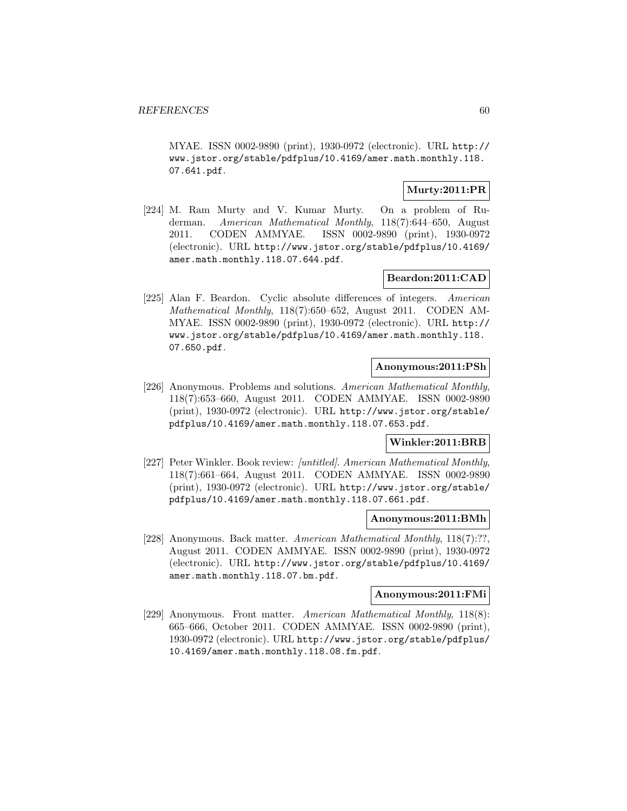MYAE. ISSN 0002-9890 (print), 1930-0972 (electronic). URL http:// www.jstor.org/stable/pdfplus/10.4169/amer.math.monthly.118. 07.641.pdf.

# **Murty:2011:PR**

[224] M. Ram Murty and V. Kumar Murty. On a problem of Ruderman. American Mathematical Monthly, 118(7):644–650, August 2011. CODEN AMMYAE. ISSN 0002-9890 (print), 1930-0972 (electronic). URL http://www.jstor.org/stable/pdfplus/10.4169/ amer.math.monthly.118.07.644.pdf.

# **Beardon:2011:CAD**

[225] Alan F. Beardon. Cyclic absolute differences of integers. American Mathematical Monthly, 118(7):650–652, August 2011. CODEN AM-MYAE. ISSN 0002-9890 (print), 1930-0972 (electronic). URL http:// www.jstor.org/stable/pdfplus/10.4169/amer.math.monthly.118. 07.650.pdf.

#### **Anonymous:2011:PSh**

[226] Anonymous. Problems and solutions. American Mathematical Monthly, 118(7):653–660, August 2011. CODEN AMMYAE. ISSN 0002-9890 (print), 1930-0972 (electronic). URL http://www.jstor.org/stable/ pdfplus/10.4169/amer.math.monthly.118.07.653.pdf.

### **Winkler:2011:BRB**

[227] Peter Winkler. Book review: [untitled]. American Mathematical Monthly, 118(7):661–664, August 2011. CODEN AMMYAE. ISSN 0002-9890 (print), 1930-0972 (electronic). URL http://www.jstor.org/stable/ pdfplus/10.4169/amer.math.monthly.118.07.661.pdf.

### **Anonymous:2011:BMh**

[228] Anonymous. Back matter. American Mathematical Monthly, 118(7):??, August 2011. CODEN AMMYAE. ISSN 0002-9890 (print), 1930-0972 (electronic). URL http://www.jstor.org/stable/pdfplus/10.4169/ amer.math.monthly.118.07.bm.pdf.

#### **Anonymous:2011:FMi**

[229] Anonymous. Front matter. American Mathematical Monthly, 118(8): 665–666, October 2011. CODEN AMMYAE. ISSN 0002-9890 (print), 1930-0972 (electronic). URL http://www.jstor.org/stable/pdfplus/ 10.4169/amer.math.monthly.118.08.fm.pdf.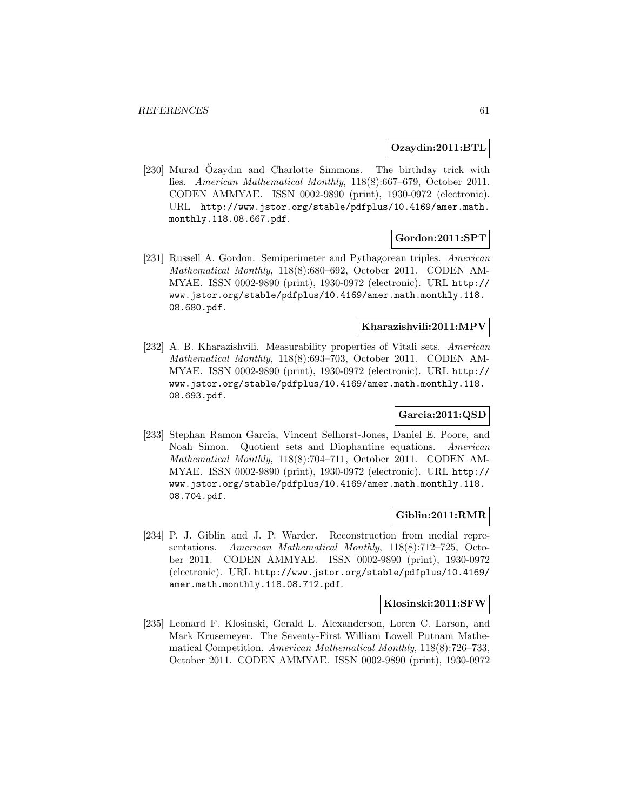#### **Ozaydin:2011:BTL**

[230] Murad Ozaydın and Charlotte Simmons. The birthday trick with lies. American Mathematical Monthly, 118(8):667–679, October 2011. CODEN AMMYAE. ISSN 0002-9890 (print), 1930-0972 (electronic). URL http://www.jstor.org/stable/pdfplus/10.4169/amer.math. monthly.118.08.667.pdf.

### **Gordon:2011:SPT**

[231] Russell A. Gordon. Semiperimeter and Pythagorean triples. American Mathematical Monthly, 118(8):680–692, October 2011. CODEN AM-MYAE. ISSN 0002-9890 (print), 1930-0972 (electronic). URL http:// www.jstor.org/stable/pdfplus/10.4169/amer.math.monthly.118. 08.680.pdf.

# **Kharazishvili:2011:MPV**

[232] A. B. Kharazishvili. Measurability properties of Vitali sets. American Mathematical Monthly, 118(8):693–703, October 2011. CODEN AM-MYAE. ISSN 0002-9890 (print), 1930-0972 (electronic). URL http:// www.jstor.org/stable/pdfplus/10.4169/amer.math.monthly.118. 08.693.pdf.

# **Garcia:2011:QSD**

[233] Stephan Ramon Garcia, Vincent Selhorst-Jones, Daniel E. Poore, and Noah Simon. Quotient sets and Diophantine equations. American Mathematical Monthly, 118(8):704–711, October 2011. CODEN AM-MYAE. ISSN 0002-9890 (print), 1930-0972 (electronic). URL http:// www.jstor.org/stable/pdfplus/10.4169/amer.math.monthly.118. 08.704.pdf.

# **Giblin:2011:RMR**

[234] P. J. Giblin and J. P. Warder. Reconstruction from medial representations. American Mathematical Monthly, 118(8):712–725, October 2011. CODEN AMMYAE. ISSN 0002-9890 (print), 1930-0972 (electronic). URL http://www.jstor.org/stable/pdfplus/10.4169/ amer.math.monthly.118.08.712.pdf.

#### **Klosinski:2011:SFW**

[235] Leonard F. Klosinski, Gerald L. Alexanderson, Loren C. Larson, and Mark Krusemeyer. The Seventy-First William Lowell Putnam Mathematical Competition. American Mathematical Monthly, 118(8):726–733, October 2011. CODEN AMMYAE. ISSN 0002-9890 (print), 1930-0972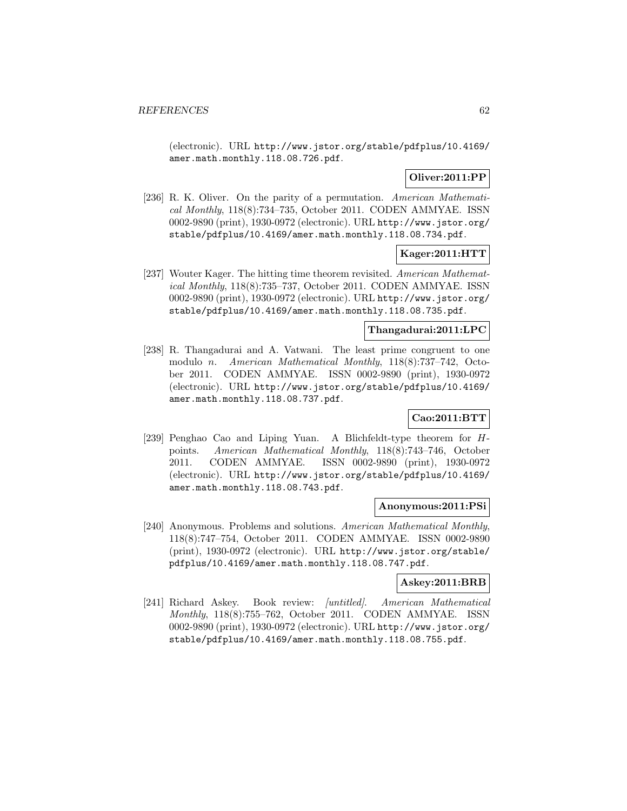(electronic). URL http://www.jstor.org/stable/pdfplus/10.4169/ amer.math.monthly.118.08.726.pdf.

# **Oliver:2011:PP**

[236] R. K. Oliver. On the parity of a permutation. American Mathematical Monthly, 118(8):734–735, October 2011. CODEN AMMYAE. ISSN 0002-9890 (print), 1930-0972 (electronic). URL http://www.jstor.org/ stable/pdfplus/10.4169/amer.math.monthly.118.08.734.pdf.

# **Kager:2011:HTT**

[237] Wouter Kager. The hitting time theorem revisited. American Mathematical Monthly, 118(8):735–737, October 2011. CODEN AMMYAE. ISSN 0002-9890 (print), 1930-0972 (electronic). URL http://www.jstor.org/ stable/pdfplus/10.4169/amer.math.monthly.118.08.735.pdf.

### **Thangadurai:2011:LPC**

[238] R. Thangadurai and A. Vatwani. The least prime congruent to one modulo n. American Mathematical Monthly, 118(8):737–742, October 2011. CODEN AMMYAE. ISSN 0002-9890 (print), 1930-0972 (electronic). URL http://www.jstor.org/stable/pdfplus/10.4169/ amer.math.monthly.118.08.737.pdf.

# **Cao:2011:BTT**

[239] Penghao Cao and Liping Yuan. A Blichfeldt-type theorem for Hpoints. American Mathematical Monthly, 118(8):743–746, October 2011. CODEN AMMYAE. ISSN 0002-9890 (print), 1930-0972 (electronic). URL http://www.jstor.org/stable/pdfplus/10.4169/ amer.math.monthly.118.08.743.pdf.

#### **Anonymous:2011:PSi**

[240] Anonymous. Problems and solutions. American Mathematical Monthly, 118(8):747–754, October 2011. CODEN AMMYAE. ISSN 0002-9890 (print), 1930-0972 (electronic). URL http://www.jstor.org/stable/ pdfplus/10.4169/amer.math.monthly.118.08.747.pdf.

#### **Askey:2011:BRB**

[241] Richard Askey. Book review: [untitled]. American Mathematical Monthly, 118(8):755–762, October 2011. CODEN AMMYAE. ISSN 0002-9890 (print), 1930-0972 (electronic). URL http://www.jstor.org/ stable/pdfplus/10.4169/amer.math.monthly.118.08.755.pdf.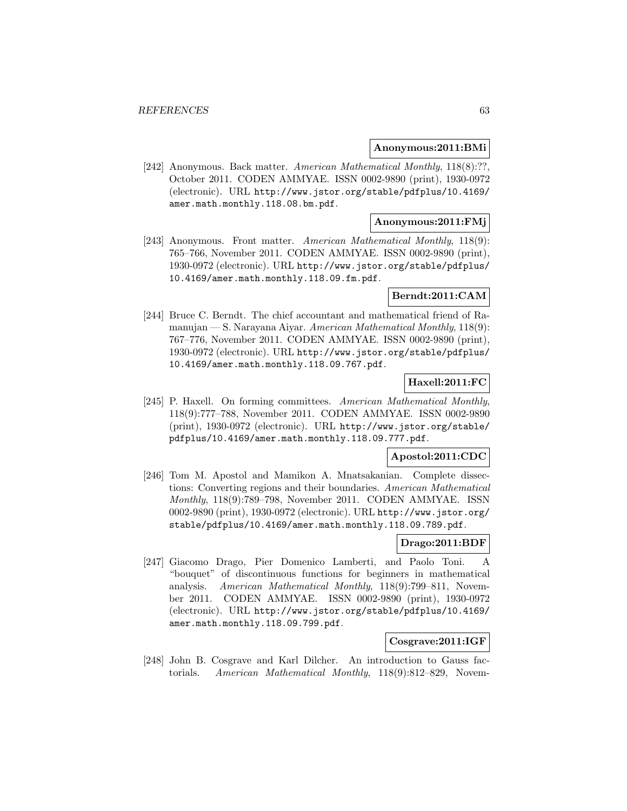#### **Anonymous:2011:BMi**

[242] Anonymous. Back matter. American Mathematical Monthly, 118(8):??, October 2011. CODEN AMMYAE. ISSN 0002-9890 (print), 1930-0972 (electronic). URL http://www.jstor.org/stable/pdfplus/10.4169/ amer.math.monthly.118.08.bm.pdf.

## **Anonymous:2011:FMj**

[243] Anonymous. Front matter. American Mathematical Monthly, 118(9): 765–766, November 2011. CODEN AMMYAE. ISSN 0002-9890 (print), 1930-0972 (electronic). URL http://www.jstor.org/stable/pdfplus/ 10.4169/amer.math.monthly.118.09.fm.pdf.

### **Berndt:2011:CAM**

[244] Bruce C. Berndt. The chief accountant and mathematical friend of Ramanujan — S. Narayana Aiyar. American Mathematical Monthly, 118(9): 767–776, November 2011. CODEN AMMYAE. ISSN 0002-9890 (print), 1930-0972 (electronic). URL http://www.jstor.org/stable/pdfplus/ 10.4169/amer.math.monthly.118.09.767.pdf.

# **Haxell:2011:FC**

[245] P. Haxell. On forming committees. American Mathematical Monthly, 118(9):777–788, November 2011. CODEN AMMYAE. ISSN 0002-9890 (print), 1930-0972 (electronic). URL http://www.jstor.org/stable/ pdfplus/10.4169/amer.math.monthly.118.09.777.pdf.

# **Apostol:2011:CDC**

[246] Tom M. Apostol and Mamikon A. Mnatsakanian. Complete dissections: Converting regions and their boundaries. American Mathematical Monthly, 118(9):789–798, November 2011. CODEN AMMYAE. ISSN 0002-9890 (print), 1930-0972 (electronic). URL http://www.jstor.org/ stable/pdfplus/10.4169/amer.math.monthly.118.09.789.pdf.

# **Drago:2011:BDF**

[247] Giacomo Drago, Pier Domenico Lamberti, and Paolo Toni. A "bouquet" of discontinuous functions for beginners in mathematical analysis. American Mathematical Monthly, 118(9):799–811, November 2011. CODEN AMMYAE. ISSN 0002-9890 (print), 1930-0972 (electronic). URL http://www.jstor.org/stable/pdfplus/10.4169/ amer.math.monthly.118.09.799.pdf.

## **Cosgrave:2011:IGF**

[248] John B. Cosgrave and Karl Dilcher. An introduction to Gauss factorials. American Mathematical Monthly, 118(9):812–829, Novem-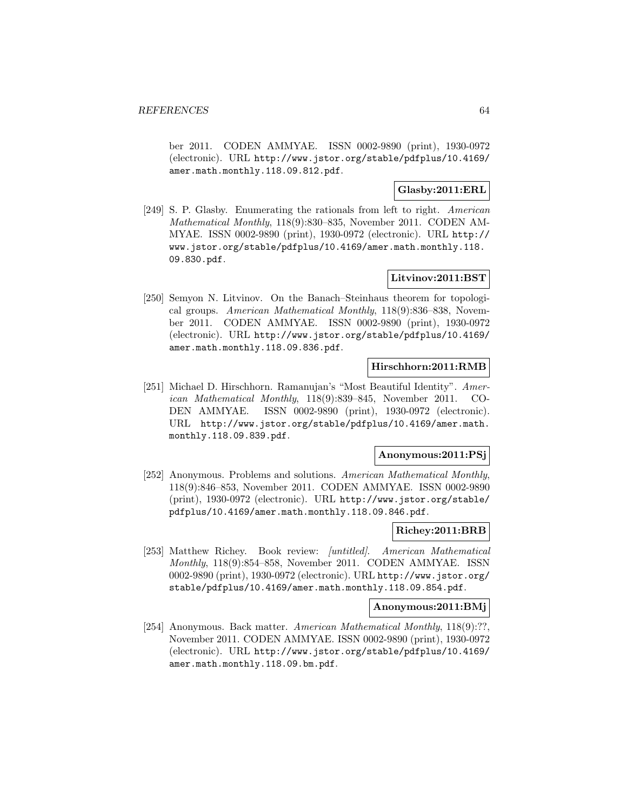ber 2011. CODEN AMMYAE. ISSN 0002-9890 (print), 1930-0972 (electronic). URL http://www.jstor.org/stable/pdfplus/10.4169/ amer.math.monthly.118.09.812.pdf.

# **Glasby:2011:ERL**

[249] S. P. Glasby. Enumerating the rationals from left to right. American Mathematical Monthly, 118(9):830–835, November 2011. CODEN AM-MYAE. ISSN 0002-9890 (print), 1930-0972 (electronic). URL http:// www.jstor.org/stable/pdfplus/10.4169/amer.math.monthly.118. 09.830.pdf.

### **Litvinov:2011:BST**

[250] Semyon N. Litvinov. On the Banach–Steinhaus theorem for topological groups. American Mathematical Monthly, 118(9):836–838, November 2011. CODEN AMMYAE. ISSN 0002-9890 (print), 1930-0972 (electronic). URL http://www.jstor.org/stable/pdfplus/10.4169/ amer.math.monthly.118.09.836.pdf.

#### **Hirschhorn:2011:RMB**

[251] Michael D. Hirschhorn. Ramanujan's "Most Beautiful Identity". American Mathematical Monthly, 118(9):839–845, November 2011. CO-DEN AMMYAE. ISSN 0002-9890 (print), 1930-0972 (electronic). URL http://www.jstor.org/stable/pdfplus/10.4169/amer.math. monthly.118.09.839.pdf.

## **Anonymous:2011:PSj**

[252] Anonymous. Problems and solutions. American Mathematical Monthly, 118(9):846–853, November 2011. CODEN AMMYAE. ISSN 0002-9890 (print), 1930-0972 (electronic). URL http://www.jstor.org/stable/ pdfplus/10.4169/amer.math.monthly.118.09.846.pdf.

#### **Richey:2011:BRB**

[253] Matthew Richey. Book review: [untitled]. American Mathematical Monthly, 118(9):854–858, November 2011. CODEN AMMYAE. ISSN 0002-9890 (print), 1930-0972 (electronic). URL http://www.jstor.org/ stable/pdfplus/10.4169/amer.math.monthly.118.09.854.pdf.

#### **Anonymous:2011:BMj**

[254] Anonymous. Back matter. American Mathematical Monthly, 118(9):??, November 2011. CODEN AMMYAE. ISSN 0002-9890 (print), 1930-0972 (electronic). URL http://www.jstor.org/stable/pdfplus/10.4169/ amer.math.monthly.118.09.bm.pdf.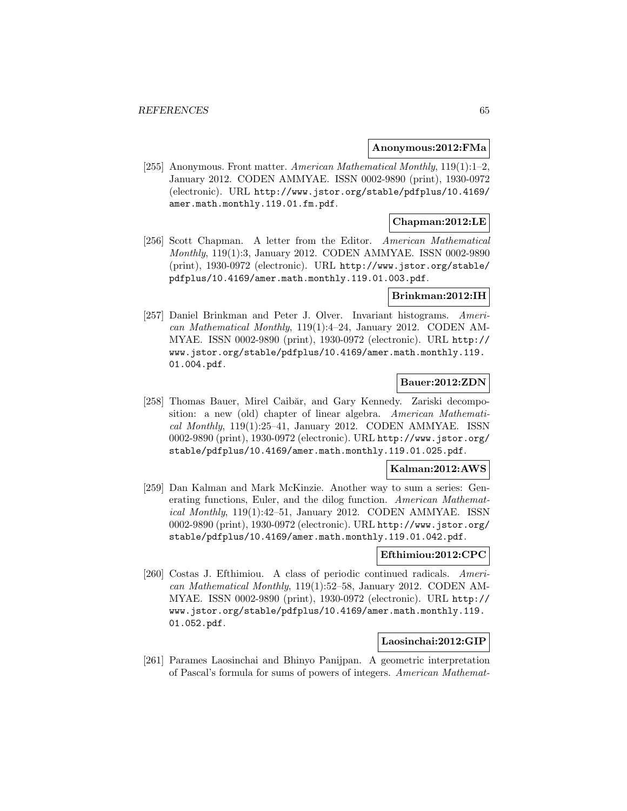#### **Anonymous:2012:FMa**

[255] Anonymous. Front matter. American Mathematical Monthly, 119(1):1–2, January 2012. CODEN AMMYAE. ISSN 0002-9890 (print), 1930-0972 (electronic). URL http://www.jstor.org/stable/pdfplus/10.4169/ amer.math.monthly.119.01.fm.pdf.

## **Chapman:2012:LE**

[256] Scott Chapman. A letter from the Editor. American Mathematical Monthly, 119(1):3, January 2012. CODEN AMMYAE. ISSN 0002-9890 (print), 1930-0972 (electronic). URL http://www.jstor.org/stable/ pdfplus/10.4169/amer.math.monthly.119.01.003.pdf.

#### **Brinkman:2012:IH**

[257] Daniel Brinkman and Peter J. Olver. Invariant histograms. American Mathematical Monthly, 119(1):4–24, January 2012. CODEN AM-MYAE. ISSN 0002-9890 (print), 1930-0972 (electronic). URL http:// www.jstor.org/stable/pdfplus/10.4169/amer.math.monthly.119. 01.004.pdf.

### **Bauer:2012:ZDN**

[258] Thomas Bauer, Mirel Caibăr, and Gary Kennedy. Zariski decomposition: a new (old) chapter of linear algebra. American Mathematical Monthly, 119(1):25–41, January 2012. CODEN AMMYAE. ISSN 0002-9890 (print), 1930-0972 (electronic). URL http://www.jstor.org/ stable/pdfplus/10.4169/amer.math.monthly.119.01.025.pdf.

## **Kalman:2012:AWS**

[259] Dan Kalman and Mark McKinzie. Another way to sum a series: Generating functions, Euler, and the dilog function. American Mathematical Monthly, 119(1):42–51, January 2012. CODEN AMMYAE. ISSN 0002-9890 (print), 1930-0972 (electronic). URL http://www.jstor.org/ stable/pdfplus/10.4169/amer.math.monthly.119.01.042.pdf.

#### **Efthimiou:2012:CPC**

[260] Costas J. Efthimiou. A class of periodic continued radicals. American Mathematical Monthly, 119(1):52–58, January 2012. CODEN AM-MYAE. ISSN 0002-9890 (print), 1930-0972 (electronic). URL http:// www.jstor.org/stable/pdfplus/10.4169/amer.math.monthly.119. 01.052.pdf.

#### **Laosinchai:2012:GIP**

[261] Parames Laosinchai and Bhinyo Panijpan. A geometric interpretation of Pascal's formula for sums of powers of integers. American Mathemat-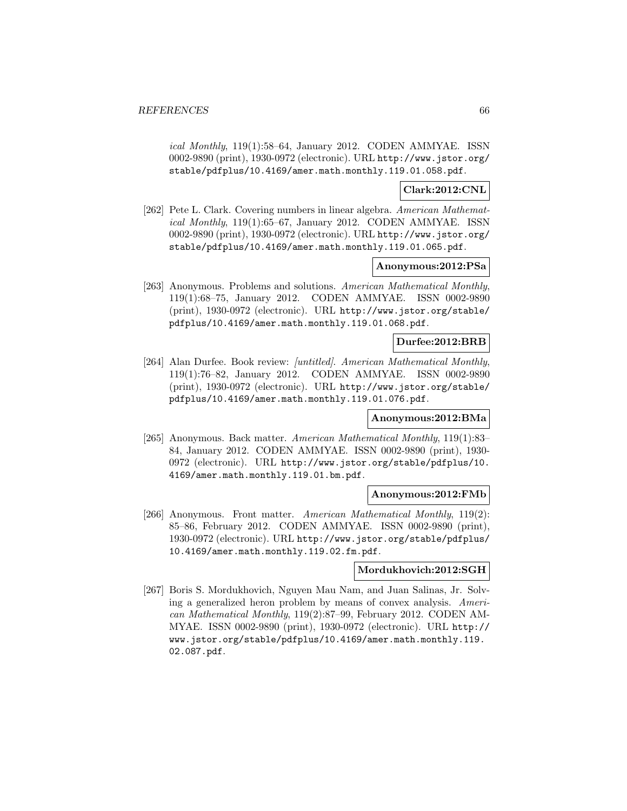ical Monthly, 119(1):58–64, January 2012. CODEN AMMYAE. ISSN 0002-9890 (print), 1930-0972 (electronic). URL http://www.jstor.org/ stable/pdfplus/10.4169/amer.math.monthly.119.01.058.pdf.

#### **Clark:2012:CNL**

[262] Pete L. Clark. Covering numbers in linear algebra. American Mathematical Monthly, 119(1):65–67, January 2012. CODEN AMMYAE. ISSN 0002-9890 (print), 1930-0972 (electronic). URL http://www.jstor.org/ stable/pdfplus/10.4169/amer.math.monthly.119.01.065.pdf.

#### **Anonymous:2012:PSa**

[263] Anonymous. Problems and solutions. American Mathematical Monthly, 119(1):68–75, January 2012. CODEN AMMYAE. ISSN 0002-9890 (print), 1930-0972 (electronic). URL http://www.jstor.org/stable/ pdfplus/10.4169/amer.math.monthly.119.01.068.pdf.

### **Durfee:2012:BRB**

[264] Alan Durfee. Book review: [untitled]. American Mathematical Monthly, 119(1):76–82, January 2012. CODEN AMMYAE. ISSN 0002-9890 (print), 1930-0972 (electronic). URL http://www.jstor.org/stable/ pdfplus/10.4169/amer.math.monthly.119.01.076.pdf.

#### **Anonymous:2012:BMa**

[265] Anonymous. Back matter. American Mathematical Monthly, 119(1):83– 84, January 2012. CODEN AMMYAE. ISSN 0002-9890 (print), 1930- 0972 (electronic). URL http://www.jstor.org/stable/pdfplus/10. 4169/amer.math.monthly.119.01.bm.pdf.

#### **Anonymous:2012:FMb**

[266] Anonymous. Front matter. American Mathematical Monthly, 119(2): 85–86, February 2012. CODEN AMMYAE. ISSN 0002-9890 (print), 1930-0972 (electronic). URL http://www.jstor.org/stable/pdfplus/ 10.4169/amer.math.monthly.119.02.fm.pdf.

#### **Mordukhovich:2012:SGH**

[267] Boris S. Mordukhovich, Nguyen Mau Nam, and Juan Salinas, Jr. Solving a generalized heron problem by means of convex analysis. American Mathematical Monthly, 119(2):87–99, February 2012. CODEN AM-MYAE. ISSN 0002-9890 (print), 1930-0972 (electronic). URL http:// www.jstor.org/stable/pdfplus/10.4169/amer.math.monthly.119. 02.087.pdf.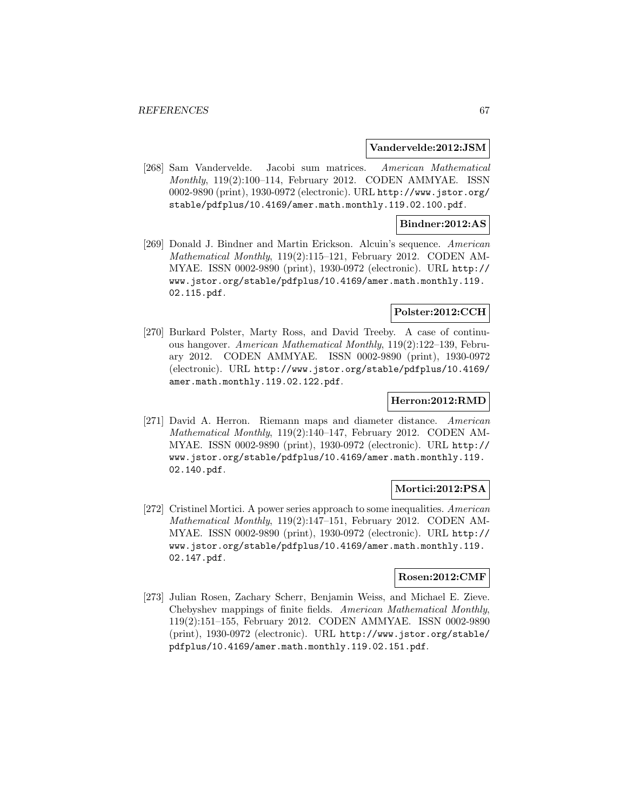#### **Vandervelde:2012:JSM**

[268] Sam Vandervelde. Jacobi sum matrices. American Mathematical Monthly, 119(2):100–114, February 2012. CODEN AMMYAE. ISSN 0002-9890 (print), 1930-0972 (electronic). URL http://www.jstor.org/ stable/pdfplus/10.4169/amer.math.monthly.119.02.100.pdf.

#### **Bindner:2012:AS**

[269] Donald J. Bindner and Martin Erickson. Alcuin's sequence. American Mathematical Monthly, 119(2):115–121, February 2012. CODEN AM-MYAE. ISSN 0002-9890 (print), 1930-0972 (electronic). URL http:// www.jstor.org/stable/pdfplus/10.4169/amer.math.monthly.119. 02.115.pdf.

#### **Polster:2012:CCH**

[270] Burkard Polster, Marty Ross, and David Treeby. A case of continuous hangover. American Mathematical Monthly, 119(2):122–139, February 2012. CODEN AMMYAE. ISSN 0002-9890 (print), 1930-0972 (electronic). URL http://www.jstor.org/stable/pdfplus/10.4169/ amer.math.monthly.119.02.122.pdf.

#### **Herron:2012:RMD**

[271] David A. Herron. Riemann maps and diameter distance. American Mathematical Monthly, 119(2):140–147, February 2012. CODEN AM-MYAE. ISSN 0002-9890 (print), 1930-0972 (electronic). URL http:// www.jstor.org/stable/pdfplus/10.4169/amer.math.monthly.119. 02.140.pdf.

### **Mortici:2012:PSA**

[272] Cristinel Mortici. A power series approach to some inequalities. American Mathematical Monthly, 119(2):147–151, February 2012. CODEN AM-MYAE. ISSN 0002-9890 (print), 1930-0972 (electronic). URL http:// www.jstor.org/stable/pdfplus/10.4169/amer.math.monthly.119. 02.147.pdf.

# **Rosen:2012:CMF**

[273] Julian Rosen, Zachary Scherr, Benjamin Weiss, and Michael E. Zieve. Chebyshev mappings of finite fields. American Mathematical Monthly, 119(2):151–155, February 2012. CODEN AMMYAE. ISSN 0002-9890 (print), 1930-0972 (electronic). URL http://www.jstor.org/stable/ pdfplus/10.4169/amer.math.monthly.119.02.151.pdf.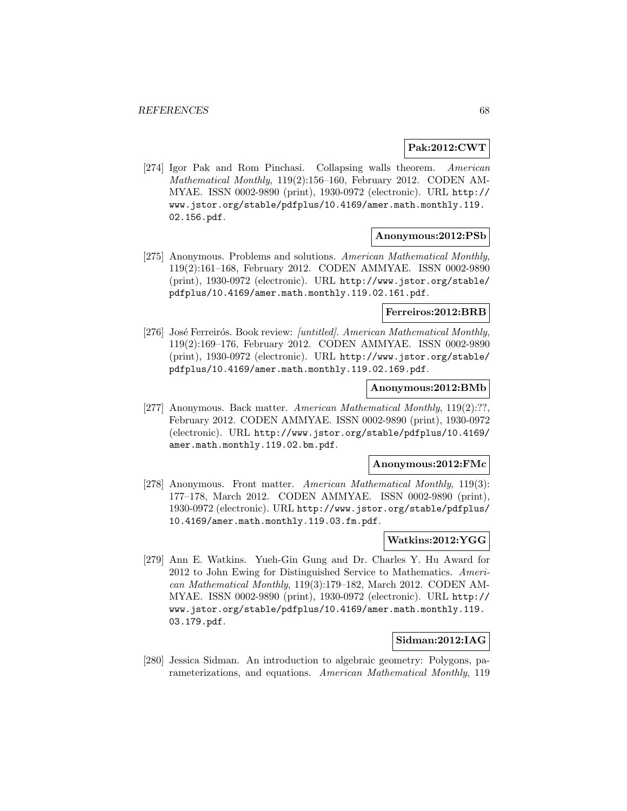## **Pak:2012:CWT**

[274] Igor Pak and Rom Pinchasi. Collapsing walls theorem. American Mathematical Monthly, 119(2):156–160, February 2012. CODEN AM-MYAE. ISSN 0002-9890 (print), 1930-0972 (electronic). URL http:// www.jstor.org/stable/pdfplus/10.4169/amer.math.monthly.119. 02.156.pdf.

### **Anonymous:2012:PSb**

[275] Anonymous. Problems and solutions. American Mathematical Monthly, 119(2):161–168, February 2012. CODEN AMMYAE. ISSN 0002-9890 (print), 1930-0972 (electronic). URL http://www.jstor.org/stable/ pdfplus/10.4169/amer.math.monthly.119.02.161.pdf.

#### **Ferreiros:2012:BRB**

[276] José Ferreirós. Book review: [untitled]. American Mathematical Monthly, 119(2):169–176, February 2012. CODEN AMMYAE. ISSN 0002-9890 (print), 1930-0972 (electronic). URL http://www.jstor.org/stable/ pdfplus/10.4169/amer.math.monthly.119.02.169.pdf.

#### **Anonymous:2012:BMb**

[277] Anonymous. Back matter. American Mathematical Monthly, 119(2):??, February 2012. CODEN AMMYAE. ISSN 0002-9890 (print), 1930-0972 (electronic). URL http://www.jstor.org/stable/pdfplus/10.4169/ amer.math.monthly.119.02.bm.pdf.

#### **Anonymous:2012:FMc**

[278] Anonymous. Front matter. American Mathematical Monthly, 119(3): 177–178, March 2012. CODEN AMMYAE. ISSN 0002-9890 (print), 1930-0972 (electronic). URL http://www.jstor.org/stable/pdfplus/ 10.4169/amer.math.monthly.119.03.fm.pdf.

## **Watkins:2012:YGG**

[279] Ann E. Watkins. Yueh-Gin Gung and Dr. Charles Y. Hu Award for 2012 to John Ewing for Distinguished Service to Mathematics. American Mathematical Monthly, 119(3):179–182, March 2012. CODEN AM-MYAE. ISSN 0002-9890 (print), 1930-0972 (electronic). URL http:// www.jstor.org/stable/pdfplus/10.4169/amer.math.monthly.119. 03.179.pdf.

### **Sidman:2012:IAG**

[280] Jessica Sidman. An introduction to algebraic geometry: Polygons, parameterizations, and equations. American Mathematical Monthly, 119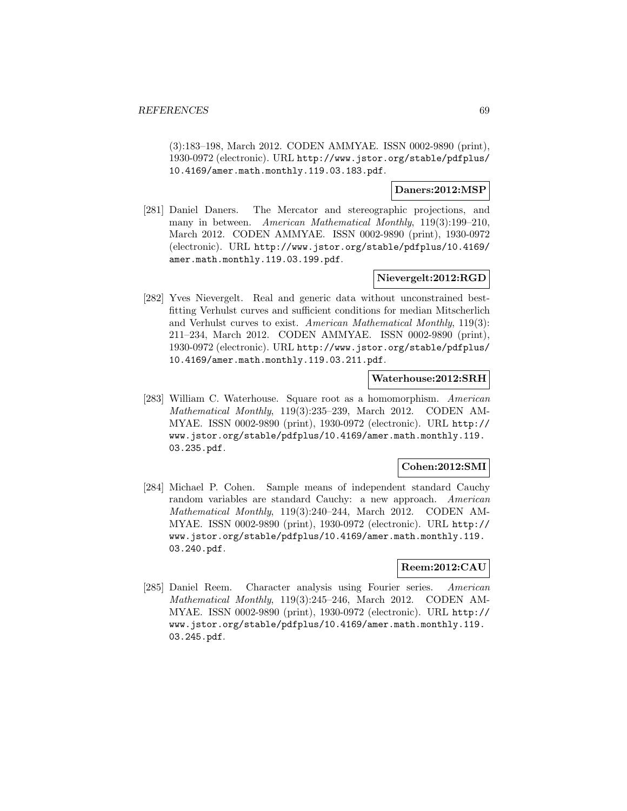(3):183–198, March 2012. CODEN AMMYAE. ISSN 0002-9890 (print), 1930-0972 (electronic). URL http://www.jstor.org/stable/pdfplus/ 10.4169/amer.math.monthly.119.03.183.pdf.

## **Daners:2012:MSP**

[281] Daniel Daners. The Mercator and stereographic projections, and many in between. American Mathematical Monthly, 119(3):199–210, March 2012. CODEN AMMYAE. ISSN 0002-9890 (print), 1930-0972 (electronic). URL http://www.jstor.org/stable/pdfplus/10.4169/ amer.math.monthly.119.03.199.pdf.

# **Nievergelt:2012:RGD**

[282] Yves Nievergelt. Real and generic data without unconstrained bestfitting Verhulst curves and sufficient conditions for median Mitscherlich and Verhulst curves to exist. American Mathematical Monthly, 119(3): 211–234, March 2012. CODEN AMMYAE. ISSN 0002-9890 (print), 1930-0972 (electronic). URL http://www.jstor.org/stable/pdfplus/ 10.4169/amer.math.monthly.119.03.211.pdf.

# **Waterhouse:2012:SRH**

[283] William C. Waterhouse. Square root as a homomorphism. American Mathematical Monthly, 119(3):235–239, March 2012. CODEN AM-MYAE. ISSN 0002-9890 (print), 1930-0972 (electronic). URL http:// www.jstor.org/stable/pdfplus/10.4169/amer.math.monthly.119. 03.235.pdf.

# **Cohen:2012:SMI**

[284] Michael P. Cohen. Sample means of independent standard Cauchy random variables are standard Cauchy: a new approach. American Mathematical Monthly, 119(3):240–244, March 2012. CODEN AM-MYAE. ISSN 0002-9890 (print), 1930-0972 (electronic). URL http:// www.jstor.org/stable/pdfplus/10.4169/amer.math.monthly.119. 03.240.pdf.

# **Reem:2012:CAU**

[285] Daniel Reem. Character analysis using Fourier series. American Mathematical Monthly, 119(3):245–246, March 2012. CODEN AM-MYAE. ISSN 0002-9890 (print), 1930-0972 (electronic). URL http:// www.jstor.org/stable/pdfplus/10.4169/amer.math.monthly.119. 03.245.pdf.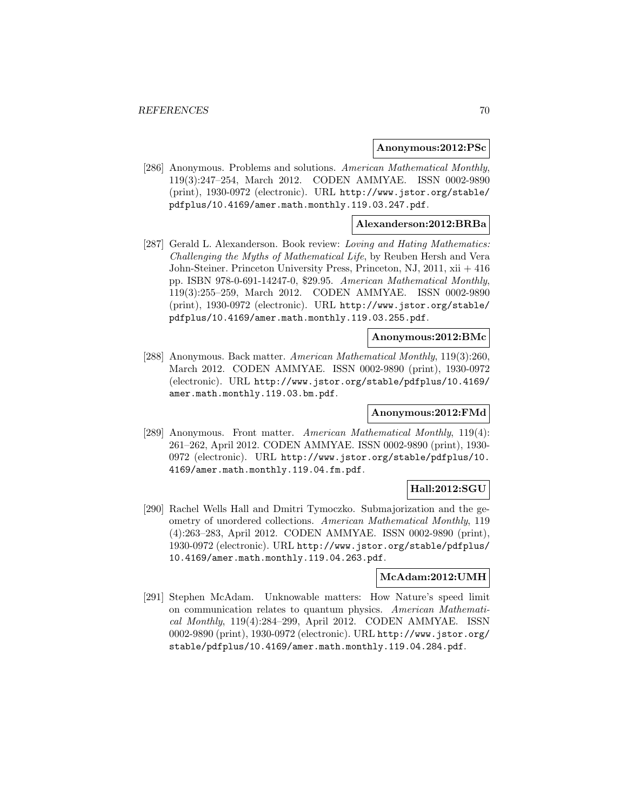#### **Anonymous:2012:PSc**

[286] Anonymous. Problems and solutions. American Mathematical Monthly, 119(3):247–254, March 2012. CODEN AMMYAE. ISSN 0002-9890 (print), 1930-0972 (electronic). URL http://www.jstor.org/stable/ pdfplus/10.4169/amer.math.monthly.119.03.247.pdf.

### **Alexanderson:2012:BRBa**

[287] Gerald L. Alexanderson. Book review: Loving and Hating Mathematics: Challenging the Myths of Mathematical Life, by Reuben Hersh and Vera John-Steiner. Princeton University Press, Princeton, NJ, 2011, xii + 416 pp. ISBN 978-0-691-14247-0, \$29.95. American Mathematical Monthly, 119(3):255–259, March 2012. CODEN AMMYAE. ISSN 0002-9890 (print), 1930-0972 (electronic). URL http://www.jstor.org/stable/ pdfplus/10.4169/amer.math.monthly.119.03.255.pdf.

### **Anonymous:2012:BMc**

[288] Anonymous. Back matter. American Mathematical Monthly, 119(3):260, March 2012. CODEN AMMYAE. ISSN 0002-9890 (print), 1930-0972 (electronic). URL http://www.jstor.org/stable/pdfplus/10.4169/ amer.math.monthly.119.03.bm.pdf.

### **Anonymous:2012:FMd**

[289] Anonymous. Front matter. American Mathematical Monthly, 119(4): 261–262, April 2012. CODEN AMMYAE. ISSN 0002-9890 (print), 1930- 0972 (electronic). URL http://www.jstor.org/stable/pdfplus/10. 4169/amer.math.monthly.119.04.fm.pdf.

# **Hall:2012:SGU**

[290] Rachel Wells Hall and Dmitri Tymoczko. Submajorization and the geometry of unordered collections. American Mathematical Monthly, 119 (4):263–283, April 2012. CODEN AMMYAE. ISSN 0002-9890 (print), 1930-0972 (electronic). URL http://www.jstor.org/stable/pdfplus/ 10.4169/amer.math.monthly.119.04.263.pdf.

### **McAdam:2012:UMH**

[291] Stephen McAdam. Unknowable matters: How Nature's speed limit on communication relates to quantum physics. American Mathematical Monthly, 119(4):284–299, April 2012. CODEN AMMYAE. ISSN 0002-9890 (print), 1930-0972 (electronic). URL http://www.jstor.org/ stable/pdfplus/10.4169/amer.math.monthly.119.04.284.pdf.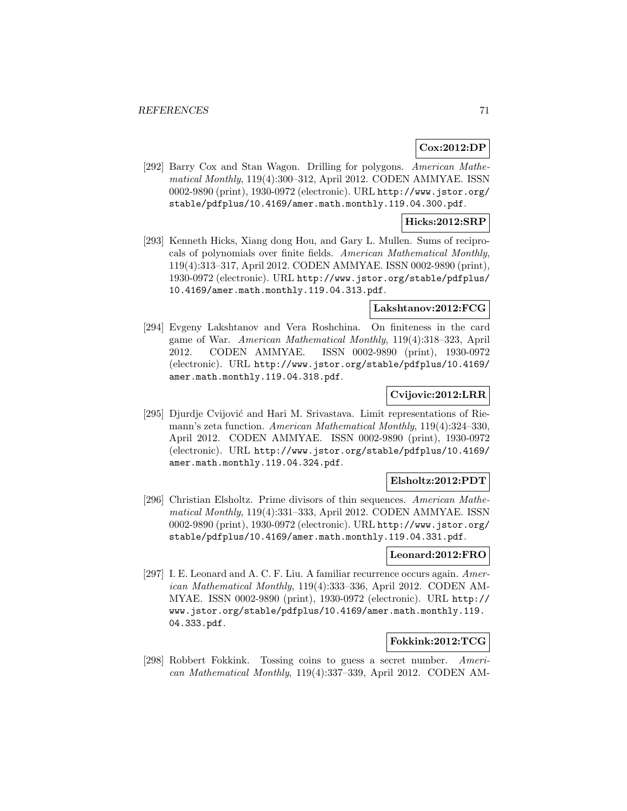# **Cox:2012:DP**

[292] Barry Cox and Stan Wagon. Drilling for polygons. American Mathematical Monthly, 119(4):300–312, April 2012. CODEN AMMYAE. ISSN 0002-9890 (print), 1930-0972 (electronic). URL http://www.jstor.org/ stable/pdfplus/10.4169/amer.math.monthly.119.04.300.pdf.

### **Hicks:2012:SRP**

[293] Kenneth Hicks, Xiang dong Hou, and Gary L. Mullen. Sums of reciprocals of polynomials over finite fields. American Mathematical Monthly, 119(4):313–317, April 2012. CODEN AMMYAE. ISSN 0002-9890 (print), 1930-0972 (electronic). URL http://www.jstor.org/stable/pdfplus/ 10.4169/amer.math.monthly.119.04.313.pdf.

### **Lakshtanov:2012:FCG**

[294] Evgeny Lakshtanov and Vera Roshchina. On finiteness in the card game of War. American Mathematical Monthly, 119(4):318–323, April 2012. CODEN AMMYAE. ISSN 0002-9890 (print), 1930-0972 (electronic). URL http://www.jstor.org/stable/pdfplus/10.4169/ amer.math.monthly.119.04.318.pdf.

# **Cvijovic:2012:LRR**

[295] Djurdje Cvijović and Hari M. Srivastava. Limit representations of Riemann's zeta function. American Mathematical Monthly, 119(4):324–330, April 2012. CODEN AMMYAE. ISSN 0002-9890 (print), 1930-0972 (electronic). URL http://www.jstor.org/stable/pdfplus/10.4169/ amer.math.monthly.119.04.324.pdf.

### **Elsholtz:2012:PDT**

[296] Christian Elsholtz. Prime divisors of thin sequences. American Mathematical Monthly, 119(4):331–333, April 2012. CODEN AMMYAE. ISSN 0002-9890 (print), 1930-0972 (electronic). URL http://www.jstor.org/ stable/pdfplus/10.4169/amer.math.monthly.119.04.331.pdf.

#### **Leonard:2012:FRO**

[297] I. E. Leonard and A. C. F. Liu. A familiar recurrence occurs again. American Mathematical Monthly, 119(4):333–336, April 2012. CODEN AM-MYAE. ISSN 0002-9890 (print), 1930-0972 (electronic). URL http:// www.jstor.org/stable/pdfplus/10.4169/amer.math.monthly.119. 04.333.pdf.

# **Fokkink:2012:TCG**

[298] Robbert Fokkink. Tossing coins to guess a secret number. American Mathematical Monthly, 119(4):337–339, April 2012. CODEN AM-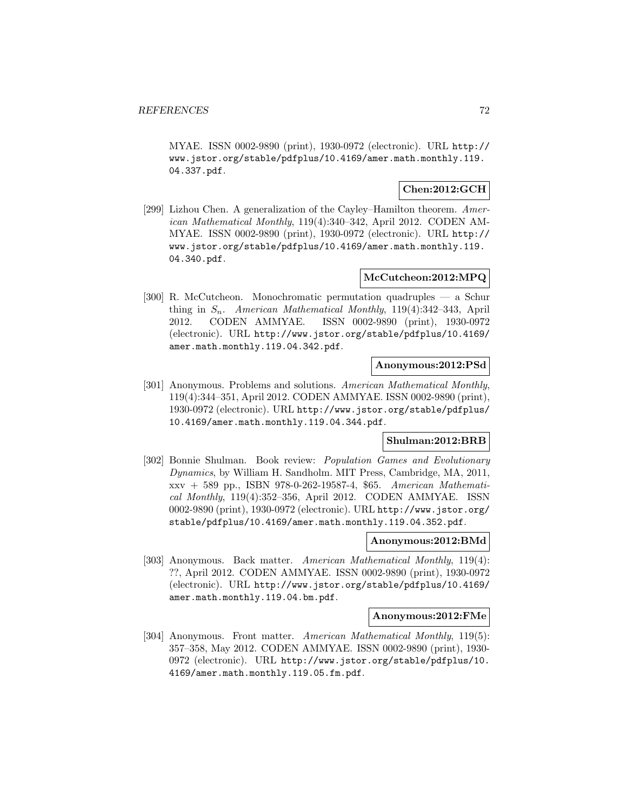MYAE. ISSN 0002-9890 (print), 1930-0972 (electronic). URL http:// www.jstor.org/stable/pdfplus/10.4169/amer.math.monthly.119. 04.337.pdf.

# **Chen:2012:GCH**

[299] Lizhou Chen. A generalization of the Cayley–Hamilton theorem. American Mathematical Monthly, 119(4):340–342, April 2012. CODEN AM-MYAE. ISSN 0002-9890 (print), 1930-0972 (electronic). URL http:// www.jstor.org/stable/pdfplus/10.4169/amer.math.monthly.119. 04.340.pdf.

### **McCutcheon:2012:MPQ**

[300] R. McCutcheon. Monochromatic permutation quadruples — a Schur thing in  $S_n$ . American Mathematical Monthly, 119(4):342–343, April 2012. CODEN AMMYAE. ISSN 0002-9890 (print), 1930-0972 (electronic). URL http://www.jstor.org/stable/pdfplus/10.4169/ amer.math.monthly.119.04.342.pdf.

#### **Anonymous:2012:PSd**

[301] Anonymous. Problems and solutions. American Mathematical Monthly, 119(4):344–351, April 2012. CODEN AMMYAE. ISSN 0002-9890 (print), 1930-0972 (electronic). URL http://www.jstor.org/stable/pdfplus/ 10.4169/amer.math.monthly.119.04.344.pdf.

# **Shulman:2012:BRB**

[302] Bonnie Shulman. Book review: Population Games and Evolutionary Dynamics, by William H. Sandholm. MIT Press, Cambridge, MA, 2011, xxv + 589 pp., ISBN 978-0-262-19587-4, \$65. American Mathematical Monthly, 119(4):352–356, April 2012. CODEN AMMYAE. ISSN 0002-9890 (print), 1930-0972 (electronic). URL http://www.jstor.org/ stable/pdfplus/10.4169/amer.math.monthly.119.04.352.pdf.

## **Anonymous:2012:BMd**

[303] Anonymous. Back matter. American Mathematical Monthly, 119(4): ??, April 2012. CODEN AMMYAE. ISSN 0002-9890 (print), 1930-0972 (electronic). URL http://www.jstor.org/stable/pdfplus/10.4169/ amer.math.monthly.119.04.bm.pdf.

#### **Anonymous:2012:FMe**

[304] Anonymous. Front matter. American Mathematical Monthly, 119(5): 357–358, May 2012. CODEN AMMYAE. ISSN 0002-9890 (print), 1930- 0972 (electronic). URL http://www.jstor.org/stable/pdfplus/10. 4169/amer.math.monthly.119.05.fm.pdf.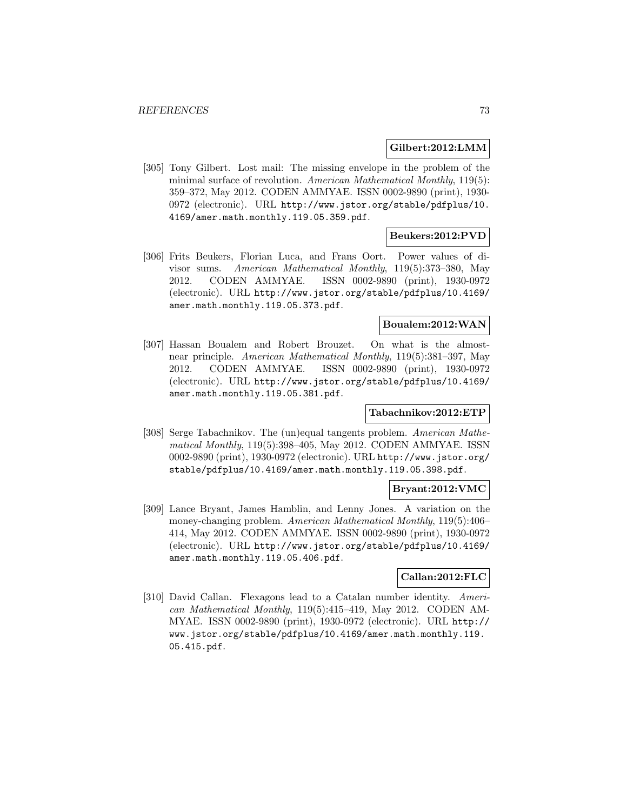#### **Gilbert:2012:LMM**

[305] Tony Gilbert. Lost mail: The missing envelope in the problem of the minimal surface of revolution. American Mathematical Monthly, 119(5): 359–372, May 2012. CODEN AMMYAE. ISSN 0002-9890 (print), 1930- 0972 (electronic). URL http://www.jstor.org/stable/pdfplus/10. 4169/amer.math.monthly.119.05.359.pdf.

# **Beukers:2012:PVD**

[306] Frits Beukers, Florian Luca, and Frans Oort. Power values of divisor sums. American Mathematical Monthly, 119(5):373–380, May 2012. CODEN AMMYAE. ISSN 0002-9890 (print), 1930-0972 (electronic). URL http://www.jstor.org/stable/pdfplus/10.4169/ amer.math.monthly.119.05.373.pdf.

# **Boualem:2012:WAN**

[307] Hassan Boualem and Robert Brouzet. On what is the almostnear principle. American Mathematical Monthly, 119(5):381–397, May 2012. CODEN AMMYAE. ISSN 0002-9890 (print), 1930-0972 (electronic). URL http://www.jstor.org/stable/pdfplus/10.4169/ amer.math.monthly.119.05.381.pdf.

## **Tabachnikov:2012:ETP**

[308] Serge Tabachnikov. The (un)equal tangents problem. American Mathematical Monthly, 119(5):398–405, May 2012. CODEN AMMYAE. ISSN 0002-9890 (print), 1930-0972 (electronic). URL http://www.jstor.org/ stable/pdfplus/10.4169/amer.math.monthly.119.05.398.pdf.

#### **Bryant:2012:VMC**

[309] Lance Bryant, James Hamblin, and Lenny Jones. A variation on the money-changing problem. American Mathematical Monthly, 119(5):406– 414, May 2012. CODEN AMMYAE. ISSN 0002-9890 (print), 1930-0972 (electronic). URL http://www.jstor.org/stable/pdfplus/10.4169/ amer.math.monthly.119.05.406.pdf.

# **Callan:2012:FLC**

[310] David Callan. Flexagons lead to a Catalan number identity. American Mathematical Monthly, 119(5):415–419, May 2012. CODEN AM-MYAE. ISSN 0002-9890 (print), 1930-0972 (electronic). URL http:// www.jstor.org/stable/pdfplus/10.4169/amer.math.monthly.119. 05.415.pdf.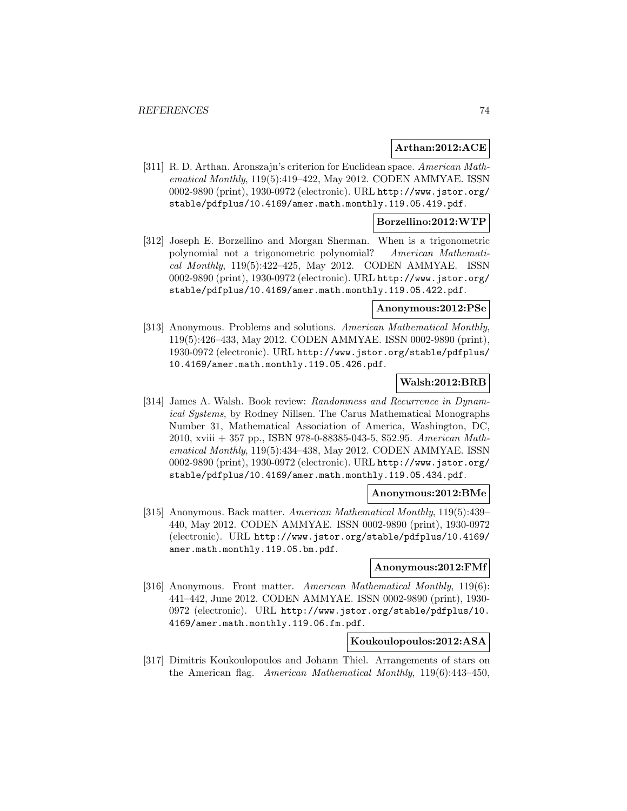#### **Arthan:2012:ACE**

[311] R. D. Arthan. Aronszajn's criterion for Euclidean space. American Mathematical Monthly, 119(5):419–422, May 2012. CODEN AMMYAE. ISSN 0002-9890 (print), 1930-0972 (electronic). URL http://www.jstor.org/ stable/pdfplus/10.4169/amer.math.monthly.119.05.419.pdf.

## **Borzellino:2012:WTP**

[312] Joseph E. Borzellino and Morgan Sherman. When is a trigonometric polynomial not a trigonometric polynomial? American Mathematical Monthly, 119(5):422–425, May 2012. CODEN AMMYAE. ISSN 0002-9890 (print), 1930-0972 (electronic). URL http://www.jstor.org/ stable/pdfplus/10.4169/amer.math.monthly.119.05.422.pdf.

## **Anonymous:2012:PSe**

[313] Anonymous. Problems and solutions. American Mathematical Monthly, 119(5):426–433, May 2012. CODEN AMMYAE. ISSN 0002-9890 (print), 1930-0972 (electronic). URL http://www.jstor.org/stable/pdfplus/ 10.4169/amer.math.monthly.119.05.426.pdf.

## **Walsh:2012:BRB**

[314] James A. Walsh. Book review: Randomness and Recurrence in Dynamical Systems, by Rodney Nillsen. The Carus Mathematical Monographs Number 31, Mathematical Association of America, Washington, DC, 2010, xviii + 357 pp., ISBN 978-0-88385-043-5, \$52.95. American Mathematical Monthly, 119(5):434–438, May 2012. CODEN AMMYAE. ISSN 0002-9890 (print), 1930-0972 (electronic). URL http://www.jstor.org/ stable/pdfplus/10.4169/amer.math.monthly.119.05.434.pdf.

#### **Anonymous:2012:BMe**

[315] Anonymous. Back matter. American Mathematical Monthly, 119(5):439– 440, May 2012. CODEN AMMYAE. ISSN 0002-9890 (print), 1930-0972 (electronic). URL http://www.jstor.org/stable/pdfplus/10.4169/ amer.math.monthly.119.05.bm.pdf.

#### **Anonymous:2012:FMf**

[316] Anonymous. Front matter. American Mathematical Monthly, 119(6): 441–442, June 2012. CODEN AMMYAE. ISSN 0002-9890 (print), 1930- 0972 (electronic). URL http://www.jstor.org/stable/pdfplus/10. 4169/amer.math.monthly.119.06.fm.pdf.

# **Koukoulopoulos:2012:ASA**

[317] Dimitris Koukoulopoulos and Johann Thiel. Arrangements of stars on the American flag. American Mathematical Monthly, 119(6):443–450,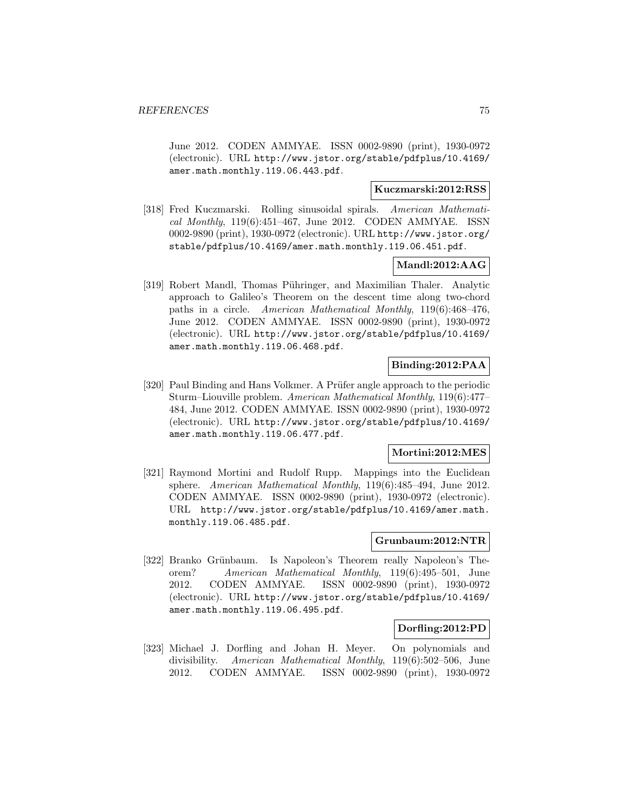June 2012. CODEN AMMYAE. ISSN 0002-9890 (print), 1930-0972 (electronic). URL http://www.jstor.org/stable/pdfplus/10.4169/ amer.math.monthly.119.06.443.pdf.

## **Kuczmarski:2012:RSS**

[318] Fred Kuczmarski. Rolling sinusoidal spirals. American Mathematical Monthly, 119(6):451–467, June 2012. CODEN AMMYAE. ISSN 0002-9890 (print), 1930-0972 (electronic). URL http://www.jstor.org/ stable/pdfplus/10.4169/amer.math.monthly.119.06.451.pdf.

# **Mandl:2012:AAG**

[319] Robert Mandl, Thomas Pühringer, and Maximilian Thaler. Analytic approach to Galileo's Theorem on the descent time along two-chord paths in a circle. American Mathematical Monthly, 119(6):468–476, June 2012. CODEN AMMYAE. ISSN 0002-9890 (print), 1930-0972 (electronic). URL http://www.jstor.org/stable/pdfplus/10.4169/ amer.math.monthly.119.06.468.pdf.

# **Binding:2012:PAA**

[320] Paul Binding and Hans Volkmer. A Prüfer angle approach to the periodic Sturm–Liouville problem. American Mathematical Monthly, 119(6):477– 484, June 2012. CODEN AMMYAE. ISSN 0002-9890 (print), 1930-0972 (electronic). URL http://www.jstor.org/stable/pdfplus/10.4169/ amer.math.monthly.119.06.477.pdf.

## **Mortini:2012:MES**

[321] Raymond Mortini and Rudolf Rupp. Mappings into the Euclidean sphere. American Mathematical Monthly, 119(6):485–494, June 2012. CODEN AMMYAE. ISSN 0002-9890 (print), 1930-0972 (electronic). URL http://www.jstor.org/stable/pdfplus/10.4169/amer.math. monthly.119.06.485.pdf.

# **Grunbaum:2012:NTR**

[322] Branko Grünbaum. Is Napoleon's Theorem really Napoleon's Theorem? American Mathematical Monthly, 119(6):495–501, June 2012. CODEN AMMYAE. ISSN 0002-9890 (print), 1930-0972 (electronic). URL http://www.jstor.org/stable/pdfplus/10.4169/ amer.math.monthly.119.06.495.pdf.

#### **Dorfling:2012:PD**

[323] Michael J. Dorfling and Johan H. Meyer. On polynomials and divisibility. American Mathematical Monthly, 119(6):502–506, June 2012. CODEN AMMYAE. ISSN 0002-9890 (print), 1930-0972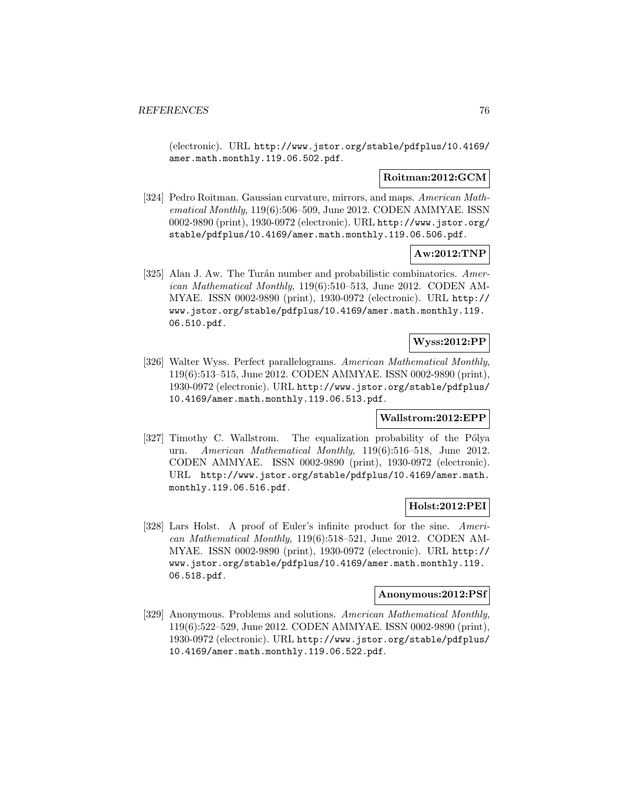(electronic). URL http://www.jstor.org/stable/pdfplus/10.4169/ amer.math.monthly.119.06.502.pdf.

## **Roitman:2012:GCM**

[324] Pedro Roitman. Gaussian curvature, mirrors, and maps. American Mathematical Monthly, 119(6):506–509, June 2012. CODEN AMMYAE. ISSN 0002-9890 (print), 1930-0972 (electronic). URL http://www.jstor.org/ stable/pdfplus/10.4169/amer.math.monthly.119.06.506.pdf.

# **Aw:2012:TNP**

[325] Alan J. Aw. The Turán number and probabilistic combinatorics. American Mathematical Monthly, 119(6):510–513, June 2012. CODEN AM-MYAE. ISSN 0002-9890 (print), 1930-0972 (electronic). URL http:// www.jstor.org/stable/pdfplus/10.4169/amer.math.monthly.119. 06.510.pdf.

# **Wyss:2012:PP**

[326] Walter Wyss. Perfect parallelograms. American Mathematical Monthly, 119(6):513–515, June 2012. CODEN AMMYAE. ISSN 0002-9890 (print), 1930-0972 (electronic). URL http://www.jstor.org/stable/pdfplus/ 10.4169/amer.math.monthly.119.06.513.pdf.

#### **Wallstrom:2012:EPP**

[327] Timothy C. Wallstrom. The equalization probability of the Pólya urn. American Mathematical Monthly, 119(6):516–518, June 2012. CODEN AMMYAE. ISSN 0002-9890 (print), 1930-0972 (electronic). URL http://www.jstor.org/stable/pdfplus/10.4169/amer.math. monthly.119.06.516.pdf.

# **Holst:2012:PEI**

[328] Lars Holst. A proof of Euler's infinite product for the sine. American Mathematical Monthly, 119(6):518–521, June 2012. CODEN AM-MYAE. ISSN 0002-9890 (print), 1930-0972 (electronic). URL http:// www.jstor.org/stable/pdfplus/10.4169/amer.math.monthly.119. 06.518.pdf.

#### **Anonymous:2012:PSf**

[329] Anonymous. Problems and solutions. American Mathematical Monthly, 119(6):522–529, June 2012. CODEN AMMYAE. ISSN 0002-9890 (print), 1930-0972 (electronic). URL http://www.jstor.org/stable/pdfplus/ 10.4169/amer.math.monthly.119.06.522.pdf.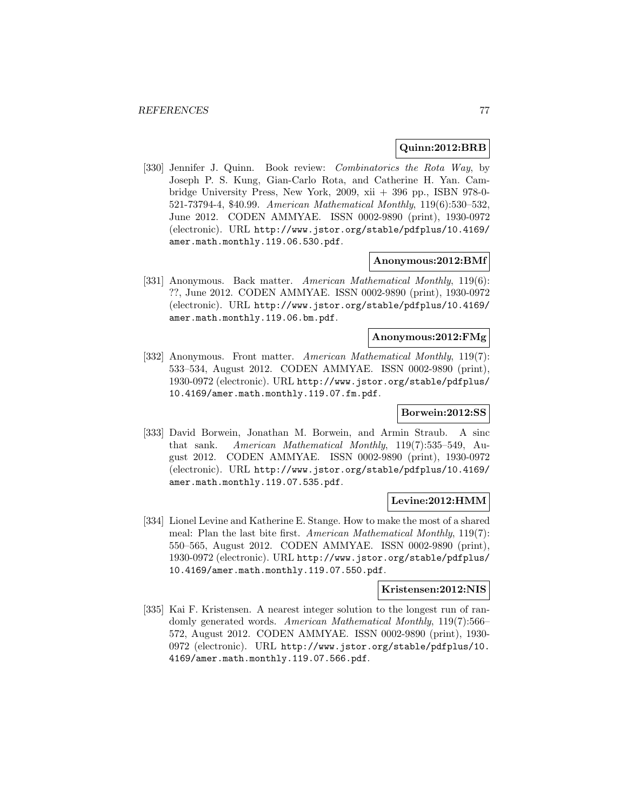#### **Quinn:2012:BRB**

[330] Jennifer J. Quinn. Book review: Combinatorics the Rota Way, by Joseph P. S. Kung, Gian-Carlo Rota, and Catherine H. Yan. Cambridge University Press, New York, 2009, xii + 396 pp., ISBN 978-0- 521-73794-4, \$40.99. American Mathematical Monthly, 119(6):530–532, June 2012. CODEN AMMYAE. ISSN 0002-9890 (print), 1930-0972 (electronic). URL http://www.jstor.org/stable/pdfplus/10.4169/ amer.math.monthly.119.06.530.pdf.

#### **Anonymous:2012:BMf**

[331] Anonymous. Back matter. American Mathematical Monthly, 119(6): ??, June 2012. CODEN AMMYAE. ISSN 0002-9890 (print), 1930-0972 (electronic). URL http://www.jstor.org/stable/pdfplus/10.4169/ amer.math.monthly.119.06.bm.pdf.

## **Anonymous:2012:FMg**

[332] Anonymous. Front matter. American Mathematical Monthly, 119(7): 533–534, August 2012. CODEN AMMYAE. ISSN 0002-9890 (print), 1930-0972 (electronic). URL http://www.jstor.org/stable/pdfplus/ 10.4169/amer.math.monthly.119.07.fm.pdf.

#### **Borwein:2012:SS**

[333] David Borwein, Jonathan M. Borwein, and Armin Straub. A sinc that sank. American Mathematical Monthly, 119(7):535–549, August 2012. CODEN AMMYAE. ISSN 0002-9890 (print), 1930-0972 (electronic). URL http://www.jstor.org/stable/pdfplus/10.4169/ amer.math.monthly.119.07.535.pdf.

#### **Levine:2012:HMM**

[334] Lionel Levine and Katherine E. Stange. How to make the most of a shared meal: Plan the last bite first. American Mathematical Monthly, 119(7): 550–565, August 2012. CODEN AMMYAE. ISSN 0002-9890 (print), 1930-0972 (electronic). URL http://www.jstor.org/stable/pdfplus/ 10.4169/amer.math.monthly.119.07.550.pdf.

#### **Kristensen:2012:NIS**

[335] Kai F. Kristensen. A nearest integer solution to the longest run of randomly generated words. American Mathematical Monthly, 119(7):566– 572, August 2012. CODEN AMMYAE. ISSN 0002-9890 (print), 1930- 0972 (electronic). URL http://www.jstor.org/stable/pdfplus/10. 4169/amer.math.monthly.119.07.566.pdf.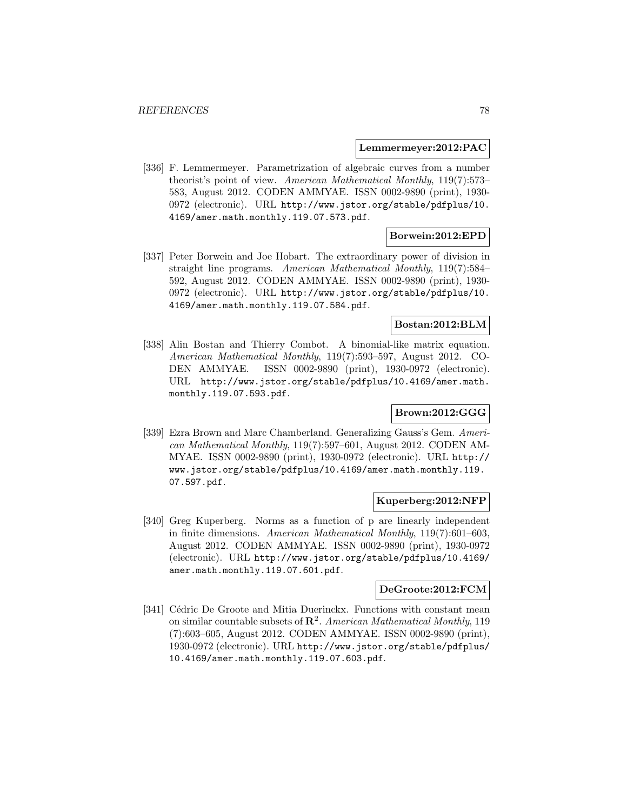#### **Lemmermeyer:2012:PAC**

[336] F. Lemmermeyer. Parametrization of algebraic curves from a number theorist's point of view. American Mathematical Monthly, 119(7):573– 583, August 2012. CODEN AMMYAE. ISSN 0002-9890 (print), 1930- 0972 (electronic). URL http://www.jstor.org/stable/pdfplus/10. 4169/amer.math.monthly.119.07.573.pdf.

## **Borwein:2012:EPD**

[337] Peter Borwein and Joe Hobart. The extraordinary power of division in straight line programs. American Mathematical Monthly, 119(7):584– 592, August 2012. CODEN AMMYAE. ISSN 0002-9890 (print), 1930- 0972 (electronic). URL http://www.jstor.org/stable/pdfplus/10. 4169/amer.math.monthly.119.07.584.pdf.

#### **Bostan:2012:BLM**

[338] Alin Bostan and Thierry Combot. A binomial-like matrix equation. American Mathematical Monthly, 119(7):593–597, August 2012. CO-DEN AMMYAE. ISSN 0002-9890 (print), 1930-0972 (electronic). URL http://www.jstor.org/stable/pdfplus/10.4169/amer.math. monthly.119.07.593.pdf.

# **Brown:2012:GGG**

[339] Ezra Brown and Marc Chamberland. Generalizing Gauss's Gem. American Mathematical Monthly, 119(7):597–601, August 2012. CODEN AM-MYAE. ISSN 0002-9890 (print), 1930-0972 (electronic). URL http:// www.jstor.org/stable/pdfplus/10.4169/amer.math.monthly.119. 07.597.pdf.

#### **Kuperberg:2012:NFP**

[340] Greg Kuperberg. Norms as a function of p are linearly independent in finite dimensions. American Mathematical Monthly, 119(7):601–603, August 2012. CODEN AMMYAE. ISSN 0002-9890 (print), 1930-0972 (electronic). URL http://www.jstor.org/stable/pdfplus/10.4169/ amer.math.monthly.119.07.601.pdf.

# **DeGroote:2012:FCM**

[341] Cédric De Groote and Mitia Duerinckx. Functions with constant mean on similar countable subsets of **R**<sup>2</sup>. American Mathematical Monthly, 119 (7):603–605, August 2012. CODEN AMMYAE. ISSN 0002-9890 (print), 1930-0972 (electronic). URL http://www.jstor.org/stable/pdfplus/ 10.4169/amer.math.monthly.119.07.603.pdf.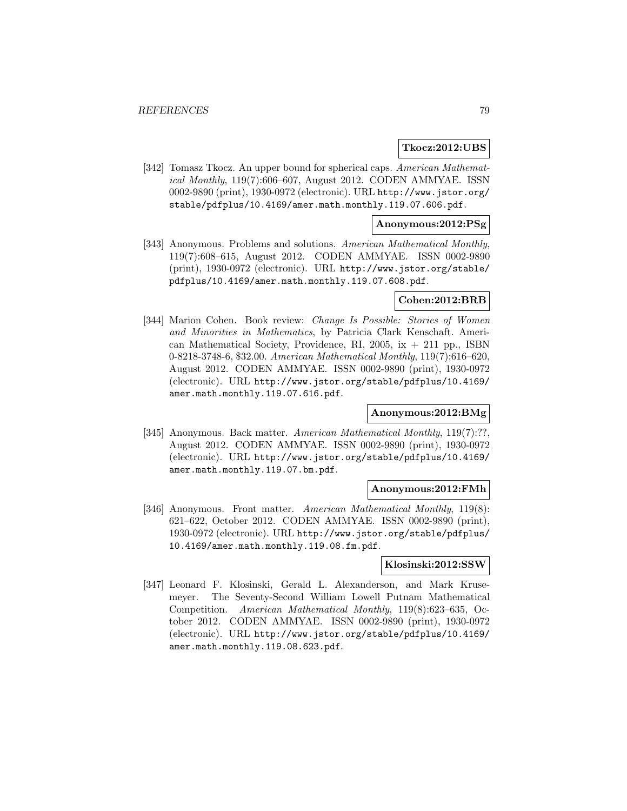#### **Tkocz:2012:UBS**

[342] Tomasz Tkocz. An upper bound for spherical caps. American Mathematical Monthly, 119(7):606–607, August 2012. CODEN AMMYAE. ISSN 0002-9890 (print), 1930-0972 (electronic). URL http://www.jstor.org/ stable/pdfplus/10.4169/amer.math.monthly.119.07.606.pdf.

#### **Anonymous:2012:PSg**

[343] Anonymous. Problems and solutions. American Mathematical Monthly, 119(7):608–615, August 2012. CODEN AMMYAE. ISSN 0002-9890 (print), 1930-0972 (electronic). URL http://www.jstor.org/stable/ pdfplus/10.4169/amer.math.monthly.119.07.608.pdf.

### **Cohen:2012:BRB**

[344] Marion Cohen. Book review: Change Is Possible: Stories of Women and Minorities in Mathematics, by Patricia Clark Kenschaft. American Mathematical Society, Providence, RI, 2005,  $ix + 211$  pp., ISBN 0-8218-3748-6, \$32.00. American Mathematical Monthly, 119(7):616–620, August 2012. CODEN AMMYAE. ISSN 0002-9890 (print), 1930-0972 (electronic). URL http://www.jstor.org/stable/pdfplus/10.4169/ amer.math.monthly.119.07.616.pdf.

## **Anonymous:2012:BMg**

[345] Anonymous. Back matter. American Mathematical Monthly, 119(7):??, August 2012. CODEN AMMYAE. ISSN 0002-9890 (print), 1930-0972 (electronic). URL http://www.jstor.org/stable/pdfplus/10.4169/ amer.math.monthly.119.07.bm.pdf.

#### **Anonymous:2012:FMh**

[346] Anonymous. Front matter. American Mathematical Monthly, 119(8): 621–622, October 2012. CODEN AMMYAE. ISSN 0002-9890 (print), 1930-0972 (electronic). URL http://www.jstor.org/stable/pdfplus/ 10.4169/amer.math.monthly.119.08.fm.pdf.

#### **Klosinski:2012:SSW**

[347] Leonard F. Klosinski, Gerald L. Alexanderson, and Mark Krusemeyer. The Seventy-Second William Lowell Putnam Mathematical Competition. American Mathematical Monthly, 119(8):623–635, October 2012. CODEN AMMYAE. ISSN 0002-9890 (print), 1930-0972 (electronic). URL http://www.jstor.org/stable/pdfplus/10.4169/ amer.math.monthly.119.08.623.pdf.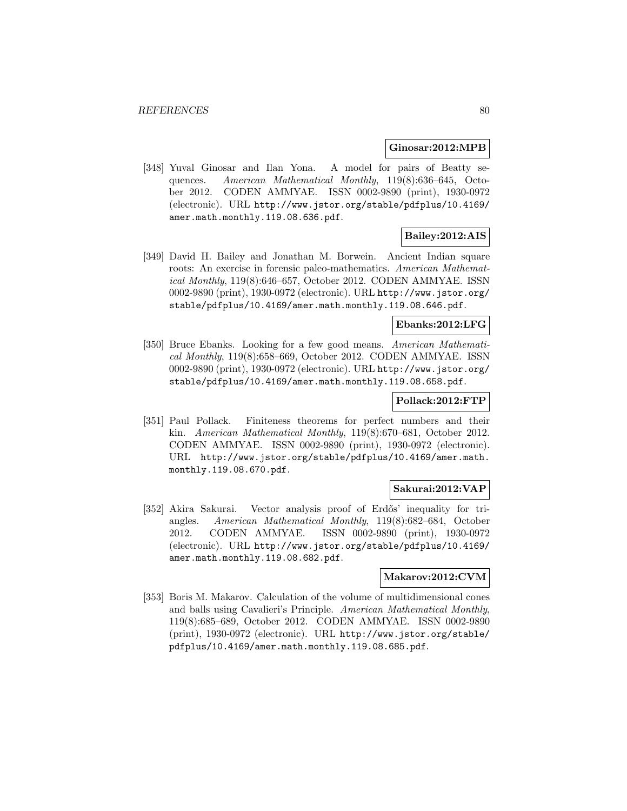#### **Ginosar:2012:MPB**

[348] Yuval Ginosar and Ilan Yona. A model for pairs of Beatty sequences. American Mathematical Monthly, 119(8):636–645, October 2012. CODEN AMMYAE. ISSN 0002-9890 (print), 1930-0972 (electronic). URL http://www.jstor.org/stable/pdfplus/10.4169/ amer.math.monthly.119.08.636.pdf.

# **Bailey:2012:AIS**

[349] David H. Bailey and Jonathan M. Borwein. Ancient Indian square roots: An exercise in forensic paleo-mathematics. American Mathematical Monthly, 119(8):646–657, October 2012. CODEN AMMYAE. ISSN 0002-9890 (print), 1930-0972 (electronic). URL http://www.jstor.org/ stable/pdfplus/10.4169/amer.math.monthly.119.08.646.pdf.

## **Ebanks:2012:LFG**

[350] Bruce Ebanks. Looking for a few good means. American Mathematical Monthly, 119(8):658–669, October 2012. CODEN AMMYAE. ISSN 0002-9890 (print), 1930-0972 (electronic). URL http://www.jstor.org/ stable/pdfplus/10.4169/amer.math.monthly.119.08.658.pdf.

#### **Pollack:2012:FTP**

[351] Paul Pollack. Finiteness theorems for perfect numbers and their kin. American Mathematical Monthly, 119(8):670–681, October 2012. CODEN AMMYAE. ISSN 0002-9890 (print), 1930-0972 (electronic). URL http://www.jstor.org/stable/pdfplus/10.4169/amer.math. monthly.119.08.670.pdf.

#### **Sakurai:2012:VAP**

[352] Akira Sakurai. Vector analysis proof of Erdős' inequality for triangles. American Mathematical Monthly, 119(8):682–684, October 2012. CODEN AMMYAE. ISSN 0002-9890 (print), 1930-0972 (electronic). URL http://www.jstor.org/stable/pdfplus/10.4169/ amer.math.monthly.119.08.682.pdf.

#### **Makarov:2012:CVM**

[353] Boris M. Makarov. Calculation of the volume of multidimensional cones and balls using Cavalieri's Principle. American Mathematical Monthly, 119(8):685–689, October 2012. CODEN AMMYAE. ISSN 0002-9890 (print), 1930-0972 (electronic). URL http://www.jstor.org/stable/ pdfplus/10.4169/amer.math.monthly.119.08.685.pdf.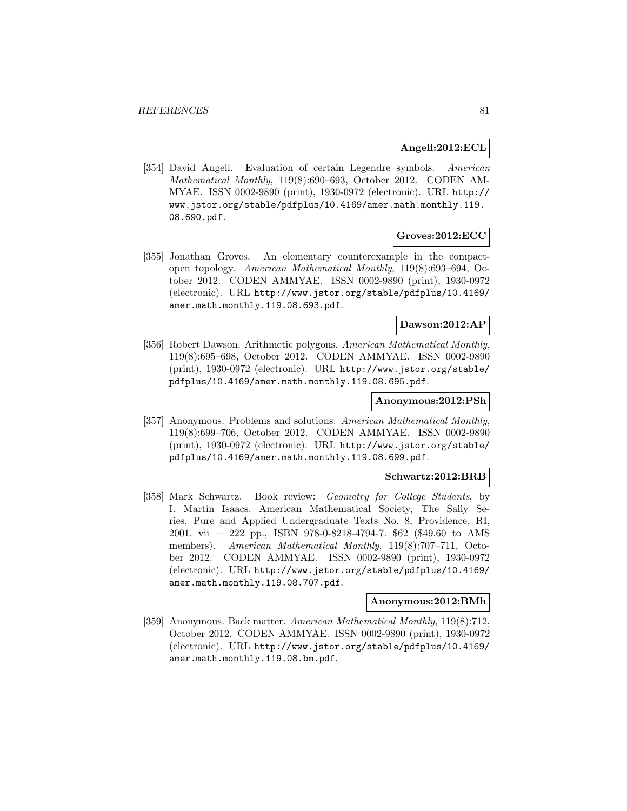#### **Angell:2012:ECL**

[354] David Angell. Evaluation of certain Legendre symbols. American Mathematical Monthly, 119(8):690–693, October 2012. CODEN AM-MYAE. ISSN 0002-9890 (print), 1930-0972 (electronic). URL http:// www.jstor.org/stable/pdfplus/10.4169/amer.math.monthly.119. 08.690.pdf.

# **Groves:2012:ECC**

[355] Jonathan Groves. An elementary counterexample in the compactopen topology. American Mathematical Monthly, 119(8):693–694, October 2012. CODEN AMMYAE. ISSN 0002-9890 (print), 1930-0972 (electronic). URL http://www.jstor.org/stable/pdfplus/10.4169/ amer.math.monthly.119.08.693.pdf.

## **Dawson:2012:AP**

[356] Robert Dawson. Arithmetic polygons. American Mathematical Monthly, 119(8):695–698, October 2012. CODEN AMMYAE. ISSN 0002-9890 (print), 1930-0972 (electronic). URL http://www.jstor.org/stable/ pdfplus/10.4169/amer.math.monthly.119.08.695.pdf.

## **Anonymous:2012:PSh**

[357] Anonymous. Problems and solutions. American Mathematical Monthly, 119(8):699–706, October 2012. CODEN AMMYAE. ISSN 0002-9890 (print), 1930-0972 (electronic). URL http://www.jstor.org/stable/ pdfplus/10.4169/amer.math.monthly.119.08.699.pdf.

#### **Schwartz:2012:BRB**

[358] Mark Schwartz. Book review: Geometry for College Students, by I. Martin Isaacs. American Mathematical Society, The Sally Series, Pure and Applied Undergraduate Texts No. 8, Providence, RI, 2001. vii + 222 pp., ISBN 978-0-8218-4794-7. \$62 (\$49.60 to AMS members). American Mathematical Monthly, 119(8):707-711, October 2012. CODEN AMMYAE. ISSN 0002-9890 (print), 1930-0972 (electronic). URL http://www.jstor.org/stable/pdfplus/10.4169/ amer.math.monthly.119.08.707.pdf.

#### **Anonymous:2012:BMh**

[359] Anonymous. Back matter. American Mathematical Monthly, 119(8):712, October 2012. CODEN AMMYAE. ISSN 0002-9890 (print), 1930-0972 (electronic). URL http://www.jstor.org/stable/pdfplus/10.4169/ amer.math.monthly.119.08.bm.pdf.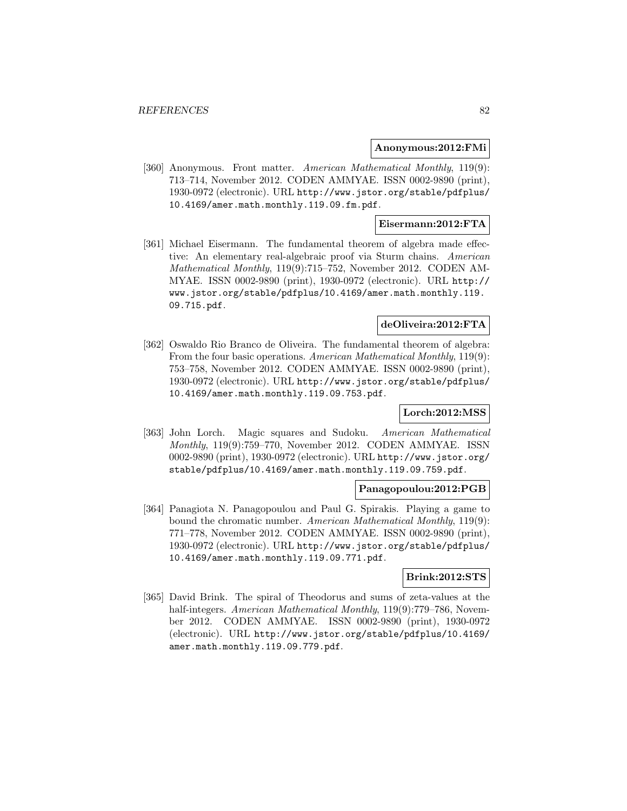#### **Anonymous:2012:FMi**

[360] Anonymous. Front matter. American Mathematical Monthly, 119(9): 713–714, November 2012. CODEN AMMYAE. ISSN 0002-9890 (print), 1930-0972 (electronic). URL http://www.jstor.org/stable/pdfplus/ 10.4169/amer.math.monthly.119.09.fm.pdf.

## **Eisermann:2012:FTA**

[361] Michael Eisermann. The fundamental theorem of algebra made effective: An elementary real-algebraic proof via Sturm chains. American Mathematical Monthly, 119(9):715–752, November 2012. CODEN AM-MYAE. ISSN 0002-9890 (print), 1930-0972 (electronic). URL http:// www.jstor.org/stable/pdfplus/10.4169/amer.math.monthly.119. 09.715.pdf.

# **deOliveira:2012:FTA**

[362] Oswaldo Rio Branco de Oliveira. The fundamental theorem of algebra: From the four basic operations. American Mathematical Monthly, 119(9): 753–758, November 2012. CODEN AMMYAE. ISSN 0002-9890 (print), 1930-0972 (electronic). URL http://www.jstor.org/stable/pdfplus/ 10.4169/amer.math.monthly.119.09.753.pdf.

## **Lorch:2012:MSS**

[363] John Lorch. Magic squares and Sudoku. American Mathematical Monthly, 119(9):759–770, November 2012. CODEN AMMYAE. ISSN 0002-9890 (print), 1930-0972 (electronic). URL http://www.jstor.org/ stable/pdfplus/10.4169/amer.math.monthly.119.09.759.pdf.

#### **Panagopoulou:2012:PGB**

[364] Panagiota N. Panagopoulou and Paul G. Spirakis. Playing a game to bound the chromatic number. American Mathematical Monthly, 119(9): 771–778, November 2012. CODEN AMMYAE. ISSN 0002-9890 (print), 1930-0972 (electronic). URL http://www.jstor.org/stable/pdfplus/ 10.4169/amer.math.monthly.119.09.771.pdf.

#### **Brink:2012:STS**

[365] David Brink. The spiral of Theodorus and sums of zeta-values at the half-integers. American Mathematical Monthly, 119(9):779–786, November 2012. CODEN AMMYAE. ISSN 0002-9890 (print), 1930-0972 (electronic). URL http://www.jstor.org/stable/pdfplus/10.4169/ amer.math.monthly.119.09.779.pdf.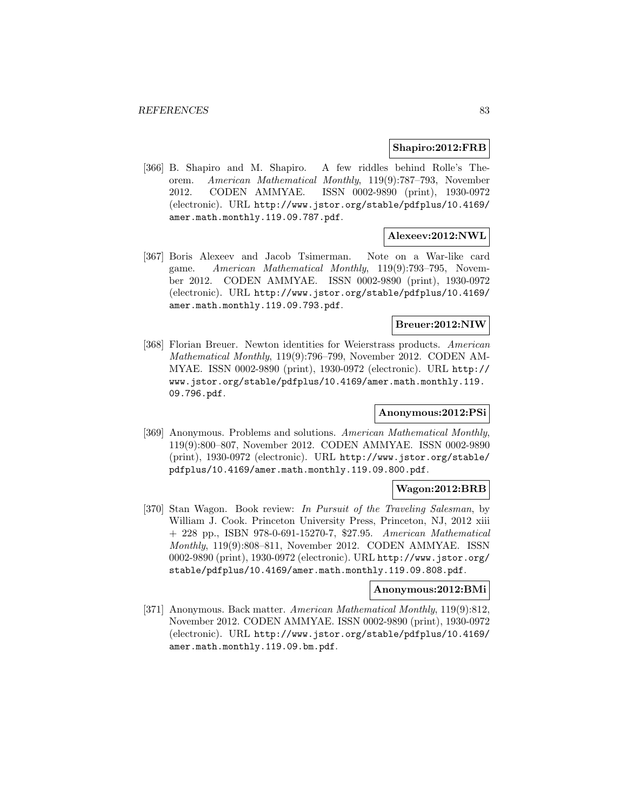#### **Shapiro:2012:FRB**

[366] B. Shapiro and M. Shapiro. A few riddles behind Rolle's Theorem. American Mathematical Monthly, 119(9):787–793, November 2012. CODEN AMMYAE. ISSN 0002-9890 (print), 1930-0972 (electronic). URL http://www.jstor.org/stable/pdfplus/10.4169/ amer.math.monthly.119.09.787.pdf.

## **Alexeev:2012:NWL**

[367] Boris Alexeev and Jacob Tsimerman. Note on a War-like card game. American Mathematical Monthly, 119(9):793–795, November 2012. CODEN AMMYAE. ISSN 0002-9890 (print), 1930-0972 (electronic). URL http://www.jstor.org/stable/pdfplus/10.4169/ amer.math.monthly.119.09.793.pdf.

# **Breuer:2012:NIW**

[368] Florian Breuer. Newton identities for Weierstrass products. American Mathematical Monthly, 119(9):796–799, November 2012. CODEN AM-MYAE. ISSN 0002-9890 (print), 1930-0972 (electronic). URL http:// www.jstor.org/stable/pdfplus/10.4169/amer.math.monthly.119. 09.796.pdf.

## **Anonymous:2012:PSi**

[369] Anonymous. Problems and solutions. American Mathematical Monthly, 119(9):800–807, November 2012. CODEN AMMYAE. ISSN 0002-9890 (print), 1930-0972 (electronic). URL http://www.jstor.org/stable/ pdfplus/10.4169/amer.math.monthly.119.09.800.pdf.

#### **Wagon:2012:BRB**

[370] Stan Wagon. Book review: In Pursuit of the Traveling Salesman, by William J. Cook. Princeton University Press, Princeton, NJ, 2012 xiii + 228 pp., ISBN 978-0-691-15270-7, \$27.95. American Mathematical Monthly, 119(9):808–811, November 2012. CODEN AMMYAE. ISSN 0002-9890 (print), 1930-0972 (electronic). URL http://www.jstor.org/ stable/pdfplus/10.4169/amer.math.monthly.119.09.808.pdf.

# **Anonymous:2012:BMi**

[371] Anonymous. Back matter. American Mathematical Monthly, 119(9):812, November 2012. CODEN AMMYAE. ISSN 0002-9890 (print), 1930-0972 (electronic). URL http://www.jstor.org/stable/pdfplus/10.4169/ amer.math.monthly.119.09.bm.pdf.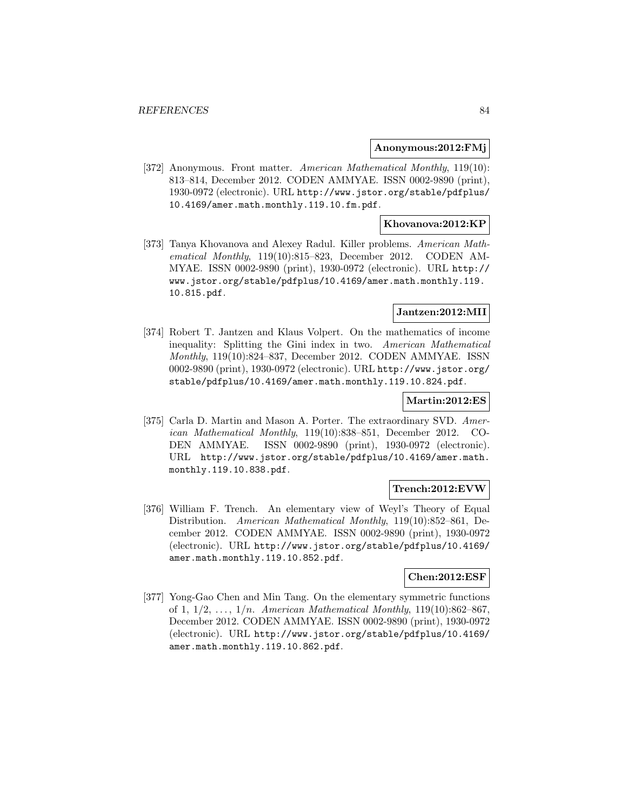#### **Anonymous:2012:FMj**

[372] Anonymous. Front matter. American Mathematical Monthly, 119(10): 813–814, December 2012. CODEN AMMYAE. ISSN 0002-9890 (print), 1930-0972 (electronic). URL http://www.jstor.org/stable/pdfplus/ 10.4169/amer.math.monthly.119.10.fm.pdf.

#### **Khovanova:2012:KP**

[373] Tanya Khovanova and Alexey Radul. Killer problems. American Mathematical Monthly, 119(10):815–823, December 2012. CODEN AM-MYAE. ISSN 0002-9890 (print), 1930-0972 (electronic). URL http:// www.jstor.org/stable/pdfplus/10.4169/amer.math.monthly.119. 10.815.pdf.

# **Jantzen:2012:MII**

[374] Robert T. Jantzen and Klaus Volpert. On the mathematics of income inequality: Splitting the Gini index in two. American Mathematical Monthly, 119(10):824–837, December 2012. CODEN AMMYAE. ISSN 0002-9890 (print), 1930-0972 (electronic). URL http://www.jstor.org/ stable/pdfplus/10.4169/amer.math.monthly.119.10.824.pdf.

#### **Martin:2012:ES**

[375] Carla D. Martin and Mason A. Porter. The extraordinary SVD. American Mathematical Monthly, 119(10):838–851, December 2012. CO-DEN AMMYAE. ISSN 0002-9890 (print), 1930-0972 (electronic). URL http://www.jstor.org/stable/pdfplus/10.4169/amer.math. monthly.119.10.838.pdf.

# **Trench:2012:EVW**

[376] William F. Trench. An elementary view of Weyl's Theory of Equal Distribution. American Mathematical Monthly, 119(10):852–861, December 2012. CODEN AMMYAE. ISSN 0002-9890 (print), 1930-0972 (electronic). URL http://www.jstor.org/stable/pdfplus/10.4169/ amer.math.monthly.119.10.852.pdf.

#### **Chen:2012:ESF**

[377] Yong-Gao Chen and Min Tang. On the elementary symmetric functions of 1,  $1/2, \ldots, 1/n$ . American Mathematical Monthly,  $119(10):862-867$ , December 2012. CODEN AMMYAE. ISSN 0002-9890 (print), 1930-0972 (electronic). URL http://www.jstor.org/stable/pdfplus/10.4169/ amer.math.monthly.119.10.862.pdf.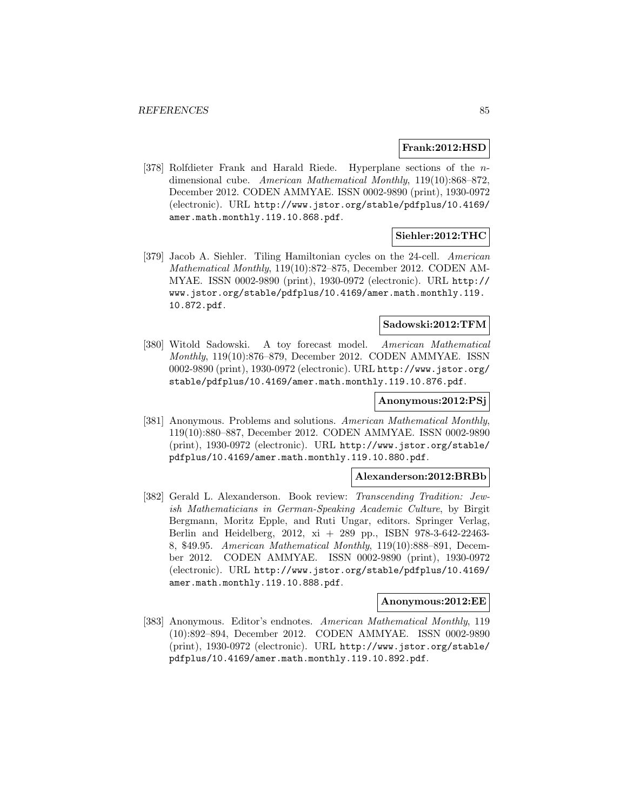#### **Frank:2012:HSD**

[378] Rolfdieter Frank and Harald Riede. Hyperplane sections of the ndimensional cube. American Mathematical Monthly, 119(10):868–872, December 2012. CODEN AMMYAE. ISSN 0002-9890 (print), 1930-0972 (electronic). URL http://www.jstor.org/stable/pdfplus/10.4169/ amer.math.monthly.119.10.868.pdf.

#### **Siehler:2012:THC**

[379] Jacob A. Siehler. Tiling Hamiltonian cycles on the 24-cell. American Mathematical Monthly, 119(10):872–875, December 2012. CODEN AM-MYAE. ISSN 0002-9890 (print), 1930-0972 (electronic). URL http:// www.jstor.org/stable/pdfplus/10.4169/amer.math.monthly.119. 10.872.pdf.

#### **Sadowski:2012:TFM**

[380] Witold Sadowski. A toy forecast model. American Mathematical Monthly, 119(10):876–879, December 2012. CODEN AMMYAE. ISSN 0002-9890 (print), 1930-0972 (electronic). URL http://www.jstor.org/ stable/pdfplus/10.4169/amer.math.monthly.119.10.876.pdf.

#### **Anonymous:2012:PSj**

[381] Anonymous. Problems and solutions. American Mathematical Monthly, 119(10):880–887, December 2012. CODEN AMMYAE. ISSN 0002-9890 (print), 1930-0972 (electronic). URL http://www.jstor.org/stable/ pdfplus/10.4169/amer.math.monthly.119.10.880.pdf.

#### **Alexanderson:2012:BRBb**

[382] Gerald L. Alexanderson. Book review: Transcending Tradition: Jewish Mathematicians in German-Speaking Academic Culture, by Birgit Bergmann, Moritz Epple, and Ruti Ungar, editors. Springer Verlag, Berlin and Heidelberg, 2012, xi + 289 pp., ISBN 978-3-642-22463- 8, \$49.95. American Mathematical Monthly, 119(10):888–891, December 2012. CODEN AMMYAE. ISSN 0002-9890 (print), 1930-0972 (electronic). URL http://www.jstor.org/stable/pdfplus/10.4169/ amer.math.monthly.119.10.888.pdf.

#### **Anonymous:2012:EE**

[383] Anonymous. Editor's endnotes. American Mathematical Monthly, 119 (10):892–894, December 2012. CODEN AMMYAE. ISSN 0002-9890 (print), 1930-0972 (electronic). URL http://www.jstor.org/stable/ pdfplus/10.4169/amer.math.monthly.119.10.892.pdf.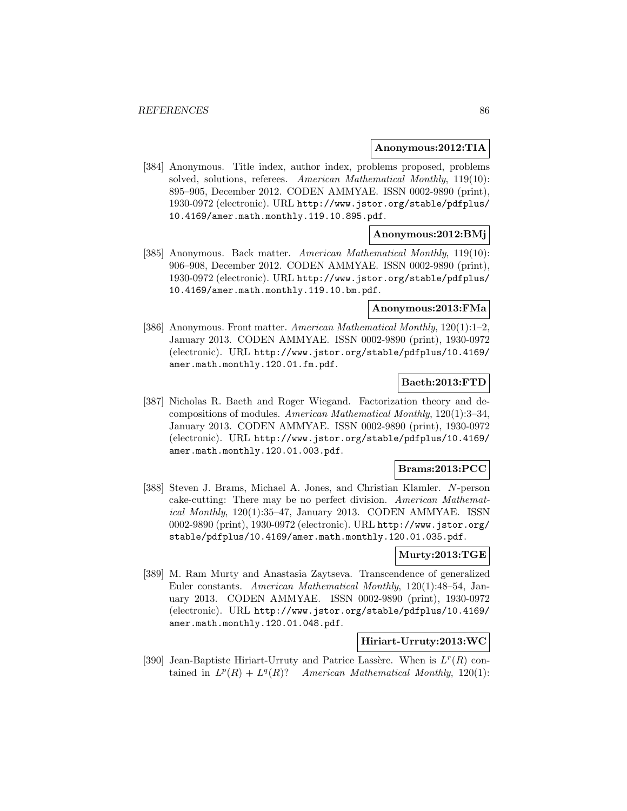#### **Anonymous:2012:TIA**

[384] Anonymous. Title index, author index, problems proposed, problems solved, solutions, referees. American Mathematical Monthly, 119(10): 895–905, December 2012. CODEN AMMYAE. ISSN 0002-9890 (print), 1930-0972 (electronic). URL http://www.jstor.org/stable/pdfplus/ 10.4169/amer.math.monthly.119.10.895.pdf.

## **Anonymous:2012:BMj**

[385] Anonymous. Back matter. American Mathematical Monthly, 119(10): 906–908, December 2012. CODEN AMMYAE. ISSN 0002-9890 (print), 1930-0972 (electronic). URL http://www.jstor.org/stable/pdfplus/ 10.4169/amer.math.monthly.119.10.bm.pdf.

# **Anonymous:2013:FMa**

[386] Anonymous. Front matter. American Mathematical Monthly, 120(1):1–2, January 2013. CODEN AMMYAE. ISSN 0002-9890 (print), 1930-0972 (electronic). URL http://www.jstor.org/stable/pdfplus/10.4169/ amer.math.monthly.120.01.fm.pdf.

# **Baeth:2013:FTD**

[387] Nicholas R. Baeth and Roger Wiegand. Factorization theory and decompositions of modules. American Mathematical Monthly, 120(1):3–34, January 2013. CODEN AMMYAE. ISSN 0002-9890 (print), 1930-0972 (electronic). URL http://www.jstor.org/stable/pdfplus/10.4169/ amer.math.monthly.120.01.003.pdf.

#### **Brams:2013:PCC**

[388] Steven J. Brams, Michael A. Jones, and Christian Klamler. N-person cake-cutting: There may be no perfect division. American Mathematical Monthly, 120(1):35–47, January 2013. CODEN AMMYAE. ISSN 0002-9890 (print), 1930-0972 (electronic). URL http://www.jstor.org/ stable/pdfplus/10.4169/amer.math.monthly.120.01.035.pdf.

## **Murty:2013:TGE**

[389] M. Ram Murty and Anastasia Zaytseva. Transcendence of generalized Euler constants. American Mathematical Monthly, 120(1):48–54, January 2013. CODEN AMMYAE. ISSN 0002-9890 (print), 1930-0972 (electronic). URL http://www.jstor.org/stable/pdfplus/10.4169/ amer.math.monthly.120.01.048.pdf.

# **Hiriart-Urruty:2013:WC**

[390] Jean-Baptiste Hiriart-Urruty and Patrice Lassère. When is  $L^r(R)$  contained in  $L^p(R) + L^q(R)$ ? American Mathematical Monthly, 120(1):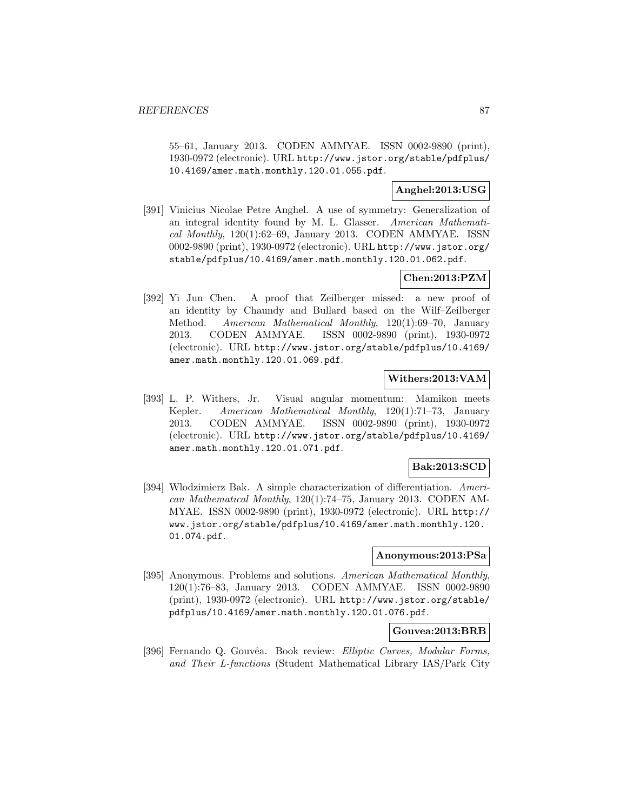55–61, January 2013. CODEN AMMYAE. ISSN 0002-9890 (print), 1930-0972 (electronic). URL http://www.jstor.org/stable/pdfplus/ 10.4169/amer.math.monthly.120.01.055.pdf.

# **Anghel:2013:USG**

[391] Vinicius Nicolae Petre Anghel. A use of symmetry: Generalization of an integral identity found by M. L. Glasser. American Mathematical Monthly,  $120(1):62-69$ , January 2013. CODEN AMMYAE. ISSN 0002-9890 (print), 1930-0972 (electronic). URL http://www.jstor.org/ stable/pdfplus/10.4169/amer.math.monthly.120.01.062.pdf.

# **Chen:2013:PZM**

[392] Yi Jun Chen. A proof that Zeilberger missed: a new proof of an identity by Chaundy and Bullard based on the Wilf–Zeilberger Method. American Mathematical Monthly, 120(1):69–70, January 2013. CODEN AMMYAE. ISSN 0002-9890 (print), 1930-0972 (electronic). URL http://www.jstor.org/stable/pdfplus/10.4169/ amer.math.monthly.120.01.069.pdf.

# **Withers:2013:VAM**

[393] L. P. Withers, Jr. Visual angular momentum: Mamikon meets Kepler. American Mathematical Monthly, 120(1):71–73, January 2013. CODEN AMMYAE. ISSN 0002-9890 (print), 1930-0972 (electronic). URL http://www.jstor.org/stable/pdfplus/10.4169/ amer.math.monthly.120.01.071.pdf.

# **Bak:2013:SCD**

[394] Wlodzimierz Bak. A simple characterization of differentiation. American Mathematical Monthly, 120(1):74–75, January 2013. CODEN AM-MYAE. ISSN 0002-9890 (print), 1930-0972 (electronic). URL http:// www.jstor.org/stable/pdfplus/10.4169/amer.math.monthly.120. 01.074.pdf.

#### **Anonymous:2013:PSa**

[395] Anonymous. Problems and solutions. American Mathematical Monthly, 120(1):76–83, January 2013. CODEN AMMYAE. ISSN 0002-9890 (print), 1930-0972 (electronic). URL http://www.jstor.org/stable/ pdfplus/10.4169/amer.math.monthly.120.01.076.pdf.

# **Gouvea:2013:BRB**

[396] Fernando Q. Gouvêa. Book review: Elliptic Curves, Modular Forms, and Their L-functions (Student Mathematical Library IAS/Park City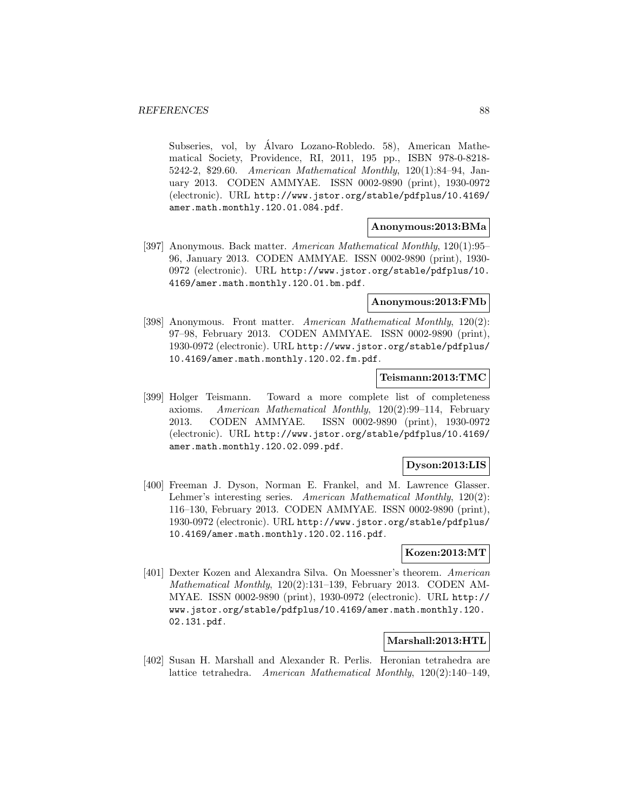Subseries, vol, by Álvaro Lozano-Robledo. 58), American Mathematical Society, Providence, RI, 2011, 195 pp., ISBN 978-0-8218- 5242-2, \$29.60. American Mathematical Monthly, 120(1):84–94, January 2013. CODEN AMMYAE. ISSN 0002-9890 (print), 1930-0972 (electronic). URL http://www.jstor.org/stable/pdfplus/10.4169/ amer.math.monthly.120.01.084.pdf.

## **Anonymous:2013:BMa**

[397] Anonymous. Back matter. American Mathematical Monthly, 120(1):95– 96, January 2013. CODEN AMMYAE. ISSN 0002-9890 (print), 1930- 0972 (electronic). URL http://www.jstor.org/stable/pdfplus/10. 4169/amer.math.monthly.120.01.bm.pdf.

# **Anonymous:2013:FMb**

[398] Anonymous. Front matter. American Mathematical Monthly, 120(2): 97–98, February 2013. CODEN AMMYAE. ISSN 0002-9890 (print), 1930-0972 (electronic). URL http://www.jstor.org/stable/pdfplus/ 10.4169/amer.math.monthly.120.02.fm.pdf.

#### **Teismann:2013:TMC**

[399] Holger Teismann. Toward a more complete list of completeness axioms. American Mathematical Monthly, 120(2):99–114, February 2013. CODEN AMMYAE. ISSN 0002-9890 (print), 1930-0972 (electronic). URL http://www.jstor.org/stable/pdfplus/10.4169/ amer.math.monthly.120.02.099.pdf.

## **Dyson:2013:LIS**

[400] Freeman J. Dyson, Norman E. Frankel, and M. Lawrence Glasser. Lehmer's interesting series. American Mathematical Monthly, 120(2): 116–130, February 2013. CODEN AMMYAE. ISSN 0002-9890 (print), 1930-0972 (electronic). URL http://www.jstor.org/stable/pdfplus/ 10.4169/amer.math.monthly.120.02.116.pdf.

#### **Kozen:2013:MT**

[401] Dexter Kozen and Alexandra Silva. On Moessner's theorem. American Mathematical Monthly, 120(2):131–139, February 2013. CODEN AM-MYAE. ISSN 0002-9890 (print), 1930-0972 (electronic). URL http:// www.jstor.org/stable/pdfplus/10.4169/amer.math.monthly.120. 02.131.pdf.

# **Marshall:2013:HTL**

[402] Susan H. Marshall and Alexander R. Perlis. Heronian tetrahedra are lattice tetrahedra. American Mathematical Monthly, 120(2):140–149,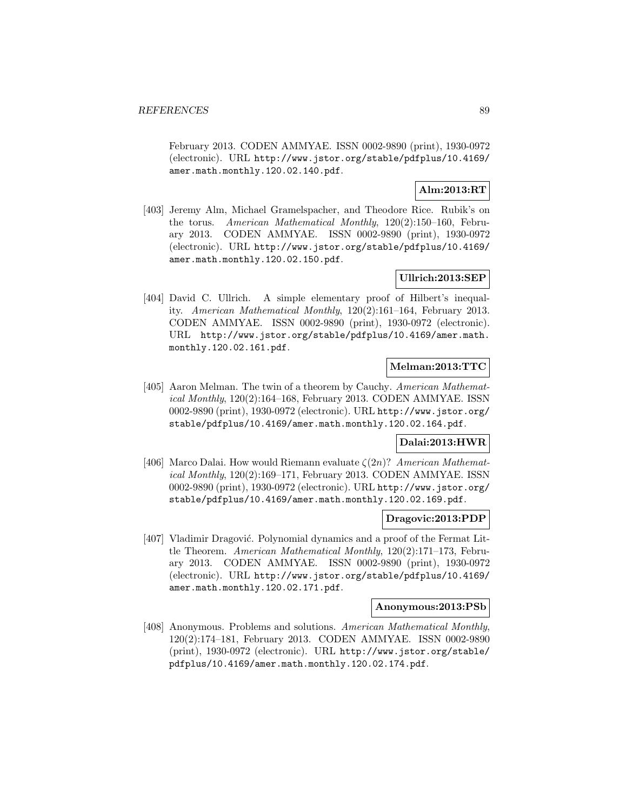February 2013. CODEN AMMYAE. ISSN 0002-9890 (print), 1930-0972 (electronic). URL http://www.jstor.org/stable/pdfplus/10.4169/ amer.math.monthly.120.02.140.pdf.

# **Alm:2013:RT**

[403] Jeremy Alm, Michael Gramelspacher, and Theodore Rice. Rubik's on the torus. American Mathematical Monthly, 120(2):150–160, February 2013. CODEN AMMYAE. ISSN 0002-9890 (print), 1930-0972 (electronic). URL http://www.jstor.org/stable/pdfplus/10.4169/ amer.math.monthly.120.02.150.pdf.

# **Ullrich:2013:SEP**

[404] David C. Ullrich. A simple elementary proof of Hilbert's inequality. American Mathematical Monthly, 120(2):161–164, February 2013. CODEN AMMYAE. ISSN 0002-9890 (print), 1930-0972 (electronic). URL http://www.jstor.org/stable/pdfplus/10.4169/amer.math. monthly.120.02.161.pdf.

## **Melman:2013:TTC**

[405] Aaron Melman. The twin of a theorem by Cauchy. American Mathematical Monthly, 120(2):164–168, February 2013. CODEN AMMYAE. ISSN 0002-9890 (print), 1930-0972 (electronic). URL http://www.jstor.org/ stable/pdfplus/10.4169/amer.math.monthly.120.02.164.pdf.

# **Dalai:2013:HWR**

[406] Marco Dalai. How would Riemann evaluate  $\zeta(2n)$ ? American Mathematical Monthly,  $120(2):169-171$ , February 2013. CODEN AMMYAE. ISSN 0002-9890 (print), 1930-0972 (electronic). URL http://www.jstor.org/ stable/pdfplus/10.4169/amer.math.monthly.120.02.169.pdf.

## **Dragovic:2013:PDP**

[407] Vladimir Dragović. Polynomial dynamics and a proof of the Fermat Little Theorem. American Mathematical Monthly, 120(2):171–173, February 2013. CODEN AMMYAE. ISSN 0002-9890 (print), 1930-0972 (electronic). URL http://www.jstor.org/stable/pdfplus/10.4169/ amer.math.monthly.120.02.171.pdf.

## **Anonymous:2013:PSb**

[408] Anonymous. Problems and solutions. American Mathematical Monthly, 120(2):174–181, February 2013. CODEN AMMYAE. ISSN 0002-9890 (print), 1930-0972 (electronic). URL http://www.jstor.org/stable/ pdfplus/10.4169/amer.math.monthly.120.02.174.pdf.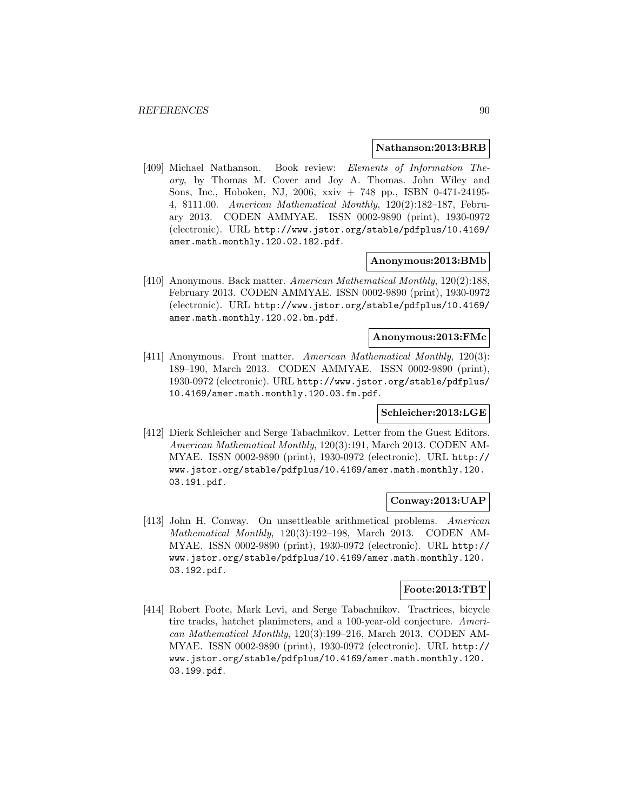#### **Nathanson:2013:BRB**

[409] Michael Nathanson. Book review: Elements of Information Theory, by Thomas M. Cover and Joy A. Thomas. John Wiley and Sons, Inc., Hoboken, NJ, 2006, xxiv + 748 pp., ISBN 0-471-24195- 4, \$111.00. American Mathematical Monthly, 120(2):182–187, February 2013. CODEN AMMYAE. ISSN 0002-9890 (print), 1930-0972 (electronic). URL http://www.jstor.org/stable/pdfplus/10.4169/ amer.math.monthly.120.02.182.pdf.

#### **Anonymous:2013:BMb**

[410] Anonymous. Back matter. American Mathematical Monthly, 120(2):188, February 2013. CODEN AMMYAE. ISSN 0002-9890 (print), 1930-0972 (electronic). URL http://www.jstor.org/stable/pdfplus/10.4169/ amer.math.monthly.120.02.bm.pdf.

#### **Anonymous:2013:FMc**

[411] Anonymous. Front matter. American Mathematical Monthly, 120(3): 189–190, March 2013. CODEN AMMYAE. ISSN 0002-9890 (print), 1930-0972 (electronic). URL http://www.jstor.org/stable/pdfplus/ 10.4169/amer.math.monthly.120.03.fm.pdf.

## **Schleicher:2013:LGE**

[412] Dierk Schleicher and Serge Tabachnikov. Letter from the Guest Editors. American Mathematical Monthly, 120(3):191, March 2013. CODEN AM-MYAE. ISSN 0002-9890 (print), 1930-0972 (electronic). URL http:// www.jstor.org/stable/pdfplus/10.4169/amer.math.monthly.120. 03.191.pdf.

## **Conway:2013:UAP**

[413] John H. Conway. On unsettleable arithmetical problems. American Mathematical Monthly, 120(3):192–198, March 2013. CODEN AM-MYAE. ISSN 0002-9890 (print), 1930-0972 (electronic). URL http:// www.jstor.org/stable/pdfplus/10.4169/amer.math.monthly.120. 03.192.pdf.

## **Foote:2013:TBT**

[414] Robert Foote, Mark Levi, and Serge Tabachnikov. Tractrices, bicycle tire tracks, hatchet planimeters, and a 100-year-old conjecture. American Mathematical Monthly, 120(3):199–216, March 2013. CODEN AM-MYAE. ISSN 0002-9890 (print), 1930-0972 (electronic). URL http:// www.jstor.org/stable/pdfplus/10.4169/amer.math.monthly.120. 03.199.pdf.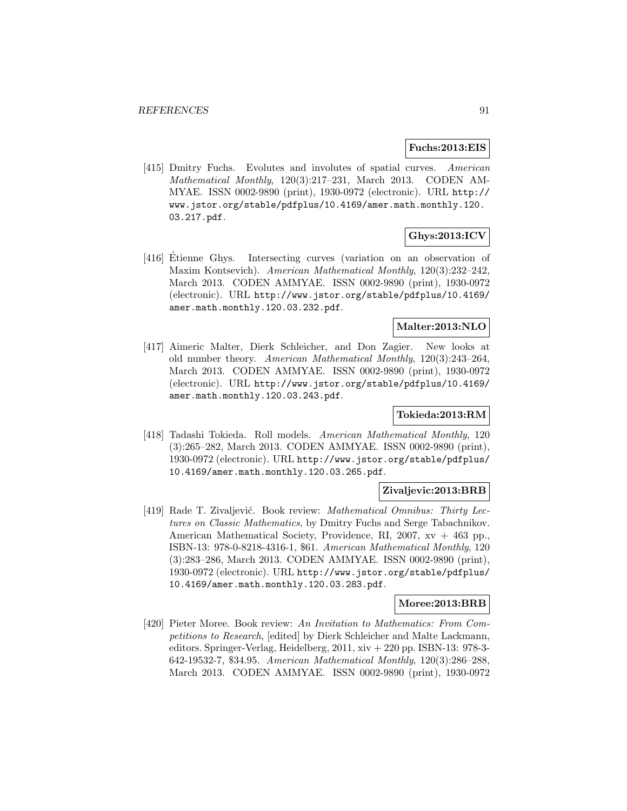#### **Fuchs:2013:EIS**

[415] Dmitry Fuchs. Evolutes and involutes of spatial curves. American Mathematical Monthly, 120(3):217–231, March 2013. CODEN AM-MYAE. ISSN 0002-9890 (print), 1930-0972 (electronic). URL http:// www.jstor.org/stable/pdfplus/10.4169/amer.math.monthly.120. 03.217.pdf.

# **Ghys:2013:ICV**

[416] Etienne Ghys. Intersecting curves (variation on an observation of Maxim Kontsevich). American Mathematical Monthly, 120(3):232–242, March 2013. CODEN AMMYAE. ISSN 0002-9890 (print), 1930-0972 (electronic). URL http://www.jstor.org/stable/pdfplus/10.4169/ amer.math.monthly.120.03.232.pdf.

# **Malter:2013:NLO**

[417] Aimeric Malter, Dierk Schleicher, and Don Zagier. New looks at old number theory. American Mathematical Monthly, 120(3):243–264, March 2013. CODEN AMMYAE. ISSN 0002-9890 (print), 1930-0972 (electronic). URL http://www.jstor.org/stable/pdfplus/10.4169/ amer.math.monthly.120.03.243.pdf.

## **Tokieda:2013:RM**

[418] Tadashi Tokieda. Roll models. American Mathematical Monthly, 120 (3):265–282, March 2013. CODEN AMMYAE. ISSN 0002-9890 (print), 1930-0972 (electronic). URL http://www.jstor.org/stable/pdfplus/ 10.4169/amer.math.monthly.120.03.265.pdf.

#### **Zivaljevic:2013:BRB**

[419] Rade T. Zivaljević. Book review: *Mathematical Omnibus: Thirty Lec*tures on Classic Mathematics, by Dmitry Fuchs and Serge Tabachnikov. American Mathematical Society, Providence, RI, 2007, xv + 463 pp., ISBN-13: 978-0-8218-4316-1, \$61. American Mathematical Monthly, 120 (3):283–286, March 2013. CODEN AMMYAE. ISSN 0002-9890 (print), 1930-0972 (electronic). URL http://www.jstor.org/stable/pdfplus/ 10.4169/amer.math.monthly.120.03.283.pdf.

#### **Moree:2013:BRB**

[420] Pieter Moree. Book review: An Invitation to Mathematics: From Competitions to Research, [edited] by Dierk Schleicher and Malte Lackmann, editors. Springer-Verlag, Heidelberg, 2011, xiv + 220 pp. ISBN-13: 978-3- 642-19532-7, \$34.95. American Mathematical Monthly, 120(3):286–288, March 2013. CODEN AMMYAE. ISSN 0002-9890 (print), 1930-0972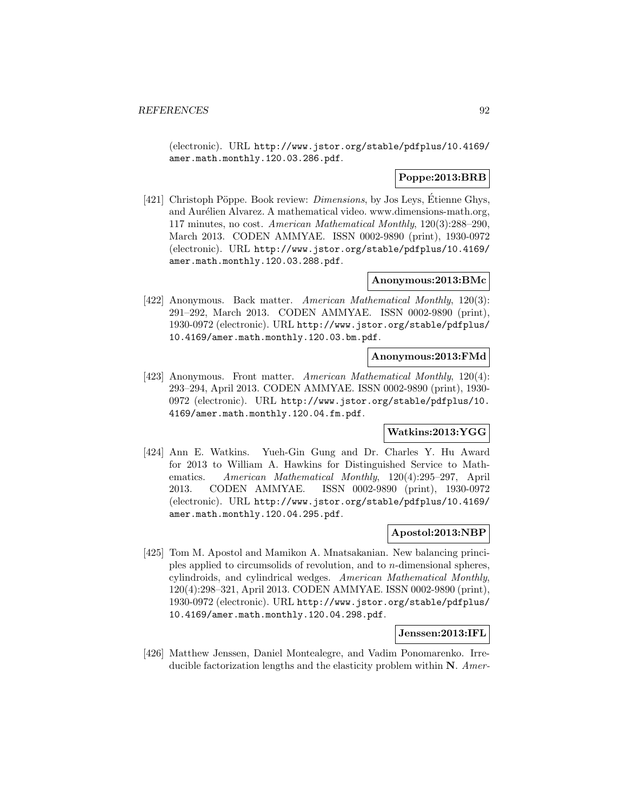(electronic). URL http://www.jstor.org/stable/pdfplus/10.4169/ amer.math.monthly.120.03.286.pdf.

# **Poppe:2013:BRB**

[421] Christoph Pöppe. Book review: *Dimensions*, by Jos Leys, Etienne Ghys, and Aurélien Alvarez. A mathematical video. www.dimensions-math.org, 117 minutes, no cost. American Mathematical Monthly, 120(3):288–290, March 2013. CODEN AMMYAE. ISSN 0002-9890 (print), 1930-0972 (electronic). URL http://www.jstor.org/stable/pdfplus/10.4169/ amer.math.monthly.120.03.288.pdf.

#### **Anonymous:2013:BMc**

[422] Anonymous. Back matter. American Mathematical Monthly, 120(3): 291–292, March 2013. CODEN AMMYAE. ISSN 0002-9890 (print), 1930-0972 (electronic). URL http://www.jstor.org/stable/pdfplus/ 10.4169/amer.math.monthly.120.03.bm.pdf.

#### **Anonymous:2013:FMd**

[423] Anonymous. Front matter. American Mathematical Monthly, 120(4): 293–294, April 2013. CODEN AMMYAE. ISSN 0002-9890 (print), 1930- 0972 (electronic). URL http://www.jstor.org/stable/pdfplus/10. 4169/amer.math.monthly.120.04.fm.pdf.

## **Watkins:2013:YGG**

[424] Ann E. Watkins. Yueh-Gin Gung and Dr. Charles Y. Hu Award for 2013 to William A. Hawkins for Distinguished Service to Mathematics. American Mathematical Monthly, 120(4):295–297, April 2013. CODEN AMMYAE. ISSN 0002-9890 (print), 1930-0972 (electronic). URL http://www.jstor.org/stable/pdfplus/10.4169/ amer.math.monthly.120.04.295.pdf.

#### **Apostol:2013:NBP**

[425] Tom M. Apostol and Mamikon A. Mnatsakanian. New balancing principles applied to circumsolids of revolution, and to n-dimensional spheres, cylindroids, and cylindrical wedges. American Mathematical Monthly, 120(4):298–321, April 2013. CODEN AMMYAE. ISSN 0002-9890 (print), 1930-0972 (electronic). URL http://www.jstor.org/stable/pdfplus/ 10.4169/amer.math.monthly.120.04.298.pdf.

#### **Jenssen:2013:IFL**

[426] Matthew Jenssen, Daniel Montealegre, and Vadim Ponomarenko. Irreducible factorization lengths and the elasticity problem within **N**. Amer-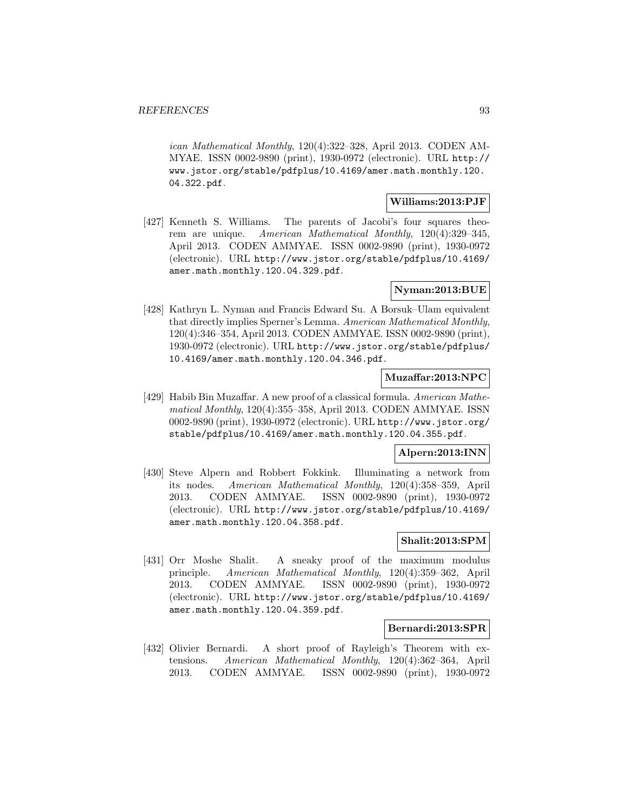ican Mathematical Monthly, 120(4):322–328, April 2013. CODEN AM-MYAE. ISSN 0002-9890 (print), 1930-0972 (electronic). URL http:// www.jstor.org/stable/pdfplus/10.4169/amer.math.monthly.120. 04.322.pdf.

## **Williams:2013:PJF**

[427] Kenneth S. Williams. The parents of Jacobi's four squares theorem are unique. American Mathematical Monthly, 120(4):329–345, April 2013. CODEN AMMYAE. ISSN 0002-9890 (print), 1930-0972 (electronic). URL http://www.jstor.org/stable/pdfplus/10.4169/ amer.math.monthly.120.04.329.pdf.

# **Nyman:2013:BUE**

[428] Kathryn L. Nyman and Francis Edward Su. A Borsuk–Ulam equivalent that directly implies Sperner's Lemma. American Mathematical Monthly, 120(4):346–354, April 2013. CODEN AMMYAE. ISSN 0002-9890 (print), 1930-0972 (electronic). URL http://www.jstor.org/stable/pdfplus/ 10.4169/amer.math.monthly.120.04.346.pdf.

# **Muzaffar:2013:NPC**

[429] Habib Bin Muzaffar. A new proof of a classical formula. American Mathematical Monthly, 120(4):355–358, April 2013. CODEN AMMYAE. ISSN 0002-9890 (print), 1930-0972 (electronic). URL http://www.jstor.org/ stable/pdfplus/10.4169/amer.math.monthly.120.04.355.pdf.

## **Alpern:2013:INN**

[430] Steve Alpern and Robbert Fokkink. Illuminating a network from its nodes. American Mathematical Monthly, 120(4):358–359, April 2013. CODEN AMMYAE. ISSN 0002-9890 (print), 1930-0972 (electronic). URL http://www.jstor.org/stable/pdfplus/10.4169/ amer.math.monthly.120.04.358.pdf.

## **Shalit:2013:SPM**

[431] Orr Moshe Shalit. A sneaky proof of the maximum modulus principle. American Mathematical Monthly, 120(4):359–362, April 2013. CODEN AMMYAE. ISSN 0002-9890 (print), 1930-0972 (electronic). URL http://www.jstor.org/stable/pdfplus/10.4169/ amer.math.monthly.120.04.359.pdf.

## **Bernardi:2013:SPR**

[432] Olivier Bernardi. A short proof of Rayleigh's Theorem with extensions. American Mathematical Monthly, 120(4):362–364, April 2013. CODEN AMMYAE. ISSN 0002-9890 (print), 1930-0972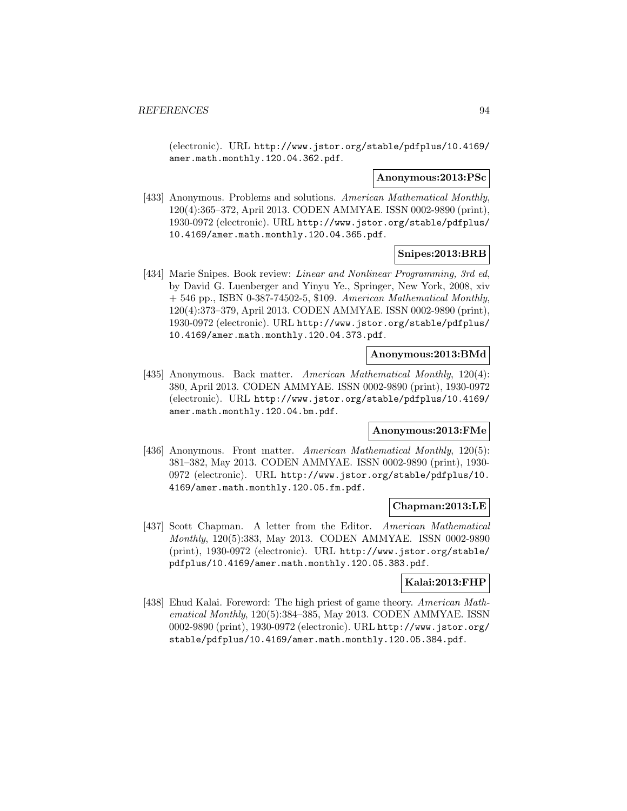(electronic). URL http://www.jstor.org/stable/pdfplus/10.4169/ amer.math.monthly.120.04.362.pdf.

#### **Anonymous:2013:PSc**

[433] Anonymous. Problems and solutions. American Mathematical Monthly, 120(4):365–372, April 2013. CODEN AMMYAE. ISSN 0002-9890 (print), 1930-0972 (electronic). URL http://www.jstor.org/stable/pdfplus/ 10.4169/amer.math.monthly.120.04.365.pdf.

## **Snipes:2013:BRB**

[434] Marie Snipes. Book review: Linear and Nonlinear Programming, 3rd ed, by David G. Luenberger and Yinyu Ye., Springer, New York, 2008, xiv + 546 pp., ISBN 0-387-74502-5, \$109. American Mathematical Monthly, 120(4):373–379, April 2013. CODEN AMMYAE. ISSN 0002-9890 (print), 1930-0972 (electronic). URL http://www.jstor.org/stable/pdfplus/ 10.4169/amer.math.monthly.120.04.373.pdf.

# **Anonymous:2013:BMd**

[435] Anonymous. Back matter. American Mathematical Monthly, 120(4): 380, April 2013. CODEN AMMYAE. ISSN 0002-9890 (print), 1930-0972 (electronic). URL http://www.jstor.org/stable/pdfplus/10.4169/ amer.math.monthly.120.04.bm.pdf.

#### **Anonymous:2013:FMe**

[436] Anonymous. Front matter. American Mathematical Monthly, 120(5): 381–382, May 2013. CODEN AMMYAE. ISSN 0002-9890 (print), 1930- 0972 (electronic). URL http://www.jstor.org/stable/pdfplus/10. 4169/amer.math.monthly.120.05.fm.pdf.

#### **Chapman:2013:LE**

[437] Scott Chapman. A letter from the Editor. American Mathematical Monthly, 120(5):383, May 2013. CODEN AMMYAE. ISSN 0002-9890 (print), 1930-0972 (electronic). URL http://www.jstor.org/stable/ pdfplus/10.4169/amer.math.monthly.120.05.383.pdf.

#### **Kalai:2013:FHP**

[438] Ehud Kalai. Foreword: The high priest of game theory. American Mathematical Monthly, 120(5):384–385, May 2013. CODEN AMMYAE. ISSN 0002-9890 (print), 1930-0972 (electronic). URL http://www.jstor.org/ stable/pdfplus/10.4169/amer.math.monthly.120.05.384.pdf.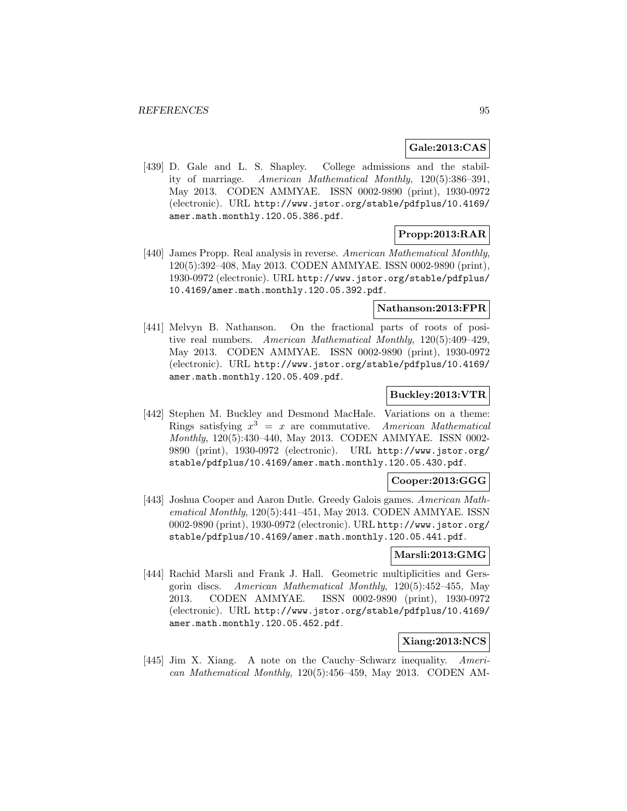# **Gale:2013:CAS**

[439] D. Gale and L. S. Shapley. College admissions and the stability of marriage. American Mathematical Monthly, 120(5):386–391, May 2013. CODEN AMMYAE. ISSN 0002-9890 (print), 1930-0972 (electronic). URL http://www.jstor.org/stable/pdfplus/10.4169/ amer.math.monthly.120.05.386.pdf.

# **Propp:2013:RAR**

[440] James Propp. Real analysis in reverse. American Mathematical Monthly, 120(5):392–408, May 2013. CODEN AMMYAE. ISSN 0002-9890 (print), 1930-0972 (electronic). URL http://www.jstor.org/stable/pdfplus/ 10.4169/amer.math.monthly.120.05.392.pdf.

## **Nathanson:2013:FPR**

[441] Melvyn B. Nathanson. On the fractional parts of roots of positive real numbers. American Mathematical Monthly, 120(5):409–429, May 2013. CODEN AMMYAE. ISSN 0002-9890 (print), 1930-0972 (electronic). URL http://www.jstor.org/stable/pdfplus/10.4169/ amer.math.monthly.120.05.409.pdf.

## **Buckley:2013:VTR**

[442] Stephen M. Buckley and Desmond MacHale. Variations on a theme: Rings satisfying  $x^3 = x$  are commutative. American Mathematical Monthly, 120(5):430–440, May 2013. CODEN AMMYAE. ISSN 0002- 9890 (print), 1930-0972 (electronic). URL http://www.jstor.org/ stable/pdfplus/10.4169/amer.math.monthly.120.05.430.pdf.

## **Cooper:2013:GGG**

[443] Joshua Cooper and Aaron Dutle. Greedy Galois games. American Mathematical Monthly, 120(5):441–451, May 2013. CODEN AMMYAE. ISSN 0002-9890 (print), 1930-0972 (electronic). URL http://www.jstor.org/ stable/pdfplus/10.4169/amer.math.monthly.120.05.441.pdf.

#### **Marsli:2013:GMG**

[444] Rachid Marsli and Frank J. Hall. Geometric multiplicities and Gersgorin discs. American Mathematical Monthly, 120(5):452–455, May 2013. CODEN AMMYAE. ISSN 0002-9890 (print), 1930-0972 (electronic). URL http://www.jstor.org/stable/pdfplus/10.4169/ amer.math.monthly.120.05.452.pdf.

# **Xiang:2013:NCS**

[445] Jim X. Xiang. A note on the Cauchy–Schwarz inequality. American Mathematical Monthly, 120(5):456–459, May 2013. CODEN AM-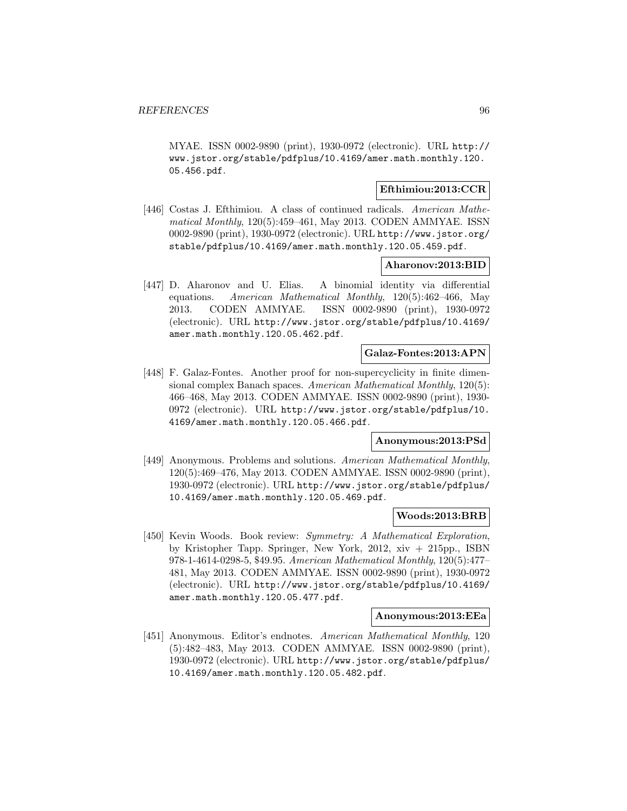MYAE. ISSN 0002-9890 (print), 1930-0972 (electronic). URL http:// www.jstor.org/stable/pdfplus/10.4169/amer.math.monthly.120. 05.456.pdf.

# **Efthimiou:2013:CCR**

[446] Costas J. Efthimiou. A class of continued radicals. American Mathematical Monthly, 120(5):459–461, May 2013. CODEN AMMYAE. ISSN 0002-9890 (print), 1930-0972 (electronic). URL http://www.jstor.org/ stable/pdfplus/10.4169/amer.math.monthly.120.05.459.pdf.

## **Aharonov:2013:BID**

[447] D. Aharonov and U. Elias. A binomial identity via differential equations. American Mathematical Monthly, 120(5):462–466, May 2013. CODEN AMMYAE. ISSN 0002-9890 (print), 1930-0972 (electronic). URL http://www.jstor.org/stable/pdfplus/10.4169/ amer.math.monthly.120.05.462.pdf.

# **Galaz-Fontes:2013:APN**

[448] F. Galaz-Fontes. Another proof for non-supercyclicity in finite dimensional complex Banach spaces. American Mathematical Monthly, 120(5): 466–468, May 2013. CODEN AMMYAE. ISSN 0002-9890 (print), 1930- 0972 (electronic). URL http://www.jstor.org/stable/pdfplus/10. 4169/amer.math.monthly.120.05.466.pdf.

# **Anonymous:2013:PSd**

[449] Anonymous. Problems and solutions. American Mathematical Monthly, 120(5):469–476, May 2013. CODEN AMMYAE. ISSN 0002-9890 (print), 1930-0972 (electronic). URL http://www.jstor.org/stable/pdfplus/ 10.4169/amer.math.monthly.120.05.469.pdf.

#### **Woods:2013:BRB**

[450] Kevin Woods. Book review: Symmetry: A Mathematical Exploration, by Kristopher Tapp. Springer, New York, 2012, xiv + 215pp., ISBN 978-1-4614-0298-5, \$49.95. American Mathematical Monthly, 120(5):477– 481, May 2013. CODEN AMMYAE. ISSN 0002-9890 (print), 1930-0972 (electronic). URL http://www.jstor.org/stable/pdfplus/10.4169/ amer.math.monthly.120.05.477.pdf.

#### **Anonymous:2013:EEa**

[451] Anonymous. Editor's endnotes. American Mathematical Monthly, 120 (5):482–483, May 2013. CODEN AMMYAE. ISSN 0002-9890 (print), 1930-0972 (electronic). URL http://www.jstor.org/stable/pdfplus/ 10.4169/amer.math.monthly.120.05.482.pdf.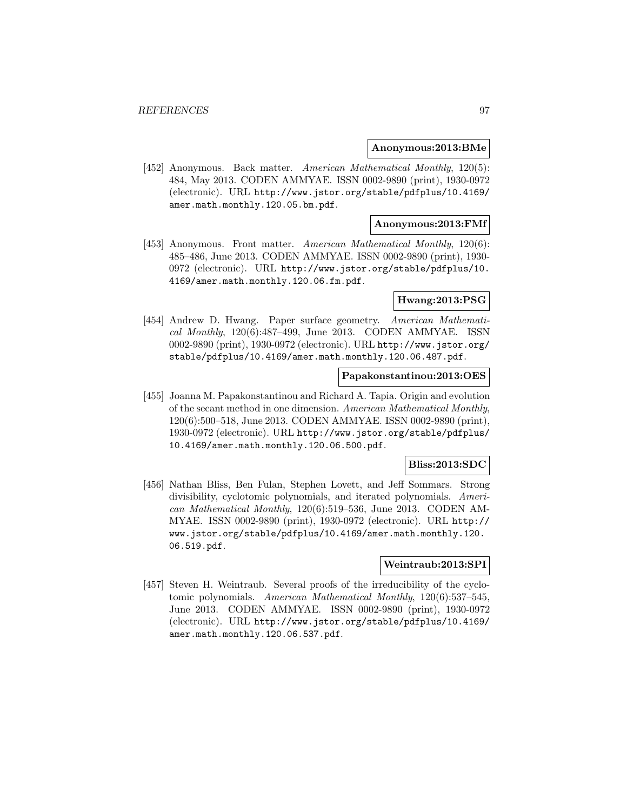#### **Anonymous:2013:BMe**

[452] Anonymous. Back matter. American Mathematical Monthly, 120(5): 484, May 2013. CODEN AMMYAE. ISSN 0002-9890 (print), 1930-0972 (electronic). URL http://www.jstor.org/stable/pdfplus/10.4169/ amer.math.monthly.120.05.bm.pdf.

## **Anonymous:2013:FMf**

[453] Anonymous. Front matter. American Mathematical Monthly, 120(6): 485–486, June 2013. CODEN AMMYAE. ISSN 0002-9890 (print), 1930- 0972 (electronic). URL http://www.jstor.org/stable/pdfplus/10. 4169/amer.math.monthly.120.06.fm.pdf.

#### **Hwang:2013:PSG**

[454] Andrew D. Hwang. Paper surface geometry. American Mathematical Monthly, 120(6):487–499, June 2013. CODEN AMMYAE. ISSN 0002-9890 (print), 1930-0972 (electronic). URL http://www.jstor.org/ stable/pdfplus/10.4169/amer.math.monthly.120.06.487.pdf.

#### **Papakonstantinou:2013:OES**

[455] Joanna M. Papakonstantinou and Richard A. Tapia. Origin and evolution of the secant method in one dimension. American Mathematical Monthly, 120(6):500–518, June 2013. CODEN AMMYAE. ISSN 0002-9890 (print), 1930-0972 (electronic). URL http://www.jstor.org/stable/pdfplus/ 10.4169/amer.math.monthly.120.06.500.pdf.

## **Bliss:2013:SDC**

[456] Nathan Bliss, Ben Fulan, Stephen Lovett, and Jeff Sommars. Strong divisibility, cyclotomic polynomials, and iterated polynomials. American Mathematical Monthly, 120(6):519–536, June 2013. CODEN AM-MYAE. ISSN 0002-9890 (print), 1930-0972 (electronic). URL http:// www.jstor.org/stable/pdfplus/10.4169/amer.math.monthly.120. 06.519.pdf.

## **Weintraub:2013:SPI**

[457] Steven H. Weintraub. Several proofs of the irreducibility of the cyclotomic polynomials. American Mathematical Monthly, 120(6):537–545, June 2013. CODEN AMMYAE. ISSN 0002-9890 (print), 1930-0972 (electronic). URL http://www.jstor.org/stable/pdfplus/10.4169/ amer.math.monthly.120.06.537.pdf.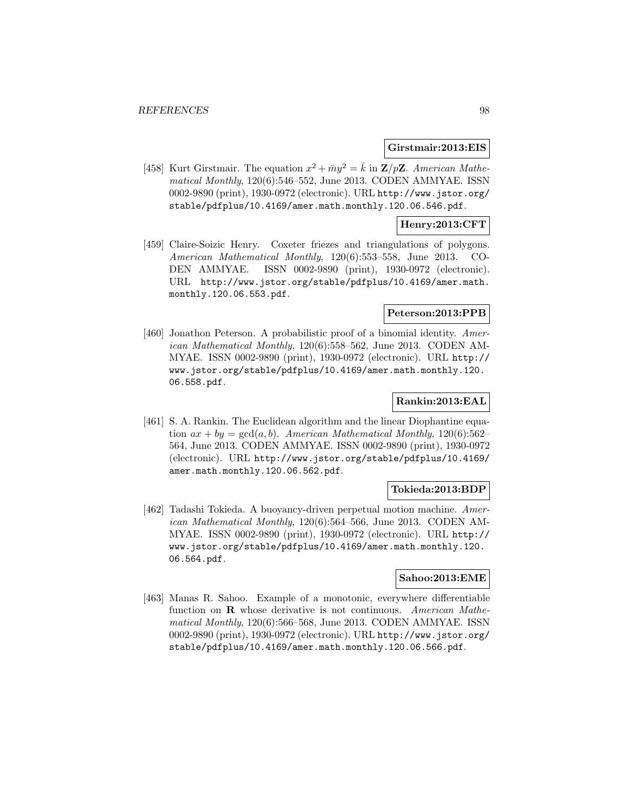#### **Girstmair:2013:EIS**

[458] Kurt Girstmair. The equation  $x^2 + \bar{m}y^2 = \bar{k}$  in **Z**/p**Z**. American Mathematical Monthly, 120(6):546–552, June 2013. CODEN AMMYAE. ISSN 0002-9890 (print), 1930-0972 (electronic). URL http://www.jstor.org/ stable/pdfplus/10.4169/amer.math.monthly.120.06.546.pdf.

# **Henry:2013:CFT**

[459] Claire-Soizic Henry. Coxeter friezes and triangulations of polygons. American Mathematical Monthly, 120(6):553–558, June 2013. CO-DEN AMMYAE. ISSN 0002-9890 (print), 1930-0972 (electronic). URL http://www.jstor.org/stable/pdfplus/10.4169/amer.math. monthly.120.06.553.pdf.

## **Peterson:2013:PPB**

[460] Jonathon Peterson. A probabilistic proof of a binomial identity. American Mathematical Monthly, 120(6):558–562, June 2013. CODEN AM-MYAE. ISSN 0002-9890 (print), 1930-0972 (electronic). URL http:// www.jstor.org/stable/pdfplus/10.4169/amer.math.monthly.120. 06.558.pdf.

# **Rankin:2013:EAL**

[461] S. A. Rankin. The Euclidean algorithm and the linear Diophantine equation  $ax + by = \gcd(a, b)$ . American Mathematical Monthly, 120(6):562-564, June 2013. CODEN AMMYAE. ISSN 0002-9890 (print), 1930-0972 (electronic). URL http://www.jstor.org/stable/pdfplus/10.4169/ amer.math.monthly.120.06.562.pdf.

# **Tokieda:2013:BDP**

[462] Tadashi Tokieda. A buoyancy-driven perpetual motion machine. American Mathematical Monthly, 120(6):564–566, June 2013. CODEN AM-MYAE. ISSN 0002-9890 (print), 1930-0972 (electronic). URL http:// www.jstor.org/stable/pdfplus/10.4169/amer.math.monthly.120. 06.564.pdf.

#### **Sahoo:2013:EME**

[463] Manas R. Sahoo. Example of a monotonic, everywhere differentiable function on **R** whose derivative is not continuous. American Mathematical Monthly, 120(6):566–568, June 2013. CODEN AMMYAE. ISSN 0002-9890 (print), 1930-0972 (electronic). URL http://www.jstor.org/ stable/pdfplus/10.4169/amer.math.monthly.120.06.566.pdf.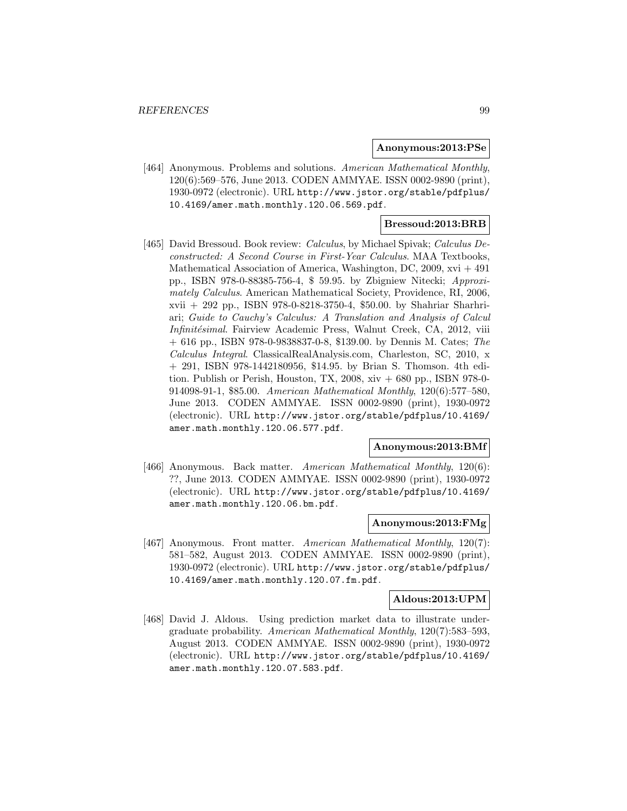#### **Anonymous:2013:PSe**

[464] Anonymous. Problems and solutions. American Mathematical Monthly, 120(6):569–576, June 2013. CODEN AMMYAE. ISSN 0002-9890 (print), 1930-0972 (electronic). URL http://www.jstor.org/stable/pdfplus/ 10.4169/amer.math.monthly.120.06.569.pdf.

#### **Bressoud:2013:BRB**

[465] David Bressoud. Book review: Calculus, by Michael Spivak; Calculus Deconstructed: A Second Course in First-Year Calculus. MAA Textbooks, Mathematical Association of America, Washington, DC, 2009, xvi + 491 pp., ISBN 978-0-88385-756-4, \$ 59.95. by Zbigniew Nitecki; Approximately Calculus. American Mathematical Society, Providence, RI, 2006, xvii + 292 pp., ISBN 978-0-8218-3750-4, \$50.00. by Shahriar Sharhriari; Guide to Cauchy's Calculus: A Translation and Analysis of Calcul Infinitésimal. Fairview Academic Press, Walnut Creek, CA, 2012, viii  $+ 616$  pp., ISBN 978-0-9838837-0-8, \$139.00. by Dennis M. Cates; The Calculus Integral. ClassicalRealAnalysis.com, Charleston, SC, 2010, x + 291, ISBN 978-1442180956, \$14.95. by Brian S. Thomson. 4th edition. Publish or Perish, Houston, TX,  $2008$ ,  $xiv + 680$  pp., ISBN 978-0-914098-91-1, \$85.00. American Mathematical Monthly, 120(6):577–580, June 2013. CODEN AMMYAE. ISSN 0002-9890 (print), 1930-0972 (electronic). URL http://www.jstor.org/stable/pdfplus/10.4169/ amer.math.monthly.120.06.577.pdf.

#### **Anonymous:2013:BMf**

[466] Anonymous. Back matter. American Mathematical Monthly, 120(6): ??, June 2013. CODEN AMMYAE. ISSN 0002-9890 (print), 1930-0972 (electronic). URL http://www.jstor.org/stable/pdfplus/10.4169/ amer.math.monthly.120.06.bm.pdf.

#### **Anonymous:2013:FMg**

[467] Anonymous. Front matter. American Mathematical Monthly, 120(7): 581–582, August 2013. CODEN AMMYAE. ISSN 0002-9890 (print), 1930-0972 (electronic). URL http://www.jstor.org/stable/pdfplus/ 10.4169/amer.math.monthly.120.07.fm.pdf.

#### **Aldous:2013:UPM**

[468] David J. Aldous. Using prediction market data to illustrate undergraduate probability. American Mathematical Monthly, 120(7):583–593, August 2013. CODEN AMMYAE. ISSN 0002-9890 (print), 1930-0972 (electronic). URL http://www.jstor.org/stable/pdfplus/10.4169/ amer.math.monthly.120.07.583.pdf.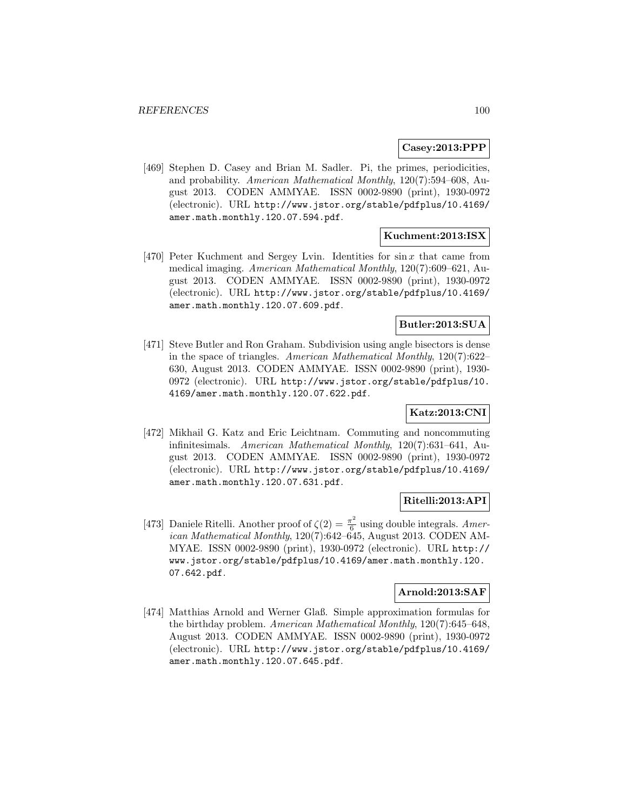## **Casey:2013:PPP**

[469] Stephen D. Casey and Brian M. Sadler. Pi, the primes, periodicities, and probability. American Mathematical Monthly, 120(7):594–608, August 2013. CODEN AMMYAE. ISSN 0002-9890 (print), 1930-0972 (electronic). URL http://www.jstor.org/stable/pdfplus/10.4169/ amer.math.monthly.120.07.594.pdf.

# **Kuchment:2013:ISX**

[470] Peter Kuchment and Sergey Lvin. Identities for  $\sin x$  that came from medical imaging. American Mathematical Monthly, 120(7):609–621, August 2013. CODEN AMMYAE. ISSN 0002-9890 (print), 1930-0972 (electronic). URL http://www.jstor.org/stable/pdfplus/10.4169/ amer.math.monthly.120.07.609.pdf.

## **Butler:2013:SUA**

[471] Steve Butler and Ron Graham. Subdivision using angle bisectors is dense in the space of triangles. American Mathematical Monthly, 120(7):622– 630, August 2013. CODEN AMMYAE. ISSN 0002-9890 (print), 1930- 0972 (electronic). URL http://www.jstor.org/stable/pdfplus/10. 4169/amer.math.monthly.120.07.622.pdf.

# **Katz:2013:CNI**

[472] Mikhail G. Katz and Eric Leichtnam. Commuting and noncommuting infinitesimals. American Mathematical Monthly, 120(7):631–641, August 2013. CODEN AMMYAE. ISSN 0002-9890 (print), 1930-0972 (electronic). URL http://www.jstor.org/stable/pdfplus/10.4169/ amer.math.monthly.120.07.631.pdf.

## **Ritelli:2013:API**

[473] Daniele Ritelli. Another proof of  $\zeta(2) = \frac{\pi^2}{6}$  using double integrals. American Mathematical Monthly, 120(7):642–645, August 2013. CODEN AM-MYAE. ISSN 0002-9890 (print), 1930-0972 (electronic). URL http:// www.jstor.org/stable/pdfplus/10.4169/amer.math.monthly.120. 07.642.pdf.

# **Arnold:2013:SAF**

[474] Matthias Arnold and Werner Glaß. Simple approximation formulas for the birthday problem. American Mathematical Monthly, 120(7):645–648, August 2013. CODEN AMMYAE. ISSN 0002-9890 (print), 1930-0972 (electronic). URL http://www.jstor.org/stable/pdfplus/10.4169/ amer.math.monthly.120.07.645.pdf.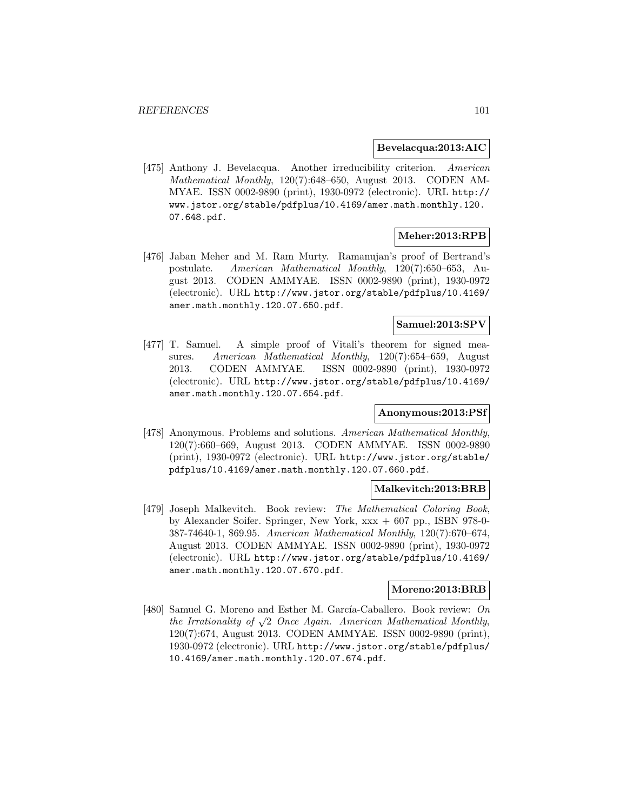#### **Bevelacqua:2013:AIC**

[475] Anthony J. Bevelacqua. Another irreducibility criterion. American Mathematical Monthly, 120(7):648–650, August 2013. CODEN AM-MYAE. ISSN 0002-9890 (print), 1930-0972 (electronic). URL http:// www.jstor.org/stable/pdfplus/10.4169/amer.math.monthly.120. 07.648.pdf.

# **Meher:2013:RPB**

[476] Jaban Meher and M. Ram Murty. Ramanujan's proof of Bertrand's postulate. American Mathematical Monthly, 120(7):650–653, August 2013. CODEN AMMYAE. ISSN 0002-9890 (print), 1930-0972 (electronic). URL http://www.jstor.org/stable/pdfplus/10.4169/ amer.math.monthly.120.07.650.pdf.

# **Samuel:2013:SPV**

[477] T. Samuel. A simple proof of Vitali's theorem for signed measures. American Mathematical Monthly, 120(7):654–659, August 2013. CODEN AMMYAE. ISSN 0002-9890 (print), 1930-0972 (electronic). URL http://www.jstor.org/stable/pdfplus/10.4169/ amer.math.monthly.120.07.654.pdf.

## **Anonymous:2013:PSf**

[478] Anonymous. Problems and solutions. American Mathematical Monthly, 120(7):660–669, August 2013. CODEN AMMYAE. ISSN 0002-9890 (print), 1930-0972 (electronic). URL http://www.jstor.org/stable/ pdfplus/10.4169/amer.math.monthly.120.07.660.pdf.

#### **Malkevitch:2013:BRB**

[479] Joseph Malkevitch. Book review: The Mathematical Coloring Book, by Alexander Soifer. Springer, New York, xxx + 607 pp., ISBN 978-0- 387-74640-1, \$69.95. American Mathematical Monthly, 120(7):670–674, August 2013. CODEN AMMYAE. ISSN 0002-9890 (print), 1930-0972 (electronic). URL http://www.jstor.org/stable/pdfplus/10.4169/ amer.math.monthly.120.07.670.pdf.

## **Moreno:2013:BRB**

[480] Samuel G. Moreno and Esther M. García-Caballero. Book review: On the Irrationality of  $\sqrt{2}$  Once Again. American Mathematical Monthly, 120(7):674, August 2013. CODEN AMMYAE. ISSN 0002-9890 (print), 1930-0972 (electronic). URL http://www.jstor.org/stable/pdfplus/ 10.4169/amer.math.monthly.120.07.674.pdf.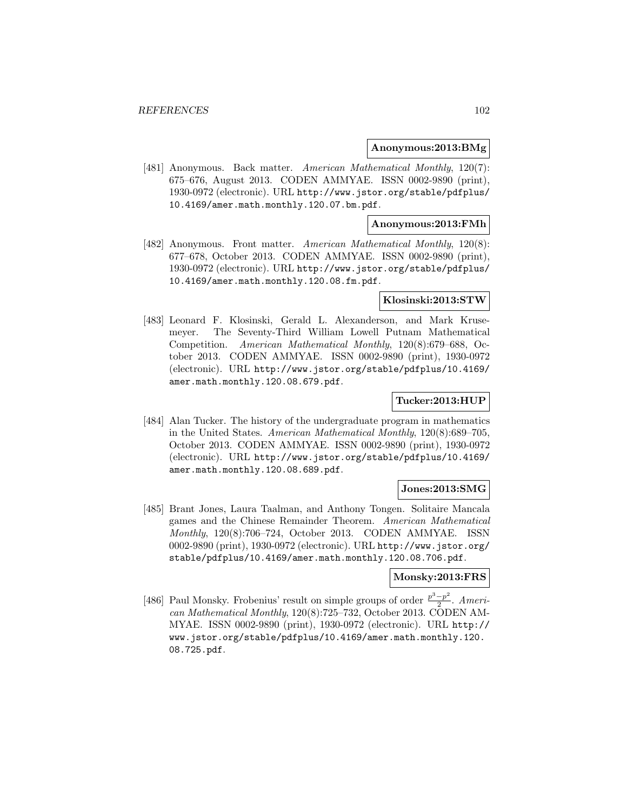#### **Anonymous:2013:BMg**

[481] Anonymous. Back matter. American Mathematical Monthly, 120(7): 675–676, August 2013. CODEN AMMYAE. ISSN 0002-9890 (print), 1930-0972 (electronic). URL http://www.jstor.org/stable/pdfplus/ 10.4169/amer.math.monthly.120.07.bm.pdf.

### **Anonymous:2013:FMh**

[482] Anonymous. Front matter. American Mathematical Monthly, 120(8): 677–678, October 2013. CODEN AMMYAE. ISSN 0002-9890 (print), 1930-0972 (electronic). URL http://www.jstor.org/stable/pdfplus/ 10.4169/amer.math.monthly.120.08.fm.pdf.

#### **Klosinski:2013:STW**

[483] Leonard F. Klosinski, Gerald L. Alexanderson, and Mark Krusemeyer. The Seventy-Third William Lowell Putnam Mathematical Competition. American Mathematical Monthly, 120(8):679–688, October 2013. CODEN AMMYAE. ISSN 0002-9890 (print), 1930-0972 (electronic). URL http://www.jstor.org/stable/pdfplus/10.4169/ amer.math.monthly.120.08.679.pdf.

## **Tucker:2013:HUP**

[484] Alan Tucker. The history of the undergraduate program in mathematics in the United States. American Mathematical Monthly, 120(8):689–705, October 2013. CODEN AMMYAE. ISSN 0002-9890 (print), 1930-0972 (electronic). URL http://www.jstor.org/stable/pdfplus/10.4169/ amer.math.monthly.120.08.689.pdf.

## **Jones:2013:SMG**

[485] Brant Jones, Laura Taalman, and Anthony Tongen. Solitaire Mancala games and the Chinese Remainder Theorem. American Mathematical Monthly, 120(8):706–724, October 2013. CODEN AMMYAE. ISSN 0002-9890 (print), 1930-0972 (electronic). URL http://www.jstor.org/ stable/pdfplus/10.4169/amer.math.monthly.120.08.706.pdf.

## **Monsky:2013:FRS**

[486] Paul Monsky. Frobenius' result on simple groups of order  $\frac{p^3-p^2}{2}$ . American Mathematical Monthly, 120(8):725–732, October 2013. CODEN AM-MYAE. ISSN 0002-9890 (print), 1930-0972 (electronic). URL http:// www.jstor.org/stable/pdfplus/10.4169/amer.math.monthly.120. 08.725.pdf.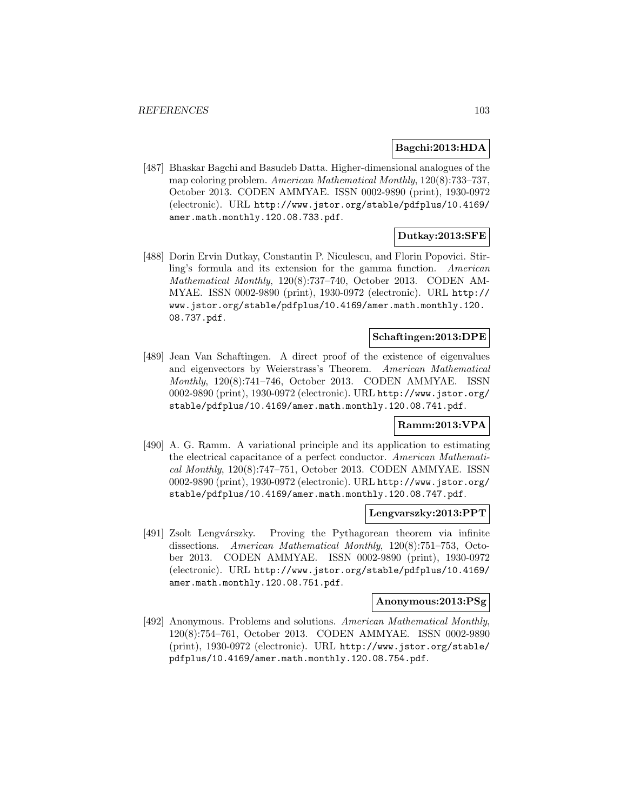## **Bagchi:2013:HDA**

[487] Bhaskar Bagchi and Basudeb Datta. Higher-dimensional analogues of the map coloring problem. American Mathematical Monthly, 120(8):733–737, October 2013. CODEN AMMYAE. ISSN 0002-9890 (print), 1930-0972 (electronic). URL http://www.jstor.org/stable/pdfplus/10.4169/ amer.math.monthly.120.08.733.pdf.

# **Dutkay:2013:SFE**

[488] Dorin Ervin Dutkay, Constantin P. Niculescu, and Florin Popovici. Stirling's formula and its extension for the gamma function. American Mathematical Monthly, 120(8):737–740, October 2013. CODEN AM-MYAE. ISSN 0002-9890 (print), 1930-0972 (electronic). URL http:// www.jstor.org/stable/pdfplus/10.4169/amer.math.monthly.120. 08.737.pdf.

# **Schaftingen:2013:DPE**

[489] Jean Van Schaftingen. A direct proof of the existence of eigenvalues and eigenvectors by Weierstrass's Theorem. American Mathematical Monthly, 120(8):741–746, October 2013. CODEN AMMYAE. ISSN 0002-9890 (print), 1930-0972 (electronic). URL http://www.jstor.org/ stable/pdfplus/10.4169/amer.math.monthly.120.08.741.pdf.

# **Ramm:2013:VPA**

[490] A. G. Ramm. A variational principle and its application to estimating the electrical capacitance of a perfect conductor. American Mathematical Monthly, 120(8):747–751, October 2013. CODEN AMMYAE. ISSN 0002-9890 (print), 1930-0972 (electronic). URL http://www.jstor.org/ stable/pdfplus/10.4169/amer.math.monthly.120.08.747.pdf.

## **Lengvarszky:2013:PPT**

[491] Zsolt Lengvárszky. Proving the Pythagorean theorem via infinite dissections. American Mathematical Monthly, 120(8):751–753, October 2013. CODEN AMMYAE. ISSN 0002-9890 (print), 1930-0972 (electronic). URL http://www.jstor.org/stable/pdfplus/10.4169/ amer.math.monthly.120.08.751.pdf.

#### **Anonymous:2013:PSg**

[492] Anonymous. Problems and solutions. American Mathematical Monthly, 120(8):754–761, October 2013. CODEN AMMYAE. ISSN 0002-9890 (print), 1930-0972 (electronic). URL http://www.jstor.org/stable/ pdfplus/10.4169/amer.math.monthly.120.08.754.pdf.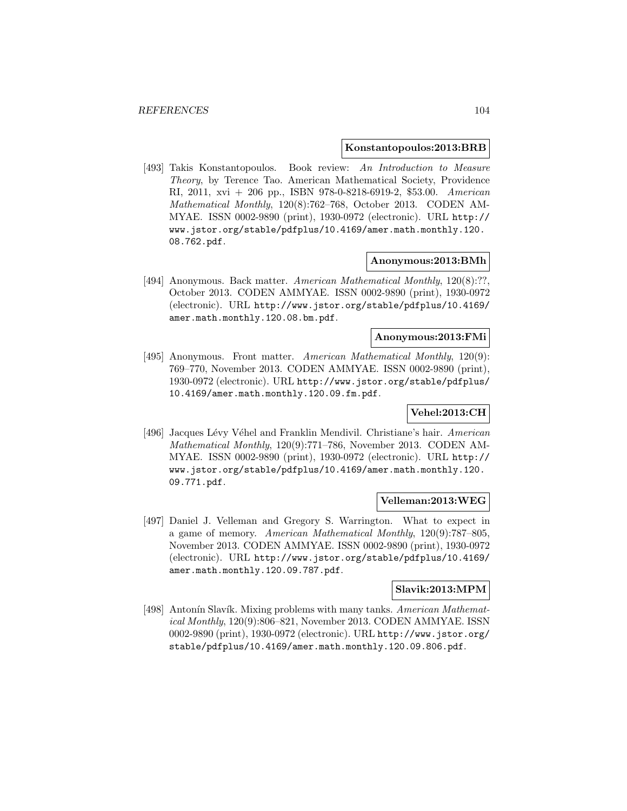#### **Konstantopoulos:2013:BRB**

[493] Takis Konstantopoulos. Book review: An Introduction to Measure Theory, by Terence Tao. American Mathematical Society, Providence RI, 2011, xvi + 206 pp., ISBN 978-0-8218-6919-2, \$53.00. American Mathematical Monthly, 120(8):762–768, October 2013. CODEN AM-MYAE. ISSN 0002-9890 (print), 1930-0972 (electronic). URL http:// www.jstor.org/stable/pdfplus/10.4169/amer.math.monthly.120. 08.762.pdf.

#### **Anonymous:2013:BMh**

[494] Anonymous. Back matter. American Mathematical Monthly, 120(8):??, October 2013. CODEN AMMYAE. ISSN 0002-9890 (print), 1930-0972 (electronic). URL http://www.jstor.org/stable/pdfplus/10.4169/ amer.math.monthly.120.08.bm.pdf.

## **Anonymous:2013:FMi**

[495] Anonymous. Front matter. American Mathematical Monthly, 120(9): 769–770, November 2013. CODEN AMMYAE. ISSN 0002-9890 (print), 1930-0972 (electronic). URL http://www.jstor.org/stable/pdfplus/ 10.4169/amer.math.monthly.120.09.fm.pdf.

## **Vehel:2013:CH**

[496] Jacques Lévy Véhel and Franklin Mendivil. Christiane's hair. American Mathematical Monthly, 120(9):771–786, November 2013. CODEN AM-MYAE. ISSN 0002-9890 (print), 1930-0972 (electronic). URL http:// www.jstor.org/stable/pdfplus/10.4169/amer.math.monthly.120. 09.771.pdf.

## **Velleman:2013:WEG**

[497] Daniel J. Velleman and Gregory S. Warrington. What to expect in a game of memory. American Mathematical Monthly, 120(9):787–805, November 2013. CODEN AMMYAE. ISSN 0002-9890 (print), 1930-0972 (electronic). URL http://www.jstor.org/stable/pdfplus/10.4169/ amer.math.monthly.120.09.787.pdf.

#### **Slavik:2013:MPM**

[498] Antonín Slavík. Mixing problems with many tanks. American Mathematical Monthly, 120(9):806–821, November 2013. CODEN AMMYAE. ISSN 0002-9890 (print), 1930-0972 (electronic). URL http://www.jstor.org/ stable/pdfplus/10.4169/amer.math.monthly.120.09.806.pdf.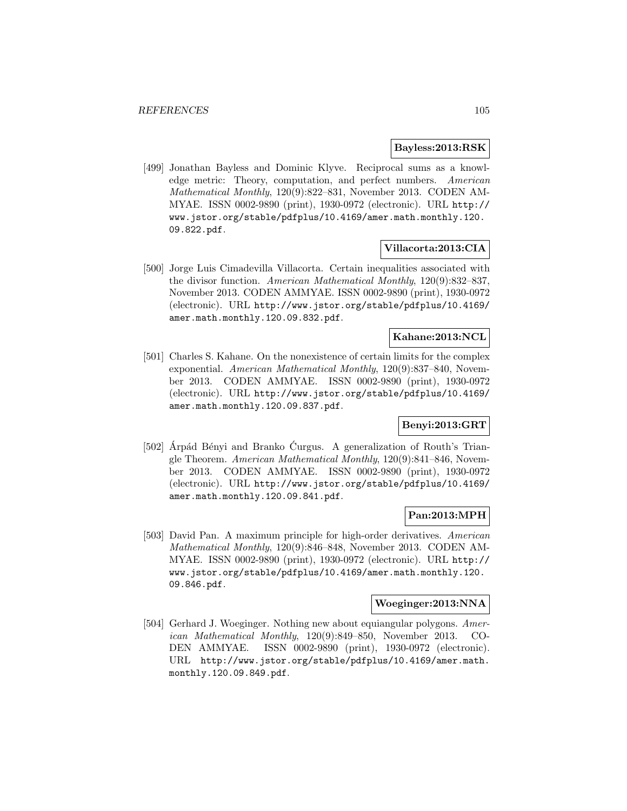#### **Bayless:2013:RSK**

[499] Jonathan Bayless and Dominic Klyve. Reciprocal sums as a knowledge metric: Theory, computation, and perfect numbers. American Mathematical Monthly, 120(9):822–831, November 2013. CODEN AM-MYAE. ISSN 0002-9890 (print), 1930-0972 (electronic). URL http:// www.jstor.org/stable/pdfplus/10.4169/amer.math.monthly.120. 09.822.pdf.

# **Villacorta:2013:CIA**

[500] Jorge Luis Cimadevilla Villacorta. Certain inequalities associated with the divisor function. American Mathematical Monthly, 120(9):832–837, November 2013. CODEN AMMYAE. ISSN 0002-9890 (print), 1930-0972 (electronic). URL http://www.jstor.org/stable/pdfplus/10.4169/ amer.math.monthly.120.09.832.pdf.

# **Kahane:2013:NCL**

[501] Charles S. Kahane. On the nonexistence of certain limits for the complex exponential. American Mathematical Monthly, 120(9):837–840, November 2013. CODEN AMMYAE. ISSN 0002-9890 (print), 1930-0972 (electronic). URL http://www.jstor.org/stable/pdfplus/10.4169/ amer.math.monthly.120.09.837.pdf.

# **Benyi:2013:GRT**

[502] Arpád Bényi and Branko Curgus. A generalization of Routh's Triangle Theorem. American Mathematical Monthly, 120(9):841–846, November 2013. CODEN AMMYAE. ISSN 0002-9890 (print), 1930-0972 (electronic). URL http://www.jstor.org/stable/pdfplus/10.4169/ amer.math.monthly.120.09.841.pdf.

## **Pan:2013:MPH**

[503] David Pan. A maximum principle for high-order derivatives. American Mathematical Monthly, 120(9):846–848, November 2013. CODEN AM-MYAE. ISSN 0002-9890 (print), 1930-0972 (electronic). URL http:// www.jstor.org/stable/pdfplus/10.4169/amer.math.monthly.120. 09.846.pdf.

## **Woeginger:2013:NNA**

[504] Gerhard J. Woeginger. Nothing new about equiangular polygons. American Mathematical Monthly, 120(9):849–850, November 2013. CO-DEN AMMYAE. ISSN 0002-9890 (print), 1930-0972 (electronic). URL http://www.jstor.org/stable/pdfplus/10.4169/amer.math. monthly.120.09.849.pdf.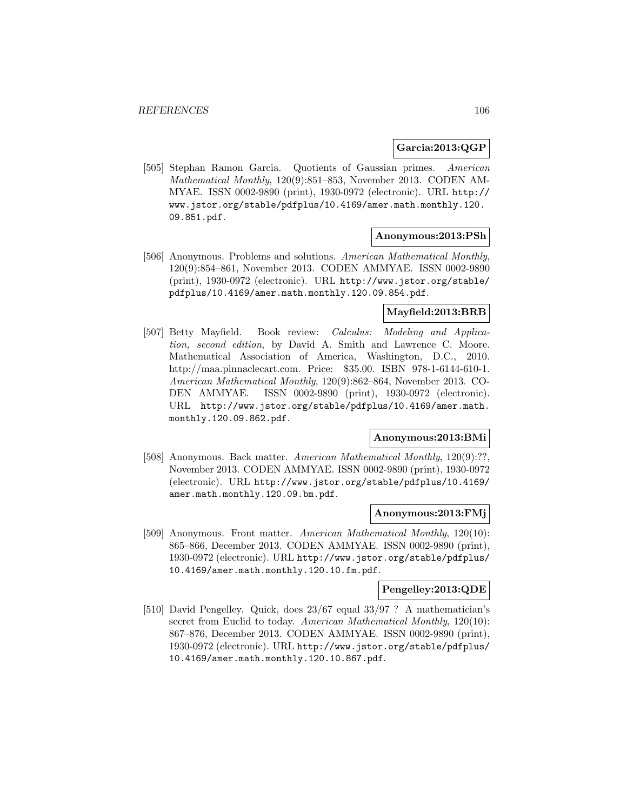## **Garcia:2013:QGP**

[505] Stephan Ramon Garcia. Quotients of Gaussian primes. American Mathematical Monthly, 120(9):851–853, November 2013. CODEN AM-MYAE. ISSN 0002-9890 (print), 1930-0972 (electronic). URL http:// www.jstor.org/stable/pdfplus/10.4169/amer.math.monthly.120. 09.851.pdf.

#### **Anonymous:2013:PSh**

[506] Anonymous. Problems and solutions. American Mathematical Monthly, 120(9):854–861, November 2013. CODEN AMMYAE. ISSN 0002-9890 (print), 1930-0972 (electronic). URL http://www.jstor.org/stable/ pdfplus/10.4169/amer.math.monthly.120.09.854.pdf.

#### **Mayfield:2013:BRB**

[507] Betty Mayfield. Book review: *Calculus: Modeling and Applica*tion, second edition, by David A. Smith and Lawrence C. Moore. Mathematical Association of America, Washington, D.C., 2010. http://maa.pinnaclecart.com. Price: \$35.00. ISBN 978-1-6144-610-1. American Mathematical Monthly, 120(9):862–864, November 2013. CO-DEN AMMYAE. ISSN 0002-9890 (print), 1930-0972 (electronic). URL http://www.jstor.org/stable/pdfplus/10.4169/amer.math. monthly.120.09.862.pdf.

#### **Anonymous:2013:BMi**

[508] Anonymous. Back matter. American Mathematical Monthly, 120(9):??, November 2013. CODEN AMMYAE. ISSN 0002-9890 (print), 1930-0972 (electronic). URL http://www.jstor.org/stable/pdfplus/10.4169/ amer.math.monthly.120.09.bm.pdf.

#### **Anonymous:2013:FMj**

[509] Anonymous. Front matter. American Mathematical Monthly, 120(10): 865–866, December 2013. CODEN AMMYAE. ISSN 0002-9890 (print), 1930-0972 (electronic). URL http://www.jstor.org/stable/pdfplus/ 10.4169/amer.math.monthly.120.10.fm.pdf.

## **Pengelley:2013:QDE**

[510] David Pengelley. Quick, does 23/67 equal 33/97 ? A mathematician's secret from Euclid to today. American Mathematical Monthly, 120(10): 867–876, December 2013. CODEN AMMYAE. ISSN 0002-9890 (print), 1930-0972 (electronic). URL http://www.jstor.org/stable/pdfplus/ 10.4169/amer.math.monthly.120.10.867.pdf.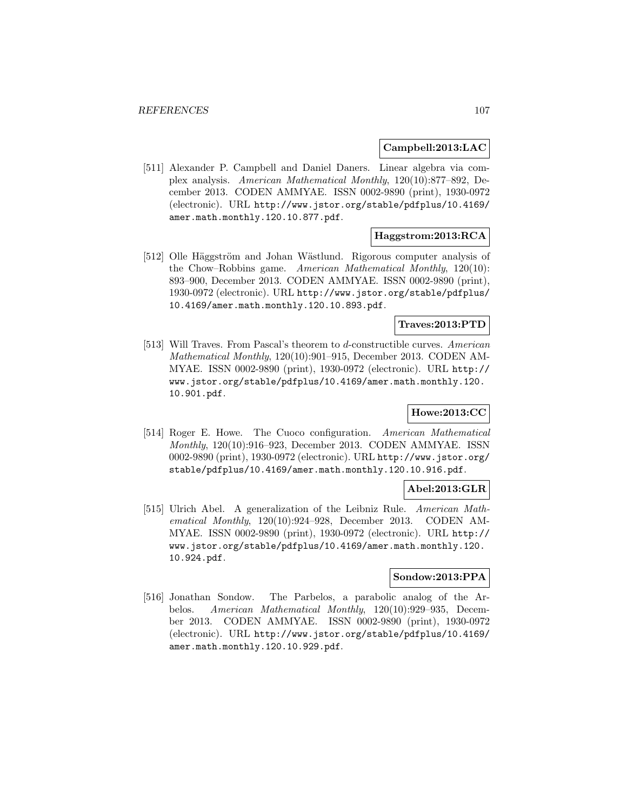#### **Campbell:2013:LAC**

[511] Alexander P. Campbell and Daniel Daners. Linear algebra via complex analysis. American Mathematical Monthly, 120(10):877–892, December 2013. CODEN AMMYAE. ISSN 0002-9890 (print), 1930-0972 (electronic). URL http://www.jstor.org/stable/pdfplus/10.4169/ amer.math.monthly.120.10.877.pdf.

# **Haggstrom:2013:RCA**

[512] Olle Häggström and Johan Wästlund. Rigorous computer analysis of the Chow–Robbins game. American Mathematical Monthly, 120(10): 893–900, December 2013. CODEN AMMYAE. ISSN 0002-9890 (print), 1930-0972 (electronic). URL http://www.jstor.org/stable/pdfplus/ 10.4169/amer.math.monthly.120.10.893.pdf.

# **Traves:2013:PTD**

[513] Will Traves. From Pascal's theorem to d-constructible curves. American Mathematical Monthly, 120(10):901–915, December 2013. CODEN AM-MYAE. ISSN 0002-9890 (print), 1930-0972 (electronic). URL http:// www.jstor.org/stable/pdfplus/10.4169/amer.math.monthly.120. 10.901.pdf.

# **Howe:2013:CC**

[514] Roger E. Howe. The Cuoco configuration. American Mathematical Monthly, 120(10):916–923, December 2013. CODEN AMMYAE. ISSN 0002-9890 (print), 1930-0972 (electronic). URL http://www.jstor.org/ stable/pdfplus/10.4169/amer.math.monthly.120.10.916.pdf.

## **Abel:2013:GLR**

[515] Ulrich Abel. A generalization of the Leibniz Rule. American Mathematical Monthly, 120(10):924–928, December 2013. CODEN AM-MYAE. ISSN 0002-9890 (print), 1930-0972 (electronic). URL http:// www.jstor.org/stable/pdfplus/10.4169/amer.math.monthly.120. 10.924.pdf.

## **Sondow:2013:PPA**

[516] Jonathan Sondow. The Parbelos, a parabolic analog of the Arbelos. American Mathematical Monthly, 120(10):929–935, December 2013. CODEN AMMYAE. ISSN 0002-9890 (print), 1930-0972 (electronic). URL http://www.jstor.org/stable/pdfplus/10.4169/ amer.math.monthly.120.10.929.pdf.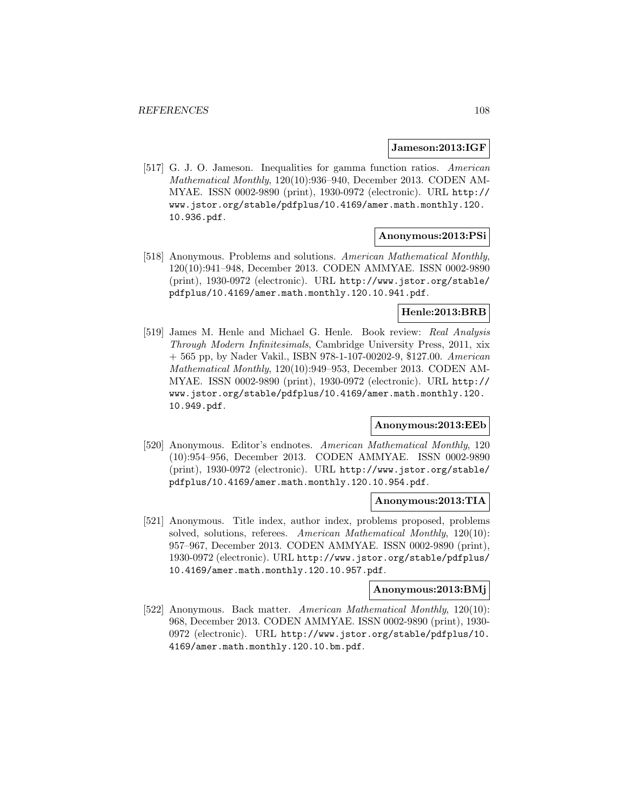#### **Jameson:2013:IGF**

[517] G. J. O. Jameson. Inequalities for gamma function ratios. American Mathematical Monthly, 120(10):936–940, December 2013. CODEN AM-MYAE. ISSN 0002-9890 (print), 1930-0972 (electronic). URL http:// www.jstor.org/stable/pdfplus/10.4169/amer.math.monthly.120. 10.936.pdf.

#### **Anonymous:2013:PSi**

[518] Anonymous. Problems and solutions. American Mathematical Monthly, 120(10):941–948, December 2013. CODEN AMMYAE. ISSN 0002-9890 (print), 1930-0972 (electronic). URL http://www.jstor.org/stable/ pdfplus/10.4169/amer.math.monthly.120.10.941.pdf.

# **Henle:2013:BRB**

[519] James M. Henle and Michael G. Henle. Book review: Real Analysis Through Modern Infinitesimals, Cambridge University Press, 2011, xix + 565 pp, by Nader Vakil., ISBN 978-1-107-00202-9, \$127.00. American Mathematical Monthly, 120(10):949–953, December 2013. CODEN AM-MYAE. ISSN 0002-9890 (print), 1930-0972 (electronic). URL http:// www.jstor.org/stable/pdfplus/10.4169/amer.math.monthly.120. 10.949.pdf.

## **Anonymous:2013:EEb**

[520] Anonymous. Editor's endnotes. American Mathematical Monthly, 120 (10):954–956, December 2013. CODEN AMMYAE. ISSN 0002-9890 (print), 1930-0972 (electronic). URL http://www.jstor.org/stable/ pdfplus/10.4169/amer.math.monthly.120.10.954.pdf.

#### **Anonymous:2013:TIA**

[521] Anonymous. Title index, author index, problems proposed, problems solved, solutions, referees. American Mathematical Monthly, 120(10): 957–967, December 2013. CODEN AMMYAE. ISSN 0002-9890 (print), 1930-0972 (electronic). URL http://www.jstor.org/stable/pdfplus/ 10.4169/amer.math.monthly.120.10.957.pdf.

# **Anonymous:2013:BMj**

[522] Anonymous. Back matter. American Mathematical Monthly, 120(10): 968, December 2013. CODEN AMMYAE. ISSN 0002-9890 (print), 1930- 0972 (electronic). URL http://www.jstor.org/stable/pdfplus/10. 4169/amer.math.monthly.120.10.bm.pdf.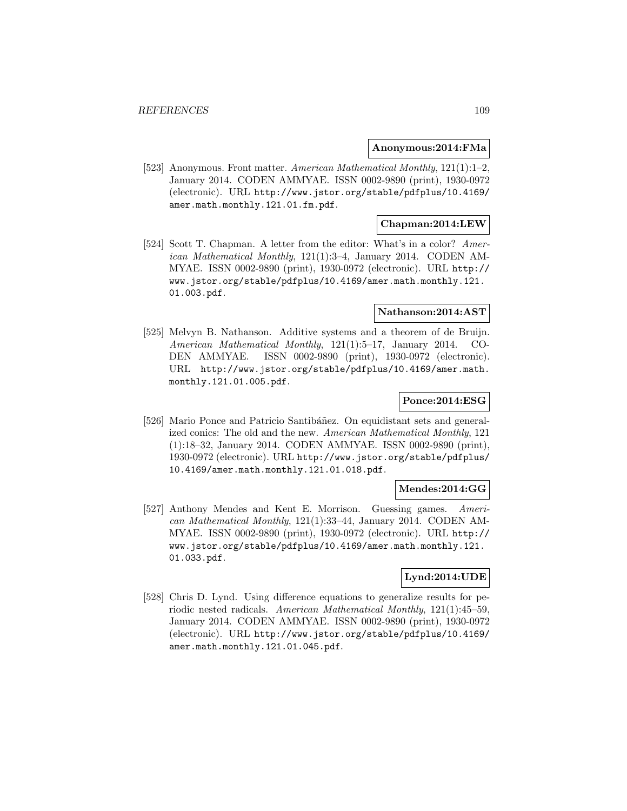#### **Anonymous:2014:FMa**

[523] Anonymous. Front matter. American Mathematical Monthly, 121(1):1–2, January 2014. CODEN AMMYAE. ISSN 0002-9890 (print), 1930-0972 (electronic). URL http://www.jstor.org/stable/pdfplus/10.4169/ amer.math.monthly.121.01.fm.pdf.

### **Chapman:2014:LEW**

[524] Scott T. Chapman. A letter from the editor: What's in a color? American Mathematical Monthly,  $121(1):3-4$ , January 2014. CODEN AM-MYAE. ISSN 0002-9890 (print), 1930-0972 (electronic). URL http:// www.jstor.org/stable/pdfplus/10.4169/amer.math.monthly.121. 01.003.pdf.

#### **Nathanson:2014:AST**

[525] Melvyn B. Nathanson. Additive systems and a theorem of de Bruijn. American Mathematical Monthly, 121(1):5–17, January 2014. CO-DEN AMMYAE. ISSN 0002-9890 (print), 1930-0972 (electronic). URL http://www.jstor.org/stable/pdfplus/10.4169/amer.math. monthly.121.01.005.pdf.

### **Ponce:2014:ESG**

[526] Mario Ponce and Patricio Santibáñez. On equidistant sets and generalized conics: The old and the new. American Mathematical Monthly, 121 (1):18–32, January 2014. CODEN AMMYAE. ISSN 0002-9890 (print), 1930-0972 (electronic). URL http://www.jstor.org/stable/pdfplus/ 10.4169/amer.math.monthly.121.01.018.pdf.

# **Mendes:2014:GG**

[527] Anthony Mendes and Kent E. Morrison. Guessing games. American Mathematical Monthly, 121(1):33–44, January 2014. CODEN AM-MYAE. ISSN 0002-9890 (print), 1930-0972 (electronic). URL http:// www.jstor.org/stable/pdfplus/10.4169/amer.math.monthly.121. 01.033.pdf.

### **Lynd:2014:UDE**

[528] Chris D. Lynd. Using difference equations to generalize results for periodic nested radicals. American Mathematical Monthly, 121(1):45–59, January 2014. CODEN AMMYAE. ISSN 0002-9890 (print), 1930-0972 (electronic). URL http://www.jstor.org/stable/pdfplus/10.4169/ amer.math.monthly.121.01.045.pdf.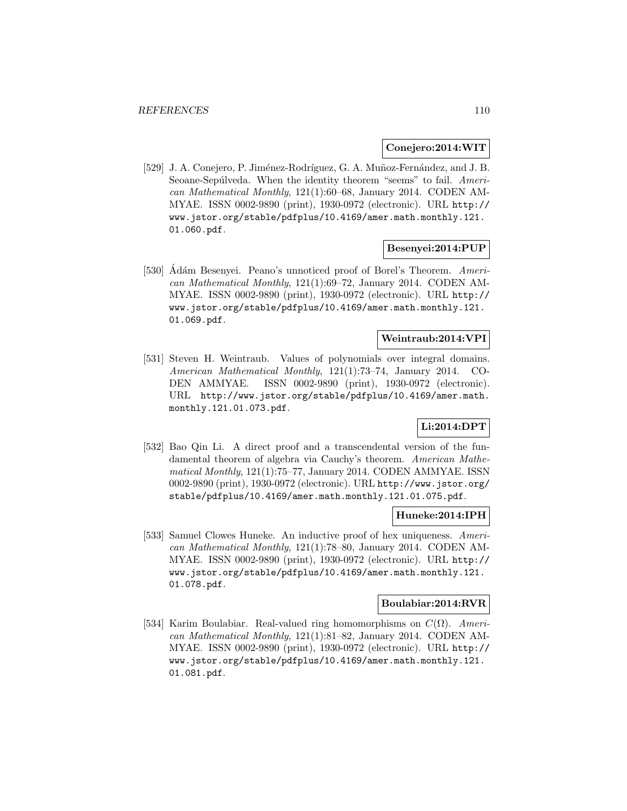### **Conejero:2014:WIT**

[529] J. A. Conejero, P. Jiménez-Rodríguez, G. A. Muñoz-Fernández, and J. B. Seoane-Sepúlveda. When the identity theorem "seems" to fail. American Mathematical Monthly, 121(1):60–68, January 2014. CODEN AM-MYAE. ISSN 0002-9890 (print), 1930-0972 (electronic). URL http:// www.jstor.org/stable/pdfplus/10.4169/amer.math.monthly.121. 01.060.pdf.

#### **Besenyei:2014:PUP**

[530] Ádám Besenyei. Peano's unnoticed proof of Borel's Theorem. American Mathematical Monthly, 121(1):69–72, January 2014. CODEN AM-MYAE. ISSN 0002-9890 (print), 1930-0972 (electronic). URL http:// www.jstor.org/stable/pdfplus/10.4169/amer.math.monthly.121. 01.069.pdf.

# **Weintraub:2014:VPI**

[531] Steven H. Weintraub. Values of polynomials over integral domains. American Mathematical Monthly, 121(1):73–74, January 2014. CO-DEN AMMYAE. ISSN 0002-9890 (print), 1930-0972 (electronic). URL http://www.jstor.org/stable/pdfplus/10.4169/amer.math. monthly.121.01.073.pdf.

# **Li:2014:DPT**

[532] Bao Qin Li. A direct proof and a transcendental version of the fundamental theorem of algebra via Cauchy's theorem. American Mathematical Monthly, 121(1):75–77, January 2014. CODEN AMMYAE. ISSN 0002-9890 (print), 1930-0972 (electronic). URL http://www.jstor.org/ stable/pdfplus/10.4169/amer.math.monthly.121.01.075.pdf.

### **Huneke:2014:IPH**

[533] Samuel Clowes Huneke. An inductive proof of hex uniqueness. American Mathematical Monthly, 121(1):78–80, January 2014. CODEN AM-MYAE. ISSN 0002-9890 (print), 1930-0972 (electronic). URL http:// www.jstor.org/stable/pdfplus/10.4169/amer.math.monthly.121. 01.078.pdf.

#### **Boulabiar:2014:RVR**

[534] Karim Boulabiar. Real-valued ring homomorphisms on  $C(\Omega)$ . American Mathematical Monthly, 121(1):81–82, January 2014. CODEN AM-MYAE. ISSN 0002-9890 (print), 1930-0972 (electronic). URL http:// www.jstor.org/stable/pdfplus/10.4169/amer.math.monthly.121. 01.081.pdf.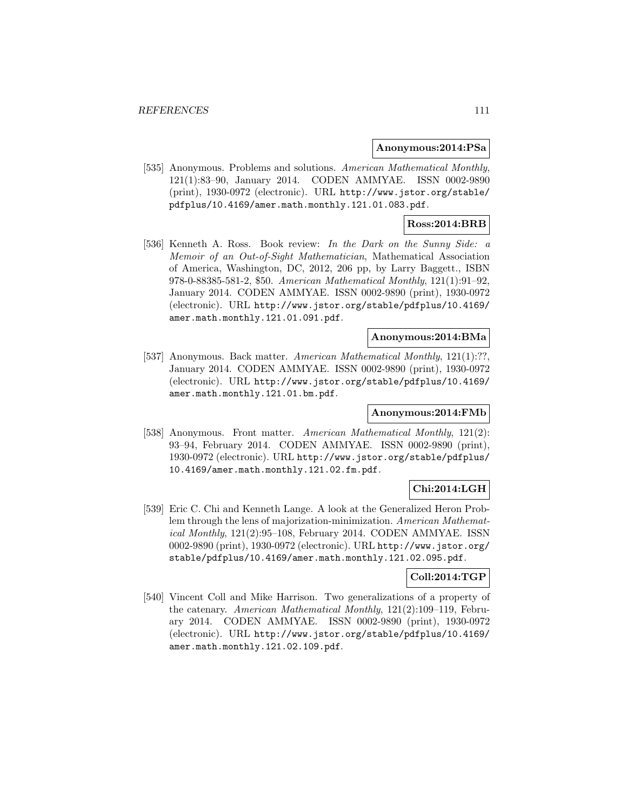#### **Anonymous:2014:PSa**

[535] Anonymous. Problems and solutions. American Mathematical Monthly, 121(1):83–90, January 2014. CODEN AMMYAE. ISSN 0002-9890 (print), 1930-0972 (electronic). URL http://www.jstor.org/stable/ pdfplus/10.4169/amer.math.monthly.121.01.083.pdf.

# **Ross:2014:BRB**

[536] Kenneth A. Ross. Book review: In the Dark on the Sunny Side: a Memoir of an Out-of-Sight Mathematician, Mathematical Association of America, Washington, DC, 2012, 206 pp, by Larry Baggett., ISBN 978-0-88385-581-2, \$50. American Mathematical Monthly, 121(1):91–92, January 2014. CODEN AMMYAE. ISSN 0002-9890 (print), 1930-0972 (electronic). URL http://www.jstor.org/stable/pdfplus/10.4169/ amer.math.monthly.121.01.091.pdf.

### **Anonymous:2014:BMa**

[537] Anonymous. Back matter. American Mathematical Monthly, 121(1):??, January 2014. CODEN AMMYAE. ISSN 0002-9890 (print), 1930-0972 (electronic). URL http://www.jstor.org/stable/pdfplus/10.4169/ amer.math.monthly.121.01.bm.pdf.

### **Anonymous:2014:FMb**

[538] Anonymous. Front matter. American Mathematical Monthly, 121(2): 93–94, February 2014. CODEN AMMYAE. ISSN 0002-9890 (print), 1930-0972 (electronic). URL http://www.jstor.org/stable/pdfplus/ 10.4169/amer.math.monthly.121.02.fm.pdf.

# **Chi:2014:LGH**

[539] Eric C. Chi and Kenneth Lange. A look at the Generalized Heron Problem through the lens of majorization-minimization. American Mathematical Monthly, 121(2):95–108, February 2014. CODEN AMMYAE. ISSN 0002-9890 (print), 1930-0972 (electronic). URL http://www.jstor.org/ stable/pdfplus/10.4169/amer.math.monthly.121.02.095.pdf.

### **Coll:2014:TGP**

[540] Vincent Coll and Mike Harrison. Two generalizations of a property of the catenary. American Mathematical Monthly, 121(2):109–119, February 2014. CODEN AMMYAE. ISSN 0002-9890 (print), 1930-0972 (electronic). URL http://www.jstor.org/stable/pdfplus/10.4169/ amer.math.monthly.121.02.109.pdf.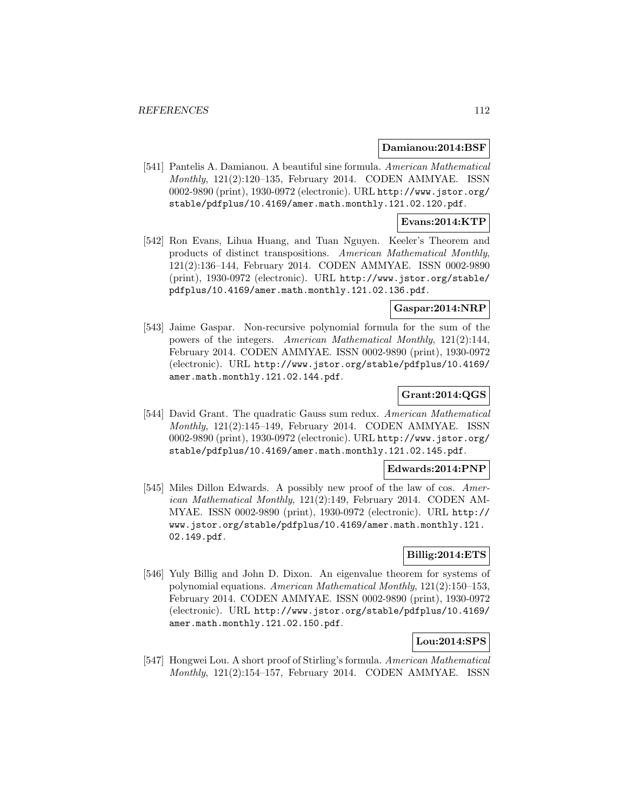#### **Damianou:2014:BSF**

[541] Pantelis A. Damianou. A beautiful sine formula. American Mathematical Monthly, 121(2):120–135, February 2014. CODEN AMMYAE. ISSN 0002-9890 (print), 1930-0972 (electronic). URL http://www.jstor.org/ stable/pdfplus/10.4169/amer.math.monthly.121.02.120.pdf.

### **Evans:2014:KTP**

[542] Ron Evans, Lihua Huang, and Tuan Nguyen. Keeler's Theorem and products of distinct transpositions. American Mathematical Monthly, 121(2):136–144, February 2014. CODEN AMMYAE. ISSN 0002-9890 (print), 1930-0972 (electronic). URL http://www.jstor.org/stable/ pdfplus/10.4169/amer.math.monthly.121.02.136.pdf.

# **Gaspar:2014:NRP**

[543] Jaime Gaspar. Non-recursive polynomial formula for the sum of the powers of the integers. American Mathematical Monthly, 121(2):144, February 2014. CODEN AMMYAE. ISSN 0002-9890 (print), 1930-0972 (electronic). URL http://www.jstor.org/stable/pdfplus/10.4169/ amer.math.monthly.121.02.144.pdf.

# **Grant:2014:QGS**

[544] David Grant. The quadratic Gauss sum redux. American Mathematical Monthly, 121(2):145–149, February 2014. CODEN AMMYAE. ISSN 0002-9890 (print), 1930-0972 (electronic). URL http://www.jstor.org/ stable/pdfplus/10.4169/amer.math.monthly.121.02.145.pdf.

#### **Edwards:2014:PNP**

[545] Miles Dillon Edwards. A possibly new proof of the law of cos. American Mathematical Monthly, 121(2):149, February 2014. CODEN AM-MYAE. ISSN 0002-9890 (print), 1930-0972 (electronic). URL http:// www.jstor.org/stable/pdfplus/10.4169/amer.math.monthly.121. 02.149.pdf.

## **Billig:2014:ETS**

[546] Yuly Billig and John D. Dixon. An eigenvalue theorem for systems of polynomial equations. American Mathematical Monthly, 121(2):150–153, February 2014. CODEN AMMYAE. ISSN 0002-9890 (print), 1930-0972 (electronic). URL http://www.jstor.org/stable/pdfplus/10.4169/ amer.math.monthly.121.02.150.pdf.

### **Lou:2014:SPS**

[547] Hongwei Lou. A short proof of Stirling's formula. American Mathematical Monthly, 121(2):154–157, February 2014. CODEN AMMYAE. ISSN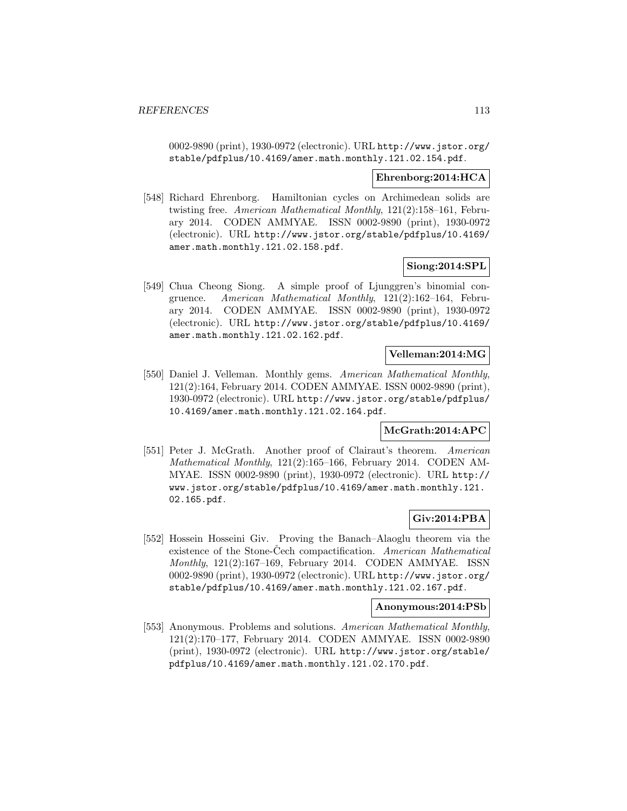0002-9890 (print), 1930-0972 (electronic). URL http://www.jstor.org/ stable/pdfplus/10.4169/amer.math.monthly.121.02.154.pdf.

#### **Ehrenborg:2014:HCA**

[548] Richard Ehrenborg. Hamiltonian cycles on Archimedean solids are twisting free. American Mathematical Monthly, 121(2):158–161, February 2014. CODEN AMMYAE. ISSN 0002-9890 (print), 1930-0972 (electronic). URL http://www.jstor.org/stable/pdfplus/10.4169/ amer.math.monthly.121.02.158.pdf.

### **Siong:2014:SPL**

[549] Chua Cheong Siong. A simple proof of Ljunggren's binomial congruence. American Mathematical Monthly, 121(2):162–164, February 2014. CODEN AMMYAE. ISSN 0002-9890 (print), 1930-0972 (electronic). URL http://www.jstor.org/stable/pdfplus/10.4169/ amer.math.monthly.121.02.162.pdf.

# **Velleman:2014:MG**

[550] Daniel J. Velleman. Monthly gems. American Mathematical Monthly, 121(2):164, February 2014. CODEN AMMYAE. ISSN 0002-9890 (print), 1930-0972 (electronic). URL http://www.jstor.org/stable/pdfplus/ 10.4169/amer.math.monthly.121.02.164.pdf.

# **McGrath:2014:APC**

[551] Peter J. McGrath. Another proof of Clairaut's theorem. American Mathematical Monthly, 121(2):165–166, February 2014. CODEN AM-MYAE. ISSN 0002-9890 (print), 1930-0972 (electronic). URL http:// www.jstor.org/stable/pdfplus/10.4169/amer.math.monthly.121. 02.165.pdf.

# **Giv:2014:PBA**

[552] Hossein Hosseini Giv. Proving the Banach–Alaoglu theorem via the existence of the Stone-Cech compactification. American Mathematical Monthly, 121(2):167–169, February 2014. CODEN AMMYAE. ISSN 0002-9890 (print), 1930-0972 (electronic). URL http://www.jstor.org/ stable/pdfplus/10.4169/amer.math.monthly.121.02.167.pdf.

## **Anonymous:2014:PSb**

[553] Anonymous. Problems and solutions. American Mathematical Monthly, 121(2):170–177, February 2014. CODEN AMMYAE. ISSN 0002-9890 (print), 1930-0972 (electronic). URL http://www.jstor.org/stable/ pdfplus/10.4169/amer.math.monthly.121.02.170.pdf.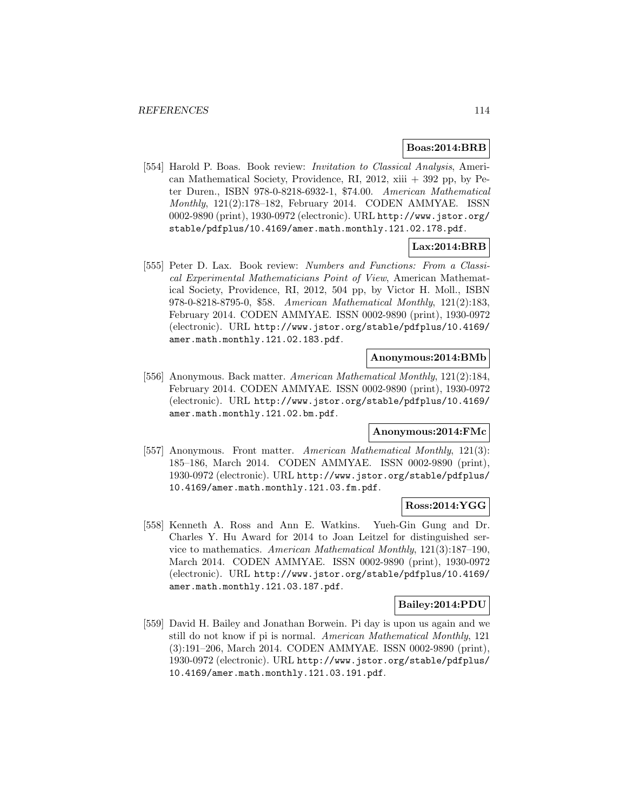### **Boas:2014:BRB**

[554] Harold P. Boas. Book review: *Invitation to Classical Analysis*, American Mathematical Society, Providence, RI, 2012,  $xiii + 392$  pp, by Peter Duren., ISBN 978-0-8218-6932-1, \$74.00. American Mathematical Monthly, 121(2):178–182, February 2014. CODEN AMMYAE. ISSN 0002-9890 (print), 1930-0972 (electronic). URL http://www.jstor.org/ stable/pdfplus/10.4169/amer.math.monthly.121.02.178.pdf.

# **Lax:2014:BRB**

[555] Peter D. Lax. Book review: Numbers and Functions: From a Classical Experimental Mathematicians Point of View, American Mathematical Society, Providence, RI, 2012, 504 pp, by Victor H. Moll., ISBN 978-0-8218-8795-0, \$58. American Mathematical Monthly, 121(2):183, February 2014. CODEN AMMYAE. ISSN 0002-9890 (print), 1930-0972 (electronic). URL http://www.jstor.org/stable/pdfplus/10.4169/ amer.math.monthly.121.02.183.pdf.

#### **Anonymous:2014:BMb**

[556] Anonymous. Back matter. American Mathematical Monthly, 121(2):184, February 2014. CODEN AMMYAE. ISSN 0002-9890 (print), 1930-0972 (electronic). URL http://www.jstor.org/stable/pdfplus/10.4169/ amer.math.monthly.121.02.bm.pdf.

#### **Anonymous:2014:FMc**

[557] Anonymous. Front matter. American Mathematical Monthly, 121(3): 185–186, March 2014. CODEN AMMYAE. ISSN 0002-9890 (print), 1930-0972 (electronic). URL http://www.jstor.org/stable/pdfplus/ 10.4169/amer.math.monthly.121.03.fm.pdf.

# **Ross:2014:YGG**

[558] Kenneth A. Ross and Ann E. Watkins. Yueh-Gin Gung and Dr. Charles Y. Hu Award for 2014 to Joan Leitzel for distinguished service to mathematics. American Mathematical Monthly, 121(3):187–190, March 2014. CODEN AMMYAE. ISSN 0002-9890 (print), 1930-0972 (electronic). URL http://www.jstor.org/stable/pdfplus/10.4169/ amer.math.monthly.121.03.187.pdf.

#### **Bailey:2014:PDU**

[559] David H. Bailey and Jonathan Borwein. Pi day is upon us again and we still do not know if pi is normal. American Mathematical Monthly, 121 (3):191–206, March 2014. CODEN AMMYAE. ISSN 0002-9890 (print), 1930-0972 (electronic). URL http://www.jstor.org/stable/pdfplus/ 10.4169/amer.math.monthly.121.03.191.pdf.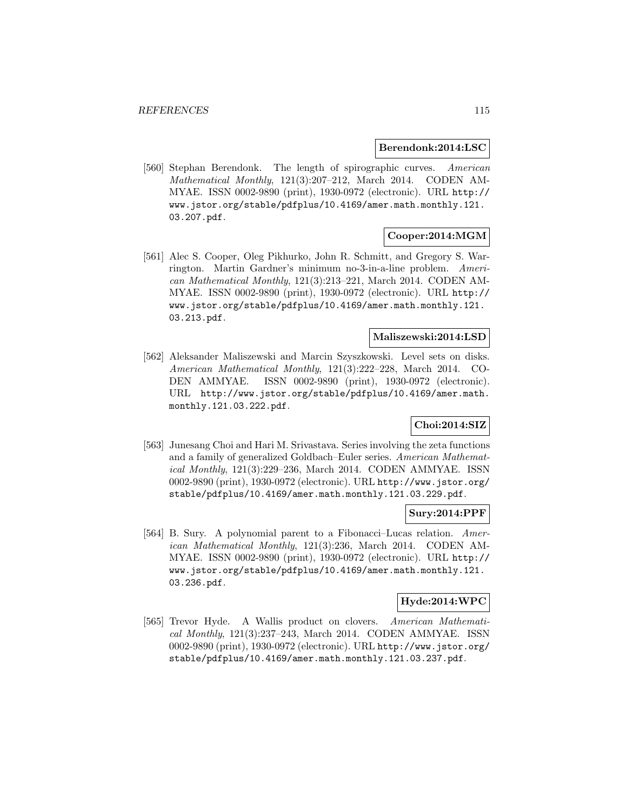#### **Berendonk:2014:LSC**

[560] Stephan Berendonk. The length of spirographic curves. American Mathematical Monthly, 121(3):207–212, March 2014. CODEN AM-MYAE. ISSN 0002-9890 (print), 1930-0972 (electronic). URL http:// www.jstor.org/stable/pdfplus/10.4169/amer.math.monthly.121. 03.207.pdf.

# **Cooper:2014:MGM**

[561] Alec S. Cooper, Oleg Pikhurko, John R. Schmitt, and Gregory S. Warrington. Martin Gardner's minimum no-3-in-a-line problem. American Mathematical Monthly, 121(3):213–221, March 2014. CODEN AM-MYAE. ISSN 0002-9890 (print), 1930-0972 (electronic). URL http:// www.jstor.org/stable/pdfplus/10.4169/amer.math.monthly.121. 03.213.pdf.

# **Maliszewski:2014:LSD**

[562] Aleksander Maliszewski and Marcin Szyszkowski. Level sets on disks. American Mathematical Monthly, 121(3):222–228, March 2014. CO-DEN AMMYAE. ISSN 0002-9890 (print), 1930-0972 (electronic). URL http://www.jstor.org/stable/pdfplus/10.4169/amer.math. monthly.121.03.222.pdf.

# **Choi:2014:SIZ**

[563] Junesang Choi and Hari M. Srivastava. Series involving the zeta functions and a family of generalized Goldbach–Euler series. American Mathematical Monthly, 121(3):229–236, March 2014. CODEN AMMYAE. ISSN 0002-9890 (print), 1930-0972 (electronic). URL http://www.jstor.org/ stable/pdfplus/10.4169/amer.math.monthly.121.03.229.pdf.

### **Sury:2014:PPF**

[564] B. Sury. A polynomial parent to a Fibonacci–Lucas relation. American Mathematical Monthly, 121(3):236, March 2014. CODEN AM-MYAE. ISSN 0002-9890 (print), 1930-0972 (electronic). URL http:// www.jstor.org/stable/pdfplus/10.4169/amer.math.monthly.121. 03.236.pdf.

### **Hyde:2014:WPC**

[565] Trevor Hyde. A Wallis product on clovers. American Mathematical Monthly, 121(3):237–243, March 2014. CODEN AMMYAE. ISSN 0002-9890 (print), 1930-0972 (electronic). URL http://www.jstor.org/ stable/pdfplus/10.4169/amer.math.monthly.121.03.237.pdf.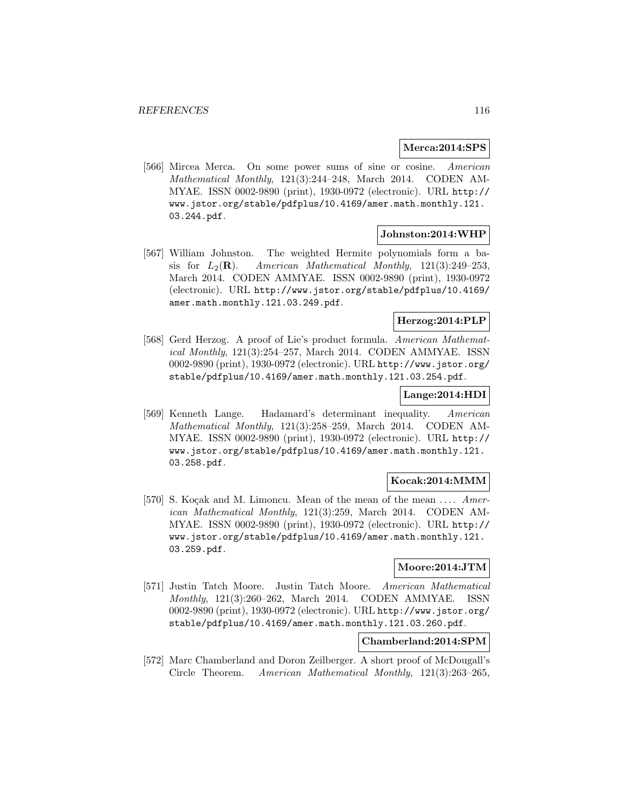### **Merca:2014:SPS**

[566] Mircea Merca. On some power sums of sine or cosine. American Mathematical Monthly, 121(3):244–248, March 2014. CODEN AM-MYAE. ISSN 0002-9890 (print), 1930-0972 (electronic). URL http:// www.jstor.org/stable/pdfplus/10.4169/amer.math.monthly.121. 03.244.pdf.

#### **Johnston:2014:WHP**

[567] William Johnston. The weighted Hermite polynomials form a basis for  $L_2(\mathbf{R})$ . American Mathematical Monthly, 121(3):249–253, March 2014. CODEN AMMYAE. ISSN 0002-9890 (print), 1930-0972 (electronic). URL http://www.jstor.org/stable/pdfplus/10.4169/ amer.math.monthly.121.03.249.pdf.

# **Herzog:2014:PLP**

[568] Gerd Herzog. A proof of Lie's product formula. American Mathematical Monthly, 121(3):254–257, March 2014. CODEN AMMYAE. ISSN 0002-9890 (print), 1930-0972 (electronic). URL http://www.jstor.org/ stable/pdfplus/10.4169/amer.math.monthly.121.03.254.pdf.

#### **Lange:2014:HDI**

[569] Kenneth Lange. Hadamard's determinant inequality. American Mathematical Monthly, 121(3):258–259, March 2014. CODEN AM-MYAE. ISSN 0002-9890 (print), 1930-0972 (electronic). URL http:// www.jstor.org/stable/pdfplus/10.4169/amer.math.monthly.121. 03.258.pdf.

### **Kocak:2014:MMM**

[570] S. Kocak and M. Limoncu. Mean of the mean of the mean ....  $Amer$ ican Mathematical Monthly, 121(3):259, March 2014. CODEN AM-MYAE. ISSN 0002-9890 (print), 1930-0972 (electronic). URL http:// www.jstor.org/stable/pdfplus/10.4169/amer.math.monthly.121. 03.259.pdf.

## **Moore:2014:JTM**

[571] Justin Tatch Moore. Justin Tatch Moore. American Mathematical Monthly, 121(3):260–262, March 2014. CODEN AMMYAE. ISSN 0002-9890 (print), 1930-0972 (electronic). URL http://www.jstor.org/ stable/pdfplus/10.4169/amer.math.monthly.121.03.260.pdf.

# **Chamberland:2014:SPM**

[572] Marc Chamberland and Doron Zeilberger. A short proof of McDougall's Circle Theorem. American Mathematical Monthly, 121(3):263–265,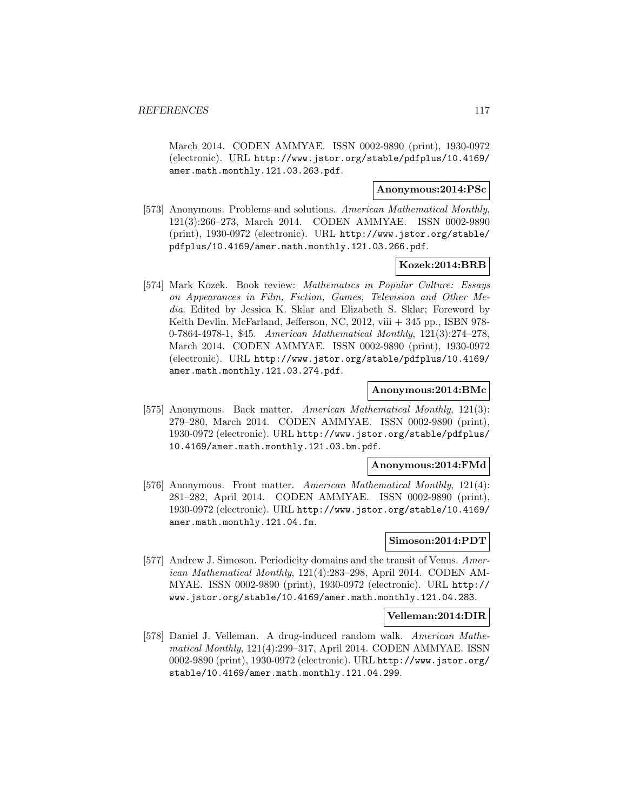March 2014. CODEN AMMYAE. ISSN 0002-9890 (print), 1930-0972 (electronic). URL http://www.jstor.org/stable/pdfplus/10.4169/ amer.math.monthly.121.03.263.pdf.

### **Anonymous:2014:PSc**

[573] Anonymous. Problems and solutions. American Mathematical Monthly, 121(3):266–273, March 2014. CODEN AMMYAE. ISSN 0002-9890 (print), 1930-0972 (electronic). URL http://www.jstor.org/stable/ pdfplus/10.4169/amer.math.monthly.121.03.266.pdf.

#### **Kozek:2014:BRB**

[574] Mark Kozek. Book review: Mathematics in Popular Culture: Essays on Appearances in Film, Fiction, Games, Television and Other Media. Edited by Jessica K. Sklar and Elizabeth S. Sklar; Foreword by Keith Devlin. McFarland, Jefferson, NC, 2012, viii + 345 pp., ISBN 978- 0-7864-4978-1, \$45. American Mathematical Monthly, 121(3):274–278, March 2014. CODEN AMMYAE. ISSN 0002-9890 (print), 1930-0972 (electronic). URL http://www.jstor.org/stable/pdfplus/10.4169/ amer.math.monthly.121.03.274.pdf.

# **Anonymous:2014:BMc**

[575] Anonymous. Back matter. American Mathematical Monthly, 121(3): 279–280, March 2014. CODEN AMMYAE. ISSN 0002-9890 (print), 1930-0972 (electronic). URL http://www.jstor.org/stable/pdfplus/ 10.4169/amer.math.monthly.121.03.bm.pdf.

#### **Anonymous:2014:FMd**

[576] Anonymous. Front matter. American Mathematical Monthly, 121(4): 281–282, April 2014. CODEN AMMYAE. ISSN 0002-9890 (print), 1930-0972 (electronic). URL http://www.jstor.org/stable/10.4169/ amer.math.monthly.121.04.fm.

## **Simoson:2014:PDT**

[577] Andrew J. Simoson. Periodicity domains and the transit of Venus. American Mathematical Monthly, 121(4):283–298, April 2014. CODEN AM-MYAE. ISSN 0002-9890 (print), 1930-0972 (electronic). URL http:// www.jstor.org/stable/10.4169/amer.math.monthly.121.04.283.

#### **Velleman:2014:DIR**

[578] Daniel J. Velleman. A drug-induced random walk. American Mathematical Monthly, 121(4):299–317, April 2014. CODEN AMMYAE. ISSN 0002-9890 (print), 1930-0972 (electronic). URL http://www.jstor.org/ stable/10.4169/amer.math.monthly.121.04.299.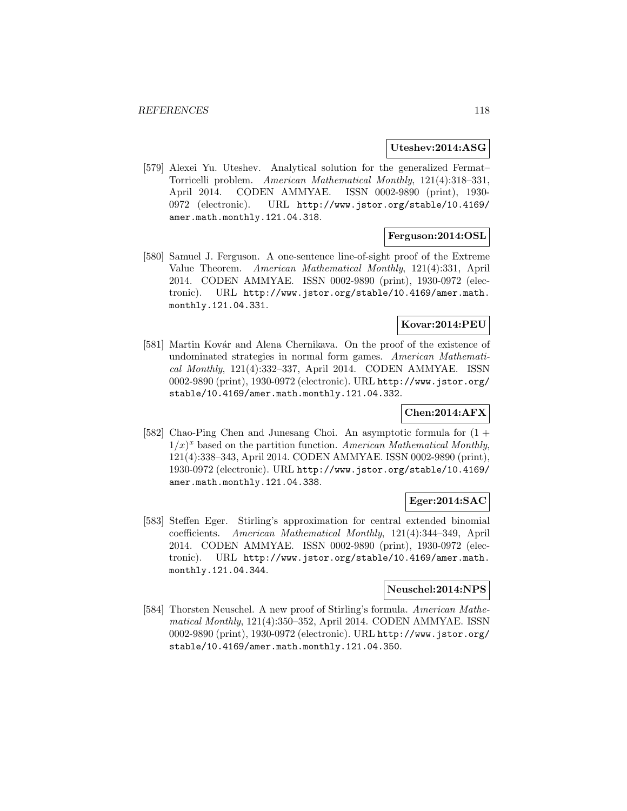#### **Uteshev:2014:ASG**

[579] Alexei Yu. Uteshev. Analytical solution for the generalized Fermat– Torricelli problem. American Mathematical Monthly, 121(4):318–331, April 2014. CODEN AMMYAE. ISSN 0002-9890 (print), 1930- 0972 (electronic). URL http://www.jstor.org/stable/10.4169/ amer.math.monthly.121.04.318.

# **Ferguson:2014:OSL**

[580] Samuel J. Ferguson. A one-sentence line-of-sight proof of the Extreme Value Theorem. American Mathematical Monthly, 121(4):331, April 2014. CODEN AMMYAE. ISSN 0002-9890 (print), 1930-0972 (electronic). URL http://www.jstor.org/stable/10.4169/amer.math. monthly.121.04.331.

# **Kovar:2014:PEU**

[581] Martin Kovár and Alena Chernikava. On the proof of the existence of undominated strategies in normal form games. American Mathematical Monthly, 121(4):332–337, April 2014. CODEN AMMYAE. ISSN 0002-9890 (print), 1930-0972 (electronic). URL http://www.jstor.org/ stable/10.4169/amer.math.monthly.121.04.332.

### **Chen:2014:AFX**

[582] Chao-Ping Chen and Junesang Choi. An asymptotic formula for (1 +  $1/x)^x$  based on the partition function. American Mathematical Monthly, 121(4):338–343, April 2014. CODEN AMMYAE. ISSN 0002-9890 (print), 1930-0972 (electronic). URL http://www.jstor.org/stable/10.4169/ amer.math.monthly.121.04.338.

### **Eger:2014:SAC**

[583] Steffen Eger. Stirling's approximation for central extended binomial coefficients. American Mathematical Monthly, 121(4):344–349, April 2014. CODEN AMMYAE. ISSN 0002-9890 (print), 1930-0972 (electronic). URL http://www.jstor.org/stable/10.4169/amer.math. monthly.121.04.344.

# **Neuschel:2014:NPS**

[584] Thorsten Neuschel. A new proof of Stirling's formula. American Mathematical Monthly, 121(4):350–352, April 2014. CODEN AMMYAE. ISSN 0002-9890 (print), 1930-0972 (electronic). URL http://www.jstor.org/ stable/10.4169/amer.math.monthly.121.04.350.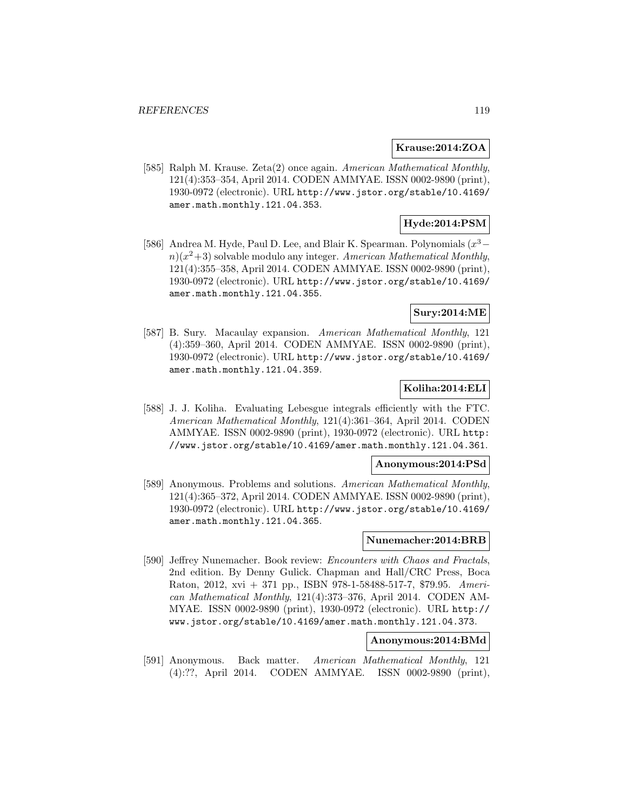### **Krause:2014:ZOA**

[585] Ralph M. Krause. Zeta(2) once again. American Mathematical Monthly, 121(4):353–354, April 2014. CODEN AMMYAE. ISSN 0002-9890 (print), 1930-0972 (electronic). URL http://www.jstor.org/stable/10.4169/ amer.math.monthly.121.04.353.

# **Hyde:2014:PSM**

[586] Andrea M. Hyde, Paul D. Lee, and Blair K. Spearman. Polynomials  $(x^3$  $n(x^2+3)$  solvable modulo any integer. American Mathematical Monthly, 121(4):355–358, April 2014. CODEN AMMYAE. ISSN 0002-9890 (print), 1930-0972 (electronic). URL http://www.jstor.org/stable/10.4169/ amer.math.monthly.121.04.355.

### **Sury:2014:ME**

[587] B. Sury. Macaulay expansion. American Mathematical Monthly, 121 (4):359–360, April 2014. CODEN AMMYAE. ISSN 0002-9890 (print), 1930-0972 (electronic). URL http://www.jstor.org/stable/10.4169/ amer.math.monthly.121.04.359.

# **Koliha:2014:ELI**

[588] J. J. Koliha. Evaluating Lebesgue integrals efficiently with the FTC. American Mathematical Monthly, 121(4):361–364, April 2014. CODEN AMMYAE. ISSN 0002-9890 (print), 1930-0972 (electronic). URL http: //www.jstor.org/stable/10.4169/amer.math.monthly.121.04.361.

#### **Anonymous:2014:PSd**

[589] Anonymous. Problems and solutions. American Mathematical Monthly, 121(4):365–372, April 2014. CODEN AMMYAE. ISSN 0002-9890 (print), 1930-0972 (electronic). URL http://www.jstor.org/stable/10.4169/ amer.math.monthly.121.04.365.

# **Nunemacher:2014:BRB**

[590] Jeffrey Nunemacher. Book review: Encounters with Chaos and Fractals, 2nd edition. By Denny Gulick. Chapman and Hall/CRC Press, Boca Raton, 2012, xvi + 371 pp., ISBN 978-1-58488-517-7, \$79.95. American Mathematical Monthly, 121(4):373–376, April 2014. CODEN AM-MYAE. ISSN 0002-9890 (print), 1930-0972 (electronic). URL http:// www.jstor.org/stable/10.4169/amer.math.monthly.121.04.373.

# **Anonymous:2014:BMd**

[591] Anonymous. Back matter. American Mathematical Monthly, 121 (4):??, April 2014. CODEN AMMYAE. ISSN 0002-9890 (print),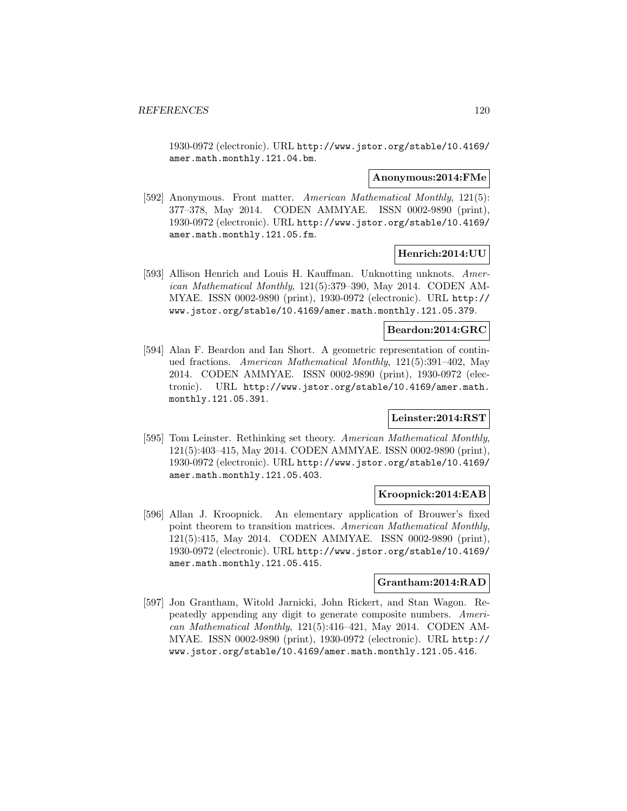1930-0972 (electronic). URL http://www.jstor.org/stable/10.4169/ amer.math.monthly.121.04.bm.

#### **Anonymous:2014:FMe**

[592] Anonymous. Front matter. American Mathematical Monthly, 121(5): 377–378, May 2014. CODEN AMMYAE. ISSN 0002-9890 (print), 1930-0972 (electronic). URL http://www.jstor.org/stable/10.4169/ amer.math.monthly.121.05.fm.

### **Henrich:2014:UU**

[593] Allison Henrich and Louis H. Kauffman. Unknotting unknots. American Mathematical Monthly, 121(5):379–390, May 2014. CODEN AM-MYAE. ISSN 0002-9890 (print), 1930-0972 (electronic). URL http:// www.jstor.org/stable/10.4169/amer.math.monthly.121.05.379.

#### **Beardon:2014:GRC**

[594] Alan F. Beardon and Ian Short. A geometric representation of continued fractions. American Mathematical Monthly, 121(5):391–402, May 2014. CODEN AMMYAE. ISSN 0002-9890 (print), 1930-0972 (electronic). URL http://www.jstor.org/stable/10.4169/amer.math. monthly.121.05.391.

#### **Leinster:2014:RST**

[595] Tom Leinster. Rethinking set theory. American Mathematical Monthly, 121(5):403–415, May 2014. CODEN AMMYAE. ISSN 0002-9890 (print), 1930-0972 (electronic). URL http://www.jstor.org/stable/10.4169/ amer.math.monthly.121.05.403.

#### **Kroopnick:2014:EAB**

[596] Allan J. Kroopnick. An elementary application of Brouwer's fixed point theorem to transition matrices. American Mathematical Monthly, 121(5):415, May 2014. CODEN AMMYAE. ISSN 0002-9890 (print), 1930-0972 (electronic). URL http://www.jstor.org/stable/10.4169/ amer.math.monthly.121.05.415.

#### **Grantham:2014:RAD**

[597] Jon Grantham, Witold Jarnicki, John Rickert, and Stan Wagon. Repeatedly appending any digit to generate composite numbers. American Mathematical Monthly, 121(5):416–421, May 2014. CODEN AM-MYAE. ISSN 0002-9890 (print), 1930-0972 (electronic). URL http:// www.jstor.org/stable/10.4169/amer.math.monthly.121.05.416.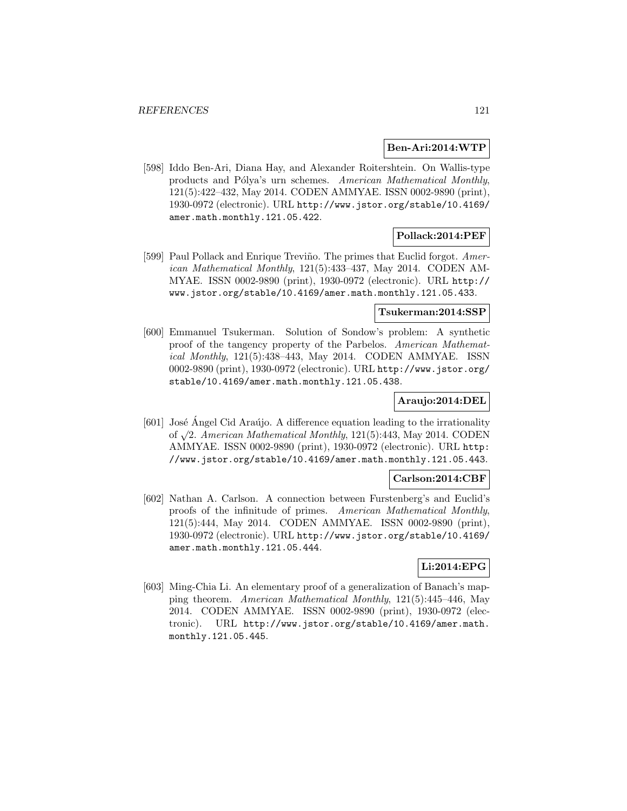#### **Ben-Ari:2014:WTP**

[598] Iddo Ben-Ari, Diana Hay, and Alexander Roitershtein. On Wallis-type products and Pólya's urn schemes. American Mathematical Monthly, 121(5):422–432, May 2014. CODEN AMMYAE. ISSN 0002-9890 (print), 1930-0972 (electronic). URL http://www.jstor.org/stable/10.4169/ amer.math.monthly.121.05.422.

# **Pollack:2014:PEF**

[599] Paul Pollack and Enrique Treviño. The primes that Euclid forgot. American Mathematical Monthly, 121(5):433–437, May 2014. CODEN AM-MYAE. ISSN 0002-9890 (print), 1930-0972 (electronic). URL http:// www.jstor.org/stable/10.4169/amer.math.monthly.121.05.433.

#### **Tsukerman:2014:SSP**

[600] Emmanuel Tsukerman. Solution of Sondow's problem: A synthetic proof of the tangency property of the Parbelos. American Mathematical Monthly, 121(5):438–443, May 2014. CODEN AMMYAE. ISSN 0002-9890 (print), 1930-0972 (electronic). URL http://www.jstor.org/ stable/10.4169/amer.math.monthly.121.05.438.

#### **Araujo:2014:DEL**

 $[601]$  José Angel Cid Araújo. A difference equation leading to the irrationality of  $\sqrt{2}$ . American Mathematical Monthly, 121(5):443, May 2014. CODEN AMMYAE. ISSN 0002-9890 (print), 1930-0972 (electronic). URL http: //www.jstor.org/stable/10.4169/amer.math.monthly.121.05.443.

### **Carlson:2014:CBF**

[602] Nathan A. Carlson. A connection between Furstenberg's and Euclid's proofs of the infinitude of primes. American Mathematical Monthly, 121(5):444, May 2014. CODEN AMMYAE. ISSN 0002-9890 (print), 1930-0972 (electronic). URL http://www.jstor.org/stable/10.4169/ amer.math.monthly.121.05.444.

# **Li:2014:EPG**

[603] Ming-Chia Li. An elementary proof of a generalization of Banach's mapping theorem. American Mathematical Monthly, 121(5):445–446, May 2014. CODEN AMMYAE. ISSN 0002-9890 (print), 1930-0972 (electronic). URL http://www.jstor.org/stable/10.4169/amer.math. monthly.121.05.445.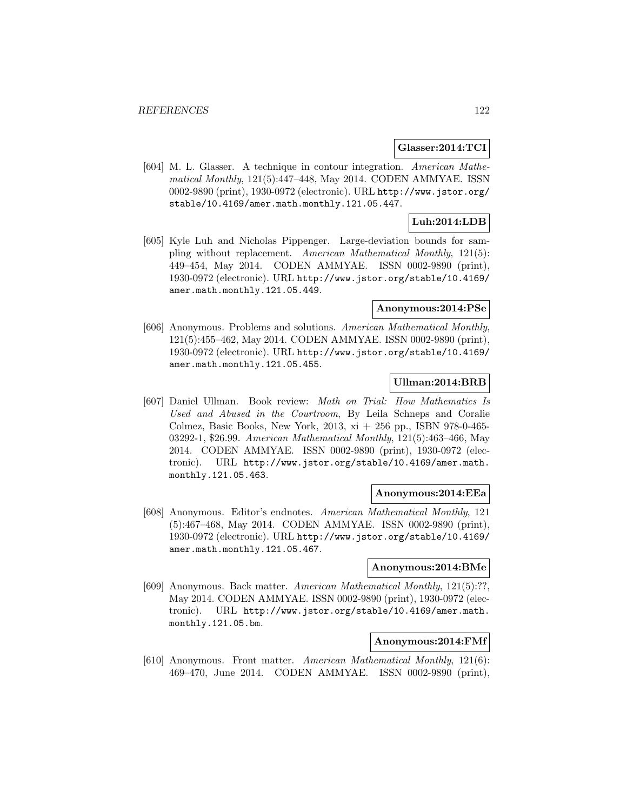#### **Glasser:2014:TCI**

[604] M. L. Glasser. A technique in contour integration. American Mathematical Monthly, 121(5):447–448, May 2014. CODEN AMMYAE. ISSN 0002-9890 (print), 1930-0972 (electronic). URL http://www.jstor.org/ stable/10.4169/amer.math.monthly.121.05.447.

# **Luh:2014:LDB**

[605] Kyle Luh and Nicholas Pippenger. Large-deviation bounds for sampling without replacement. American Mathematical Monthly, 121(5): 449–454, May 2014. CODEN AMMYAE. ISSN 0002-9890 (print), 1930-0972 (electronic). URL http://www.jstor.org/stable/10.4169/ amer.math.monthly.121.05.449.

# **Anonymous:2014:PSe**

[606] Anonymous. Problems and solutions. American Mathematical Monthly, 121(5):455–462, May 2014. CODEN AMMYAE. ISSN 0002-9890 (print), 1930-0972 (electronic). URL http://www.jstor.org/stable/10.4169/ amer.math.monthly.121.05.455.

# **Ullman:2014:BRB**

[607] Daniel Ullman. Book review: Math on Trial: How Mathematics Is Used and Abused in the Courtroom, By Leila Schneps and Coralie Colmez, Basic Books, New York, 2013, xi + 256 pp., ISBN 978-0-465- 03292-1, \$26.99. American Mathematical Monthly, 121(5):463–466, May 2014. CODEN AMMYAE. ISSN 0002-9890 (print), 1930-0972 (electronic). URL http://www.jstor.org/stable/10.4169/amer.math. monthly.121.05.463.

### **Anonymous:2014:EEa**

[608] Anonymous. Editor's endnotes. American Mathematical Monthly, 121 (5):467–468, May 2014. CODEN AMMYAE. ISSN 0002-9890 (print), 1930-0972 (electronic). URL http://www.jstor.org/stable/10.4169/ amer.math.monthly.121.05.467.

#### **Anonymous:2014:BMe**

[609] Anonymous. Back matter. American Mathematical Monthly, 121(5):??, May 2014. CODEN AMMYAE. ISSN 0002-9890 (print), 1930-0972 (electronic). URL http://www.jstor.org/stable/10.4169/amer.math. monthly.121.05.bm.

#### **Anonymous:2014:FMf**

[610] Anonymous. Front matter. American Mathematical Monthly, 121(6): 469–470, June 2014. CODEN AMMYAE. ISSN 0002-9890 (print),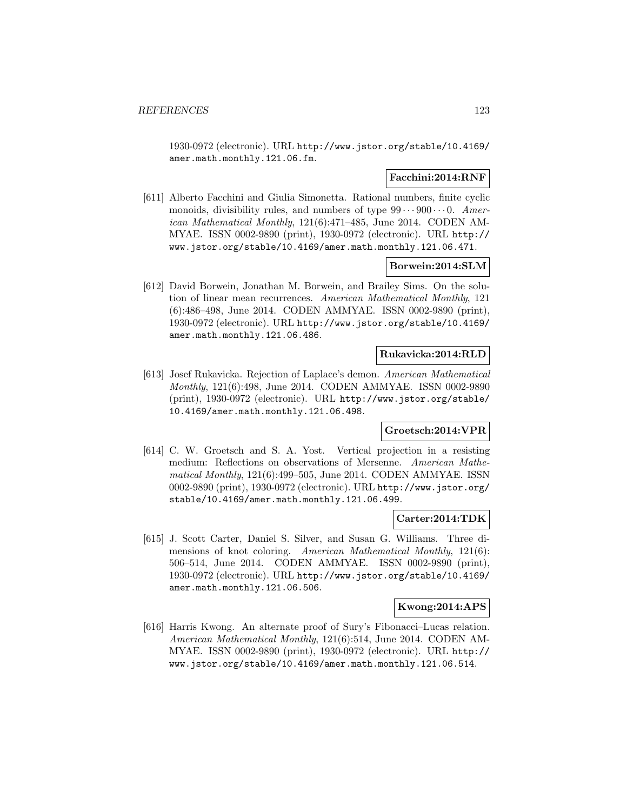1930-0972 (electronic). URL http://www.jstor.org/stable/10.4169/ amer.math.monthly.121.06.fm.

# **Facchini:2014:RNF**

[611] Alberto Facchini and Giulia Simonetta. Rational numbers, finite cyclic monoids, divisibility rules, and numbers of type  $99 \cdots 900 \cdots 0$ . American Mathematical Monthly, 121(6):471–485, June 2014. CODEN AM-MYAE. ISSN 0002-9890 (print), 1930-0972 (electronic). URL http:// www.jstor.org/stable/10.4169/amer.math.monthly.121.06.471.

### **Borwein:2014:SLM**

[612] David Borwein, Jonathan M. Borwein, and Brailey Sims. On the solution of linear mean recurrences. American Mathematical Monthly, 121 (6):486–498, June 2014. CODEN AMMYAE. ISSN 0002-9890 (print), 1930-0972 (electronic). URL http://www.jstor.org/stable/10.4169/ amer.math.monthly.121.06.486.

### **Rukavicka:2014:RLD**

[613] Josef Rukavicka. Rejection of Laplace's demon. American Mathematical Monthly, 121(6):498, June 2014. CODEN AMMYAE. ISSN 0002-9890 (print), 1930-0972 (electronic). URL http://www.jstor.org/stable/ 10.4169/amer.math.monthly.121.06.498.

### **Groetsch:2014:VPR**

[614] C. W. Groetsch and S. A. Yost. Vertical projection in a resisting medium: Reflections on observations of Mersenne. American Mathematical Monthly,  $121(6):499-505$ , June 2014. CODEN AMMYAE. ISSN 0002-9890 (print), 1930-0972 (electronic). URL http://www.jstor.org/ stable/10.4169/amer.math.monthly.121.06.499.

#### **Carter:2014:TDK**

[615] J. Scott Carter, Daniel S. Silver, and Susan G. Williams. Three dimensions of knot coloring. American Mathematical Monthly, 121(6): 506–514, June 2014. CODEN AMMYAE. ISSN 0002-9890 (print), 1930-0972 (electronic). URL http://www.jstor.org/stable/10.4169/ amer.math.monthly.121.06.506.

## **Kwong:2014:APS**

[616] Harris Kwong. An alternate proof of Sury's Fibonacci–Lucas relation. American Mathematical Monthly, 121(6):514, June 2014. CODEN AM-MYAE. ISSN 0002-9890 (print), 1930-0972 (electronic). URL http:// www.jstor.org/stable/10.4169/amer.math.monthly.121.06.514.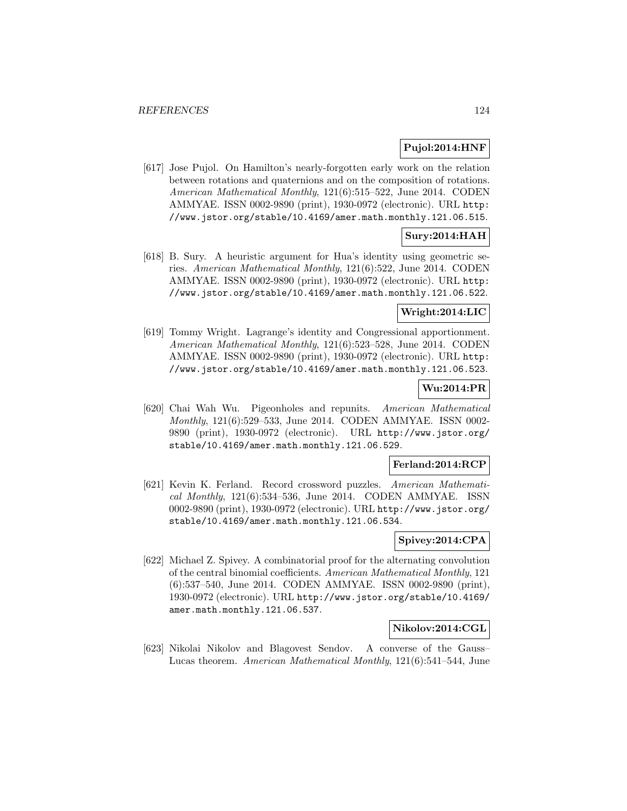# **Pujol:2014:HNF**

[617] Jose Pujol. On Hamilton's nearly-forgotten early work on the relation between rotations and quaternions and on the composition of rotations. American Mathematical Monthly, 121(6):515–522, June 2014. CODEN AMMYAE. ISSN 0002-9890 (print), 1930-0972 (electronic). URL http: //www.jstor.org/stable/10.4169/amer.math.monthly.121.06.515.

# **Sury:2014:HAH**

[618] B. Sury. A heuristic argument for Hua's identity using geometric series. American Mathematical Monthly, 121(6):522, June 2014. CODEN AMMYAE. ISSN 0002-9890 (print), 1930-0972 (electronic). URL http: //www.jstor.org/stable/10.4169/amer.math.monthly.121.06.522.

### **Wright:2014:LIC**

[619] Tommy Wright. Lagrange's identity and Congressional apportionment. American Mathematical Monthly, 121(6):523–528, June 2014. CODEN AMMYAE. ISSN 0002-9890 (print), 1930-0972 (electronic). URL http: //www.jstor.org/stable/10.4169/amer.math.monthly.121.06.523.

# **Wu:2014:PR**

[620] Chai Wah Wu. Pigeonholes and repunits. American Mathematical Monthly, 121(6):529–533, June 2014. CODEN AMMYAE. ISSN 0002- 9890 (print), 1930-0972 (electronic). URL http://www.jstor.org/ stable/10.4169/amer.math.monthly.121.06.529.

### **Ferland:2014:RCP**

[621] Kevin K. Ferland. Record crossword puzzles. American Mathematical Monthly, 121(6):534–536, June 2014. CODEN AMMYAE. ISSN 0002-9890 (print), 1930-0972 (electronic). URL http://www.jstor.org/ stable/10.4169/amer.math.monthly.121.06.534.

# **Spivey:2014:CPA**

[622] Michael Z. Spivey. A combinatorial proof for the alternating convolution of the central binomial coefficients. American Mathematical Monthly, 121 (6):537–540, June 2014. CODEN AMMYAE. ISSN 0002-9890 (print), 1930-0972 (electronic). URL http://www.jstor.org/stable/10.4169/ amer.math.monthly.121.06.537.

#### **Nikolov:2014:CGL**

[623] Nikolai Nikolov and Blagovest Sendov. A converse of the Gauss– Lucas theorem. American Mathematical Monthly, 121(6):541–544, June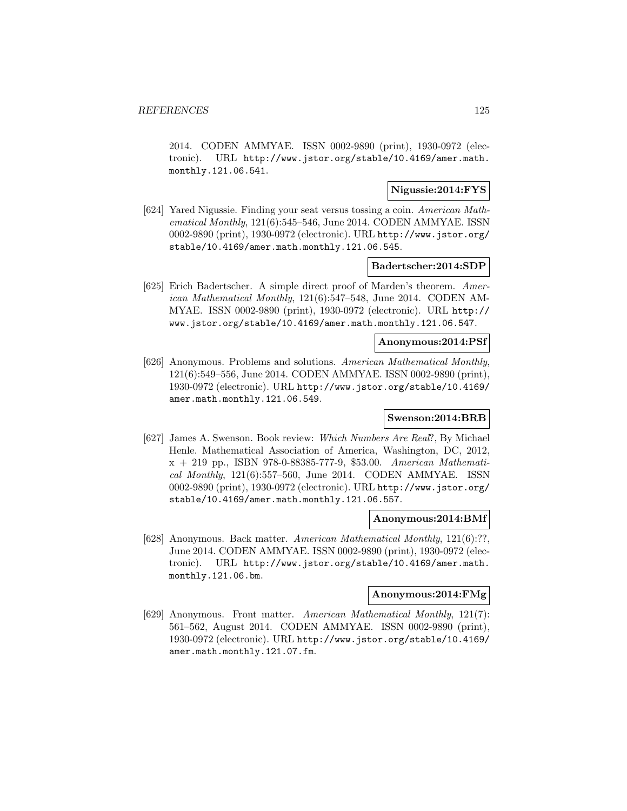2014. CODEN AMMYAE. ISSN 0002-9890 (print), 1930-0972 (electronic). URL http://www.jstor.org/stable/10.4169/amer.math. monthly.121.06.541.

# **Nigussie:2014:FYS**

[624] Yared Nigussie. Finding your seat versus tossing a coin. American Mathematical Monthly, 121(6):545–546, June 2014. CODEN AMMYAE. ISSN 0002-9890 (print), 1930-0972 (electronic). URL http://www.jstor.org/ stable/10.4169/amer.math.monthly.121.06.545.

#### **Badertscher:2014:SDP**

[625] Erich Badertscher. A simple direct proof of Marden's theorem. American Mathematical Monthly, 121(6):547–548, June 2014. CODEN AM-MYAE. ISSN 0002-9890 (print), 1930-0972 (electronic). URL http:// www.jstor.org/stable/10.4169/amer.math.monthly.121.06.547.

#### **Anonymous:2014:PSf**

[626] Anonymous. Problems and solutions. American Mathematical Monthly, 121(6):549–556, June 2014. CODEN AMMYAE. ISSN 0002-9890 (print), 1930-0972 (electronic). URL http://www.jstor.org/stable/10.4169/ amer.math.monthly.121.06.549.

#### **Swenson:2014:BRB**

[627] James A. Swenson. Book review: Which Numbers Are Real?, By Michael Henle. Mathematical Association of America, Washington, DC, 2012, x + 219 pp., ISBN 978-0-88385-777-9, \$53.00. American Mathematical Monthly,  $121(6):557-560$ , June 2014. CODEN AMMYAE. ISSN 0002-9890 (print), 1930-0972 (electronic). URL http://www.jstor.org/ stable/10.4169/amer.math.monthly.121.06.557.

#### **Anonymous:2014:BMf**

[628] Anonymous. Back matter. American Mathematical Monthly, 121(6):??, June 2014. CODEN AMMYAE. ISSN 0002-9890 (print), 1930-0972 (electronic). URL http://www.jstor.org/stable/10.4169/amer.math. monthly.121.06.bm.

## **Anonymous:2014:FMg**

[629] Anonymous. Front matter. American Mathematical Monthly, 121(7): 561–562, August 2014. CODEN AMMYAE. ISSN 0002-9890 (print), 1930-0972 (electronic). URL http://www.jstor.org/stable/10.4169/ amer.math.monthly.121.07.fm.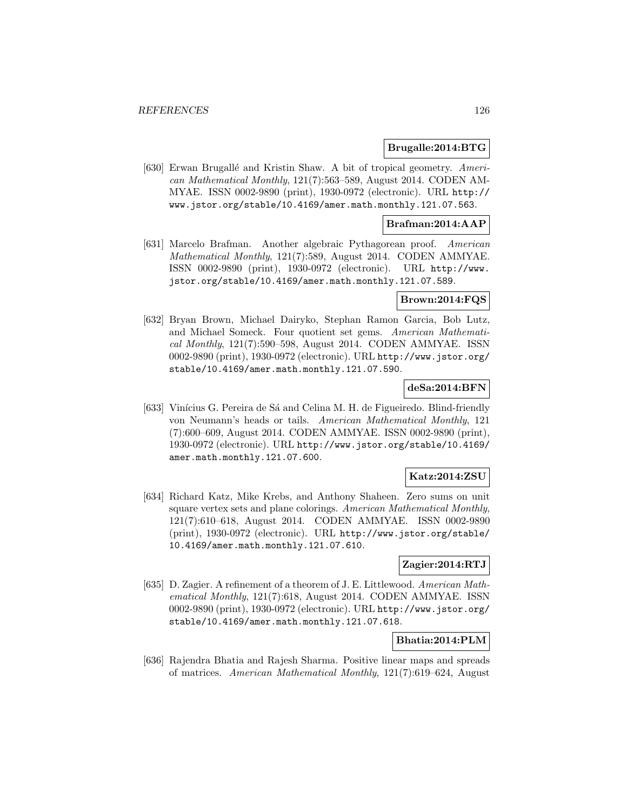#### **Brugalle:2014:BTG**

[630] Erwan Brugallé and Kristin Shaw. A bit of tropical geometry. American Mathematical Monthly, 121(7):563–589, August 2014. CODEN AM-MYAE. ISSN 0002-9890 (print), 1930-0972 (electronic). URL http:// www.jstor.org/stable/10.4169/amer.math.monthly.121.07.563.

## **Brafman:2014:AAP**

[631] Marcelo Brafman. Another algebraic Pythagorean proof. American Mathematical Monthly, 121(7):589, August 2014. CODEN AMMYAE. ISSN 0002-9890 (print), 1930-0972 (electronic). URL http://www. jstor.org/stable/10.4169/amer.math.monthly.121.07.589.

#### **Brown:2014:FQS**

[632] Bryan Brown, Michael Dairyko, Stephan Ramon Garcia, Bob Lutz, and Michael Someck. Four quotient set gems. American Mathematical Monthly, 121(7):590–598, August 2014. CODEN AMMYAE. ISSN 0002-9890 (print), 1930-0972 (electronic). URL http://www.jstor.org/ stable/10.4169/amer.math.monthly.121.07.590.

#### **deSa:2014:BFN**

[633] Vinícius G. Pereira de Sá and Celina M. H. de Figueiredo. Blind-friendly von Neumann's heads or tails. American Mathematical Monthly, 121 (7):600–609, August 2014. CODEN AMMYAE. ISSN 0002-9890 (print), 1930-0972 (electronic). URL http://www.jstor.org/stable/10.4169/ amer.math.monthly.121.07.600.

### **Katz:2014:ZSU**

[634] Richard Katz, Mike Krebs, and Anthony Shaheen. Zero sums on unit square vertex sets and plane colorings. American Mathematical Monthly, 121(7):610–618, August 2014. CODEN AMMYAE. ISSN 0002-9890 (print), 1930-0972 (electronic). URL http://www.jstor.org/stable/ 10.4169/amer.math.monthly.121.07.610.

# **Zagier:2014:RTJ**

[635] D. Zagier. A refinement of a theorem of J. E. Littlewood. American Mathematical Monthly, 121(7):618, August 2014. CODEN AMMYAE. ISSN 0002-9890 (print), 1930-0972 (electronic). URL http://www.jstor.org/ stable/10.4169/amer.math.monthly.121.07.618.

### **Bhatia:2014:PLM**

[636] Rajendra Bhatia and Rajesh Sharma. Positive linear maps and spreads of matrices. American Mathematical Monthly, 121(7):619–624, August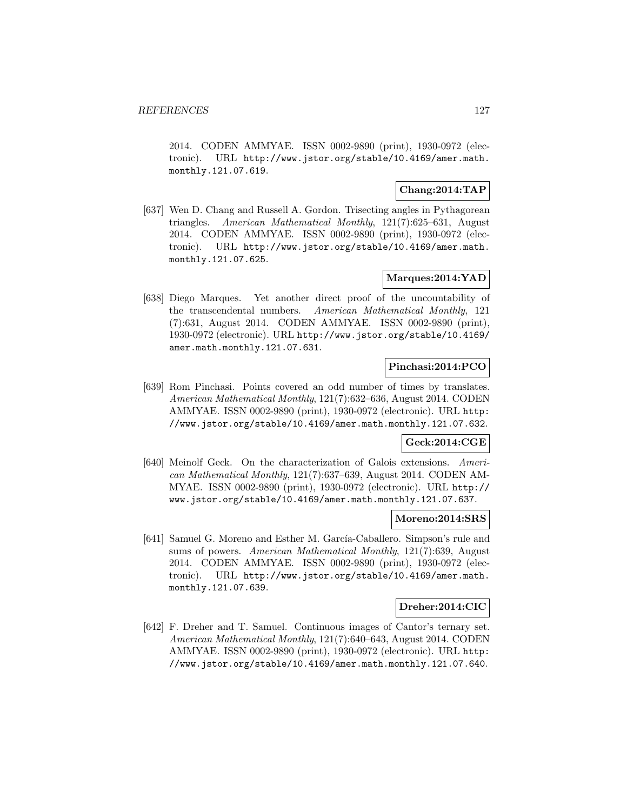2014. CODEN AMMYAE. ISSN 0002-9890 (print), 1930-0972 (electronic). URL http://www.jstor.org/stable/10.4169/amer.math. monthly.121.07.619.

# **Chang:2014:TAP**

[637] Wen D. Chang and Russell A. Gordon. Trisecting angles in Pythagorean triangles. American Mathematical Monthly, 121(7):625–631, August 2014. CODEN AMMYAE. ISSN 0002-9890 (print), 1930-0972 (electronic). URL http://www.jstor.org/stable/10.4169/amer.math. monthly.121.07.625.

### **Marques:2014:YAD**

[638] Diego Marques. Yet another direct proof of the uncountability of the transcendental numbers. American Mathematical Monthly, 121 (7):631, August 2014. CODEN AMMYAE. ISSN 0002-9890 (print), 1930-0972 (electronic). URL http://www.jstor.org/stable/10.4169/ amer.math.monthly.121.07.631.

### **Pinchasi:2014:PCO**

[639] Rom Pinchasi. Points covered an odd number of times by translates. American Mathematical Monthly, 121(7):632–636, August 2014. CODEN AMMYAE. ISSN 0002-9890 (print), 1930-0972 (electronic). URL http: //www.jstor.org/stable/10.4169/amer.math.monthly.121.07.632.

### **Geck:2014:CGE**

[640] Meinolf Geck. On the characterization of Galois extensions. American Mathematical Monthly, 121(7):637–639, August 2014. CODEN AM-MYAE. ISSN 0002-9890 (print), 1930-0972 (electronic). URL http:// www.jstor.org/stable/10.4169/amer.math.monthly.121.07.637.

#### **Moreno:2014:SRS**

[641] Samuel G. Moreno and Esther M. García-Caballero. Simpson's rule and sums of powers. American Mathematical Monthly, 121(7):639, August 2014. CODEN AMMYAE. ISSN 0002-9890 (print), 1930-0972 (electronic). URL http://www.jstor.org/stable/10.4169/amer.math. monthly.121.07.639.

## **Dreher:2014:CIC**

[642] F. Dreher and T. Samuel. Continuous images of Cantor's ternary set. American Mathematical Monthly, 121(7):640–643, August 2014. CODEN AMMYAE. ISSN 0002-9890 (print), 1930-0972 (electronic). URL http: //www.jstor.org/stable/10.4169/amer.math.monthly.121.07.640.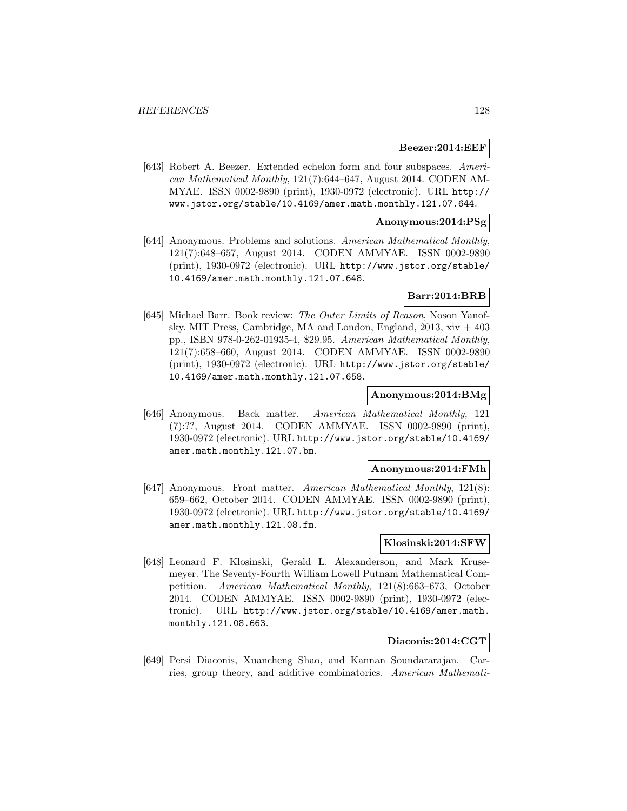#### **Beezer:2014:EEF**

[643] Robert A. Beezer. Extended echelon form and four subspaces. American Mathematical Monthly, 121(7):644–647, August 2014. CODEN AM-MYAE. ISSN 0002-9890 (print), 1930-0972 (electronic). URL http:// www.jstor.org/stable/10.4169/amer.math.monthly.121.07.644.

#### **Anonymous:2014:PSg**

[644] Anonymous. Problems and solutions. American Mathematical Monthly, 121(7):648–657, August 2014. CODEN AMMYAE. ISSN 0002-9890 (print), 1930-0972 (electronic). URL http://www.jstor.org/stable/ 10.4169/amer.math.monthly.121.07.648.

### **Barr:2014:BRB**

[645] Michael Barr. Book review: The Outer Limits of Reason, Noson Yanofsky. MIT Press, Cambridge, MA and London, England,  $2013$ ,  $xiv + 403$ pp., ISBN 978-0-262-01935-4, \$29.95. American Mathematical Monthly, 121(7):658–660, August 2014. CODEN AMMYAE. ISSN 0002-9890 (print), 1930-0972 (electronic). URL http://www.jstor.org/stable/ 10.4169/amer.math.monthly.121.07.658.

### **Anonymous:2014:BMg**

[646] Anonymous. Back matter. American Mathematical Monthly, 121 (7):??, August 2014. CODEN AMMYAE. ISSN 0002-9890 (print), 1930-0972 (electronic). URL http://www.jstor.org/stable/10.4169/ amer.math.monthly.121.07.bm.

#### **Anonymous:2014:FMh**

[647] Anonymous. Front matter. American Mathematical Monthly, 121(8): 659–662, October 2014. CODEN AMMYAE. ISSN 0002-9890 (print), 1930-0972 (electronic). URL http://www.jstor.org/stable/10.4169/ amer.math.monthly.121.08.fm.

### **Klosinski:2014:SFW**

[648] Leonard F. Klosinski, Gerald L. Alexanderson, and Mark Krusemeyer. The Seventy-Fourth William Lowell Putnam Mathematical Competition. American Mathematical Monthly, 121(8):663–673, October 2014. CODEN AMMYAE. ISSN 0002-9890 (print), 1930-0972 (electronic). URL http://www.jstor.org/stable/10.4169/amer.math. monthly.121.08.663.

## **Diaconis:2014:CGT**

[649] Persi Diaconis, Xuancheng Shao, and Kannan Soundararajan. Carries, group theory, and additive combinatorics. American Mathemati-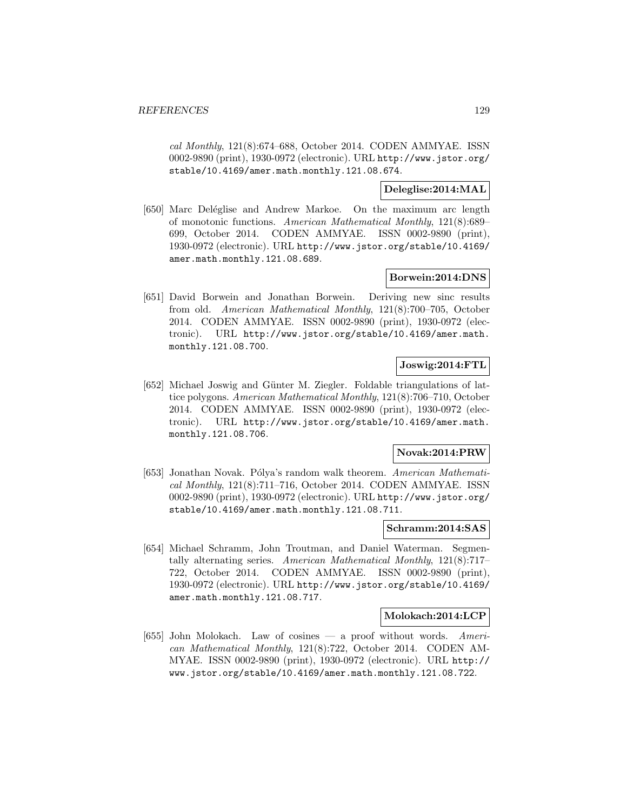cal Monthly, 121(8):674–688, October 2014. CODEN AMMYAE. ISSN 0002-9890 (print), 1930-0972 (electronic). URL http://www.jstor.org/ stable/10.4169/amer.math.monthly.121.08.674.

# **Deleglise:2014:MAL**

[650] Marc Deléglise and Andrew Markoe. On the maximum arc length of monotonic functions. American Mathematical Monthly, 121(8):689– 699, October 2014. CODEN AMMYAE. ISSN 0002-9890 (print), 1930-0972 (electronic). URL http://www.jstor.org/stable/10.4169/ amer.math.monthly.121.08.689.

### **Borwein:2014:DNS**

[651] David Borwein and Jonathan Borwein. Deriving new sinc results from old. American Mathematical Monthly, 121(8):700–705, October 2014. CODEN AMMYAE. ISSN 0002-9890 (print), 1930-0972 (electronic). URL http://www.jstor.org/stable/10.4169/amer.math. monthly.121.08.700.

# **Joswig:2014:FTL**

[652] Michael Joswig and G¨unter M. Ziegler. Foldable triangulations of lattice polygons. American Mathematical Monthly, 121(8):706–710, October 2014. CODEN AMMYAE. ISSN 0002-9890 (print), 1930-0972 (electronic). URL http://www.jstor.org/stable/10.4169/amer.math. monthly.121.08.706.

### **Novak:2014:PRW**

[653] Jonathan Novak. Pólya's random walk theorem. American Mathematical Monthly, 121(8):711–716, October 2014. CODEN AMMYAE. ISSN 0002-9890 (print), 1930-0972 (electronic). URL http://www.jstor.org/ stable/10.4169/amer.math.monthly.121.08.711.

#### **Schramm:2014:SAS**

[654] Michael Schramm, John Troutman, and Daniel Waterman. Segmentally alternating series. American Mathematical Monthly, 121(8):717– 722, October 2014. CODEN AMMYAE. ISSN 0002-9890 (print), 1930-0972 (electronic). URL http://www.jstor.org/stable/10.4169/ amer.math.monthly.121.08.717.

#### **Molokach:2014:LCP**

[655] John Molokach. Law of cosines — a proof without words. American Mathematical Monthly, 121(8):722, October 2014. CODEN AM-MYAE. ISSN 0002-9890 (print), 1930-0972 (electronic). URL http:// www.jstor.org/stable/10.4169/amer.math.monthly.121.08.722.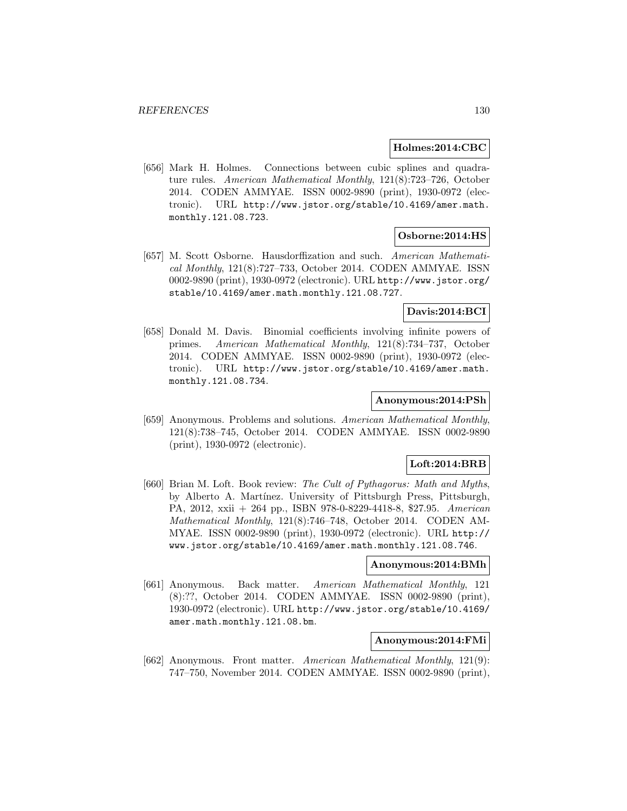#### **Holmes:2014:CBC**

[656] Mark H. Holmes. Connections between cubic splines and quadrature rules. American Mathematical Monthly, 121(8):723–726, October 2014. CODEN AMMYAE. ISSN 0002-9890 (print), 1930-0972 (electronic). URL http://www.jstor.org/stable/10.4169/amer.math. monthly.121.08.723.

#### **Osborne:2014:HS**

[657] M. Scott Osborne. Hausdorffization and such. American Mathematical Monthly, 121(8):727–733, October 2014. CODEN AMMYAE. ISSN 0002-9890 (print), 1930-0972 (electronic). URL http://www.jstor.org/ stable/10.4169/amer.math.monthly.121.08.727.

#### **Davis:2014:BCI**

[658] Donald M. Davis. Binomial coefficients involving infinite powers of primes. American Mathematical Monthly, 121(8):734–737, October 2014. CODEN AMMYAE. ISSN 0002-9890 (print), 1930-0972 (electronic). URL http://www.jstor.org/stable/10.4169/amer.math. monthly.121.08.734.

### **Anonymous:2014:PSh**

[659] Anonymous. Problems and solutions. American Mathematical Monthly, 121(8):738–745, October 2014. CODEN AMMYAE. ISSN 0002-9890 (print), 1930-0972 (electronic).

### **Loft:2014:BRB**

[660] Brian M. Loft. Book review: The Cult of Pythagorus: Math and Myths, by Alberto A. Mart´ınez. University of Pittsburgh Press, Pittsburgh, PA, 2012, xxii + 264 pp., ISBN 978-0-8229-4418-8, \$27.95. American Mathematical Monthly, 121(8):746–748, October 2014. CODEN AM-MYAE. ISSN 0002-9890 (print), 1930-0972 (electronic). URL http:// www.jstor.org/stable/10.4169/amer.math.monthly.121.08.746.

#### **Anonymous:2014:BMh**

[661] Anonymous. Back matter. American Mathematical Monthly, 121 (8):??, October 2014. CODEN AMMYAE. ISSN 0002-9890 (print), 1930-0972 (electronic). URL http://www.jstor.org/stable/10.4169/ amer.math.monthly.121.08.bm.

# **Anonymous:2014:FMi**

[662] Anonymous. Front matter. American Mathematical Monthly, 121(9): 747–750, November 2014. CODEN AMMYAE. ISSN 0002-9890 (print),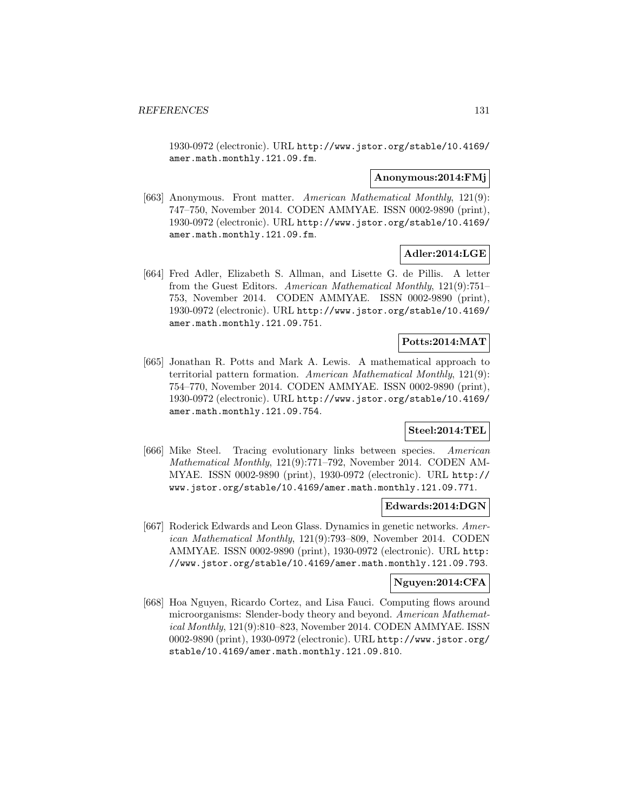1930-0972 (electronic). URL http://www.jstor.org/stable/10.4169/ amer.math.monthly.121.09.fm.

#### **Anonymous:2014:FMj**

[663] Anonymous. Front matter. American Mathematical Monthly, 121(9): 747–750, November 2014. CODEN AMMYAE. ISSN 0002-9890 (print), 1930-0972 (electronic). URL http://www.jstor.org/stable/10.4169/ amer.math.monthly.121.09.fm.

# **Adler:2014:LGE**

[664] Fred Adler, Elizabeth S. Allman, and Lisette G. de Pillis. A letter from the Guest Editors. American Mathematical Monthly, 121(9):751– 753, November 2014. CODEN AMMYAE. ISSN 0002-9890 (print), 1930-0972 (electronic). URL http://www.jstor.org/stable/10.4169/ amer.math.monthly.121.09.751.

# **Potts:2014:MAT**

[665] Jonathan R. Potts and Mark A. Lewis. A mathematical approach to territorial pattern formation. American Mathematical Monthly, 121(9): 754–770, November 2014. CODEN AMMYAE. ISSN 0002-9890 (print), 1930-0972 (electronic). URL http://www.jstor.org/stable/10.4169/ amer.math.monthly.121.09.754.

### **Steel:2014:TEL**

[666] Mike Steel. Tracing evolutionary links between species. American Mathematical Monthly, 121(9):771–792, November 2014. CODEN AM-MYAE. ISSN 0002-9890 (print), 1930-0972 (electronic). URL http:// www.jstor.org/stable/10.4169/amer.math.monthly.121.09.771.

## **Edwards:2014:DGN**

[667] Roderick Edwards and Leon Glass. Dynamics in genetic networks. American Mathematical Monthly, 121(9):793–809, November 2014. CODEN AMMYAE. ISSN 0002-9890 (print), 1930-0972 (electronic). URL http: //www.jstor.org/stable/10.4169/amer.math.monthly.121.09.793.

### **Nguyen:2014:CFA**

[668] Hoa Nguyen, Ricardo Cortez, and Lisa Fauci. Computing flows around microorganisms: Slender-body theory and beyond. American Mathematical Monthly, 121(9):810–823, November 2014. CODEN AMMYAE. ISSN 0002-9890 (print), 1930-0972 (electronic). URL http://www.jstor.org/ stable/10.4169/amer.math.monthly.121.09.810.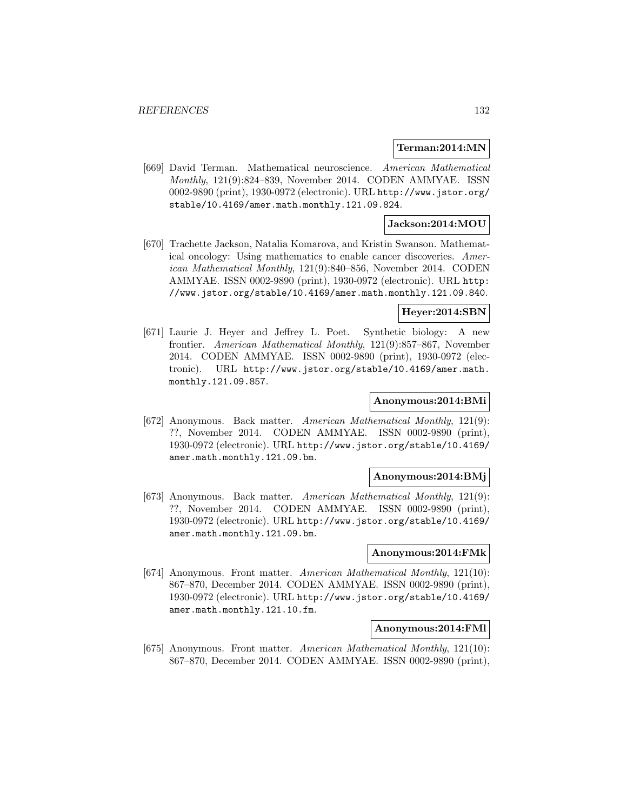#### **Terman:2014:MN**

[669] David Terman. Mathematical neuroscience. American Mathematical Monthly, 121(9):824–839, November 2014. CODEN AMMYAE. ISSN 0002-9890 (print), 1930-0972 (electronic). URL http://www.jstor.org/ stable/10.4169/amer.math.monthly.121.09.824.

### **Jackson:2014:MOU**

[670] Trachette Jackson, Natalia Komarova, and Kristin Swanson. Mathematical oncology: Using mathematics to enable cancer discoveries. American Mathematical Monthly, 121(9):840–856, November 2014. CODEN AMMYAE. ISSN 0002-9890 (print), 1930-0972 (electronic). URL http: //www.jstor.org/stable/10.4169/amer.math.monthly.121.09.840.

#### **Heyer:2014:SBN**

[671] Laurie J. Heyer and Jeffrey L. Poet. Synthetic biology: A new frontier. American Mathematical Monthly, 121(9):857–867, November 2014. CODEN AMMYAE. ISSN 0002-9890 (print), 1930-0972 (electronic). URL http://www.jstor.org/stable/10.4169/amer.math. monthly.121.09.857.

#### **Anonymous:2014:BMi**

[672] Anonymous. Back matter. American Mathematical Monthly, 121(9): ??, November 2014. CODEN AMMYAE. ISSN 0002-9890 (print), 1930-0972 (electronic). URL http://www.jstor.org/stable/10.4169/ amer.math.monthly.121.09.bm.

#### **Anonymous:2014:BMj**

[673] Anonymous. Back matter. American Mathematical Monthly, 121(9): ??, November 2014. CODEN AMMYAE. ISSN 0002-9890 (print), 1930-0972 (electronic). URL http://www.jstor.org/stable/10.4169/ amer.math.monthly.121.09.bm.

#### **Anonymous:2014:FMk**

[674] Anonymous. Front matter. American Mathematical Monthly, 121(10): 867–870, December 2014. CODEN AMMYAE. ISSN 0002-9890 (print), 1930-0972 (electronic). URL http://www.jstor.org/stable/10.4169/ amer.math.monthly.121.10.fm.

#### **Anonymous:2014:FMl**

[675] Anonymous. Front matter. American Mathematical Monthly, 121(10): 867–870, December 2014. CODEN AMMYAE. ISSN 0002-9890 (print),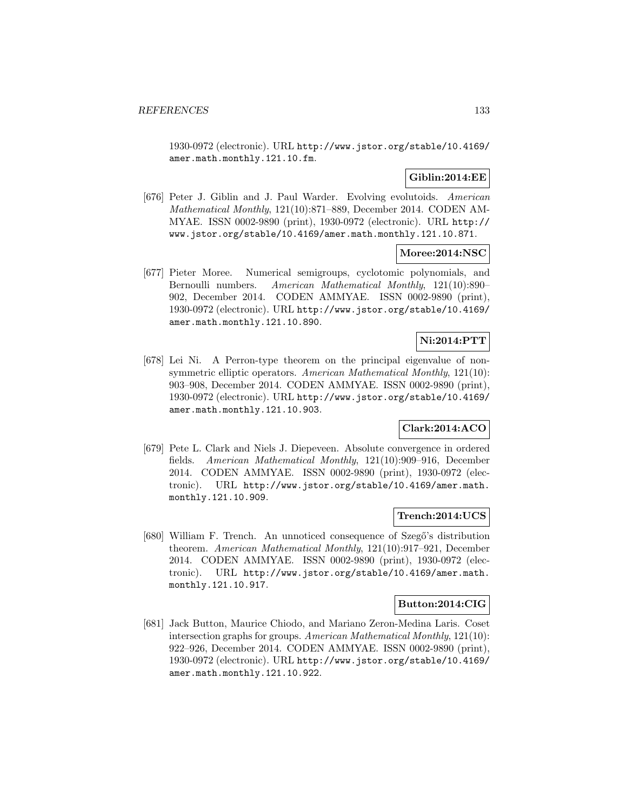1930-0972 (electronic). URL http://www.jstor.org/stable/10.4169/ amer.math.monthly.121.10.fm.

# **Giblin:2014:EE**

[676] Peter J. Giblin and J. Paul Warder. Evolving evolutoids. American Mathematical Monthly, 121(10):871–889, December 2014. CODEN AM-MYAE. ISSN 0002-9890 (print), 1930-0972 (electronic). URL http:// www.jstor.org/stable/10.4169/amer.math.monthly.121.10.871.

### **Moree:2014:NSC**

[677] Pieter Moree. Numerical semigroups, cyclotomic polynomials, and Bernoulli numbers. American Mathematical Monthly, 121(10):890– 902, December 2014. CODEN AMMYAE. ISSN 0002-9890 (print), 1930-0972 (electronic). URL http://www.jstor.org/stable/10.4169/ amer.math.monthly.121.10.890.

# **Ni:2014:PTT**

[678] Lei Ni. A Perron-type theorem on the principal eigenvalue of nonsymmetric elliptic operators. American Mathematical Monthly, 121(10): 903–908, December 2014. CODEN AMMYAE. ISSN 0002-9890 (print), 1930-0972 (electronic). URL http://www.jstor.org/stable/10.4169/ amer.math.monthly.121.10.903.

# **Clark:2014:ACO**

[679] Pete L. Clark and Niels J. Diepeveen. Absolute convergence in ordered fields. American Mathematical Monthly, 121(10):909–916, December 2014. CODEN AMMYAE. ISSN 0002-9890 (print), 1930-0972 (electronic). URL http://www.jstor.org/stable/10.4169/amer.math. monthly.121.10.909.

### **Trench:2014:UCS**

[680] William F. Trench. An unnoticed consequence of Szegő's distribution theorem. American Mathematical Monthly, 121(10):917–921, December 2014. CODEN AMMYAE. ISSN 0002-9890 (print), 1930-0972 (electronic). URL http://www.jstor.org/stable/10.4169/amer.math. monthly.121.10.917.

#### **Button:2014:CIG**

[681] Jack Button, Maurice Chiodo, and Mariano Zeron-Medina Laris. Coset intersection graphs for groups. American Mathematical Monthly, 121(10): 922–926, December 2014. CODEN AMMYAE. ISSN 0002-9890 (print), 1930-0972 (electronic). URL http://www.jstor.org/stable/10.4169/ amer.math.monthly.121.10.922.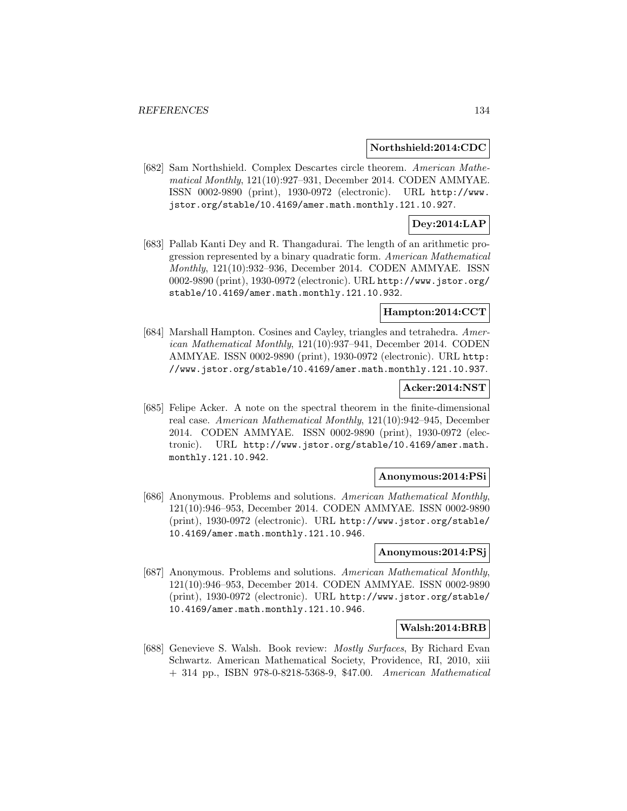#### **Northshield:2014:CDC**

[682] Sam Northshield. Complex Descartes circle theorem. American Mathematical Monthly, 121(10):927–931, December 2014. CODEN AMMYAE. ISSN 0002-9890 (print), 1930-0972 (electronic). URL http://www. jstor.org/stable/10.4169/amer.math.monthly.121.10.927.

# **Dey:2014:LAP**

[683] Pallab Kanti Dey and R. Thangadurai. The length of an arithmetic progression represented by a binary quadratic form. American Mathematical Monthly, 121(10):932–936, December 2014. CODEN AMMYAE. ISSN 0002-9890 (print), 1930-0972 (electronic). URL http://www.jstor.org/ stable/10.4169/amer.math.monthly.121.10.932.

### **Hampton:2014:CCT**

[684] Marshall Hampton. Cosines and Cayley, triangles and tetrahedra. American Mathematical Monthly, 121(10):937–941, December 2014. CODEN AMMYAE. ISSN 0002-9890 (print), 1930-0972 (electronic). URL http: //www.jstor.org/stable/10.4169/amer.math.monthly.121.10.937.

### **Acker:2014:NST**

[685] Felipe Acker. A note on the spectral theorem in the finite-dimensional real case. American Mathematical Monthly, 121(10):942–945, December 2014. CODEN AMMYAE. ISSN 0002-9890 (print), 1930-0972 (electronic). URL http://www.jstor.org/stable/10.4169/amer.math. monthly.121.10.942.

#### **Anonymous:2014:PSi**

[686] Anonymous. Problems and solutions. American Mathematical Monthly, 121(10):946–953, December 2014. CODEN AMMYAE. ISSN 0002-9890 (print), 1930-0972 (electronic). URL http://www.jstor.org/stable/ 10.4169/amer.math.monthly.121.10.946.

#### **Anonymous:2014:PSj**

[687] Anonymous. Problems and solutions. American Mathematical Monthly, 121(10):946–953, December 2014. CODEN AMMYAE. ISSN 0002-9890 (print), 1930-0972 (electronic). URL http://www.jstor.org/stable/ 10.4169/amer.math.monthly.121.10.946.

### **Walsh:2014:BRB**

[688] Genevieve S. Walsh. Book review: Mostly Surfaces, By Richard Evan Schwartz. American Mathematical Society, Providence, RI, 2010, xiii + 314 pp., ISBN 978-0-8218-5368-9, \$47.00. American Mathematical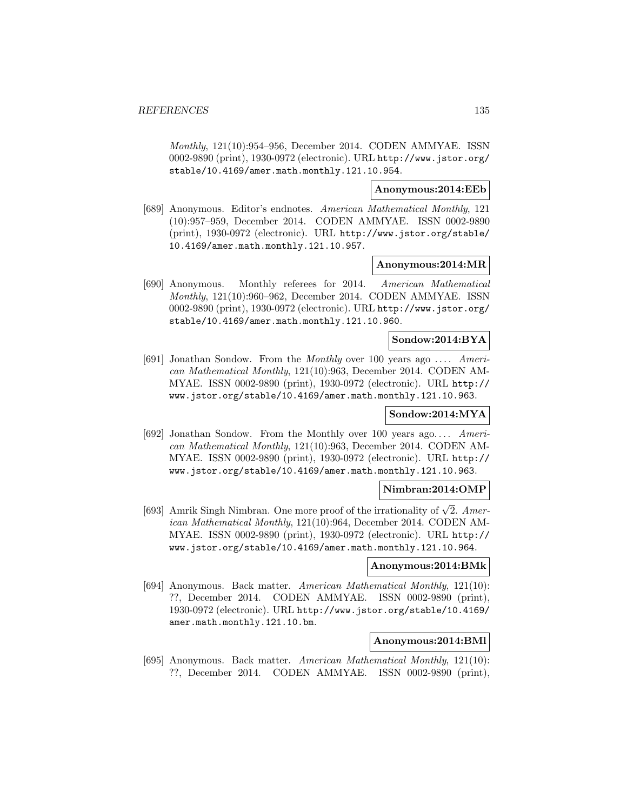Monthly, 121(10):954–956, December 2014. CODEN AMMYAE. ISSN 0002-9890 (print), 1930-0972 (electronic). URL http://www.jstor.org/ stable/10.4169/amer.math.monthly.121.10.954.

### **Anonymous:2014:EEb**

[689] Anonymous. Editor's endnotes. American Mathematical Monthly, 121 (10):957–959, December 2014. CODEN AMMYAE. ISSN 0002-9890 (print), 1930-0972 (electronic). URL http://www.jstor.org/stable/ 10.4169/amer.math.monthly.121.10.957.

#### **Anonymous:2014:MR**

[690] Anonymous. Monthly referees for 2014. American Mathematical Monthly, 121(10):960–962, December 2014. CODEN AMMYAE. ISSN 0002-9890 (print), 1930-0972 (electronic). URL http://www.jstor.org/ stable/10.4169/amer.math.monthly.121.10.960.

### **Sondow:2014:BYA**

[691] Jonathan Sondow. From the Monthly over 100 years ago ... . American Mathematical Monthly, 121(10):963, December 2014. CODEN AM-MYAE. ISSN 0002-9890 (print), 1930-0972 (electronic). URL http:// www.jstor.org/stable/10.4169/amer.math.monthly.121.10.963.

### **Sondow:2014:MYA**

[692] Jonathan Sondow. From the Monthly over 100 years ago... . American Mathematical Monthly, 121(10):963, December 2014. CODEN AM-MYAE. ISSN 0002-9890 (print), 1930-0972 (electronic). URL http:// www.jstor.org/stable/10.4169/amer.math.monthly.121.10.963.

# **Nimbran:2014:OMP**

[693] Amrik Singh Nimbran. One more proof of the irrationality of  $\sqrt{2}$ . American Mathematical Monthly, 121(10):964, December 2014. CODEN AM-MYAE. ISSN 0002-9890 (print), 1930-0972 (electronic). URL http:// www.jstor.org/stable/10.4169/amer.math.monthly.121.10.964.

# **Anonymous:2014:BMk**

[694] Anonymous. Back matter. American Mathematical Monthly, 121(10): ??, December 2014. CODEN AMMYAE. ISSN 0002-9890 (print), 1930-0972 (electronic). URL http://www.jstor.org/stable/10.4169/ amer.math.monthly.121.10.bm.

# **Anonymous:2014:BMl**

[695] Anonymous. Back matter. American Mathematical Monthly, 121(10): ??, December 2014. CODEN AMMYAE. ISSN 0002-9890 (print),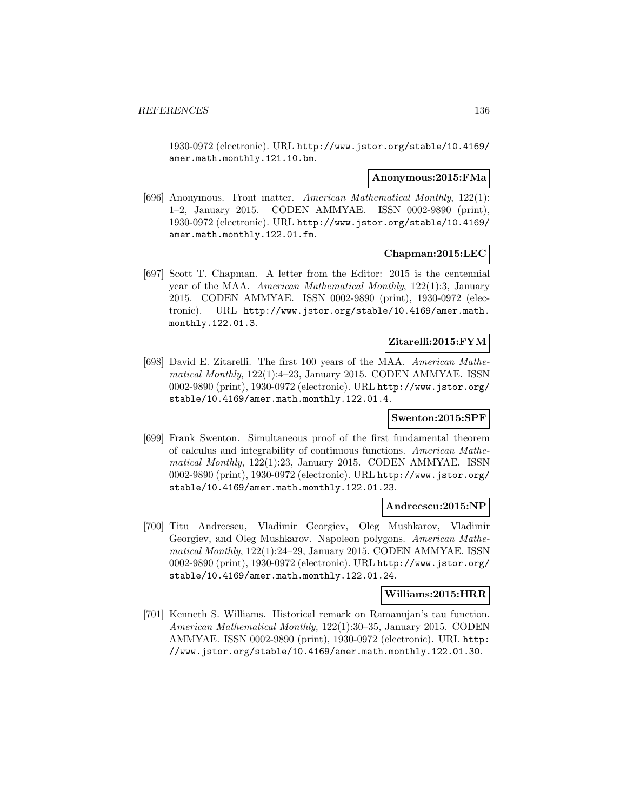1930-0972 (electronic). URL http://www.jstor.org/stable/10.4169/ amer.math.monthly.121.10.bm.

#### **Anonymous:2015:FMa**

[696] Anonymous. Front matter. American Mathematical Monthly, 122(1): 1–2, January 2015. CODEN AMMYAE. ISSN 0002-9890 (print), 1930-0972 (electronic). URL http://www.jstor.org/stable/10.4169/ amer.math.monthly.122.01.fm.

#### **Chapman:2015:LEC**

[697] Scott T. Chapman. A letter from the Editor: 2015 is the centennial year of the MAA. American Mathematical Monthly, 122(1):3, January 2015. CODEN AMMYAE. ISSN 0002-9890 (print), 1930-0972 (electronic). URL http://www.jstor.org/stable/10.4169/amer.math. monthly.122.01.3.

# **Zitarelli:2015:FYM**

[698] David E. Zitarelli. The first 100 years of the MAA. American Mathematical Monthly, 122(1):4–23, January 2015. CODEN AMMYAE. ISSN 0002-9890 (print), 1930-0972 (electronic). URL http://www.jstor.org/ stable/10.4169/amer.math.monthly.122.01.4.

#### **Swenton:2015:SPF**

[699] Frank Swenton. Simultaneous proof of the first fundamental theorem of calculus and integrability of continuous functions. American Mathematical Monthly, 122(1):23, January 2015. CODEN AMMYAE. ISSN 0002-9890 (print), 1930-0972 (electronic). URL http://www.jstor.org/ stable/10.4169/amer.math.monthly.122.01.23.

#### **Andreescu:2015:NP**

[700] Titu Andreescu, Vladimir Georgiev, Oleg Mushkarov, Vladimir Georgiev, and Oleg Mushkarov. Napoleon polygons. American Mathematical Monthly, 122(1):24–29, January 2015. CODEN AMMYAE. ISSN 0002-9890 (print), 1930-0972 (electronic). URL http://www.jstor.org/ stable/10.4169/amer.math.monthly.122.01.24.

# **Williams:2015:HRR**

[701] Kenneth S. Williams. Historical remark on Ramanujan's tau function. American Mathematical Monthly, 122(1):30–35, January 2015. CODEN AMMYAE. ISSN 0002-9890 (print), 1930-0972 (electronic). URL http: //www.jstor.org/stable/10.4169/amer.math.monthly.122.01.30.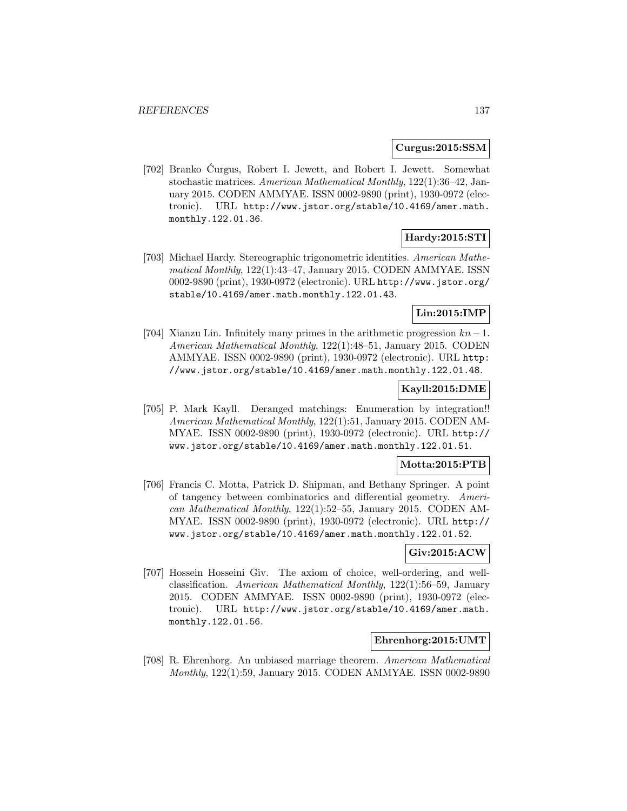#### **Curgus:2015:SSM**

[702] Branko Curgus, Robert I. Jewett, and Robert I. Jewett. Somewhat ´ stochastic matrices. American Mathematical Monthly, 122(1):36–42, January 2015. CODEN AMMYAE. ISSN 0002-9890 (print), 1930-0972 (electronic). URL http://www.jstor.org/stable/10.4169/amer.math. monthly.122.01.36.

# **Hardy:2015:STI**

[703] Michael Hardy. Stereographic trigonometric identities. American Mathematical Monthly, 122(1):43–47, January 2015. CODEN AMMYAE. ISSN 0002-9890 (print), 1930-0972 (electronic). URL http://www.jstor.org/ stable/10.4169/amer.math.monthly.122.01.43.

# **Lin:2015:IMP**

[704] Xianzu Lin. Infinitely many primes in the arithmetic progression  $kn-1$ . American Mathematical Monthly, 122(1):48–51, January 2015. CODEN AMMYAE. ISSN 0002-9890 (print), 1930-0972 (electronic). URL http: //www.jstor.org/stable/10.4169/amer.math.monthly.122.01.48.

# **Kayll:2015:DME**

[705] P. Mark Kayll. Deranged matchings: Enumeration by integration!! American Mathematical Monthly, 122(1):51, January 2015. CODEN AM-MYAE. ISSN 0002-9890 (print), 1930-0972 (electronic). URL http:// www.jstor.org/stable/10.4169/amer.math.monthly.122.01.51.

### **Motta:2015:PTB**

[706] Francis C. Motta, Patrick D. Shipman, and Bethany Springer. A point of tangency between combinatorics and differential geometry. American Mathematical Monthly, 122(1):52–55, January 2015. CODEN AM-MYAE. ISSN 0002-9890 (print), 1930-0972 (electronic). URL http:// www.jstor.org/stable/10.4169/amer.math.monthly.122.01.52.

# **Giv:2015:ACW**

[707] Hossein Hosseini Giv. The axiom of choice, well-ordering, and wellclassification. American Mathematical Monthly, 122(1):56–59, January 2015. CODEN AMMYAE. ISSN 0002-9890 (print), 1930-0972 (electronic). URL http://www.jstor.org/stable/10.4169/amer.math. monthly.122.01.56.

# **Ehrenhorg:2015:UMT**

[708] R. Ehrenhorg. An unbiased marriage theorem. American Mathematical Monthly, 122(1):59, January 2015. CODEN AMMYAE. ISSN 0002-9890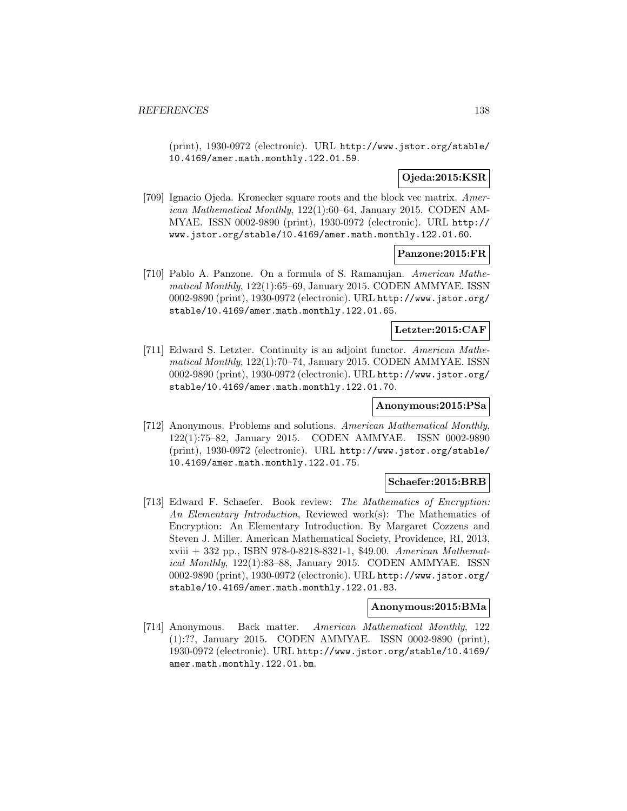(print), 1930-0972 (electronic). URL http://www.jstor.org/stable/ 10.4169/amer.math.monthly.122.01.59.

# **Ojeda:2015:KSR**

[709] Ignacio Ojeda. Kronecker square roots and the block vec matrix. American Mathematical Monthly, 122(1):60–64, January 2015. CODEN AM-MYAE. ISSN 0002-9890 (print), 1930-0972 (electronic). URL http:// www.jstor.org/stable/10.4169/amer.math.monthly.122.01.60.

### **Panzone:2015:FR**

[710] Pablo A. Panzone. On a formula of S. Ramanujan. American Mathematical Monthly, 122(1):65–69, January 2015. CODEN AMMYAE. ISSN 0002-9890 (print), 1930-0972 (electronic). URL http://www.jstor.org/ stable/10.4169/amer.math.monthly.122.01.65.

## **Letzter:2015:CAF**

[711] Edward S. Letzter. Continuity is an adjoint functor. American Mathematical Monthly, 122(1):70–74, January 2015. CODEN AMMYAE. ISSN 0002-9890 (print), 1930-0972 (electronic). URL http://www.jstor.org/ stable/10.4169/amer.math.monthly.122.01.70.

# **Anonymous:2015:PSa**

[712] Anonymous. Problems and solutions. American Mathematical Monthly, 122(1):75–82, January 2015. CODEN AMMYAE. ISSN 0002-9890 (print), 1930-0972 (electronic). URL http://www.jstor.org/stable/ 10.4169/amer.math.monthly.122.01.75.

### **Schaefer:2015:BRB**

[713] Edward F. Schaefer. Book review: The Mathematics of Encryption: An Elementary Introduction, Reviewed work(s): The Mathematics of Encryption: An Elementary Introduction. By Margaret Cozzens and Steven J. Miller. American Mathematical Society, Providence, RI, 2013, xviii + 332 pp., ISBN 978-0-8218-8321-1, \$49.00. American Mathematical Monthly, 122(1):83–88, January 2015. CODEN AMMYAE. ISSN 0002-9890 (print), 1930-0972 (electronic). URL http://www.jstor.org/ stable/10.4169/amer.math.monthly.122.01.83.

#### **Anonymous:2015:BMa**

[714] Anonymous. Back matter. American Mathematical Monthly, 122 (1):??, January 2015. CODEN AMMYAE. ISSN 0002-9890 (print), 1930-0972 (electronic). URL http://www.jstor.org/stable/10.4169/ amer.math.monthly.122.01.bm.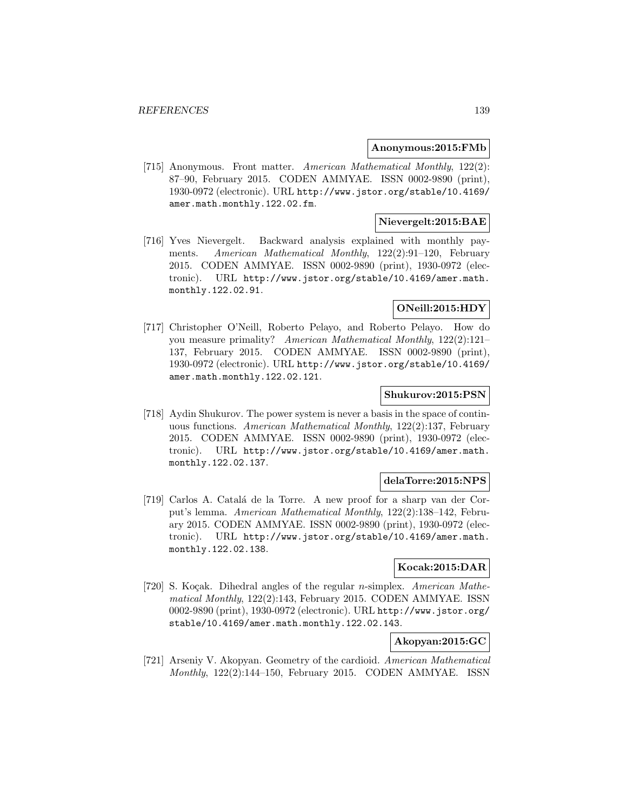#### **Anonymous:2015:FMb**

[715] Anonymous. Front matter. American Mathematical Monthly, 122(2): 87–90, February 2015. CODEN AMMYAE. ISSN 0002-9890 (print), 1930-0972 (electronic). URL http://www.jstor.org/stable/10.4169/ amer.math.monthly.122.02.fm.

# **Nievergelt:2015:BAE**

[716] Yves Nievergelt. Backward analysis explained with monthly payments. American Mathematical Monthly, 122(2):91–120, February 2015. CODEN AMMYAE. ISSN 0002-9890 (print), 1930-0972 (electronic). URL http://www.jstor.org/stable/10.4169/amer.math. monthly.122.02.91.

# **ONeill:2015:HDY**

[717] Christopher O'Neill, Roberto Pelayo, and Roberto Pelayo. How do you measure primality? American Mathematical Monthly, 122(2):121– 137, February 2015. CODEN AMMYAE. ISSN 0002-9890 (print), 1930-0972 (electronic). URL http://www.jstor.org/stable/10.4169/ amer.math.monthly.122.02.121.

## **Shukurov:2015:PSN**

[718] Aydin Shukurov. The power system is never a basis in the space of continuous functions. American Mathematical Monthly, 122(2):137, February 2015. CODEN AMMYAE. ISSN 0002-9890 (print), 1930-0972 (electronic). URL http://www.jstor.org/stable/10.4169/amer.math. monthly.122.02.137.

#### **delaTorre:2015:NPS**

[719] Carlos A. Catal´a de la Torre. A new proof for a sharp van der Corput's lemma. American Mathematical Monthly, 122(2):138–142, February 2015. CODEN AMMYAE. ISSN 0002-9890 (print), 1930-0972 (electronic). URL http://www.jstor.org/stable/10.4169/amer.math. monthly.122.02.138.

## **Kocak:2015:DAR**

[720] S. Koçak. Dihedral angles of the regular *n*-simplex. American Mathematical Monthly, 122(2):143, February 2015. CODEN AMMYAE. ISSN 0002-9890 (print), 1930-0972 (electronic). URL http://www.jstor.org/ stable/10.4169/amer.math.monthly.122.02.143.

## **Akopyan:2015:GC**

[721] Arseniy V. Akopyan. Geometry of the cardioid. American Mathematical Monthly, 122(2):144–150, February 2015. CODEN AMMYAE. ISSN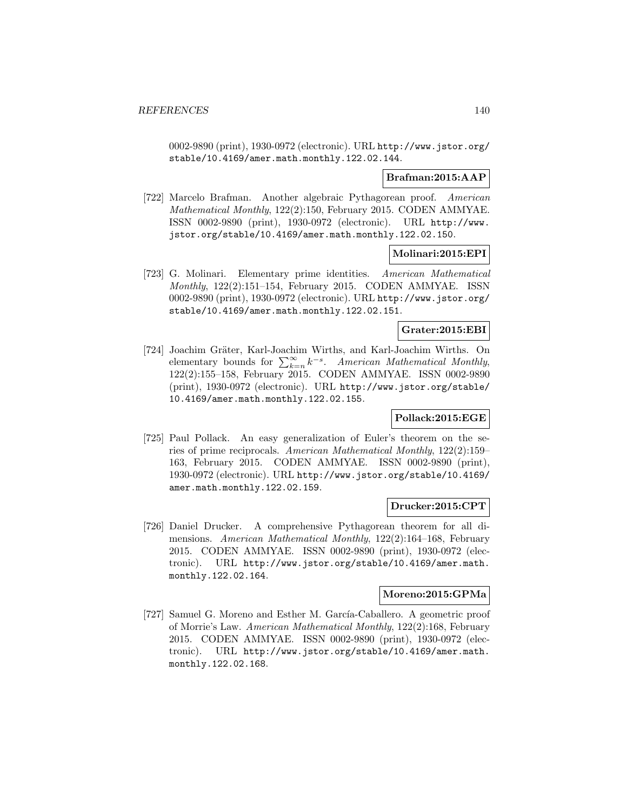0002-9890 (print), 1930-0972 (electronic). URL http://www.jstor.org/ stable/10.4169/amer.math.monthly.122.02.144.

### **Brafman:2015:AAP**

[722] Marcelo Brafman. Another algebraic Pythagorean proof. American Mathematical Monthly, 122(2):150, February 2015. CODEN AMMYAE. ISSN 0002-9890 (print), 1930-0972 (electronic). URL http://www. jstor.org/stable/10.4169/amer.math.monthly.122.02.150.

### **Molinari:2015:EPI**

[723] G. Molinari. Elementary prime identities. American Mathematical Monthly, 122(2):151–154, February 2015. CODEN AMMYAE. ISSN 0002-9890 (print), 1930-0972 (electronic). URL http://www.jstor.org/ stable/10.4169/amer.math.monthly.122.02.151.

# **Grater:2015:EBI**

[724] Joachim Gräter, Karl-Joachim Wirths, and Karl-Joachim Wirths. On elementary bounds for  $\sum_{k=n}^{\infty} k^{-s}$ . American Mathematical Monthly, 122(2):155–158, February 2015. CODEN AMMYAE. ISSN 0002-9890 (print), 1930-0972 (electronic). URL http://www.jstor.org/stable/ 10.4169/amer.math.monthly.122.02.155.

#### **Pollack:2015:EGE**

[725] Paul Pollack. An easy generalization of Euler's theorem on the series of prime reciprocals. American Mathematical Monthly, 122(2):159– 163, February 2015. CODEN AMMYAE. ISSN 0002-9890 (print), 1930-0972 (electronic). URL http://www.jstor.org/stable/10.4169/ amer.math.monthly.122.02.159.

## **Drucker:2015:CPT**

[726] Daniel Drucker. A comprehensive Pythagorean theorem for all dimensions. American Mathematical Monthly, 122(2):164–168, February 2015. CODEN AMMYAE. ISSN 0002-9890 (print), 1930-0972 (electronic). URL http://www.jstor.org/stable/10.4169/amer.math. monthly.122.02.164.

## **Moreno:2015:GPMa**

[727] Samuel G. Moreno and Esther M. García-Caballero. A geometric proof of Morrie's Law. American Mathematical Monthly, 122(2):168, February 2015. CODEN AMMYAE. ISSN 0002-9890 (print), 1930-0972 (electronic). URL http://www.jstor.org/stable/10.4169/amer.math. monthly.122.02.168.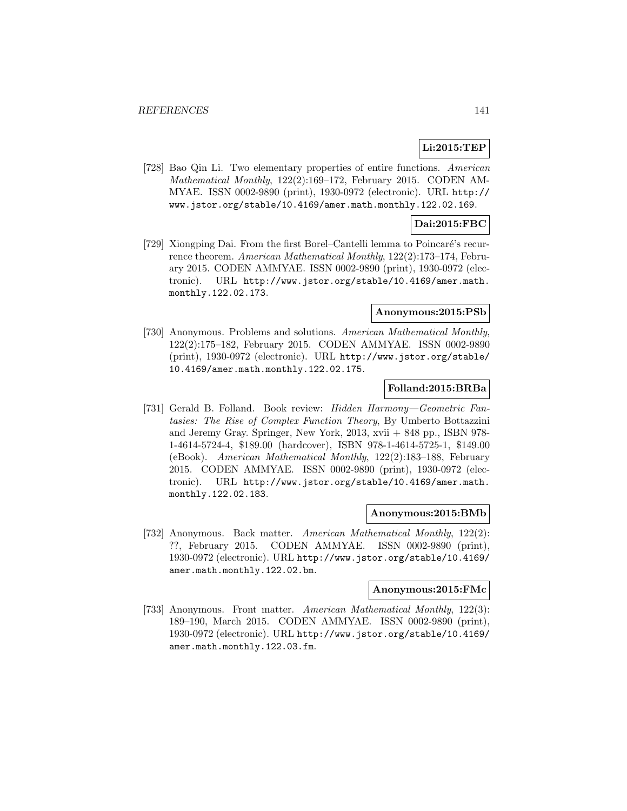# **Li:2015:TEP**

[728] Bao Qin Li. Two elementary properties of entire functions. American Mathematical Monthly, 122(2):169–172, February 2015. CODEN AM-MYAE. ISSN 0002-9890 (print), 1930-0972 (electronic). URL http:// www.jstor.org/stable/10.4169/amer.math.monthly.122.02.169.

# **Dai:2015:FBC**

[729] Xiongping Dai. From the first Borel–Cantelli lemma to Poincaré's recurrence theorem. American Mathematical Monthly, 122(2):173–174, February 2015. CODEN AMMYAE. ISSN 0002-9890 (print), 1930-0972 (electronic). URL http://www.jstor.org/stable/10.4169/amer.math. monthly.122.02.173.

#### **Anonymous:2015:PSb**

[730] Anonymous. Problems and solutions. American Mathematical Monthly, 122(2):175–182, February 2015. CODEN AMMYAE. ISSN 0002-9890 (print), 1930-0972 (electronic). URL http://www.jstor.org/stable/ 10.4169/amer.math.monthly.122.02.175.

#### **Folland:2015:BRBa**

[731] Gerald B. Folland. Book review: Hidden Harmony—Geometric Fantasies: The Rise of Complex Function Theory, By Umberto Bottazzini and Jeremy Gray. Springer, New York, 2013, xvii + 848 pp., ISBN 978- 1-4614-5724-4, \$189.00 (hardcover), ISBN 978-1-4614-5725-1, \$149.00 (eBook). American Mathematical Monthly, 122(2):183–188, February 2015. CODEN AMMYAE. ISSN 0002-9890 (print), 1930-0972 (electronic). URL http://www.jstor.org/stable/10.4169/amer.math. monthly.122.02.183.

#### **Anonymous:2015:BMb**

[732] Anonymous. Back matter. American Mathematical Monthly, 122(2): ??, February 2015. CODEN AMMYAE. ISSN 0002-9890 (print), 1930-0972 (electronic). URL http://www.jstor.org/stable/10.4169/ amer.math.monthly.122.02.bm.

# **Anonymous:2015:FMc**

[733] Anonymous. Front matter. American Mathematical Monthly, 122(3): 189–190, March 2015. CODEN AMMYAE. ISSN 0002-9890 (print), 1930-0972 (electronic). URL http://www.jstor.org/stable/10.4169/ amer.math.monthly.122.03.fm.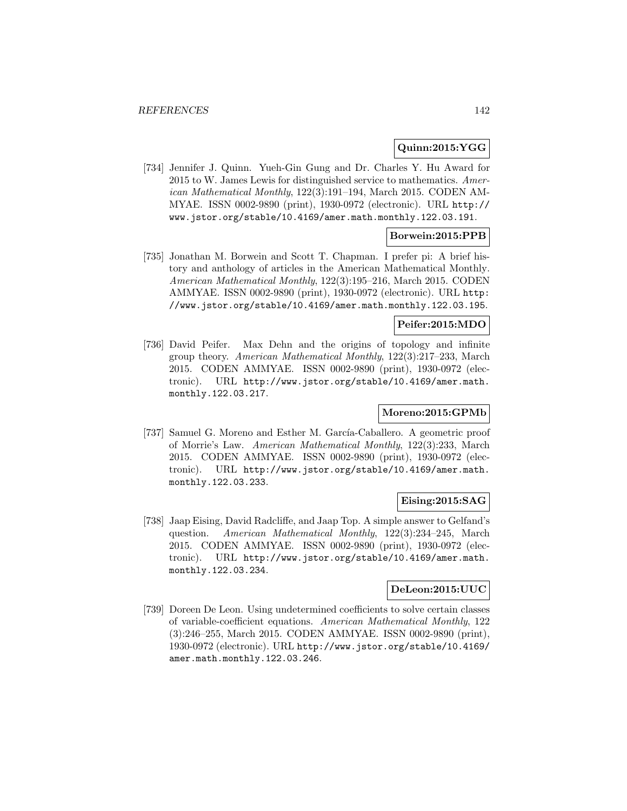## **Quinn:2015:YGG**

[734] Jennifer J. Quinn. Yueh-Gin Gung and Dr. Charles Y. Hu Award for 2015 to W. James Lewis for distinguished service to mathematics. American Mathematical Monthly, 122(3):191–194, March 2015. CODEN AM-MYAE. ISSN 0002-9890 (print), 1930-0972 (electronic). URL http:// www.jstor.org/stable/10.4169/amer.math.monthly.122.03.191.

# **Borwein:2015:PPB**

[735] Jonathan M. Borwein and Scott T. Chapman. I prefer pi: A brief history and anthology of articles in the American Mathematical Monthly. American Mathematical Monthly, 122(3):195–216, March 2015. CODEN AMMYAE. ISSN 0002-9890 (print), 1930-0972 (electronic). URL http: //www.jstor.org/stable/10.4169/amer.math.monthly.122.03.195.

### **Peifer:2015:MDO**

[736] David Peifer. Max Dehn and the origins of topology and infinite group theory. American Mathematical Monthly, 122(3):217–233, March 2015. CODEN AMMYAE. ISSN 0002-9890 (print), 1930-0972 (electronic). URL http://www.jstor.org/stable/10.4169/amer.math. monthly.122.03.217.

### **Moreno:2015:GPMb**

[737] Samuel G. Moreno and Esther M. García-Caballero. A geometric proof of Morrie's Law. American Mathematical Monthly, 122(3):233, March 2015. CODEN AMMYAE. ISSN 0002-9890 (print), 1930-0972 (electronic). URL http://www.jstor.org/stable/10.4169/amer.math. monthly.122.03.233.

### **Eising:2015:SAG**

[738] Jaap Eising, David Radcliffe, and Jaap Top. A simple answer to Gelfand's question. American Mathematical Monthly, 122(3):234–245, March 2015. CODEN AMMYAE. ISSN 0002-9890 (print), 1930-0972 (electronic). URL http://www.jstor.org/stable/10.4169/amer.math. monthly.122.03.234.

# **DeLeon:2015:UUC**

[739] Doreen De Leon. Using undetermined coefficients to solve certain classes of variable-coefficient equations. American Mathematical Monthly, 122 (3):246–255, March 2015. CODEN AMMYAE. ISSN 0002-9890 (print), 1930-0972 (electronic). URL http://www.jstor.org/stable/10.4169/ amer.math.monthly.122.03.246.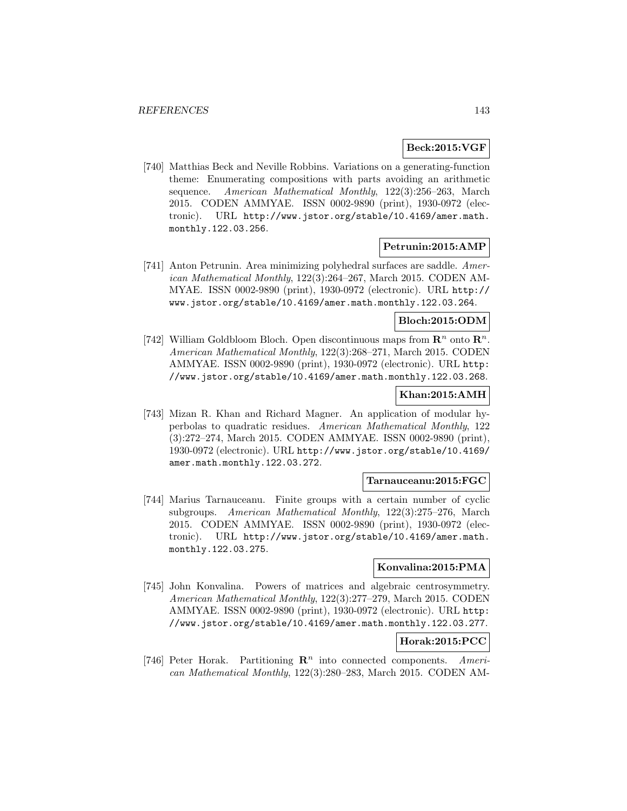# **Beck:2015:VGF**

[740] Matthias Beck and Neville Robbins. Variations on a generating-function theme: Enumerating compositions with parts avoiding an arithmetic sequence. American Mathematical Monthly, 122(3):256–263, March 2015. CODEN AMMYAE. ISSN 0002-9890 (print), 1930-0972 (electronic). URL http://www.jstor.org/stable/10.4169/amer.math. monthly.122.03.256.

# **Petrunin:2015:AMP**

[741] Anton Petrunin. Area minimizing polyhedral surfaces are saddle. American Mathematical Monthly, 122(3):264–267, March 2015. CODEN AM-MYAE. ISSN 0002-9890 (print), 1930-0972 (electronic). URL http:// www.jstor.org/stable/10.4169/amer.math.monthly.122.03.264.

# **Bloch:2015:ODM**

[742] William Goldbloom Bloch. Open discontinuous maps from  $\mathbb{R}^n$  onto  $\mathbb{R}^n$ . American Mathematical Monthly, 122(3):268–271, March 2015. CODEN AMMYAE. ISSN 0002-9890 (print), 1930-0972 (electronic). URL http: //www.jstor.org/stable/10.4169/amer.math.monthly.122.03.268.

## **Khan:2015:AMH**

[743] Mizan R. Khan and Richard Magner. An application of modular hyperbolas to quadratic residues. American Mathematical Monthly, 122 (3):272–274, March 2015. CODEN AMMYAE. ISSN 0002-9890 (print), 1930-0972 (electronic). URL http://www.jstor.org/stable/10.4169/ amer.math.monthly.122.03.272.

#### **Tarnauceanu:2015:FGC**

[744] Marius Tarnauceanu. Finite groups with a certain number of cyclic subgroups. American Mathematical Monthly, 122(3):275–276, March 2015. CODEN AMMYAE. ISSN 0002-9890 (print), 1930-0972 (electronic). URL http://www.jstor.org/stable/10.4169/amer.math. monthly.122.03.275.

### **Konvalina:2015:PMA**

[745] John Konvalina. Powers of matrices and algebraic centrosymmetry. American Mathematical Monthly, 122(3):277–279, March 2015. CODEN AMMYAE. ISSN 0002-9890 (print), 1930-0972 (electronic). URL http: //www.jstor.org/stable/10.4169/amer.math.monthly.122.03.277.

# **Horak:2015:PCC**

[746] Peter Horak. Partitioning  $\mathbb{R}^n$  into connected components. American Mathematical Monthly, 122(3):280–283, March 2015. CODEN AM-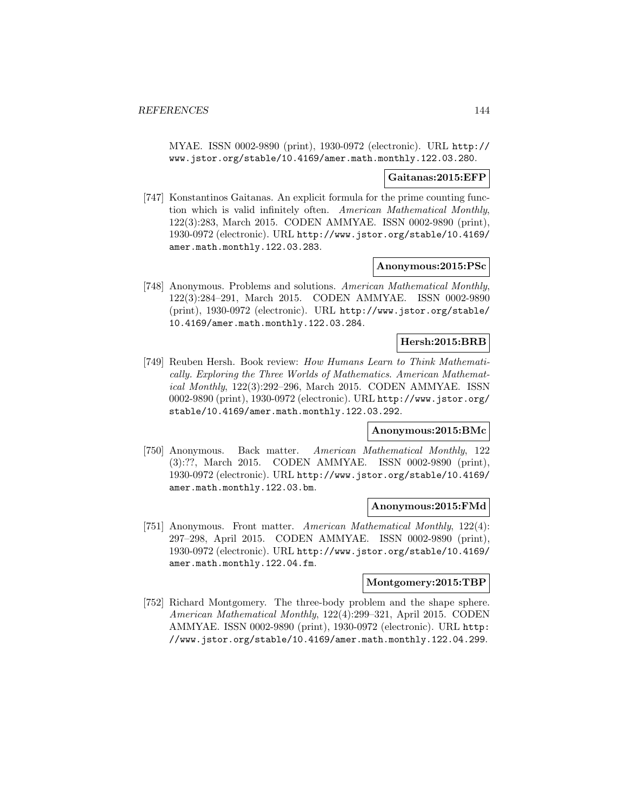MYAE. ISSN 0002-9890 (print), 1930-0972 (electronic). URL http:// www.jstor.org/stable/10.4169/amer.math.monthly.122.03.280.

#### **Gaitanas:2015:EFP**

[747] Konstantinos Gaitanas. An explicit formula for the prime counting function which is valid infinitely often. American Mathematical Monthly, 122(3):283, March 2015. CODEN AMMYAE. ISSN 0002-9890 (print), 1930-0972 (electronic). URL http://www.jstor.org/stable/10.4169/ amer.math.monthly.122.03.283.

#### **Anonymous:2015:PSc**

[748] Anonymous. Problems and solutions. American Mathematical Monthly, 122(3):284–291, March 2015. CODEN AMMYAE. ISSN 0002-9890 (print), 1930-0972 (electronic). URL http://www.jstor.org/stable/ 10.4169/amer.math.monthly.122.03.284.

## **Hersh:2015:BRB**

[749] Reuben Hersh. Book review: How Humans Learn to Think Mathematically. Exploring the Three Worlds of Mathematics. American Mathematical Monthly, 122(3):292–296, March 2015. CODEN AMMYAE. ISSN 0002-9890 (print), 1930-0972 (electronic). URL http://www.jstor.org/ stable/10.4169/amer.math.monthly.122.03.292.

### **Anonymous:2015:BMc**

[750] Anonymous. Back matter. American Mathematical Monthly, 122 (3):??, March 2015. CODEN AMMYAE. ISSN 0002-9890 (print), 1930-0972 (electronic). URL http://www.jstor.org/stable/10.4169/ amer.math.monthly.122.03.bm.

#### **Anonymous:2015:FMd**

[751] Anonymous. Front matter. American Mathematical Monthly, 122(4): 297–298, April 2015. CODEN AMMYAE. ISSN 0002-9890 (print), 1930-0972 (electronic). URL http://www.jstor.org/stable/10.4169/ amer.math.monthly.122.04.fm.

#### **Montgomery:2015:TBP**

[752] Richard Montgomery. The three-body problem and the shape sphere. American Mathematical Monthly, 122(4):299–321, April 2015. CODEN AMMYAE. ISSN 0002-9890 (print), 1930-0972 (electronic). URL http: //www.jstor.org/stable/10.4169/amer.math.monthly.122.04.299.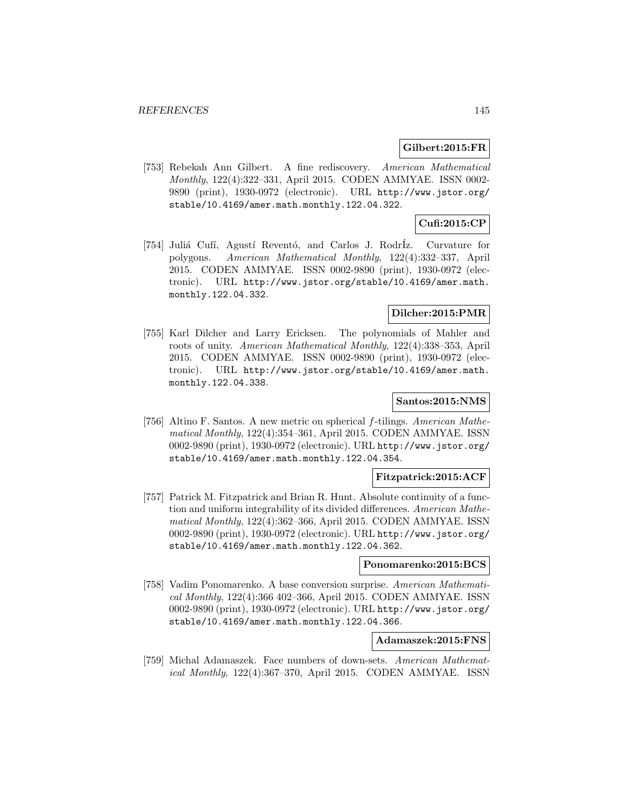## **Gilbert:2015:FR**

[753] Rebekah Ann Gilbert. A fine rediscovery. American Mathematical Monthly, 122(4):322–331, April 2015. CODEN AMMYAE. ISSN 0002- 9890 (print), 1930-0972 (electronic). URL http://www.jstor.org/ stable/10.4169/amer.math.monthly.122.04.322.

# **Cufi:2015:CP**

[754] Juli´a Cuf´ı, Agust´ı Revent´o, and Carlos J. Rodr´Iz. Curvature for polygons. American Mathematical Monthly, 122(4):332–337, April 2015. CODEN AMMYAE. ISSN 0002-9890 (print), 1930-0972 (electronic). URL http://www.jstor.org/stable/10.4169/amer.math. monthly.122.04.332.

# **Dilcher:2015:PMR**

[755] Karl Dilcher and Larry Ericksen. The polynomials of Mahler and roots of unity. American Mathematical Monthly, 122(4):338–353, April 2015. CODEN AMMYAE. ISSN 0002-9890 (print), 1930-0972 (electronic). URL http://www.jstor.org/stable/10.4169/amer.math. monthly.122.04.338.

## **Santos:2015:NMS**

[756] Altino F. Santos. A new metric on spherical f-tilings. American Mathematical Monthly, 122(4):354–361, April 2015. CODEN AMMYAE. ISSN 0002-9890 (print), 1930-0972 (electronic). URL http://www.jstor.org/ stable/10.4169/amer.math.monthly.122.04.354.

## **Fitzpatrick:2015:ACF**

[757] Patrick M. Fitzpatrick and Brian R. Hunt. Absolute continuity of a function and uniform integrability of its divided differences. American Mathematical Monthly, 122(4):362–366, April 2015. CODEN AMMYAE. ISSN 0002-9890 (print), 1930-0972 (electronic). URL http://www.jstor.org/ stable/10.4169/amer.math.monthly.122.04.362.

## **Ponomarenko:2015:BCS**

[758] Vadim Ponomarenko. A base conversion surprise. American Mathematical Monthly, 122(4):366 402–366, April 2015. CODEN AMMYAE. ISSN 0002-9890 (print), 1930-0972 (electronic). URL http://www.jstor.org/ stable/10.4169/amer.math.monthly.122.04.366.

# **Adamaszek:2015:FNS**

[759] Michal Adamaszek. Face numbers of down-sets. American Mathematical Monthly, 122(4):367–370, April 2015. CODEN AMMYAE. ISSN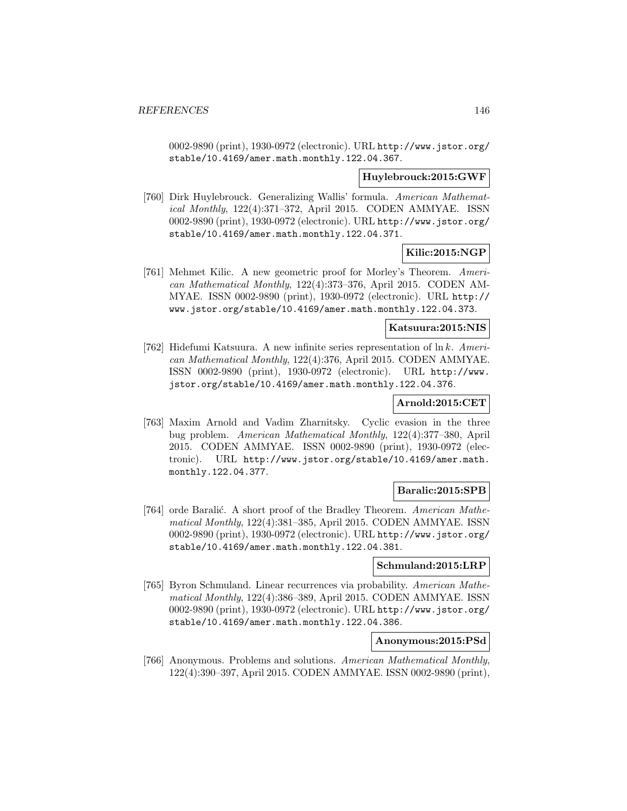0002-9890 (print), 1930-0972 (electronic). URL http://www.jstor.org/ stable/10.4169/amer.math.monthly.122.04.367.

# **Huylebrouck:2015:GWF**

[760] Dirk Huylebrouck. Generalizing Wallis' formula. American Mathematical Monthly, 122(4):371–372, April 2015. CODEN AMMYAE. ISSN 0002-9890 (print), 1930-0972 (electronic). URL http://www.jstor.org/ stable/10.4169/amer.math.monthly.122.04.371.

# **Kilic:2015:NGP**

[761] Mehmet Kilic. A new geometric proof for Morley's Theorem. American Mathematical Monthly, 122(4):373–376, April 2015. CODEN AM-MYAE. ISSN 0002-9890 (print), 1930-0972 (electronic). URL http:// www.jstor.org/stable/10.4169/amer.math.monthly.122.04.373.

#### **Katsuura:2015:NIS**

[762] Hidefumi Katsuura. A new infinite series representation of  $\ln k$ . American Mathematical Monthly, 122(4):376, April 2015. CODEN AMMYAE. ISSN 0002-9890 (print), 1930-0972 (electronic). URL http://www. jstor.org/stable/10.4169/amer.math.monthly.122.04.376.

## **Arnold:2015:CET**

[763] Maxim Arnold and Vadim Zharnitsky. Cyclic evasion in the three bug problem. American Mathematical Monthly, 122(4):377–380, April 2015. CODEN AMMYAE. ISSN 0002-9890 (print), 1930-0972 (electronic). URL http://www.jstor.org/stable/10.4169/amer.math. monthly.122.04.377.

## **Baralic:2015:SPB**

[764] orde Baralić. A short proof of the Bradley Theorem. American Mathematical Monthly, 122(4):381–385, April 2015. CODEN AMMYAE. ISSN 0002-9890 (print), 1930-0972 (electronic). URL http://www.jstor.org/ stable/10.4169/amer.math.monthly.122.04.381.

## **Schmuland:2015:LRP**

[765] Byron Schmuland. Linear recurrences via probability. American Mathematical Monthly, 122(4):386–389, April 2015. CODEN AMMYAE. ISSN 0002-9890 (print), 1930-0972 (electronic). URL http://www.jstor.org/ stable/10.4169/amer.math.monthly.122.04.386.

# **Anonymous:2015:PSd**

[766] Anonymous. Problems and solutions. American Mathematical Monthly, 122(4):390–397, April 2015. CODEN AMMYAE. ISSN 0002-9890 (print),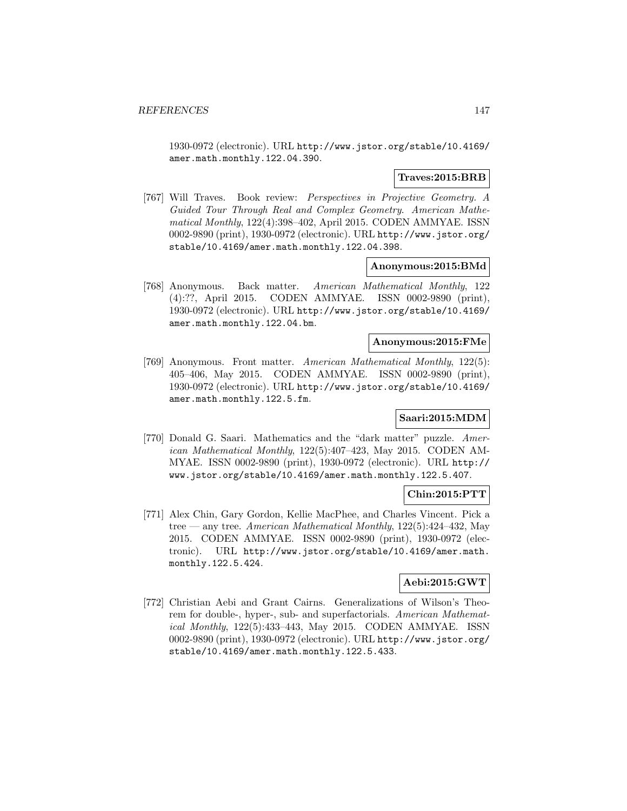1930-0972 (electronic). URL http://www.jstor.org/stable/10.4169/ amer.math.monthly.122.04.390.

### **Traves:2015:BRB**

[767] Will Traves. Book review: Perspectives in Projective Geometry. A Guided Tour Through Real and Complex Geometry. American Mathematical Monthly, 122(4):398–402, April 2015. CODEN AMMYAE. ISSN 0002-9890 (print), 1930-0972 (electronic). URL http://www.jstor.org/ stable/10.4169/amer.math.monthly.122.04.398.

#### **Anonymous:2015:BMd**

[768] Anonymous. Back matter. American Mathematical Monthly, 122 (4):??, April 2015. CODEN AMMYAE. ISSN 0002-9890 (print), 1930-0972 (electronic). URL http://www.jstor.org/stable/10.4169/ amer.math.monthly.122.04.bm.

#### **Anonymous:2015:FMe**

[769] Anonymous. Front matter. American Mathematical Monthly, 122(5): 405–406, May 2015. CODEN AMMYAE. ISSN 0002-9890 (print), 1930-0972 (electronic). URL http://www.jstor.org/stable/10.4169/ amer.math.monthly.122.5.fm.

#### **Saari:2015:MDM**

[770] Donald G. Saari. Mathematics and the "dark matter" puzzle. American Mathematical Monthly, 122(5):407–423, May 2015. CODEN AM-MYAE. ISSN 0002-9890 (print), 1930-0972 (electronic). URL http:// www.jstor.org/stable/10.4169/amer.math.monthly.122.5.407.

#### **Chin:2015:PTT**

[771] Alex Chin, Gary Gordon, Kellie MacPhee, and Charles Vincent. Pick a tree — any tree. American Mathematical Monthly,  $122(5):424-432$ , May 2015. CODEN AMMYAE. ISSN 0002-9890 (print), 1930-0972 (electronic). URL http://www.jstor.org/stable/10.4169/amer.math. monthly.122.5.424.

## **Aebi:2015:GWT**

[772] Christian Aebi and Grant Cairns. Generalizations of Wilson's Theorem for double-, hyper-, sub- and superfactorials. American Mathematical Monthly, 122(5):433–443, May 2015. CODEN AMMYAE. ISSN 0002-9890 (print), 1930-0972 (electronic). URL http://www.jstor.org/ stable/10.4169/amer.math.monthly.122.5.433.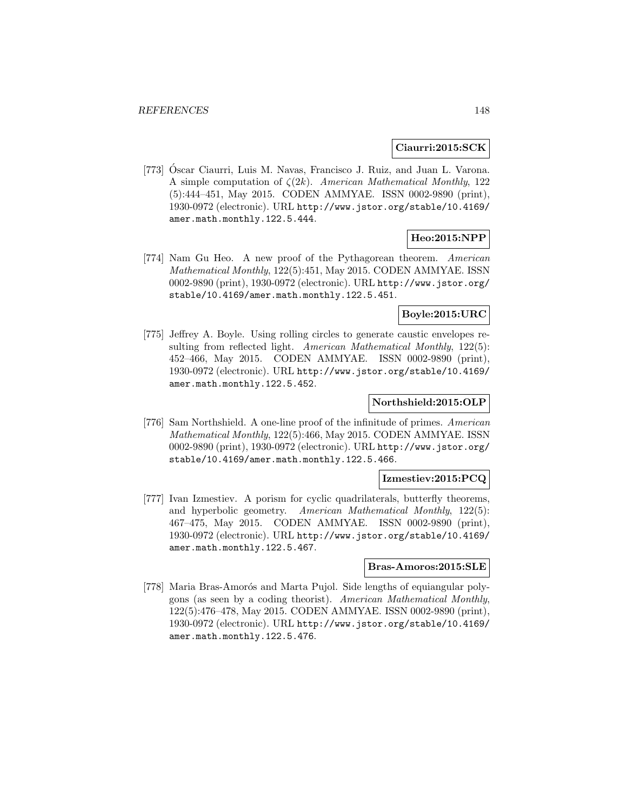### **Ciaurri:2015:SCK**

[773] Óscar Ciaurri, Luis M. Navas, Francisco J. Ruiz, and Juan L. Varona. A simple computation of  $\zeta(2k)$ . American Mathematical Monthly, 122 (5):444–451, May 2015. CODEN AMMYAE. ISSN 0002-9890 (print), 1930-0972 (electronic). URL http://www.jstor.org/stable/10.4169/ amer.math.monthly.122.5.444.

# **Heo:2015:NPP**

[774] Nam Gu Heo. A new proof of the Pythagorean theorem. American Mathematical Monthly, 122(5):451, May 2015. CODEN AMMYAE. ISSN 0002-9890 (print), 1930-0972 (electronic). URL http://www.jstor.org/ stable/10.4169/amer.math.monthly.122.5.451.

# **Boyle:2015:URC**

[775] Jeffrey A. Boyle. Using rolling circles to generate caustic envelopes resulting from reflected light. American Mathematical Monthly, 122(5): 452–466, May 2015. CODEN AMMYAE. ISSN 0002-9890 (print), 1930-0972 (electronic). URL http://www.jstor.org/stable/10.4169/ amer.math.monthly.122.5.452.

#### **Northshield:2015:OLP**

[776] Sam Northshield. A one-line proof of the infinitude of primes. American Mathematical Monthly, 122(5):466, May 2015. CODEN AMMYAE. ISSN 0002-9890 (print), 1930-0972 (electronic). URL http://www.jstor.org/ stable/10.4169/amer.math.monthly.122.5.466.

## **Izmestiev:2015:PCQ**

[777] Ivan Izmestiev. A porism for cyclic quadrilaterals, butterfly theorems, and hyperbolic geometry. American Mathematical Monthly, 122(5): 467–475, May 2015. CODEN AMMYAE. ISSN 0002-9890 (print), 1930-0972 (electronic). URL http://www.jstor.org/stable/10.4169/ amer.math.monthly.122.5.467.

#### **Bras-Amoros:2015:SLE**

[778] Maria Bras-Amorós and Marta Pujol. Side lengths of equiangular polygons (as seen by a coding theorist). American Mathematical Monthly, 122(5):476–478, May 2015. CODEN AMMYAE. ISSN 0002-9890 (print), 1930-0972 (electronic). URL http://www.jstor.org/stable/10.4169/ amer.math.monthly.122.5.476.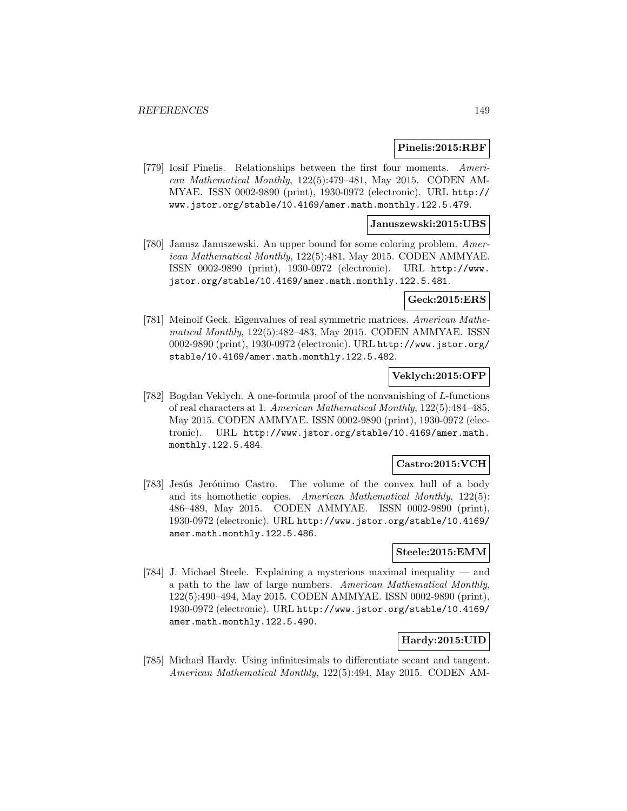#### **Pinelis:2015:RBF**

[779] Iosif Pinelis. Relationships between the first four moments. American Mathematical Monthly, 122(5):479–481, May 2015. CODEN AM-MYAE. ISSN 0002-9890 (print), 1930-0972 (electronic). URL http:// www.jstor.org/stable/10.4169/amer.math.monthly.122.5.479.

#### **Januszewski:2015:UBS**

[780] Janusz Januszewski. An upper bound for some coloring problem. American Mathematical Monthly, 122(5):481, May 2015. CODEN AMMYAE. ISSN 0002-9890 (print), 1930-0972 (electronic). URL http://www. jstor.org/stable/10.4169/amer.math.monthly.122.5.481.

#### **Geck:2015:ERS**

[781] Meinolf Geck. Eigenvalues of real symmetric matrices. American Mathematical Monthly, 122(5):482–483, May 2015. CODEN AMMYAE. ISSN 0002-9890 (print), 1930-0972 (electronic). URL http://www.jstor.org/ stable/10.4169/amer.math.monthly.122.5.482.

## **Veklych:2015:OFP**

[782] Bogdan Veklych. A one-formula proof of the nonvanishing of L-functions of real characters at 1. American Mathematical Monthly, 122(5):484–485, May 2015. CODEN AMMYAE. ISSN 0002-9890 (print), 1930-0972 (electronic). URL http://www.jstor.org/stable/10.4169/amer.math. monthly.122.5.484.

## **Castro:2015:VCH**

[783] Jesús Jerónimo Castro. The volume of the convex hull of a body and its homothetic copies. American Mathematical Monthly, 122(5): 486–489, May 2015. CODEN AMMYAE. ISSN 0002-9890 (print), 1930-0972 (electronic). URL http://www.jstor.org/stable/10.4169/ amer.math.monthly.122.5.486.

# **Steele:2015:EMM**

[784] J. Michael Steele. Explaining a mysterious maximal inequality — and a path to the law of large numbers. American Mathematical Monthly, 122(5):490–494, May 2015. CODEN AMMYAE. ISSN 0002-9890 (print), 1930-0972 (electronic). URL http://www.jstor.org/stable/10.4169/ amer.math.monthly.122.5.490.

# **Hardy:2015:UID**

[785] Michael Hardy. Using infinitesimals to differentiate secant and tangent. American Mathematical Monthly, 122(5):494, May 2015. CODEN AM-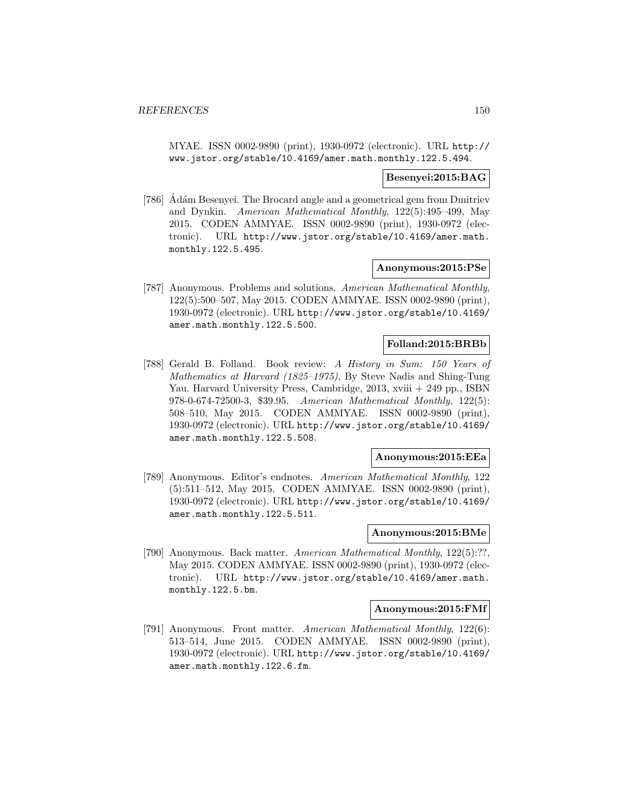MYAE. ISSN 0002-9890 (print), 1930-0972 (electronic). URL http:// www.jstor.org/stable/10.4169/amer.math.monthly.122.5.494.

#### **Besenyei:2015:BAG**

[786] Adám Besenyei. The Brocard angle and a geometrical gem from Dmitriev and Dynkin. American Mathematical Monthly, 122(5):495–499, May 2015. CODEN AMMYAE. ISSN 0002-9890 (print), 1930-0972 (electronic). URL http://www.jstor.org/stable/10.4169/amer.math. monthly.122.5.495.

#### **Anonymous:2015:PSe**

[787] Anonymous. Problems and solutions. American Mathematical Monthly, 122(5):500–507, May 2015. CODEN AMMYAE. ISSN 0002-9890 (print), 1930-0972 (electronic). URL http://www.jstor.org/stable/10.4169/ amer.math.monthly.122.5.500.

## **Folland:2015:BRBb**

[788] Gerald B. Folland. Book review: A History in Sum: 150 Years of Mathematics at Harvard (1825–1975), By Steve Nadis and Shing-Tung Yau. Harvard University Press, Cambridge, 2013, xviii + 249 pp., ISBN 978-0-674-72500-3, \$39.95. American Mathematical Monthly, 122(5): 508–510, May 2015. CODEN AMMYAE. ISSN 0002-9890 (print), 1930-0972 (electronic). URL http://www.jstor.org/stable/10.4169/ amer.math.monthly.122.5.508.

# **Anonymous:2015:EEa**

[789] Anonymous. Editor's endnotes. American Mathematical Monthly, 122 (5):511–512, May 2015. CODEN AMMYAE. ISSN 0002-9890 (print), 1930-0972 (electronic). URL http://www.jstor.org/stable/10.4169/ amer.math.monthly.122.5.511.

#### **Anonymous:2015:BMe**

[790] Anonymous. Back matter. American Mathematical Monthly, 122(5):??, May 2015. CODEN AMMYAE. ISSN 0002-9890 (print), 1930-0972 (electronic). URL http://www.jstor.org/stable/10.4169/amer.math. monthly.122.5.bm.

# **Anonymous:2015:FMf**

[791] Anonymous. Front matter. American Mathematical Monthly, 122(6): 513–514, June 2015. CODEN AMMYAE. ISSN 0002-9890 (print), 1930-0972 (electronic). URL http://www.jstor.org/stable/10.4169/ amer.math.monthly.122.6.fm.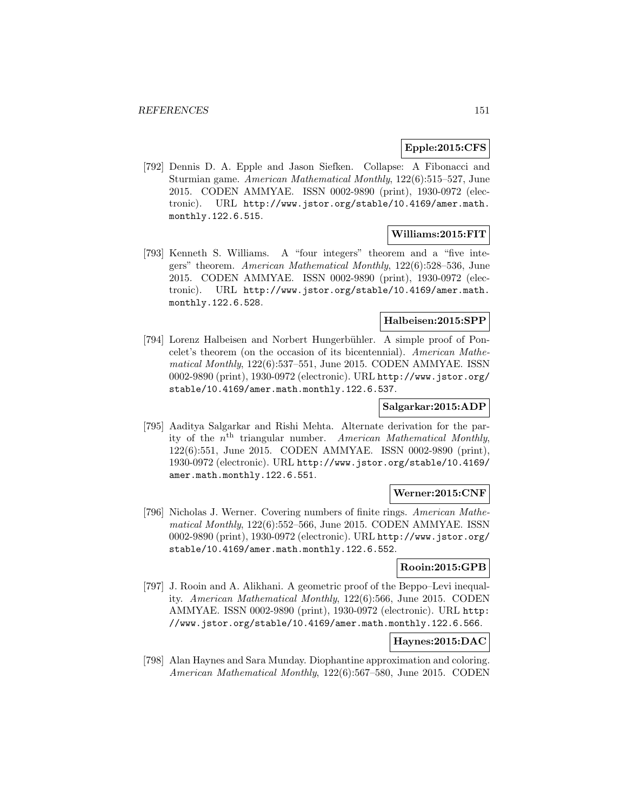# **Epple:2015:CFS**

[792] Dennis D. A. Epple and Jason Siefken. Collapse: A Fibonacci and Sturmian game. American Mathematical Monthly, 122(6):515–527, June 2015. CODEN AMMYAE. ISSN 0002-9890 (print), 1930-0972 (electronic). URL http://www.jstor.org/stable/10.4169/amer.math. monthly.122.6.515.

# **Williams:2015:FIT**

[793] Kenneth S. Williams. A "four integers" theorem and a "five integers" theorem. American Mathematical Monthly, 122(6):528–536, June 2015. CODEN AMMYAE. ISSN 0002-9890 (print), 1930-0972 (electronic). URL http://www.jstor.org/stable/10.4169/amer.math. monthly.122.6.528.

# **Halbeisen:2015:SPP**

[794] Lorenz Halbeisen and Norbert Hungerb¨uhler. A simple proof of Poncelet's theorem (on the occasion of its bicentennial). American Mathematical Monthly, 122(6):537–551, June 2015. CODEN AMMYAE. ISSN 0002-9890 (print), 1930-0972 (electronic). URL http://www.jstor.org/ stable/10.4169/amer.math.monthly.122.6.537.

## **Salgarkar:2015:ADP**

[795] Aaditya Salgarkar and Rishi Mehta. Alternate derivation for the parity of the  $n<sup>th</sup>$  triangular number. American Mathematical Monthly, 122(6):551, June 2015. CODEN AMMYAE. ISSN 0002-9890 (print), 1930-0972 (electronic). URL http://www.jstor.org/stable/10.4169/ amer.math.monthly.122.6.551.

## **Werner:2015:CNF**

[796] Nicholas J. Werner. Covering numbers of finite rings. American Mathematical Monthly, 122(6):552–566, June 2015. CODEN AMMYAE. ISSN 0002-9890 (print), 1930-0972 (electronic). URL http://www.jstor.org/ stable/10.4169/amer.math.monthly.122.6.552.

# **Rooin:2015:GPB**

[797] J. Rooin and A. Alikhani. A geometric proof of the Beppo–Levi inequality. American Mathematical Monthly, 122(6):566, June 2015. CODEN AMMYAE. ISSN 0002-9890 (print), 1930-0972 (electronic). URL http: //www.jstor.org/stable/10.4169/amer.math.monthly.122.6.566.

## **Haynes:2015:DAC**

[798] Alan Haynes and Sara Munday. Diophantine approximation and coloring. American Mathematical Monthly, 122(6):567–580, June 2015. CODEN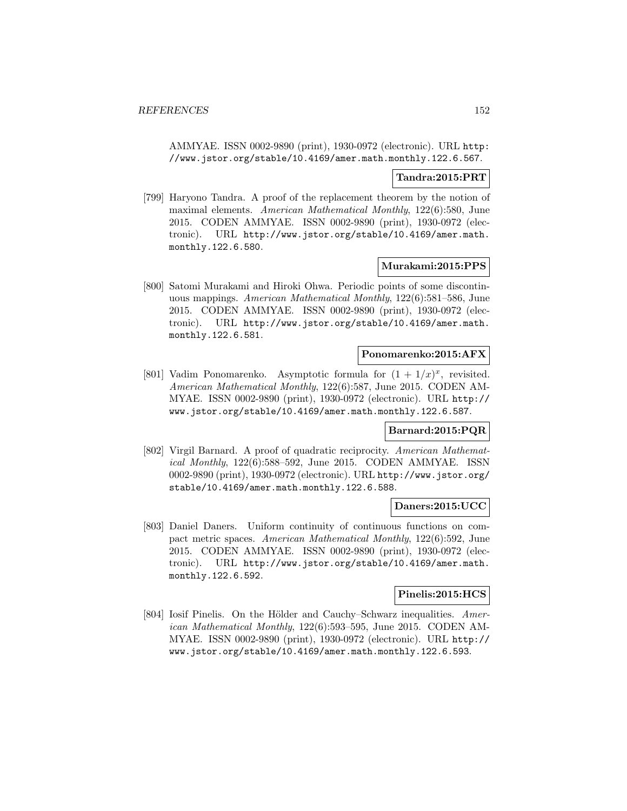AMMYAE. ISSN 0002-9890 (print), 1930-0972 (electronic). URL http: //www.jstor.org/stable/10.4169/amer.math.monthly.122.6.567.

### **Tandra:2015:PRT**

[799] Haryono Tandra. A proof of the replacement theorem by the notion of maximal elements. American Mathematical Monthly, 122(6):580, June 2015. CODEN AMMYAE. ISSN 0002-9890 (print), 1930-0972 (electronic). URL http://www.jstor.org/stable/10.4169/amer.math. monthly.122.6.580.

#### **Murakami:2015:PPS**

[800] Satomi Murakami and Hiroki Ohwa. Periodic points of some discontinuous mappings. American Mathematical Monthly, 122(6):581–586, June 2015. CODEN AMMYAE. ISSN 0002-9890 (print), 1930-0972 (electronic). URL http://www.jstor.org/stable/10.4169/amer.math. monthly.122.6.581.

# **Ponomarenko:2015:AFX**

[801] Vadim Ponomarenko. Asymptotic formula for  $(1 + 1/x)^x$ , revisited. American Mathematical Monthly, 122(6):587, June 2015. CODEN AM-MYAE. ISSN 0002-9890 (print), 1930-0972 (electronic). URL http:// www.jstor.org/stable/10.4169/amer.math.monthly.122.6.587.

# **Barnard:2015:PQR**

[802] Virgil Barnard. A proof of quadratic reciprocity. American Mathematical Monthly, 122(6):588–592, June 2015. CODEN AMMYAE. ISSN 0002-9890 (print), 1930-0972 (electronic). URL http://www.jstor.org/ stable/10.4169/amer.math.monthly.122.6.588.

### **Daners:2015:UCC**

[803] Daniel Daners. Uniform continuity of continuous functions on compact metric spaces. American Mathematical Monthly, 122(6):592, June 2015. CODEN AMMYAE. ISSN 0002-9890 (print), 1930-0972 (electronic). URL http://www.jstor.org/stable/10.4169/amer.math. monthly.122.6.592.

## **Pinelis:2015:HCS**

[804] Iosif Pinelis. On the Hölder and Cauchy–Schwarz inequalities. American Mathematical Monthly, 122(6):593–595, June 2015. CODEN AM-MYAE. ISSN 0002-9890 (print), 1930-0972 (electronic). URL http:// www.jstor.org/stable/10.4169/amer.math.monthly.122.6.593.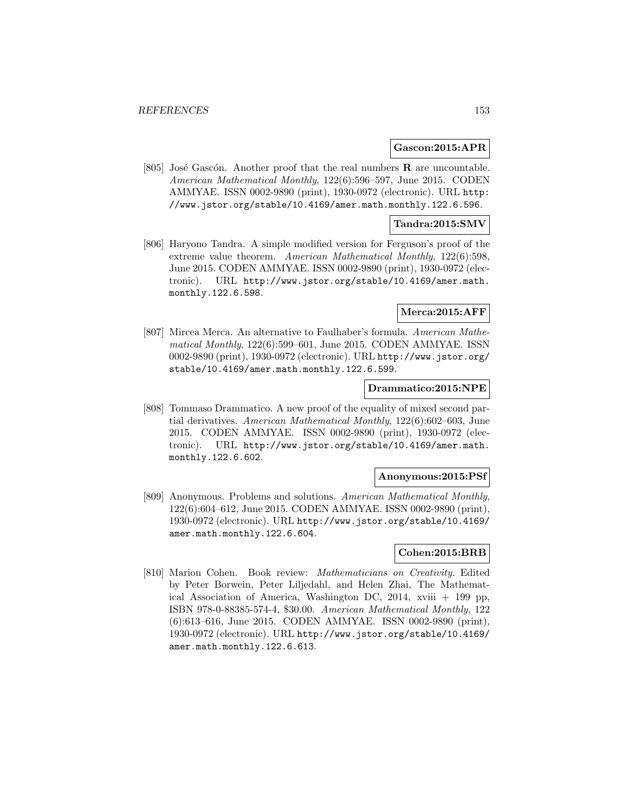#### **Gascon:2015:APR**

[805] José Gascón. Another proof that the real numbers  $\bf{R}$  are uncountable. American Mathematical Monthly, 122(6):596–597, June 2015. CODEN AMMYAE. ISSN 0002-9890 (print), 1930-0972 (electronic). URL http: //www.jstor.org/stable/10.4169/amer.math.monthly.122.6.596.

### **Tandra:2015:SMV**

[806] Haryono Tandra. A simple modified version for Ferguson's proof of the extreme value theorem. American Mathematical Monthly, 122(6):598, June 2015. CODEN AMMYAE. ISSN 0002-9890 (print), 1930-0972 (electronic). URL http://www.jstor.org/stable/10.4169/amer.math. monthly.122.6.598.

#### **Merca:2015:AFF**

[807] Mircea Merca. An alternative to Faulhaber's formula. American Mathematical Monthly, 122(6):599–601, June 2015. CODEN AMMYAE. ISSN 0002-9890 (print), 1930-0972 (electronic). URL http://www.jstor.org/ stable/10.4169/amer.math.monthly.122.6.599.

#### **Drammatico:2015:NPE**

[808] Tommaso Drammatico. A new proof of the equality of mixed second partial derivatives. American Mathematical Monthly, 122(6):602–603, June 2015. CODEN AMMYAE. ISSN 0002-9890 (print), 1930-0972 (electronic). URL http://www.jstor.org/stable/10.4169/amer.math. monthly.122.6.602.

#### **Anonymous:2015:PSf**

[809] Anonymous. Problems and solutions. American Mathematical Monthly, 122(6):604–612, June 2015. CODEN AMMYAE. ISSN 0002-9890 (print), 1930-0972 (electronic). URL http://www.jstor.org/stable/10.4169/ amer.math.monthly.122.6.604.

# **Cohen:2015:BRB**

[810] Marion Cohen. Book review: Mathematicians on Creativity. Edited by Peter Borwein, Peter Liljedahl, and Helen Zhai, The Mathematical Association of America, Washington DC, 2014, xviii + 199 pp, ISBN 978-0-88385-574-4, \$30.00. American Mathematical Monthly, 122 (6):613–616, June 2015. CODEN AMMYAE. ISSN 0002-9890 (print), 1930-0972 (electronic). URL http://www.jstor.org/stable/10.4169/ amer.math.monthly.122.6.613.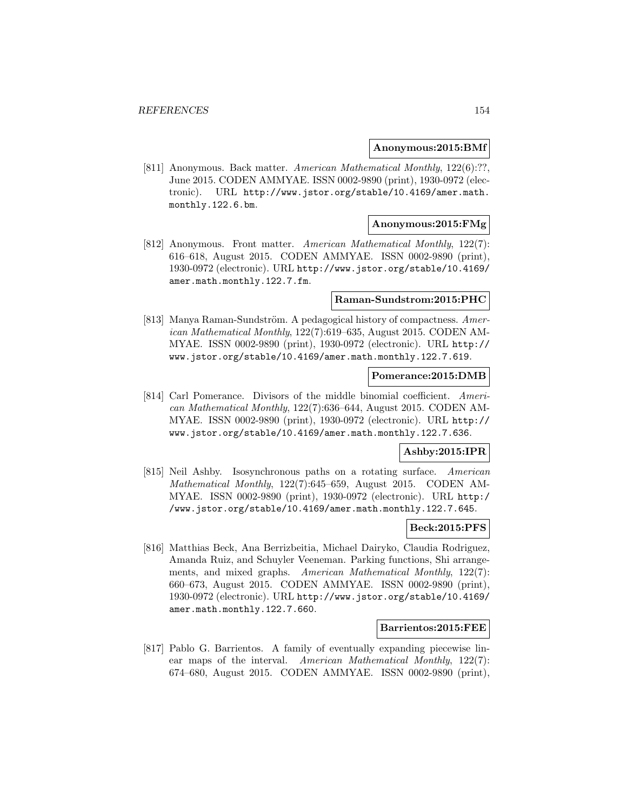#### **Anonymous:2015:BMf**

[811] Anonymous. Back matter. American Mathematical Monthly, 122(6):??, June 2015. CODEN AMMYAE. ISSN 0002-9890 (print), 1930-0972 (electronic). URL http://www.jstor.org/stable/10.4169/amer.math. monthly.122.6.bm.

## **Anonymous:2015:FMg**

[812] Anonymous. Front matter. American Mathematical Monthly, 122(7): 616–618, August 2015. CODEN AMMYAE. ISSN 0002-9890 (print), 1930-0972 (electronic). URL http://www.jstor.org/stable/10.4169/ amer.math.monthly.122.7.fm.

#### **Raman-Sundstrom:2015:PHC**

[813] Manya Raman-Sundström. A pedagogical history of compactness. American Mathematical Monthly, 122(7):619–635, August 2015. CODEN AM-MYAE. ISSN 0002-9890 (print), 1930-0972 (electronic). URL http:// www.jstor.org/stable/10.4169/amer.math.monthly.122.7.619.

#### **Pomerance:2015:DMB**

[814] Carl Pomerance. Divisors of the middle binomial coefficient. American Mathematical Monthly, 122(7):636–644, August 2015. CODEN AM-MYAE. ISSN 0002-9890 (print), 1930-0972 (electronic). URL http:// www.jstor.org/stable/10.4169/amer.math.monthly.122.7.636.

## **Ashby:2015:IPR**

[815] Neil Ashby. Isosynchronous paths on a rotating surface. American Mathematical Monthly, 122(7):645–659, August 2015. CODEN AM-MYAE. ISSN 0002-9890 (print), 1930-0972 (electronic). URL http:/ /www.jstor.org/stable/10.4169/amer.math.monthly.122.7.645.

#### **Beck:2015:PFS**

[816] Matthias Beck, Ana Berrizbeitia, Michael Dairyko, Claudia Rodriguez, Amanda Ruiz, and Schuyler Veeneman. Parking functions, Shi arrangements, and mixed graphs. American Mathematical Monthly, 122(7): 660–673, August 2015. CODEN AMMYAE. ISSN 0002-9890 (print), 1930-0972 (electronic). URL http://www.jstor.org/stable/10.4169/ amer.math.monthly.122.7.660.

#### **Barrientos:2015:FEE**

[817] Pablo G. Barrientos. A family of eventually expanding piecewise linear maps of the interval. American Mathematical Monthly, 122(7): 674–680, August 2015. CODEN AMMYAE. ISSN 0002-9890 (print),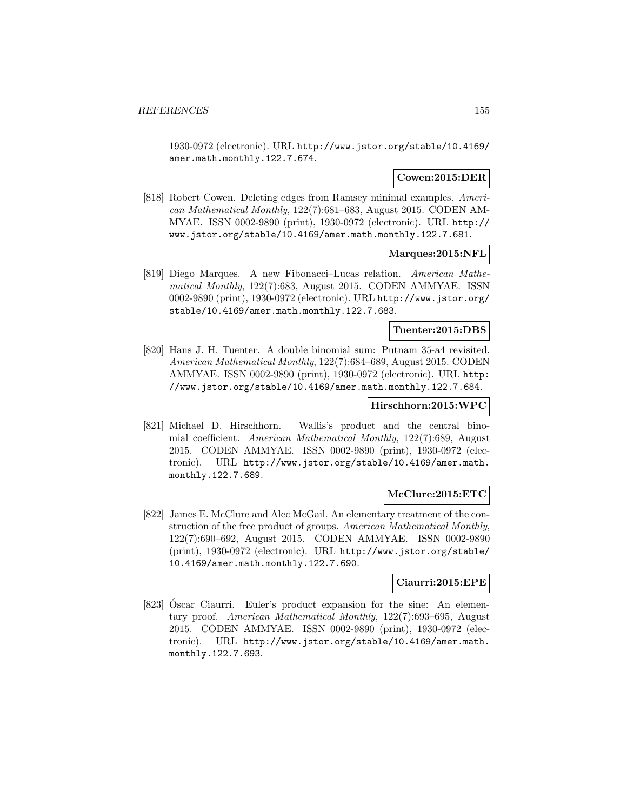1930-0972 (electronic). URL http://www.jstor.org/stable/10.4169/ amer.math.monthly.122.7.674.

## **Cowen:2015:DER**

[818] Robert Cowen. Deleting edges from Ramsey minimal examples. American Mathematical Monthly, 122(7):681–683, August 2015. CODEN AM-MYAE. ISSN 0002-9890 (print), 1930-0972 (electronic). URL http:// www.jstor.org/stable/10.4169/amer.math.monthly.122.7.681.

# **Marques:2015:NFL**

[819] Diego Marques. A new Fibonacci–Lucas relation. American Mathematical Monthly, 122(7):683, August 2015. CODEN AMMYAE. ISSN 0002-9890 (print), 1930-0972 (electronic). URL http://www.jstor.org/ stable/10.4169/amer.math.monthly.122.7.683.

# **Tuenter:2015:DBS**

[820] Hans J. H. Tuenter. A double binomial sum: Putnam 35-a4 revisited. American Mathematical Monthly, 122(7):684–689, August 2015. CODEN AMMYAE. ISSN 0002-9890 (print), 1930-0972 (electronic). URL http: //www.jstor.org/stable/10.4169/amer.math.monthly.122.7.684.

# **Hirschhorn:2015:WPC**

[821] Michael D. Hirschhorn. Wallis's product and the central binomial coefficient. American Mathematical Monthly, 122(7):689, August 2015. CODEN AMMYAE. ISSN 0002-9890 (print), 1930-0972 (electronic). URL http://www.jstor.org/stable/10.4169/amer.math. monthly.122.7.689.

## **McClure:2015:ETC**

[822] James E. McClure and Alec McGail. An elementary treatment of the construction of the free product of groups. American Mathematical Monthly, 122(7):690–692, August 2015. CODEN AMMYAE. ISSN 0002-9890 (print), 1930-0972 (electronic). URL http://www.jstor.org/stable/ 10.4169/amer.math.monthly.122.7.690.

## **Ciaurri:2015:EPE**

[823] Oscar Ciaurri. Euler's product expansion for the sine: An elementary proof. American Mathematical Monthly, 122(7):693–695, August 2015. CODEN AMMYAE. ISSN 0002-9890 (print), 1930-0972 (electronic). URL http://www.jstor.org/stable/10.4169/amer.math. monthly.122.7.693.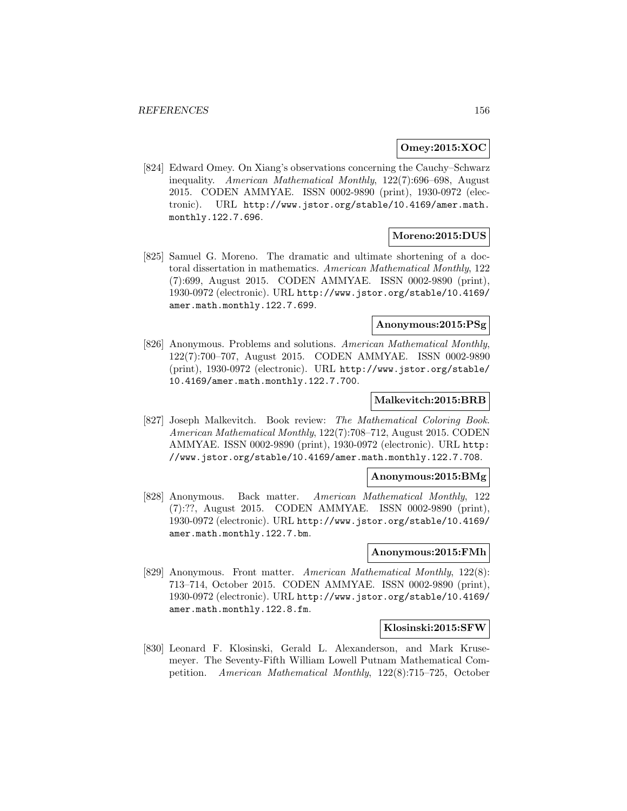### **Omey:2015:XOC**

[824] Edward Omey. On Xiang's observations concerning the Cauchy–Schwarz inequality. American Mathematical Monthly, 122(7):696–698, August 2015. CODEN AMMYAE. ISSN 0002-9890 (print), 1930-0972 (electronic). URL http://www.jstor.org/stable/10.4169/amer.math. monthly.122.7.696.

## **Moreno:2015:DUS**

[825] Samuel G. Moreno. The dramatic and ultimate shortening of a doctoral dissertation in mathematics. American Mathematical Monthly, 122 (7):699, August 2015. CODEN AMMYAE. ISSN 0002-9890 (print), 1930-0972 (electronic). URL http://www.jstor.org/stable/10.4169/ amer.math.monthly.122.7.699.

## **Anonymous:2015:PSg**

[826] Anonymous. Problems and solutions. American Mathematical Monthly, 122(7):700–707, August 2015. CODEN AMMYAE. ISSN 0002-9890 (print), 1930-0972 (electronic). URL http://www.jstor.org/stable/ 10.4169/amer.math.monthly.122.7.700.

#### **Malkevitch:2015:BRB**

[827] Joseph Malkevitch. Book review: The Mathematical Coloring Book. American Mathematical Monthly, 122(7):708–712, August 2015. CODEN AMMYAE. ISSN 0002-9890 (print), 1930-0972 (electronic). URL http: //www.jstor.org/stable/10.4169/amer.math.monthly.122.7.708.

#### **Anonymous:2015:BMg**

[828] Anonymous. Back matter. American Mathematical Monthly, 122 (7):??, August 2015. CODEN AMMYAE. ISSN 0002-9890 (print), 1930-0972 (electronic). URL http://www.jstor.org/stable/10.4169/ amer.math.monthly.122.7.bm.

#### **Anonymous:2015:FMh**

[829] Anonymous. Front matter. American Mathematical Monthly, 122(8): 713–714, October 2015. CODEN AMMYAE. ISSN 0002-9890 (print), 1930-0972 (electronic). URL http://www.jstor.org/stable/10.4169/ amer.math.monthly.122.8.fm.

#### **Klosinski:2015:SFW**

[830] Leonard F. Klosinski, Gerald L. Alexanderson, and Mark Krusemeyer. The Seventy-Fifth William Lowell Putnam Mathematical Competition. American Mathematical Monthly, 122(8):715–725, October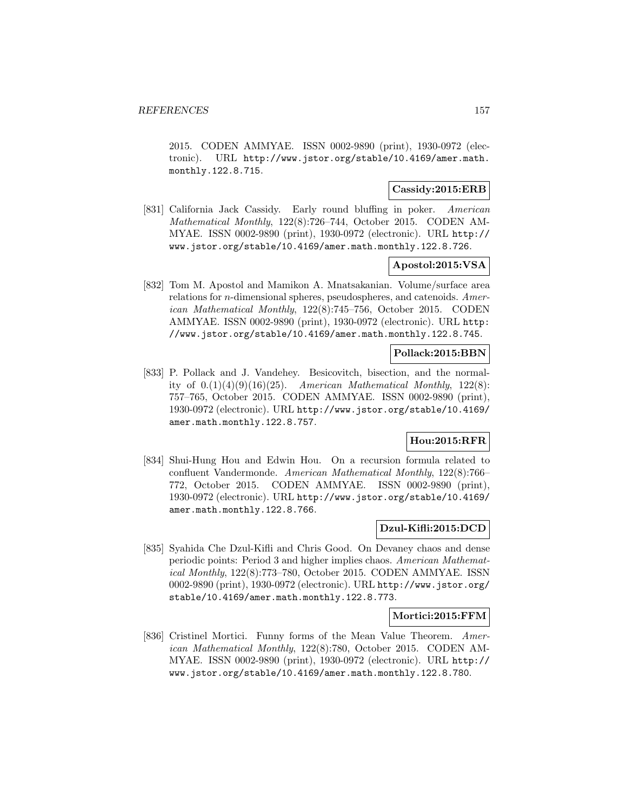2015. CODEN AMMYAE. ISSN 0002-9890 (print), 1930-0972 (electronic). URL http://www.jstor.org/stable/10.4169/amer.math. monthly.122.8.715.

# **Cassidy:2015:ERB**

[831] California Jack Cassidy. Early round bluffing in poker. American Mathematical Monthly, 122(8):726–744, October 2015. CODEN AM-MYAE. ISSN 0002-9890 (print), 1930-0972 (electronic). URL http:// www.jstor.org/stable/10.4169/amer.math.monthly.122.8.726.

# **Apostol:2015:VSA**

[832] Tom M. Apostol and Mamikon A. Mnatsakanian. Volume/surface area relations for n-dimensional spheres, pseudospheres, and catenoids. American Mathematical Monthly, 122(8):745–756, October 2015. CODEN AMMYAE. ISSN 0002-9890 (print), 1930-0972 (electronic). URL http: //www.jstor.org/stable/10.4169/amer.math.monthly.122.8.745.

## **Pollack:2015:BBN**

[833] P. Pollack and J. Vandehey. Besicovitch, bisection, and the normality of  $0.1()(4)(9)(16)(25)$ . American Mathematical Monthly, 122(8): 757–765, October 2015. CODEN AMMYAE. ISSN 0002-9890 (print), 1930-0972 (electronic). URL http://www.jstor.org/stable/10.4169/ amer.math.monthly.122.8.757.

# **Hou:2015:RFR**

[834] Shui-Hung Hou and Edwin Hou. On a recursion formula related to confluent Vandermonde. American Mathematical Monthly, 122(8):766– 772, October 2015. CODEN AMMYAE. ISSN 0002-9890 (print), 1930-0972 (electronic). URL http://www.jstor.org/stable/10.4169/ amer.math.monthly.122.8.766.

#### **Dzul-Kifli:2015:DCD**

[835] Syahida Che Dzul-Kifli and Chris Good. On Devaney chaos and dense periodic points: Period 3 and higher implies chaos. American Mathematical Monthly, 122(8):773–780, October 2015. CODEN AMMYAE. ISSN 0002-9890 (print), 1930-0972 (electronic). URL http://www.jstor.org/ stable/10.4169/amer.math.monthly.122.8.773.

## **Mortici:2015:FFM**

[836] Cristinel Mortici. Funny forms of the Mean Value Theorem. American Mathematical Monthly, 122(8):780, October 2015. CODEN AM-MYAE. ISSN 0002-9890 (print), 1930-0972 (electronic). URL http:// www.jstor.org/stable/10.4169/amer.math.monthly.122.8.780.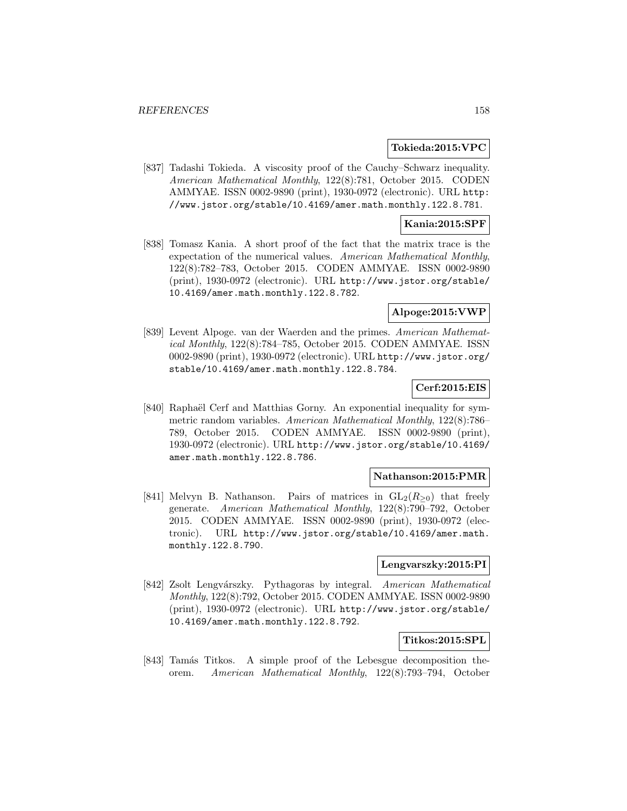#### **Tokieda:2015:VPC**

[837] Tadashi Tokieda. A viscosity proof of the Cauchy–Schwarz inequality. American Mathematical Monthly, 122(8):781, October 2015. CODEN AMMYAE. ISSN 0002-9890 (print), 1930-0972 (electronic). URL http: //www.jstor.org/stable/10.4169/amer.math.monthly.122.8.781.

## **Kania:2015:SPF**

[838] Tomasz Kania. A short proof of the fact that the matrix trace is the expectation of the numerical values. American Mathematical Monthly, 122(8):782–783, October 2015. CODEN AMMYAE. ISSN 0002-9890 (print), 1930-0972 (electronic). URL http://www.jstor.org/stable/ 10.4169/amer.math.monthly.122.8.782.

## **Alpoge:2015:VWP**

[839] Levent Alpoge. van der Waerden and the primes. American Mathematical Monthly, 122(8):784–785, October 2015. CODEN AMMYAE. ISSN 0002-9890 (print), 1930-0972 (electronic). URL http://www.jstor.org/ stable/10.4169/amer.math.monthly.122.8.784.

# **Cerf:2015:EIS**

[840] Raphaël Cerf and Matthias Gorny. An exponential inequality for symmetric random variables. American Mathematical Monthly, 122(8):786– 789, October 2015. CODEN AMMYAE. ISSN 0002-9890 (print), 1930-0972 (electronic). URL http://www.jstor.org/stable/10.4169/ amer.math.monthly.122.8.786.

## **Nathanson:2015:PMR**

[841] Melvyn B. Nathanson. Pairs of matrices in  $GL_2(R_{\geq 0})$  that freely generate. American Mathematical Monthly, 122(8):790–792, October 2015. CODEN AMMYAE. ISSN 0002-9890 (print), 1930-0972 (electronic). URL http://www.jstor.org/stable/10.4169/amer.math. monthly.122.8.790.

#### **Lengvarszky:2015:PI**

[842] Zsolt Lengvárszky. Pythagoras by integral. American Mathematical Monthly, 122(8):792, October 2015. CODEN AMMYAE. ISSN 0002-9890 (print), 1930-0972 (electronic). URL http://www.jstor.org/stable/ 10.4169/amer.math.monthly.122.8.792.

#### **Titkos:2015:SPL**

[843] Tamás Titkos. A simple proof of the Lebesgue decomposition theorem. American Mathematical Monthly, 122(8):793–794, October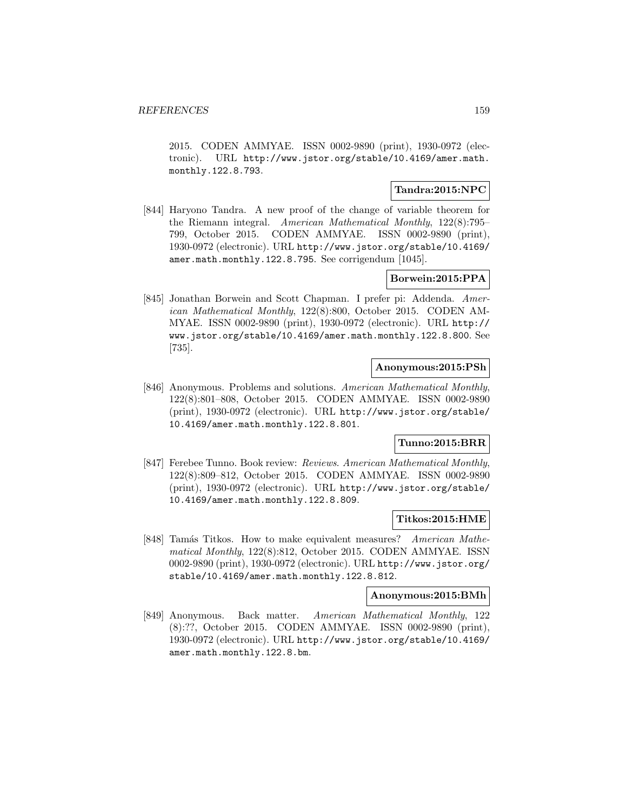2015. CODEN AMMYAE. ISSN 0002-9890 (print), 1930-0972 (electronic). URL http://www.jstor.org/stable/10.4169/amer.math. monthly.122.8.793.

# **Tandra:2015:NPC**

[844] Haryono Tandra. A new proof of the change of variable theorem for the Riemann integral. American Mathematical Monthly, 122(8):795– 799, October 2015. CODEN AMMYAE. ISSN 0002-9890 (print), 1930-0972 (electronic). URL http://www.jstor.org/stable/10.4169/ amer.math.monthly.122.8.795. See corrigendum [1045].

# **Borwein:2015:PPA**

[845] Jonathan Borwein and Scott Chapman. I prefer pi: Addenda. American Mathematical Monthly, 122(8):800, October 2015. CODEN AM-MYAE. ISSN 0002-9890 (print), 1930-0972 (electronic). URL http:// www.jstor.org/stable/10.4169/amer.math.monthly.122.8.800. See [735].

#### **Anonymous:2015:PSh**

[846] Anonymous. Problems and solutions. American Mathematical Monthly, 122(8):801–808, October 2015. CODEN AMMYAE. ISSN 0002-9890 (print), 1930-0972 (electronic). URL http://www.jstor.org/stable/ 10.4169/amer.math.monthly.122.8.801.

## **Tunno:2015:BRR**

[847] Ferebee Tunno. Book review: Reviews. American Mathematical Monthly, 122(8):809–812, October 2015. CODEN AMMYAE. ISSN 0002-9890 (print), 1930-0972 (electronic). URL http://www.jstor.org/stable/ 10.4169/amer.math.monthly.122.8.809.

#### **Titkos:2015:HME**

[848] Tamás Titkos. How to make equivalent measures? American Mathematical Monthly, 122(8):812, October 2015. CODEN AMMYAE. ISSN 0002-9890 (print), 1930-0972 (electronic). URL http://www.jstor.org/ stable/10.4169/amer.math.monthly.122.8.812.

#### **Anonymous:2015:BMh**

[849] Anonymous. Back matter. American Mathematical Monthly, 122 (8):??, October 2015. CODEN AMMYAE. ISSN 0002-9890 (print), 1930-0972 (electronic). URL http://www.jstor.org/stable/10.4169/ amer.math.monthly.122.8.bm.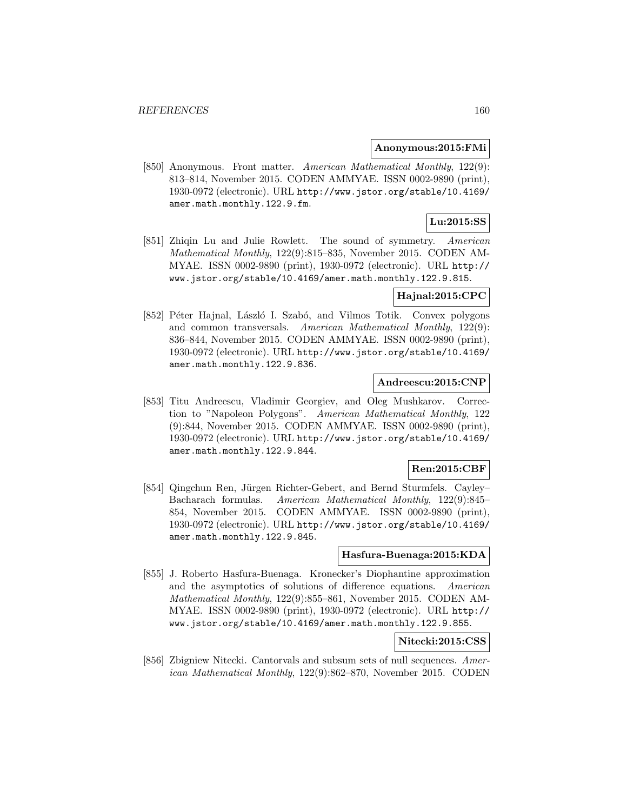#### **Anonymous:2015:FMi**

[850] Anonymous. Front matter. American Mathematical Monthly, 122(9): 813–814, November 2015. CODEN AMMYAE. ISSN 0002-9890 (print), 1930-0972 (electronic). URL http://www.jstor.org/stable/10.4169/ amer.math.monthly.122.9.fm.

# **Lu:2015:SS**

[851] Zhiqin Lu and Julie Rowlett. The sound of symmetry. American Mathematical Monthly, 122(9):815–835, November 2015. CODEN AM-MYAE. ISSN 0002-9890 (print), 1930-0972 (electronic). URL http:// www.jstor.org/stable/10.4169/amer.math.monthly.122.9.815.

# **Hajnal:2015:CPC**

[852] Péter Hajnal, László I. Szabó, and Vilmos Totik. Convex polygons and common transversals. American Mathematical Monthly, 122(9): 836–844, November 2015. CODEN AMMYAE. ISSN 0002-9890 (print), 1930-0972 (electronic). URL http://www.jstor.org/stable/10.4169/ amer.math.monthly.122.9.836.

### **Andreescu:2015:CNP**

[853] Titu Andreescu, Vladimir Georgiev, and Oleg Mushkarov. Correction to "Napoleon Polygons". American Mathematical Monthly, 122 (9):844, November 2015. CODEN AMMYAE. ISSN 0002-9890 (print), 1930-0972 (electronic). URL http://www.jstor.org/stable/10.4169/ amer.math.monthly.122.9.844.

## **Ren:2015:CBF**

[854] Qingchun Ren, Jürgen Richter-Gebert, and Bernd Sturmfels. Cayley– Bacharach formulas. American Mathematical Monthly, 122(9):845– 854, November 2015. CODEN AMMYAE. ISSN 0002-9890 (print), 1930-0972 (electronic). URL http://www.jstor.org/stable/10.4169/ amer.math.monthly.122.9.845.

## **Hasfura-Buenaga:2015:KDA**

[855] J. Roberto Hasfura-Buenaga. Kronecker's Diophantine approximation and the asymptotics of solutions of difference equations. American Mathematical Monthly, 122(9):855–861, November 2015. CODEN AM-MYAE. ISSN 0002-9890 (print), 1930-0972 (electronic). URL http:// www.jstor.org/stable/10.4169/amer.math.monthly.122.9.855.

#### **Nitecki:2015:CSS**

[856] Zbigniew Nitecki. Cantorvals and subsum sets of null sequences. American Mathematical Monthly, 122(9):862–870, November 2015. CODEN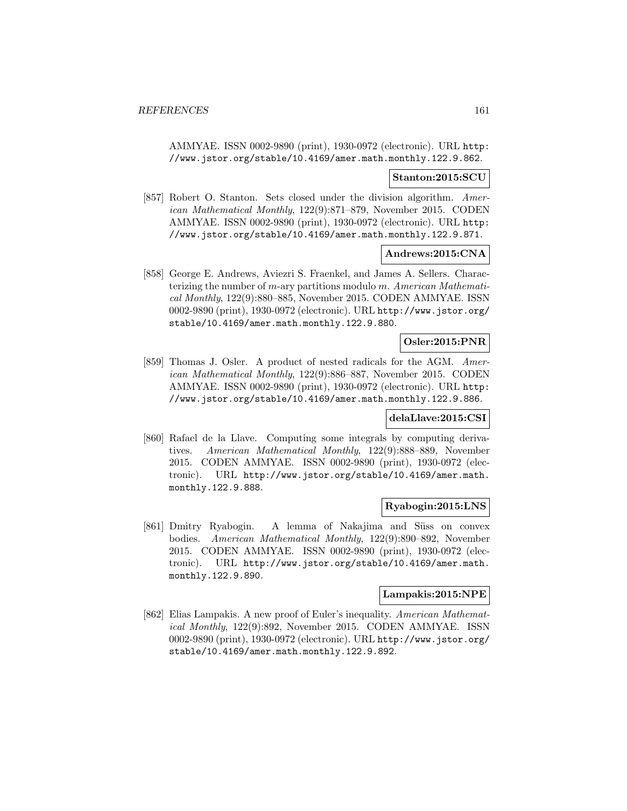AMMYAE. ISSN 0002-9890 (print), 1930-0972 (electronic). URL http: //www.jstor.org/stable/10.4169/amer.math.monthly.122.9.862.

### **Stanton:2015:SCU**

[857] Robert O. Stanton. Sets closed under the division algorithm. American Mathematical Monthly, 122(9):871–879, November 2015. CODEN AMMYAE. ISSN 0002-9890 (print), 1930-0972 (electronic). URL http: //www.jstor.org/stable/10.4169/amer.math.monthly.122.9.871.

#### **Andrews:2015:CNA**

[858] George E. Andrews, Aviezri S. Fraenkel, and James A. Sellers. Characterizing the number of  $m$ -ary partitions modulo  $m$ . American Mathematical Monthly, 122(9):880–885, November 2015. CODEN AMMYAE. ISSN 0002-9890 (print), 1930-0972 (electronic). URL http://www.jstor.org/ stable/10.4169/amer.math.monthly.122.9.880.

### **Osler:2015:PNR**

[859] Thomas J. Osler. A product of nested radicals for the AGM. American Mathematical Monthly, 122(9):886–887, November 2015. CODEN AMMYAE. ISSN 0002-9890 (print), 1930-0972 (electronic). URL http: //www.jstor.org/stable/10.4169/amer.math.monthly.122.9.886.

#### **delaLlave:2015:CSI**

[860] Rafael de la Llave. Computing some integrals by computing derivatives. American Mathematical Monthly, 122(9):888–889, November 2015. CODEN AMMYAE. ISSN 0002-9890 (print), 1930-0972 (electronic). URL http://www.jstor.org/stable/10.4169/amer.math. monthly.122.9.888.

## **Ryabogin:2015:LNS**

[861] Dmitry Ryabogin. A lemma of Nakajima and Süss on convex bodies. American Mathematical Monthly, 122(9):890–892, November 2015. CODEN AMMYAE. ISSN 0002-9890 (print), 1930-0972 (electronic). URL http://www.jstor.org/stable/10.4169/amer.math. monthly.122.9.890.

# **Lampakis:2015:NPE**

[862] Elias Lampakis. A new proof of Euler's inequality. American Mathematical Monthly, 122(9):892, November 2015. CODEN AMMYAE. ISSN 0002-9890 (print), 1930-0972 (electronic). URL http://www.jstor.org/ stable/10.4169/amer.math.monthly.122.9.892.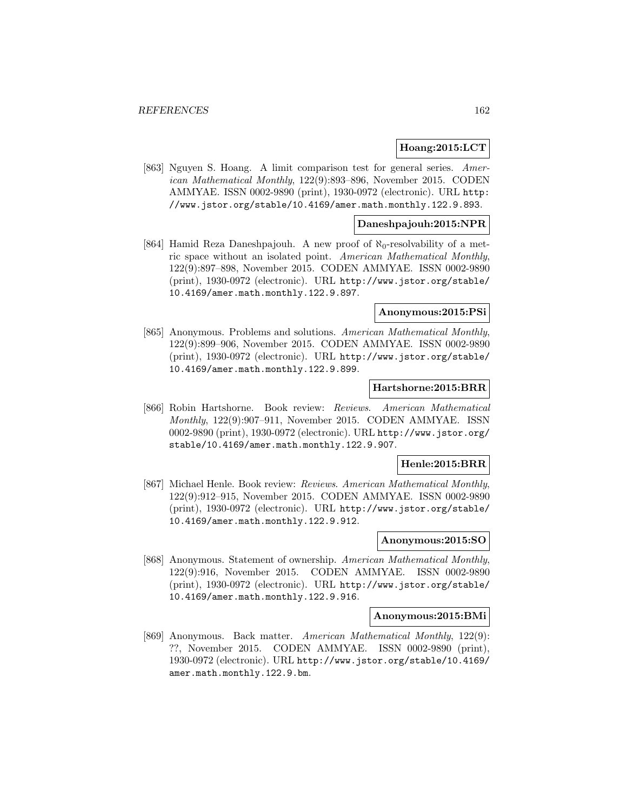#### **Hoang:2015:LCT**

[863] Nguyen S. Hoang. A limit comparison test for general series. American Mathematical Monthly, 122(9):893–896, November 2015. CODEN AMMYAE. ISSN 0002-9890 (print), 1930-0972 (electronic). URL http: //www.jstor.org/stable/10.4169/amer.math.monthly.122.9.893.

#### **Daneshpajouh:2015:NPR**

[864] Hamid Reza Daneshpajouh. A new proof of  $\aleph_0$ -resolvability of a metric space without an isolated point. American Mathematical Monthly, 122(9):897–898, November 2015. CODEN AMMYAE. ISSN 0002-9890 (print), 1930-0972 (electronic). URL http://www.jstor.org/stable/ 10.4169/amer.math.monthly.122.9.897.

#### **Anonymous:2015:PSi**

[865] Anonymous. Problems and solutions. American Mathematical Monthly, 122(9):899–906, November 2015. CODEN AMMYAE. ISSN 0002-9890 (print), 1930-0972 (electronic). URL http://www.jstor.org/stable/ 10.4169/amer.math.monthly.122.9.899.

### **Hartshorne:2015:BRR**

[866] Robin Hartshorne. Book review: Reviews. American Mathematical Monthly, 122(9):907–911, November 2015. CODEN AMMYAE. ISSN 0002-9890 (print), 1930-0972 (electronic). URL http://www.jstor.org/ stable/10.4169/amer.math.monthly.122.9.907.

## **Henle:2015:BRR**

[867] Michael Henle. Book review: Reviews. American Mathematical Monthly, 122(9):912–915, November 2015. CODEN AMMYAE. ISSN 0002-9890 (print), 1930-0972 (electronic). URL http://www.jstor.org/stable/ 10.4169/amer.math.monthly.122.9.912.

## **Anonymous:2015:SO**

[868] Anonymous. Statement of ownership. American Mathematical Monthly, 122(9):916, November 2015. CODEN AMMYAE. ISSN 0002-9890 (print), 1930-0972 (electronic). URL http://www.jstor.org/stable/ 10.4169/amer.math.monthly.122.9.916.

#### **Anonymous:2015:BMi**

[869] Anonymous. Back matter. American Mathematical Monthly, 122(9): ??, November 2015. CODEN AMMYAE. ISSN 0002-9890 (print), 1930-0972 (electronic). URL http://www.jstor.org/stable/10.4169/ amer.math.monthly.122.9.bm.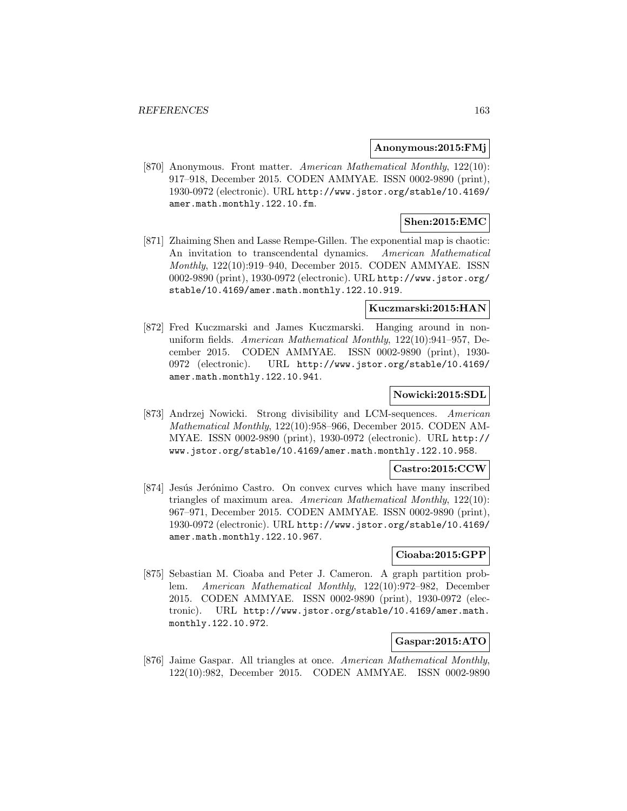### **Anonymous:2015:FMj**

[870] Anonymous. Front matter. American Mathematical Monthly, 122(10): 917–918, December 2015. CODEN AMMYAE. ISSN 0002-9890 (print), 1930-0972 (electronic). URL http://www.jstor.org/stable/10.4169/ amer.math.monthly.122.10.fm.

# **Shen:2015:EMC**

[871] Zhaiming Shen and Lasse Rempe-Gillen. The exponential map is chaotic: An invitation to transcendental dynamics. American Mathematical Monthly, 122(10):919–940, December 2015. CODEN AMMYAE. ISSN 0002-9890 (print), 1930-0972 (electronic). URL http://www.jstor.org/ stable/10.4169/amer.math.monthly.122.10.919.

#### **Kuczmarski:2015:HAN**

[872] Fred Kuczmarski and James Kuczmarski. Hanging around in nonuniform fields. American Mathematical Monthly, 122(10):941–957, December 2015. CODEN AMMYAE. ISSN 0002-9890 (print), 1930- 0972 (electronic). URL http://www.jstor.org/stable/10.4169/ amer.math.monthly.122.10.941.

## **Nowicki:2015:SDL**

[873] Andrzej Nowicki. Strong divisibility and LCM-sequences. American Mathematical Monthly, 122(10):958–966, December 2015. CODEN AM-MYAE. ISSN 0002-9890 (print), 1930-0972 (electronic). URL http:// www.jstor.org/stable/10.4169/amer.math.monthly.122.10.958.

### **Castro:2015:CCW**

[874] Jesús Jerónimo Castro. On convex curves which have many inscribed triangles of maximum area. American Mathematical Monthly, 122(10): 967–971, December 2015. CODEN AMMYAE. ISSN 0002-9890 (print), 1930-0972 (electronic). URL http://www.jstor.org/stable/10.4169/ amer.math.monthly.122.10.967.

#### **Cioaba:2015:GPP**

[875] Sebastian M. Cioaba and Peter J. Cameron. A graph partition problem. American Mathematical Monthly, 122(10):972–982, December 2015. CODEN AMMYAE. ISSN 0002-9890 (print), 1930-0972 (electronic). URL http://www.jstor.org/stable/10.4169/amer.math. monthly.122.10.972.

## **Gaspar:2015:ATO**

[876] Jaime Gaspar. All triangles at once. American Mathematical Monthly, 122(10):982, December 2015. CODEN AMMYAE. ISSN 0002-9890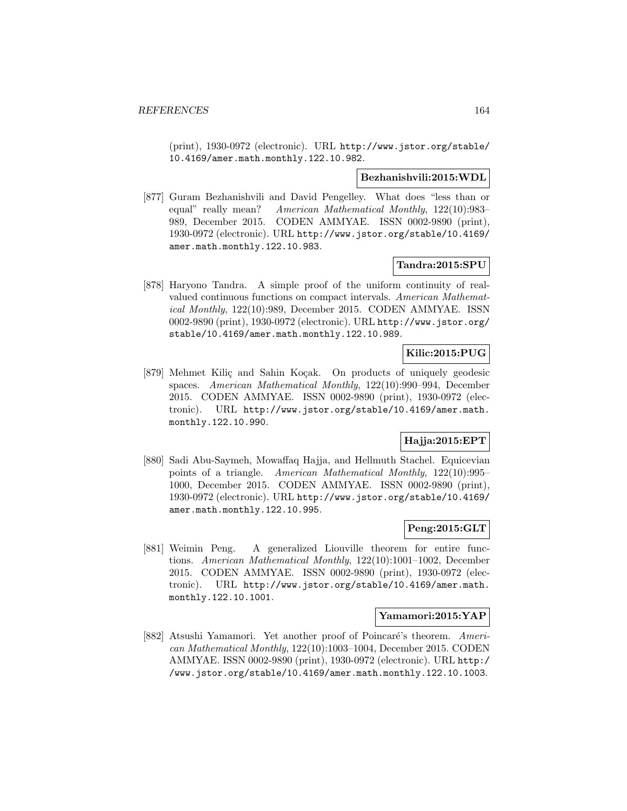(print), 1930-0972 (electronic). URL http://www.jstor.org/stable/ 10.4169/amer.math.monthly.122.10.982.

#### **Bezhanishvili:2015:WDL**

[877] Guram Bezhanishvili and David Pengelley. What does "less than or equal" really mean? American Mathematical Monthly, 122(10):983– 989, December 2015. CODEN AMMYAE. ISSN 0002-9890 (print), 1930-0972 (electronic). URL http://www.jstor.org/stable/10.4169/ amer.math.monthly.122.10.983.

### **Tandra:2015:SPU**

[878] Haryono Tandra. A simple proof of the uniform continuity of realvalued continuous functions on compact intervals. American Mathematical Monthly, 122(10):989, December 2015. CODEN AMMYAE. ISSN 0002-9890 (print), 1930-0972 (electronic). URL http://www.jstor.org/ stable/10.4169/amer.math.monthly.122.10.989.

# **Kilic:2015:PUG**

[879] Mehmet Kiliç and Sahin Koçak. On products of uniquely geodesic spaces. American Mathematical Monthly, 122(10):990–994, December 2015. CODEN AMMYAE. ISSN 0002-9890 (print), 1930-0972 (electronic). URL http://www.jstor.org/stable/10.4169/amer.math. monthly.122.10.990.

# **Hajja:2015:EPT**

[880] Sadi Abu-Saymeh, Mowaffaq Hajja, and Hellmuth Stachel. Equicevian points of a triangle. American Mathematical Monthly, 122(10):995– 1000, December 2015. CODEN AMMYAE. ISSN 0002-9890 (print), 1930-0972 (electronic). URL http://www.jstor.org/stable/10.4169/ amer.math.monthly.122.10.995.

## **Peng:2015:GLT**

[881] Weimin Peng. A generalized Liouville theorem for entire functions. American Mathematical Monthly, 122(10):1001–1002, December 2015. CODEN AMMYAE. ISSN 0002-9890 (print), 1930-0972 (electronic). URL http://www.jstor.org/stable/10.4169/amer.math. monthly.122.10.1001.

#### **Yamamori:2015:YAP**

[882] Atsushi Yamamori. Yet another proof of Poincaré's theorem. American Mathematical Monthly, 122(10):1003–1004, December 2015. CODEN AMMYAE. ISSN 0002-9890 (print), 1930-0972 (electronic). URL http:/ /www.jstor.org/stable/10.4169/amer.math.monthly.122.10.1003.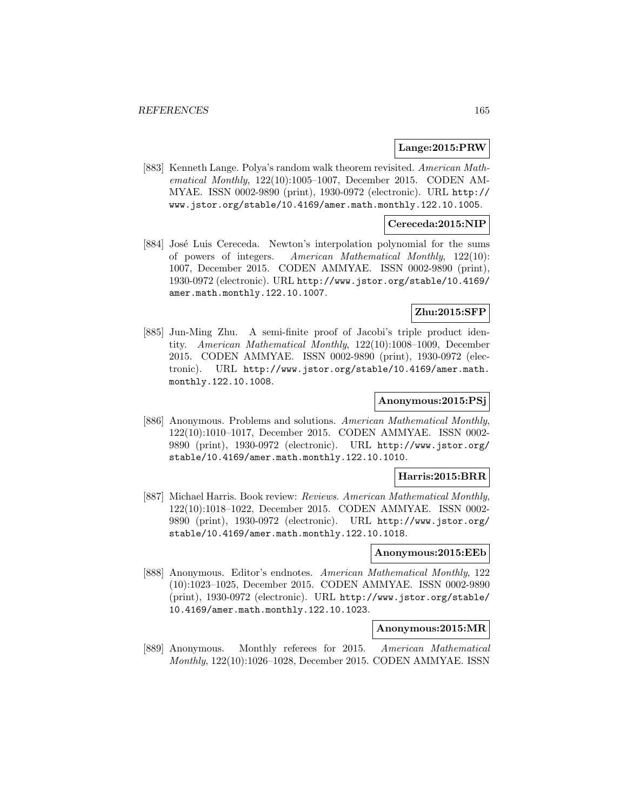#### **Lange:2015:PRW**

[883] Kenneth Lange. Polya's random walk theorem revisited. American Mathematical Monthly, 122(10):1005–1007, December 2015. CODEN AM-MYAE. ISSN 0002-9890 (print), 1930-0972 (electronic). URL http:// www.jstor.org/stable/10.4169/amer.math.monthly.122.10.1005.

#### **Cereceda:2015:NIP**

[884] José Luis Cereceda. Newton's interpolation polynomial for the sums of powers of integers. American Mathematical Monthly, 122(10): 1007, December 2015. CODEN AMMYAE. ISSN 0002-9890 (print), 1930-0972 (electronic). URL http://www.jstor.org/stable/10.4169/ amer.math.monthly.122.10.1007.

## **Zhu:2015:SFP**

[885] Jun-Ming Zhu. A semi-finite proof of Jacobi's triple product identity. American Mathematical Monthly, 122(10):1008–1009, December 2015. CODEN AMMYAE. ISSN 0002-9890 (print), 1930-0972 (electronic). URL http://www.jstor.org/stable/10.4169/amer.math. monthly.122.10.1008.

## **Anonymous:2015:PSj**

[886] Anonymous. Problems and solutions. American Mathematical Monthly, 122(10):1010–1017, December 2015. CODEN AMMYAE. ISSN 0002- 9890 (print), 1930-0972 (electronic). URL http://www.jstor.org/ stable/10.4169/amer.math.monthly.122.10.1010.

#### **Harris:2015:BRR**

[887] Michael Harris. Book review: Reviews. American Mathematical Monthly, 122(10):1018–1022, December 2015. CODEN AMMYAE. ISSN 0002- 9890 (print), 1930-0972 (electronic). URL http://www.jstor.org/ stable/10.4169/amer.math.monthly.122.10.1018.

#### **Anonymous:2015:EEb**

[888] Anonymous. Editor's endnotes. American Mathematical Monthly, 122 (10):1023–1025, December 2015. CODEN AMMYAE. ISSN 0002-9890 (print), 1930-0972 (electronic). URL http://www.jstor.org/stable/ 10.4169/amer.math.monthly.122.10.1023.

#### **Anonymous:2015:MR**

[889] Anonymous. Monthly referees for 2015. American Mathematical Monthly, 122(10):1026–1028, December 2015. CODEN AMMYAE. ISSN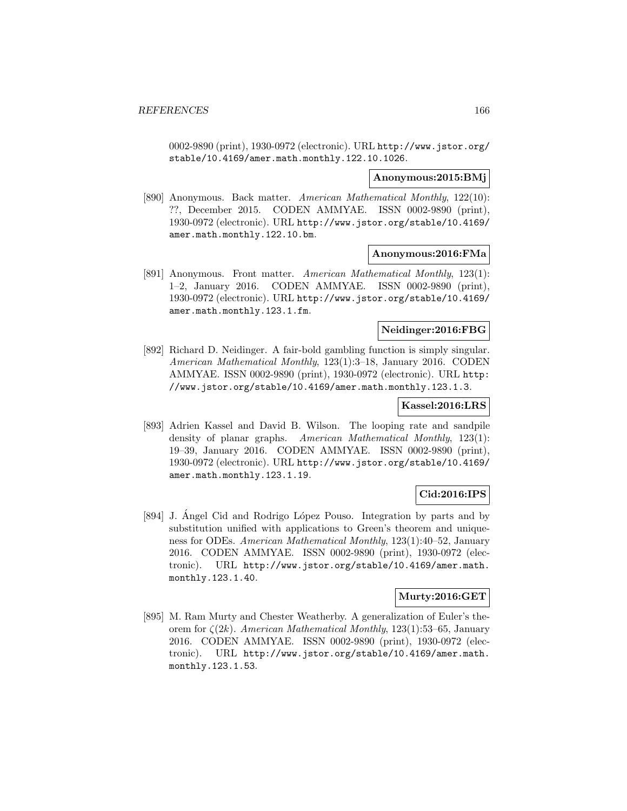0002-9890 (print), 1930-0972 (electronic). URL http://www.jstor.org/ stable/10.4169/amer.math.monthly.122.10.1026.

#### **Anonymous:2015:BMj**

[890] Anonymous. Back matter. American Mathematical Monthly, 122(10): ??, December 2015. CODEN AMMYAE. ISSN 0002-9890 (print), 1930-0972 (electronic). URL http://www.jstor.org/stable/10.4169/ amer.math.monthly.122.10.bm.

### **Anonymous:2016:FMa**

[891] Anonymous. Front matter. American Mathematical Monthly, 123(1): 1–2, January 2016. CODEN AMMYAE. ISSN 0002-9890 (print), 1930-0972 (electronic). URL http://www.jstor.org/stable/10.4169/ amer.math.monthly.123.1.fm.

## **Neidinger:2016:FBG**

[892] Richard D. Neidinger. A fair-bold gambling function is simply singular. American Mathematical Monthly, 123(1):3–18, January 2016. CODEN AMMYAE. ISSN 0002-9890 (print), 1930-0972 (electronic). URL http: //www.jstor.org/stable/10.4169/amer.math.monthly.123.1.3.

## **Kassel:2016:LRS**

[893] Adrien Kassel and David B. Wilson. The looping rate and sandpile density of planar graphs. American Mathematical Monthly, 123(1): 19–39, January 2016. CODEN AMMYAE. ISSN 0002-9890 (print), 1930-0972 (electronic). URL http://www.jstor.org/stable/10.4169/ amer.math.monthly.123.1.19.

## **Cid:2016:IPS**

[894] J. Angel Cid and Rodrigo López Pouso. Integration by parts and by substitution unified with applications to Green's theorem and uniqueness for ODEs. American Mathematical Monthly, 123(1):40–52, January 2016. CODEN AMMYAE. ISSN 0002-9890 (print), 1930-0972 (electronic). URL http://www.jstor.org/stable/10.4169/amer.math. monthly.123.1.40.

## **Murty:2016:GET**

[895] M. Ram Murty and Chester Weatherby. A generalization of Euler's theorem for  $\zeta(2k)$ . American Mathematical Monthly, 123(1):53–65, January 2016. CODEN AMMYAE. ISSN 0002-9890 (print), 1930-0972 (electronic). URL http://www.jstor.org/stable/10.4169/amer.math. monthly.123.1.53.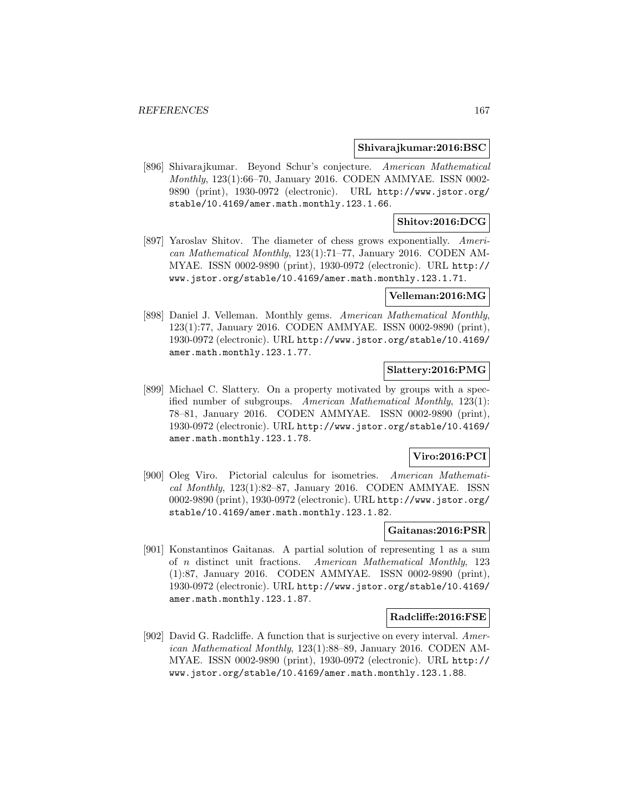#### **Shivarajkumar:2016:BSC**

[896] Shivarajkumar. Beyond Schur's conjecture. American Mathematical Monthly, 123(1):66–70, January 2016. CODEN AMMYAE. ISSN 0002- 9890 (print), 1930-0972 (electronic). URL http://www.jstor.org/ stable/10.4169/amer.math.monthly.123.1.66.

# **Shitov:2016:DCG**

[897] Yaroslav Shitov. The diameter of chess grows exponentially. American Mathematical Monthly, 123(1):71–77, January 2016. CODEN AM-MYAE. ISSN 0002-9890 (print), 1930-0972 (electronic). URL http:// www.jstor.org/stable/10.4169/amer.math.monthly.123.1.71.

#### **Velleman:2016:MG**

[898] Daniel J. Velleman. Monthly gems. American Mathematical Monthly, 123(1):77, January 2016. CODEN AMMYAE. ISSN 0002-9890 (print), 1930-0972 (electronic). URL http://www.jstor.org/stable/10.4169/ amer.math.monthly.123.1.77.

# **Slattery:2016:PMG**

[899] Michael C. Slattery. On a property motivated by groups with a specified number of subgroups. American Mathematical Monthly, 123(1): 78–81, January 2016. CODEN AMMYAE. ISSN 0002-9890 (print), 1930-0972 (electronic). URL http://www.jstor.org/stable/10.4169/ amer.math.monthly.123.1.78.

## **Viro:2016:PCI**

[900] Oleg Viro. Pictorial calculus for isometries. American Mathematical Monthly, 123(1):82–87, January 2016. CODEN AMMYAE. ISSN 0002-9890 (print), 1930-0972 (electronic). URL http://www.jstor.org/ stable/10.4169/amer.math.monthly.123.1.82.

#### **Gaitanas:2016:PSR**

[901] Konstantinos Gaitanas. A partial solution of representing 1 as a sum of n distinct unit fractions. American Mathematical Monthly, 123 (1):87, January 2016. CODEN AMMYAE. ISSN 0002-9890 (print), 1930-0972 (electronic). URL http://www.jstor.org/stable/10.4169/ amer.math.monthly.123.1.87.

## **Radcliffe:2016:FSE**

[902] David G. Radcliffe. A function that is surjective on every interval. American Mathematical Monthly, 123(1):88–89, January 2016. CODEN AM-MYAE. ISSN 0002-9890 (print), 1930-0972 (electronic). URL http:// www.jstor.org/stable/10.4169/amer.math.monthly.123.1.88.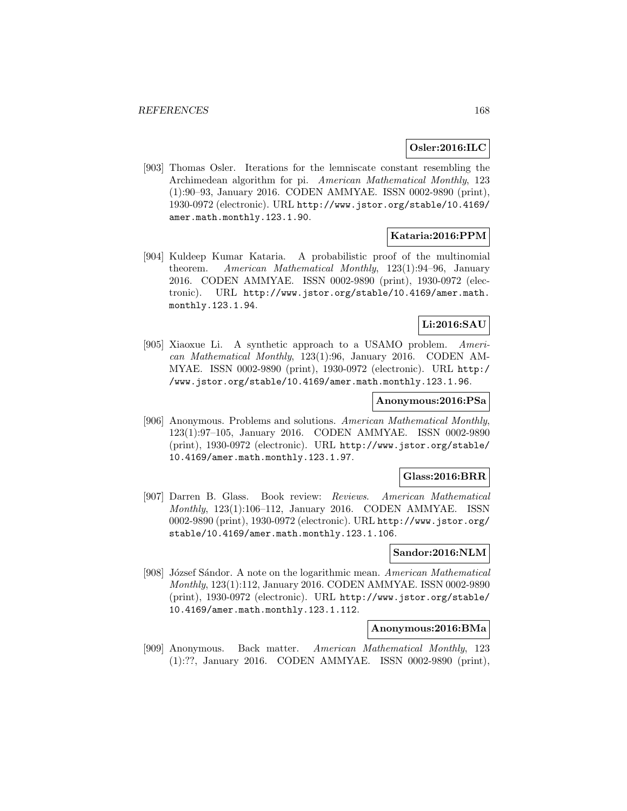# **Osler:2016:ILC**

[903] Thomas Osler. Iterations for the lemniscate constant resembling the Archimedean algorithm for pi. American Mathematical Monthly, 123 (1):90–93, January 2016. CODEN AMMYAE. ISSN 0002-9890 (print), 1930-0972 (electronic). URL http://www.jstor.org/stable/10.4169/ amer.math.monthly.123.1.90.

# **Kataria:2016:PPM**

[904] Kuldeep Kumar Kataria. A probabilistic proof of the multinomial theorem. American Mathematical Monthly, 123(1):94–96, January 2016. CODEN AMMYAE. ISSN 0002-9890 (print), 1930-0972 (electronic). URL http://www.jstor.org/stable/10.4169/amer.math. monthly.123.1.94.

# **Li:2016:SAU**

[905] Xiaoxue Li. A synthetic approach to a USAMO problem. American Mathematical Monthly, 123(1):96, January 2016. CODEN AM-MYAE. ISSN 0002-9890 (print), 1930-0972 (electronic). URL http:/ /www.jstor.org/stable/10.4169/amer.math.monthly.123.1.96.

## **Anonymous:2016:PSa**

[906] Anonymous. Problems and solutions. American Mathematical Monthly, 123(1):97–105, January 2016. CODEN AMMYAE. ISSN 0002-9890 (print), 1930-0972 (electronic). URL http://www.jstor.org/stable/ 10.4169/amer.math.monthly.123.1.97.

## **Glass:2016:BRR**

[907] Darren B. Glass. Book review: Reviews. American Mathematical Monthly, 123(1):106–112, January 2016. CODEN AMMYAE. ISSN 0002-9890 (print), 1930-0972 (electronic). URL http://www.jstor.org/ stable/10.4169/amer.math.monthly.123.1.106.

#### **Sandor:2016:NLM**

[908] József Sándor. A note on the logarithmic mean. American Mathematical Monthly, 123(1):112, January 2016. CODEN AMMYAE. ISSN 0002-9890 (print), 1930-0972 (electronic). URL http://www.jstor.org/stable/ 10.4169/amer.math.monthly.123.1.112.

#### **Anonymous:2016:BMa**

[909] Anonymous. Back matter. American Mathematical Monthly, 123 (1):??, January 2016. CODEN AMMYAE. ISSN 0002-9890 (print),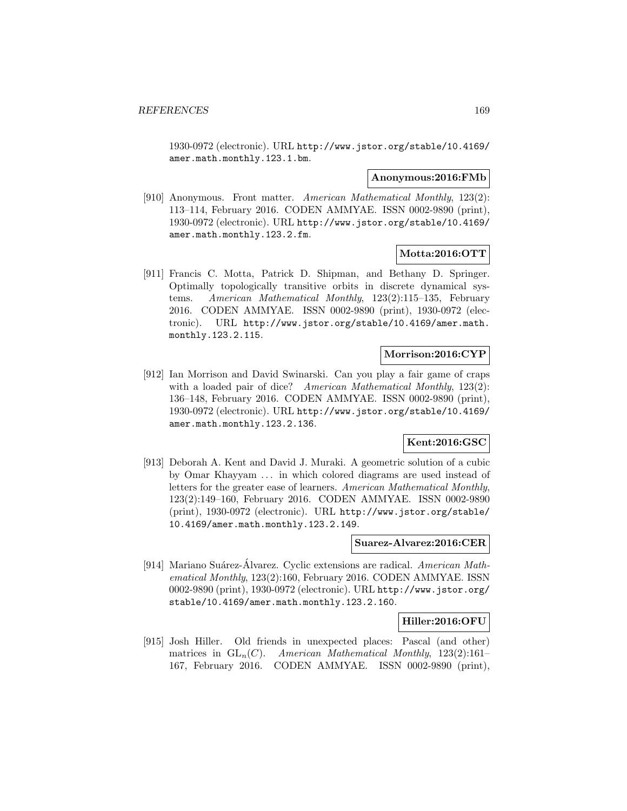1930-0972 (electronic). URL http://www.jstor.org/stable/10.4169/ amer.math.monthly.123.1.bm.

#### **Anonymous:2016:FMb**

[910] Anonymous. Front matter. American Mathematical Monthly, 123(2): 113–114, February 2016. CODEN AMMYAE. ISSN 0002-9890 (print), 1930-0972 (electronic). URL http://www.jstor.org/stable/10.4169/ amer.math.monthly.123.2.fm.

## **Motta:2016:OTT**

[911] Francis C. Motta, Patrick D. Shipman, and Bethany D. Springer. Optimally topologically transitive orbits in discrete dynamical systems. American Mathematical Monthly, 123(2):115–135, February 2016. CODEN AMMYAE. ISSN 0002-9890 (print), 1930-0972 (electronic). URL http://www.jstor.org/stable/10.4169/amer.math. monthly.123.2.115.

## **Morrison:2016:CYP**

[912] Ian Morrison and David Swinarski. Can you play a fair game of craps with a loaded pair of dice? American Mathematical Monthly, 123(2): 136–148, February 2016. CODEN AMMYAE. ISSN 0002-9890 (print), 1930-0972 (electronic). URL http://www.jstor.org/stable/10.4169/ amer.math.monthly.123.2.136.

## **Kent:2016:GSC**

[913] Deborah A. Kent and David J. Muraki. A geometric solution of a cubic by Omar Khayyam ... in which colored diagrams are used instead of letters for the greater ease of learners. American Mathematical Monthly, 123(2):149–160, February 2016. CODEN AMMYAE. ISSN 0002-9890 (print), 1930-0972 (electronic). URL http://www.jstor.org/stable/ 10.4169/amer.math.monthly.123.2.149.

#### **Suarez-Alvarez:2016:CER**

[914] Mariano Suárez-Álvarez. Cyclic extensions are radical. American Mathematical Monthly, 123(2):160, February 2016. CODEN AMMYAE. ISSN 0002-9890 (print), 1930-0972 (electronic). URL http://www.jstor.org/ stable/10.4169/amer.math.monthly.123.2.160.

## **Hiller:2016:OFU**

[915] Josh Hiller. Old friends in unexpected places: Pascal (and other) matrices in  $GL_n(C)$ . American Mathematical Monthly, 123(2):161-167, February 2016. CODEN AMMYAE. ISSN 0002-9890 (print),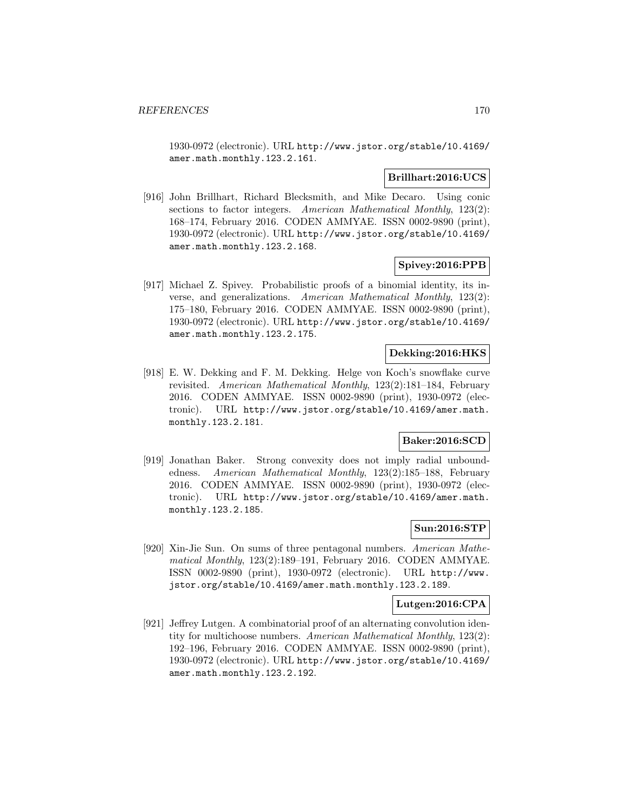1930-0972 (electronic). URL http://www.jstor.org/stable/10.4169/ amer.math.monthly.123.2.161.

# **Brillhart:2016:UCS**

[916] John Brillhart, Richard Blecksmith, and Mike Decaro. Using conic sections to factor integers. American Mathematical Monthly, 123(2): 168–174, February 2016. CODEN AMMYAE. ISSN 0002-9890 (print), 1930-0972 (electronic). URL http://www.jstor.org/stable/10.4169/ amer.math.monthly.123.2.168.

## **Spivey:2016:PPB**

[917] Michael Z. Spivey. Probabilistic proofs of a binomial identity, its inverse, and generalizations. American Mathematical Monthly, 123(2): 175–180, February 2016. CODEN AMMYAE. ISSN 0002-9890 (print), 1930-0972 (electronic). URL http://www.jstor.org/stable/10.4169/ amer.math.monthly.123.2.175.

# **Dekking:2016:HKS**

[918] E. W. Dekking and F. M. Dekking. Helge von Koch's snowflake curve revisited. American Mathematical Monthly, 123(2):181–184, February 2016. CODEN AMMYAE. ISSN 0002-9890 (print), 1930-0972 (electronic). URL http://www.jstor.org/stable/10.4169/amer.math. monthly.123.2.181.

# **Baker:2016:SCD**

[919] Jonathan Baker. Strong convexity does not imply radial unboundedness. American Mathematical Monthly, 123(2):185–188, February 2016. CODEN AMMYAE. ISSN 0002-9890 (print), 1930-0972 (electronic). URL http://www.jstor.org/stable/10.4169/amer.math. monthly.123.2.185.

## **Sun:2016:STP**

[920] Xin-Jie Sun. On sums of three pentagonal numbers. American Mathematical Monthly, 123(2):189–191, February 2016. CODEN AMMYAE. ISSN 0002-9890 (print), 1930-0972 (electronic). URL http://www. jstor.org/stable/10.4169/amer.math.monthly.123.2.189.

#### **Lutgen:2016:CPA**

[921] Jeffrey Lutgen. A combinatorial proof of an alternating convolution identity for multichoose numbers. American Mathematical Monthly, 123(2): 192–196, February 2016. CODEN AMMYAE. ISSN 0002-9890 (print), 1930-0972 (electronic). URL http://www.jstor.org/stable/10.4169/ amer.math.monthly.123.2.192.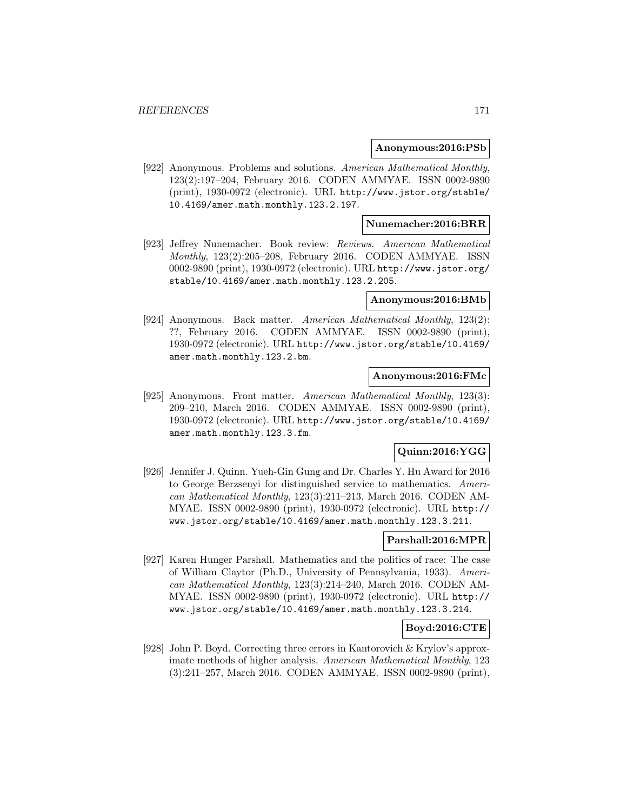#### **Anonymous:2016:PSb**

[922] Anonymous. Problems and solutions. American Mathematical Monthly, 123(2):197–204, February 2016. CODEN AMMYAE. ISSN 0002-9890 (print), 1930-0972 (electronic). URL http://www.jstor.org/stable/ 10.4169/amer.math.monthly.123.2.197.

## **Nunemacher:2016:BRR**

[923] Jeffrey Nunemacher. Book review: Reviews. American Mathematical Monthly, 123(2):205–208, February 2016. CODEN AMMYAE. ISSN 0002-9890 (print), 1930-0972 (electronic). URL http://www.jstor.org/ stable/10.4169/amer.math.monthly.123.2.205.

#### **Anonymous:2016:BMb**

[924] Anonymous. Back matter. American Mathematical Monthly, 123(2): ??, February 2016. CODEN AMMYAE. ISSN 0002-9890 (print), 1930-0972 (electronic). URL http://www.jstor.org/stable/10.4169/ amer.math.monthly.123.2.bm.

## **Anonymous:2016:FMc**

[925] Anonymous. Front matter. American Mathematical Monthly, 123(3): 209–210, March 2016. CODEN AMMYAE. ISSN 0002-9890 (print), 1930-0972 (electronic). URL http://www.jstor.org/stable/10.4169/ amer.math.monthly.123.3.fm.

## **Quinn:2016:YGG**

[926] Jennifer J. Quinn. Yueh-Gin Gung and Dr. Charles Y. Hu Award for 2016 to George Berzsenyi for distinguished service to mathematics. American Mathematical Monthly, 123(3):211–213, March 2016. CODEN AM-MYAE. ISSN 0002-9890 (print), 1930-0972 (electronic). URL http:// www.jstor.org/stable/10.4169/amer.math.monthly.123.3.211.

# **Parshall:2016:MPR**

[927] Karen Hunger Parshall. Mathematics and the politics of race: The case of William Claytor (Ph.D., University of Pennsylvania, 1933). American Mathematical Monthly, 123(3):214–240, March 2016. CODEN AM-MYAE. ISSN 0002-9890 (print), 1930-0972 (electronic). URL http:// www.jstor.org/stable/10.4169/amer.math.monthly.123.3.214.

# **Boyd:2016:CTE**

[928] John P. Boyd. Correcting three errors in Kantorovich & Krylov's approximate methods of higher analysis. American Mathematical Monthly, 123 (3):241–257, March 2016. CODEN AMMYAE. ISSN 0002-9890 (print),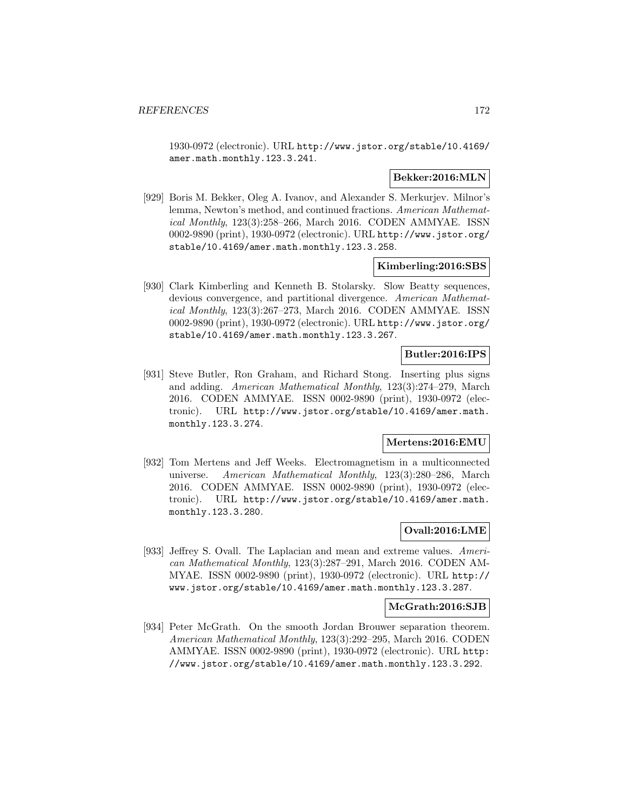1930-0972 (electronic). URL http://www.jstor.org/stable/10.4169/ amer.math.monthly.123.3.241.

## **Bekker:2016:MLN**

[929] Boris M. Bekker, Oleg A. Ivanov, and Alexander S. Merkurjev. Milnor's lemma, Newton's method, and continued fractions. American Mathematical Monthly, 123(3):258–266, March 2016. CODEN AMMYAE. ISSN 0002-9890 (print), 1930-0972 (electronic). URL http://www.jstor.org/ stable/10.4169/amer.math.monthly.123.3.258.

## **Kimberling:2016:SBS**

[930] Clark Kimberling and Kenneth B. Stolarsky. Slow Beatty sequences, devious convergence, and partitional divergence. American Mathematical Monthly, 123(3):267–273, March 2016. CODEN AMMYAE. ISSN 0002-9890 (print), 1930-0972 (electronic). URL http://www.jstor.org/ stable/10.4169/amer.math.monthly.123.3.267.

# **Butler:2016:IPS**

[931] Steve Butler, Ron Graham, and Richard Stong. Inserting plus signs and adding. American Mathematical Monthly, 123(3):274–279, March 2016. CODEN AMMYAE. ISSN 0002-9890 (print), 1930-0972 (electronic). URL http://www.jstor.org/stable/10.4169/amer.math. monthly.123.3.274.

## **Mertens:2016:EMU**

[932] Tom Mertens and Jeff Weeks. Electromagnetism in a multiconnected universe. American Mathematical Monthly, 123(3):280–286, March 2016. CODEN AMMYAE. ISSN 0002-9890 (print), 1930-0972 (electronic). URL http://www.jstor.org/stable/10.4169/amer.math. monthly.123.3.280.

## **Ovall:2016:LME**

[933] Jeffrey S. Ovall. The Laplacian and mean and extreme values. American Mathematical Monthly, 123(3):287–291, March 2016. CODEN AM-MYAE. ISSN 0002-9890 (print), 1930-0972 (electronic). URL http:// www.jstor.org/stable/10.4169/amer.math.monthly.123.3.287.

## **McGrath:2016:SJB**

[934] Peter McGrath. On the smooth Jordan Brouwer separation theorem. American Mathematical Monthly, 123(3):292–295, March 2016. CODEN AMMYAE. ISSN 0002-9890 (print), 1930-0972 (electronic). URL http: //www.jstor.org/stable/10.4169/amer.math.monthly.123.3.292.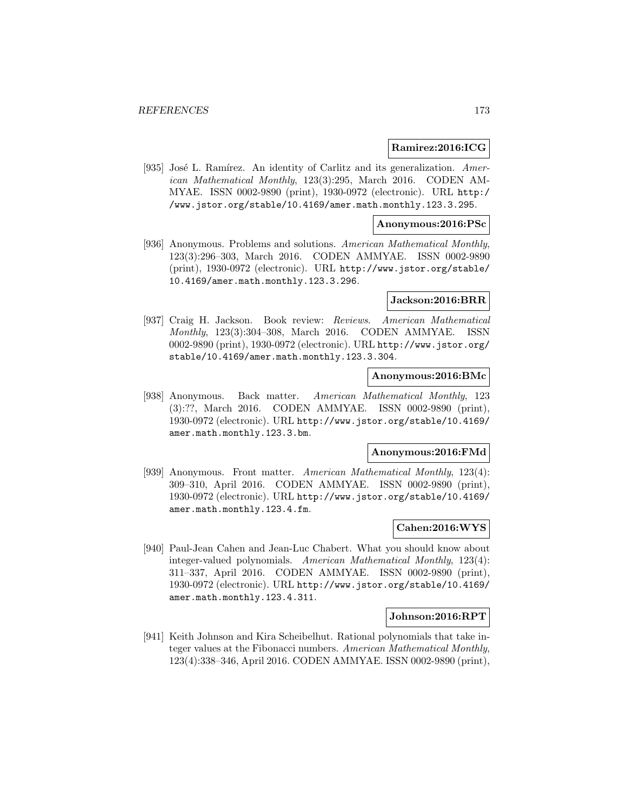#### **Ramirez:2016:ICG**

[935] José L. Ramírez. An identity of Carlitz and its generalization. American Mathematical Monthly, 123(3):295, March 2016. CODEN AM-MYAE. ISSN 0002-9890 (print), 1930-0972 (electronic). URL http:/ /www.jstor.org/stable/10.4169/amer.math.monthly.123.3.295.

#### **Anonymous:2016:PSc**

[936] Anonymous. Problems and solutions. American Mathematical Monthly, 123(3):296–303, March 2016. CODEN AMMYAE. ISSN 0002-9890 (print), 1930-0972 (electronic). URL http://www.jstor.org/stable/ 10.4169/amer.math.monthly.123.3.296.

#### **Jackson:2016:BRR**

[937] Craig H. Jackson. Book review: Reviews. American Mathematical Monthly, 123(3):304–308, March 2016. CODEN AMMYAE. ISSN 0002-9890 (print), 1930-0972 (electronic). URL http://www.jstor.org/ stable/10.4169/amer.math.monthly.123.3.304.

# **Anonymous:2016:BMc**

[938] Anonymous. Back matter. American Mathematical Monthly, 123 (3):??, March 2016. CODEN AMMYAE. ISSN 0002-9890 (print), 1930-0972 (electronic). URL http://www.jstor.org/stable/10.4169/ amer.math.monthly.123.3.bm.

#### **Anonymous:2016:FMd**

[939] Anonymous. Front matter. American Mathematical Monthly, 123(4): 309–310, April 2016. CODEN AMMYAE. ISSN 0002-9890 (print), 1930-0972 (electronic). URL http://www.jstor.org/stable/10.4169/ amer.math.monthly.123.4.fm.

#### **Cahen:2016:WYS**

[940] Paul-Jean Cahen and Jean-Luc Chabert. What you should know about integer-valued polynomials. American Mathematical Monthly, 123(4): 311–337, April 2016. CODEN AMMYAE. ISSN 0002-9890 (print), 1930-0972 (electronic). URL http://www.jstor.org/stable/10.4169/ amer.math.monthly.123.4.311.

#### **Johnson:2016:RPT**

[941] Keith Johnson and Kira Scheibelhut. Rational polynomials that take integer values at the Fibonacci numbers. American Mathematical Monthly, 123(4):338–346, April 2016. CODEN AMMYAE. ISSN 0002-9890 (print),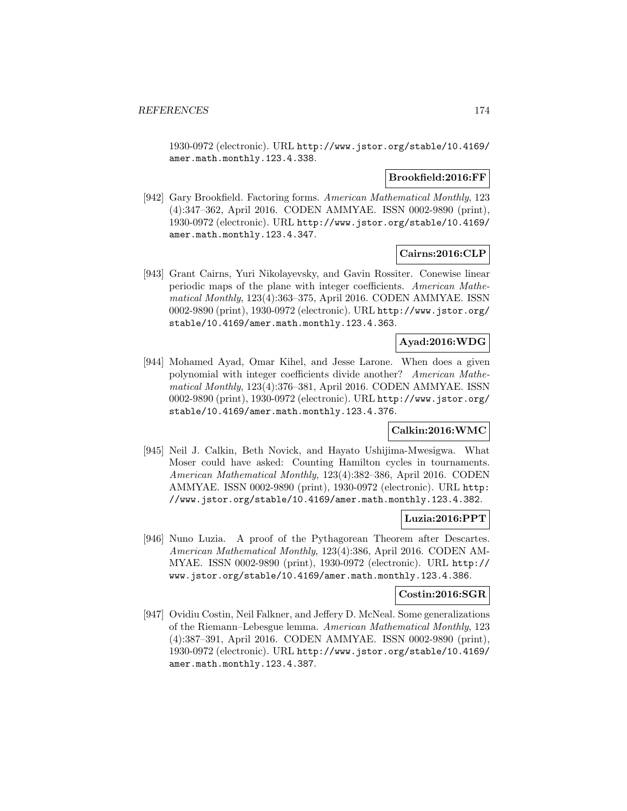1930-0972 (electronic). URL http://www.jstor.org/stable/10.4169/ amer.math.monthly.123.4.338.

### **Brookfield:2016:FF**

[942] Gary Brookfield. Factoring forms. American Mathematical Monthly, 123 (4):347–362, April 2016. CODEN AMMYAE. ISSN 0002-9890 (print), 1930-0972 (electronic). URL http://www.jstor.org/stable/10.4169/ amer.math.monthly.123.4.347.

## **Cairns:2016:CLP**

[943] Grant Cairns, Yuri Nikolayevsky, and Gavin Rossiter. Conewise linear periodic maps of the plane with integer coefficients. American Mathematical Monthly, 123(4):363–375, April 2016. CODEN AMMYAE. ISSN 0002-9890 (print), 1930-0972 (electronic). URL http://www.jstor.org/ stable/10.4169/amer.math.monthly.123.4.363.

## **Ayad:2016:WDG**

[944] Mohamed Ayad, Omar Kihel, and Jesse Larone. When does a given polynomial with integer coefficients divide another? American Mathematical Monthly, 123(4):376–381, April 2016. CODEN AMMYAE. ISSN 0002-9890 (print), 1930-0972 (electronic). URL http://www.jstor.org/ stable/10.4169/amer.math.monthly.123.4.376.

# **Calkin:2016:WMC**

[945] Neil J. Calkin, Beth Novick, and Hayato Ushijima-Mwesigwa. What Moser could have asked: Counting Hamilton cycles in tournaments. American Mathematical Monthly, 123(4):382–386, April 2016. CODEN AMMYAE. ISSN 0002-9890 (print), 1930-0972 (electronic). URL http: //www.jstor.org/stable/10.4169/amer.math.monthly.123.4.382.

## **Luzia:2016:PPT**

[946] Nuno Luzia. A proof of the Pythagorean Theorem after Descartes. American Mathematical Monthly, 123(4):386, April 2016. CODEN AM-MYAE. ISSN 0002-9890 (print), 1930-0972 (electronic). URL http:// www.jstor.org/stable/10.4169/amer.math.monthly.123.4.386.

#### **Costin:2016:SGR**

[947] Ovidiu Costin, Neil Falkner, and Jeffery D. McNeal. Some generalizations of the Riemann–Lebesgue lemma. American Mathematical Monthly, 123 (4):387–391, April 2016. CODEN AMMYAE. ISSN 0002-9890 (print), 1930-0972 (electronic). URL http://www.jstor.org/stable/10.4169/ amer.math.monthly.123.4.387.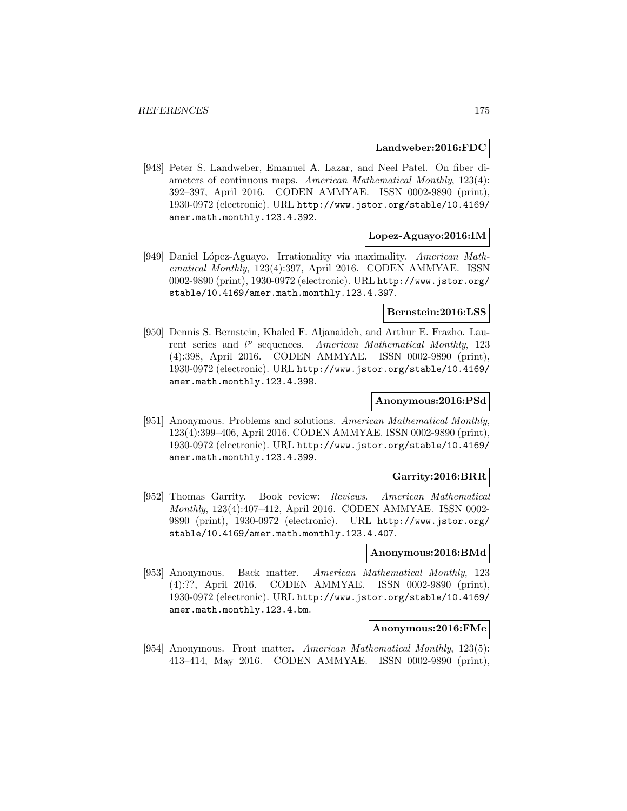#### **Landweber:2016:FDC**

[948] Peter S. Landweber, Emanuel A. Lazar, and Neel Patel. On fiber diameters of continuous maps. American Mathematical Monthly, 123(4): 392–397, April 2016. CODEN AMMYAE. ISSN 0002-9890 (print), 1930-0972 (electronic). URL http://www.jstor.org/stable/10.4169/ amer.math.monthly.123.4.392.

#### **Lopez-Aguayo:2016:IM**

[949] Daniel L´opez-Aguayo. Irrationality via maximality. American Mathematical Monthly, 123(4):397, April 2016. CODEN AMMYAE. ISSN 0002-9890 (print), 1930-0972 (electronic). URL http://www.jstor.org/ stable/10.4169/amer.math.monthly.123.4.397.

#### **Bernstein:2016:LSS**

[950] Dennis S. Bernstein, Khaled F. Aljanaideh, and Arthur E. Frazho. Laurent series and  $l^p$  sequences. American Mathematical Monthly, 123 (4):398, April 2016. CODEN AMMYAE. ISSN 0002-9890 (print), 1930-0972 (electronic). URL http://www.jstor.org/stable/10.4169/ amer.math.monthly.123.4.398.

#### **Anonymous:2016:PSd**

[951] Anonymous. Problems and solutions. American Mathematical Monthly, 123(4):399–406, April 2016. CODEN AMMYAE. ISSN 0002-9890 (print), 1930-0972 (electronic). URL http://www.jstor.org/stable/10.4169/ amer.math.monthly.123.4.399.

#### **Garrity:2016:BRR**

[952] Thomas Garrity. Book review: Reviews. American Mathematical Monthly, 123(4):407–412, April 2016. CODEN AMMYAE. ISSN 0002- 9890 (print), 1930-0972 (electronic). URL http://www.jstor.org/ stable/10.4169/amer.math.monthly.123.4.407.

#### **Anonymous:2016:BMd**

[953] Anonymous. Back matter. American Mathematical Monthly, 123 (4):??, April 2016. CODEN AMMYAE. ISSN 0002-9890 (print), 1930-0972 (electronic). URL http://www.jstor.org/stable/10.4169/ amer.math.monthly.123.4.bm.

#### **Anonymous:2016:FMe**

[954] Anonymous. Front matter. American Mathematical Monthly, 123(5): 413–414, May 2016. CODEN AMMYAE. ISSN 0002-9890 (print),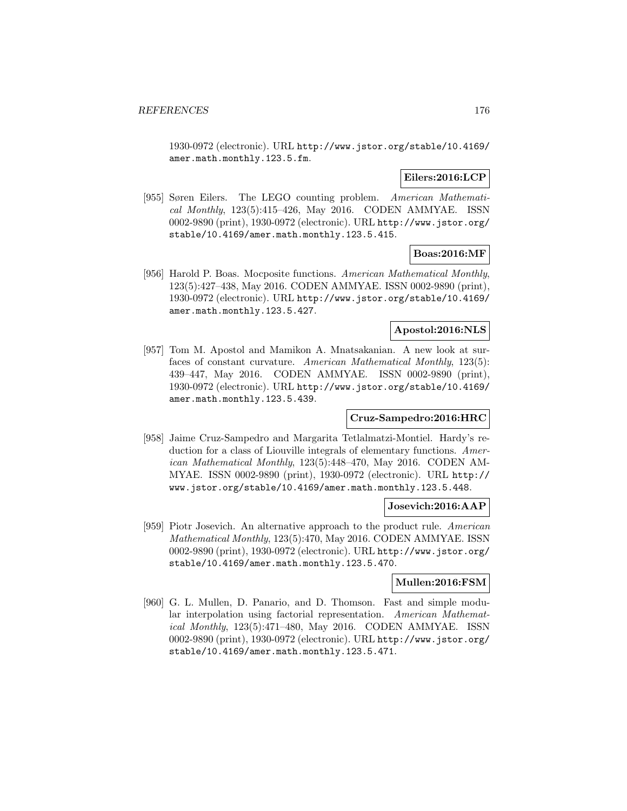1930-0972 (electronic). URL http://www.jstor.org/stable/10.4169/ amer.math.monthly.123.5.fm.

# **Eilers:2016:LCP**

[955] Søren Eilers. The LEGO counting problem. American Mathematical Monthly, 123(5):415–426, May 2016. CODEN AMMYAE. ISSN 0002-9890 (print), 1930-0972 (electronic). URL http://www.jstor.org/ stable/10.4169/amer.math.monthly.123.5.415.

# **Boas:2016:MF**

[956] Harold P. Boas. Mocposite functions. American Mathematical Monthly, 123(5):427–438, May 2016. CODEN AMMYAE. ISSN 0002-9890 (print), 1930-0972 (electronic). URL http://www.jstor.org/stable/10.4169/ amer.math.monthly.123.5.427.

## **Apostol:2016:NLS**

[957] Tom M. Apostol and Mamikon A. Mnatsakanian. A new look at surfaces of constant curvature. American Mathematical Monthly, 123(5): 439–447, May 2016. CODEN AMMYAE. ISSN 0002-9890 (print), 1930-0972 (electronic). URL http://www.jstor.org/stable/10.4169/ amer.math.monthly.123.5.439.

## **Cruz-Sampedro:2016:HRC**

[958] Jaime Cruz-Sampedro and Margarita Tetlalmatzi-Montiel. Hardy's reduction for a class of Liouville integrals of elementary functions. American Mathematical Monthly, 123(5):448–470, May 2016. CODEN AM-MYAE. ISSN 0002-9890 (print), 1930-0972 (electronic). URL http:// www.jstor.org/stable/10.4169/amer.math.monthly.123.5.448.

## **Josevich:2016:AAP**

[959] Piotr Josevich. An alternative approach to the product rule. American Mathematical Monthly, 123(5):470, May 2016. CODEN AMMYAE. ISSN 0002-9890 (print), 1930-0972 (electronic). URL http://www.jstor.org/ stable/10.4169/amer.math.monthly.123.5.470.

## **Mullen:2016:FSM**

[960] G. L. Mullen, D. Panario, and D. Thomson. Fast and simple modular interpolation using factorial representation. American Mathematical Monthly, 123(5):471–480, May 2016. CODEN AMMYAE. ISSN 0002-9890 (print), 1930-0972 (electronic). URL http://www.jstor.org/ stable/10.4169/amer.math.monthly.123.5.471.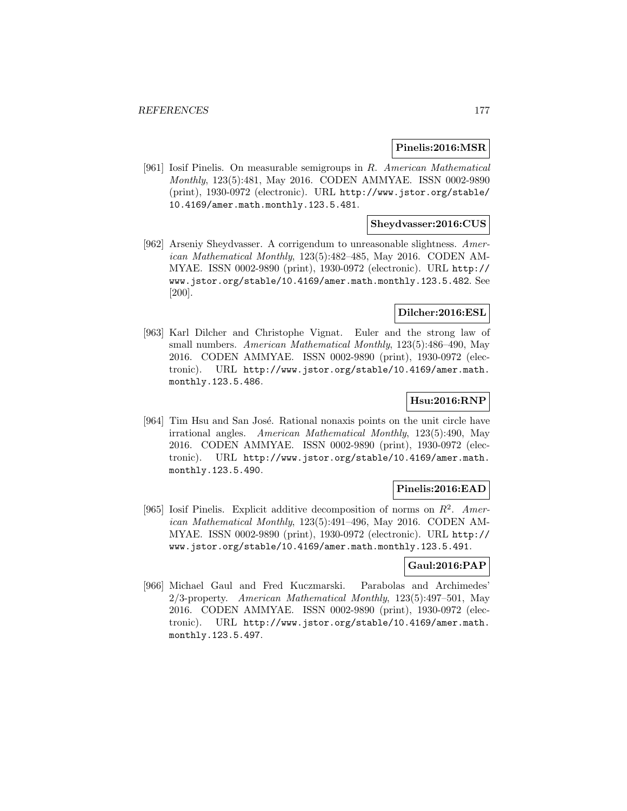#### **Pinelis:2016:MSR**

[961] Iosif Pinelis. On measurable semigroups in R. American Mathematical Monthly, 123(5):481, May 2016. CODEN AMMYAE. ISSN 0002-9890 (print), 1930-0972 (electronic). URL http://www.jstor.org/stable/ 10.4169/amer.math.monthly.123.5.481.

## **Sheydvasser:2016:CUS**

[962] Arseniy Sheydvasser. A corrigendum to unreasonable slightness. American Mathematical Monthly, 123(5):482–485, May 2016. CODEN AM-MYAE. ISSN 0002-9890 (print), 1930-0972 (electronic). URL http:// www.jstor.org/stable/10.4169/amer.math.monthly.123.5.482. See [200].

## **Dilcher:2016:ESL**

[963] Karl Dilcher and Christophe Vignat. Euler and the strong law of small numbers. American Mathematical Monthly, 123(5):486–490, May 2016. CODEN AMMYAE. ISSN 0002-9890 (print), 1930-0972 (electronic). URL http://www.jstor.org/stable/10.4169/amer.math. monthly.123.5.486.

# **Hsu:2016:RNP**

[964] Tim Hsu and San José. Rational nonaxis points on the unit circle have irrational angles. American Mathematical Monthly, 123(5):490, May 2016. CODEN AMMYAE. ISSN 0002-9890 (print), 1930-0972 (electronic). URL http://www.jstor.org/stable/10.4169/amer.math. monthly.123.5.490.

# **Pinelis:2016:EAD**

[965] Iosif Pinelis. Explicit additive decomposition of norms on  $R^2$ . American Mathematical Monthly, 123(5):491–496, May 2016. CODEN AM-MYAE. ISSN 0002-9890 (print), 1930-0972 (electronic). URL http:// www.jstor.org/stable/10.4169/amer.math.monthly.123.5.491.

## **Gaul:2016:PAP**

[966] Michael Gaul and Fred Kuczmarski. Parabolas and Archimedes' 2/3-property. American Mathematical Monthly, 123(5):497–501, May 2016. CODEN AMMYAE. ISSN 0002-9890 (print), 1930-0972 (electronic). URL http://www.jstor.org/stable/10.4169/amer.math. monthly.123.5.497.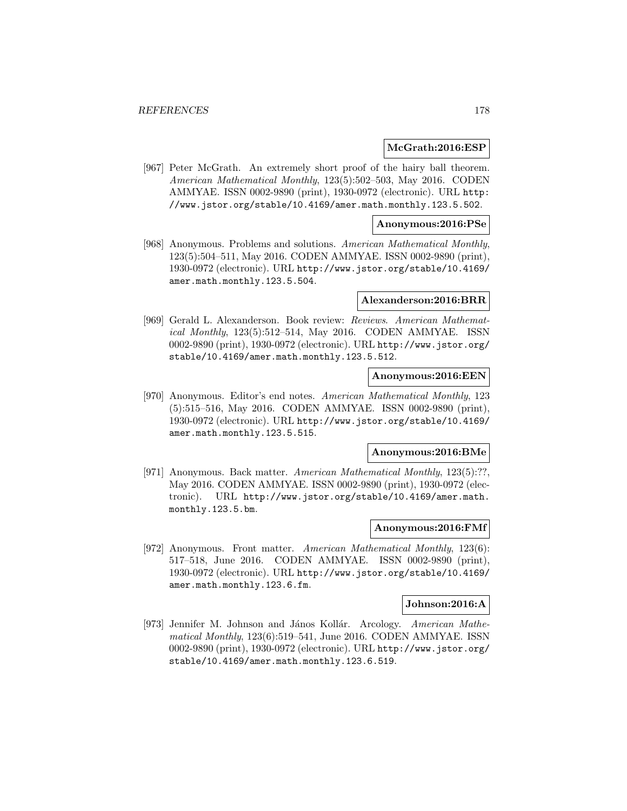#### **McGrath:2016:ESP**

[967] Peter McGrath. An extremely short proof of the hairy ball theorem. American Mathematical Monthly, 123(5):502–503, May 2016. CODEN AMMYAE. ISSN 0002-9890 (print), 1930-0972 (electronic). URL http: //www.jstor.org/stable/10.4169/amer.math.monthly.123.5.502.

#### **Anonymous:2016:PSe**

[968] Anonymous. Problems and solutions. American Mathematical Monthly, 123(5):504–511, May 2016. CODEN AMMYAE. ISSN 0002-9890 (print), 1930-0972 (electronic). URL http://www.jstor.org/stable/10.4169/ amer.math.monthly.123.5.504.

#### **Alexanderson:2016:BRR**

[969] Gerald L. Alexanderson. Book review: Reviews. American Mathematical Monthly, 123(5):512–514, May 2016. CODEN AMMYAE. ISSN 0002-9890 (print), 1930-0972 (electronic). URL http://www.jstor.org/ stable/10.4169/amer.math.monthly.123.5.512.

### **Anonymous:2016:EEN**

[970] Anonymous. Editor's end notes. American Mathematical Monthly, 123 (5):515–516, May 2016. CODEN AMMYAE. ISSN 0002-9890 (print), 1930-0972 (electronic). URL http://www.jstor.org/stable/10.4169/ amer.math.monthly.123.5.515.

#### **Anonymous:2016:BMe**

[971] Anonymous. Back matter. American Mathematical Monthly, 123(5):??, May 2016. CODEN AMMYAE. ISSN 0002-9890 (print), 1930-0972 (electronic). URL http://www.jstor.org/stable/10.4169/amer.math. monthly.123.5.bm.

#### **Anonymous:2016:FMf**

[972] Anonymous. Front matter. American Mathematical Monthly, 123(6): 517–518, June 2016. CODEN AMMYAE. ISSN 0002-9890 (print), 1930-0972 (electronic). URL http://www.jstor.org/stable/10.4169/ amer.math.monthly.123.6.fm.

#### **Johnson:2016:A**

[973] Jennifer M. Johnson and János Kollár. Arcology. American Mathematical Monthly, 123(6):519–541, June 2016. CODEN AMMYAE. ISSN 0002-9890 (print), 1930-0972 (electronic). URL http://www.jstor.org/ stable/10.4169/amer.math.monthly.123.6.519.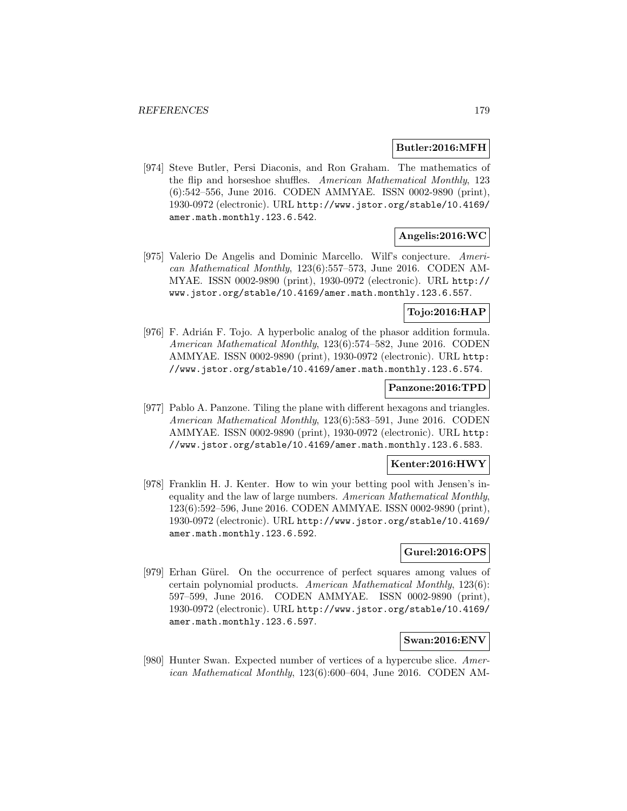## **Butler:2016:MFH**

[974] Steve Butler, Persi Diaconis, and Ron Graham. The mathematics of the flip and horseshoe shuffles. American Mathematical Monthly, 123 (6):542–556, June 2016. CODEN AMMYAE. ISSN 0002-9890 (print), 1930-0972 (electronic). URL http://www.jstor.org/stable/10.4169/ amer.math.monthly.123.6.542.

# **Angelis:2016:WC**

[975] Valerio De Angelis and Dominic Marcello. Wilf's conjecture. American Mathematical Monthly, 123(6):557–573, June 2016. CODEN AM-MYAE. ISSN 0002-9890 (print), 1930-0972 (electronic). URL http:// www.jstor.org/stable/10.4169/amer.math.monthly.123.6.557.

# **Tojo:2016:HAP**

[976] F. Adrián F. Tojo. A hyperbolic analog of the phasor addition formula. American Mathematical Monthly, 123(6):574–582, June 2016. CODEN AMMYAE. ISSN 0002-9890 (print), 1930-0972 (electronic). URL http: //www.jstor.org/stable/10.4169/amer.math.monthly.123.6.574.

## **Panzone:2016:TPD**

[977] Pablo A. Panzone. Tiling the plane with different hexagons and triangles. American Mathematical Monthly, 123(6):583–591, June 2016. CODEN AMMYAE. ISSN 0002-9890 (print), 1930-0972 (electronic). URL http: //www.jstor.org/stable/10.4169/amer.math.monthly.123.6.583.

## **Kenter:2016:HWY**

[978] Franklin H. J. Kenter. How to win your betting pool with Jensen's inequality and the law of large numbers. American Mathematical Monthly, 123(6):592–596, June 2016. CODEN AMMYAE. ISSN 0002-9890 (print), 1930-0972 (electronic). URL http://www.jstor.org/stable/10.4169/ amer.math.monthly.123.6.592.

# **Gurel:2016:OPS**

[979] Erhan Gürel. On the occurrence of perfect squares among values of certain polynomial products. American Mathematical Monthly, 123(6): 597–599, June 2016. CODEN AMMYAE. ISSN 0002-9890 (print), 1930-0972 (electronic). URL http://www.jstor.org/stable/10.4169/ amer.math.monthly.123.6.597.

# **Swan:2016:ENV**

[980] Hunter Swan. Expected number of vertices of a hypercube slice. American Mathematical Monthly, 123(6):600–604, June 2016. CODEN AM-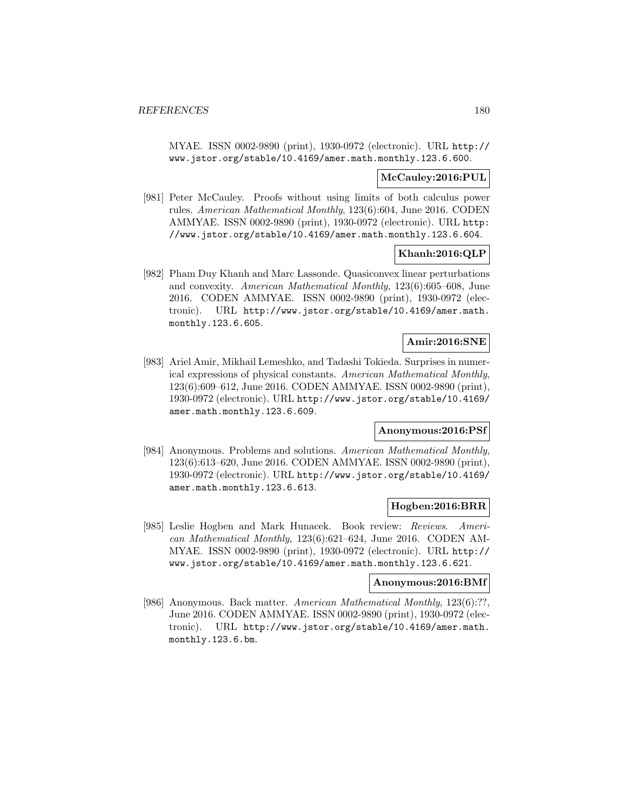MYAE. ISSN 0002-9890 (print), 1930-0972 (electronic). URL http:// www.jstor.org/stable/10.4169/amer.math.monthly.123.6.600.

## **McCauley:2016:PUL**

[981] Peter McCauley. Proofs without using limits of both calculus power rules. American Mathematical Monthly, 123(6):604, June 2016. CODEN AMMYAE. ISSN 0002-9890 (print), 1930-0972 (electronic). URL http: //www.jstor.org/stable/10.4169/amer.math.monthly.123.6.604.

## **Khanh:2016:QLP**

[982] Pham Duy Khanh and Marc Lassonde. Quasiconvex linear perturbations and convexity. American Mathematical Monthly, 123(6):605–608, June 2016. CODEN AMMYAE. ISSN 0002-9890 (print), 1930-0972 (electronic). URL http://www.jstor.org/stable/10.4169/amer.math. monthly.123.6.605.

## **Amir:2016:SNE**

[983] Ariel Amir, Mikhail Lemeshko, and Tadashi Tokieda. Surprises in numerical expressions of physical constants. American Mathematical Monthly, 123(6):609–612, June 2016. CODEN AMMYAE. ISSN 0002-9890 (print), 1930-0972 (electronic). URL http://www.jstor.org/stable/10.4169/ amer.math.monthly.123.6.609.

## **Anonymous:2016:PSf**

[984] Anonymous. Problems and solutions. American Mathematical Monthly, 123(6):613–620, June 2016. CODEN AMMYAE. ISSN 0002-9890 (print), 1930-0972 (electronic). URL http://www.jstor.org/stable/10.4169/ amer.math.monthly.123.6.613.

## **Hogben:2016:BRR**

[985] Leslie Hogben and Mark Hunacek. Book review: Reviews. American Mathematical Monthly, 123(6):621–624, June 2016. CODEN AM-MYAE. ISSN 0002-9890 (print), 1930-0972 (electronic). URL http:// www.jstor.org/stable/10.4169/amer.math.monthly.123.6.621.

#### **Anonymous:2016:BMf**

[986] Anonymous. Back matter. American Mathematical Monthly, 123(6):??, June 2016. CODEN AMMYAE. ISSN 0002-9890 (print), 1930-0972 (electronic). URL http://www.jstor.org/stable/10.4169/amer.math. monthly.123.6.bm.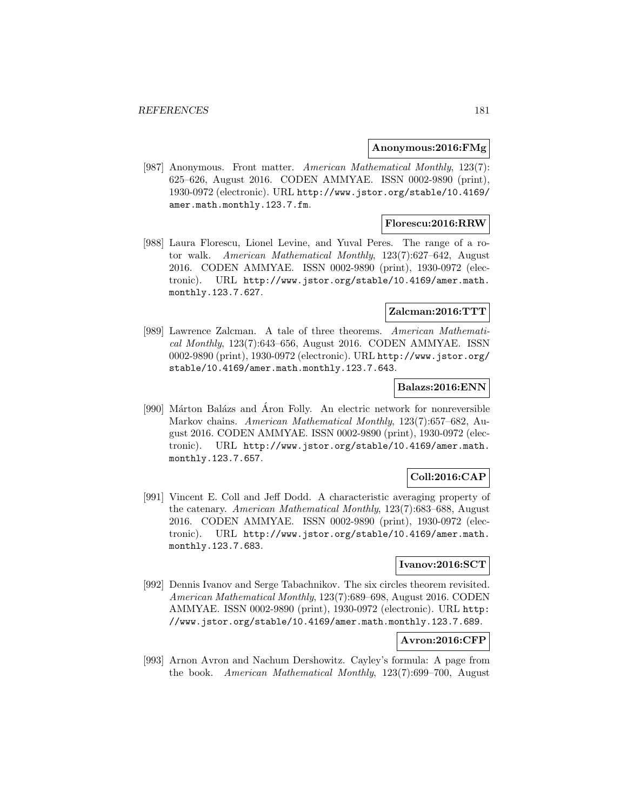### **Anonymous:2016:FMg**

[987] Anonymous. Front matter. American Mathematical Monthly, 123(7): 625–626, August 2016. CODEN AMMYAE. ISSN 0002-9890 (print), 1930-0972 (electronic). URL http://www.jstor.org/stable/10.4169/ amer.math.monthly.123.7.fm.

# **Florescu:2016:RRW**

[988] Laura Florescu, Lionel Levine, and Yuval Peres. The range of a rotor walk. American Mathematical Monthly, 123(7):627–642, August 2016. CODEN AMMYAE. ISSN 0002-9890 (print), 1930-0972 (electronic). URL http://www.jstor.org/stable/10.4169/amer.math. monthly.123.7.627.

# **Zalcman:2016:TTT**

[989] Lawrence Zalcman. A tale of three theorems. American Mathematical Monthly, 123(7):643–656, August 2016. CODEN AMMYAE. ISSN 0002-9890 (print), 1930-0972 (electronic). URL http://www.jstor.org/ stable/10.4169/amer.math.monthly.123.7.643.

# **Balazs:2016:ENN**

[990] Márton Balázs and Áron Folly. An electric network for nonreversible Markov chains. American Mathematical Monthly, 123(7):657–682, August 2016. CODEN AMMYAE. ISSN 0002-9890 (print), 1930-0972 (electronic). URL http://www.jstor.org/stable/10.4169/amer.math. monthly.123.7.657.

# **Coll:2016:CAP**

[991] Vincent E. Coll and Jeff Dodd. A characteristic averaging property of the catenary. American Mathematical Monthly, 123(7):683–688, August 2016. CODEN AMMYAE. ISSN 0002-9890 (print), 1930-0972 (electronic). URL http://www.jstor.org/stable/10.4169/amer.math. monthly.123.7.683.

# **Ivanov:2016:SCT**

[992] Dennis Ivanov and Serge Tabachnikov. The six circles theorem revisited. American Mathematical Monthly, 123(7):689–698, August 2016. CODEN AMMYAE. ISSN 0002-9890 (print), 1930-0972 (electronic). URL http: //www.jstor.org/stable/10.4169/amer.math.monthly.123.7.689.

# **Avron:2016:CFP**

[993] Arnon Avron and Nachum Dershowitz. Cayley's formula: A page from the book. American Mathematical Monthly, 123(7):699–700, August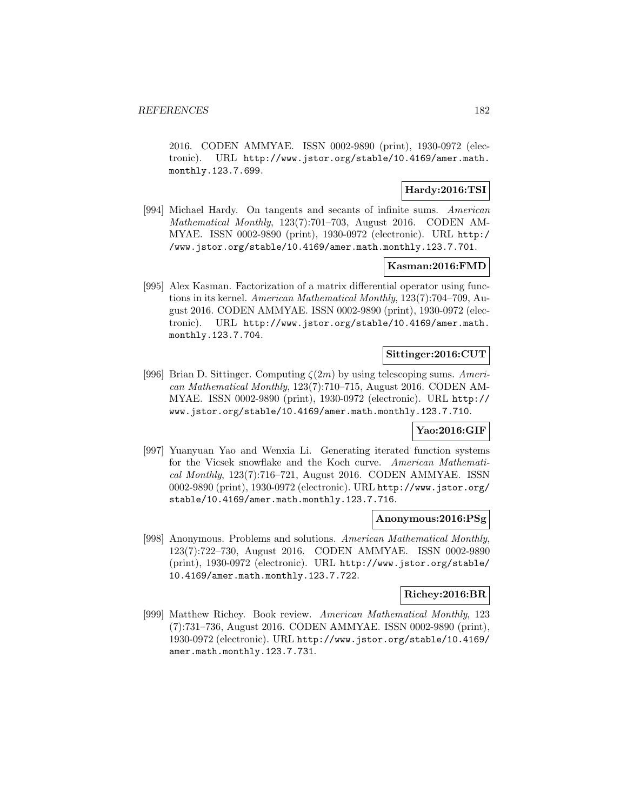2016. CODEN AMMYAE. ISSN 0002-9890 (print), 1930-0972 (electronic). URL http://www.jstor.org/stable/10.4169/amer.math. monthly.123.7.699.

# **Hardy:2016:TSI**

[994] Michael Hardy. On tangents and secants of infinite sums. American Mathematical Monthly, 123(7):701–703, August 2016. CODEN AM-MYAE. ISSN 0002-9890 (print), 1930-0972 (electronic). URL http:/ /www.jstor.org/stable/10.4169/amer.math.monthly.123.7.701.

### **Kasman:2016:FMD**

[995] Alex Kasman. Factorization of a matrix differential operator using functions in its kernel. American Mathematical Monthly, 123(7):704–709, August 2016. CODEN AMMYAE. ISSN 0002-9890 (print), 1930-0972 (electronic). URL http://www.jstor.org/stable/10.4169/amer.math. monthly.123.7.704.

# **Sittinger:2016:CUT**

[996] Brian D. Sittinger. Computing  $\zeta(2m)$  by using telescoping sums. American Mathematical Monthly, 123(7):710–715, August 2016. CODEN AM-MYAE. ISSN 0002-9890 (print), 1930-0972 (electronic). URL http:// www.jstor.org/stable/10.4169/amer.math.monthly.123.7.710.

### **Yao:2016:GIF**

[997] Yuanyuan Yao and Wenxia Li. Generating iterated function systems for the Vicsek snowflake and the Koch curve. American Mathematical Monthly, 123(7):716–721, August 2016. CODEN AMMYAE. ISSN 0002-9890 (print), 1930-0972 (electronic). URL http://www.jstor.org/ stable/10.4169/amer.math.monthly.123.7.716.

### **Anonymous:2016:PSg**

[998] Anonymous. Problems and solutions. American Mathematical Monthly, 123(7):722–730, August 2016. CODEN AMMYAE. ISSN 0002-9890 (print), 1930-0972 (electronic). URL http://www.jstor.org/stable/ 10.4169/amer.math.monthly.123.7.722.

# **Richey:2016:BR**

[999] Matthew Richey. Book review. American Mathematical Monthly, 123 (7):731–736, August 2016. CODEN AMMYAE. ISSN 0002-9890 (print), 1930-0972 (electronic). URL http://www.jstor.org/stable/10.4169/ amer.math.monthly.123.7.731.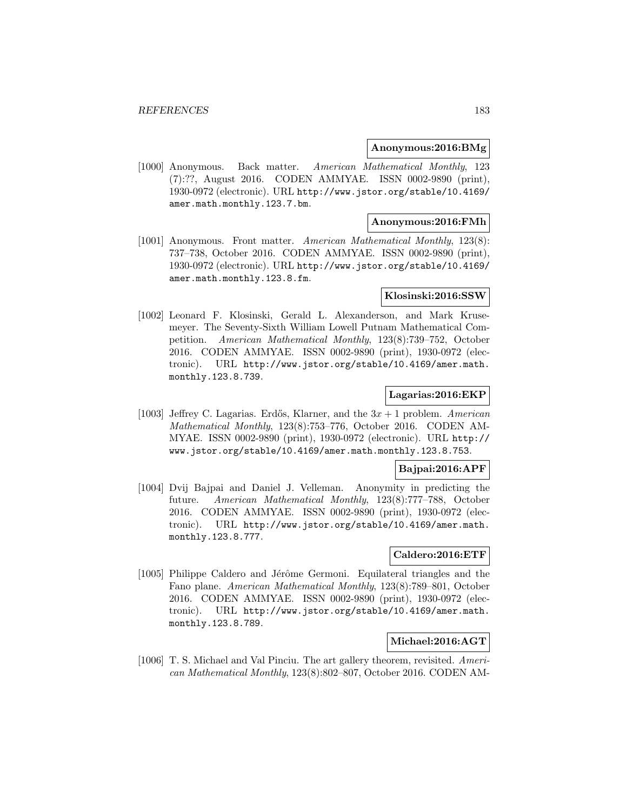### **Anonymous:2016:BMg**

[1000] Anonymous. Back matter. American Mathematical Monthly, 123 (7):??, August 2016. CODEN AMMYAE. ISSN 0002-9890 (print), 1930-0972 (electronic). URL http://www.jstor.org/stable/10.4169/ amer.math.monthly.123.7.bm.

## **Anonymous:2016:FMh**

[1001] Anonymous. Front matter. American Mathematical Monthly, 123(8): 737–738, October 2016. CODEN AMMYAE. ISSN 0002-9890 (print), 1930-0972 (electronic). URL http://www.jstor.org/stable/10.4169/ amer.math.monthly.123.8.fm.

### **Klosinski:2016:SSW**

[1002] Leonard F. Klosinski, Gerald L. Alexanderson, and Mark Krusemeyer. The Seventy-Sixth William Lowell Putnam Mathematical Competition. American Mathematical Monthly, 123(8):739–752, October 2016. CODEN AMMYAE. ISSN 0002-9890 (print), 1930-0972 (electronic). URL http://www.jstor.org/stable/10.4169/amer.math. monthly.123.8.739.

# **Lagarias:2016:EKP**

[1003] Jeffrey C. Lagarias. Erdős, Klarner, and the  $3x + 1$  problem. American Mathematical Monthly, 123(8):753–776, October 2016. CODEN AM-MYAE. ISSN 0002-9890 (print), 1930-0972 (electronic). URL http:// www.jstor.org/stable/10.4169/amer.math.monthly.123.8.753.

### **Bajpai:2016:APF**

[1004] Dvij Bajpai and Daniel J. Velleman. Anonymity in predicting the future. American Mathematical Monthly, 123(8):777–788, October 2016. CODEN AMMYAE. ISSN 0002-9890 (print), 1930-0972 (electronic). URL http://www.jstor.org/stable/10.4169/amer.math. monthly.123.8.777.

## **Caldero:2016:ETF**

[1005] Philippe Caldero and Jérôme Germoni. Equilateral triangles and the Fano plane. American Mathematical Monthly, 123(8):789–801, October 2016. CODEN AMMYAE. ISSN 0002-9890 (print), 1930-0972 (electronic). URL http://www.jstor.org/stable/10.4169/amer.math. monthly.123.8.789.

# **Michael:2016:AGT**

[1006] T. S. Michael and Val Pinciu. The art gallery theorem, revisited. American Mathematical Monthly, 123(8):802–807, October 2016. CODEN AM-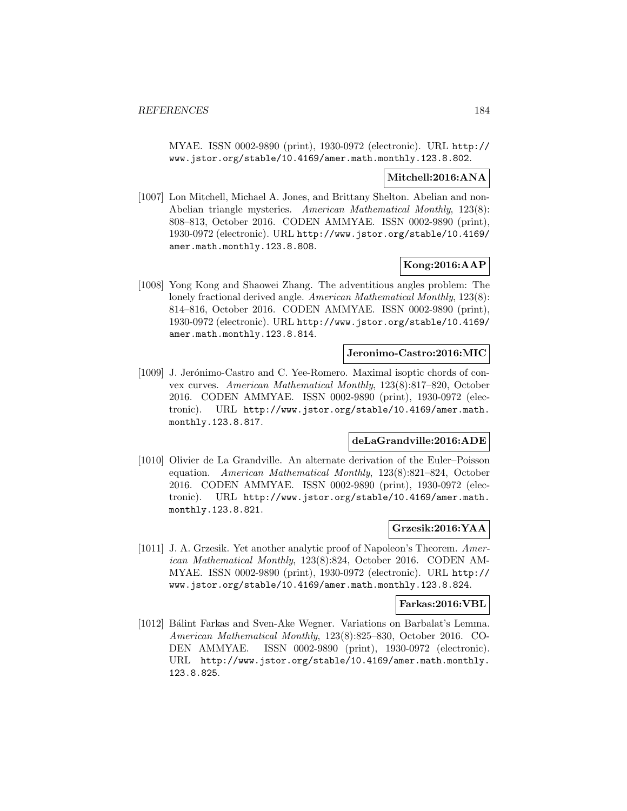MYAE. ISSN 0002-9890 (print), 1930-0972 (electronic). URL http:// www.jstor.org/stable/10.4169/amer.math.monthly.123.8.802.

### **Mitchell:2016:ANA**

[1007] Lon Mitchell, Michael A. Jones, and Brittany Shelton. Abelian and non-Abelian triangle mysteries. American Mathematical Monthly, 123(8): 808–813, October 2016. CODEN AMMYAE. ISSN 0002-9890 (print), 1930-0972 (electronic). URL http://www.jstor.org/stable/10.4169/ amer.math.monthly.123.8.808.

# **Kong:2016:AAP**

[1008] Yong Kong and Shaowei Zhang. The adventitious angles problem: The lonely fractional derived angle. American Mathematical Monthly, 123(8): 814–816, October 2016. CODEN AMMYAE. ISSN 0002-9890 (print), 1930-0972 (electronic). URL http://www.jstor.org/stable/10.4169/ amer.math.monthly.123.8.814.

### **Jeronimo-Castro:2016:MIC**

[1009] J. Jerónimo-Castro and C. Yee-Romero. Maximal isoptic chords of convex curves. American Mathematical Monthly, 123(8):817–820, October 2016. CODEN AMMYAE. ISSN 0002-9890 (print), 1930-0972 (electronic). URL http://www.jstor.org/stable/10.4169/amer.math. monthly.123.8.817.

# **deLaGrandville:2016:ADE**

[1010] Olivier de La Grandville. An alternate derivation of the Euler–Poisson equation. American Mathematical Monthly, 123(8):821–824, October 2016. CODEN AMMYAE. ISSN 0002-9890 (print), 1930-0972 (electronic). URL http://www.jstor.org/stable/10.4169/amer.math. monthly.123.8.821.

## **Grzesik:2016:YAA**

[1011] J. A. Grzesik. Yet another analytic proof of Napoleon's Theorem. American Mathematical Monthly, 123(8):824, October 2016. CODEN AM-MYAE. ISSN 0002-9890 (print), 1930-0972 (electronic). URL http:// www.jstor.org/stable/10.4169/amer.math.monthly.123.8.824.

#### **Farkas:2016:VBL**

[1012] Bálint Farkas and Sven-Ake Wegner. Variations on Barbalat's Lemma. American Mathematical Monthly, 123(8):825–830, October 2016. CO-DEN AMMYAE. ISSN 0002-9890 (print), 1930-0972 (electronic). URL http://www.jstor.org/stable/10.4169/amer.math.monthly. 123.8.825.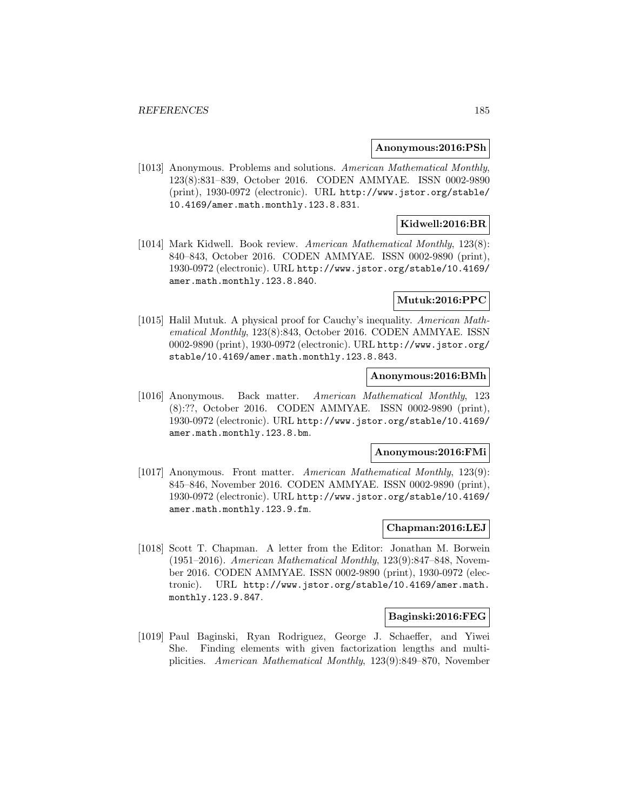### **Anonymous:2016:PSh**

[1013] Anonymous. Problems and solutions. American Mathematical Monthly, 123(8):831–839, October 2016. CODEN AMMYAE. ISSN 0002-9890 (print), 1930-0972 (electronic). URL http://www.jstor.org/stable/ 10.4169/amer.math.monthly.123.8.831.

## **Kidwell:2016:BR**

[1014] Mark Kidwell. Book review. American Mathematical Monthly, 123(8): 840–843, October 2016. CODEN AMMYAE. ISSN 0002-9890 (print), 1930-0972 (electronic). URL http://www.jstor.org/stable/10.4169/ amer.math.monthly.123.8.840.

### **Mutuk:2016:PPC**

[1015] Halil Mutuk. A physical proof for Cauchy's inequality. American Mathematical Monthly, 123(8):843, October 2016. CODEN AMMYAE. ISSN 0002-9890 (print), 1930-0972 (electronic). URL http://www.jstor.org/ stable/10.4169/amer.math.monthly.123.8.843.

## **Anonymous:2016:BMh**

[1016] Anonymous. Back matter. American Mathematical Monthly, 123 (8):??, October 2016. CODEN AMMYAE. ISSN 0002-9890 (print), 1930-0972 (electronic). URL http://www.jstor.org/stable/10.4169/ amer.math.monthly.123.8.bm.

#### **Anonymous:2016:FMi**

[1017] Anonymous. Front matter. American Mathematical Monthly, 123(9): 845–846, November 2016. CODEN AMMYAE. ISSN 0002-9890 (print), 1930-0972 (electronic). URL http://www.jstor.org/stable/10.4169/ amer.math.monthly.123.9.fm.

## **Chapman:2016:LEJ**

[1018] Scott T. Chapman. A letter from the Editor: Jonathan M. Borwein (1951–2016). American Mathematical Monthly, 123(9):847–848, November 2016. CODEN AMMYAE. ISSN 0002-9890 (print), 1930-0972 (electronic). URL http://www.jstor.org/stable/10.4169/amer.math. monthly.123.9.847.

### **Baginski:2016:FEG**

[1019] Paul Baginski, Ryan Rodriguez, George J. Schaeffer, and Yiwei She. Finding elements with given factorization lengths and multiplicities. American Mathematical Monthly, 123(9):849–870, November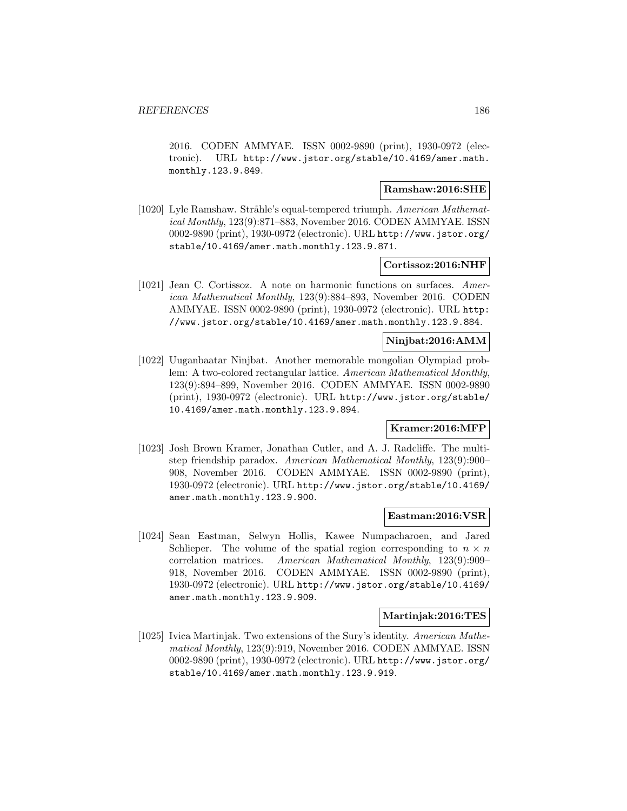2016. CODEN AMMYAE. ISSN 0002-9890 (print), 1930-0972 (electronic). URL http://www.jstor.org/stable/10.4169/amer.math. monthly.123.9.849.

# **Ramshaw:2016:SHE**

[1020] Lyle Ramshaw. Stråhle's equal-tempered triumph. American Mathematical Monthly, 123(9):871–883, November 2016. CODEN AMMYAE. ISSN 0002-9890 (print), 1930-0972 (electronic). URL http://www.jstor.org/ stable/10.4169/amer.math.monthly.123.9.871.

### **Cortissoz:2016:NHF**

[1021] Jean C. Cortissoz. A note on harmonic functions on surfaces. American Mathematical Monthly, 123(9):884–893, November 2016. CODEN AMMYAE. ISSN 0002-9890 (print), 1930-0972 (electronic). URL http: //www.jstor.org/stable/10.4169/amer.math.monthly.123.9.884.

# **Ninjbat:2016:AMM**

[1022] Uuganbaatar Ninjbat. Another memorable mongolian Olympiad problem: A two-colored rectangular lattice. American Mathematical Monthly, 123(9):894–899, November 2016. CODEN AMMYAE. ISSN 0002-9890 (print), 1930-0972 (electronic). URL http://www.jstor.org/stable/ 10.4169/amer.math.monthly.123.9.894.

## **Kramer:2016:MFP**

[1023] Josh Brown Kramer, Jonathan Cutler, and A. J. Radcliffe. The multistep friendship paradox. American Mathematical Monthly, 123(9):900– 908, November 2016. CODEN AMMYAE. ISSN 0002-9890 (print), 1930-0972 (electronic). URL http://www.jstor.org/stable/10.4169/ amer.math.monthly.123.9.900.

### **Eastman:2016:VSR**

[1024] Sean Eastman, Selwyn Hollis, Kawee Numpacharoen, and Jared Schlieper. The volume of the spatial region corresponding to  $n \times n$ correlation matrices. American Mathematical Monthly, 123(9):909– 918, November 2016. CODEN AMMYAE. ISSN 0002-9890 (print), 1930-0972 (electronic). URL http://www.jstor.org/stable/10.4169/ amer.math.monthly.123.9.909.

#### **Martinjak:2016:TES**

[1025] Ivica Martinjak. Two extensions of the Sury's identity. American Mathematical Monthly, 123(9):919, November 2016. CODEN AMMYAE. ISSN 0002-9890 (print), 1930-0972 (electronic). URL http://www.jstor.org/ stable/10.4169/amer.math.monthly.123.9.919.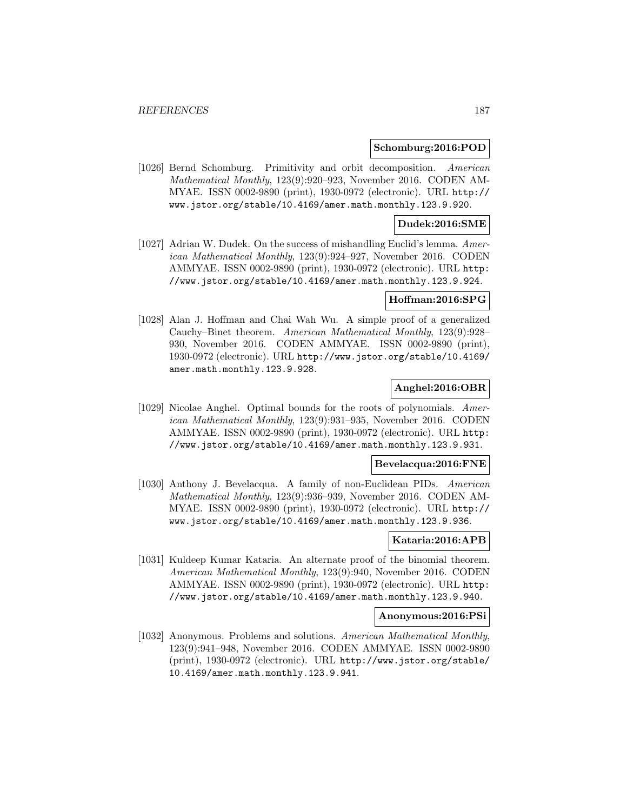### **Schomburg:2016:POD**

[1026] Bernd Schomburg. Primitivity and orbit decomposition. American Mathematical Monthly, 123(9):920–923, November 2016. CODEN AM-MYAE. ISSN 0002-9890 (print), 1930-0972 (electronic). URL http:// www.jstor.org/stable/10.4169/amer.math.monthly.123.9.920.

### **Dudek:2016:SME**

[1027] Adrian W. Dudek. On the success of mishandling Euclid's lemma. American Mathematical Monthly, 123(9):924–927, November 2016. CODEN AMMYAE. ISSN 0002-9890 (print), 1930-0972 (electronic). URL http: //www.jstor.org/stable/10.4169/amer.math.monthly.123.9.924.

#### **Hoffman:2016:SPG**

[1028] Alan J. Hoffman and Chai Wah Wu. A simple proof of a generalized Cauchy–Binet theorem. American Mathematical Monthly, 123(9):928– 930, November 2016. CODEN AMMYAE. ISSN 0002-9890 (print), 1930-0972 (electronic). URL http://www.jstor.org/stable/10.4169/ amer.math.monthly.123.9.928.

### **Anghel:2016:OBR**

[1029] Nicolae Anghel. Optimal bounds for the roots of polynomials. American Mathematical Monthly, 123(9):931–935, November 2016. CODEN AMMYAE. ISSN 0002-9890 (print), 1930-0972 (electronic). URL http: //www.jstor.org/stable/10.4169/amer.math.monthly.123.9.931.

#### **Bevelacqua:2016:FNE**

[1030] Anthony J. Bevelacqua. A family of non-Euclidean PIDs. American Mathematical Monthly, 123(9):936–939, November 2016. CODEN AM-MYAE. ISSN 0002-9890 (print), 1930-0972 (electronic). URL http:// www.jstor.org/stable/10.4169/amer.math.monthly.123.9.936.

# **Kataria:2016:APB**

[1031] Kuldeep Kumar Kataria. An alternate proof of the binomial theorem. American Mathematical Monthly, 123(9):940, November 2016. CODEN AMMYAE. ISSN 0002-9890 (print), 1930-0972 (electronic). URL http: //www.jstor.org/stable/10.4169/amer.math.monthly.123.9.940.

#### **Anonymous:2016:PSi**

[1032] Anonymous. Problems and solutions. American Mathematical Monthly, 123(9):941–948, November 2016. CODEN AMMYAE. ISSN 0002-9890 (print), 1930-0972 (electronic). URL http://www.jstor.org/stable/ 10.4169/amer.math.monthly.123.9.941.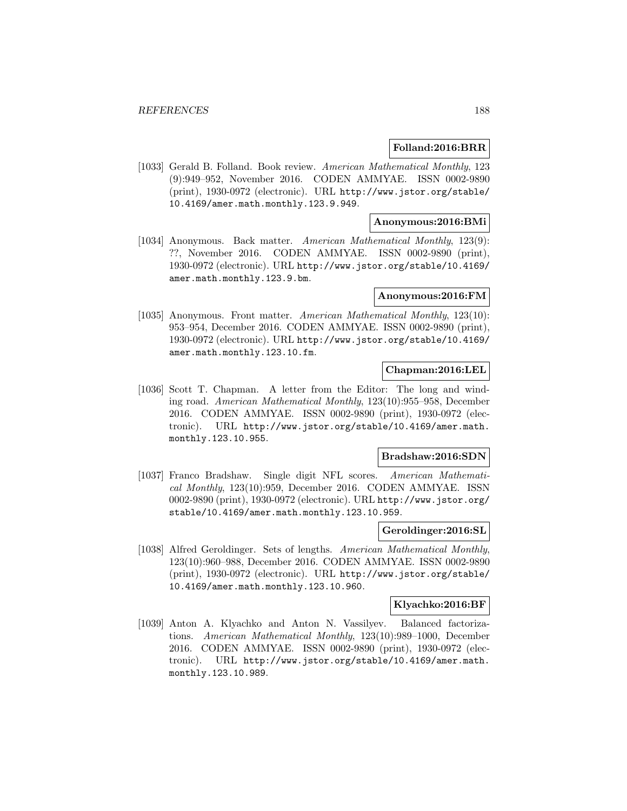### **Folland:2016:BRR**

[1033] Gerald B. Folland. Book review. American Mathematical Monthly, 123 (9):949–952, November 2016. CODEN AMMYAE. ISSN 0002-9890 (print), 1930-0972 (electronic). URL http://www.jstor.org/stable/ 10.4169/amer.math.monthly.123.9.949.

# **Anonymous:2016:BMi**

[1034] Anonymous. Back matter. American Mathematical Monthly, 123(9): ??, November 2016. CODEN AMMYAE. ISSN 0002-9890 (print), 1930-0972 (electronic). URL http://www.jstor.org/stable/10.4169/ amer.math.monthly.123.9.bm.

#### **Anonymous:2016:FM**

[1035] Anonymous. Front matter. American Mathematical Monthly, 123(10): 953–954, December 2016. CODEN AMMYAE. ISSN 0002-9890 (print), 1930-0972 (electronic). URL http://www.jstor.org/stable/10.4169/ amer.math.monthly.123.10.fm.

## **Chapman:2016:LEL**

[1036] Scott T. Chapman. A letter from the Editor: The long and winding road. American Mathematical Monthly, 123(10):955–958, December 2016. CODEN AMMYAE. ISSN 0002-9890 (print), 1930-0972 (electronic). URL http://www.jstor.org/stable/10.4169/amer.math. monthly.123.10.955.

## **Bradshaw:2016:SDN**

[1037] Franco Bradshaw. Single digit NFL scores. American Mathematical Monthly, 123(10):959, December 2016. CODEN AMMYAE. ISSN 0002-9890 (print), 1930-0972 (electronic). URL http://www.jstor.org/ stable/10.4169/amer.math.monthly.123.10.959.

### **Geroldinger:2016:SL**

[1038] Alfred Geroldinger. Sets of lengths. American Mathematical Monthly, 123(10):960–988, December 2016. CODEN AMMYAE. ISSN 0002-9890 (print), 1930-0972 (electronic). URL http://www.jstor.org/stable/ 10.4169/amer.math.monthly.123.10.960.

#### **Klyachko:2016:BF**

[1039] Anton A. Klyachko and Anton N. Vassilyev. Balanced factorizations. American Mathematical Monthly, 123(10):989–1000, December 2016. CODEN AMMYAE. ISSN 0002-9890 (print), 1930-0972 (electronic). URL http://www.jstor.org/stable/10.4169/amer.math. monthly.123.10.989.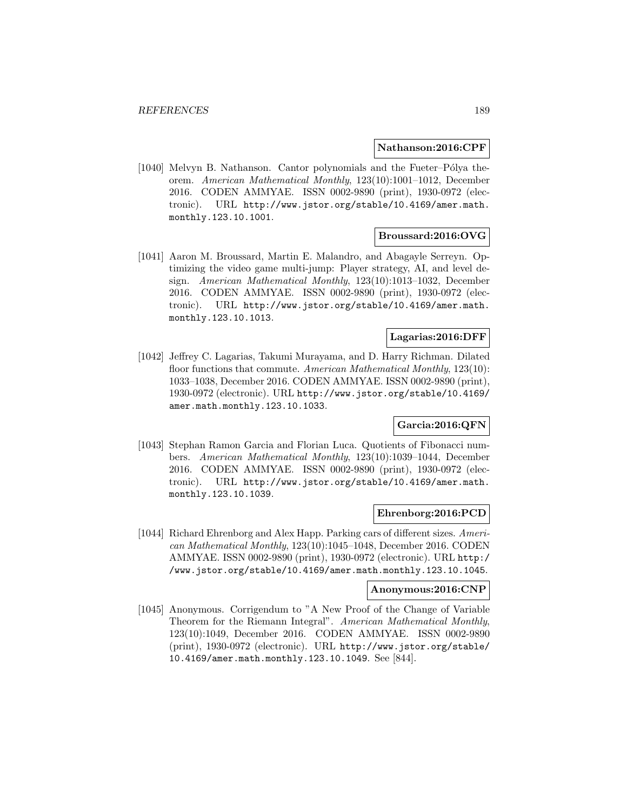#### **Nathanson:2016:CPF**

[1040] Melvyn B. Nathanson. Cantor polynomials and the Fueter–Pólya theorem. American Mathematical Monthly, 123(10):1001–1012, December 2016. CODEN AMMYAE. ISSN 0002-9890 (print), 1930-0972 (electronic). URL http://www.jstor.org/stable/10.4169/amer.math. monthly.123.10.1001.

# **Broussard:2016:OVG**

[1041] Aaron M. Broussard, Martin E. Malandro, and Abagayle Serreyn. Optimizing the video game multi-jump: Player strategy, AI, and level design. American Mathematical Monthly, 123(10):1013–1032, December 2016. CODEN AMMYAE. ISSN 0002-9890 (print), 1930-0972 (electronic). URL http://www.jstor.org/stable/10.4169/amer.math. monthly.123.10.1013.

# **Lagarias:2016:DFF**

[1042] Jeffrey C. Lagarias, Takumi Murayama, and D. Harry Richman. Dilated floor functions that commute. American Mathematical Monthly, 123(10): 1033–1038, December 2016. CODEN AMMYAE. ISSN 0002-9890 (print), 1930-0972 (electronic). URL http://www.jstor.org/stable/10.4169/ amer.math.monthly.123.10.1033.

# **Garcia:2016:QFN**

[1043] Stephan Ramon Garcia and Florian Luca. Quotients of Fibonacci numbers. American Mathematical Monthly, 123(10):1039–1044, December 2016. CODEN AMMYAE. ISSN 0002-9890 (print), 1930-0972 (electronic). URL http://www.jstor.org/stable/10.4169/amer.math. monthly.123.10.1039.

### **Ehrenborg:2016:PCD**

[1044] Richard Ehrenborg and Alex Happ. Parking cars of different sizes. American Mathematical Monthly, 123(10):1045–1048, December 2016. CODEN AMMYAE. ISSN 0002-9890 (print), 1930-0972 (electronic). URL http:/ /www.jstor.org/stable/10.4169/amer.math.monthly.123.10.1045.

# **Anonymous:2016:CNP**

[1045] Anonymous. Corrigendum to "A New Proof of the Change of Variable Theorem for the Riemann Integral". American Mathematical Monthly, 123(10):1049, December 2016. CODEN AMMYAE. ISSN 0002-9890 (print), 1930-0972 (electronic). URL http://www.jstor.org/stable/ 10.4169/amer.math.monthly.123.10.1049. See [844].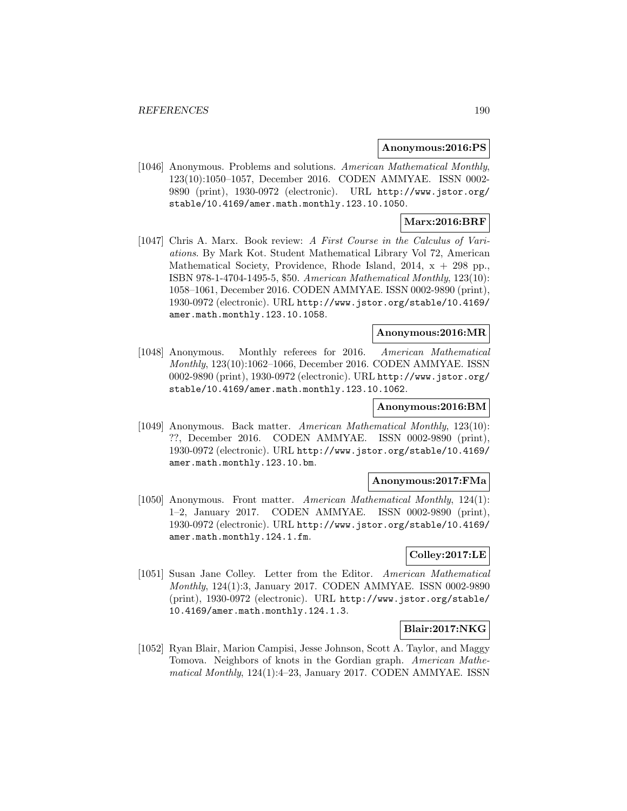#### **Anonymous:2016:PS**

[1046] Anonymous. Problems and solutions. American Mathematical Monthly, 123(10):1050–1057, December 2016. CODEN AMMYAE. ISSN 0002- 9890 (print), 1930-0972 (electronic). URL http://www.jstor.org/ stable/10.4169/amer.math.monthly.123.10.1050.

# **Marx:2016:BRF**

[1047] Chris A. Marx. Book review: A First Course in the Calculus of Variations. By Mark Kot. Student Mathematical Library Vol 72, American Mathematical Society, Providence, Rhode Island, 2014,  $x + 298$  pp., ISBN 978-1-4704-1495-5, \$50. American Mathematical Monthly, 123(10): 1058–1061, December 2016. CODEN AMMYAE. ISSN 0002-9890 (print), 1930-0972 (electronic). URL http://www.jstor.org/stable/10.4169/ amer.math.monthly.123.10.1058.

### **Anonymous:2016:MR**

[1048] Anonymous. Monthly referees for 2016. American Mathematical Monthly, 123(10):1062–1066, December 2016. CODEN AMMYAE. ISSN 0002-9890 (print), 1930-0972 (electronic). URL http://www.jstor.org/ stable/10.4169/amer.math.monthly.123.10.1062.

### **Anonymous:2016:BM**

[1049] Anonymous. Back matter. American Mathematical Monthly, 123(10): ??, December 2016. CODEN AMMYAE. ISSN 0002-9890 (print), 1930-0972 (electronic). URL http://www.jstor.org/stable/10.4169/ amer.math.monthly.123.10.bm.

# **Anonymous:2017:FMa**

[1050] Anonymous. Front matter. American Mathematical Monthly, 124(1): 1–2, January 2017. CODEN AMMYAE. ISSN 0002-9890 (print), 1930-0972 (electronic). URL http://www.jstor.org/stable/10.4169/ amer.math.monthly.124.1.fm.

## **Colley:2017:LE**

[1051] Susan Jane Colley. Letter from the Editor. American Mathematical Monthly, 124(1):3, January 2017. CODEN AMMYAE. ISSN 0002-9890 (print), 1930-0972 (electronic). URL http://www.jstor.org/stable/ 10.4169/amer.math.monthly.124.1.3.

### **Blair:2017:NKG**

[1052] Ryan Blair, Marion Campisi, Jesse Johnson, Scott A. Taylor, and Maggy Tomova. Neighbors of knots in the Gordian graph. American Mathematical Monthly, 124(1):4–23, January 2017. CODEN AMMYAE. ISSN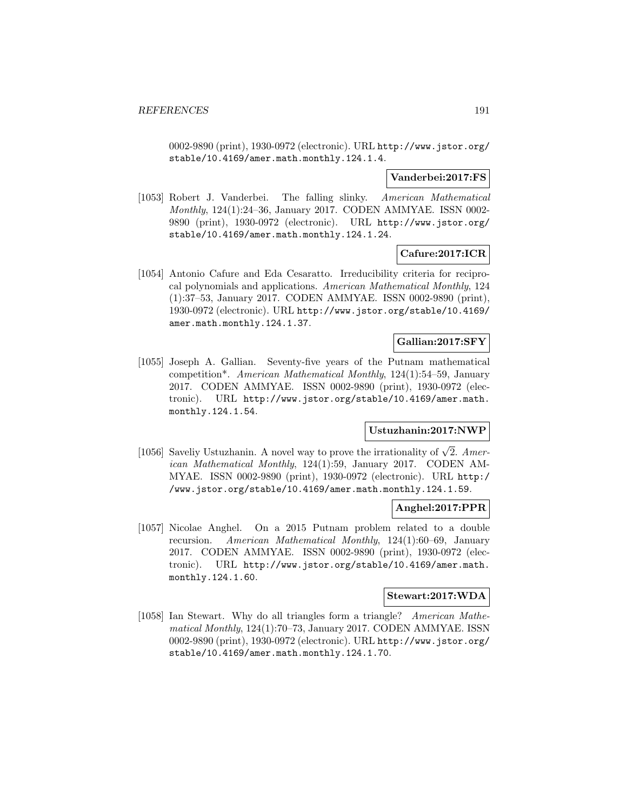0002-9890 (print), 1930-0972 (electronic). URL http://www.jstor.org/ stable/10.4169/amer.math.monthly.124.1.4.

### **Vanderbei:2017:FS**

[1053] Robert J. Vanderbei. The falling slinky. American Mathematical Monthly, 124(1):24–36, January 2017. CODEN AMMYAE. ISSN 0002- 9890 (print), 1930-0972 (electronic). URL http://www.jstor.org/ stable/10.4169/amer.math.monthly.124.1.24.

# **Cafure:2017:ICR**

[1054] Antonio Cafure and Eda Cesaratto. Irreducibility criteria for reciprocal polynomials and applications. American Mathematical Monthly, 124 (1):37–53, January 2017. CODEN AMMYAE. ISSN 0002-9890 (print), 1930-0972 (electronic). URL http://www.jstor.org/stable/10.4169/ amer.math.monthly.124.1.37.

# **Gallian:2017:SFY**

[1055] Joseph A. Gallian. Seventy-five years of the Putnam mathematical competition\*. American Mathematical Monthly, 124(1):54–59, January 2017. CODEN AMMYAE. ISSN 0002-9890 (print), 1930-0972 (electronic). URL http://www.jstor.org/stable/10.4169/amer.math. monthly.124.1.54.

## **Ustuzhanin:2017:NWP**

[1056] Saveliy Ustuzhanin. A novel way to prove the irrationality of  $\sqrt{2}$ . American Mathematical Monthly, 124(1):59, January 2017. CODEN AM-MYAE. ISSN 0002-9890 (print), 1930-0972 (electronic). URL http:/ /www.jstor.org/stable/10.4169/amer.math.monthly.124.1.59.

## **Anghel:2017:PPR**

[1057] Nicolae Anghel. On a 2015 Putnam problem related to a double recursion. American Mathematical Monthly, 124(1):60–69, January 2017. CODEN AMMYAE. ISSN 0002-9890 (print), 1930-0972 (electronic). URL http://www.jstor.org/stable/10.4169/amer.math. monthly.124.1.60.

## **Stewart:2017:WDA**

[1058] Ian Stewart. Why do all triangles form a triangle? American Mathematical Monthly, 124(1):70–73, January 2017. CODEN AMMYAE. ISSN 0002-9890 (print), 1930-0972 (electronic). URL http://www.jstor.org/ stable/10.4169/amer.math.monthly.124.1.70.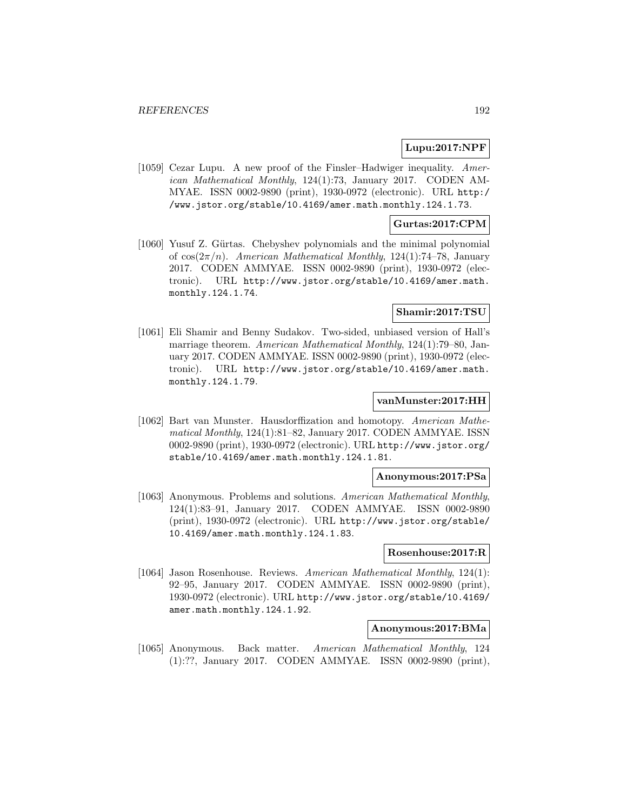### **Lupu:2017:NPF**

[1059] Cezar Lupu. A new proof of the Finsler–Hadwiger inequality. American Mathematical Monthly, 124(1):73, January 2017. CODEN AM-MYAE. ISSN 0002-9890 (print), 1930-0972 (electronic). URL http:/ /www.jstor.org/stable/10.4169/amer.math.monthly.124.1.73.

### **Gurtas:2017:CPM**

[1060] Yusuf Z. Gürtas. Chebyshev polynomials and the minimal polynomial of  $\cos(2\pi/n)$ . American Mathematical Monthly, 124(1):74–78, January 2017. CODEN AMMYAE. ISSN 0002-9890 (print), 1930-0972 (electronic). URL http://www.jstor.org/stable/10.4169/amer.math. monthly.124.1.74.

### **Shamir:2017:TSU**

[1061] Eli Shamir and Benny Sudakov. Two-sided, unbiased version of Hall's marriage theorem. American Mathematical Monthly, 124(1):79–80, January 2017. CODEN AMMYAE. ISSN 0002-9890 (print), 1930-0972 (electronic). URL http://www.jstor.org/stable/10.4169/amer.math. monthly.124.1.79.

### **vanMunster:2017:HH**

[1062] Bart van Munster. Hausdorffization and homotopy. American Mathematical Monthly, 124(1):81–82, January 2017. CODEN AMMYAE. ISSN 0002-9890 (print), 1930-0972 (electronic). URL http://www.jstor.org/ stable/10.4169/amer.math.monthly.124.1.81.

#### **Anonymous:2017:PSa**

[1063] Anonymous. Problems and solutions. American Mathematical Monthly, 124(1):83–91, January 2017. CODEN AMMYAE. ISSN 0002-9890 (print), 1930-0972 (electronic). URL http://www.jstor.org/stable/ 10.4169/amer.math.monthly.124.1.83.

#### **Rosenhouse:2017:R**

[1064] Jason Rosenhouse. Reviews. American Mathematical Monthly, 124(1): 92–95, January 2017. CODEN AMMYAE. ISSN 0002-9890 (print), 1930-0972 (electronic). URL http://www.jstor.org/stable/10.4169/ amer.math.monthly.124.1.92.

### **Anonymous:2017:BMa**

[1065] Anonymous. Back matter. American Mathematical Monthly, 124 (1):??, January 2017. CODEN AMMYAE. ISSN 0002-9890 (print),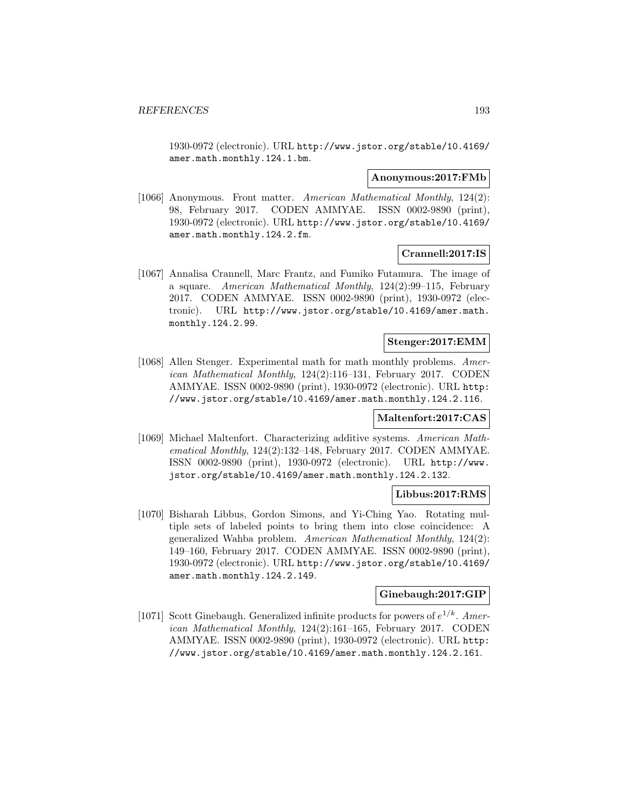1930-0972 (electronic). URL http://www.jstor.org/stable/10.4169/ amer.math.monthly.124.1.bm.

#### **Anonymous:2017:FMb**

[1066] Anonymous. Front matter. American Mathematical Monthly, 124(2): 98, February 2017. CODEN AMMYAE. ISSN 0002-9890 (print), 1930-0972 (electronic). URL http://www.jstor.org/stable/10.4169/ amer.math.monthly.124.2.fm.

### **Crannell:2017:IS**

[1067] Annalisa Crannell, Marc Frantz, and Fumiko Futamura. The image of a square. American Mathematical Monthly, 124(2):99–115, February 2017. CODEN AMMYAE. ISSN 0002-9890 (print), 1930-0972 (electronic). URL http://www.jstor.org/stable/10.4169/amer.math. monthly.124.2.99.

### **Stenger:2017:EMM**

[1068] Allen Stenger. Experimental math for math monthly problems. American Mathematical Monthly, 124(2):116–131, February 2017. CODEN AMMYAE. ISSN 0002-9890 (print), 1930-0972 (electronic). URL http: //www.jstor.org/stable/10.4169/amer.math.monthly.124.2.116.

#### **Maltenfort:2017:CAS**

[1069] Michael Maltenfort. Characterizing additive systems. American Mathematical Monthly, 124(2):132–148, February 2017. CODEN AMMYAE. ISSN 0002-9890 (print), 1930-0972 (electronic). URL http://www. jstor.org/stable/10.4169/amer.math.monthly.124.2.132.

### **Libbus:2017:RMS**

[1070] Bisharah Libbus, Gordon Simons, and Yi-Ching Yao. Rotating multiple sets of labeled points to bring them into close coincidence: A generalized Wahba problem. American Mathematical Monthly, 124(2): 149–160, February 2017. CODEN AMMYAE. ISSN 0002-9890 (print), 1930-0972 (electronic). URL http://www.jstor.org/stable/10.4169/ amer.math.monthly.124.2.149.

## **Ginebaugh:2017:GIP**

[1071] Scott Ginebaugh. Generalized infinite products for powers of  $e^{1/k}$ . American Mathematical Monthly, 124(2):161–165, February 2017. CODEN AMMYAE. ISSN 0002-9890 (print), 1930-0972 (electronic). URL http: //www.jstor.org/stable/10.4169/amer.math.monthly.124.2.161.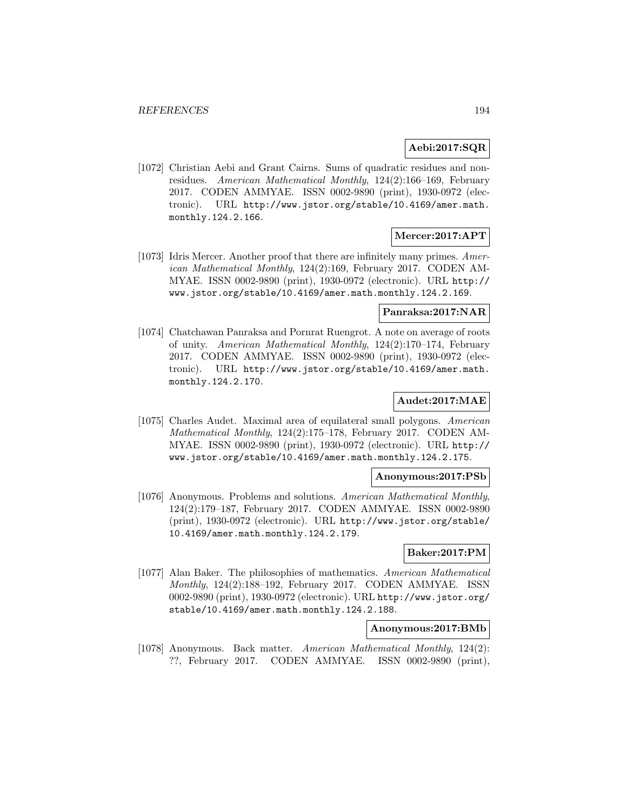# **Aebi:2017:SQR**

[1072] Christian Aebi and Grant Cairns. Sums of quadratic residues and nonresidues. American Mathematical Monthly, 124(2):166–169, February 2017. CODEN AMMYAE. ISSN 0002-9890 (print), 1930-0972 (electronic). URL http://www.jstor.org/stable/10.4169/amer.math. monthly.124.2.166.

### **Mercer:2017:APT**

[1073] Idris Mercer. Another proof that there are infinitely many primes. American Mathematical Monthly, 124(2):169, February 2017. CODEN AM-MYAE. ISSN 0002-9890 (print), 1930-0972 (electronic). URL http:// www.jstor.org/stable/10.4169/amer.math.monthly.124.2.169.

#### **Panraksa:2017:NAR**

[1074] Chatchawan Panraksa and Pornrat Ruengrot. A note on average of roots of unity. American Mathematical Monthly, 124(2):170–174, February 2017. CODEN AMMYAE. ISSN 0002-9890 (print), 1930-0972 (electronic). URL http://www.jstor.org/stable/10.4169/amer.math. monthly.124.2.170.

# **Audet:2017:MAE**

[1075] Charles Audet. Maximal area of equilateral small polygons. American Mathematical Monthly, 124(2):175–178, February 2017. CODEN AM-MYAE. ISSN 0002-9890 (print), 1930-0972 (electronic). URL http:// www.jstor.org/stable/10.4169/amer.math.monthly.124.2.175.

#### **Anonymous:2017:PSb**

[1076] Anonymous. Problems and solutions. American Mathematical Monthly, 124(2):179–187, February 2017. CODEN AMMYAE. ISSN 0002-9890 (print), 1930-0972 (electronic). URL http://www.jstor.org/stable/ 10.4169/amer.math.monthly.124.2.179.

#### **Baker:2017:PM**

[1077] Alan Baker. The philosophies of mathematics. American Mathematical Monthly, 124(2):188–192, February 2017. CODEN AMMYAE. ISSN 0002-9890 (print), 1930-0972 (electronic). URL http://www.jstor.org/ stable/10.4169/amer.math.monthly.124.2.188.

#### **Anonymous:2017:BMb**

[1078] Anonymous. Back matter. American Mathematical Monthly, 124(2): ??, February 2017. CODEN AMMYAE. ISSN 0002-9890 (print),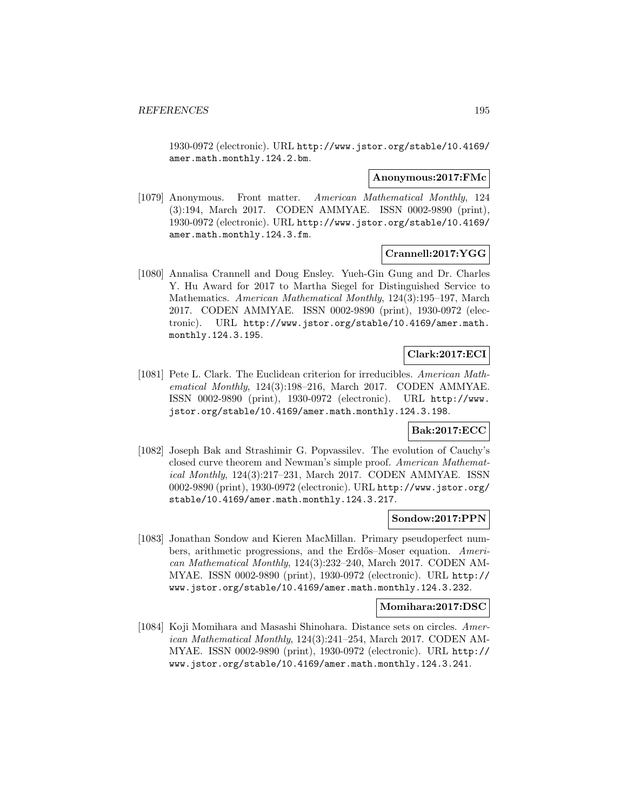1930-0972 (electronic). URL http://www.jstor.org/stable/10.4169/ amer.math.monthly.124.2.bm.

#### **Anonymous:2017:FMc**

[1079] Anonymous. Front matter. American Mathematical Monthly, 124 (3):194, March 2017. CODEN AMMYAE. ISSN 0002-9890 (print), 1930-0972 (electronic). URL http://www.jstor.org/stable/10.4169/ amer.math.monthly.124.3.fm.

### **Crannell:2017:YGG**

[1080] Annalisa Crannell and Doug Ensley. Yueh-Gin Gung and Dr. Charles Y. Hu Award for 2017 to Martha Siegel for Distinguished Service to Mathematics. American Mathematical Monthly, 124(3):195–197, March 2017. CODEN AMMYAE. ISSN 0002-9890 (print), 1930-0972 (electronic). URL http://www.jstor.org/stable/10.4169/amer.math. monthly.124.3.195.

# **Clark:2017:ECI**

[1081] Pete L. Clark. The Euclidean criterion for irreducibles. American Mathematical Monthly, 124(3):198–216, March 2017. CODEN AMMYAE. ISSN 0002-9890 (print), 1930-0972 (electronic). URL http://www. jstor.org/stable/10.4169/amer.math.monthly.124.3.198.

### **Bak:2017:ECC**

[1082] Joseph Bak and Strashimir G. Popvassilev. The evolution of Cauchy's closed curve theorem and Newman's simple proof. American Mathematical Monthly, 124(3):217–231, March 2017. CODEN AMMYAE. ISSN 0002-9890 (print), 1930-0972 (electronic). URL http://www.jstor.org/ stable/10.4169/amer.math.monthly.124.3.217.

#### **Sondow:2017:PPN**

[1083] Jonathan Sondow and Kieren MacMillan. Primary pseudoperfect numbers, arithmetic progressions, and the Erdős–Moser equation. American Mathematical Monthly, 124(3):232–240, March 2017. CODEN AM-MYAE. ISSN 0002-9890 (print), 1930-0972 (electronic). URL http:// www.jstor.org/stable/10.4169/amer.math.monthly.124.3.232.

### **Momihara:2017:DSC**

[1084] Koji Momihara and Masashi Shinohara. Distance sets on circles. American Mathematical Monthly, 124(3):241–254, March 2017. CODEN AM-MYAE. ISSN 0002-9890 (print), 1930-0972 (electronic). URL http:// www.jstor.org/stable/10.4169/amer.math.monthly.124.3.241.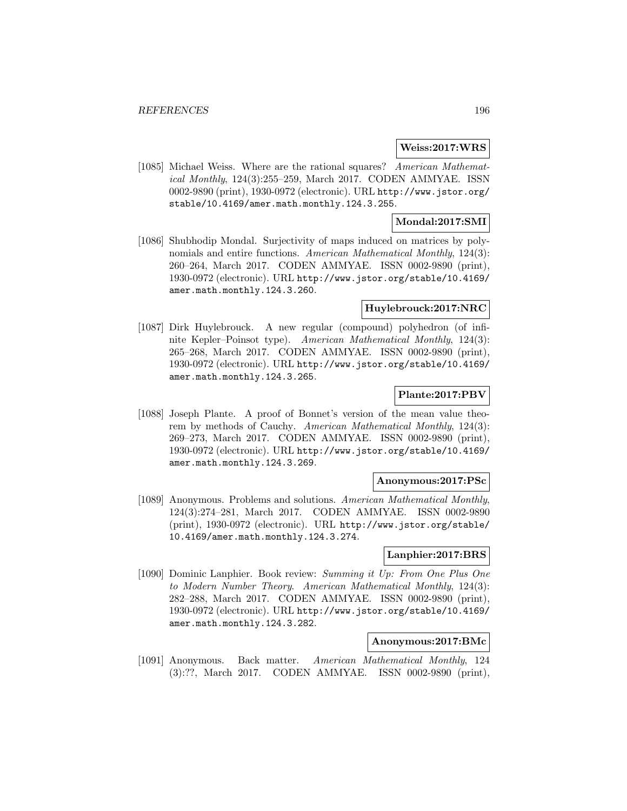### **Weiss:2017:WRS**

[1085] Michael Weiss. Where are the rational squares? American Mathematical Monthly, 124(3):255–259, March 2017. CODEN AMMYAE. ISSN 0002-9890 (print), 1930-0972 (electronic). URL http://www.jstor.org/ stable/10.4169/amer.math.monthly.124.3.255.

### **Mondal:2017:SMI**

[1086] Shubhodip Mondal. Surjectivity of maps induced on matrices by polynomials and entire functions. American Mathematical Monthly, 124(3): 260–264, March 2017. CODEN AMMYAE. ISSN 0002-9890 (print), 1930-0972 (electronic). URL http://www.jstor.org/stable/10.4169/ amer.math.monthly.124.3.260.

## **Huylebrouck:2017:NRC**

[1087] Dirk Huylebrouck. A new regular (compound) polyhedron (of infinite Kepler–Poinsot type). American Mathematical Monthly, 124(3): 265–268, March 2017. CODEN AMMYAE. ISSN 0002-9890 (print), 1930-0972 (electronic). URL http://www.jstor.org/stable/10.4169/ amer.math.monthly.124.3.265.

## **Plante:2017:PBV**

[1088] Joseph Plante. A proof of Bonnet's version of the mean value theorem by methods of Cauchy. American Mathematical Monthly, 124(3): 269–273, March 2017. CODEN AMMYAE. ISSN 0002-9890 (print), 1930-0972 (electronic). URL http://www.jstor.org/stable/10.4169/ amer.math.monthly.124.3.269.

# **Anonymous:2017:PSc**

[1089] Anonymous. Problems and solutions. American Mathematical Monthly, 124(3):274–281, March 2017. CODEN AMMYAE. ISSN 0002-9890 (print), 1930-0972 (electronic). URL http://www.jstor.org/stable/ 10.4169/amer.math.monthly.124.3.274.

# **Lanphier:2017:BRS**

[1090] Dominic Lanphier. Book review: Summing it Up: From One Plus One to Modern Number Theory. American Mathematical Monthly, 124(3): 282–288, March 2017. CODEN AMMYAE. ISSN 0002-9890 (print), 1930-0972 (electronic). URL http://www.jstor.org/stable/10.4169/ amer.math.monthly.124.3.282.

#### **Anonymous:2017:BMc**

[1091] Anonymous. Back matter. American Mathematical Monthly, 124 (3):??, March 2017. CODEN AMMYAE. ISSN 0002-9890 (print),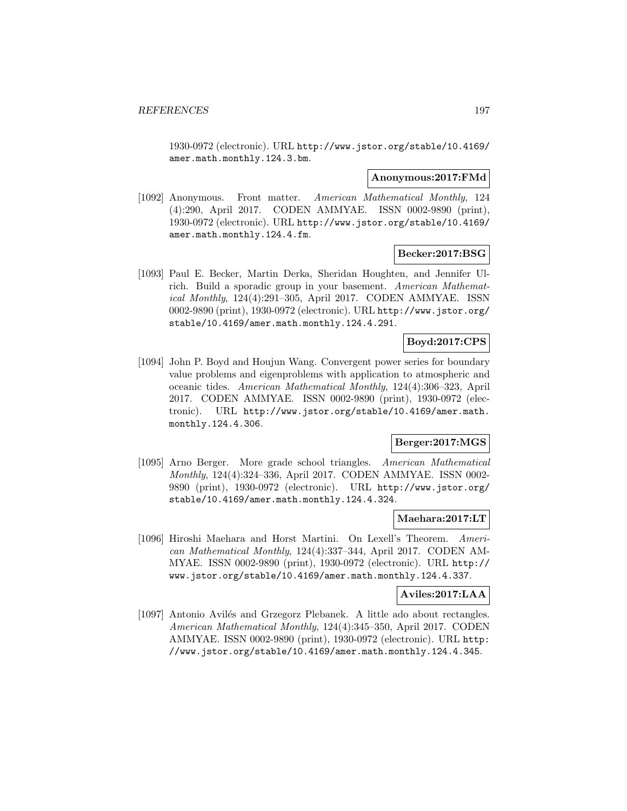1930-0972 (electronic). URL http://www.jstor.org/stable/10.4169/ amer.math.monthly.124.3.bm.

#### **Anonymous:2017:FMd**

[1092] Anonymous. Front matter. American Mathematical Monthly, 124 (4):290, April 2017. CODEN AMMYAE. ISSN 0002-9890 (print), 1930-0972 (electronic). URL http://www.jstor.org/stable/10.4169/ amer.math.monthly.124.4.fm.

**Becker:2017:BSG**

[1093] Paul E. Becker, Martin Derka, Sheridan Houghten, and Jennifer Ulrich. Build a sporadic group in your basement. American Mathematical Monthly, 124(4):291–305, April 2017. CODEN AMMYAE. ISSN 0002-9890 (print), 1930-0972 (electronic). URL http://www.jstor.org/ stable/10.4169/amer.math.monthly.124.4.291.

### **Boyd:2017:CPS**

[1094] John P. Boyd and Houjun Wang. Convergent power series for boundary value problems and eigenproblems with application to atmospheric and oceanic tides. American Mathematical Monthly, 124(4):306–323, April 2017. CODEN AMMYAE. ISSN 0002-9890 (print), 1930-0972 (electronic). URL http://www.jstor.org/stable/10.4169/amer.math. monthly.124.4.306.

# **Berger:2017:MGS**

[1095] Arno Berger. More grade school triangles. American Mathematical Monthly, 124(4):324–336, April 2017. CODEN AMMYAE. ISSN 0002- 9890 (print), 1930-0972 (electronic). URL http://www.jstor.org/ stable/10.4169/amer.math.monthly.124.4.324.

#### **Maehara:2017:LT**

[1096] Hiroshi Maehara and Horst Martini. On Lexell's Theorem. American Mathematical Monthly, 124(4):337–344, April 2017. CODEN AM-MYAE. ISSN 0002-9890 (print), 1930-0972 (electronic). URL http:// www.jstor.org/stable/10.4169/amer.math.monthly.124.4.337.

#### **Aviles:2017:LAA**

[1097] Antonio Avilés and Grzegorz Plebanek. A little ado about rectangles. American Mathematical Monthly, 124(4):345–350, April 2017. CODEN AMMYAE. ISSN 0002-9890 (print), 1930-0972 (electronic). URL http: //www.jstor.org/stable/10.4169/amer.math.monthly.124.4.345.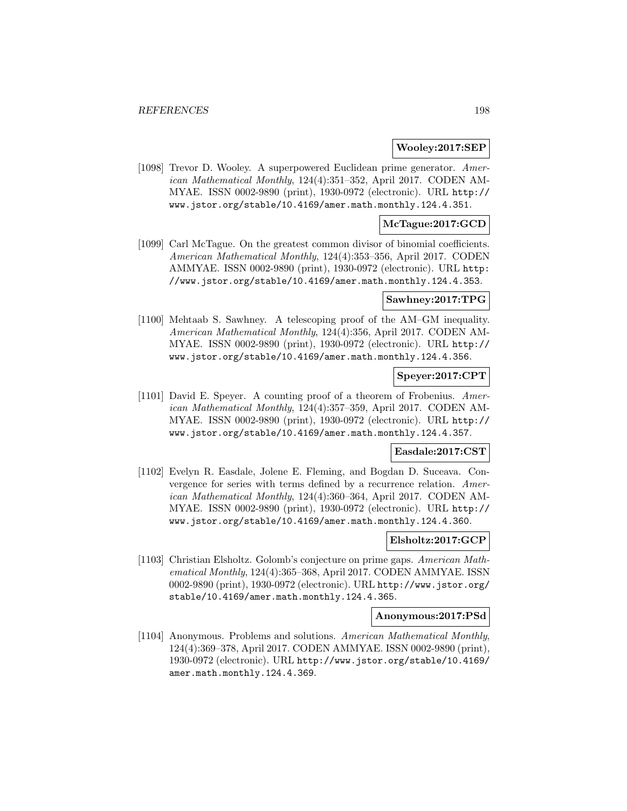#### **Wooley:2017:SEP**

[1098] Trevor D. Wooley. A superpowered Euclidean prime generator. American Mathematical Monthly, 124(4):351–352, April 2017. CODEN AM-MYAE. ISSN 0002-9890 (print), 1930-0972 (electronic). URL http:// www.jstor.org/stable/10.4169/amer.math.monthly.124.4.351.

### **McTague:2017:GCD**

[1099] Carl McTague. On the greatest common divisor of binomial coefficients. American Mathematical Monthly, 124(4):353–356, April 2017. CODEN AMMYAE. ISSN 0002-9890 (print), 1930-0972 (electronic). URL http: //www.jstor.org/stable/10.4169/amer.math.monthly.124.4.353.

# **Sawhney:2017:TPG**

[1100] Mehtaab S. Sawhney. A telescoping proof of the AM–GM inequality. American Mathematical Monthly, 124(4):356, April 2017. CODEN AM-MYAE. ISSN 0002-9890 (print), 1930-0972 (electronic). URL http:// www.jstor.org/stable/10.4169/amer.math.monthly.124.4.356.

### **Speyer:2017:CPT**

[1101] David E. Speyer. A counting proof of a theorem of Frobenius. American Mathematical Monthly, 124(4):357–359, April 2017. CODEN AM-MYAE. ISSN 0002-9890 (print), 1930-0972 (electronic). URL http:// www.jstor.org/stable/10.4169/amer.math.monthly.124.4.357.

### **Easdale:2017:CST**

[1102] Evelyn R. Easdale, Jolene E. Fleming, and Bogdan D. Suceava. Convergence for series with terms defined by a recurrence relation. American Mathematical Monthly, 124(4):360–364, April 2017. CODEN AM-MYAE. ISSN 0002-9890 (print), 1930-0972 (electronic). URL http:// www.jstor.org/stable/10.4169/amer.math.monthly.124.4.360.

## **Elsholtz:2017:GCP**

[1103] Christian Elsholtz. Golomb's conjecture on prime gaps. American Mathematical Monthly, 124(4):365–368, April 2017. CODEN AMMYAE. ISSN 0002-9890 (print), 1930-0972 (electronic). URL http://www.jstor.org/ stable/10.4169/amer.math.monthly.124.4.365.

#### **Anonymous:2017:PSd**

[1104] Anonymous. Problems and solutions. American Mathematical Monthly, 124(4):369–378, April 2017. CODEN AMMYAE. ISSN 0002-9890 (print), 1930-0972 (electronic). URL http://www.jstor.org/stable/10.4169/ amer.math.monthly.124.4.369.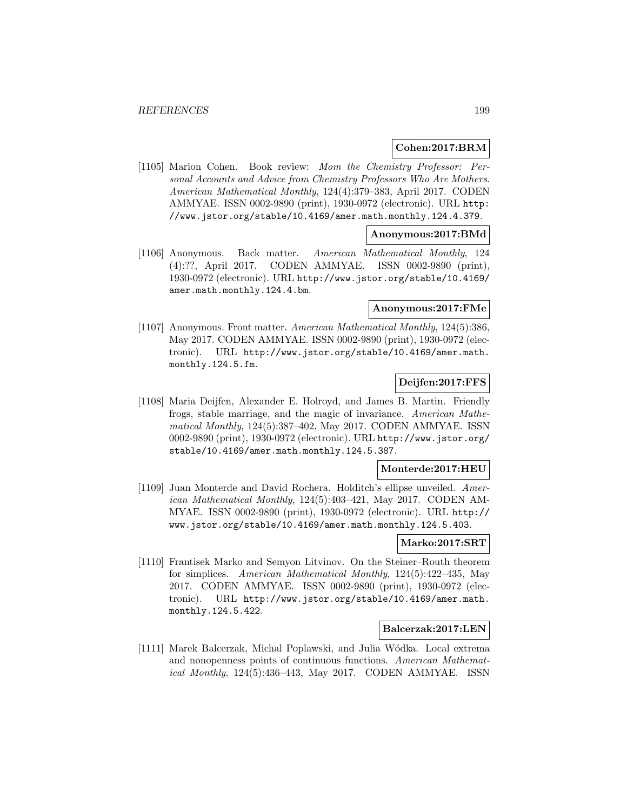## **Cohen:2017:BRM**

[1105] Marion Cohen. Book review: Mom the Chemistry Professor: Personal Accounts and Advice from Chemistry Professors Who Are Mothers. American Mathematical Monthly, 124(4):379–383, April 2017. CODEN AMMYAE. ISSN 0002-9890 (print), 1930-0972 (electronic). URL http: //www.jstor.org/stable/10.4169/amer.math.monthly.124.4.379.

### **Anonymous:2017:BMd**

[1106] Anonymous. Back matter. American Mathematical Monthly, 124 (4):??, April 2017. CODEN AMMYAE. ISSN 0002-9890 (print), 1930-0972 (electronic). URL http://www.jstor.org/stable/10.4169/ amer.math.monthly.124.4.bm.

# **Anonymous:2017:FMe**

[1107] Anonymous. Front matter. American Mathematical Monthly, 124(5):386, May 2017. CODEN AMMYAE. ISSN 0002-9890 (print), 1930-0972 (electronic). URL http://www.jstor.org/stable/10.4169/amer.math. monthly.124.5.fm.

# **Deijfen:2017:FFS**

[1108] Maria Deijfen, Alexander E. Holroyd, and James B. Martin. Friendly frogs, stable marriage, and the magic of invariance. American Mathematical Monthly, 124(5):387–402, May 2017. CODEN AMMYAE. ISSN 0002-9890 (print), 1930-0972 (electronic). URL http://www.jstor.org/ stable/10.4169/amer.math.monthly.124.5.387.

#### **Monterde:2017:HEU**

[1109] Juan Monterde and David Rochera. Holditch's ellipse unveiled. American Mathematical Monthly, 124(5):403–421, May 2017. CODEN AM-MYAE. ISSN 0002-9890 (print), 1930-0972 (electronic). URL http:// www.jstor.org/stable/10.4169/amer.math.monthly.124.5.403.

### **Marko:2017:SRT**

[1110] Frantisek Marko and Semyon Litvinov. On the Steiner–Routh theorem for simplices. American Mathematical Monthly, 124(5):422–435, May 2017. CODEN AMMYAE. ISSN 0002-9890 (print), 1930-0972 (electronic). URL http://www.jstor.org/stable/10.4169/amer.math. monthly.124.5.422.

## **Balcerzak:2017:LEN**

[1111] Marek Balcerzak, Michal Poplawski, and Julia Wódka. Local extrema and nonopenness points of continuous functions. American Mathematical Monthly, 124(5):436–443, May 2017. CODEN AMMYAE. ISSN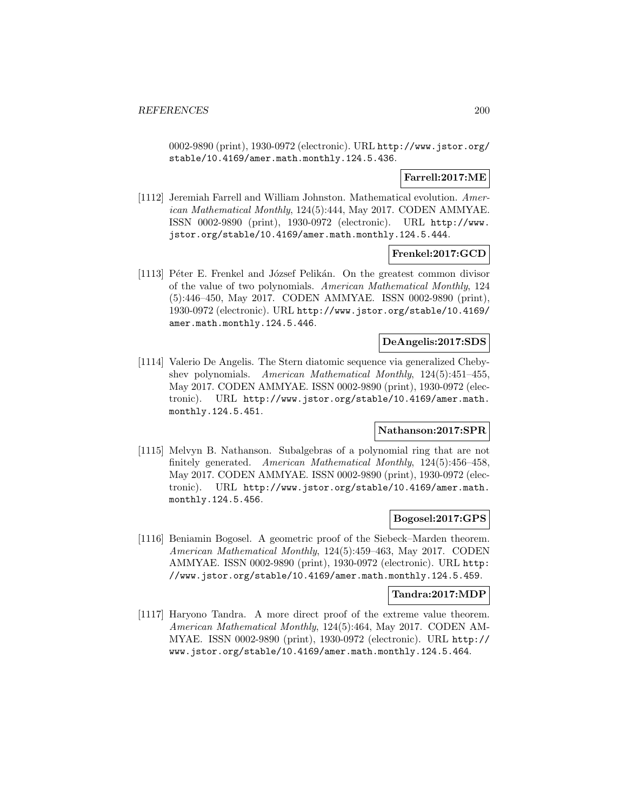0002-9890 (print), 1930-0972 (electronic). URL http://www.jstor.org/ stable/10.4169/amer.math.monthly.124.5.436.

# **Farrell:2017:ME**

[1112] Jeremiah Farrell and William Johnston. Mathematical evolution. American Mathematical Monthly, 124(5):444, May 2017. CODEN AMMYAE. ISSN 0002-9890 (print), 1930-0972 (electronic). URL http://www. jstor.org/stable/10.4169/amer.math.monthly.124.5.444.

### **Frenkel:2017:GCD**

[1113] Péter E. Frenkel and József Pelikán. On the greatest common divisor of the value of two polynomials. American Mathematical Monthly, 124 (5):446–450, May 2017. CODEN AMMYAE. ISSN 0002-9890 (print), 1930-0972 (electronic). URL http://www.jstor.org/stable/10.4169/ amer.math.monthly.124.5.446.

## **DeAngelis:2017:SDS**

[1114] Valerio De Angelis. The Stern diatomic sequence via generalized Chebyshev polynomials. American Mathematical Monthly, 124(5):451–455, May 2017. CODEN AMMYAE. ISSN 0002-9890 (print), 1930-0972 (electronic). URL http://www.jstor.org/stable/10.4169/amer.math. monthly.124.5.451.

### **Nathanson:2017:SPR**

[1115] Melvyn B. Nathanson. Subalgebras of a polynomial ring that are not finitely generated. American Mathematical Monthly, 124(5):456–458, May 2017. CODEN AMMYAE. ISSN 0002-9890 (print), 1930-0972 (electronic). URL http://www.jstor.org/stable/10.4169/amer.math. monthly.124.5.456.

### **Bogosel:2017:GPS**

[1116] Beniamin Bogosel. A geometric proof of the Siebeck–Marden theorem. American Mathematical Monthly, 124(5):459–463, May 2017. CODEN AMMYAE. ISSN 0002-9890 (print), 1930-0972 (electronic). URL http: //www.jstor.org/stable/10.4169/amer.math.monthly.124.5.459.

#### **Tandra:2017:MDP**

[1117] Haryono Tandra. A more direct proof of the extreme value theorem. American Mathematical Monthly, 124(5):464, May 2017. CODEN AM-MYAE. ISSN 0002-9890 (print), 1930-0972 (electronic). URL http:// www.jstor.org/stable/10.4169/amer.math.monthly.124.5.464.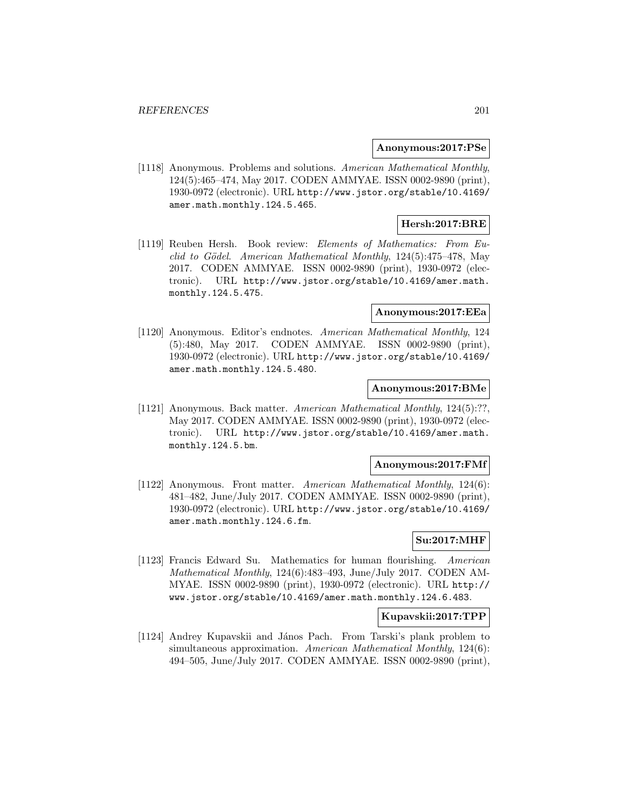#### **Anonymous:2017:PSe**

[1118] Anonymous. Problems and solutions. American Mathematical Monthly, 124(5):465–474, May 2017. CODEN AMMYAE. ISSN 0002-9890 (print), 1930-0972 (electronic). URL http://www.jstor.org/stable/10.4169/ amer.math.monthly.124.5.465.

### **Hersh:2017:BRE**

[1119] Reuben Hersh. Book review: Elements of Mathematics: From Euclid to Gödel. American Mathematical Monthly,  $124(5):475-478$ , May 2017. CODEN AMMYAE. ISSN 0002-9890 (print), 1930-0972 (electronic). URL http://www.jstor.org/stable/10.4169/amer.math. monthly.124.5.475.

#### **Anonymous:2017:EEa**

[1120] Anonymous. Editor's endnotes. American Mathematical Monthly, 124 (5):480, May 2017. CODEN AMMYAE. ISSN 0002-9890 (print), 1930-0972 (electronic). URL http://www.jstor.org/stable/10.4169/ amer.math.monthly.124.5.480.

#### **Anonymous:2017:BMe**

[1121] Anonymous. Back matter. American Mathematical Monthly, 124(5):??, May 2017. CODEN AMMYAE. ISSN 0002-9890 (print), 1930-0972 (electronic). URL http://www.jstor.org/stable/10.4169/amer.math. monthly.124.5.bm.

#### **Anonymous:2017:FMf**

[1122] Anonymous. Front matter. American Mathematical Monthly, 124(6): 481–482, June/July 2017. CODEN AMMYAE. ISSN 0002-9890 (print), 1930-0972 (electronic). URL http://www.jstor.org/stable/10.4169/ amer.math.monthly.124.6.fm.

# **Su:2017:MHF**

[1123] Francis Edward Su. Mathematics for human flourishing. American Mathematical Monthly, 124(6):483–493, June/July 2017. CODEN AM-MYAE. ISSN 0002-9890 (print), 1930-0972 (electronic). URL http:// www.jstor.org/stable/10.4169/amer.math.monthly.124.6.483.

### **Kupavskii:2017:TPP**

[1124] Andrey Kupavskii and János Pach. From Tarski's plank problem to simultaneous approximation. American Mathematical Monthly, 124(6): 494–505, June/July 2017. CODEN AMMYAE. ISSN 0002-9890 (print),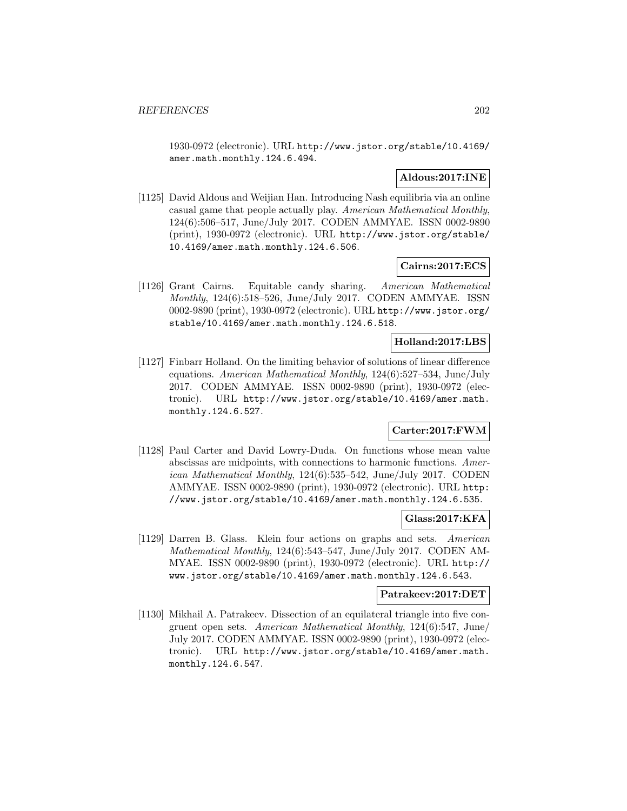1930-0972 (electronic). URL http://www.jstor.org/stable/10.4169/ amer.math.monthly.124.6.494.

# **Aldous:2017:INE**

[1125] David Aldous and Weijian Han. Introducing Nash equilibria via an online casual game that people actually play. American Mathematical Monthly, 124(6):506–517, June/July 2017. CODEN AMMYAE. ISSN 0002-9890 (print), 1930-0972 (electronic). URL http://www.jstor.org/stable/ 10.4169/amer.math.monthly.124.6.506.

### **Cairns:2017:ECS**

[1126] Grant Cairns. Equitable candy sharing. American Mathematical Monthly, 124(6):518–526, June/July 2017. CODEN AMMYAE. ISSN 0002-9890 (print), 1930-0972 (electronic). URL http://www.jstor.org/ stable/10.4169/amer.math.monthly.124.6.518.

### **Holland:2017:LBS**

[1127] Finbarr Holland. On the limiting behavior of solutions of linear difference equations. American Mathematical Monthly, 124(6):527–534, June/July 2017. CODEN AMMYAE. ISSN 0002-9890 (print), 1930-0972 (electronic). URL http://www.jstor.org/stable/10.4169/amer.math. monthly.124.6.527.

# **Carter:2017:FWM**

[1128] Paul Carter and David Lowry-Duda. On functions whose mean value abscissas are midpoints, with connections to harmonic functions. American Mathematical Monthly, 124(6):535–542, June/July 2017. CODEN AMMYAE. ISSN 0002-9890 (print), 1930-0972 (electronic). URL http: //www.jstor.org/stable/10.4169/amer.math.monthly.124.6.535.

### **Glass:2017:KFA**

[1129] Darren B. Glass. Klein four actions on graphs and sets. American Mathematical Monthly, 124(6):543–547, June/July 2017. CODEN AM-MYAE. ISSN 0002-9890 (print), 1930-0972 (electronic). URL http:// www.jstor.org/stable/10.4169/amer.math.monthly.124.6.543.

#### **Patrakeev:2017:DET**

[1130] Mikhail A. Patrakeev. Dissection of an equilateral triangle into five congruent open sets. American Mathematical Monthly, 124(6):547, June/ July 2017. CODEN AMMYAE. ISSN 0002-9890 (print), 1930-0972 (electronic). URL http://www.jstor.org/stable/10.4169/amer.math. monthly.124.6.547.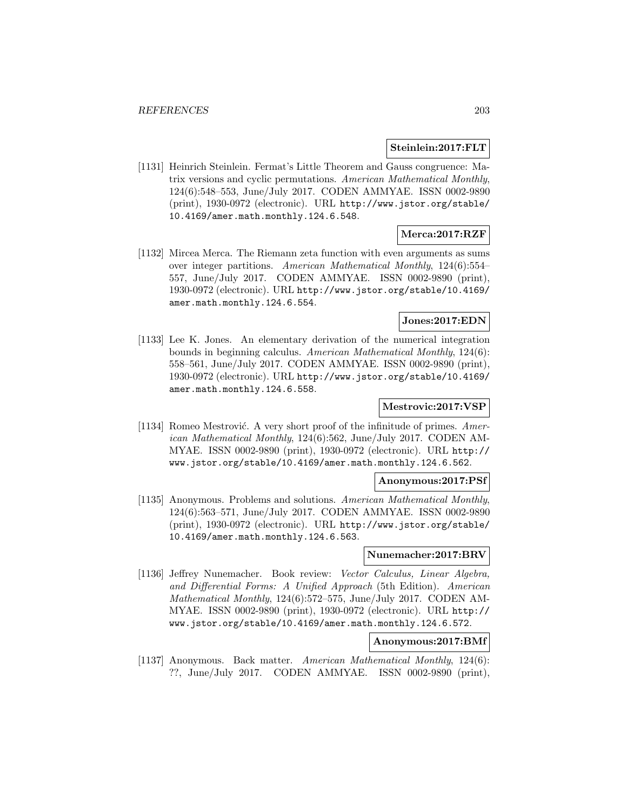### **Steinlein:2017:FLT**

[1131] Heinrich Steinlein. Fermat's Little Theorem and Gauss congruence: Matrix versions and cyclic permutations. American Mathematical Monthly, 124(6):548–553, June/July 2017. CODEN AMMYAE. ISSN 0002-9890 (print), 1930-0972 (electronic). URL http://www.jstor.org/stable/ 10.4169/amer.math.monthly.124.6.548.

### **Merca:2017:RZF**

[1132] Mircea Merca. The Riemann zeta function with even arguments as sums over integer partitions. American Mathematical Monthly, 124(6):554– 557, June/July 2017. CODEN AMMYAE. ISSN 0002-9890 (print), 1930-0972 (electronic). URL http://www.jstor.org/stable/10.4169/ amer.math.monthly.124.6.554.

# **Jones:2017:EDN**

[1133] Lee K. Jones. An elementary derivation of the numerical integration bounds in beginning calculus. American Mathematical Monthly, 124(6): 558–561, June/July 2017. CODEN AMMYAE. ISSN 0002-9890 (print), 1930-0972 (electronic). URL http://www.jstor.org/stable/10.4169/ amer.math.monthly.124.6.558.

# **Mestrovic:2017:VSP**

[1134] Romeo Mestrović. A very short proof of the infinitude of primes.  $Amer$ ican Mathematical Monthly, 124(6):562, June/July 2017. CODEN AM-MYAE. ISSN 0002-9890 (print), 1930-0972 (electronic). URL http:// www.jstor.org/stable/10.4169/amer.math.monthly.124.6.562.

#### **Anonymous:2017:PSf**

[1135] Anonymous. Problems and solutions. American Mathematical Monthly, 124(6):563–571, June/July 2017. CODEN AMMYAE. ISSN 0002-9890 (print), 1930-0972 (electronic). URL http://www.jstor.org/stable/ 10.4169/amer.math.monthly.124.6.563.

#### **Nunemacher:2017:BRV**

[1136] Jeffrey Nunemacher. Book review: Vector Calculus, Linear Algebra, and Differential Forms: A Unified Approach (5th Edition). American Mathematical Monthly, 124(6):572–575, June/July 2017. CODEN AM-MYAE. ISSN 0002-9890 (print), 1930-0972 (electronic). URL http:// www.jstor.org/stable/10.4169/amer.math.monthly.124.6.572.

# **Anonymous:2017:BMf**

[1137] Anonymous. Back matter. American Mathematical Monthly, 124(6): ??, June/July 2017. CODEN AMMYAE. ISSN 0002-9890 (print),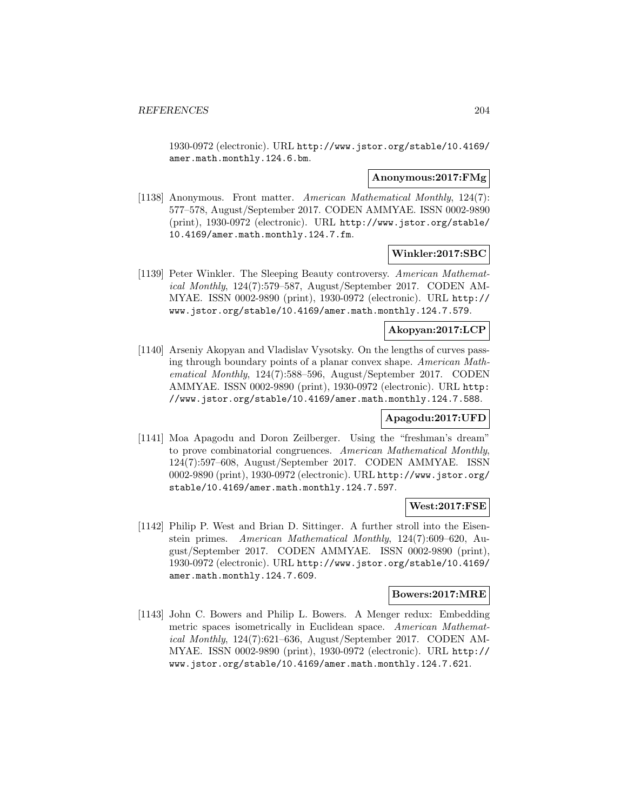1930-0972 (electronic). URL http://www.jstor.org/stable/10.4169/ amer.math.monthly.124.6.bm.

### **Anonymous:2017:FMg**

[1138] Anonymous. Front matter. American Mathematical Monthly, 124(7): 577–578, August/September 2017. CODEN AMMYAE. ISSN 0002-9890 (print), 1930-0972 (electronic). URL http://www.jstor.org/stable/ 10.4169/amer.math.monthly.124.7.fm.

### **Winkler:2017:SBC**

[1139] Peter Winkler. The Sleeping Beauty controversy. American Mathematical Monthly, 124(7):579–587, August/September 2017. CODEN AM-MYAE. ISSN 0002-9890 (print), 1930-0972 (electronic). URL http:// www.jstor.org/stable/10.4169/amer.math.monthly.124.7.579.

# **Akopyan:2017:LCP**

[1140] Arseniy Akopyan and Vladislav Vysotsky. On the lengths of curves passing through boundary points of a planar convex shape. American Mathematical Monthly, 124(7):588–596, August/September 2017. CODEN AMMYAE. ISSN 0002-9890 (print), 1930-0972 (electronic). URL http: //www.jstor.org/stable/10.4169/amer.math.monthly.124.7.588.

### **Apagodu:2017:UFD**

[1141] Moa Apagodu and Doron Zeilberger. Using the "freshman's dream" to prove combinatorial congruences. American Mathematical Monthly, 124(7):597–608, August/September 2017. CODEN AMMYAE. ISSN 0002-9890 (print), 1930-0972 (electronic). URL http://www.jstor.org/ stable/10.4169/amer.math.monthly.124.7.597.

## **West:2017:FSE**

[1142] Philip P. West and Brian D. Sittinger. A further stroll into the Eisenstein primes. American Mathematical Monthly, 124(7):609–620, August/September 2017. CODEN AMMYAE. ISSN 0002-9890 (print), 1930-0972 (electronic). URL http://www.jstor.org/stable/10.4169/ amer.math.monthly.124.7.609.

## **Bowers:2017:MRE**

[1143] John C. Bowers and Philip L. Bowers. A Menger redux: Embedding metric spaces isometrically in Euclidean space. American Mathematical Monthly, 124(7):621–636, August/September 2017. CODEN AM-MYAE. ISSN 0002-9890 (print), 1930-0972 (electronic). URL http:// www.jstor.org/stable/10.4169/amer.math.monthly.124.7.621.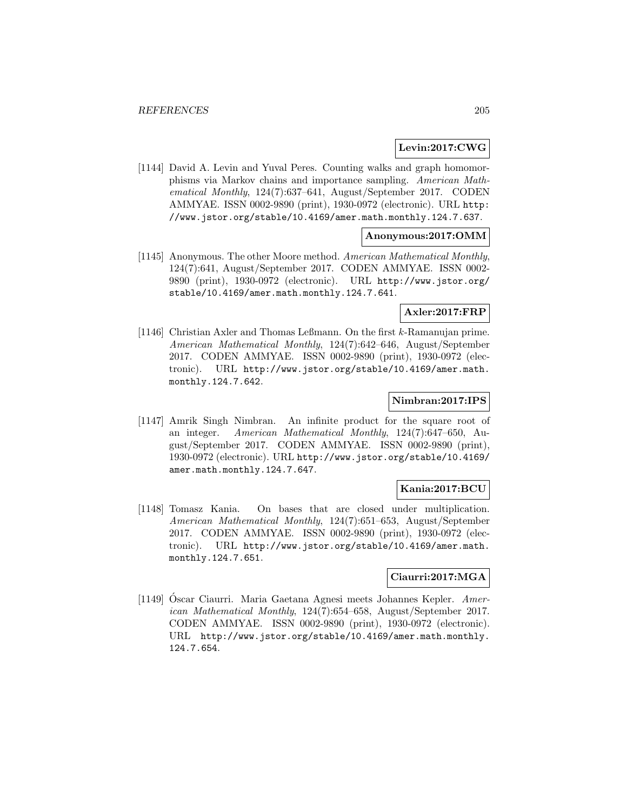### **Levin:2017:CWG**

[1144] David A. Levin and Yuval Peres. Counting walks and graph homomorphisms via Markov chains and importance sampling. American Mathematical Monthly, 124(7):637–641, August/September 2017. CODEN AMMYAE. ISSN 0002-9890 (print), 1930-0972 (electronic). URL http: //www.jstor.org/stable/10.4169/amer.math.monthly.124.7.637.

# **Anonymous:2017:OMM**

[1145] Anonymous. The other Moore method. American Mathematical Monthly, 124(7):641, August/September 2017. CODEN AMMYAE. ISSN 0002- 9890 (print), 1930-0972 (electronic). URL http://www.jstor.org/ stable/10.4169/amer.math.monthly.124.7.641.

# **Axler:2017:FRP**

[1146] Christian Axler and Thomas Leßmann. On the first k-Ramanujan prime. American Mathematical Monthly, 124(7):642–646, August/September 2017. CODEN AMMYAE. ISSN 0002-9890 (print), 1930-0972 (electronic). URL http://www.jstor.org/stable/10.4169/amer.math. monthly.124.7.642.

## **Nimbran:2017:IPS**

[1147] Amrik Singh Nimbran. An infinite product for the square root of an integer. American Mathematical Monthly, 124(7):647–650, August/September 2017. CODEN AMMYAE. ISSN 0002-9890 (print), 1930-0972 (electronic). URL http://www.jstor.org/stable/10.4169/ amer.math.monthly.124.7.647.

# **Kania:2017:BCU**

[1148] Tomasz Kania. On bases that are closed under multiplication. American Mathematical Monthly, 124(7):651–653, August/September 2017. CODEN AMMYAE. ISSN 0002-9890 (print), 1930-0972 (electronic). URL http://www.jstor.org/stable/10.4169/amer.math. monthly.124.7.651.

### **Ciaurri:2017:MGA**

[1149] Oscar Ciaurri. Maria Gaetana Agnesi meets Johannes Kepler.  $Amer$ ican Mathematical Monthly, 124(7):654–658, August/September 2017. CODEN AMMYAE. ISSN 0002-9890 (print), 1930-0972 (electronic). URL http://www.jstor.org/stable/10.4169/amer.math.monthly. 124.7.654.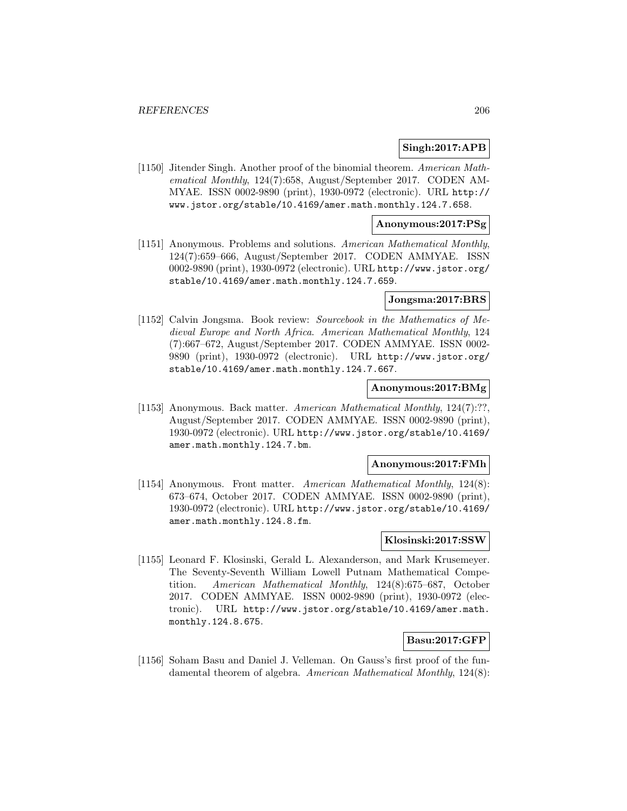## **Singh:2017:APB**

[1150] Jitender Singh. Another proof of the binomial theorem. American Mathematical Monthly, 124(7):658, August/September 2017. CODEN AM-MYAE. ISSN 0002-9890 (print), 1930-0972 (electronic). URL http:// www.jstor.org/stable/10.4169/amer.math.monthly.124.7.658.

### **Anonymous:2017:PSg**

[1151] Anonymous. Problems and solutions. American Mathematical Monthly, 124(7):659–666, August/September 2017. CODEN AMMYAE. ISSN 0002-9890 (print), 1930-0972 (electronic). URL http://www.jstor.org/ stable/10.4169/amer.math.monthly.124.7.659.

## **Jongsma:2017:BRS**

[1152] Calvin Jongsma. Book review: Sourcebook in the Mathematics of Medieval Europe and North Africa. American Mathematical Monthly, 124 (7):667–672, August/September 2017. CODEN AMMYAE. ISSN 0002- 9890 (print), 1930-0972 (electronic). URL http://www.jstor.org/ stable/10.4169/amer.math.monthly.124.7.667.

### **Anonymous:2017:BMg**

[1153] Anonymous. Back matter. American Mathematical Monthly, 124(7):??, August/September 2017. CODEN AMMYAE. ISSN 0002-9890 (print), 1930-0972 (electronic). URL http://www.jstor.org/stable/10.4169/ amer.math.monthly.124.7.bm.

#### **Anonymous:2017:FMh**

[1154] Anonymous. Front matter. American Mathematical Monthly, 124(8): 673–674, October 2017. CODEN AMMYAE. ISSN 0002-9890 (print), 1930-0972 (electronic). URL http://www.jstor.org/stable/10.4169/ amer.math.monthly.124.8.fm.

## **Klosinski:2017:SSW**

[1155] Leonard F. Klosinski, Gerald L. Alexanderson, and Mark Krusemeyer. The Seventy-Seventh William Lowell Putnam Mathematical Competition. American Mathematical Monthly, 124(8):675–687, October 2017. CODEN AMMYAE. ISSN 0002-9890 (print), 1930-0972 (electronic). URL http://www.jstor.org/stable/10.4169/amer.math. monthly.124.8.675.

### **Basu:2017:GFP**

[1156] Soham Basu and Daniel J. Velleman. On Gauss's first proof of the fundamental theorem of algebra. American Mathematical Monthly, 124(8):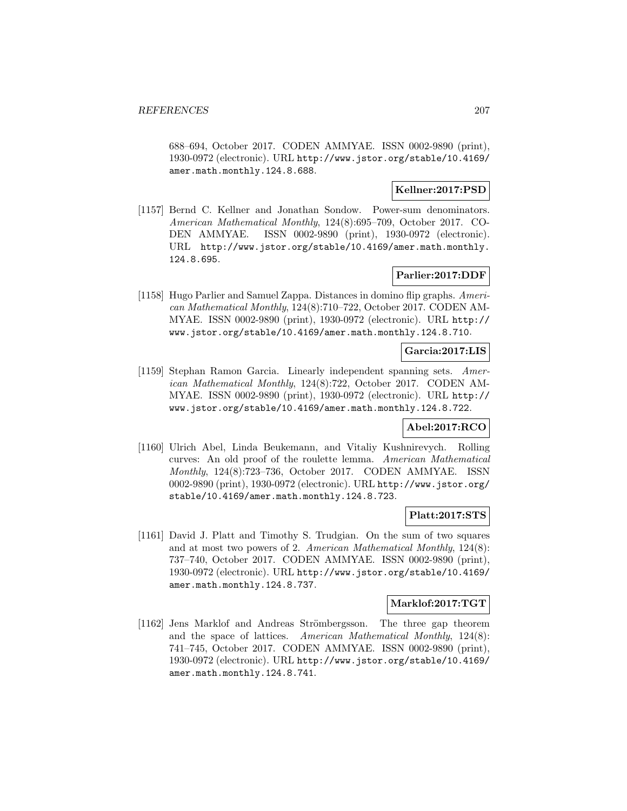688–694, October 2017. CODEN AMMYAE. ISSN 0002-9890 (print), 1930-0972 (electronic). URL http://www.jstor.org/stable/10.4169/ amer.math.monthly.124.8.688.

## **Kellner:2017:PSD**

[1157] Bernd C. Kellner and Jonathan Sondow. Power-sum denominators. American Mathematical Monthly, 124(8):695–709, October 2017. CO-DEN AMMYAE. ISSN 0002-9890 (print), 1930-0972 (electronic). URL http://www.jstor.org/stable/10.4169/amer.math.monthly. 124.8.695.

# **Parlier:2017:DDF**

[1158] Hugo Parlier and Samuel Zappa. Distances in domino flip graphs. American Mathematical Monthly, 124(8):710–722, October 2017. CODEN AM-MYAE. ISSN 0002-9890 (print), 1930-0972 (electronic). URL http:// www.jstor.org/stable/10.4169/amer.math.monthly.124.8.710.

# **Garcia:2017:LIS**

[1159] Stephan Ramon Garcia. Linearly independent spanning sets. American Mathematical Monthly, 124(8):722, October 2017. CODEN AM-MYAE. ISSN 0002-9890 (print), 1930-0972 (electronic). URL http:// www.jstor.org/stable/10.4169/amer.math.monthly.124.8.722.

## **Abel:2017:RCO**

[1160] Ulrich Abel, Linda Beukemann, and Vitaliy Kushnirevych. Rolling curves: An old proof of the roulette lemma. American Mathematical Monthly, 124(8):723–736, October 2017. CODEN AMMYAE. ISSN 0002-9890 (print), 1930-0972 (electronic). URL http://www.jstor.org/ stable/10.4169/amer.math.monthly.124.8.723.

### **Platt:2017:STS**

[1161] David J. Platt and Timothy S. Trudgian. On the sum of two squares and at most two powers of 2. American Mathematical Monthly, 124(8): 737–740, October 2017. CODEN AMMYAE. ISSN 0002-9890 (print), 1930-0972 (electronic). URL http://www.jstor.org/stable/10.4169/ amer.math.monthly.124.8.737.

### **Marklof:2017:TGT**

[1162] Jens Marklof and Andreas Strömbergsson. The three gap theorem and the space of lattices. American Mathematical Monthly, 124(8): 741–745, October 2017. CODEN AMMYAE. ISSN 0002-9890 (print), 1930-0972 (electronic). URL http://www.jstor.org/stable/10.4169/ amer.math.monthly.124.8.741.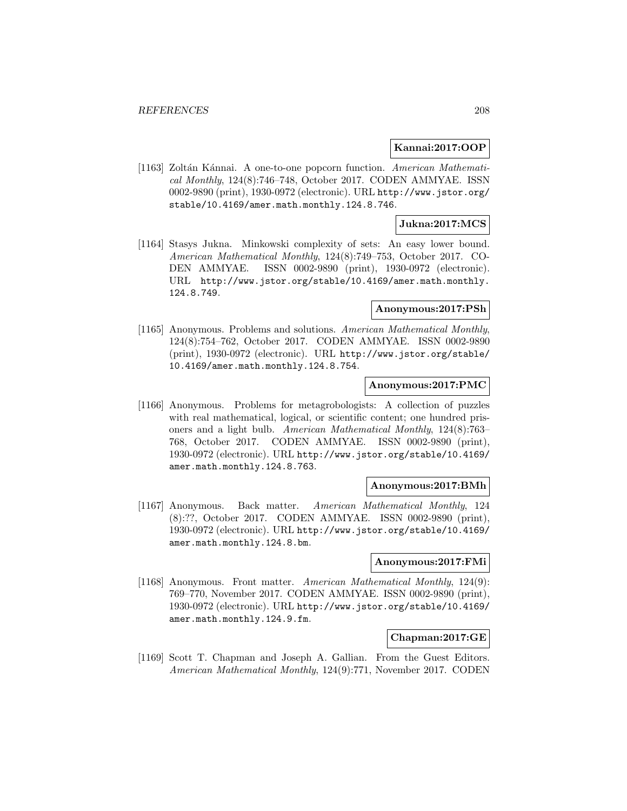### **Kannai:2017:OOP**

[1163] Zoltán Kánnai. A one-to-one popcorn function. American Mathematical Monthly, 124(8):746–748, October 2017. CODEN AMMYAE. ISSN 0002-9890 (print), 1930-0972 (electronic). URL http://www.jstor.org/ stable/10.4169/amer.math.monthly.124.8.746.

## **Jukna:2017:MCS**

[1164] Stasys Jukna. Minkowski complexity of sets: An easy lower bound. American Mathematical Monthly, 124(8):749–753, October 2017. CO-DEN AMMYAE. ISSN 0002-9890 (print), 1930-0972 (electronic). URL http://www.jstor.org/stable/10.4169/amer.math.monthly. 124.8.749.

# **Anonymous:2017:PSh**

[1165] Anonymous. Problems and solutions. American Mathematical Monthly, 124(8):754–762, October 2017. CODEN AMMYAE. ISSN 0002-9890 (print), 1930-0972 (electronic). URL http://www.jstor.org/stable/ 10.4169/amer.math.monthly.124.8.754.

#### **Anonymous:2017:PMC**

[1166] Anonymous. Problems for metagrobologists: A collection of puzzles with real mathematical, logical, or scientific content; one hundred prisoners and a light bulb. American Mathematical Monthly, 124(8):763– 768, October 2017. CODEN AMMYAE. ISSN 0002-9890 (print), 1930-0972 (electronic). URL http://www.jstor.org/stable/10.4169/ amer.math.monthly.124.8.763.

#### **Anonymous:2017:BMh**

[1167] Anonymous. Back matter. American Mathematical Monthly, 124 (8):??, October 2017. CODEN AMMYAE. ISSN 0002-9890 (print), 1930-0972 (electronic). URL http://www.jstor.org/stable/10.4169/ amer.math.monthly.124.8.bm.

# **Anonymous:2017:FMi**

[1168] Anonymous. Front matter. American Mathematical Monthly, 124(9): 769–770, November 2017. CODEN AMMYAE. ISSN 0002-9890 (print), 1930-0972 (electronic). URL http://www.jstor.org/stable/10.4169/ amer.math.monthly.124.9.fm.

#### **Chapman:2017:GE**

[1169] Scott T. Chapman and Joseph A. Gallian. From the Guest Editors. American Mathematical Monthly, 124(9):771, November 2017. CODEN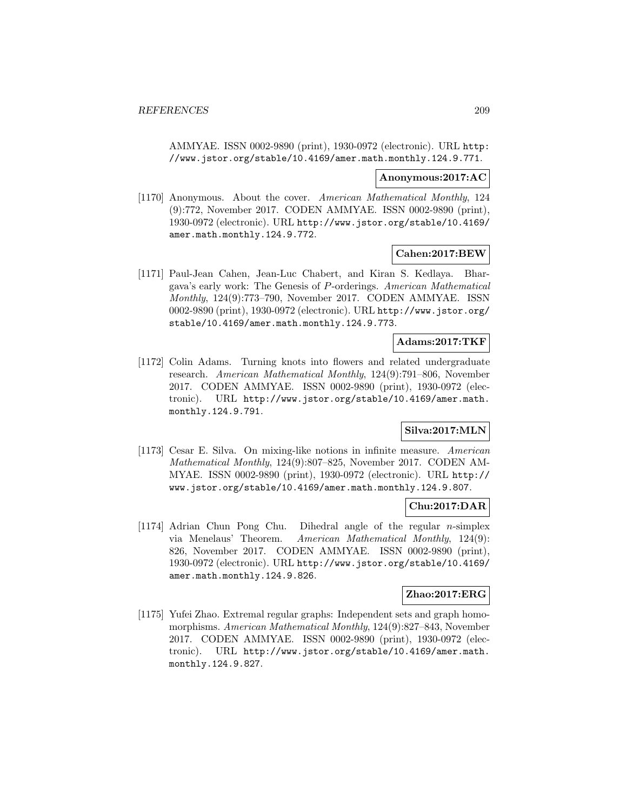AMMYAE. ISSN 0002-9890 (print), 1930-0972 (electronic). URL http: //www.jstor.org/stable/10.4169/amer.math.monthly.124.9.771.

#### **Anonymous:2017:AC**

[1170] Anonymous. About the cover. American Mathematical Monthly, 124 (9):772, November 2017. CODEN AMMYAE. ISSN 0002-9890 (print), 1930-0972 (electronic). URL http://www.jstor.org/stable/10.4169/ amer.math.monthly.124.9.772.

### **Cahen:2017:BEW**

[1171] Paul-Jean Cahen, Jean-Luc Chabert, and Kiran S. Kedlaya. Bhargava's early work: The Genesis of P-orderings. American Mathematical Monthly, 124(9):773–790, November 2017. CODEN AMMYAE. ISSN 0002-9890 (print), 1930-0972 (electronic). URL http://www.jstor.org/ stable/10.4169/amer.math.monthly.124.9.773.

### **Adams:2017:TKF**

[1172] Colin Adams. Turning knots into flowers and related undergraduate research. American Mathematical Monthly, 124(9):791–806, November 2017. CODEN AMMYAE. ISSN 0002-9890 (print), 1930-0972 (electronic). URL http://www.jstor.org/stable/10.4169/amer.math. monthly.124.9.791.

# **Silva:2017:MLN**

[1173] Cesar E. Silva. On mixing-like notions in infinite measure. American Mathematical Monthly, 124(9):807–825, November 2017. CODEN AM-MYAE. ISSN 0002-9890 (print), 1930-0972 (electronic). URL http:// www.jstor.org/stable/10.4169/amer.math.monthly.124.9.807.

# **Chu:2017:DAR**

[1174] Adrian Chun Pong Chu. Dihedral angle of the regular *n*-simplex via Menelaus' Theorem. American Mathematical Monthly, 124(9): 826, November 2017. CODEN AMMYAE. ISSN 0002-9890 (print), 1930-0972 (electronic). URL http://www.jstor.org/stable/10.4169/ amer.math.monthly.124.9.826.

## **Zhao:2017:ERG**

[1175] Yufei Zhao. Extremal regular graphs: Independent sets and graph homomorphisms. American Mathematical Monthly, 124(9):827–843, November 2017. CODEN AMMYAE. ISSN 0002-9890 (print), 1930-0972 (electronic). URL http://www.jstor.org/stable/10.4169/amer.math. monthly.124.9.827.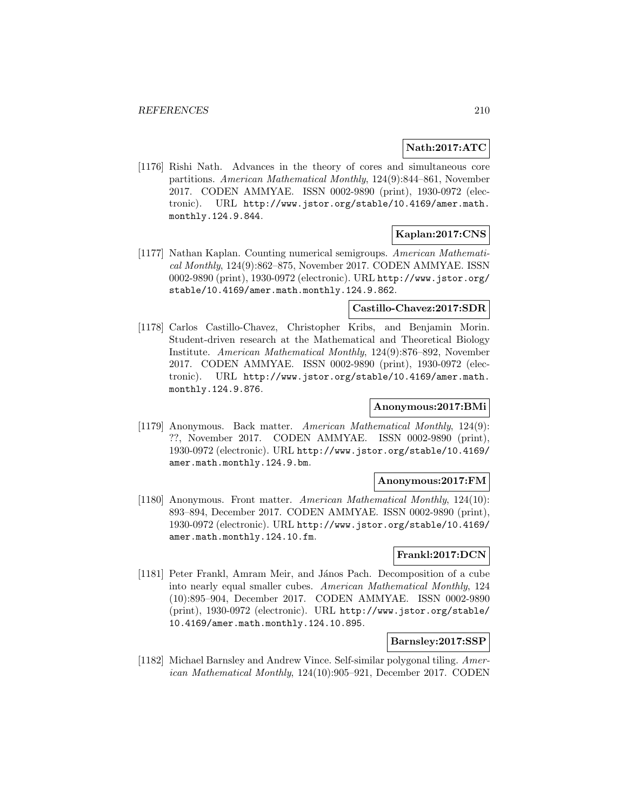# **Nath:2017:ATC**

[1176] Rishi Nath. Advances in the theory of cores and simultaneous core partitions. American Mathematical Monthly, 124(9):844–861, November 2017. CODEN AMMYAE. ISSN 0002-9890 (print), 1930-0972 (electronic). URL http://www.jstor.org/stable/10.4169/amer.math. monthly.124.9.844.

# **Kaplan:2017:CNS**

[1177] Nathan Kaplan. Counting numerical semigroups. American Mathematical Monthly, 124(9):862–875, November 2017. CODEN AMMYAE. ISSN 0002-9890 (print), 1930-0972 (electronic). URL http://www.jstor.org/ stable/10.4169/amer.math.monthly.124.9.862.

# **Castillo-Chavez:2017:SDR**

[1178] Carlos Castillo-Chavez, Christopher Kribs, and Benjamin Morin. Student-driven research at the Mathematical and Theoretical Biology Institute. American Mathematical Monthly, 124(9):876–892, November 2017. CODEN AMMYAE. ISSN 0002-9890 (print), 1930-0972 (electronic). URL http://www.jstor.org/stable/10.4169/amer.math. monthly.124.9.876.

## **Anonymous:2017:BMi**

[1179] Anonymous. Back matter. American Mathematical Monthly, 124(9): ??, November 2017. CODEN AMMYAE. ISSN 0002-9890 (print), 1930-0972 (electronic). URL http://www.jstor.org/stable/10.4169/ amer.math.monthly.124.9.bm.

#### **Anonymous:2017:FM**

[1180] Anonymous. Front matter. American Mathematical Monthly, 124(10): 893–894, December 2017. CODEN AMMYAE. ISSN 0002-9890 (print), 1930-0972 (electronic). URL http://www.jstor.org/stable/10.4169/ amer.math.monthly.124.10.fm.

## **Frankl:2017:DCN**

[1181] Peter Frankl, Amram Meir, and János Pach. Decomposition of a cube into nearly equal smaller cubes. American Mathematical Monthly, 124 (10):895–904, December 2017. CODEN AMMYAE. ISSN 0002-9890 (print), 1930-0972 (electronic). URL http://www.jstor.org/stable/ 10.4169/amer.math.monthly.124.10.895.

## **Barnsley:2017:SSP**

[1182] Michael Barnsley and Andrew Vince. Self-similar polygonal tiling. American Mathematical Monthly, 124(10):905–921, December 2017. CODEN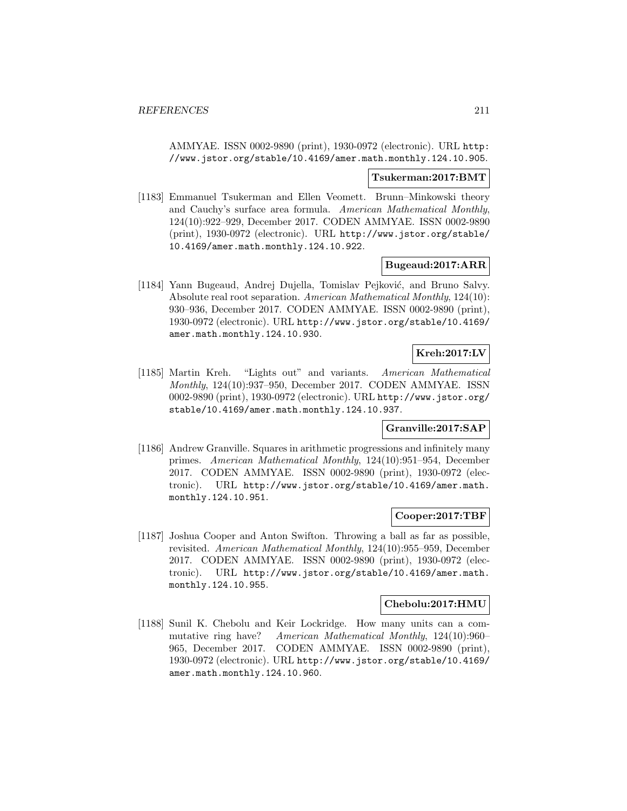AMMYAE. ISSN 0002-9890 (print), 1930-0972 (electronic). URL http: //www.jstor.org/stable/10.4169/amer.math.monthly.124.10.905.

#### **Tsukerman:2017:BMT**

[1183] Emmanuel Tsukerman and Ellen Veomett. Brunn–Minkowski theory and Cauchy's surface area formula. American Mathematical Monthly, 124(10):922–929, December 2017. CODEN AMMYAE. ISSN 0002-9890 (print), 1930-0972 (electronic). URL http://www.jstor.org/stable/ 10.4169/amer.math.monthly.124.10.922.

### **Bugeaud:2017:ARR**

[1184] Yann Bugeaud, Andrej Dujella, Tomislav Pejković, and Bruno Salvy. Absolute real root separation. American Mathematical Monthly, 124(10): 930–936, December 2017. CODEN AMMYAE. ISSN 0002-9890 (print), 1930-0972 (electronic). URL http://www.jstor.org/stable/10.4169/ amer.math.monthly.124.10.930.

# **Kreh:2017:LV**

[1185] Martin Kreh. "Lights out" and variants. American Mathematical Monthly, 124(10):937–950, December 2017. CODEN AMMYAE. ISSN 0002-9890 (print), 1930-0972 (electronic). URL http://www.jstor.org/ stable/10.4169/amer.math.monthly.124.10.937.

# **Granville:2017:SAP**

[1186] Andrew Granville. Squares in arithmetic progressions and infinitely many primes. American Mathematical Monthly, 124(10):951–954, December 2017. CODEN AMMYAE. ISSN 0002-9890 (print), 1930-0972 (electronic). URL http://www.jstor.org/stable/10.4169/amer.math. monthly.124.10.951.

### **Cooper:2017:TBF**

[1187] Joshua Cooper and Anton Swifton. Throwing a ball as far as possible, revisited. American Mathematical Monthly, 124(10):955–959, December 2017. CODEN AMMYAE. ISSN 0002-9890 (print), 1930-0972 (electronic). URL http://www.jstor.org/stable/10.4169/amer.math. monthly.124.10.955.

#### **Chebolu:2017:HMU**

[1188] Sunil K. Chebolu and Keir Lockridge. How many units can a commutative ring have? American Mathematical Monthly, 124(10):960– 965, December 2017. CODEN AMMYAE. ISSN 0002-9890 (print), 1930-0972 (electronic). URL http://www.jstor.org/stable/10.4169/ amer.math.monthly.124.10.960.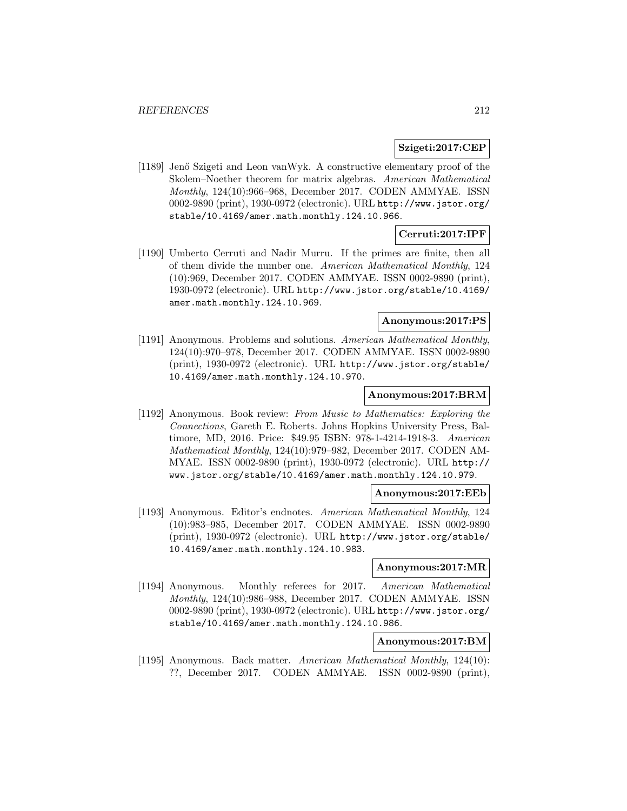### **Szigeti:2017:CEP**

[1189] Jenő Szigeti and Leon vanWyk. A constructive elementary proof of the Skolem–Noether theorem for matrix algebras. American Mathematical Monthly, 124(10):966–968, December 2017. CODEN AMMYAE. ISSN 0002-9890 (print), 1930-0972 (electronic). URL http://www.jstor.org/ stable/10.4169/amer.math.monthly.124.10.966.

# **Cerruti:2017:IPF**

[1190] Umberto Cerruti and Nadir Murru. If the primes are finite, then all of them divide the number one. American Mathematical Monthly, 124 (10):969, December 2017. CODEN AMMYAE. ISSN 0002-9890 (print), 1930-0972 (electronic). URL http://www.jstor.org/stable/10.4169/ amer.math.monthly.124.10.969.

## **Anonymous:2017:PS**

[1191] Anonymous. Problems and solutions. American Mathematical Monthly, 124(10):970–978, December 2017. CODEN AMMYAE. ISSN 0002-9890 (print), 1930-0972 (electronic). URL http://www.jstor.org/stable/ 10.4169/amer.math.monthly.124.10.970.

## **Anonymous:2017:BRM**

[1192] Anonymous. Book review: From Music to Mathematics: Exploring the Connections, Gareth E. Roberts. Johns Hopkins University Press, Baltimore, MD, 2016. Price: \$49.95 ISBN: 978-1-4214-1918-3. American Mathematical Monthly, 124(10):979–982, December 2017. CODEN AM-MYAE. ISSN 0002-9890 (print), 1930-0972 (electronic). URL http:// www.jstor.org/stable/10.4169/amer.math.monthly.124.10.979.

#### **Anonymous:2017:EEb**

[1193] Anonymous. Editor's endnotes. American Mathematical Monthly, 124 (10):983–985, December 2017. CODEN AMMYAE. ISSN 0002-9890 (print), 1930-0972 (electronic). URL http://www.jstor.org/stable/ 10.4169/amer.math.monthly.124.10.983.

#### **Anonymous:2017:MR**

[1194] Anonymous. Monthly referees for 2017. American Mathematical Monthly, 124(10):986–988, December 2017. CODEN AMMYAE. ISSN 0002-9890 (print), 1930-0972 (electronic). URL http://www.jstor.org/ stable/10.4169/amer.math.monthly.124.10.986.

### **Anonymous:2017:BM**

[1195] Anonymous. Back matter. American Mathematical Monthly, 124(10): ??, December 2017. CODEN AMMYAE. ISSN 0002-9890 (print),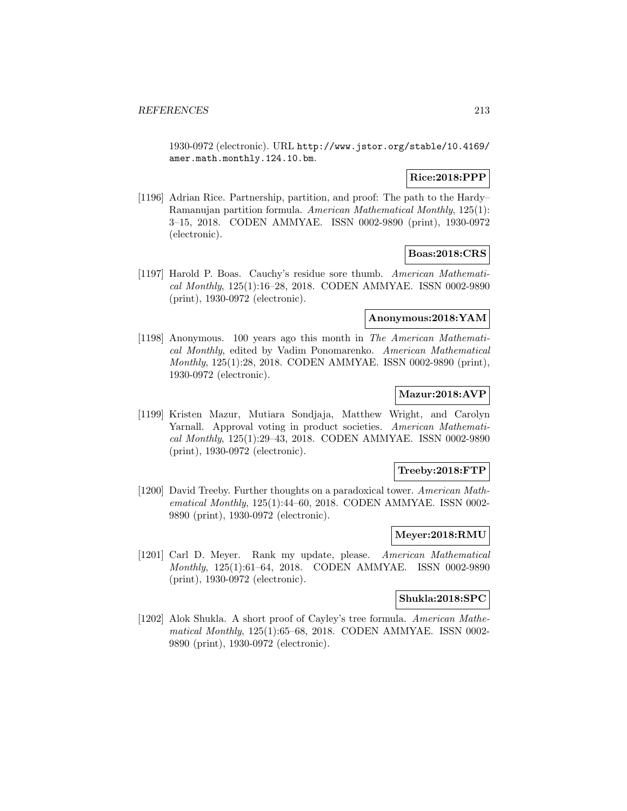1930-0972 (electronic). URL http://www.jstor.org/stable/10.4169/ amer.math.monthly.124.10.bm.

# **Rice:2018:PPP**

[1196] Adrian Rice. Partnership, partition, and proof: The path to the Hardy– Ramanujan partition formula. American Mathematical Monthly, 125(1): 3–15, 2018. CODEN AMMYAE. ISSN 0002-9890 (print), 1930-0972 (electronic).

### **Boas:2018:CRS**

[1197] Harold P. Boas. Cauchy's residue sore thumb. American Mathematical Monthly, 125(1):16–28, 2018. CODEN AMMYAE. ISSN 0002-9890 (print), 1930-0972 (electronic).

#### **Anonymous:2018:YAM**

[1198] Anonymous. 100 years ago this month in The American Mathematical Monthly, edited by Vadim Ponomarenko. American Mathematical Monthly, 125(1):28, 2018. CODEN AMMYAE. ISSN 0002-9890 (print), 1930-0972 (electronic).

# **Mazur:2018:AVP**

[1199] Kristen Mazur, Mutiara Sondjaja, Matthew Wright, and Carolyn Yarnall. Approval voting in product societies. American Mathematical Monthly, 125(1):29–43, 2018. CODEN AMMYAE. ISSN 0002-9890 (print), 1930-0972 (electronic).

## **Treeby:2018:FTP**

[1200] David Treeby. Further thoughts on a paradoxical tower. American Mathematical Monthly, 125(1):44–60, 2018. CODEN AMMYAE. ISSN 0002- 9890 (print), 1930-0972 (electronic).

#### **Meyer:2018:RMU**

[1201] Carl D. Meyer. Rank my update, please. American Mathematical Monthly, 125(1):61–64, 2018. CODEN AMMYAE. ISSN 0002-9890 (print), 1930-0972 (electronic).

### **Shukla:2018:SPC**

[1202] Alok Shukla. A short proof of Cayley's tree formula. American Mathematical Monthly, 125(1):65–68, 2018. CODEN AMMYAE. ISSN 0002- 9890 (print), 1930-0972 (electronic).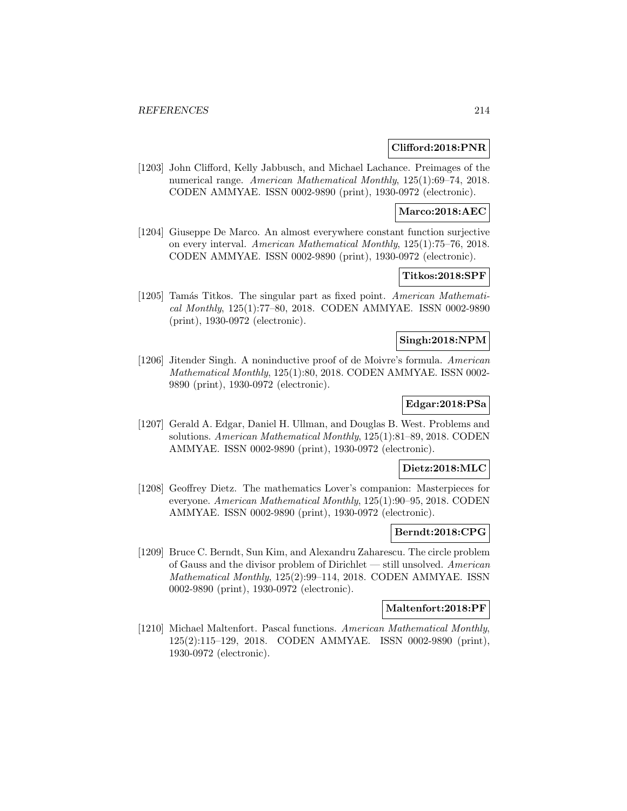### **Clifford:2018:PNR**

[1203] John Clifford, Kelly Jabbusch, and Michael Lachance. Preimages of the numerical range. American Mathematical Monthly, 125(1):69–74, 2018. CODEN AMMYAE. ISSN 0002-9890 (print), 1930-0972 (electronic).

### **Marco:2018:AEC**

[1204] Giuseppe De Marco. An almost everywhere constant function surjective on every interval. American Mathematical Monthly, 125(1):75–76, 2018. CODEN AMMYAE. ISSN 0002-9890 (print), 1930-0972 (electronic).

# **Titkos:2018:SPF**

[1205] Tamás Titkos. The singular part as fixed point. American Mathematical Monthly, 125(1):77–80, 2018. CODEN AMMYAE. ISSN 0002-9890 (print), 1930-0972 (electronic).

### **Singh:2018:NPM**

[1206] Jitender Singh. A noninductive proof of de Moivre's formula. American Mathematical Monthly, 125(1):80, 2018. CODEN AMMYAE. ISSN 0002- 9890 (print), 1930-0972 (electronic).

# **Edgar:2018:PSa**

[1207] Gerald A. Edgar, Daniel H. Ullman, and Douglas B. West. Problems and solutions. American Mathematical Monthly, 125(1):81–89, 2018. CODEN AMMYAE. ISSN 0002-9890 (print), 1930-0972 (electronic).

### **Dietz:2018:MLC**

[1208] Geoffrey Dietz. The mathematics Lover's companion: Masterpieces for everyone. American Mathematical Monthly, 125(1):90–95, 2018. CODEN AMMYAE. ISSN 0002-9890 (print), 1930-0972 (electronic).

#### **Berndt:2018:CPG**

[1209] Bruce C. Berndt, Sun Kim, and Alexandru Zaharescu. The circle problem of Gauss and the divisor problem of Dirichlet — still unsolved. American Mathematical Monthly, 125(2):99–114, 2018. CODEN AMMYAE. ISSN 0002-9890 (print), 1930-0972 (electronic).

### **Maltenfort:2018:PF**

[1210] Michael Maltenfort. Pascal functions. American Mathematical Monthly, 125(2):115–129, 2018. CODEN AMMYAE. ISSN 0002-9890 (print), 1930-0972 (electronic).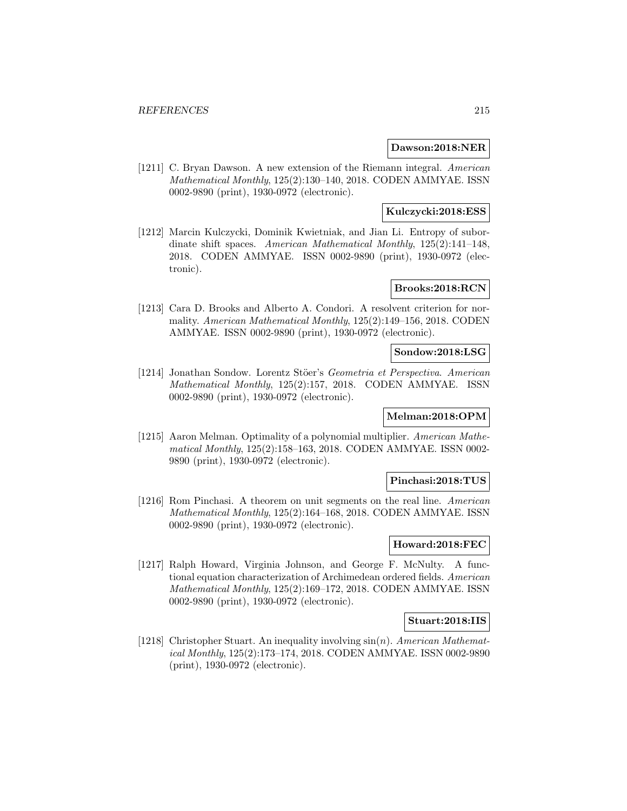### **Dawson:2018:NER**

[1211] C. Bryan Dawson. A new extension of the Riemann integral. American Mathematical Monthly, 125(2):130–140, 2018. CODEN AMMYAE. ISSN 0002-9890 (print), 1930-0972 (electronic).

### **Kulczycki:2018:ESS**

[1212] Marcin Kulczycki, Dominik Kwietniak, and Jian Li. Entropy of subordinate shift spaces. American Mathematical Monthly, 125(2):141–148, 2018. CODEN AMMYAE. ISSN 0002-9890 (print), 1930-0972 (electronic).

## **Brooks:2018:RCN**

[1213] Cara D. Brooks and Alberto A. Condori. A resolvent criterion for normality. American Mathematical Monthly, 125(2):149–156, 2018. CODEN AMMYAE. ISSN 0002-9890 (print), 1930-0972 (electronic).

### **Sondow:2018:LSG**

[1214] Jonathan Sondow. Lorentz Stöer's Geometria et Perspectiva. American Mathematical Monthly, 125(2):157, 2018. CODEN AMMYAE. ISSN 0002-9890 (print), 1930-0972 (electronic).

# **Melman:2018:OPM**

[1215] Aaron Melman. Optimality of a polynomial multiplier. American Mathematical Monthly, 125(2):158–163, 2018. CODEN AMMYAE. ISSN 0002- 9890 (print), 1930-0972 (electronic).

#### **Pinchasi:2018:TUS**

[1216] Rom Pinchasi. A theorem on unit segments on the real line. American Mathematical Monthly, 125(2):164–168, 2018. CODEN AMMYAE. ISSN 0002-9890 (print), 1930-0972 (electronic).

## **Howard:2018:FEC**

[1217] Ralph Howard, Virginia Johnson, and George F. McNulty. A functional equation characterization of Archimedean ordered fields. American Mathematical Monthly, 125(2):169–172, 2018. CODEN AMMYAE. ISSN 0002-9890 (print), 1930-0972 (electronic).

#### **Stuart:2018:IIS**

[1218] Christopher Stuart. An inequality involving  $sin(n)$ . American Mathematical Monthly, 125(2):173–174, 2018. CODEN AMMYAE. ISSN 0002-9890 (print), 1930-0972 (electronic).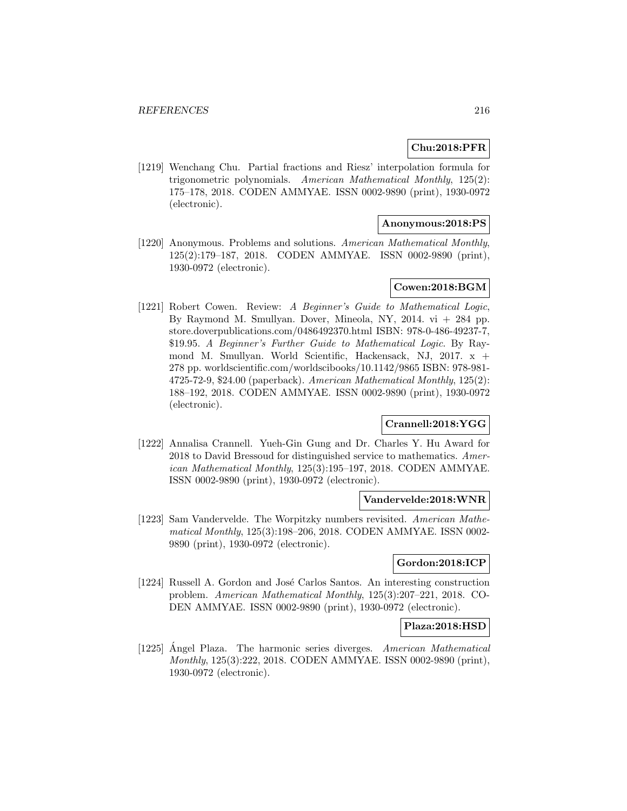# **Chu:2018:PFR**

[1219] Wenchang Chu. Partial fractions and Riesz' interpolation formula for trigonometric polynomials. American Mathematical Monthly, 125(2): 175–178, 2018. CODEN AMMYAE. ISSN 0002-9890 (print), 1930-0972 (electronic).

## **Anonymous:2018:PS**

[1220] Anonymous. Problems and solutions. American Mathematical Monthly, 125(2):179–187, 2018. CODEN AMMYAE. ISSN 0002-9890 (print), 1930-0972 (electronic).

# **Cowen:2018:BGM**

[1221] Robert Cowen. Review: A Beginner's Guide to Mathematical Logic, By Raymond M. Smullyan. Dover, Mineola, NY, 2014. vi + 284 pp. store.doverpublications.com/0486492370.html ISBN: 978-0-486-49237-7, \$19.95. A Beginner's Further Guide to Mathematical Logic. By Raymond M. Smullyan. World Scientific, Hackensack, NJ, 2017. x + 278 pp. worldscientific.com/worldscibooks/10.1142/9865 ISBN: 978-981- 4725-72-9, \$24.00 (paperback). American Mathematical Monthly, 125(2): 188–192, 2018. CODEN AMMYAE. ISSN 0002-9890 (print), 1930-0972 (electronic).

# **Crannell:2018:YGG**

[1222] Annalisa Crannell. Yueh-Gin Gung and Dr. Charles Y. Hu Award for 2018 to David Bressoud for distinguished service to mathematics. American Mathematical Monthly, 125(3):195–197, 2018. CODEN AMMYAE. ISSN 0002-9890 (print), 1930-0972 (electronic).

### **Vandervelde:2018:WNR**

[1223] Sam Vandervelde. The Worpitzky numbers revisited. American Mathematical Monthly, 125(3):198–206, 2018. CODEN AMMYAE. ISSN 0002- 9890 (print), 1930-0972 (electronic).

# **Gordon:2018:ICP**

[1224] Russell A. Gordon and José Carlos Santos. An interesting construction problem. American Mathematical Monthly, 125(3):207–221, 2018. CO-DEN AMMYAE. ISSN 0002-9890 (print), 1930-0972 (electronic).

#### **Plaza:2018:HSD**

[1225] Angel Plaza. The harmonic series diverges. American Mathematical Monthly, 125(3):222, 2018. CODEN AMMYAE. ISSN 0002-9890 (print), 1930-0972 (electronic).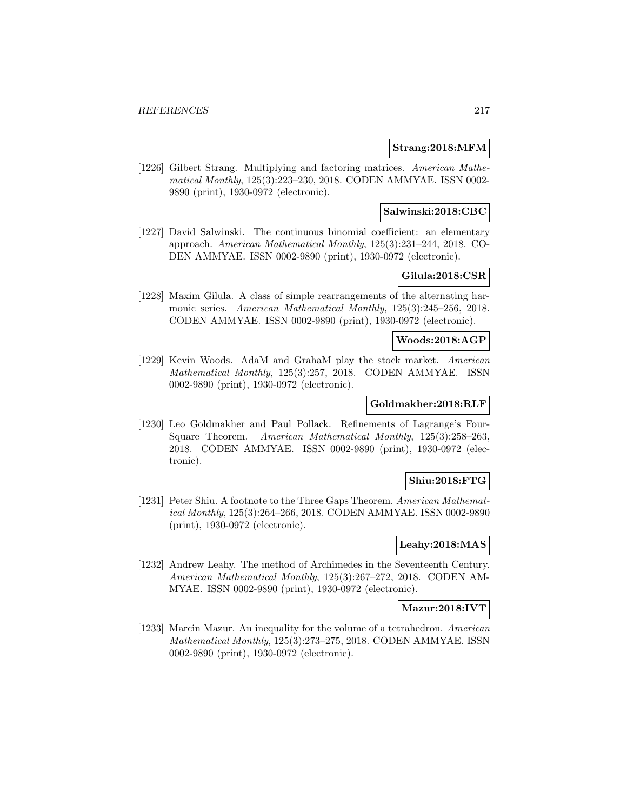### **Strang:2018:MFM**

[1226] Gilbert Strang. Multiplying and factoring matrices. American Mathematical Monthly, 125(3):223–230, 2018. CODEN AMMYAE. ISSN 0002- 9890 (print), 1930-0972 (electronic).

## **Salwinski:2018:CBC**

[1227] David Salwinski. The continuous binomial coefficient: an elementary approach. American Mathematical Monthly, 125(3):231–244, 2018. CO-DEN AMMYAE. ISSN 0002-9890 (print), 1930-0972 (electronic).

# **Gilula:2018:CSR**

[1228] Maxim Gilula. A class of simple rearrangements of the alternating harmonic series. American Mathematical Monthly, 125(3):245–256, 2018. CODEN AMMYAE. ISSN 0002-9890 (print), 1930-0972 (electronic).

### **Woods:2018:AGP**

[1229] Kevin Woods. AdaM and GrahaM play the stock market. American Mathematical Monthly, 125(3):257, 2018. CODEN AMMYAE. ISSN 0002-9890 (print), 1930-0972 (electronic).

## **Goldmakher:2018:RLF**

[1230] Leo Goldmakher and Paul Pollack. Refinements of Lagrange's Four-Square Theorem. American Mathematical Monthly, 125(3):258–263, 2018. CODEN AMMYAE. ISSN 0002-9890 (print), 1930-0972 (electronic).

## **Shiu:2018:FTG**

[1231] Peter Shiu. A footnote to the Three Gaps Theorem. American Mathematical Monthly, 125(3):264–266, 2018. CODEN AMMYAE. ISSN 0002-9890 (print), 1930-0972 (electronic).

## **Leahy:2018:MAS**

[1232] Andrew Leahy. The method of Archimedes in the Seventeenth Century. American Mathematical Monthly, 125(3):267–272, 2018. CODEN AM-MYAE. ISSN 0002-9890 (print), 1930-0972 (electronic).

### **Mazur:2018:IVT**

[1233] Marcin Mazur. An inequality for the volume of a tetrahedron. American Mathematical Monthly, 125(3):273–275, 2018. CODEN AMMYAE. ISSN 0002-9890 (print), 1930-0972 (electronic).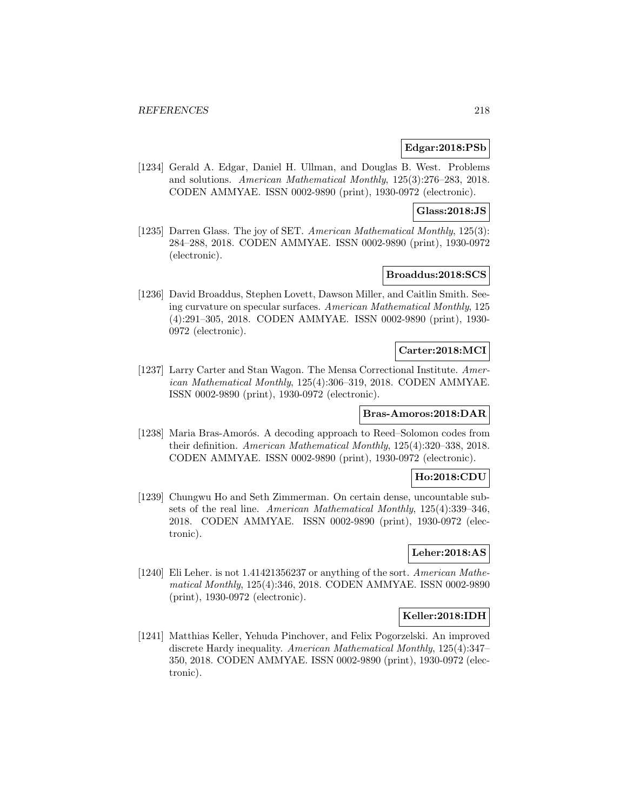### **Edgar:2018:PSb**

[1234] Gerald A. Edgar, Daniel H. Ullman, and Douglas B. West. Problems and solutions. American Mathematical Monthly, 125(3):276–283, 2018. CODEN AMMYAE. ISSN 0002-9890 (print), 1930-0972 (electronic).

### **Glass:2018:JS**

[1235] Darren Glass. The joy of SET. American Mathematical Monthly, 125(3): 284–288, 2018. CODEN AMMYAE. ISSN 0002-9890 (print), 1930-0972 (electronic).

# **Broaddus:2018:SCS**

[1236] David Broaddus, Stephen Lovett, Dawson Miller, and Caitlin Smith. Seeing curvature on specular surfaces. American Mathematical Monthly, 125 (4):291–305, 2018. CODEN AMMYAE. ISSN 0002-9890 (print), 1930- 0972 (electronic).

### **Carter:2018:MCI**

[1237] Larry Carter and Stan Wagon. The Mensa Correctional Institute. American Mathematical Monthly, 125(4):306–319, 2018. CODEN AMMYAE. ISSN 0002-9890 (print), 1930-0972 (electronic).

## **Bras-Amoros:2018:DAR**

[1238] Maria Bras-Amorós. A decoding approach to Reed–Solomon codes from their definition. American Mathematical Monthly, 125(4):320–338, 2018. CODEN AMMYAE. ISSN 0002-9890 (print), 1930-0972 (electronic).

## **Ho:2018:CDU**

[1239] Chungwu Ho and Seth Zimmerman. On certain dense, uncountable subsets of the real line. American Mathematical Monthly, 125(4):339–346, 2018. CODEN AMMYAE. ISSN 0002-9890 (print), 1930-0972 (electronic).

# **Leher:2018:AS**

[1240] Eli Leher. is not 1.41421356237 or anything of the sort. American Mathematical Monthly, 125(4):346, 2018. CODEN AMMYAE. ISSN 0002-9890 (print), 1930-0972 (electronic).

## **Keller:2018:IDH**

[1241] Matthias Keller, Yehuda Pinchover, and Felix Pogorzelski. An improved discrete Hardy inequality. American Mathematical Monthly, 125(4):347– 350, 2018. CODEN AMMYAE. ISSN 0002-9890 (print), 1930-0972 (electronic).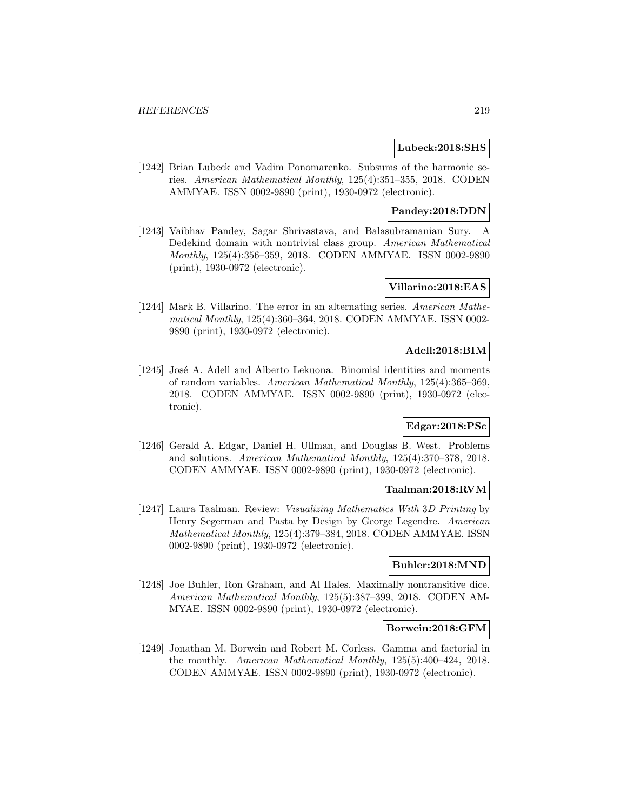### **Lubeck:2018:SHS**

[1242] Brian Lubeck and Vadim Ponomarenko. Subsums of the harmonic series. American Mathematical Monthly, 125(4):351–355, 2018. CODEN AMMYAE. ISSN 0002-9890 (print), 1930-0972 (electronic).

### **Pandey:2018:DDN**

[1243] Vaibhav Pandey, Sagar Shrivastava, and Balasubramanian Sury. A Dedekind domain with nontrivial class group. American Mathematical Monthly, 125(4):356–359, 2018. CODEN AMMYAE. ISSN 0002-9890 (print), 1930-0972 (electronic).

## **Villarino:2018:EAS**

[1244] Mark B. Villarino. The error in an alternating series. American Mathematical Monthly, 125(4):360–364, 2018. CODEN AMMYAE. ISSN 0002- 9890 (print), 1930-0972 (electronic).

## **Adell:2018:BIM**

[1245] José A. Adell and Alberto Lekuona. Binomial identities and moments of random variables. American Mathematical Monthly, 125(4):365–369, 2018. CODEN AMMYAE. ISSN 0002-9890 (print), 1930-0972 (electronic).

# **Edgar:2018:PSc**

[1246] Gerald A. Edgar, Daniel H. Ullman, and Douglas B. West. Problems and solutions. American Mathematical Monthly, 125(4):370–378, 2018. CODEN AMMYAE. ISSN 0002-9890 (print), 1930-0972 (electronic).

## **Taalman:2018:RVM**

[1247] Laura Taalman. Review: Visualizing Mathematics With 3D Printing by Henry Segerman and Pasta by Design by George Legendre. American Mathematical Monthly, 125(4):379–384, 2018. CODEN AMMYAE. ISSN 0002-9890 (print), 1930-0972 (electronic).

### **Buhler:2018:MND**

[1248] Joe Buhler, Ron Graham, and Al Hales. Maximally nontransitive dice. American Mathematical Monthly, 125(5):387–399, 2018. CODEN AM-MYAE. ISSN 0002-9890 (print), 1930-0972 (electronic).

#### **Borwein:2018:GFM**

[1249] Jonathan M. Borwein and Robert M. Corless. Gamma and factorial in the monthly. American Mathematical Monthly, 125(5):400–424, 2018. CODEN AMMYAE. ISSN 0002-9890 (print), 1930-0972 (electronic).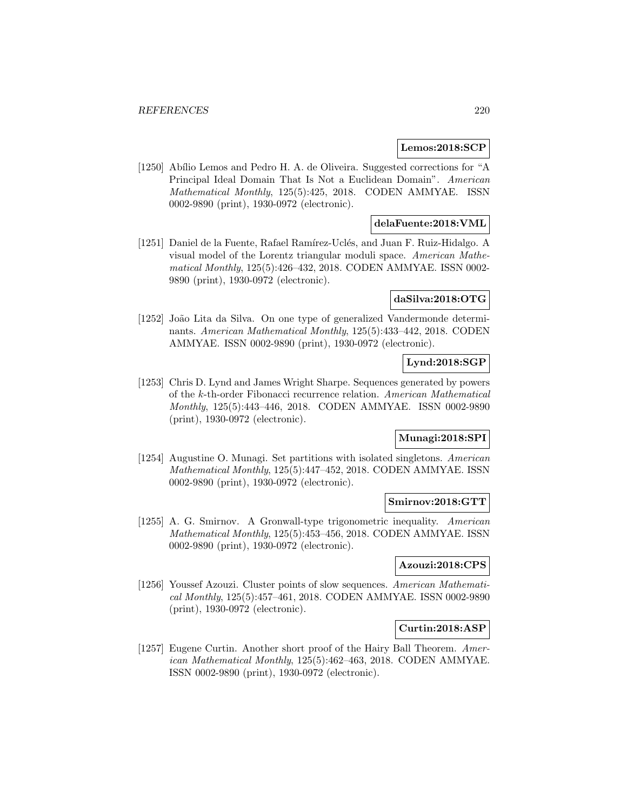### **Lemos:2018:SCP**

[1250] Abílio Lemos and Pedro H. A. de Oliveira. Suggested corrections for "A Principal Ideal Domain That Is Not a Euclidean Domain". American Mathematical Monthly, 125(5):425, 2018. CODEN AMMYAE. ISSN 0002-9890 (print), 1930-0972 (electronic).

## **delaFuente:2018:VML**

[1251] Daniel de la Fuente, Rafael Ramírez-Uclés, and Juan F. Ruiz-Hidalgo. A visual model of the Lorentz triangular moduli space. American Mathematical Monthly, 125(5):426–432, 2018. CODEN AMMYAE. ISSN 0002- 9890 (print), 1930-0972 (electronic).

### **daSilva:2018:OTG**

[1252] João Lita da Silva. On one type of generalized Vandermonde determinants. American Mathematical Monthly, 125(5):433–442, 2018. CODEN AMMYAE. ISSN 0002-9890 (print), 1930-0972 (electronic).

## **Lynd:2018:SGP**

[1253] Chris D. Lynd and James Wright Sharpe. Sequences generated by powers of the k-th-order Fibonacci recurrence relation. American Mathematical Monthly, 125(5):443–446, 2018. CODEN AMMYAE. ISSN 0002-9890 (print), 1930-0972 (electronic).

## **Munagi:2018:SPI**

[1254] Augustine O. Munagi. Set partitions with isolated singletons. American Mathematical Monthly, 125(5):447–452, 2018. CODEN AMMYAE. ISSN 0002-9890 (print), 1930-0972 (electronic).

#### **Smirnov:2018:GTT**

[1255] A. G. Smirnov. A Gronwall-type trigonometric inequality. American Mathematical Monthly, 125(5):453–456, 2018. CODEN AMMYAE. ISSN 0002-9890 (print), 1930-0972 (electronic).

## **Azouzi:2018:CPS**

[1256] Youssef Azouzi. Cluster points of slow sequences. American Mathematical Monthly, 125(5):457–461, 2018. CODEN AMMYAE. ISSN 0002-9890 (print), 1930-0972 (electronic).

## **Curtin:2018:ASP**

[1257] Eugene Curtin. Another short proof of the Hairy Ball Theorem. American Mathematical Monthly, 125(5):462–463, 2018. CODEN AMMYAE. ISSN 0002-9890 (print), 1930-0972 (electronic).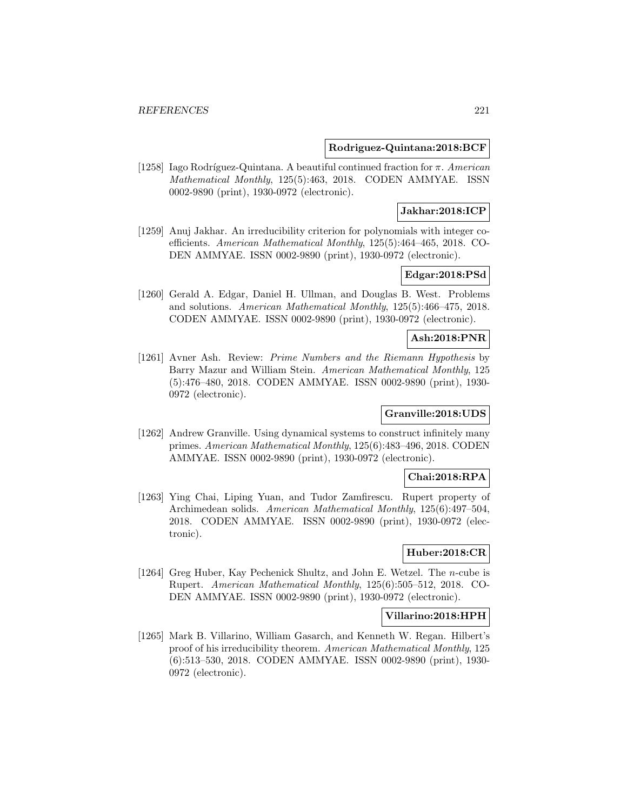### **Rodriguez-Quintana:2018:BCF**

[1258] Iago Rodríguez-Quintana. A beautiful continued fraction for  $\pi$ . American Mathematical Monthly, 125(5):463, 2018. CODEN AMMYAE. ISSN 0002-9890 (print), 1930-0972 (electronic).

## **Jakhar:2018:ICP**

[1259] Anuj Jakhar. An irreducibility criterion for polynomials with integer coefficients. American Mathematical Monthly, 125(5):464–465, 2018. CO-DEN AMMYAE. ISSN 0002-9890 (print), 1930-0972 (electronic).

# **Edgar:2018:PSd**

[1260] Gerald A. Edgar, Daniel H. Ullman, and Douglas B. West. Problems and solutions. American Mathematical Monthly, 125(5):466–475, 2018. CODEN AMMYAE. ISSN 0002-9890 (print), 1930-0972 (electronic).

# **Ash:2018:PNR**

[1261] Avner Ash. Review: Prime Numbers and the Riemann Hypothesis by Barry Mazur and William Stein. American Mathematical Monthly, 125 (5):476–480, 2018. CODEN AMMYAE. ISSN 0002-9890 (print), 1930- 0972 (electronic).

## **Granville:2018:UDS**

[1262] Andrew Granville. Using dynamical systems to construct infinitely many primes. American Mathematical Monthly, 125(6):483–496, 2018. CODEN AMMYAE. ISSN 0002-9890 (print), 1930-0972 (electronic).

#### **Chai:2018:RPA**

[1263] Ying Chai, Liping Yuan, and Tudor Zamfirescu. Rupert property of Archimedean solids. American Mathematical Monthly, 125(6):497–504, 2018. CODEN AMMYAE. ISSN 0002-9890 (print), 1930-0972 (electronic).

## **Huber:2018:CR**

[1264] Greg Huber, Kay Pechenick Shultz, and John E. Wetzel. The n-cube is Rupert. American Mathematical Monthly, 125(6):505–512, 2018. CO-DEN AMMYAE. ISSN 0002-9890 (print), 1930-0972 (electronic).

## **Villarino:2018:HPH**

[1265] Mark B. Villarino, William Gasarch, and Kenneth W. Regan. Hilbert's proof of his irreducibility theorem. American Mathematical Monthly, 125 (6):513–530, 2018. CODEN AMMYAE. ISSN 0002-9890 (print), 1930- 0972 (electronic).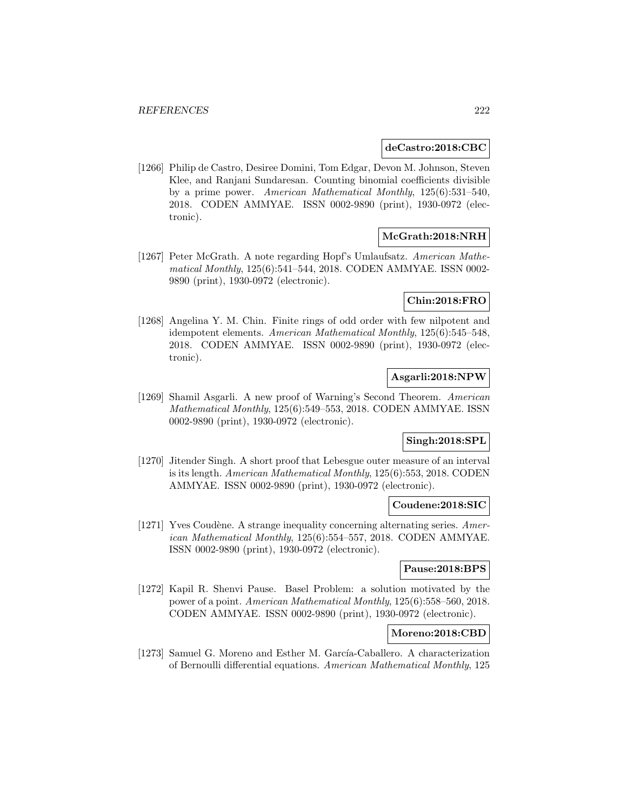#### **deCastro:2018:CBC**

[1266] Philip de Castro, Desiree Domini, Tom Edgar, Devon M. Johnson, Steven Klee, and Ranjani Sundaresan. Counting binomial coefficients divisible by a prime power. American Mathematical Monthly, 125(6):531–540, 2018. CODEN AMMYAE. ISSN 0002-9890 (print), 1930-0972 (electronic).

# **McGrath:2018:NRH**

[1267] Peter McGrath. A note regarding Hopf's Umlaufsatz. American Mathematical Monthly, 125(6):541–544, 2018. CODEN AMMYAE. ISSN 0002- 9890 (print), 1930-0972 (electronic).

### **Chin:2018:FRO**

[1268] Angelina Y. M. Chin. Finite rings of odd order with few nilpotent and idempotent elements. American Mathematical Monthly, 125(6):545–548, 2018. CODEN AMMYAE. ISSN 0002-9890 (print), 1930-0972 (electronic).

# **Asgarli:2018:NPW**

[1269] Shamil Asgarli. A new proof of Warning's Second Theorem. American Mathematical Monthly, 125(6):549–553, 2018. CODEN AMMYAE. ISSN 0002-9890 (print), 1930-0972 (electronic).

# **Singh:2018:SPL**

[1270] Jitender Singh. A short proof that Lebesgue outer measure of an interval is its length. American Mathematical Monthly, 125(6):553, 2018. CODEN AMMYAE. ISSN 0002-9890 (print), 1930-0972 (electronic).

## **Coudene:2018:SIC**

[1271] Yves Coudène. A strange inequality concerning alternating series.  $A$ merican Mathematical Monthly, 125(6):554–557, 2018. CODEN AMMYAE. ISSN 0002-9890 (print), 1930-0972 (electronic).

### **Pause:2018:BPS**

[1272] Kapil R. Shenvi Pause. Basel Problem: a solution motivated by the power of a point. American Mathematical Monthly, 125(6):558–560, 2018. CODEN AMMYAE. ISSN 0002-9890 (print), 1930-0972 (electronic).

## **Moreno:2018:CBD**

[1273] Samuel G. Moreno and Esther M. García-Caballero. A characterization of Bernoulli differential equations. American Mathematical Monthly, 125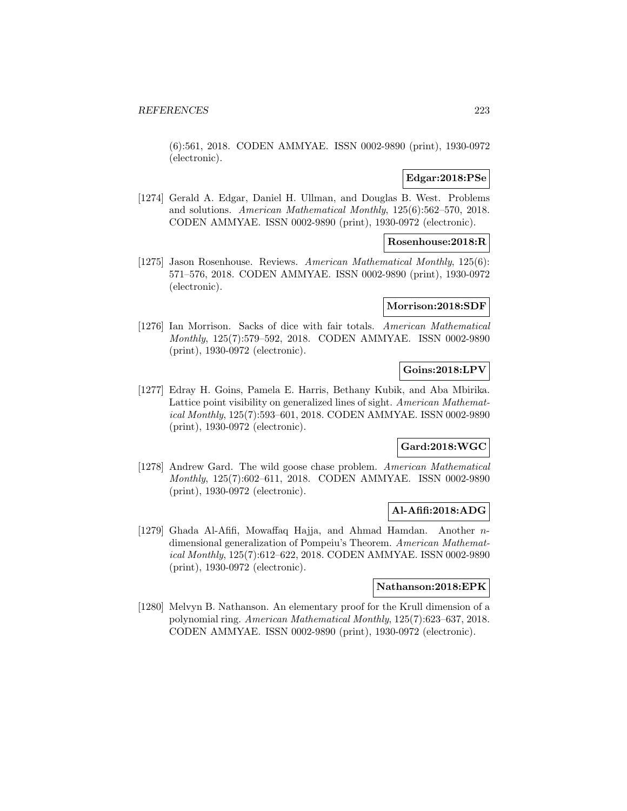(6):561, 2018. CODEN AMMYAE. ISSN 0002-9890 (print), 1930-0972 (electronic).

## **Edgar:2018:PSe**

[1274] Gerald A. Edgar, Daniel H. Ullman, and Douglas B. West. Problems and solutions. American Mathematical Monthly, 125(6):562–570, 2018. CODEN AMMYAE. ISSN 0002-9890 (print), 1930-0972 (electronic).

### **Rosenhouse:2018:R**

[1275] Jason Rosenhouse. Reviews. American Mathematical Monthly, 125(6): 571–576, 2018. CODEN AMMYAE. ISSN 0002-9890 (print), 1930-0972 (electronic).

# **Morrison:2018:SDF**

[1276] Ian Morrison. Sacks of dice with fair totals. American Mathematical Monthly, 125(7):579–592, 2018. CODEN AMMYAE. ISSN 0002-9890 (print), 1930-0972 (electronic).

# **Goins:2018:LPV**

[1277] Edray H. Goins, Pamela E. Harris, Bethany Kubik, and Aba Mbirika. Lattice point visibility on generalized lines of sight. American Mathematical Monthly, 125(7):593–601, 2018. CODEN AMMYAE. ISSN 0002-9890 (print), 1930-0972 (electronic).

## **Gard:2018:WGC**

[1278] Andrew Gard. The wild goose chase problem. American Mathematical Monthly, 125(7):602–611, 2018. CODEN AMMYAE. ISSN 0002-9890 (print), 1930-0972 (electronic).

## **Al-Afifi:2018:ADG**

[1279] Ghada Al-Afifi, Mowaffaq Hajja, and Ahmad Hamdan. Another ndimensional generalization of Pompeiu's Theorem. American Mathematical Monthly, 125(7):612–622, 2018. CODEN AMMYAE. ISSN 0002-9890 (print), 1930-0972 (electronic).

## **Nathanson:2018:EPK**

[1280] Melvyn B. Nathanson. An elementary proof for the Krull dimension of a polynomial ring. American Mathematical Monthly, 125(7):623–637, 2018. CODEN AMMYAE. ISSN 0002-9890 (print), 1930-0972 (electronic).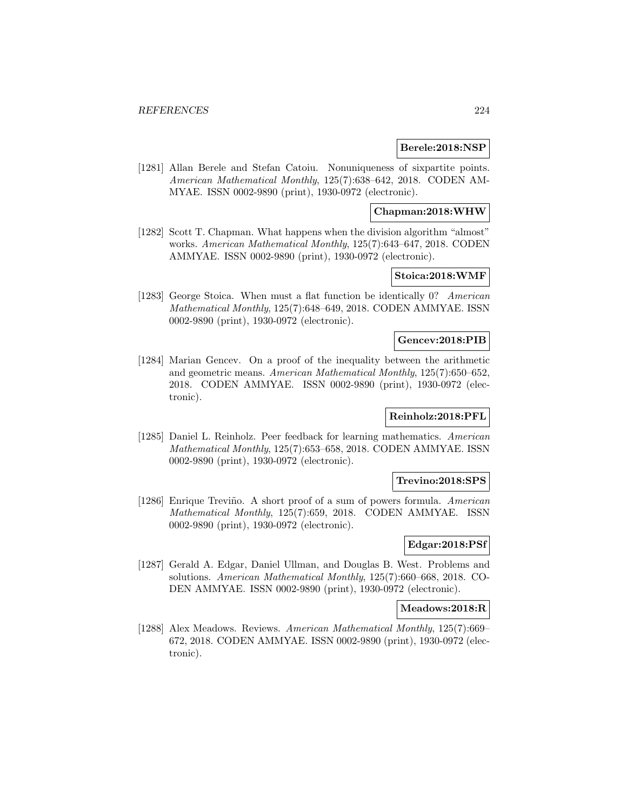### **Berele:2018:NSP**

[1281] Allan Berele and Stefan Catoiu. Nonuniqueness of sixpartite points. American Mathematical Monthly, 125(7):638–642, 2018. CODEN AM-MYAE. ISSN 0002-9890 (print), 1930-0972 (electronic).

## **Chapman:2018:WHW**

[1282] Scott T. Chapman. What happens when the division algorithm "almost" works. American Mathematical Monthly, 125(7):643–647, 2018. CODEN AMMYAE. ISSN 0002-9890 (print), 1930-0972 (electronic).

## **Stoica:2018:WMF**

[1283] George Stoica. When must a flat function be identically 0? American Mathematical Monthly, 125(7):648–649, 2018. CODEN AMMYAE. ISSN 0002-9890 (print), 1930-0972 (electronic).

### **Gencev:2018:PIB**

[1284] Marian Gencev. On a proof of the inequality between the arithmetic and geometric means. American Mathematical Monthly, 125(7):650–652, 2018. CODEN AMMYAE. ISSN 0002-9890 (print), 1930-0972 (electronic).

## **Reinholz:2018:PFL**

[1285] Daniel L. Reinholz. Peer feedback for learning mathematics. American Mathematical Monthly, 125(7):653–658, 2018. CODEN AMMYAE. ISSN 0002-9890 (print), 1930-0972 (electronic).

#### **Trevino:2018:SPS**

[1286] Enrique Treviño. A short proof of a sum of powers formula. American Mathematical Monthly, 125(7):659, 2018. CODEN AMMYAE. ISSN 0002-9890 (print), 1930-0972 (electronic).

## **Edgar:2018:PSf**

[1287] Gerald A. Edgar, Daniel Ullman, and Douglas B. West. Problems and solutions. American Mathematical Monthly, 125(7):660–668, 2018. CO-DEN AMMYAE. ISSN 0002-9890 (print), 1930-0972 (electronic).

# **Meadows:2018:R**

[1288] Alex Meadows. Reviews. American Mathematical Monthly, 125(7):669– 672, 2018. CODEN AMMYAE. ISSN 0002-9890 (print), 1930-0972 (electronic).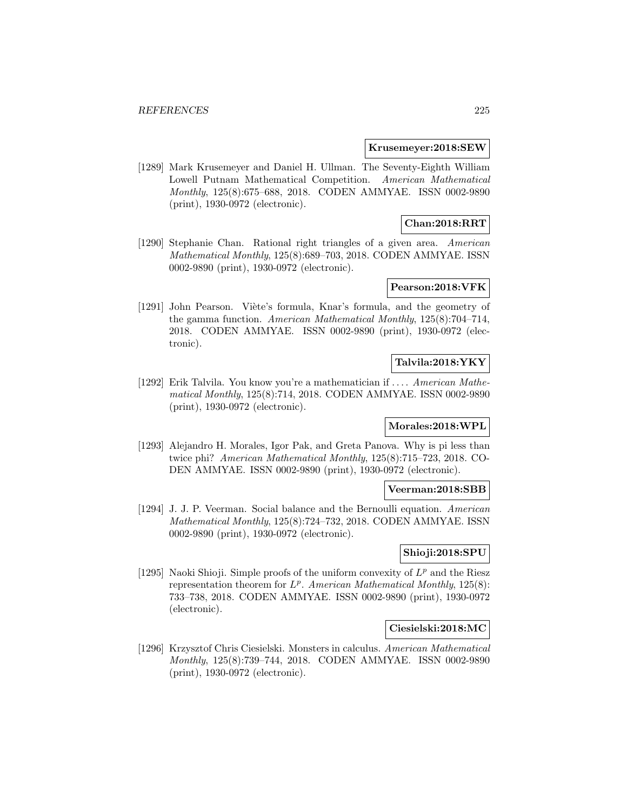#### **Krusemeyer:2018:SEW**

[1289] Mark Krusemeyer and Daniel H. Ullman. The Seventy-Eighth William Lowell Putnam Mathematical Competition. American Mathematical Monthly, 125(8):675–688, 2018. CODEN AMMYAE. ISSN 0002-9890 (print), 1930-0972 (electronic).

## **Chan:2018:RRT**

[1290] Stephanie Chan. Rational right triangles of a given area. American Mathematical Monthly, 125(8):689–703, 2018. CODEN AMMYAE. ISSN 0002-9890 (print), 1930-0972 (electronic).

## **Pearson:2018:VFK**

[1291] John Pearson. Viète's formula, Knar's formula, and the geometry of the gamma function. American Mathematical Monthly, 125(8):704–714, 2018. CODEN AMMYAE. ISSN 0002-9890 (print), 1930-0972 (electronic).

## **Talvila:2018:YKY**

[1292] Erik Talvila. You know you're a mathematician if ... . American Mathematical Monthly, 125(8):714, 2018. CODEN AMMYAE. ISSN 0002-9890 (print), 1930-0972 (electronic).

# **Morales:2018:WPL**

[1293] Alejandro H. Morales, Igor Pak, and Greta Panova. Why is pi less than twice phi? American Mathematical Monthly, 125(8):715–723, 2018. CO-DEN AMMYAE. ISSN 0002-9890 (print), 1930-0972 (electronic).

### **Veerman:2018:SBB**

[1294] J. J. P. Veerman. Social balance and the Bernoulli equation. American Mathematical Monthly, 125(8):724–732, 2018. CODEN AMMYAE. ISSN 0002-9890 (print), 1930-0972 (electronic).

### **Shioji:2018:SPU**

[1295] Naoki Shioji. Simple proofs of the uniform convexity of  $L^p$  and the Riesz representation theorem for  $L^p$ . American Mathematical Monthly, 125(8): 733–738, 2018. CODEN AMMYAE. ISSN 0002-9890 (print), 1930-0972 (electronic).

#### **Ciesielski:2018:MC**

[1296] Krzysztof Chris Ciesielski. Monsters in calculus. American Mathematical Monthly, 125(8):739–744, 2018. CODEN AMMYAE. ISSN 0002-9890 (print), 1930-0972 (electronic).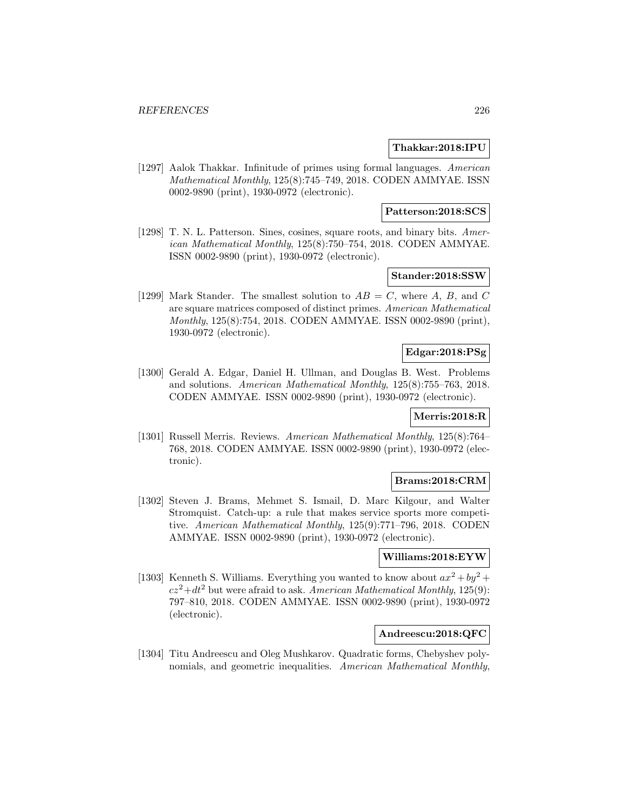### **Thakkar:2018:IPU**

[1297] Aalok Thakkar. Infinitude of primes using formal languages. American Mathematical Monthly, 125(8):745–749, 2018. CODEN AMMYAE. ISSN 0002-9890 (print), 1930-0972 (electronic).

## **Patterson:2018:SCS**

[1298] T. N. L. Patterson. Sines, cosines, square roots, and binary bits. American Mathematical Monthly, 125(8):750–754, 2018. CODEN AMMYAE. ISSN 0002-9890 (print), 1930-0972 (electronic).

## **Stander:2018:SSW**

[1299] Mark Stander. The smallest solution to  $AB = C$ , where A, B, and C are square matrices composed of distinct primes. American Mathematical Monthly, 125(8):754, 2018. CODEN AMMYAE. ISSN 0002-9890 (print), 1930-0972 (electronic).

## **Edgar:2018:PSg**

[1300] Gerald A. Edgar, Daniel H. Ullman, and Douglas B. West. Problems and solutions. American Mathematical Monthly, 125(8):755–763, 2018. CODEN AMMYAE. ISSN 0002-9890 (print), 1930-0972 (electronic).

## **Merris:2018:R**

[1301] Russell Merris. Reviews. American Mathematical Monthly, 125(8):764– 768, 2018. CODEN AMMYAE. ISSN 0002-9890 (print), 1930-0972 (electronic).

#### **Brams:2018:CRM**

[1302] Steven J. Brams, Mehmet S. Ismail, D. Marc Kilgour, and Walter Stromquist. Catch-up: a rule that makes service sports more competitive. American Mathematical Monthly, 125(9):771–796, 2018. CODEN AMMYAE. ISSN 0002-9890 (print), 1930-0972 (electronic).

# **Williams:2018:EYW**

[1303] Kenneth S. Williams. Everything you wanted to know about  $ax^2 + by^2 +$  $cz^2+dt^2$  but were afraid to ask. American Mathematical Monthly, 125(9): 797–810, 2018. CODEN AMMYAE. ISSN 0002-9890 (print), 1930-0972 (electronic).

#### **Andreescu:2018:QFC**

[1304] Titu Andreescu and Oleg Mushkarov. Quadratic forms, Chebyshev polynomials, and geometric inequalities. American Mathematical Monthly,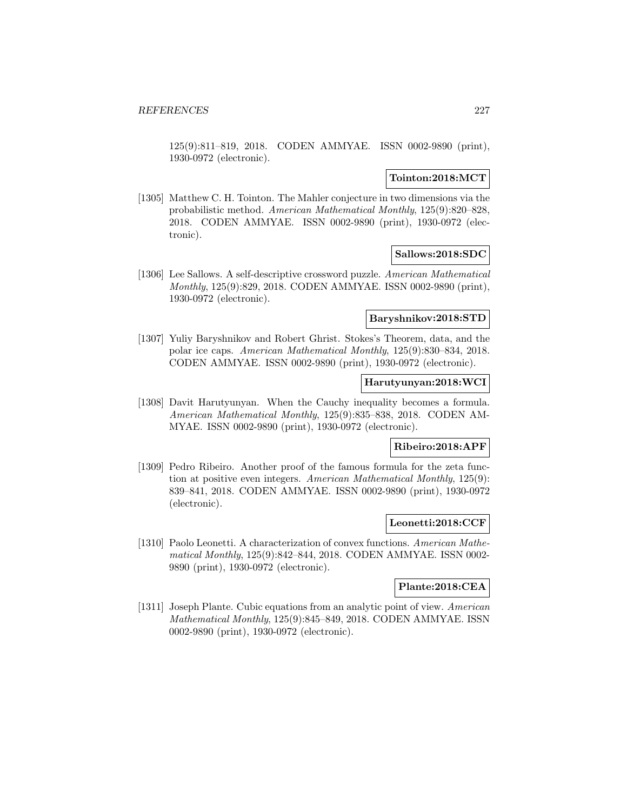125(9):811–819, 2018. CODEN AMMYAE. ISSN 0002-9890 (print), 1930-0972 (electronic).

## **Tointon:2018:MCT**

[1305] Matthew C. H. Tointon. The Mahler conjecture in two dimensions via the probabilistic method. American Mathematical Monthly, 125(9):820–828, 2018. CODEN AMMYAE. ISSN 0002-9890 (print), 1930-0972 (electronic).

## **Sallows:2018:SDC**

[1306] Lee Sallows. A self-descriptive crossword puzzle. American Mathematical Monthly, 125(9):829, 2018. CODEN AMMYAE. ISSN 0002-9890 (print), 1930-0972 (electronic).

### **Baryshnikov:2018:STD**

[1307] Yuliy Baryshnikov and Robert Ghrist. Stokes's Theorem, data, and the polar ice caps. American Mathematical Monthly, 125(9):830–834, 2018. CODEN AMMYAE. ISSN 0002-9890 (print), 1930-0972 (electronic).

## **Harutyunyan:2018:WCI**

[1308] Davit Harutyunyan. When the Cauchy inequality becomes a formula. American Mathematical Monthly, 125(9):835–838, 2018. CODEN AM-MYAE. ISSN 0002-9890 (print), 1930-0972 (electronic).

## **Ribeiro:2018:APF**

[1309] Pedro Ribeiro. Another proof of the famous formula for the zeta function at positive even integers. American Mathematical Monthly, 125(9): 839–841, 2018. CODEN AMMYAE. ISSN 0002-9890 (print), 1930-0972 (electronic).

## **Leonetti:2018:CCF**

[1310] Paolo Leonetti. A characterization of convex functions. American Mathematical Monthly, 125(9):842–844, 2018. CODEN AMMYAE. ISSN 0002- 9890 (print), 1930-0972 (electronic).

## **Plante:2018:CEA**

[1311] Joseph Plante. Cubic equations from an analytic point of view. American Mathematical Monthly, 125(9):845–849, 2018. CODEN AMMYAE. ISSN 0002-9890 (print), 1930-0972 (electronic).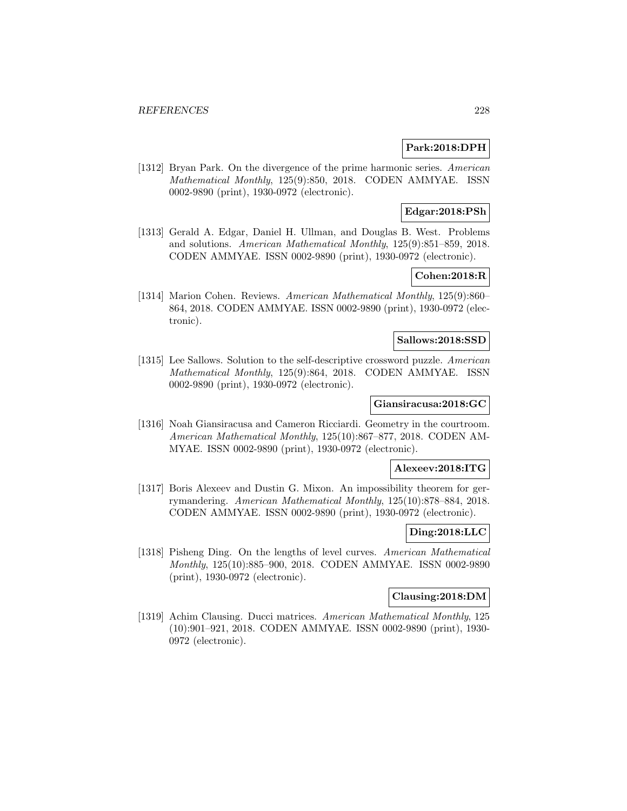## **Park:2018:DPH**

[1312] Bryan Park. On the divergence of the prime harmonic series. American Mathematical Monthly, 125(9):850, 2018. CODEN AMMYAE. ISSN 0002-9890 (print), 1930-0972 (electronic).

## **Edgar:2018:PSh**

[1313] Gerald A. Edgar, Daniel H. Ullman, and Douglas B. West. Problems and solutions. American Mathematical Monthly, 125(9):851–859, 2018. CODEN AMMYAE. ISSN 0002-9890 (print), 1930-0972 (electronic).

# **Cohen:2018:R**

[1314] Marion Cohen. Reviews. American Mathematical Monthly, 125(9):860– 864, 2018. CODEN AMMYAE. ISSN 0002-9890 (print), 1930-0972 (electronic).

### **Sallows:2018:SSD**

[1315] Lee Sallows. Solution to the self-descriptive crossword puzzle. American Mathematical Monthly, 125(9):864, 2018. CODEN AMMYAE. ISSN 0002-9890 (print), 1930-0972 (electronic).

## **Giansiracusa:2018:GC**

[1316] Noah Giansiracusa and Cameron Ricciardi. Geometry in the courtroom. American Mathematical Monthly, 125(10):867–877, 2018. CODEN AM-MYAE. ISSN 0002-9890 (print), 1930-0972 (electronic).

### **Alexeev:2018:ITG**

[1317] Boris Alexeev and Dustin G. Mixon. An impossibility theorem for gerrymandering. American Mathematical Monthly, 125(10):878–884, 2018. CODEN AMMYAE. ISSN 0002-9890 (print), 1930-0972 (electronic).

## **Ding:2018:LLC**

[1318] Pisheng Ding. On the lengths of level curves. American Mathematical Monthly, 125(10):885–900, 2018. CODEN AMMYAE. ISSN 0002-9890 (print), 1930-0972 (electronic).

## **Clausing:2018:DM**

[1319] Achim Clausing. Ducci matrices. American Mathematical Monthly, 125 (10):901–921, 2018. CODEN AMMYAE. ISSN 0002-9890 (print), 1930- 0972 (electronic).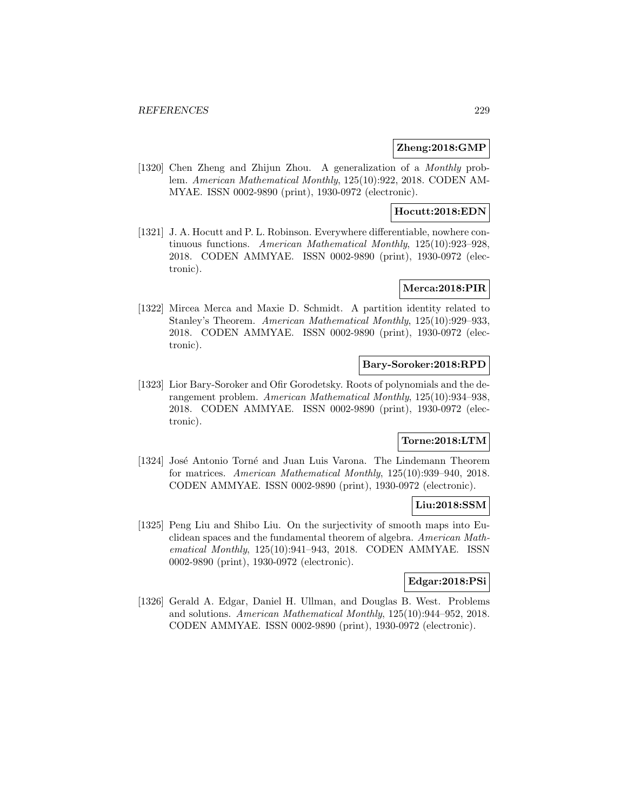## **Zheng:2018:GMP**

[1320] Chen Zheng and Zhijun Zhou. A generalization of a Monthly problem. American Mathematical Monthly, 125(10):922, 2018. CODEN AM-MYAE. ISSN 0002-9890 (print), 1930-0972 (electronic).

## **Hocutt:2018:EDN**

[1321] J. A. Hocutt and P. L. Robinson. Everywhere differentiable, nowhere continuous functions. American Mathematical Monthly, 125(10):923–928, 2018. CODEN AMMYAE. ISSN 0002-9890 (print), 1930-0972 (electronic).

## **Merca:2018:PIR**

[1322] Mircea Merca and Maxie D. Schmidt. A partition identity related to Stanley's Theorem. American Mathematical Monthly, 125(10):929–933, 2018. CODEN AMMYAE. ISSN 0002-9890 (print), 1930-0972 (electronic).

### **Bary-Soroker:2018:RPD**

[1323] Lior Bary-Soroker and Ofir Gorodetsky. Roots of polynomials and the derangement problem. American Mathematical Monthly, 125(10):934–938, 2018. CODEN AMMYAE. ISSN 0002-9890 (print), 1930-0972 (electronic).

# **Torne:2018:LTM**

[1324] José Antonio Torné and Juan Luis Varona. The Lindemann Theorem for matrices. American Mathematical Monthly, 125(10):939–940, 2018. CODEN AMMYAE. ISSN 0002-9890 (print), 1930-0972 (electronic).

## **Liu:2018:SSM**

[1325] Peng Liu and Shibo Liu. On the surjectivity of smooth maps into Euclidean spaces and the fundamental theorem of algebra. American Mathematical Monthly, 125(10):941–943, 2018. CODEN AMMYAE. ISSN 0002-9890 (print), 1930-0972 (electronic).

### **Edgar:2018:PSi**

[1326] Gerald A. Edgar, Daniel H. Ullman, and Douglas B. West. Problems and solutions. American Mathematical Monthly, 125(10):944–952, 2018. CODEN AMMYAE. ISSN 0002-9890 (print), 1930-0972 (electronic).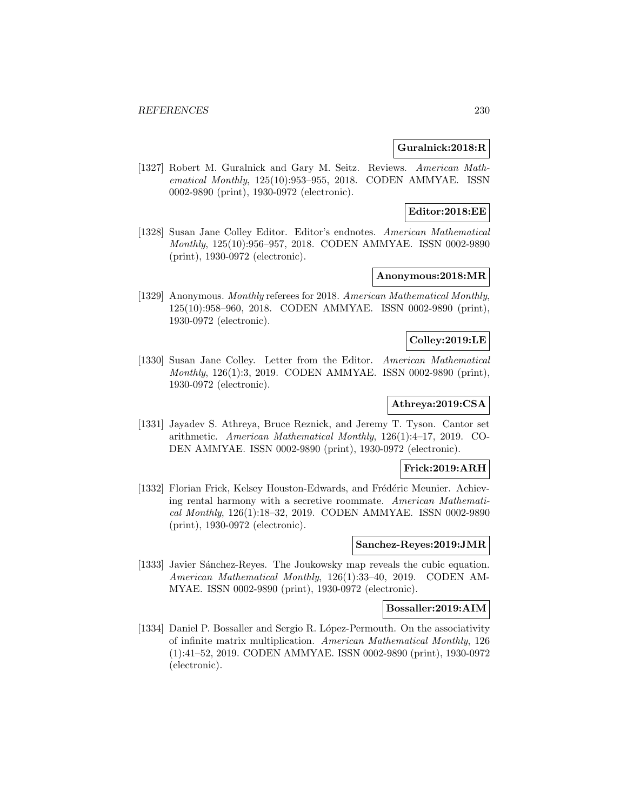## **Guralnick:2018:R**

[1327] Robert M. Guralnick and Gary M. Seitz. Reviews. American Mathematical Monthly, 125(10):953–955, 2018. CODEN AMMYAE. ISSN 0002-9890 (print), 1930-0972 (electronic).

## **Editor:2018:EE**

[1328] Susan Jane Colley Editor. Editor's endnotes. American Mathematical Monthly, 125(10):956–957, 2018. CODEN AMMYAE. ISSN 0002-9890 (print), 1930-0972 (electronic).

## **Anonymous:2018:MR**

[1329] Anonymous. Monthly referees for 2018. American Mathematical Monthly, 125(10):958–960, 2018. CODEN AMMYAE. ISSN 0002-9890 (print), 1930-0972 (electronic).

## **Colley:2019:LE**

[1330] Susan Jane Colley. Letter from the Editor. American Mathematical Monthly, 126(1):3, 2019. CODEN AMMYAE. ISSN 0002-9890 (print), 1930-0972 (electronic).

# **Athreya:2019:CSA**

[1331] Jayadev S. Athreya, Bruce Reznick, and Jeremy T. Tyson. Cantor set arithmetic. American Mathematical Monthly, 126(1):4–17, 2019. CO-DEN AMMYAE. ISSN 0002-9890 (print), 1930-0972 (electronic).

## **Frick:2019:ARH**

[1332] Florian Frick, Kelsey Houston-Edwards, and Frédéric Meunier. Achieving rental harmony with a secretive roommate. American Mathematical Monthly, 126(1):18–32, 2019. CODEN AMMYAE. ISSN 0002-9890 (print), 1930-0972 (electronic).

#### **Sanchez-Reyes:2019:JMR**

[1333] Javier Sánchez-Reyes. The Joukowsky map reveals the cubic equation. American Mathematical Monthly, 126(1):33–40, 2019. CODEN AM-MYAE. ISSN 0002-9890 (print), 1930-0972 (electronic).

### **Bossaller:2019:AIM**

[1334] Daniel P. Bossaller and Sergio R. López-Permouth. On the associativity of infinite matrix multiplication. American Mathematical Monthly, 126 (1):41–52, 2019. CODEN AMMYAE. ISSN 0002-9890 (print), 1930-0972 (electronic).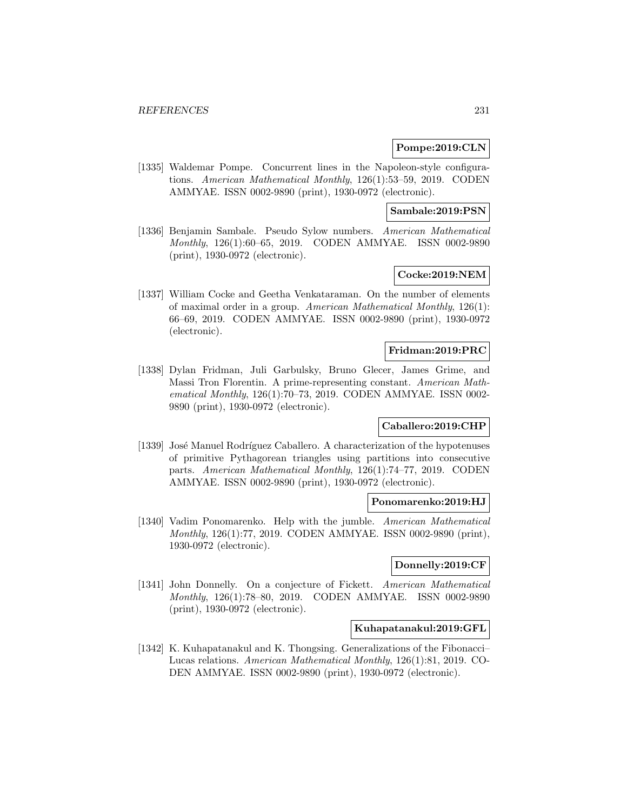## **Pompe:2019:CLN**

[1335] Waldemar Pompe. Concurrent lines in the Napoleon-style configurations. American Mathematical Monthly, 126(1):53–59, 2019. CODEN AMMYAE. ISSN 0002-9890 (print), 1930-0972 (electronic).

### **Sambale:2019:PSN**

[1336] Benjamin Sambale. Pseudo Sylow numbers. American Mathematical Monthly, 126(1):60–65, 2019. CODEN AMMYAE. ISSN 0002-9890 (print), 1930-0972 (electronic).

# **Cocke:2019:NEM**

[1337] William Cocke and Geetha Venkataraman. On the number of elements of maximal order in a group. American Mathematical Monthly, 126(1): 66–69, 2019. CODEN AMMYAE. ISSN 0002-9890 (print), 1930-0972 (electronic).

### **Fridman:2019:PRC**

[1338] Dylan Fridman, Juli Garbulsky, Bruno Glecer, James Grime, and Massi Tron Florentin. A prime-representing constant. American Mathematical Monthly, 126(1):70–73, 2019. CODEN AMMYAE. ISSN 0002- 9890 (print), 1930-0972 (electronic).

## **Caballero:2019:CHP**

[1339] José Manuel Rodríguez Caballero. A characterization of the hypotenuses of primitive Pythagorean triangles using partitions into consecutive parts. American Mathematical Monthly, 126(1):74–77, 2019. CODEN AMMYAE. ISSN 0002-9890 (print), 1930-0972 (electronic).

#### **Ponomarenko:2019:HJ**

[1340] Vadim Ponomarenko. Help with the jumble. American Mathematical Monthly, 126(1):77, 2019. CODEN AMMYAE. ISSN 0002-9890 (print), 1930-0972 (electronic).

## **Donnelly:2019:CF**

[1341] John Donnelly. On a conjecture of Fickett. American Mathematical Monthly, 126(1):78–80, 2019. CODEN AMMYAE. ISSN 0002-9890 (print), 1930-0972 (electronic).

# **Kuhapatanakul:2019:GFL**

[1342] K. Kuhapatanakul and K. Thongsing. Generalizations of the Fibonacci– Lucas relations. American Mathematical Monthly, 126(1):81, 2019. CO-DEN AMMYAE. ISSN 0002-9890 (print), 1930-0972 (electronic).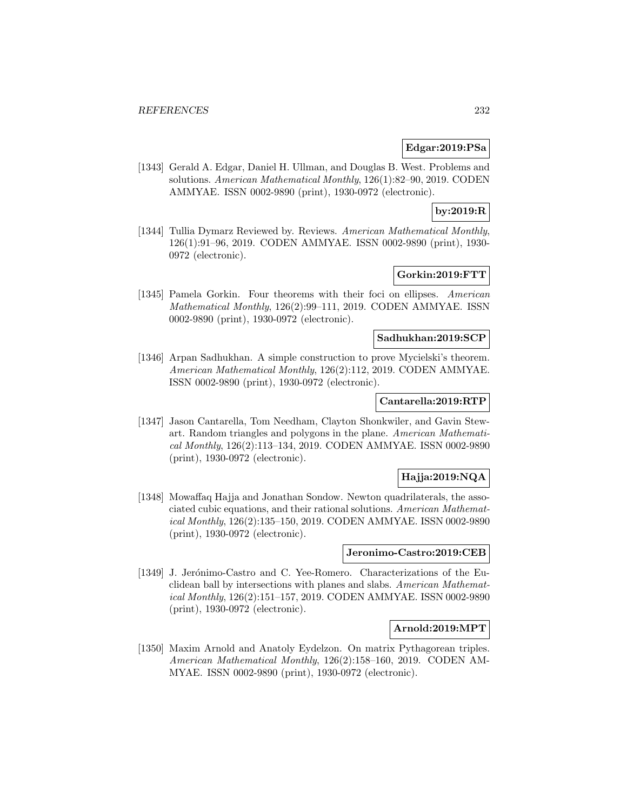## **Edgar:2019:PSa**

[1343] Gerald A. Edgar, Daniel H. Ullman, and Douglas B. West. Problems and solutions. American Mathematical Monthly, 126(1):82–90, 2019. CODEN AMMYAE. ISSN 0002-9890 (print), 1930-0972 (electronic).

## **by:2019:R**

[1344] Tullia Dymarz Reviewed by. Reviews. American Mathematical Monthly, 126(1):91–96, 2019. CODEN AMMYAE. ISSN 0002-9890 (print), 1930- 0972 (electronic).

# **Gorkin:2019:FTT**

[1345] Pamela Gorkin. Four theorems with their foci on ellipses. American Mathematical Monthly, 126(2):99–111, 2019. CODEN AMMYAE. ISSN 0002-9890 (print), 1930-0972 (electronic).

## **Sadhukhan:2019:SCP**

[1346] Arpan Sadhukhan. A simple construction to prove Mycielski's theorem. American Mathematical Monthly, 126(2):112, 2019. CODEN AMMYAE. ISSN 0002-9890 (print), 1930-0972 (electronic).

### **Cantarella:2019:RTP**

[1347] Jason Cantarella, Tom Needham, Clayton Shonkwiler, and Gavin Stewart. Random triangles and polygons in the plane. American Mathematical Monthly, 126(2):113–134, 2019. CODEN AMMYAE. ISSN 0002-9890 (print), 1930-0972 (electronic).

# **Hajja:2019:NQA**

[1348] Mowaffaq Hajja and Jonathan Sondow. Newton quadrilaterals, the associated cubic equations, and their rational solutions. American Mathematical Monthly, 126(2):135–150, 2019. CODEN AMMYAE. ISSN 0002-9890 (print), 1930-0972 (electronic).

## **Jeronimo-Castro:2019:CEB**

[1349] J. Jerónimo-Castro and C. Yee-Romero. Characterizations of the Euclidean ball by intersections with planes and slabs. American Mathematical Monthly, 126(2):151–157, 2019. CODEN AMMYAE. ISSN 0002-9890 (print), 1930-0972 (electronic).

#### **Arnold:2019:MPT**

[1350] Maxim Arnold and Anatoly Eydelzon. On matrix Pythagorean triples. American Mathematical Monthly, 126(2):158–160, 2019. CODEN AM-MYAE. ISSN 0002-9890 (print), 1930-0972 (electronic).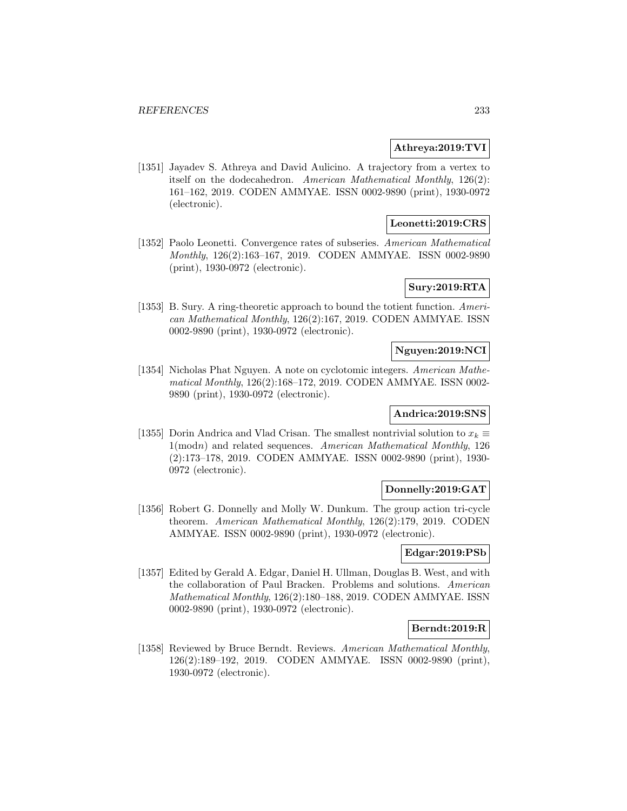## **Athreya:2019:TVI**

[1351] Jayadev S. Athreya and David Aulicino. A trajectory from a vertex to itself on the dodecahedron. American Mathematical Monthly, 126(2): 161–162, 2019. CODEN AMMYAE. ISSN 0002-9890 (print), 1930-0972 (electronic).

## **Leonetti:2019:CRS**

[1352] Paolo Leonetti. Convergence rates of subseries. American Mathematical Monthly, 126(2):163–167, 2019. CODEN AMMYAE. ISSN 0002-9890 (print), 1930-0972 (electronic).

## **Sury:2019:RTA**

[1353] B. Sury. A ring-theoretic approach to bound the totient function. American Mathematical Monthly, 126(2):167, 2019. CODEN AMMYAE. ISSN 0002-9890 (print), 1930-0972 (electronic).

## **Nguyen:2019:NCI**

[1354] Nicholas Phat Nguyen. A note on cyclotomic integers. American Mathematical Monthly, 126(2):168–172, 2019. CODEN AMMYAE. ISSN 0002- 9890 (print), 1930-0972 (electronic).

## **Andrica:2019:SNS**

[1355] Dorin Andrica and Vlad Crisan. The smallest nontrivial solution to  $x_k \equiv$ 1(modn) and related sequences. American Mathematical Monthly, 126 (2):173–178, 2019. CODEN AMMYAE. ISSN 0002-9890 (print), 1930- 0972 (electronic).

## **Donnelly:2019:GAT**

[1356] Robert G. Donnelly and Molly W. Dunkum. The group action tri-cycle theorem. American Mathematical Monthly, 126(2):179, 2019. CODEN AMMYAE. ISSN 0002-9890 (print), 1930-0972 (electronic).

## **Edgar:2019:PSb**

[1357] Edited by Gerald A. Edgar, Daniel H. Ullman, Douglas B. West, and with the collaboration of Paul Bracken. Problems and solutions. American Mathematical Monthly, 126(2):180–188, 2019. CODEN AMMYAE. ISSN 0002-9890 (print), 1930-0972 (electronic).

#### **Berndt:2019:R**

[1358] Reviewed by Bruce Berndt. Reviews. American Mathematical Monthly, 126(2):189–192, 2019. CODEN AMMYAE. ISSN 0002-9890 (print), 1930-0972 (electronic).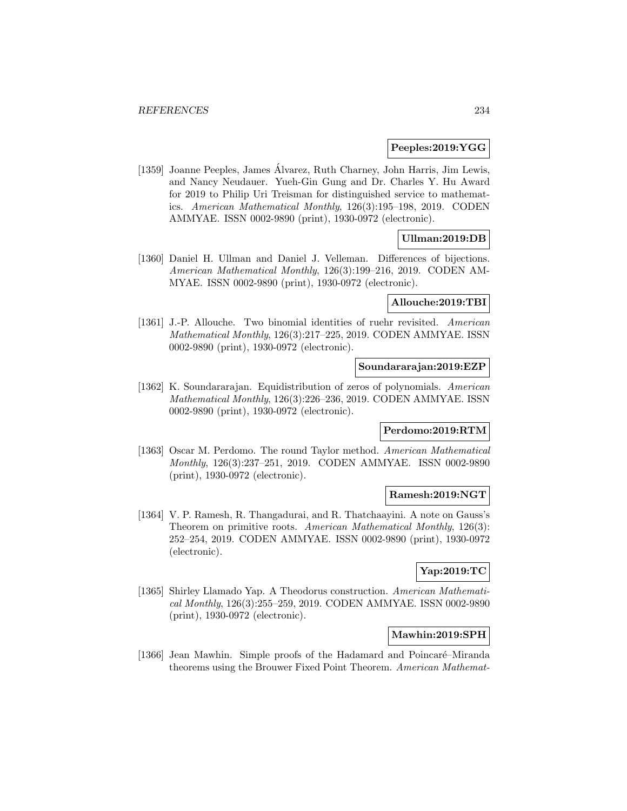### **Peeples:2019:YGG**

[1359] Joanne Peeples, James Alvarez, Ruth Charney, John Harris, Jim Lewis, ´ and Nancy Neudauer. Yueh-Gin Gung and Dr. Charles Y. Hu Award for 2019 to Philip Uri Treisman for distinguished service to mathematics. American Mathematical Monthly, 126(3):195–198, 2019. CODEN AMMYAE. ISSN 0002-9890 (print), 1930-0972 (electronic).

## **Ullman:2019:DB**

[1360] Daniel H. Ullman and Daniel J. Velleman. Differences of bijections. American Mathematical Monthly, 126(3):199–216, 2019. CODEN AM-MYAE. ISSN 0002-9890 (print), 1930-0972 (electronic).

# **Allouche:2019:TBI**

[1361] J.-P. Allouche. Two binomial identities of ruehr revisited. American Mathematical Monthly, 126(3):217–225, 2019. CODEN AMMYAE. ISSN 0002-9890 (print), 1930-0972 (electronic).

#### **Soundararajan:2019:EZP**

[1362] K. Soundararajan. Equidistribution of zeros of polynomials. American Mathematical Monthly, 126(3):226–236, 2019. CODEN AMMYAE. ISSN 0002-9890 (print), 1930-0972 (electronic).

## **Perdomo:2019:RTM**

[1363] Oscar M. Perdomo. The round Taylor method. American Mathematical Monthly, 126(3):237–251, 2019. CODEN AMMYAE. ISSN 0002-9890 (print), 1930-0972 (electronic).

#### **Ramesh:2019:NGT**

[1364] V. P. Ramesh, R. Thangadurai, and R. Thatchaayini. A note on Gauss's Theorem on primitive roots. American Mathematical Monthly, 126(3): 252–254, 2019. CODEN AMMYAE. ISSN 0002-9890 (print), 1930-0972 (electronic).

## **Yap:2019:TC**

[1365] Shirley Llamado Yap. A Theodorus construction. American Mathematical Monthly, 126(3):255–259, 2019. CODEN AMMYAE. ISSN 0002-9890 (print), 1930-0972 (electronic).

### **Mawhin:2019:SPH**

[1366] Jean Mawhin. Simple proofs of the Hadamard and Poincaré–Miranda theorems using the Brouwer Fixed Point Theorem. American Mathemat-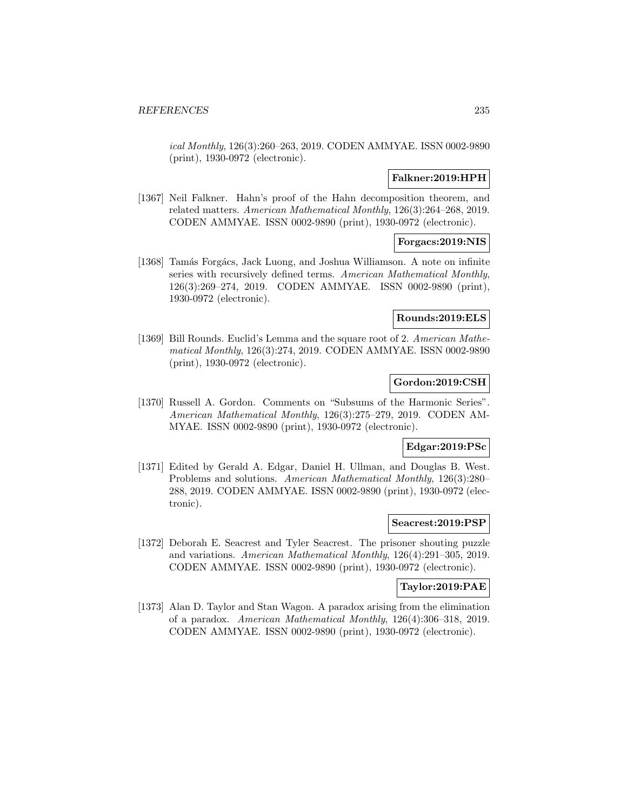ical Monthly, 126(3):260–263, 2019. CODEN AMMYAE. ISSN 0002-9890 (print), 1930-0972 (electronic).

## **Falkner:2019:HPH**

[1367] Neil Falkner. Hahn's proof of the Hahn decomposition theorem, and related matters. American Mathematical Monthly, 126(3):264–268, 2019. CODEN AMMYAE. ISSN 0002-9890 (print), 1930-0972 (electronic).

## **Forgacs:2019:NIS**

[1368] Tamás Forgács, Jack Luong, and Joshua Williamson. A note on infinite series with recursively defined terms. American Mathematical Monthly, 126(3):269–274, 2019. CODEN AMMYAE. ISSN 0002-9890 (print), 1930-0972 (electronic).

### **Rounds:2019:ELS**

[1369] Bill Rounds. Euclid's Lemma and the square root of 2. American Mathematical Monthly, 126(3):274, 2019. CODEN AMMYAE. ISSN 0002-9890 (print), 1930-0972 (electronic).

## **Gordon:2019:CSH**

[1370] Russell A. Gordon. Comments on "Subsums of the Harmonic Series". American Mathematical Monthly, 126(3):275–279, 2019. CODEN AM-MYAE. ISSN 0002-9890 (print), 1930-0972 (electronic).

## **Edgar:2019:PSc**

[1371] Edited by Gerald A. Edgar, Daniel H. Ullman, and Douglas B. West. Problems and solutions. American Mathematical Monthly, 126(3):280– 288, 2019. CODEN AMMYAE. ISSN 0002-9890 (print), 1930-0972 (electronic).

#### **Seacrest:2019:PSP**

[1372] Deborah E. Seacrest and Tyler Seacrest. The prisoner shouting puzzle and variations. American Mathematical Monthly, 126(4):291–305, 2019. CODEN AMMYAE. ISSN 0002-9890 (print), 1930-0972 (electronic).

## **Taylor:2019:PAE**

[1373] Alan D. Taylor and Stan Wagon. A paradox arising from the elimination of a paradox. American Mathematical Monthly, 126(4):306–318, 2019. CODEN AMMYAE. ISSN 0002-9890 (print), 1930-0972 (electronic).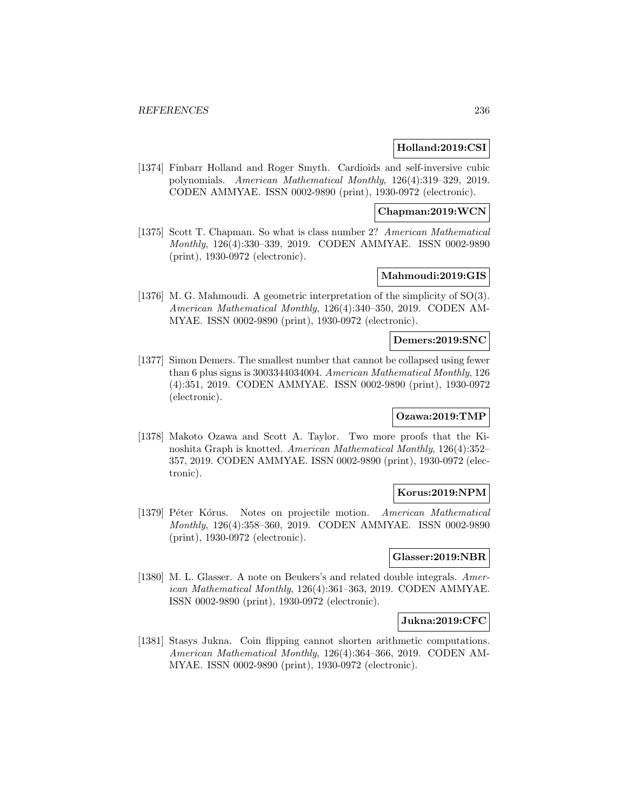## **Holland:2019:CSI**

[1374] Finbarr Holland and Roger Smyth. Cardioids and self-inversive cubic polynomials. American Mathematical Monthly, 126(4):319–329, 2019. CODEN AMMYAE. ISSN 0002-9890 (print), 1930-0972 (electronic).

## **Chapman:2019:WCN**

[1375] Scott T. Chapman. So what is class number 2? American Mathematical Monthly, 126(4):330–339, 2019. CODEN AMMYAE. ISSN 0002-9890 (print), 1930-0972 (electronic).

## **Mahmoudi:2019:GIS**

[1376] M. G. Mahmoudi. A geometric interpretation of the simplicity of SO(3). American Mathematical Monthly, 126(4):340–350, 2019. CODEN AM-MYAE. ISSN 0002-9890 (print), 1930-0972 (electronic).

#### **Demers:2019:SNC**

[1377] Simon Demers. The smallest number that cannot be collapsed using fewer than 6 plus signs is 3003344034004. American Mathematical Monthly, 126 (4):351, 2019. CODEN AMMYAE. ISSN 0002-9890 (print), 1930-0972 (electronic).

## **Ozawa:2019:TMP**

[1378] Makoto Ozawa and Scott A. Taylor. Two more proofs that the Kinoshita Graph is knotted. American Mathematical Monthly, 126(4):352– 357, 2019. CODEN AMMYAE. ISSN 0002-9890 (print), 1930-0972 (electronic).

## **Korus:2019:NPM**

[1379] Péter Kórus. Notes on projectile motion. American Mathematical Monthly, 126(4):358–360, 2019. CODEN AMMYAE. ISSN 0002-9890 (print), 1930-0972 (electronic).

## **Glasser:2019:NBR**

[1380] M. L. Glasser. A note on Beukers's and related double integrals. American Mathematical Monthly, 126(4):361–363, 2019. CODEN AMMYAE. ISSN 0002-9890 (print), 1930-0972 (electronic).

#### **Jukna:2019:CFC**

[1381] Stasys Jukna. Coin flipping cannot shorten arithmetic computations. American Mathematical Monthly, 126(4):364–366, 2019. CODEN AM-MYAE. ISSN 0002-9890 (print), 1930-0972 (electronic).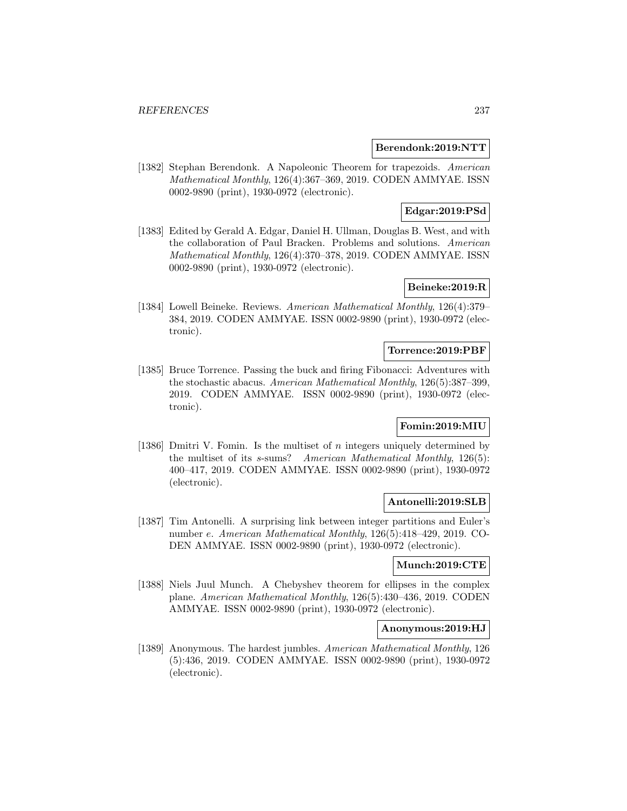## **Berendonk:2019:NTT**

[1382] Stephan Berendonk. A Napoleonic Theorem for trapezoids. American Mathematical Monthly, 126(4):367–369, 2019. CODEN AMMYAE. ISSN 0002-9890 (print), 1930-0972 (electronic).

## **Edgar:2019:PSd**

[1383] Edited by Gerald A. Edgar, Daniel H. Ullman, Douglas B. West, and with the collaboration of Paul Bracken. Problems and solutions. American Mathematical Monthly, 126(4):370–378, 2019. CODEN AMMYAE. ISSN 0002-9890 (print), 1930-0972 (electronic).

# **Beineke:2019:R**

[1384] Lowell Beineke. Reviews. American Mathematical Monthly, 126(4):379– 384, 2019. CODEN AMMYAE. ISSN 0002-9890 (print), 1930-0972 (electronic).

#### **Torrence:2019:PBF**

[1385] Bruce Torrence. Passing the buck and firing Fibonacci: Adventures with the stochastic abacus. American Mathematical Monthly, 126(5):387–399, 2019. CODEN AMMYAE. ISSN 0002-9890 (print), 1930-0972 (electronic).

## **Fomin:2019:MIU**

[1386] Dmitri V. Fomin. Is the multiset of n integers uniquely determined by the multiset of its s-sums? American Mathematical Monthly, 126(5): 400–417, 2019. CODEN AMMYAE. ISSN 0002-9890 (print), 1930-0972 (electronic).

## **Antonelli:2019:SLB**

[1387] Tim Antonelli. A surprising link between integer partitions and Euler's number e. American Mathematical Monthly, 126(5):418–429, 2019. CO-DEN AMMYAE. ISSN 0002-9890 (print), 1930-0972 (electronic).

## **Munch:2019:CTE**

[1388] Niels Juul Munch. A Chebyshev theorem for ellipses in the complex plane. American Mathematical Monthly, 126(5):430–436, 2019. CODEN AMMYAE. ISSN 0002-9890 (print), 1930-0972 (electronic).

## **Anonymous:2019:HJ**

[1389] Anonymous. The hardest jumbles. American Mathematical Monthly, 126 (5):436, 2019. CODEN AMMYAE. ISSN 0002-9890 (print), 1930-0972 (electronic).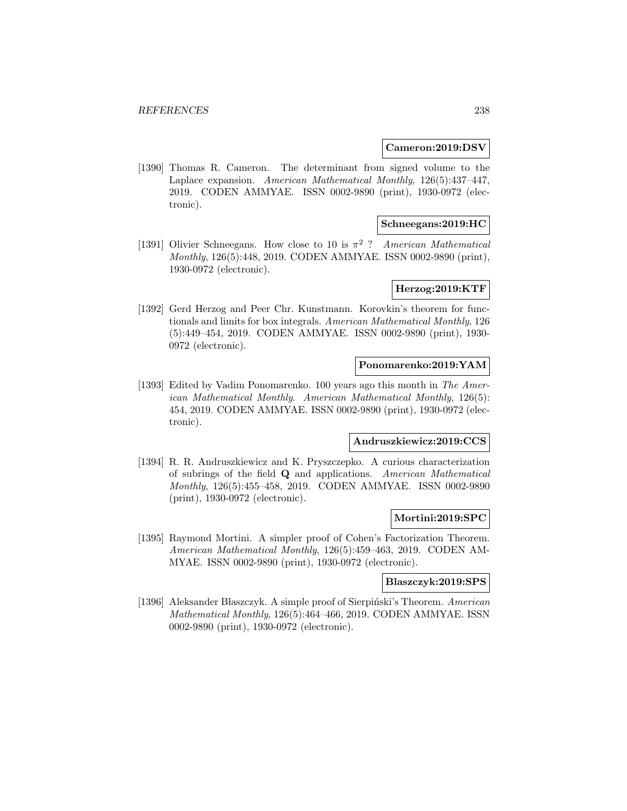### **Cameron:2019:DSV**

[1390] Thomas R. Cameron. The determinant from signed volume to the Laplace expansion. American Mathematical Monthly, 126(5):437–447, 2019. CODEN AMMYAE. ISSN 0002-9890 (print), 1930-0972 (electronic).

## **Schneegans:2019:HC**

[1391] Olivier Schneegans. How close to 10 is  $\pi^2$  ? American Mathematical Monthly, 126(5):448, 2019. CODEN AMMYAE. ISSN 0002-9890 (print), 1930-0972 (electronic).

## **Herzog:2019:KTF**

[1392] Gerd Herzog and Peer Chr. Kunstmann. Korovkin's theorem for functionals and limits for box integrals. American Mathematical Monthly, 126 (5):449–454, 2019. CODEN AMMYAE. ISSN 0002-9890 (print), 1930- 0972 (electronic).

#### **Ponomarenko:2019:YAM**

[1393] Edited by Vadim Ponomarenko. 100 years ago this month in The American Mathematical Monthly. American Mathematical Monthly, 126(5): 454, 2019. CODEN AMMYAE. ISSN 0002-9890 (print), 1930-0972 (electronic).

# **Andruszkiewicz:2019:CCS**

[1394] R. R. Andruszkiewicz and K. Pryszczepko. A curious characterization of subrings of the field **Q** and applications. American Mathematical Monthly, 126(5):455–458, 2019. CODEN AMMYAE. ISSN 0002-9890 (print), 1930-0972 (electronic).

#### **Mortini:2019:SPC**

[1395] Raymond Mortini. A simpler proof of Cohen's Factorization Theorem. American Mathematical Monthly, 126(5):459–463, 2019. CODEN AM-MYAE. ISSN 0002-9890 (print), 1930-0972 (electronic).

#### **Blaszczyk:2019:SPS**

[1396] Aleksander Błaszczyk. A simple proof of Sierpiński's Theorem. American Mathematical Monthly, 126(5):464–466, 2019. CODEN AMMYAE. ISSN 0002-9890 (print), 1930-0972 (electronic).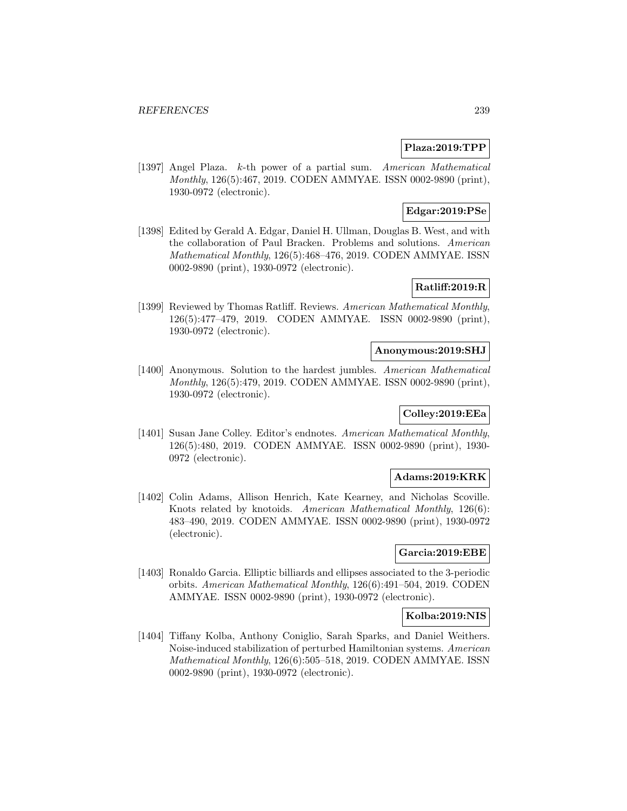## **Plaza:2019:TPP**

[1397] Angel Plaza. k-th power of a partial sum. American Mathematical Monthly, 126(5):467, 2019. CODEN AMMYAE. ISSN 0002-9890 (print), 1930-0972 (electronic).

## **Edgar:2019:PSe**

[1398] Edited by Gerald A. Edgar, Daniel H. Ullman, Douglas B. West, and with the collaboration of Paul Bracken. Problems and solutions. American Mathematical Monthly, 126(5):468–476, 2019. CODEN AMMYAE. ISSN 0002-9890 (print), 1930-0972 (electronic).

# **Ratliff:2019:R**

[1399] Reviewed by Thomas Ratliff. Reviews. American Mathematical Monthly, 126(5):477–479, 2019. CODEN AMMYAE. ISSN 0002-9890 (print), 1930-0972 (electronic).

### **Anonymous:2019:SHJ**

[1400] Anonymous. Solution to the hardest jumbles. American Mathematical Monthly, 126(5):479, 2019. CODEN AMMYAE. ISSN 0002-9890 (print), 1930-0972 (electronic).

# **Colley:2019:EEa**

[1401] Susan Jane Colley. Editor's endnotes. American Mathematical Monthly, 126(5):480, 2019. CODEN AMMYAE. ISSN 0002-9890 (print), 1930- 0972 (electronic).

## **Adams:2019:KRK**

[1402] Colin Adams, Allison Henrich, Kate Kearney, and Nicholas Scoville. Knots related by knotoids. American Mathematical Monthly, 126(6): 483–490, 2019. CODEN AMMYAE. ISSN 0002-9890 (print), 1930-0972 (electronic).

## **Garcia:2019:EBE**

[1403] Ronaldo Garcia. Elliptic billiards and ellipses associated to the 3-periodic orbits. American Mathematical Monthly, 126(6):491–504, 2019. CODEN AMMYAE. ISSN 0002-9890 (print), 1930-0972 (electronic).

## **Kolba:2019:NIS**

[1404] Tiffany Kolba, Anthony Coniglio, Sarah Sparks, and Daniel Weithers. Noise-induced stabilization of perturbed Hamiltonian systems. American Mathematical Monthly, 126(6):505–518, 2019. CODEN AMMYAE. ISSN 0002-9890 (print), 1930-0972 (electronic).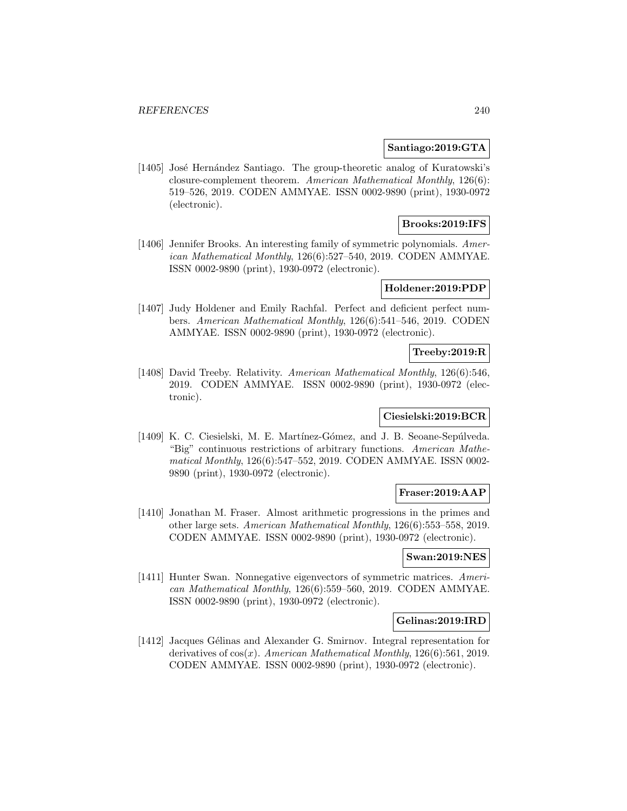### **Santiago:2019:GTA**

[1405] José Hernández Santiago. The group-theoretic analog of Kuratowski's closure-complement theorem. American Mathematical Monthly, 126(6): 519–526, 2019. CODEN AMMYAE. ISSN 0002-9890 (print), 1930-0972 (electronic).

## **Brooks:2019:IFS**

[1406] Jennifer Brooks. An interesting family of symmetric polynomials. American Mathematical Monthly, 126(6):527–540, 2019. CODEN AMMYAE. ISSN 0002-9890 (print), 1930-0972 (electronic).

## **Holdener:2019:PDP**

[1407] Judy Holdener and Emily Rachfal. Perfect and deficient perfect numbers. American Mathematical Monthly, 126(6):541–546, 2019. CODEN AMMYAE. ISSN 0002-9890 (print), 1930-0972 (electronic).

## **Treeby:2019:R**

[1408] David Treeby. Relativity. American Mathematical Monthly, 126(6):546, 2019. CODEN AMMYAE. ISSN 0002-9890 (print), 1930-0972 (electronic).

## **Ciesielski:2019:BCR**

[1409] K. C. Ciesielski, M. E. Martínez-Gómez, and J. B. Seoane-Sepúlveda. "Big" continuous restrictions of arbitrary functions. American Mathematical Monthly, 126(6):547–552, 2019. CODEN AMMYAE. ISSN 0002- 9890 (print), 1930-0972 (electronic).

## **Fraser:2019:AAP**

[1410] Jonathan M. Fraser. Almost arithmetic progressions in the primes and other large sets. American Mathematical Monthly, 126(6):553–558, 2019. CODEN AMMYAE. ISSN 0002-9890 (print), 1930-0972 (electronic).

## **Swan:2019:NES**

[1411] Hunter Swan. Nonnegative eigenvectors of symmetric matrices. American Mathematical Monthly, 126(6):559–560, 2019. CODEN AMMYAE. ISSN 0002-9890 (print), 1930-0972 (electronic).

#### **Gelinas:2019:IRD**

[1412] Jacques Gélinas and Alexander G. Smirnov. Integral representation for derivatives of  $cos(x)$ . American Mathematical Monthly, 126(6):561, 2019. CODEN AMMYAE. ISSN 0002-9890 (print), 1930-0972 (electronic).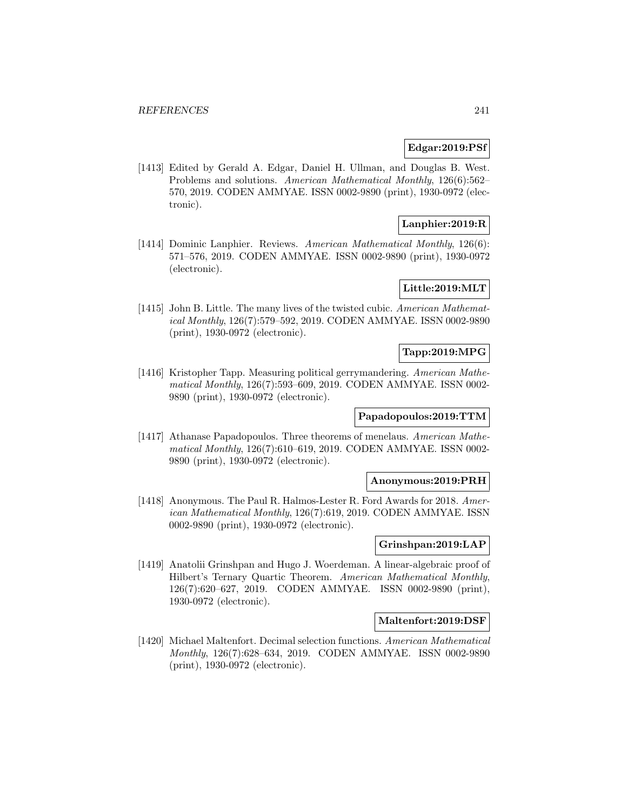### **Edgar:2019:PSf**

[1413] Edited by Gerald A. Edgar, Daniel H. Ullman, and Douglas B. West. Problems and solutions. American Mathematical Monthly, 126(6):562– 570, 2019. CODEN AMMYAE. ISSN 0002-9890 (print), 1930-0972 (electronic).

# **Lanphier:2019:R**

[1414] Dominic Lanphier. Reviews. American Mathematical Monthly, 126(6): 571–576, 2019. CODEN AMMYAE. ISSN 0002-9890 (print), 1930-0972 (electronic).

## **Little:2019:MLT**

[1415] John B. Little. The many lives of the twisted cubic. American Mathematical Monthly, 126(7):579–592, 2019. CODEN AMMYAE. ISSN 0002-9890 (print), 1930-0972 (electronic).

## **Tapp:2019:MPG**

[1416] Kristopher Tapp. Measuring political gerrymandering. American Mathematical Monthly, 126(7):593–609, 2019. CODEN AMMYAE. ISSN 0002- 9890 (print), 1930-0972 (electronic).

### **Papadopoulos:2019:TTM**

[1417] Athanase Papadopoulos. Three theorems of menelaus. American Mathematical Monthly, 126(7):610–619, 2019. CODEN AMMYAE. ISSN 0002- 9890 (print), 1930-0972 (electronic).

#### **Anonymous:2019:PRH**

[1418] Anonymous. The Paul R. Halmos-Lester R. Ford Awards for 2018. American Mathematical Monthly, 126(7):619, 2019. CODEN AMMYAE. ISSN 0002-9890 (print), 1930-0972 (electronic).

## **Grinshpan:2019:LAP**

[1419] Anatolii Grinshpan and Hugo J. Woerdeman. A linear-algebraic proof of Hilbert's Ternary Quartic Theorem. American Mathematical Monthly, 126(7):620–627, 2019. CODEN AMMYAE. ISSN 0002-9890 (print), 1930-0972 (electronic).

#### **Maltenfort:2019:DSF**

[1420] Michael Maltenfort. Decimal selection functions. American Mathematical Monthly, 126(7):628–634, 2019. CODEN AMMYAE. ISSN 0002-9890 (print), 1930-0972 (electronic).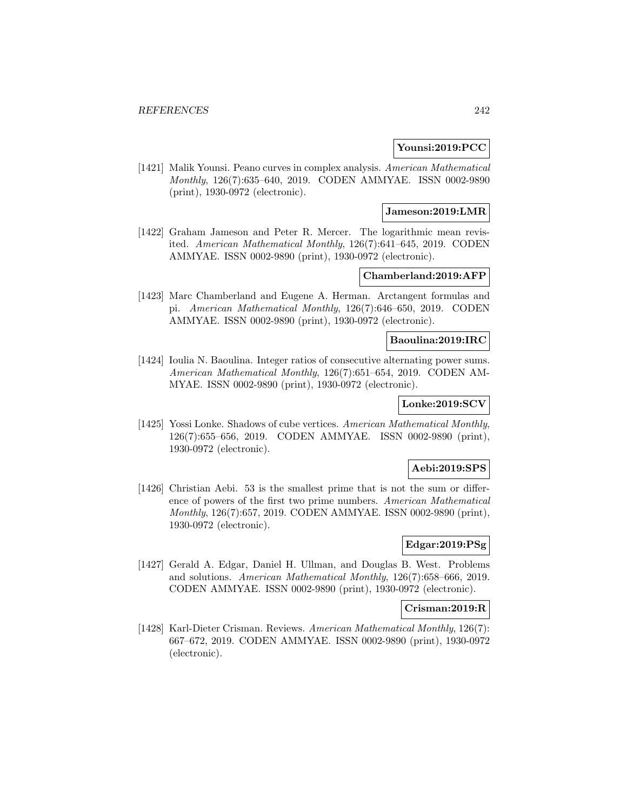## **Younsi:2019:PCC**

[1421] Malik Younsi. Peano curves in complex analysis. American Mathematical Monthly, 126(7):635–640, 2019. CODEN AMMYAE. ISSN 0002-9890 (print), 1930-0972 (electronic).

## **Jameson:2019:LMR**

[1422] Graham Jameson and Peter R. Mercer. The logarithmic mean revisited. American Mathematical Monthly, 126(7):641–645, 2019. CODEN AMMYAE. ISSN 0002-9890 (print), 1930-0972 (electronic).

## **Chamberland:2019:AFP**

[1423] Marc Chamberland and Eugene A. Herman. Arctangent formulas and pi. American Mathematical Monthly, 126(7):646–650, 2019. CODEN AMMYAE. ISSN 0002-9890 (print), 1930-0972 (electronic).

### **Baoulina:2019:IRC**

[1424] Ioulia N. Baoulina. Integer ratios of consecutive alternating power sums. American Mathematical Monthly, 126(7):651–654, 2019. CODEN AM-MYAE. ISSN 0002-9890 (print), 1930-0972 (electronic).

# **Lonke:2019:SCV**

[1425] Yossi Lonke. Shadows of cube vertices. American Mathematical Monthly, 126(7):655–656, 2019. CODEN AMMYAE. ISSN 0002-9890 (print), 1930-0972 (electronic).

## **Aebi:2019:SPS**

[1426] Christian Aebi. 53 is the smallest prime that is not the sum or difference of powers of the first two prime numbers. American Mathematical Monthly, 126(7):657, 2019. CODEN AMMYAE. ISSN 0002-9890 (print), 1930-0972 (electronic).

# **Edgar:2019:PSg**

[1427] Gerald A. Edgar, Daniel H. Ullman, and Douglas B. West. Problems and solutions. American Mathematical Monthly, 126(7):658–666, 2019. CODEN AMMYAE. ISSN 0002-9890 (print), 1930-0972 (electronic).

## **Crisman:2019:R**

[1428] Karl-Dieter Crisman. Reviews. American Mathematical Monthly, 126(7): 667–672, 2019. CODEN AMMYAE. ISSN 0002-9890 (print), 1930-0972 (electronic).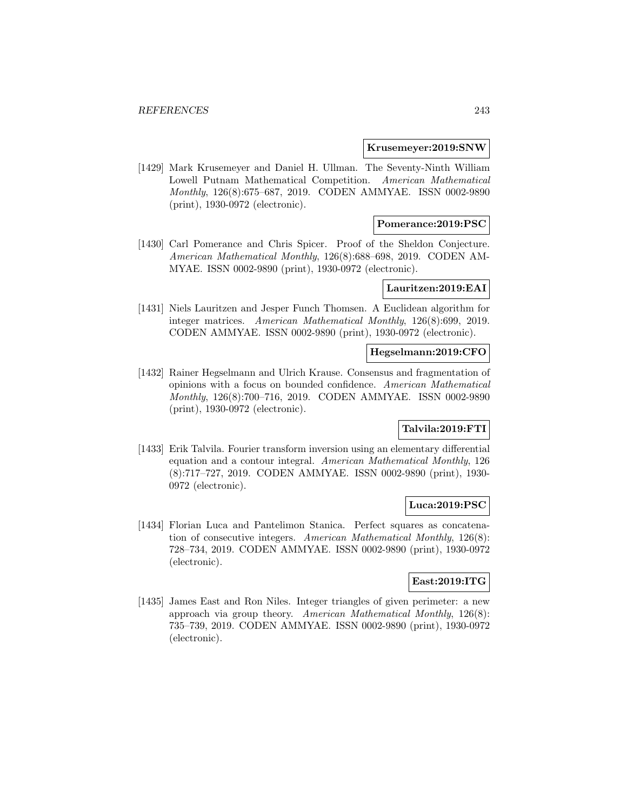#### **Krusemeyer:2019:SNW**

[1429] Mark Krusemeyer and Daniel H. Ullman. The Seventy-Ninth William Lowell Putnam Mathematical Competition. American Mathematical Monthly, 126(8):675–687, 2019. CODEN AMMYAE. ISSN 0002-9890 (print), 1930-0972 (electronic).

## **Pomerance:2019:PSC**

[1430] Carl Pomerance and Chris Spicer. Proof of the Sheldon Conjecture. American Mathematical Monthly, 126(8):688–698, 2019. CODEN AM-MYAE. ISSN 0002-9890 (print), 1930-0972 (electronic).

### **Lauritzen:2019:EAI**

[1431] Niels Lauritzen and Jesper Funch Thomsen. A Euclidean algorithm for integer matrices. American Mathematical Monthly, 126(8):699, 2019. CODEN AMMYAE. ISSN 0002-9890 (print), 1930-0972 (electronic).

# **Hegselmann:2019:CFO**

[1432] Rainer Hegselmann and Ulrich Krause. Consensus and fragmentation of opinions with a focus on bounded confidence. American Mathematical Monthly, 126(8):700–716, 2019. CODEN AMMYAE. ISSN 0002-9890 (print), 1930-0972 (electronic).

## **Talvila:2019:FTI**

[1433] Erik Talvila. Fourier transform inversion using an elementary differential equation and a contour integral. American Mathematical Monthly, 126 (8):717–727, 2019. CODEN AMMYAE. ISSN 0002-9890 (print), 1930- 0972 (electronic).

## **Luca:2019:PSC**

[1434] Florian Luca and Pantelimon Stanica. Perfect squares as concatenation of consecutive integers. American Mathematical Monthly, 126(8): 728–734, 2019. CODEN AMMYAE. ISSN 0002-9890 (print), 1930-0972 (electronic).

### **East:2019:ITG**

[1435] James East and Ron Niles. Integer triangles of given perimeter: a new approach via group theory. American Mathematical Monthly, 126(8): 735–739, 2019. CODEN AMMYAE. ISSN 0002-9890 (print), 1930-0972 (electronic).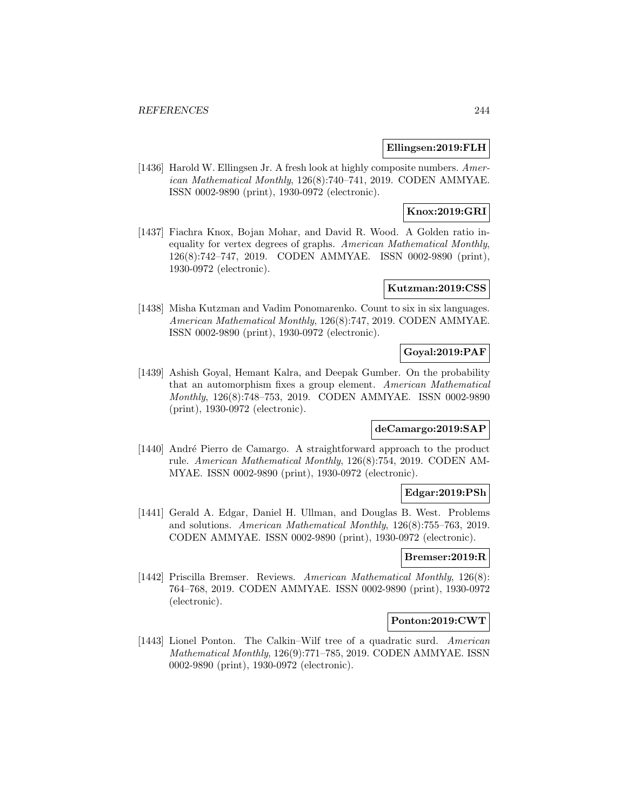## **Ellingsen:2019:FLH**

[1436] Harold W. Ellingsen Jr. A fresh look at highly composite numbers. American Mathematical Monthly, 126(8):740–741, 2019. CODEN AMMYAE. ISSN 0002-9890 (print), 1930-0972 (electronic).

# **Knox:2019:GRI**

[1437] Fiachra Knox, Bojan Mohar, and David R. Wood. A Golden ratio inequality for vertex degrees of graphs. American Mathematical Monthly, 126(8):742–747, 2019. CODEN AMMYAE. ISSN 0002-9890 (print), 1930-0972 (electronic).

## **Kutzman:2019:CSS**

[1438] Misha Kutzman and Vadim Ponomarenko. Count to six in six languages. American Mathematical Monthly, 126(8):747, 2019. CODEN AMMYAE. ISSN 0002-9890 (print), 1930-0972 (electronic).

# **Goyal:2019:PAF**

[1439] Ashish Goyal, Hemant Kalra, and Deepak Gumber. On the probability that an automorphism fixes a group element. American Mathematical Monthly, 126(8):748–753, 2019. CODEN AMMYAE. ISSN 0002-9890 (print), 1930-0972 (electronic).

## **deCamargo:2019:SAP**

[1440] André Pierro de Camargo. A straightforward approach to the product rule. American Mathematical Monthly, 126(8):754, 2019. CODEN AM-MYAE. ISSN 0002-9890 (print), 1930-0972 (electronic).

## **Edgar:2019:PSh**

[1441] Gerald A. Edgar, Daniel H. Ullman, and Douglas B. West. Problems and solutions. American Mathematical Monthly, 126(8):755–763, 2019. CODEN AMMYAE. ISSN 0002-9890 (print), 1930-0972 (electronic).

## **Bremser:2019:R**

[1442] Priscilla Bremser. Reviews. American Mathematical Monthly, 126(8): 764–768, 2019. CODEN AMMYAE. ISSN 0002-9890 (print), 1930-0972 (electronic).

#### **Ponton:2019:CWT**

[1443] Lionel Ponton. The Calkin–Wilf tree of a quadratic surd. American Mathematical Monthly, 126(9):771–785, 2019. CODEN AMMYAE. ISSN 0002-9890 (print), 1930-0972 (electronic).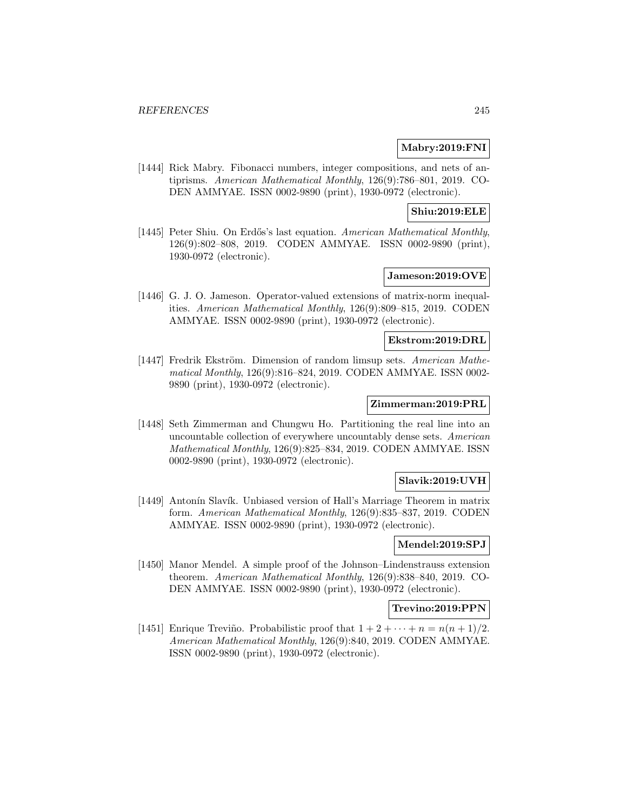## **Mabry:2019:FNI**

[1444] Rick Mabry. Fibonacci numbers, integer compositions, and nets of antiprisms. American Mathematical Monthly, 126(9):786–801, 2019. CO-DEN AMMYAE. ISSN 0002-9890 (print), 1930-0972 (electronic).

## **Shiu:2019:ELE**

[1445] Peter Shiu. On Erdős's last equation. American Mathematical Monthly, 126(9):802–808, 2019. CODEN AMMYAE. ISSN 0002-9890 (print), 1930-0972 (electronic).

## **Jameson:2019:OVE**

[1446] G. J. O. Jameson. Operator-valued extensions of matrix-norm inequalities. American Mathematical Monthly, 126(9):809–815, 2019. CODEN AMMYAE. ISSN 0002-9890 (print), 1930-0972 (electronic).

### **Ekstrom:2019:DRL**

[1447] Fredrik Ekström. Dimension of random limsup sets. American Mathematical Monthly, 126(9):816–824, 2019. CODEN AMMYAE. ISSN 0002- 9890 (print), 1930-0972 (electronic).

## **Zimmerman:2019:PRL**

[1448] Seth Zimmerman and Chungwu Ho. Partitioning the real line into an uncountable collection of everywhere uncountably dense sets. American Mathematical Monthly, 126(9):825–834, 2019. CODEN AMMYAE. ISSN 0002-9890 (print), 1930-0972 (electronic).

## **Slavik:2019:UVH**

[1449] Antonín Slavík. Unbiased version of Hall's Marriage Theorem in matrix form. American Mathematical Monthly, 126(9):835–837, 2019. CODEN AMMYAE. ISSN 0002-9890 (print), 1930-0972 (electronic).

## **Mendel:2019:SPJ**

[1450] Manor Mendel. A simple proof of the Johnson–Lindenstrauss extension theorem. American Mathematical Monthly, 126(9):838–840, 2019. CO-DEN AMMYAE. ISSN 0002-9890 (print), 1930-0972 (electronic).

# **Trevino:2019:PPN**

[1451] Enrique Treviño. Probabilistic proof that  $1 + 2 + \cdots + n = n(n + 1)/2$ . American Mathematical Monthly, 126(9):840, 2019. CODEN AMMYAE. ISSN 0002-9890 (print), 1930-0972 (electronic).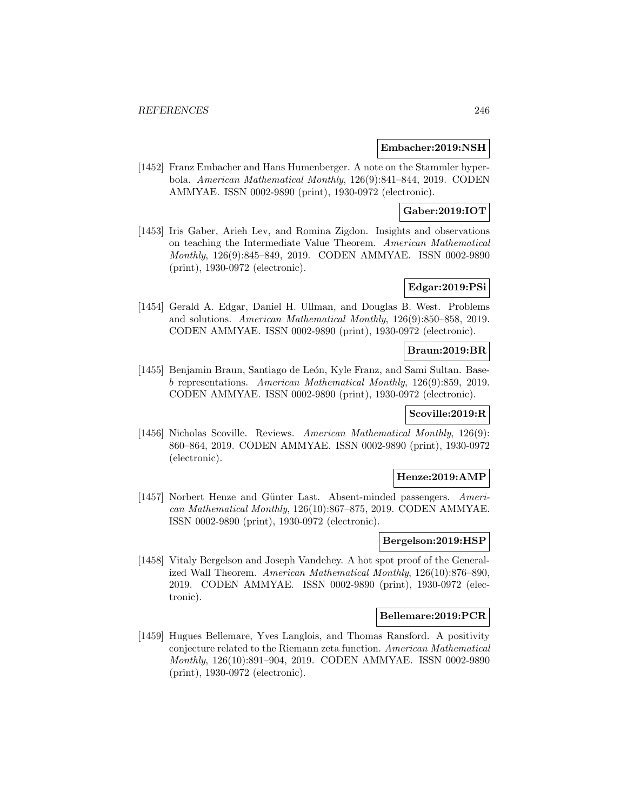### **Embacher:2019:NSH**

[1452] Franz Embacher and Hans Humenberger. A note on the Stammler hyperbola. American Mathematical Monthly, 126(9):841–844, 2019. CODEN AMMYAE. ISSN 0002-9890 (print), 1930-0972 (electronic).

## **Gaber:2019:IOT**

[1453] Iris Gaber, Arieh Lev, and Romina Zigdon. Insights and observations on teaching the Intermediate Value Theorem. American Mathematical Monthly, 126(9):845–849, 2019. CODEN AMMYAE. ISSN 0002-9890 (print), 1930-0972 (electronic).

## **Edgar:2019:PSi**

[1454] Gerald A. Edgar, Daniel H. Ullman, and Douglas B. West. Problems and solutions. American Mathematical Monthly, 126(9):850–858, 2019. CODEN AMMYAE. ISSN 0002-9890 (print), 1930-0972 (electronic).

### **Braun:2019:BR**

[1455] Benjamin Braun, Santiago de León, Kyle Franz, and Sami Sultan. Baseb representations. American Mathematical Monthly, 126(9):859, 2019. CODEN AMMYAE. ISSN 0002-9890 (print), 1930-0972 (electronic).

## **Scoville:2019:R**

[1456] Nicholas Scoville. Reviews. American Mathematical Monthly, 126(9): 860–864, 2019. CODEN AMMYAE. ISSN 0002-9890 (print), 1930-0972 (electronic).

### **Henze:2019:AMP**

[1457] Norbert Henze and Günter Last. Absent-minded passengers. American Mathematical Monthly, 126(10):867–875, 2019. CODEN AMMYAE. ISSN 0002-9890 (print), 1930-0972 (electronic).

## **Bergelson:2019:HSP**

[1458] Vitaly Bergelson and Joseph Vandehey. A hot spot proof of the Generalized Wall Theorem. American Mathematical Monthly, 126(10):876–890, 2019. CODEN AMMYAE. ISSN 0002-9890 (print), 1930-0972 (electronic).

## **Bellemare:2019:PCR**

[1459] Hugues Bellemare, Yves Langlois, and Thomas Ransford. A positivity conjecture related to the Riemann zeta function. American Mathematical Monthly, 126(10):891–904, 2019. CODEN AMMYAE. ISSN 0002-9890 (print), 1930-0972 (electronic).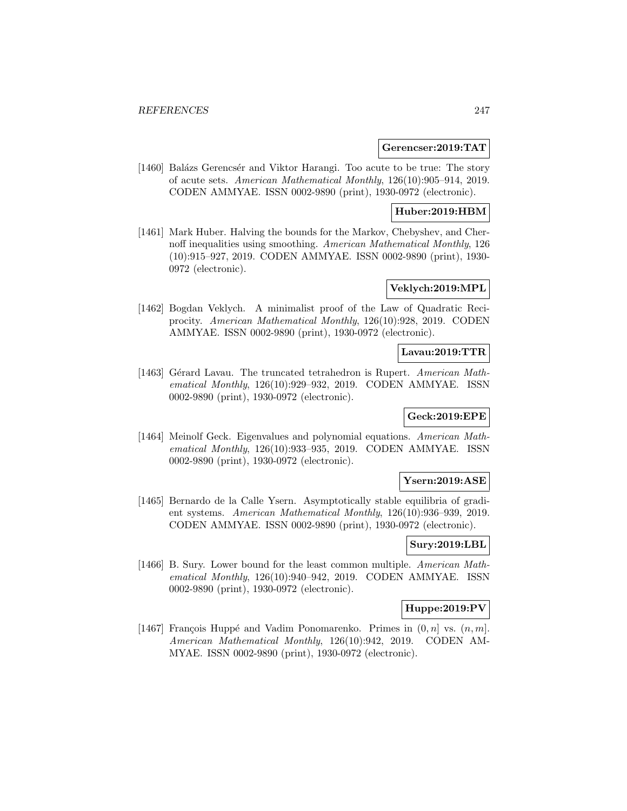### **Gerencser:2019:TAT**

[1460] Balázs Gerencsér and Viktor Harangi. Too acute to be true: The story of acute sets. American Mathematical Monthly, 126(10):905–914, 2019. CODEN AMMYAE. ISSN 0002-9890 (print), 1930-0972 (electronic).

## **Huber:2019:HBM**

[1461] Mark Huber. Halving the bounds for the Markov, Chebyshev, and Chernoff inequalities using smoothing. American Mathematical Monthly, 126 (10):915–927, 2019. CODEN AMMYAE. ISSN 0002-9890 (print), 1930- 0972 (electronic).

# **Veklych:2019:MPL**

[1462] Bogdan Veklych. A minimalist proof of the Law of Quadratic Reciprocity. American Mathematical Monthly, 126(10):928, 2019. CODEN AMMYAE. ISSN 0002-9890 (print), 1930-0972 (electronic).

## **Lavau:2019:TTR**

[1463] Gérard Lavau. The truncated tetrahedron is Rupert. American Mathematical Monthly, 126(10):929–932, 2019. CODEN AMMYAE. ISSN 0002-9890 (print), 1930-0972 (electronic).

# **Geck:2019:EPE**

[1464] Meinolf Geck. Eigenvalues and polynomial equations. American Mathematical Monthly, 126(10):933–935, 2019. CODEN AMMYAE. ISSN 0002-9890 (print), 1930-0972 (electronic).

#### **Ysern:2019:ASE**

[1465] Bernardo de la Calle Ysern. Asymptotically stable equilibria of gradient systems. American Mathematical Monthly, 126(10):936–939, 2019. CODEN AMMYAE. ISSN 0002-9890 (print), 1930-0972 (electronic).

## **Sury:2019:LBL**

[1466] B. Sury. Lower bound for the least common multiple. American Mathematical Monthly, 126(10):940–942, 2019. CODEN AMMYAE. ISSN 0002-9890 (print), 1930-0972 (electronic).

## **Huppe:2019:PV**

[1467] François Huppé and Vadim Ponomarenko. Primes in  $(0, n]$  vs.  $(n, m]$ . American Mathematical Monthly, 126(10):942, 2019. CODEN AM-MYAE. ISSN 0002-9890 (print), 1930-0972 (electronic).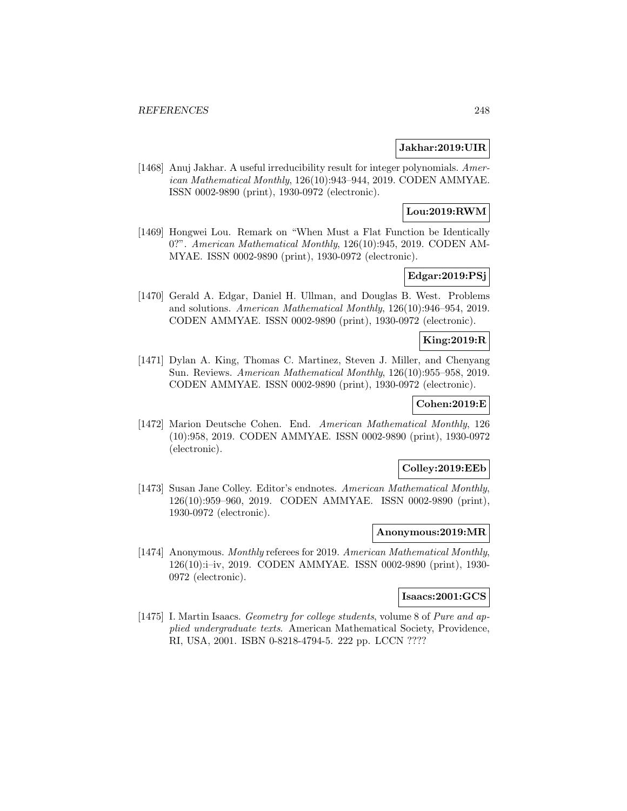## **Jakhar:2019:UIR**

[1468] Anuj Jakhar. A useful irreducibility result for integer polynomials. American Mathematical Monthly, 126(10):943–944, 2019. CODEN AMMYAE. ISSN 0002-9890 (print), 1930-0972 (electronic).

# **Lou:2019:RWM**

[1469] Hongwei Lou. Remark on "When Must a Flat Function be Identically 0?". American Mathematical Monthly, 126(10):945, 2019. CODEN AM-MYAE. ISSN 0002-9890 (print), 1930-0972 (electronic).

## **Edgar:2019:PSj**

[1470] Gerald A. Edgar, Daniel H. Ullman, and Douglas B. West. Problems and solutions. American Mathematical Monthly, 126(10):946–954, 2019. CODEN AMMYAE. ISSN 0002-9890 (print), 1930-0972 (electronic).

# **King:2019:R**

[1471] Dylan A. King, Thomas C. Martinez, Steven J. Miller, and Chenyang Sun. Reviews. American Mathematical Monthly, 126(10):955–958, 2019. CODEN AMMYAE. ISSN 0002-9890 (print), 1930-0972 (electronic).

# **Cohen:2019:E**

[1472] Marion Deutsche Cohen. End. American Mathematical Monthly, 126 (10):958, 2019. CODEN AMMYAE. ISSN 0002-9890 (print), 1930-0972 (electronic).

## **Colley:2019:EEb**

[1473] Susan Jane Colley. Editor's endnotes. American Mathematical Monthly, 126(10):959–960, 2019. CODEN AMMYAE. ISSN 0002-9890 (print), 1930-0972 (electronic).

#### **Anonymous:2019:MR**

[1474] Anonymous. Monthly referees for 2019. American Mathematical Monthly, 126(10):i–iv, 2019. CODEN AMMYAE. ISSN 0002-9890 (print), 1930- 0972 (electronic).

# **Isaacs:2001:GCS**

[1475] I. Martin Isaacs. Geometry for college students, volume 8 of Pure and applied undergraduate texts. American Mathematical Society, Providence, RI, USA, 2001. ISBN 0-8218-4794-5. 222 pp. LCCN ????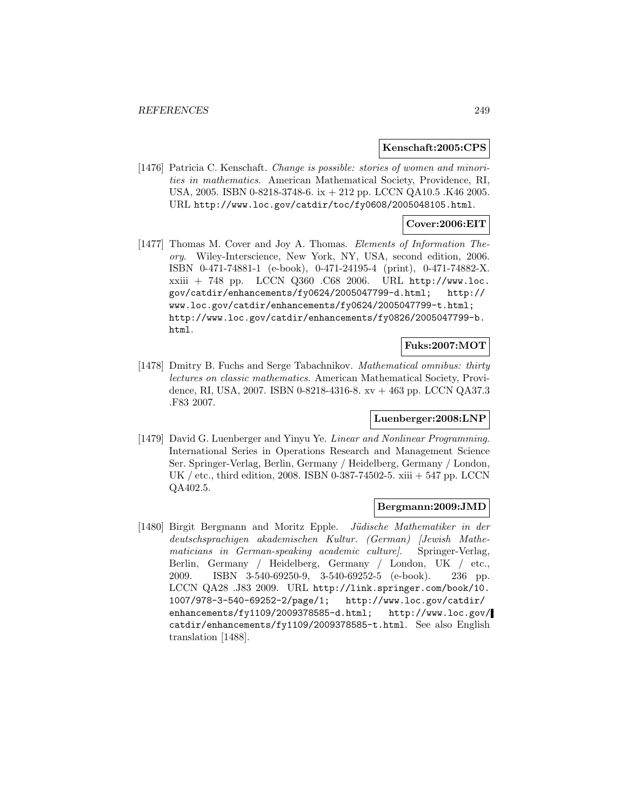#### **Kenschaft:2005:CPS**

[1476] Patricia C. Kenschaft. Change is possible: stories of women and minorities in mathematics. American Mathematical Society, Providence, RI, USA, 2005. ISBN 0-8218-3748-6. ix + 212 pp. LCCN QA10.5 .K46 2005. URL http://www.loc.gov/catdir/toc/fy0608/2005048105.html.

## **Cover:2006:EIT**

[1477] Thomas M. Cover and Joy A. Thomas. Elements of Information Theory. Wiley-Interscience, New York, NY, USA, second edition, 2006. ISBN 0-471-74881-1 (e-book), 0-471-24195-4 (print), 0-471-74882-X. xxiii + 748 pp. LCCN Q360 .C68 2006. URL http://www.loc. gov/catdir/enhancements/fy0624/2005047799-d.html; http:// www.loc.gov/catdir/enhancements/fy0624/2005047799-t.html; http://www.loc.gov/catdir/enhancements/fy0826/2005047799-b. html.

#### **Fuks:2007:MOT**

[1478] Dmitry B. Fuchs and Serge Tabachnikov. Mathematical omnibus: thirty lectures on classic mathematics. American Mathematical Society, Providence, RI, USA, 2007. ISBN 0-8218-4316-8. xv + 463 pp. LCCN QA37.3 .F83 2007.

### **Luenberger:2008:LNP**

[1479] David G. Luenberger and Yinyu Ye. Linear and Nonlinear Programming. International Series in Operations Research and Management Science Ser. Springer-Verlag, Berlin, Germany / Heidelberg, Germany / London, UK / etc., third edition, 2008. ISBN 0-387-74502-5. xiii + 547 pp. LCCN QA402.5.

### **Bergmann:2009:JMD**

[1480] Birgit Bergmann and Moritz Epple. Jüdische Mathematiker in der deutschsprachigen akademischen Kultur. (German) [Jewish Mathematicians in German-speaking academic culture. Springer-Verlag, Berlin, Germany / Heidelberg, Germany / London, UK / etc., 2009. ISBN 3-540-69250-9, 3-540-69252-5 (e-book). 236 pp. LCCN QA28 .J83 2009. URL http://link.springer.com/book/10. 1007/978-3-540-69252-2/page/1; http://www.loc.gov/catdir/ enhancements/fy1109/2009378585-d.html; http://www.loc.gov/ catdir/enhancements/fy1109/2009378585-t.html. See also English translation [1488].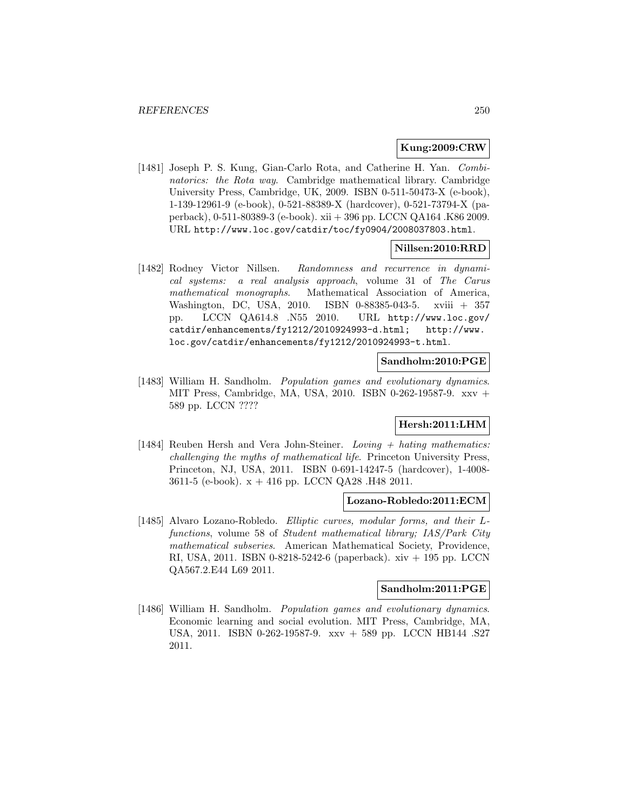### **Kung:2009:CRW**

[1481] Joseph P. S. Kung, Gian-Carlo Rota, and Catherine H. Yan. Combinatorics: the Rota way. Cambridge mathematical library. Cambridge University Press, Cambridge, UK, 2009. ISBN 0-511-50473-X (e-book), 1-139-12961-9 (e-book), 0-521-88389-X (hardcover), 0-521-73794-X (paperback), 0-511-80389-3 (e-book). xii + 396 pp. LCCN QA164 .K86 2009. URL http://www.loc.gov/catdir/toc/fy0904/2008037803.html.

### **Nillsen:2010:RRD**

[1482] Rodney Victor Nillsen. Randomness and recurrence in dynamical systems: a real analysis approach, volume 31 of The Carus mathematical monographs. Mathematical Association of America, Washington, DC, USA, 2010. ISBN 0-88385-043-5. xviii + 357 pp. LCCN QA614.8 .N55 2010. URL http://www.loc.gov/ catdir/enhancements/fy1212/2010924993-d.html; http://www. loc.gov/catdir/enhancements/fy1212/2010924993-t.html.

#### **Sandholm:2010:PGE**

[1483] William H. Sandholm. Population games and evolutionary dynamics. MIT Press, Cambridge, MA, USA, 2010. ISBN 0-262-19587-9. xxv + 589 pp. LCCN ????

## **Hersh:2011:LHM**

[1484] Reuben Hersh and Vera John-Steiner. Loving  $+$  hating mathematics: challenging the myths of mathematical life. Princeton University Press, Princeton, NJ, USA, 2011. ISBN 0-691-14247-5 (hardcover), 1-4008- 3611-5 (e-book). x + 416 pp. LCCN QA28 .H48 2011.

## **Lozano-Robledo:2011:ECM**

[1485] Alvaro Lozano-Robledo. Elliptic curves, modular forms, and their Lfunctions, volume 58 of Student mathematical library; IAS/Park City mathematical subseries. American Mathematical Society, Providence, RI, USA, 2011. ISBN 0-8218-5242-6 (paperback). xiv + 195 pp. LCCN QA567.2.E44 L69 2011.

#### **Sandholm:2011:PGE**

[1486] William H. Sandholm. Population games and evolutionary dynamics. Economic learning and social evolution. MIT Press, Cambridge, MA, USA, 2011. ISBN 0-262-19587-9. xxv + 589 pp. LCCN HB144 .S27 2011.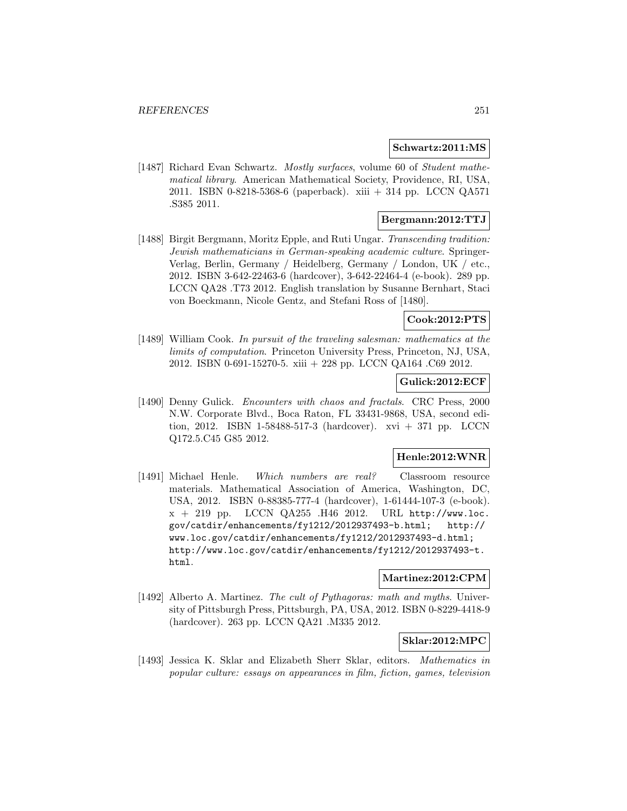### **Schwartz:2011:MS**

[1487] Richard Evan Schwartz. Mostly surfaces, volume 60 of Student mathematical library. American Mathematical Society, Providence, RI, USA, 2011. ISBN 0-8218-5368-6 (paperback). xiii + 314 pp. LCCN QA571 .S385 2011.

## **Bergmann:2012:TTJ**

[1488] Birgit Bergmann, Moritz Epple, and Ruti Ungar. Transcending tradition: Jewish mathematicians in German-speaking academic culture. Springer-Verlag, Berlin, Germany / Heidelberg, Germany / London, UK / etc., 2012. ISBN 3-642-22463-6 (hardcover), 3-642-22464-4 (e-book). 289 pp. LCCN QA28 .T73 2012. English translation by Susanne Bernhart, Staci von Boeckmann, Nicole Gentz, and Stefani Ross of [1480].

# **Cook:2012:PTS**

[1489] William Cook. In pursuit of the traveling salesman: mathematics at the limits of computation. Princeton University Press, Princeton, NJ, USA, 2012. ISBN 0-691-15270-5. xiii + 228 pp. LCCN QA164 .C69 2012.

## **Gulick:2012:ECF**

[1490] Denny Gulick. Encounters with chaos and fractals. CRC Press, 2000 N.W. Corporate Blvd., Boca Raton, FL 33431-9868, USA, second edition, 2012. ISBN 1-58488-517-3 (hardcover). xvi + 371 pp. LCCN Q172.5.C45 G85 2012.

## **Henle:2012:WNR**

[1491] Michael Henle. Which numbers are real? Classroom resource materials. Mathematical Association of America, Washington, DC, USA, 2012. ISBN 0-88385-777-4 (hardcover), 1-61444-107-3 (e-book).  $x + 219$  pp. LCCN  $QA255$  . H46 2012. URL http://www.loc. gov/catdir/enhancements/fy1212/2012937493-b.html; http:// www.loc.gov/catdir/enhancements/fy1212/2012937493-d.html; http://www.loc.gov/catdir/enhancements/fy1212/2012937493-t. html.

## **Martinez:2012:CPM**

[1492] Alberto A. Martinez. The cult of Pythagoras: math and myths. University of Pittsburgh Press, Pittsburgh, PA, USA, 2012. ISBN 0-8229-4418-9 (hardcover). 263 pp. LCCN QA21 .M335 2012.

# **Sklar:2012:MPC**

[1493] Jessica K. Sklar and Elizabeth Sherr Sklar, editors. Mathematics in popular culture: essays on appearances in film, fiction, games, television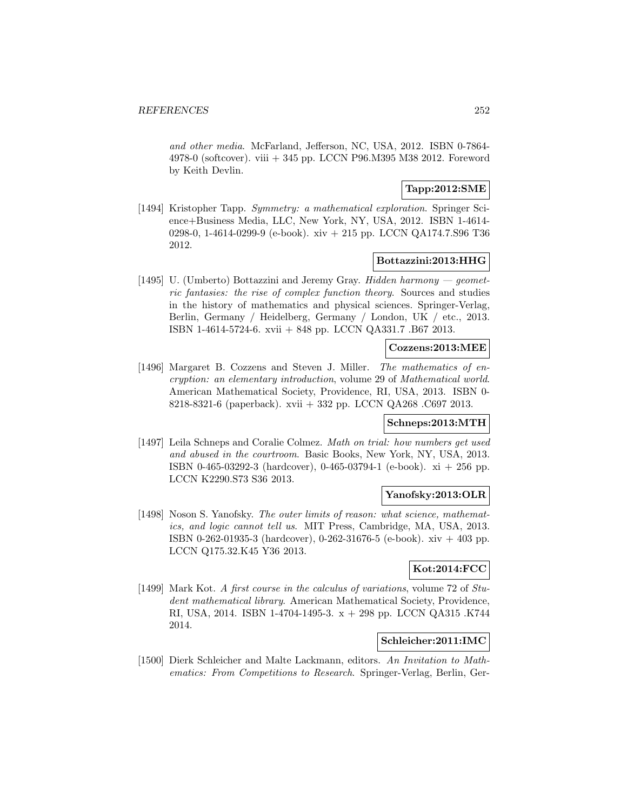and other media. McFarland, Jefferson, NC, USA, 2012. ISBN 0-7864- 4978-0 (softcover). viii + 345 pp. LCCN P96.M395 M38 2012. Foreword by Keith Devlin.

## **Tapp:2012:SME**

[1494] Kristopher Tapp. Symmetry: a mathematical exploration. Springer Science+Business Media, LLC, New York, NY, USA, 2012. ISBN 1-4614- 0298-0, 1-4614-0299-9 (e-book). xiv + 215 pp. LCCN QA174.7.S96 T36 2012.

## **Bottazzini:2013:HHG**

[1495] U. (Umberto) Bottazzini and Jeremy Gray. Hidden harmony  $\rightarrow$  geometric fantasies: the rise of complex function theory. Sources and studies in the history of mathematics and physical sciences. Springer-Verlag, Berlin, Germany / Heidelberg, Germany / London, UK / etc., 2013. ISBN 1-4614-5724-6. xvii + 848 pp. LCCN QA331.7 .B67 2013.

### **Cozzens:2013:MEE**

[1496] Margaret B. Cozzens and Steven J. Miller. The mathematics of encryption: an elementary introduction, volume 29 of Mathematical world. American Mathematical Society, Providence, RI, USA, 2013. ISBN 0- 8218-8321-6 (paperback). xvii + 332 pp. LCCN QA268 .C697 2013.

## **Schneps:2013:MTH**

[1497] Leila Schneps and Coralie Colmez. Math on trial: how numbers get used and abused in the courtroom. Basic Books, New York, NY, USA, 2013. ISBN 0-465-03292-3 (hardcover), 0-465-03794-1 (e-book). xi + 256 pp. LCCN K2290.S73 S36 2013.

## **Yanofsky:2013:OLR**

[1498] Noson S. Yanofsky. The outer limits of reason: what science, mathematics, and logic cannot tell us. MIT Press, Cambridge, MA, USA, 2013. ISBN 0-262-01935-3 (hardcover), 0-262-31676-5 (e-book). xiv + 403 pp. LCCN Q175.32.K45 Y36 2013.

# **Kot:2014:FCC**

[1499] Mark Kot. A first course in the calculus of variations, volume 72 of Student mathematical library. American Mathematical Society, Providence, RI, USA, 2014. ISBN 1-4704-1495-3. x + 298 pp. LCCN QA315 .K744 2014.

# **Schleicher:2011:IMC**

[1500] Dierk Schleicher and Malte Lackmann, editors. An Invitation to Mathematics: From Competitions to Research. Springer-Verlag, Berlin, Ger-